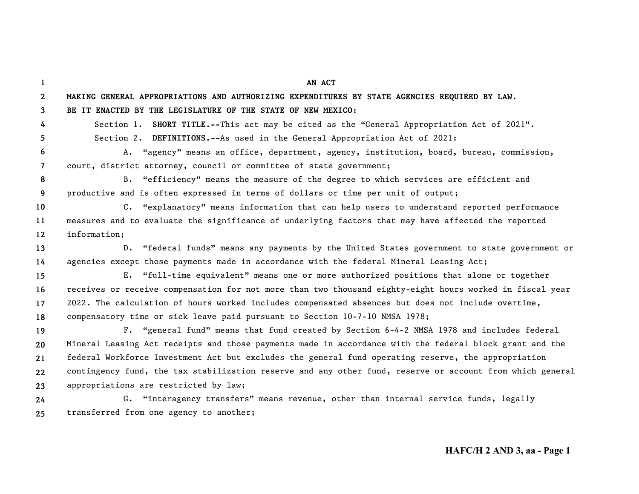**123456789 10111213141516171819202122232425AN ACTMAKING GENERAL APPROPRIATIONS AND AUTHORIZING EXPENDITURES BY STATE AGENCIES REQUIRED BY LAW. BE IT ENACTED BY THE LEGISLATURE OF THE STATE OF NEW MEXICO:**Section 1. **SHORT TITLE.--**This act may be cited as the "General Appropriation Act of 2021". Section 2. **DEFINITIONS.--**As used in the General Appropriation Act of 2021: A. "agency" means an office, department, agency, institution, board, bureau, commission, court, district attorney, council or committee of state government; B. "efficiency" means the measure of the degree to which services are efficient and productive and is often expressed in terms of dollars or time per unit of output; C. "explanatory" means information that can help users to understand reported performance measures and to evaluate the significance of underlying factors that may have affected the reported information; D. "federal funds" means any payments by the United States government to state government or agencies except those payments made in accordance with the federal Mineral Leasing Act; E. "full-time equivalent" means one or more authorized positions that alone or together receives or receive compensation for not more than two thousand eighty-eight hours worked in fiscal year 2022. The calculation of hours worked includes compensated absences but does not include overtime, compensatory time or sick leave paid pursuant to Section 10-7-10 NMSA 1978; F. "general fund" means that fund created by Section 6-4-2 NMSA 1978 and includes federal Mineral Leasing Act receipts and those payments made in accordance with the federal block grant and the federal Workforce Investment Act but excludes the general fund operating reserve, the appropriation contingency fund, the tax stabilization reserve and any other fund, reserve or account from which general appropriations are restricted by law; G. "interagency transfers" means revenue, other than internal service funds, legally transferred from one agency to another;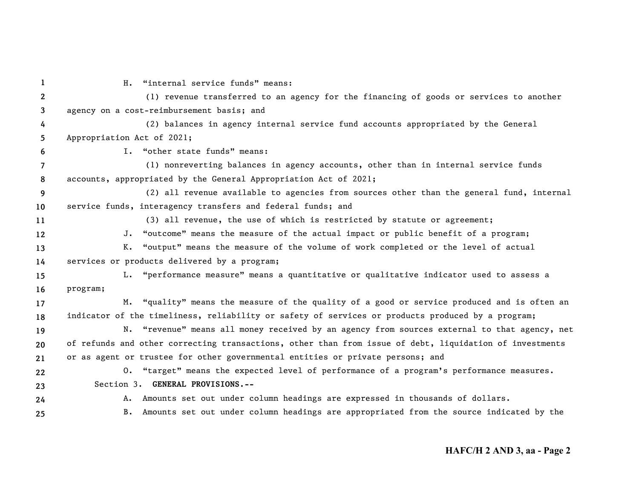| 1              | H. "internal service funds" means:                                                                      |
|----------------|---------------------------------------------------------------------------------------------------------|
| $\mathbf{2}$   | (1) revenue transferred to an agency for the financing of goods or services to another                  |
| 3              | agency on a cost-reimbursement basis; and                                                               |
| 4              | (2) balances in agency internal service fund accounts appropriated by the General                       |
| 5              | Appropriation Act of 2021;                                                                              |
| 6              | I. "other state funds" means:                                                                           |
| $\overline{7}$ | (1) nonreverting balances in agency accounts, other than in internal service funds                      |
| 8              | accounts, appropriated by the General Appropriation Act of 2021;                                        |
| 9              | (2) all revenue available to agencies from sources other than the general fund, internal                |
| 10             | service funds, interagency transfers and federal funds; and                                             |
| 11             | (3) all revenue, the use of which is restricted by statute or agreement;                                |
| 12             | J. "outcome" means the measure of the actual impact or public benefit of a program;                     |
| 13             | K. "output" means the measure of the volume of work completed or the level of actual                    |
| 14             | services or products delivered by a program;                                                            |
| 15             | L. "performance measure" means a quantitative or qualitative indicator used to assess a                 |
| 16             | program;                                                                                                |
| 17             | M. "quality" means the measure of the quality of a good or service produced and is often an             |
| 18             | indicator of the timeliness, reliability or safety of services or products produced by a program;       |
| 19             | N. "revenue" means all money received by an agency from sources external to that agency, net            |
| 20             | of refunds and other correcting transactions, other than from issue of debt, liquidation of investments |
| 21             | or as agent or trustee for other governmental entities or private persons; and                          |
| 22             | 0. "target" means the expected level of performance of a program's performance measures.                |
| 23             | Section 3. GENERAL PROVISIONS.--                                                                        |
| 24             | A. Amounts set out under column headings are expressed in thousands of dollars.                         |
| 25             | B. Amounts set out under column headings are appropriated from the source indicated by the              |
|                |                                                                                                         |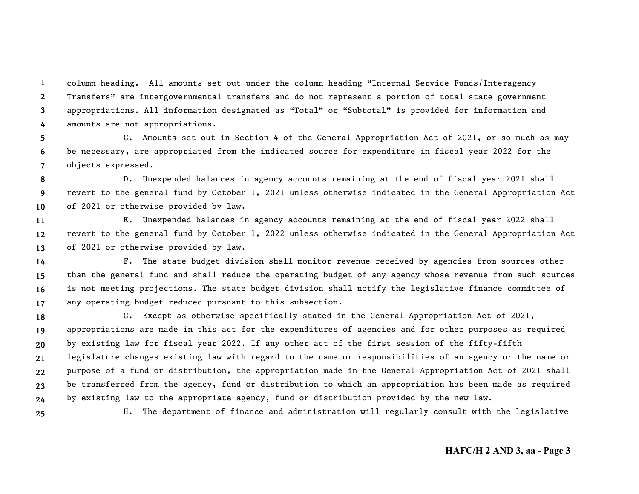**1234**column heading. All amounts set out under the column heading "Internal Service Funds/Interagency Transfers" are intergovernmental transfers and do not represent a portion of total state government appropriations. All information designated as "Total" or "Subtotal" is provided for information and amounts are not appropriations.

**567**C. Amounts set out in Section 4 of the General Appropriation Act of 2021, or so much as may be necessary, are appropriated from the indicated source for expenditure in fiscal year 2022 for the objects expressed.

**89 10**D. Unexpended balances in agency accounts remaining at the end of fiscal year 2021 shall revert to the general fund by October 1, 2021 unless otherwise indicated in the General Appropriation Act of 2021 or otherwise provided by law.

**111213**E. Unexpended balances in agency accounts remaining at the end of fiscal year 2022 shall revert to the general fund by October 1, 2022 unless otherwise indicated in the General Appropriation Act of 2021 or otherwise provided by law.

**14151617**F. The state budget division shall monitor revenue received by agencies from sources other than the general fund and shall reduce the operating budget of any agency whose revenue from such sources is not meeting projections. The state budget division shall notify the legislative finance committee of any operating budget reduced pursuant to this subsection.

**18192021222324**G. Except as otherwise specifically stated in the General Appropriation Act of 2021, appropriations are made in this act for the expenditures of agencies and for other purposes as required by existing law for fiscal year 2022. If any other act of the first session of the fifty-fifth legislature changes existing law with regard to the name or responsibilities of an agency or the name or purpose of a fund or distribution, the appropriation made in the General Appropriation Act of 2021 shall be transferred from the agency, fund or distribution to which an appropriation has been made as required by existing law to the appropriate agency, fund or distribution provided by the new law.

**25**

H. The department of finance and administration will regularly consult with the legislative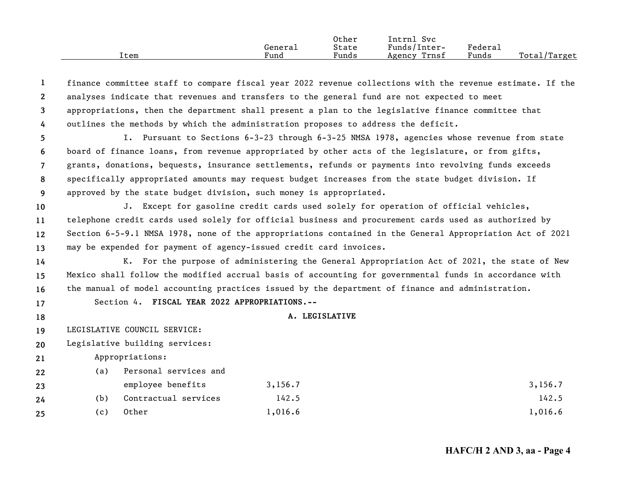|      |         | Other | Svc<br>Intrnl   |         |                   |
|------|---------|-------|-----------------|---------|-------------------|
|      | General | State | Funds/Inter-    | Federau |                   |
| Item | Fund    | Funds | Trnsf<br>Agency | Funds   | Total/<br>/Target |

| -1              |     |                                               |                                                                                            | finance committee staff to compare fiscal year 2022 revenue collections with the revenue estimate. If the |
|-----------------|-----|-----------------------------------------------|--------------------------------------------------------------------------------------------|-----------------------------------------------------------------------------------------------------------|
| $\mathbf{2}$    |     |                                               | analyses indicate that revenues and transfers to the general fund are not expected to meet |                                                                                                           |
| 3               |     |                                               |                                                                                            | appropriations, then the department shall present a plan to the legislative finance committee that        |
| 4               |     |                                               | outlines the methods by which the administration proposes to address the deficit.          |                                                                                                           |
| 5               |     |                                               |                                                                                            | I. Pursuant to Sections 6-3-23 through 6-3-25 NMSA 1978, agencies whose revenue from state                |
| 6               |     |                                               |                                                                                            | board of finance loans, from revenue appropriated by other acts of the legislature, or from gifts,        |
| $\overline{7}$  |     |                                               |                                                                                            | grants, donations, bequests, insurance settlements, refunds or payments into revolving funds exceeds      |
| 8               |     |                                               |                                                                                            | specifically appropriated amounts may request budget increases from the state budget division. If         |
| 9               |     |                                               | approved by the state budget division, such money is appropriated.                         |                                                                                                           |
| 10              |     |                                               |                                                                                            | J. Except for gasoline credit cards used solely for operation of official vehicles,                       |
| 11              |     |                                               |                                                                                            | telephone credit cards used solely for official business and procurement cards used as authorized by      |
| 12 <sup>2</sup> |     |                                               |                                                                                            | Section 6-5-9.1 NMSA 1978, none of the appropriations contained in the General Appropriation Act of 2021  |
| 13              |     |                                               | may be expended for payment of agency-issued credit card invoices.                         |                                                                                                           |
| 14              |     |                                               |                                                                                            | K. For the purpose of administering the General Appropriation Act of 2021, the state of New               |
| 15              |     |                                               |                                                                                            | Mexico shall follow the modified accrual basis of accounting for governmental funds in accordance with    |
| 16              |     |                                               |                                                                                            | the manual of model accounting practices issued by the department of finance and administration.          |
| 17              |     | Section 4. FISCAL YEAR 2022 APPROPRIATIONS.-- |                                                                                            |                                                                                                           |
| 18              |     |                                               | A. LEGISLATIVE                                                                             |                                                                                                           |
| 19              |     | LEGISLATIVE COUNCIL SERVICE:                  |                                                                                            |                                                                                                           |
| 20              |     | Legislative building services:                |                                                                                            |                                                                                                           |
| 21              |     | Appropriations:                               |                                                                                            |                                                                                                           |
| 22              | (a) | Personal services and                         |                                                                                            |                                                                                                           |
| 23              |     | employee benefits                             | 3, 156.7                                                                                   | 3, 156.7                                                                                                  |
| 24              | (b) | Contractual services                          | 142.5                                                                                      | 142.5                                                                                                     |
| 25              | (c) | Other                                         | 1,016.6                                                                                    | 1,016.6                                                                                                   |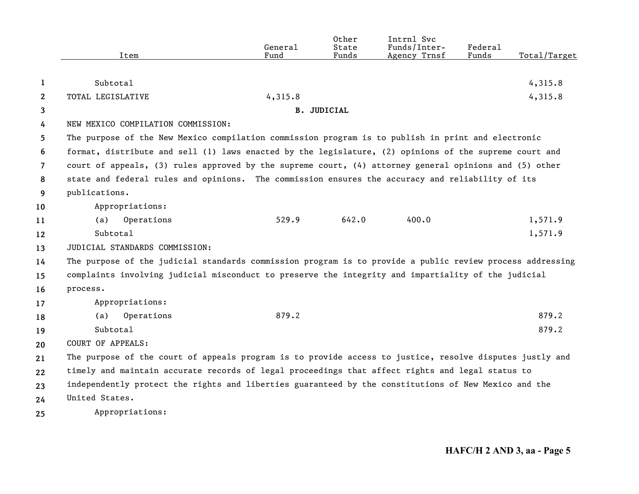|                |                                                                                                           | General | Other<br>State     | Intrnl Svc<br>Funds/Inter- | <b>Federal</b> |              |
|----------------|-----------------------------------------------------------------------------------------------------------|---------|--------------------|----------------------------|----------------|--------------|
|                | Item                                                                                                      | Fund    | Funds              | Agency Trnsf               | Funds          | Total/Target |
|                |                                                                                                           |         |                    |                            |                |              |
| 1              | Subtotal                                                                                                  |         |                    |                            |                | 4,315.8      |
| $\mathbf{2}$   | TOTAL LEGISLATIVE                                                                                         | 4,315.8 |                    |                            |                | 4,315.8      |
| 3              |                                                                                                           |         | <b>B. JUDICIAL</b> |                            |                |              |
| 4              | NEW MEXICO COMPILATION COMMISSION:                                                                        |         |                    |                            |                |              |
| 5              | The purpose of the New Mexico compilation commission program is to publish in print and electronic        |         |                    |                            |                |              |
| 6              | format, distribute and sell (1) laws enacted by the legislature, (2) opinions of the supreme court and    |         |                    |                            |                |              |
| $\overline{7}$ | court of appeals, (3) rules approved by the supreme court, (4) attorney general opinions and (5) other    |         |                    |                            |                |              |
| 8              | state and federal rules and opinions. The commission ensures the accuracy and reliability of its          |         |                    |                            |                |              |
| 9              | publications.                                                                                             |         |                    |                            |                |              |
| 10             | Appropriations:                                                                                           |         |                    |                            |                |              |
| 11             | Operations<br>(a)                                                                                         | 529.9   | 642.0              | 400.0                      |                | 1,571.9      |
| 12             | Subtotal                                                                                                  |         |                    |                            |                | 1,571.9      |
| 13             | JUDICIAL STANDARDS COMMISSION:                                                                            |         |                    |                            |                |              |
| 14             | The purpose of the judicial standards commission program is to provide a public review process addressing |         |                    |                            |                |              |
| 15             | complaints involving judicial misconduct to preserve the integrity and impartiality of the judicial       |         |                    |                            |                |              |
| 16             | process.                                                                                                  |         |                    |                            |                |              |
| 17             | Appropriations:                                                                                           |         |                    |                            |                |              |
| 18             | Operations<br>(a)                                                                                         | 879.2   |                    |                            |                | 879.2        |
| 19             | Subtotal                                                                                                  |         |                    |                            |                | 879.2        |
| 20             | COURT OF APPEALS:                                                                                         |         |                    |                            |                |              |
| 21             | The purpose of the court of appeals program is to provide access to justice, resolve disputes justly and  |         |                    |                            |                |              |
| 22             | timely and maintain accurate records of legal proceedings that affect rights and legal status to          |         |                    |                            |                |              |
| 23             | independently protect the rights and liberties guaranteed by the constitutions of New Mexico and the      |         |                    |                            |                |              |
| 24             | United States.                                                                                            |         |                    |                            |                |              |
| 25             | Appropriations:                                                                                           |         |                    |                            |                |              |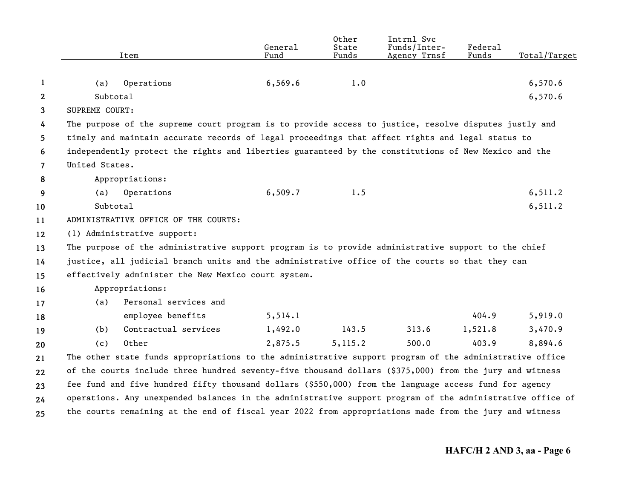|                | Item                                                                                                      | General<br>Fund | Other<br>State<br>Funds | Intrnl Svc<br>Funds/Inter-<br>Agency Trnsf | Federal<br>Funds | Total/Target |
|----------------|-----------------------------------------------------------------------------------------------------------|-----------------|-------------------------|--------------------------------------------|------------------|--------------|
|                |                                                                                                           |                 |                         |                                            |                  |              |
| 1              | Operations<br>(a)                                                                                         | 6, 569.6        | 1.0                     |                                            |                  | 6,570.6      |
| $\mathbf{2}$   | Subtotal                                                                                                  |                 |                         |                                            |                  | 6,570.6      |
| 3              | SUPREME COURT:                                                                                            |                 |                         |                                            |                  |              |
| 4              | The purpose of the supreme court program is to provide access to justice, resolve disputes justly and     |                 |                         |                                            |                  |              |
| 5              | timely and maintain accurate records of legal proceedings that affect rights and legal status to          |                 |                         |                                            |                  |              |
| 6              | independently protect the rights and liberties guaranteed by the constitutions of New Mexico and the      |                 |                         |                                            |                  |              |
| $\overline{7}$ | United States.                                                                                            |                 |                         |                                            |                  |              |
| 8              | Appropriations:                                                                                           |                 |                         |                                            |                  |              |
| 9              | Operations<br>(a)                                                                                         | 6,509.7         | 1.5                     |                                            |                  | 6, 511.2     |
| 10             | Subtotal                                                                                                  |                 |                         |                                            |                  | 6,511.2      |
| 11             | ADMINISTRATIVE OFFICE OF THE COURTS:                                                                      |                 |                         |                                            |                  |              |
| 12             | (1) Administrative support:                                                                               |                 |                         |                                            |                  |              |
| 13             | The purpose of the administrative support program is to provide administrative support to the chief       |                 |                         |                                            |                  |              |
| 14             | justice, all judicial branch units and the administrative office of the courts so that they can           |                 |                         |                                            |                  |              |
| 15             | effectively administer the New Mexico court system.                                                       |                 |                         |                                            |                  |              |
| 16             | Appropriations:                                                                                           |                 |                         |                                            |                  |              |
| 17             | Personal services and<br>(a)                                                                              |                 |                         |                                            |                  |              |
| 18             | employee benefits                                                                                         | 5, 514.1        |                         |                                            | 404.9            | 5,919.0      |
| 19             | Contractual services<br>(b)                                                                               | 1,492.0         | 143.5                   | 313.6                                      | 1,521.8          | 3,470.9      |
| 20             | Other<br>(c)                                                                                              | 2,875.5         | 5, 115.2                | 500.0                                      | 403.9            | 8,894.6      |
| 21             | The other state funds appropriations to the administrative support program of the administrative office   |                 |                         |                                            |                  |              |
| 22             | of the courts include three hundred seventy-five thousand dollars (\$375,000) from the jury and witness   |                 |                         |                                            |                  |              |
| 23             | fee fund and five hundred fifty thousand dollars (\$550,000) from the language access fund for agency     |                 |                         |                                            |                  |              |
| 24             | operations. Any unexpended balances in the administrative support program of the administrative office of |                 |                         |                                            |                  |              |
| 25             | the courts remaining at the end of fiscal year 2022 from appropriations made from the jury and witness    |                 |                         |                                            |                  |              |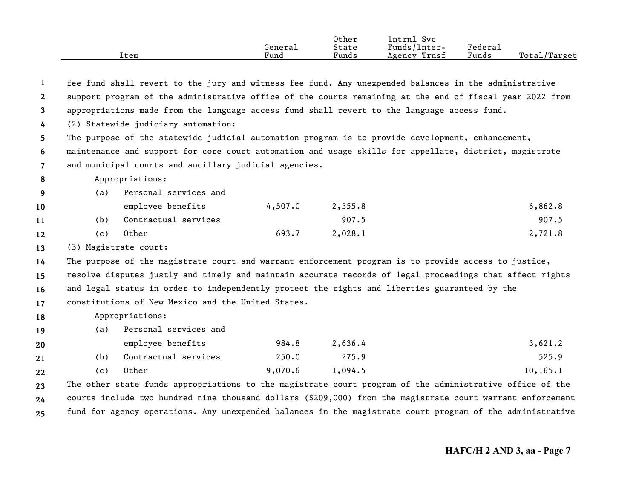|      |         | Other | Intrnl<br>Svc   |         |                                |
|------|---------|-------|-----------------|---------|--------------------------------|
|      | Genera⊥ | State | Funds/Inter-    | Federai |                                |
| Item | Fund    | Funds | Trnsf<br>Agency | Funds   | Total <sub>l</sub><br>'Target' |

| 1              |                                                                                                        |                                                                                               |         |         | fee fund shall revert to the jury and witness fee fund. Any unexpended balances in the administrative      |  |  |  |  |
|----------------|--------------------------------------------------------------------------------------------------------|-----------------------------------------------------------------------------------------------|---------|---------|------------------------------------------------------------------------------------------------------------|--|--|--|--|
| $\mathbf{2}$   |                                                                                                        |                                                                                               |         |         | support program of the administrative office of the courts remaining at the end of fiscal year 2022 from   |  |  |  |  |
| $\mathbf{3}$   |                                                                                                        | appropriations made from the language access fund shall revert to the language access fund.   |         |         |                                                                                                            |  |  |  |  |
| 4              |                                                                                                        | (2) Statewide judiciary automation:                                                           |         |         |                                                                                                            |  |  |  |  |
| 5              |                                                                                                        |                                                                                               |         |         | The purpose of the statewide judicial automation program is to provide development, enhancement,           |  |  |  |  |
| 6              | maintenance and support for core court automation and usage skills for appellate, district, magistrate |                                                                                               |         |         |                                                                                                            |  |  |  |  |
| $\overline{7}$ |                                                                                                        | and municipal courts and ancillary judicial agencies.                                         |         |         |                                                                                                            |  |  |  |  |
| 8              |                                                                                                        | Appropriations:                                                                               |         |         |                                                                                                            |  |  |  |  |
| 9              | (a)                                                                                                    | Personal services and                                                                         |         |         |                                                                                                            |  |  |  |  |
| 10             |                                                                                                        | employee benefits                                                                             | 4,507.0 | 2,355.8 | 6,862.8                                                                                                    |  |  |  |  |
| 11             | (b)                                                                                                    | Contractual services                                                                          |         | 907.5   | 907.5                                                                                                      |  |  |  |  |
| 12             | (c)                                                                                                    | Other                                                                                         | 693.7   | 2,028.1 | 2,721.8                                                                                                    |  |  |  |  |
| 13             |                                                                                                        | (3) Magistrate court:                                                                         |         |         |                                                                                                            |  |  |  |  |
| 14             |                                                                                                        |                                                                                               |         |         | The purpose of the magistrate court and warrant enforcement program is to provide access to justice,       |  |  |  |  |
| 15             |                                                                                                        |                                                                                               |         |         | resolve disputes justly and timely and maintain accurate records of legal proceedings that affect rights   |  |  |  |  |
| 16             |                                                                                                        | and legal status in order to independently protect the rights and liberties guaranteed by the |         |         |                                                                                                            |  |  |  |  |
| 17             |                                                                                                        | constitutions of New Mexico and the United States.                                            |         |         |                                                                                                            |  |  |  |  |
| 18             |                                                                                                        | Appropriations:                                                                               |         |         |                                                                                                            |  |  |  |  |
| 19             | (a)                                                                                                    | Personal services and                                                                         |         |         |                                                                                                            |  |  |  |  |
| 20             |                                                                                                        | employee benefits                                                                             | 984.8   | 2,636.4 | 3,621.2                                                                                                    |  |  |  |  |
| 21             | (b)                                                                                                    | Contractual services                                                                          | 250.0   | 275.9   | 525.9                                                                                                      |  |  |  |  |
| 22             | (c)                                                                                                    | Other                                                                                         | 9,070.6 | 1,094.5 | 10, 165.1                                                                                                  |  |  |  |  |
| 23             |                                                                                                        |                                                                                               |         |         | The other state funds appropriations to the magistrate court program of the administrative office of the   |  |  |  |  |
| 24             |                                                                                                        |                                                                                               |         |         | courts include two hundred nine thousand dollars (\$209,000) from the magistrate court warrant enforcement |  |  |  |  |
| 25             |                                                                                                        |                                                                                               |         |         | fund for agency operations. Any unexpended balances in the magistrate court program of the administrative  |  |  |  |  |

**25**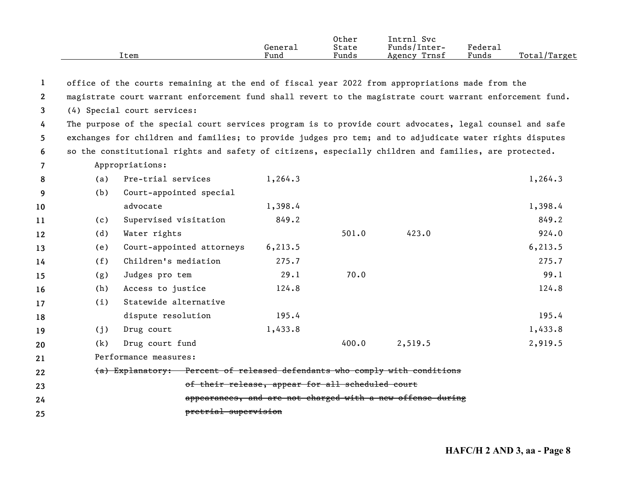|      |         | Other | $\sim$<br>Intrnl<br><b>Svc</b> |                     |                  |
|------|---------|-------|--------------------------------|---------------------|------------------|
|      | General | State | Funds/Inter-                   | "edera <sub>1</sub> |                  |
| Item | Fund    | Funds | Trnsf<br>Agency                | Funds               | Total,<br>Target |

|  |  |  |  |  |  | office of the courts remaining at the end of fiscal year 2022 from appropriations made from the |  |  |
|--|--|--|--|--|--|-------------------------------------------------------------------------------------------------|--|--|

**2**magistrate court warrant enforcement fund shall revert to the magistrate court warrant enforcement fund.

**3** (4) Special court services:

**45 6**The purpose of the special court services program is to provide court advocates, legal counsel and safe exchanges for children and families; to provide judges pro tem; and to adjudicate water rights disputes so the constitutional rights and safety of citizens, especially children and families, are protected.

**7**Appropriations:

| 8  | (a) | Pre-trial services                                                         | 1,264.3  |       |                                                            | 1,264.3  |
|----|-----|----------------------------------------------------------------------------|----------|-------|------------------------------------------------------------|----------|
| 9  | (b) | Court-appointed special                                                    |          |       |                                                            |          |
| 10 |     | advocate                                                                   | 1,398.4  |       |                                                            | 1,398.4  |
| 11 | (c) | Supervised visitation                                                      | 849.2    |       |                                                            | 849.2    |
| 12 | (d) | Water rights                                                               |          | 501.0 | 423.0                                                      | 924.0    |
| 13 | (e) | Court-appointed attorneys                                                  | 6, 213.5 |       |                                                            | 6, 213.5 |
| 14 | (f) | Children's mediation                                                       | 275.7    |       |                                                            | 275.7    |
| 15 | (g) | Judges pro tem                                                             | 29.1     | 70.0  |                                                            | 99.1     |
| 16 | (h) | Access to justice                                                          | 124.8    |       |                                                            | 124.8    |
| 17 | (i) | Statewide alternative                                                      |          |       |                                                            |          |
| 18 |     | dispute resolution                                                         | 195.4    |       |                                                            | 195.4    |
| 19 | (j) | Drug court                                                                 | 1,433.8  |       |                                                            | 1,433.8  |
| 20 | (k) | Drug court fund                                                            |          | 400.0 | 2,519.5                                                    | 2,919.5  |
| 21 |     | Performance measures:                                                      |          |       |                                                            |          |
| 22 |     | (a) Explanatory: Percent of released defendants who comply with conditions |          |       |                                                            |          |
| 23 |     | of their release, appear for all scheduled court                           |          |       |                                                            |          |
| 24 |     |                                                                            |          |       | appearances, and are not charged with a new offense during |          |
| 25 |     | pretrial supervision                                                       |          |       |                                                            |          |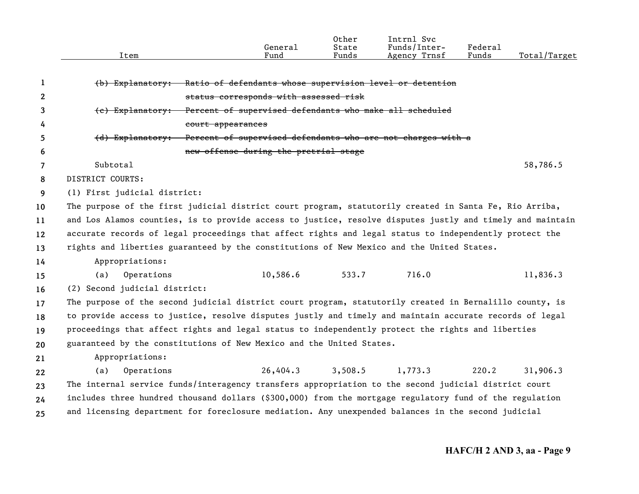|              |                                                                                                           |                                                         | General  | 0ther<br>State | Intrnl Svc<br>Funds/Inter-                                  | Federal |              |  |  |
|--------------|-----------------------------------------------------------------------------------------------------------|---------------------------------------------------------|----------|----------------|-------------------------------------------------------------|---------|--------------|--|--|
|              | Item                                                                                                      |                                                         | Fund     | Funds          | Agency Trnsf                                                | Funds   | Total/Target |  |  |
|              |                                                                                                           |                                                         |          |                |                                                             |         |              |  |  |
| 1            | (b) Explanatory:                                                                                          |                                                         |          |                | Ratio of defendants whose supervision level or detention    |         |              |  |  |
| $\mathbf{2}$ |                                                                                                           | status corresponds with assessed risk                   |          |                |                                                             |         |              |  |  |
| 3            | (c) Explanatory:                                                                                          | Percent of supervised defendants who make all scheduled |          |                |                                                             |         |              |  |  |
| 4            |                                                                                                           | court appearances                                       |          |                |                                                             |         |              |  |  |
| 5            | (d) Explanatory:                                                                                          |                                                         |          |                | Percent of supervised defendants who are not charges with a |         |              |  |  |
| 6            |                                                                                                           | new offense during the pretrial stage                   |          |                |                                                             |         |              |  |  |
| 7            | Subtotal                                                                                                  |                                                         |          |                |                                                             |         | 58,786.5     |  |  |
| 8            | DISTRICT COURTS:                                                                                          |                                                         |          |                |                                                             |         |              |  |  |
| 9            | (1) First judicial district:                                                                              |                                                         |          |                |                                                             |         |              |  |  |
| 10           | The purpose of the first judicial district court program, statutorily created in Santa Fe, Rio Arriba,    |                                                         |          |                |                                                             |         |              |  |  |
| 11           | and Los Alamos counties, is to provide access to justice, resolve disputes justly and timely and maintain |                                                         |          |                |                                                             |         |              |  |  |
| 12           | accurate records of legal proceedings that affect rights and legal status to independently protect the    |                                                         |          |                |                                                             |         |              |  |  |
| 13           | rights and liberties guaranteed by the constitutions of New Mexico and the United States.                 |                                                         |          |                |                                                             |         |              |  |  |
| 14           | Appropriations:                                                                                           |                                                         |          |                |                                                             |         |              |  |  |
| 15           | (a)<br>Operations                                                                                         |                                                         | 10,586.6 | 533.7          | 716.0                                                       |         | 11,836.3     |  |  |
| 16           | (2) Second judicial district:                                                                             |                                                         |          |                |                                                             |         |              |  |  |
| 17           | The purpose of the second judicial district court program, statutorily created in Bernalillo county, is   |                                                         |          |                |                                                             |         |              |  |  |
| 18           | to provide access to justice, resolve disputes justly and timely and maintain accurate records of legal   |                                                         |          |                |                                                             |         |              |  |  |
| 19           | proceedings that affect rights and legal status to independently protect the rights and liberties         |                                                         |          |                |                                                             |         |              |  |  |
| 20           | guaranteed by the constitutions of New Mexico and the United States.                                      |                                                         |          |                |                                                             |         |              |  |  |
| 21           | Appropriations:                                                                                           |                                                         |          |                |                                                             |         |              |  |  |
| 22           | (a)<br>Operations                                                                                         |                                                         | 26,404.3 | 3,508.5        | 1,773.3                                                     | 220.2   | 31,906.3     |  |  |
| 23           | The internal service funds/interagency transfers appropriation to the second judicial district court      |                                                         |          |                |                                                             |         |              |  |  |
| 24           | includes three hundred thousand dollars (\$300,000) from the mortgage regulatory fund of the regulation   |                                                         |          |                |                                                             |         |              |  |  |
| 25           | and licensing department for foreclosure mediation. Any unexpended balances in the second judicial        |                                                         |          |                |                                                             |         |              |  |  |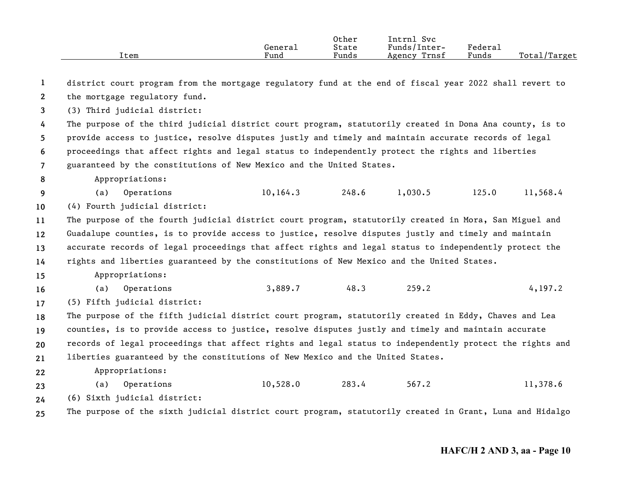|      |         | Other | ___<br>Svc<br>Intrnl |         |                    |
|------|---------|-------|----------------------|---------|--------------------|
|      | Genera⊥ | State | Funds/Inter-         | Federau |                    |
| Item | Fund    | Funds | Agency Trnsf         | Funds   | Total,<br>'/Target |

**123456789 10111213141516171819202122232425**district court program from the mortgage regulatory fund at the end of fiscal year 2022 shall revert to the mortgage regulatory fund. (3) Third judicial district: The purpose of the third judicial district court program, statutorily created in Dona Ana county, is to provide access to justice, resolve disputes justly and timely and maintain accurate records of legal proceedings that affect rights and legal status to independently protect the rights and liberties guaranteed by the constitutions of New Mexico and the United States. Appropriations: (a) Operations 10,164.3 248.6 1,030.5 125.0 11,568.4 (4) Fourth judicial district: The purpose of the fourth judicial district court program, statutorily created in Mora, San Miguel and Guadalupe counties, is to provide access to justice, resolve disputes justly and timely and maintain accurate records of legal proceedings that affect rights and legal status to independently protect the rights and liberties guaranteed by the constitutions of New Mexico and the United States. Appropriations: (a) Operations 3,889.7 48.3 259.2 4,197.2 (5) Fifth judicial district: The purpose of the fifth judicial district court program, statutorily created in Eddy, Chaves and Lea counties, is to provide access to justice, resolve disputes justly and timely and maintain accurate records of legal proceedings that affect rights and legal status to independently protect the rights and liberties guaranteed by the constitutions of New Mexico and the United States. Appropriations: (a) Operations 10,528.0 283.4 567.2 11,378.6 (6) Sixth judicial district: The purpose of the sixth judicial district court program, statutorily created in Grant, Luna and Hidalgo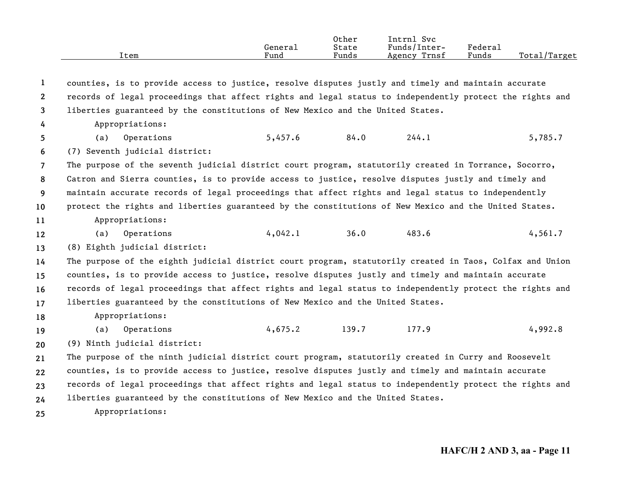|      | General | Other<br>State | Intrnl Svc<br>Funds/Inter- | Federal |              |
|------|---------|----------------|----------------------------|---------|--------------|
| Item | Fund    | Funds          | Agency Trnsf               | Funds   | Total/Target |
|      |         |                |                            |         |              |

**12345678910111213141516171819202122232425**counties, is to provide access to justice, resolve disputes justly and timely and maintain accurate records of legal proceedings that affect rights and legal status to independently protect the rights and liberties guaranteed by the constitutions of New Mexico and the United States. Appropriations: (a) Operations 5,457.6 84.0 244.1 5,785.7 (7) Seventh judicial district: The purpose of the seventh judicial district court program, statutorily created in Torrance, Socorro, Catron and Sierra counties, is to provide access to justice, resolve disputes justly and timely and maintain accurate records of legal proceedings that affect rights and legal status to independently protect the rights and liberties guaranteed by the constitutions of New Mexico and the United States. Appropriations: (a) Operations 4,042.1 36.0 483.6 4,561.7 (8) Eighth judicial district: The purpose of the eighth judicial district court program, statutorily created in Taos, Colfax and Union counties, is to provide access to justice, resolve disputes justly and timely and maintain accurate records of legal proceedings that affect rights and legal status to independently protect the rights and liberties guaranteed by the constitutions of New Mexico and the United States. Appropriations: (a) Operations 4,675.2 139.7 177.9 4,992.8 (9) Ninth judicial district: The purpose of the ninth judicial district court program, statutorily created in Curry and Roosevelt counties, is to provide access to justice, resolve disputes justly and timely and maintain accurate records of legal proceedings that affect rights and legal status to independently protect the rights and liberties guaranteed by the constitutions of New Mexico and the United States. Appropriations: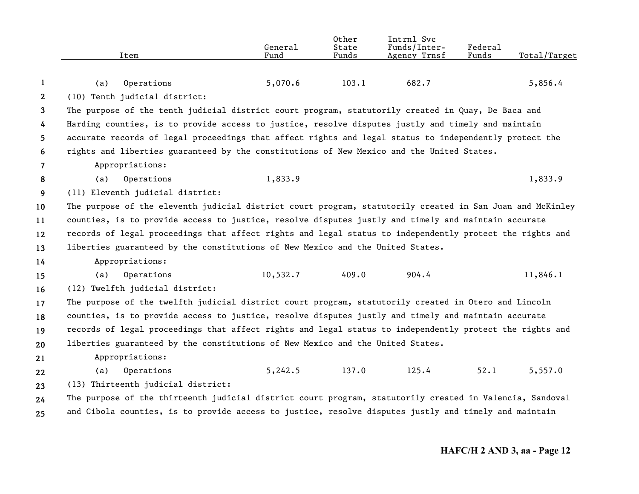|              | Item                                                                                                      | General<br>Fund | Other<br>State<br>Funds | Intrnl Svc<br>Funds/Inter-<br>Agency Trnsf | Federal<br>Funds | Total/Target |
|--------------|-----------------------------------------------------------------------------------------------------------|-----------------|-------------------------|--------------------------------------------|------------------|--------------|
|              |                                                                                                           |                 |                         |                                            |                  |              |
| 1            | Operations<br>(a)                                                                                         | 5,070.6         | 103.1                   | 682.7                                      |                  | 5,856.4      |
| $\mathbf{2}$ | (10) Tenth judicial district:                                                                             |                 |                         |                                            |                  |              |
| 3            | The purpose of the tenth judicial district court program, statutorily created in Quay, De Baca and        |                 |                         |                                            |                  |              |
| 4            | Harding counties, is to provide access to justice, resolve disputes justly and timely and maintain        |                 |                         |                                            |                  |              |
| 5            | accurate records of legal proceedings that affect rights and legal status to independently protect the    |                 |                         |                                            |                  |              |
| 6            | rights and liberties guaranteed by the constitutions of New Mexico and the United States.                 |                 |                         |                                            |                  |              |
| 7            | Appropriations:                                                                                           |                 |                         |                                            |                  |              |
| 8            | Operations<br>(a)                                                                                         | 1,833.9         |                         |                                            |                  | 1,833.9      |
| 9            | (11) Eleventh judicial district:                                                                          |                 |                         |                                            |                  |              |
| 10           | The purpose of the eleventh judicial district court program, statutorily created in San Juan and McKinley |                 |                         |                                            |                  |              |
| 11           | counties, is to provide access to justice, resolve disputes justly and timely and maintain accurate       |                 |                         |                                            |                  |              |
| 12           | records of legal proceedings that affect rights and legal status to independently protect the rights and  |                 |                         |                                            |                  |              |
| 13           | liberties guaranteed by the constitutions of New Mexico and the United States.                            |                 |                         |                                            |                  |              |
| 14           | Appropriations:                                                                                           |                 |                         |                                            |                  |              |
| 15           | Operations<br>(a)                                                                                         | 10,532.7        | 409.0                   | 904.4                                      |                  | 11,846.1     |
| 16           | (12) Twelfth judicial district:                                                                           |                 |                         |                                            |                  |              |
| 17           | The purpose of the twelfth judicial district court program, statutorily created in Otero and Lincoln      |                 |                         |                                            |                  |              |
| 18           | counties, is to provide access to justice, resolve disputes justly and timely and maintain accurate       |                 |                         |                                            |                  |              |
| 19           | records of legal proceedings that affect rights and legal status to independently protect the rights and  |                 |                         |                                            |                  |              |
| 20           | liberties guaranteed by the constitutions of New Mexico and the United States.                            |                 |                         |                                            |                  |              |
| 21           | Appropriations:                                                                                           |                 |                         |                                            |                  |              |
| 22           | Operations<br>(a)                                                                                         | 5, 242.5        | 137.0                   | 125.4                                      | 52.1             | 5,557.0      |
| 23           | (13) Thirteenth judicial district:                                                                        |                 |                         |                                            |                  |              |
| 24           | The purpose of the thirteenth judicial district court program, statutorily created in Valencia, Sandoval  |                 |                         |                                            |                  |              |
| 25           | and Cibola counties, is to provide access to justice, resolve disputes justly and timely and maintain     |                 |                         |                                            |                  |              |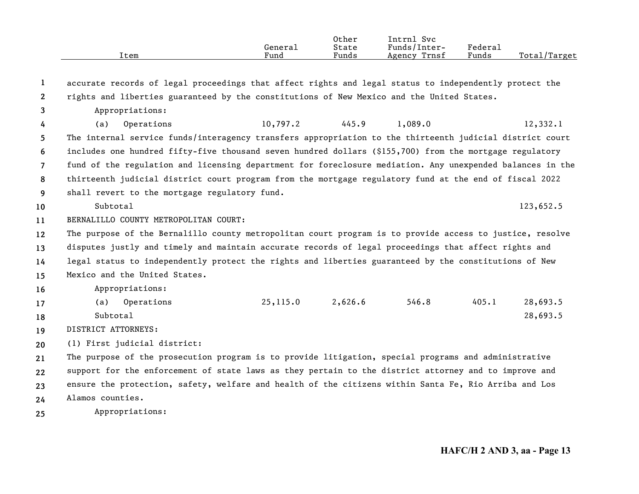|      |         | Other | Intrnl<br>Svc   |                         |                   |
|------|---------|-------|-----------------|-------------------------|-------------------|
|      | General | State | Funds/Inter-    | $r_{\text{edera}\perp}$ |                   |
| Item | Fund    | Funds | Trnsf<br>Agency | Funds                   | Total<br>'Target' |

| $\mathbf{1}$          | accurate records of legal proceedings that affect rights and legal status to independently protect the    |           |                  |         |       |           |  |  |
|-----------------------|-----------------------------------------------------------------------------------------------------------|-----------|------------------|---------|-------|-----------|--|--|
| $\mathbf{2}^{\prime}$ | rights and liberties guaranteed by the constitutions of New Mexico and the United States.                 |           |                  |         |       |           |  |  |
| 3                     | Appropriations:                                                                                           |           |                  |         |       |           |  |  |
| 4                     | Operations<br>(a)                                                                                         |           | $10,797.2$ 445.9 | 1,089.0 |       | 12,332.1  |  |  |
| 5.                    | The internal service funds/interagency transfers appropriation to the thirteenth judicial district court  |           |                  |         |       |           |  |  |
| 6                     | includes one hundred fifty-five thousand seven hundred dollars (\$155,700) from the mortgage regulatory   |           |                  |         |       |           |  |  |
| $\overline{7}$        | fund of the regulation and licensing department for foreclosure mediation. Any unexpended balances in the |           |                  |         |       |           |  |  |
| 8                     | thirteenth judicial district court program from the mortgage regulatory fund at the end of fiscal 2022    |           |                  |         |       |           |  |  |
| 9                     | shall revert to the mortgage regulatory fund.                                                             |           |                  |         |       |           |  |  |
| 10                    | Subtotal                                                                                                  |           |                  |         |       | 123,652.5 |  |  |
| 11                    | BERNALILLO COUNTY METROPOLITAN COURT:                                                                     |           |                  |         |       |           |  |  |
| $12 \,$               | The purpose of the Bernalillo county metropolitan court program is to provide access to justice, resolve  |           |                  |         |       |           |  |  |
| 13                    | disputes justly and timely and maintain accurate records of legal proceedings that affect rights and      |           |                  |         |       |           |  |  |
| 14                    | legal status to independently protect the rights and liberties guaranteed by the constitutions of New     |           |                  |         |       |           |  |  |
| 15                    | Mexico and the United States.                                                                             |           |                  |         |       |           |  |  |
| 16                    | Appropriations:                                                                                           |           |                  |         |       |           |  |  |
| 17                    | Operations<br>(a)                                                                                         | 25, 115.0 | 2,626.6          | 546.8   | 405.1 | 28,693.5  |  |  |
| 18                    | Subtotal                                                                                                  |           |                  |         |       | 28,693.5  |  |  |
| 19                    | DISTRICT ATTORNEYS:                                                                                       |           |                  |         |       |           |  |  |
| 20                    | (1) First judicial district:                                                                              |           |                  |         |       |           |  |  |
| 21                    | The purpose of the prosecution program is to provide litigation, special programs and administrative      |           |                  |         |       |           |  |  |
| 22                    | support for the enforcement of state laws as they pertain to the district attorney and to improve and     |           |                  |         |       |           |  |  |
| 23                    | ensure the protection, safety, welfare and health of the citizens within Santa Fe, Rio Arriba and Los     |           |                  |         |       |           |  |  |
| 24                    | Alamos counties.                                                                                          |           |                  |         |       |           |  |  |
| 25                    | Appropriations:                                                                                           |           |                  |         |       |           |  |  |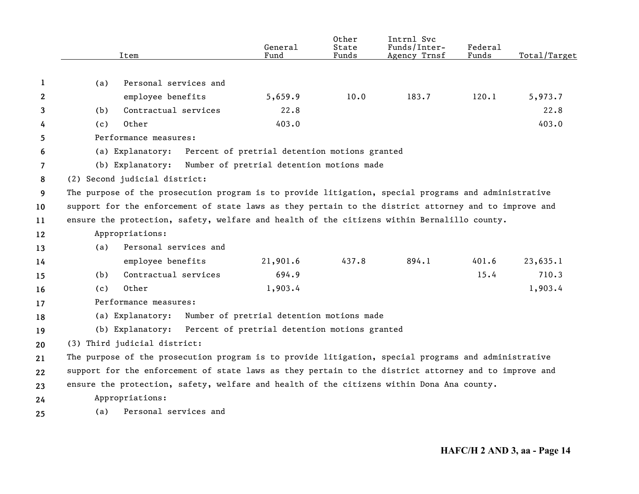|                | Item                                                                                                  | General<br>Fund                               | Other<br>State<br>Funds | Intrnl Svc<br>Funds/Inter-<br>Agency Trnsf | Federal<br>Funds | Total/Target |
|----------------|-------------------------------------------------------------------------------------------------------|-----------------------------------------------|-------------------------|--------------------------------------------|------------------|--------------|
|                |                                                                                                       |                                               |                         |                                            |                  |              |
| 1              | Personal services and<br>(a)                                                                          |                                               |                         |                                            |                  |              |
| 2              | employee benefits                                                                                     | 5,659.9                                       | 10.0                    | 183.7                                      | 120.1            | 5,973.7      |
| 3              | Contractual services<br>(b)                                                                           | 22.8                                          |                         |                                            |                  | 22.8         |
| 4              | Other<br>(c)                                                                                          | 403.0                                         |                         |                                            |                  | 403.0        |
| 5.             | Performance measures:                                                                                 |                                               |                         |                                            |                  |              |
| 6              | (a) Explanatory:                                                                                      | Percent of pretrial detention motions granted |                         |                                            |                  |              |
| $\overline{7}$ | (b) Explanatory:                                                                                      | Number of pretrial detention motions made     |                         |                                            |                  |              |
| 8              | (2) Second judicial district:                                                                         |                                               |                         |                                            |                  |              |
| 9              | The purpose of the prosecution program is to provide litigation, special programs and administrative  |                                               |                         |                                            |                  |              |
| 10             | support for the enforcement of state laws as they pertain to the district attorney and to improve and |                                               |                         |                                            |                  |              |
| 11             | ensure the protection, safety, welfare and health of the citizens within Bernalillo county.           |                                               |                         |                                            |                  |              |
| 12             | Appropriations:                                                                                       |                                               |                         |                                            |                  |              |
| 13             | Personal services and<br>(a)                                                                          |                                               |                         |                                            |                  |              |
| 14             | employee benefits                                                                                     | 21,901.6                                      | 437.8                   | 894.1                                      | 401.6            | 23,635.1     |
| 15             | Contractual services<br>(b)                                                                           | 694.9                                         |                         |                                            | 15.4             | 710.3        |
| 16             | Other<br>(c)                                                                                          | 1,903.4                                       |                         |                                            |                  | 1,903.4      |
| 17             | Performance measures:                                                                                 |                                               |                         |                                            |                  |              |
| 18             | (a) Explanatory:                                                                                      | Number of pretrial detention motions made     |                         |                                            |                  |              |
| 19             | (b) Explanatory:                                                                                      | Percent of pretrial detention motions granted |                         |                                            |                  |              |
| 20             | (3) Third judicial district:                                                                          |                                               |                         |                                            |                  |              |
| 21             | The purpose of the prosecution program is to provide litigation, special programs and administrative  |                                               |                         |                                            |                  |              |
| 22             | support for the enforcement of state laws as they pertain to the district attorney and to improve and |                                               |                         |                                            |                  |              |
| 23             | ensure the protection, safety, welfare and health of the citizens within Dona Ana county.             |                                               |                         |                                            |                  |              |
| 24             | Appropriations:                                                                                       |                                               |                         |                                            |                  |              |
| 25             | Personal services and<br>(a)                                                                          |                                               |                         |                                            |                  |              |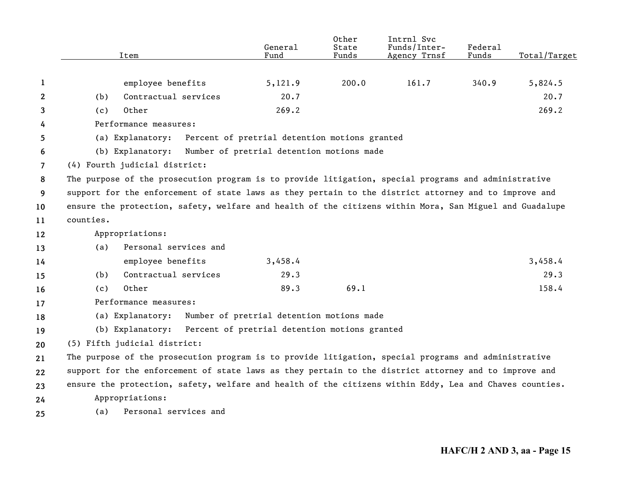|              |           | Item                                                                                                    | General<br>Fund                               | Other<br>State<br>Funds | Intrnl Svc<br>Funds/Inter-<br>Agency Trnsf | Federal<br>Funds | Total/Target |
|--------------|-----------|---------------------------------------------------------------------------------------------------------|-----------------------------------------------|-------------------------|--------------------------------------------|------------------|--------------|
| 1            |           | employee benefits                                                                                       | 5,121.9                                       | 200.0                   | 161.7                                      | 340.9            | 5,824.5      |
| $\mathbf{2}$ | (b)       | Contractual services                                                                                    | 20.7                                          |                         |                                            |                  | 20.7         |
| 3            | (c)       | Other                                                                                                   | 269.2                                         |                         |                                            |                  | 269.2        |
| 4            |           | Performance measures:                                                                                   |                                               |                         |                                            |                  |              |
| 5            |           | (a) Explanatory:                                                                                        | Percent of pretrial detention motions granted |                         |                                            |                  |              |
| 6            |           | (b) Explanatory: Number of pretrial detention motions made                                              |                                               |                         |                                            |                  |              |
| 7            |           | (4) Fourth judicial district:                                                                           |                                               |                         |                                            |                  |              |
| 8            |           | The purpose of the prosecution program is to provide litigation, special programs and administrative    |                                               |                         |                                            |                  |              |
| 9            |           | support for the enforcement of state laws as they pertain to the district attorney and to improve and   |                                               |                         |                                            |                  |              |
| 10           |           | ensure the protection, safety, welfare and health of the citizens within Mora, San Miguel and Guadalupe |                                               |                         |                                            |                  |              |
| 11           | counties. |                                                                                                         |                                               |                         |                                            |                  |              |
| 12           |           | Appropriations:                                                                                         |                                               |                         |                                            |                  |              |
| 13           | (a)       | Personal services and                                                                                   |                                               |                         |                                            |                  |              |
| 14           |           | employee benefits                                                                                       | 3,458.4                                       |                         |                                            |                  | 3,458.4      |
| 15           | (b)       | Contractual services                                                                                    | 29.3                                          |                         |                                            |                  | 29.3         |
| 16           | (c)       | Other                                                                                                   | 89.3                                          | 69.1                    |                                            |                  | 158.4        |
| 17           |           | Performance measures:                                                                                   |                                               |                         |                                            |                  |              |
| 18           |           | (a) Explanatory:                                                                                        | Number of pretrial detention motions made     |                         |                                            |                  |              |
| 19           |           | (b) Explanatory: Percent of pretrial detention motions granted                                          |                                               |                         |                                            |                  |              |
| 20           |           | (5) Fifth judicial district:                                                                            |                                               |                         |                                            |                  |              |
| 21           |           | The purpose of the prosecution program is to provide litigation, special programs and administrative    |                                               |                         |                                            |                  |              |
| 22           |           | support for the enforcement of state laws as they pertain to the district attorney and to improve and   |                                               |                         |                                            |                  |              |
| 23           |           | ensure the protection, safety, welfare and health of the citizens within Eddy, Lea and Chaves counties. |                                               |                         |                                            |                  |              |
| 24           |           | Appropriations:                                                                                         |                                               |                         |                                            |                  |              |
| 25           | (a)       | Personal services and                                                                                   |                                               |                         |                                            |                  |              |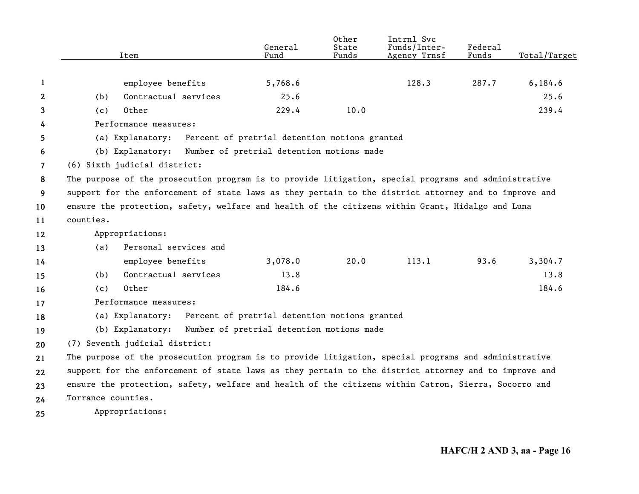|                       | Item                                                                                                  | General<br>Fund                               | Other<br>State<br>Funds | Intrnl Svc<br>Funds/Inter-<br>Agency Trnsf | Federal<br>Funds | Total/Target |
|-----------------------|-------------------------------------------------------------------------------------------------------|-----------------------------------------------|-------------------------|--------------------------------------------|------------------|--------------|
| 1                     | employee benefits                                                                                     | 5,768.6                                       |                         | 128.3                                      | 287.7            | 6, 184.6     |
| $\mathbf{2}^{\prime}$ | Contractual services<br>(b)                                                                           | 25.6                                          |                         |                                            |                  | 25.6         |
| 3                     | Other<br>(c)                                                                                          | 229.4                                         | 10.0                    |                                            |                  | 239.4        |
| 4                     | Performance measures:                                                                                 |                                               |                         |                                            |                  |              |
| 5                     | (a) Explanatory:                                                                                      | Percent of pretrial detention motions granted |                         |                                            |                  |              |
| 6                     | (b) Explanatory:                                                                                      | Number of pretrial detention motions made     |                         |                                            |                  |              |
| 7                     | (6) Sixth judicial district:                                                                          |                                               |                         |                                            |                  |              |
| 8                     | The purpose of the prosecution program is to provide litigation, special programs and administrative  |                                               |                         |                                            |                  |              |
| 9                     | support for the enforcement of state laws as they pertain to the district attorney and to improve and |                                               |                         |                                            |                  |              |
| 10                    | ensure the protection, safety, welfare and health of the citizens within Grant, Hidalgo and Luna      |                                               |                         |                                            |                  |              |
| 11                    | counties.                                                                                             |                                               |                         |                                            |                  |              |
| 12                    | Appropriations:                                                                                       |                                               |                         |                                            |                  |              |
| 13                    | Personal services and<br>(a)                                                                          |                                               |                         |                                            |                  |              |
| 14                    | employee benefits                                                                                     | 3,078.0                                       | 20.0                    | 113.1                                      | 93.6             | 3,304.7      |
| 15                    | Contractual services<br>(b)                                                                           | 13.8                                          |                         |                                            |                  | 13.8         |
| 16                    | Other<br>(c)                                                                                          | 184.6                                         |                         |                                            |                  | 184.6        |
| 17                    | Performance measures:                                                                                 |                                               |                         |                                            |                  |              |
| 18                    | (a) Explanatory:                                                                                      | Percent of pretrial detention motions granted |                         |                                            |                  |              |
| 19                    | (b) Explanatory:                                                                                      | Number of pretrial detention motions made     |                         |                                            |                  |              |
| 20                    | (7) Seventh judicial district:                                                                        |                                               |                         |                                            |                  |              |
| 21                    | The purpose of the prosecution program is to provide litigation, special programs and administrative  |                                               |                         |                                            |                  |              |
| 22                    | support for the enforcement of state laws as they pertain to the district attorney and to improve and |                                               |                         |                                            |                  |              |
| 23                    | ensure the protection, safety, welfare and health of the citizens within Catron, Sierra, Socorro and  |                                               |                         |                                            |                  |              |
| 24                    | Torrance counties.                                                                                    |                                               |                         |                                            |                  |              |
| 25                    | Appropriations:                                                                                       |                                               |                         |                                            |                  |              |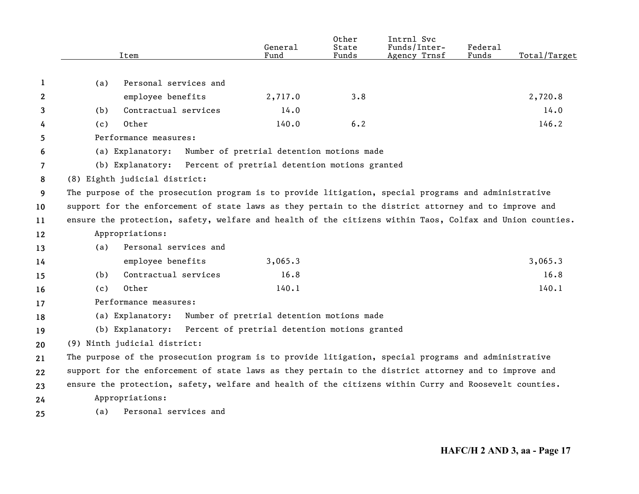|              | Item                                                                                                      | General<br>Fund                               | Other<br>State<br>Funds | Intrnl Svc<br>Funds/Inter-<br>Agency Trnsf | Federal<br>Funds | Total/Target |
|--------------|-----------------------------------------------------------------------------------------------------------|-----------------------------------------------|-------------------------|--------------------------------------------|------------------|--------------|
|              |                                                                                                           |                                               |                         |                                            |                  |              |
| 1            | Personal services and<br>(a)                                                                              |                                               |                         |                                            |                  |              |
| $\mathbf{2}$ | employee benefits                                                                                         | 2,717.0                                       | 3.8                     |                                            |                  | 2,720.8      |
| 3            | Contractual services<br>(b)                                                                               | 14.0                                          |                         |                                            |                  | 14.0         |
| 4            | Other<br>(c)                                                                                              | 140.0                                         | 6.2                     |                                            |                  | 146.2        |
| 5            | Performance measures:                                                                                     |                                               |                         |                                            |                  |              |
| 6            | (a) Explanatory:                                                                                          | Number of pretrial detention motions made     |                         |                                            |                  |              |
| 7            | (b) Explanatory:                                                                                          | Percent of pretrial detention motions granted |                         |                                            |                  |              |
| 8            | (8) Eighth judicial district:                                                                             |                                               |                         |                                            |                  |              |
| 9            | The purpose of the prosecution program is to provide litigation, special programs and administrative      |                                               |                         |                                            |                  |              |
| 10           | support for the enforcement of state laws as they pertain to the district attorney and to improve and     |                                               |                         |                                            |                  |              |
| 11           | ensure the protection, safety, welfare and health of the citizens within Taos, Colfax and Union counties. |                                               |                         |                                            |                  |              |
| 12           | Appropriations:                                                                                           |                                               |                         |                                            |                  |              |
| 13           | Personal services and<br>(a)                                                                              |                                               |                         |                                            |                  |              |
| 14           | employee benefits                                                                                         | 3,065.3                                       |                         |                                            |                  | 3,065.3      |
| 15           | Contractual services<br>(b)                                                                               | 16.8                                          |                         |                                            |                  | 16.8         |
| 16           | Other<br>(c)                                                                                              | 140.1                                         |                         |                                            |                  | 140.1        |
| 17           | Performance measures:                                                                                     |                                               |                         |                                            |                  |              |
| 18           | (a) Explanatory:                                                                                          | Number of pretrial detention motions made     |                         |                                            |                  |              |
| 19           | (b) Explanatory: Percent of pretrial detention motions granted                                            |                                               |                         |                                            |                  |              |
| 20           | (9) Ninth judicial district:                                                                              |                                               |                         |                                            |                  |              |
| 21           | The purpose of the prosecution program is to provide litigation, special programs and administrative      |                                               |                         |                                            |                  |              |
| 22           | support for the enforcement of state laws as they pertain to the district attorney and to improve and     |                                               |                         |                                            |                  |              |
| 23           | ensure the protection, safety, welfare and health of the citizens within Curry and Roosevelt counties.    |                                               |                         |                                            |                  |              |
| 24           | Appropriations:                                                                                           |                                               |                         |                                            |                  |              |
| 25           | Personal services and<br>(a)                                                                              |                                               |                         |                                            |                  |              |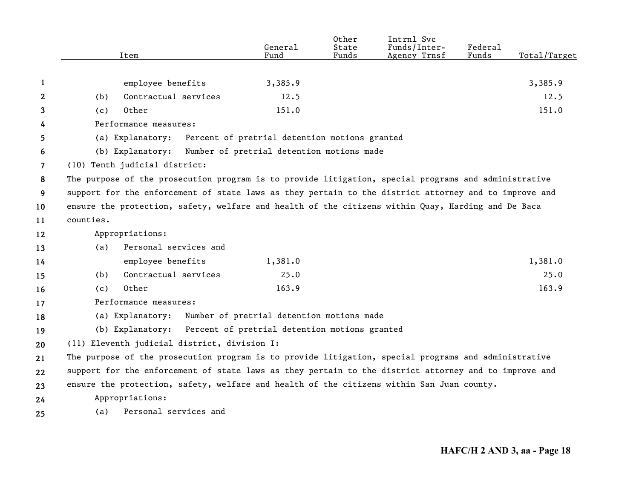|    |           | Item                          |                                              | General<br>Fund                               | Other<br>State<br>Funds | Intrnl Svc<br>Funds/Inter-<br>Agency Trnsf                                                            | Federal<br>Funds | Total/Target |
|----|-----------|-------------------------------|----------------------------------------------|-----------------------------------------------|-------------------------|-------------------------------------------------------------------------------------------------------|------------------|--------------|
|    |           |                               |                                              |                                               |                         |                                                                                                       |                  |              |
| 1  |           | employee benefits             |                                              | 3,385.9                                       |                         |                                                                                                       |                  | 3,385.9      |
| 2  | (b)       | Contractual services          |                                              | 12.5                                          |                         |                                                                                                       |                  | 12.5         |
| 3  | (c)       | Other                         |                                              | 151.0                                         |                         |                                                                                                       |                  | 151.0        |
| 4  |           | Performance measures:         |                                              |                                               |                         |                                                                                                       |                  |              |
| 5  |           | (a) Explanatory:              |                                              | Percent of pretrial detention motions granted |                         |                                                                                                       |                  |              |
| 6  |           | (b) Explanatory:              |                                              | Number of pretrial detention motions made     |                         |                                                                                                       |                  |              |
| 7  |           | (10) Tenth judicial district: |                                              |                                               |                         |                                                                                                       |                  |              |
| 8  |           |                               |                                              |                                               |                         | The purpose of the prosecution program is to provide litigation, special programs and administrative  |                  |              |
| 9  |           |                               |                                              |                                               |                         | support for the enforcement of state laws as they pertain to the district attorney and to improve and |                  |              |
| 10 |           |                               |                                              |                                               |                         | ensure the protection, safety, welfare and health of the citizens within Quay, Harding and De Baca    |                  |              |
| 11 | counties. |                               |                                              |                                               |                         |                                                                                                       |                  |              |
| 12 |           | Appropriations:               |                                              |                                               |                         |                                                                                                       |                  |              |
| 13 | (a)       | Personal services and         |                                              |                                               |                         |                                                                                                       |                  |              |
| 14 |           | employee benefits             |                                              | 1,381.0                                       |                         |                                                                                                       |                  | 1,381.0      |
| 15 | (b)       | Contractual services          |                                              | 25.0                                          |                         |                                                                                                       |                  | 25.0         |
| 16 | (c)       | Other                         |                                              | 163.9                                         |                         |                                                                                                       |                  | 163.9        |
| 17 |           | Performance measures:         |                                              |                                               |                         |                                                                                                       |                  |              |
| 18 |           | (a) Explanatory:              |                                              | Number of pretrial detention motions made     |                         |                                                                                                       |                  |              |
| 19 |           | (b) Explanatory:              |                                              | Percent of pretrial detention motions granted |                         |                                                                                                       |                  |              |
| 20 |           |                               | (11) Eleventh judicial district, division I: |                                               |                         |                                                                                                       |                  |              |
| 21 |           |                               |                                              |                                               |                         | The purpose of the prosecution program is to provide litigation, special programs and administrative  |                  |              |
| 22 |           |                               |                                              |                                               |                         | support for the enforcement of state laws as they pertain to the district attorney and to improve and |                  |              |
| 23 |           |                               |                                              |                                               |                         | ensure the protection, safety, welfare and health of the citizens within San Juan county.             |                  |              |
| 24 |           | Appropriations:               |                                              |                                               |                         |                                                                                                       |                  |              |
| 25 | (a)       | Personal services and         |                                              |                                               |                         |                                                                                                       |                  |              |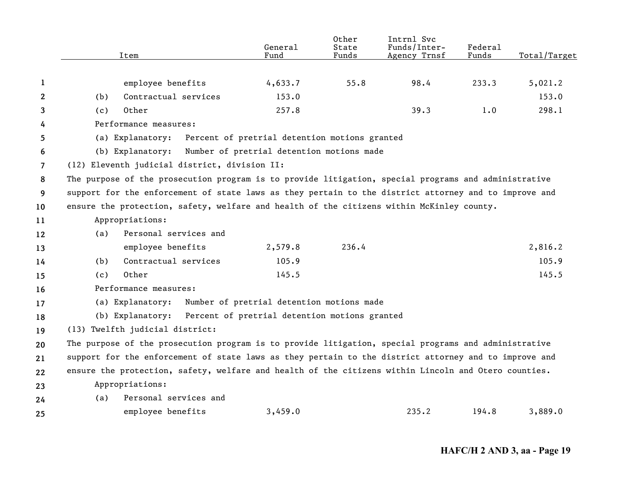| employee benefits<br>4,633.7<br>55.8<br>98.4<br>233.3<br>1<br>Contractual services<br>153.0<br>$\mathbf{2}$<br>(b)<br>Other<br>257.8<br>39.3<br>1.0<br>(c)<br>3<br>Performance measures:<br>4<br>(a) Explanatory:<br>Percent of pretrial detention motions granted<br>5<br>(b) Explanatory:<br>Number of pretrial detention motions made<br>6<br>(12) Eleventh judicial district, division II:<br>7<br>8<br>support for the enforcement of state laws as they pertain to the district attorney and to improve and<br>9<br>ensure the protection, safety, welfare and health of the citizens within McKinley county.<br>10<br>Appropriations:<br>11<br>Personal services and<br>(a)<br>12<br>employee benefits<br>2,579.8<br>236.4<br>13<br>Contractual services<br>105.9<br>(b)<br>14<br>Other<br>145.5<br>(c)<br>15<br>Performance measures:<br>16<br>(a) Explanatory:<br>Number of pretrial detention motions made<br>17<br>(b) Explanatory: Percent of pretrial detention motions granted<br>18<br>(13) Twelfth judicial district:<br>19<br>The purpose of the prosecution program is to provide litigation, special programs and administrative<br>20<br>support for the enforcement of state laws as they pertain to the district attorney and to improve and<br>21<br>ensure the protection, safety, welfare and health of the citizens within Lincoln and Otero counties.<br>22<br>Appropriations:<br>23<br>Personal services and<br>(a)<br>24 |                                                                                                      | Item | General<br>Fund | Other<br>State<br>Funds | Intrnl Svc<br>Funds/Inter-<br>Agency Trnsf | Federal<br>Funds | Total/Target |  |  |
|-------------------------------------------------------------------------------------------------------------------------------------------------------------------------------------------------------------------------------------------------------------------------------------------------------------------------------------------------------------------------------------------------------------------------------------------------------------------------------------------------------------------------------------------------------------------------------------------------------------------------------------------------------------------------------------------------------------------------------------------------------------------------------------------------------------------------------------------------------------------------------------------------------------------------------------------------------------------------------------------------------------------------------------------------------------------------------------------------------------------------------------------------------------------------------------------------------------------------------------------------------------------------------------------------------------------------------------------------------------------------------------------------------------------------------------------------------|------------------------------------------------------------------------------------------------------|------|-----------------|-------------------------|--------------------------------------------|------------------|--------------|--|--|
|                                                                                                                                                                                                                                                                                                                                                                                                                                                                                                                                                                                                                                                                                                                                                                                                                                                                                                                                                                                                                                                                                                                                                                                                                                                                                                                                                                                                                                                       |                                                                                                      |      |                 |                         |                                            |                  |              |  |  |
|                                                                                                                                                                                                                                                                                                                                                                                                                                                                                                                                                                                                                                                                                                                                                                                                                                                                                                                                                                                                                                                                                                                                                                                                                                                                                                                                                                                                                                                       |                                                                                                      |      |                 |                         |                                            |                  | 5,021.2      |  |  |
|                                                                                                                                                                                                                                                                                                                                                                                                                                                                                                                                                                                                                                                                                                                                                                                                                                                                                                                                                                                                                                                                                                                                                                                                                                                                                                                                                                                                                                                       |                                                                                                      |      |                 |                         |                                            |                  | 153.0        |  |  |
|                                                                                                                                                                                                                                                                                                                                                                                                                                                                                                                                                                                                                                                                                                                                                                                                                                                                                                                                                                                                                                                                                                                                                                                                                                                                                                                                                                                                                                                       |                                                                                                      |      |                 |                         |                                            |                  | 298.1        |  |  |
|                                                                                                                                                                                                                                                                                                                                                                                                                                                                                                                                                                                                                                                                                                                                                                                                                                                                                                                                                                                                                                                                                                                                                                                                                                                                                                                                                                                                                                                       |                                                                                                      |      |                 |                         |                                            |                  |              |  |  |
|                                                                                                                                                                                                                                                                                                                                                                                                                                                                                                                                                                                                                                                                                                                                                                                                                                                                                                                                                                                                                                                                                                                                                                                                                                                                                                                                                                                                                                                       |                                                                                                      |      |                 |                         |                                            |                  |              |  |  |
|                                                                                                                                                                                                                                                                                                                                                                                                                                                                                                                                                                                                                                                                                                                                                                                                                                                                                                                                                                                                                                                                                                                                                                                                                                                                                                                                                                                                                                                       |                                                                                                      |      |                 |                         |                                            |                  |              |  |  |
|                                                                                                                                                                                                                                                                                                                                                                                                                                                                                                                                                                                                                                                                                                                                                                                                                                                                                                                                                                                                                                                                                                                                                                                                                                                                                                                                                                                                                                                       |                                                                                                      |      |                 |                         |                                            |                  |              |  |  |
|                                                                                                                                                                                                                                                                                                                                                                                                                                                                                                                                                                                                                                                                                                                                                                                                                                                                                                                                                                                                                                                                                                                                                                                                                                                                                                                                                                                                                                                       | The purpose of the prosecution program is to provide litigation, special programs and administrative |      |                 |                         |                                            |                  |              |  |  |
|                                                                                                                                                                                                                                                                                                                                                                                                                                                                                                                                                                                                                                                                                                                                                                                                                                                                                                                                                                                                                                                                                                                                                                                                                                                                                                                                                                                                                                                       |                                                                                                      |      |                 |                         |                                            |                  |              |  |  |
|                                                                                                                                                                                                                                                                                                                                                                                                                                                                                                                                                                                                                                                                                                                                                                                                                                                                                                                                                                                                                                                                                                                                                                                                                                                                                                                                                                                                                                                       |                                                                                                      |      |                 |                         |                                            |                  |              |  |  |
|                                                                                                                                                                                                                                                                                                                                                                                                                                                                                                                                                                                                                                                                                                                                                                                                                                                                                                                                                                                                                                                                                                                                                                                                                                                                                                                                                                                                                                                       |                                                                                                      |      |                 |                         |                                            |                  |              |  |  |
|                                                                                                                                                                                                                                                                                                                                                                                                                                                                                                                                                                                                                                                                                                                                                                                                                                                                                                                                                                                                                                                                                                                                                                                                                                                                                                                                                                                                                                                       |                                                                                                      |      |                 |                         |                                            |                  |              |  |  |
|                                                                                                                                                                                                                                                                                                                                                                                                                                                                                                                                                                                                                                                                                                                                                                                                                                                                                                                                                                                                                                                                                                                                                                                                                                                                                                                                                                                                                                                       |                                                                                                      |      |                 |                         |                                            |                  | 2,816.2      |  |  |
|                                                                                                                                                                                                                                                                                                                                                                                                                                                                                                                                                                                                                                                                                                                                                                                                                                                                                                                                                                                                                                                                                                                                                                                                                                                                                                                                                                                                                                                       |                                                                                                      |      |                 |                         |                                            |                  | 105.9        |  |  |
|                                                                                                                                                                                                                                                                                                                                                                                                                                                                                                                                                                                                                                                                                                                                                                                                                                                                                                                                                                                                                                                                                                                                                                                                                                                                                                                                                                                                                                                       |                                                                                                      |      |                 |                         |                                            |                  | 145.5        |  |  |
|                                                                                                                                                                                                                                                                                                                                                                                                                                                                                                                                                                                                                                                                                                                                                                                                                                                                                                                                                                                                                                                                                                                                                                                                                                                                                                                                                                                                                                                       |                                                                                                      |      |                 |                         |                                            |                  |              |  |  |
|                                                                                                                                                                                                                                                                                                                                                                                                                                                                                                                                                                                                                                                                                                                                                                                                                                                                                                                                                                                                                                                                                                                                                                                                                                                                                                                                                                                                                                                       |                                                                                                      |      |                 |                         |                                            |                  |              |  |  |
|                                                                                                                                                                                                                                                                                                                                                                                                                                                                                                                                                                                                                                                                                                                                                                                                                                                                                                                                                                                                                                                                                                                                                                                                                                                                                                                                                                                                                                                       |                                                                                                      |      |                 |                         |                                            |                  |              |  |  |
|                                                                                                                                                                                                                                                                                                                                                                                                                                                                                                                                                                                                                                                                                                                                                                                                                                                                                                                                                                                                                                                                                                                                                                                                                                                                                                                                                                                                                                                       |                                                                                                      |      |                 |                         |                                            |                  |              |  |  |
|                                                                                                                                                                                                                                                                                                                                                                                                                                                                                                                                                                                                                                                                                                                                                                                                                                                                                                                                                                                                                                                                                                                                                                                                                                                                                                                                                                                                                                                       |                                                                                                      |      |                 |                         |                                            |                  |              |  |  |
|                                                                                                                                                                                                                                                                                                                                                                                                                                                                                                                                                                                                                                                                                                                                                                                                                                                                                                                                                                                                                                                                                                                                                                                                                                                                                                                                                                                                                                                       |                                                                                                      |      |                 |                         |                                            |                  |              |  |  |
|                                                                                                                                                                                                                                                                                                                                                                                                                                                                                                                                                                                                                                                                                                                                                                                                                                                                                                                                                                                                                                                                                                                                                                                                                                                                                                                                                                                                                                                       |                                                                                                      |      |                 |                         |                                            |                  |              |  |  |
|                                                                                                                                                                                                                                                                                                                                                                                                                                                                                                                                                                                                                                                                                                                                                                                                                                                                                                                                                                                                                                                                                                                                                                                                                                                                                                                                                                                                                                                       |                                                                                                      |      |                 |                         |                                            |                  |              |  |  |
|                                                                                                                                                                                                                                                                                                                                                                                                                                                                                                                                                                                                                                                                                                                                                                                                                                                                                                                                                                                                                                                                                                                                                                                                                                                                                                                                                                                                                                                       |                                                                                                      |      |                 |                         |                                            |                  |              |  |  |
| 235.2<br>194.8<br>employee benefits<br>3,459.0<br>25                                                                                                                                                                                                                                                                                                                                                                                                                                                                                                                                                                                                                                                                                                                                                                                                                                                                                                                                                                                                                                                                                                                                                                                                                                                                                                                                                                                                  |                                                                                                      |      |                 |                         |                                            |                  | 3,889.0      |  |  |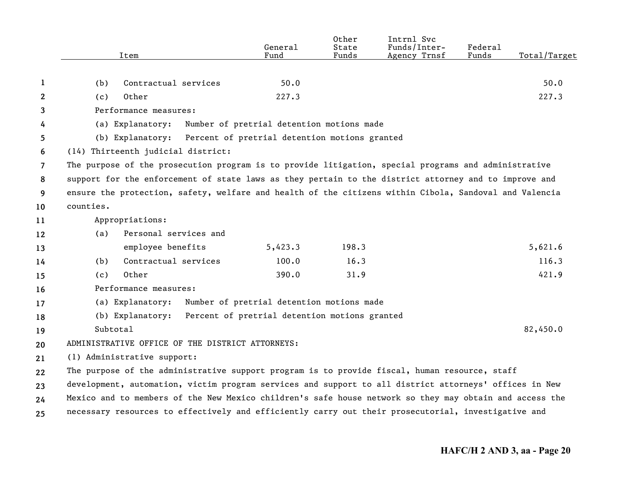|    | Item                                                                                                    | General<br>Fund                               | Other<br>State<br>Funds | Intrnl Svc<br>Funds/Inter-<br>Agency Trnsf | Federal<br>Funds | Total/Target |
|----|---------------------------------------------------------------------------------------------------------|-----------------------------------------------|-------------------------|--------------------------------------------|------------------|--------------|
|    |                                                                                                         |                                               |                         |                                            |                  |              |
| 1  | (b)<br>Contractual services                                                                             | 50.0                                          |                         |                                            |                  | 50.0         |
| 2  | Other<br>(c)                                                                                            | 227.3                                         |                         |                                            |                  | 227.3        |
| 3  | Performance measures:                                                                                   |                                               |                         |                                            |                  |              |
| 4  | (a) Explanatory:                                                                                        | Number of pretrial detention motions made     |                         |                                            |                  |              |
| 5  | (b) Explanatory: Percent of pretrial detention motions granted                                          |                                               |                         |                                            |                  |              |
| 6  | (14) Thirteenth judicial district:                                                                      |                                               |                         |                                            |                  |              |
| 7  | The purpose of the prosecution program is to provide litigation, special programs and administrative    |                                               |                         |                                            |                  |              |
| 8  | support for the enforcement of state laws as they pertain to the district attorney and to improve and   |                                               |                         |                                            |                  |              |
| 9  | ensure the protection, safety, welfare and health of the citizens within Cibola, Sandoval and Valencia  |                                               |                         |                                            |                  |              |
| 10 | counties.                                                                                               |                                               |                         |                                            |                  |              |
| 11 | Appropriations:                                                                                         |                                               |                         |                                            |                  |              |
| 12 | Personal services and<br>(a)                                                                            |                                               |                         |                                            |                  |              |
| 13 | employee benefits                                                                                       | 5,423.3                                       | 198.3                   |                                            |                  | 5,621.6      |
| 14 | Contractual services<br>(b)                                                                             | 100.0                                         | 16.3                    |                                            |                  | 116.3        |
| 15 | Other<br>(c)                                                                                            | 390.0                                         | 31.9                    |                                            |                  | 421.9        |
| 16 | Performance measures:                                                                                   |                                               |                         |                                            |                  |              |
| 17 | (a) Explanatory:                                                                                        | Number of pretrial detention motions made     |                         |                                            |                  |              |
| 18 | (b) Explanatory:                                                                                        | Percent of pretrial detention motions granted |                         |                                            |                  |              |
| 19 | Subtotal                                                                                                |                                               |                         |                                            |                  | 82,450.0     |
| 20 | ADMINISTRATIVE OFFICE OF THE DISTRICT ATTORNEYS:                                                        |                                               |                         |                                            |                  |              |
| 21 | (1) Administrative support:                                                                             |                                               |                         |                                            |                  |              |
| 22 | The purpose of the administrative support program is to provide fiscal, human resource, staff           |                                               |                         |                                            |                  |              |
| 23 | development, automation, victim program services and support to all district attorneys' offices in New  |                                               |                         |                                            |                  |              |
| 24 | Mexico and to members of the New Mexico children's safe house network so they may obtain and access the |                                               |                         |                                            |                  |              |
| 25 | necessary resources to effectively and efficiently carry out their prosecutorial, investigative and     |                                               |                         |                                            |                  |              |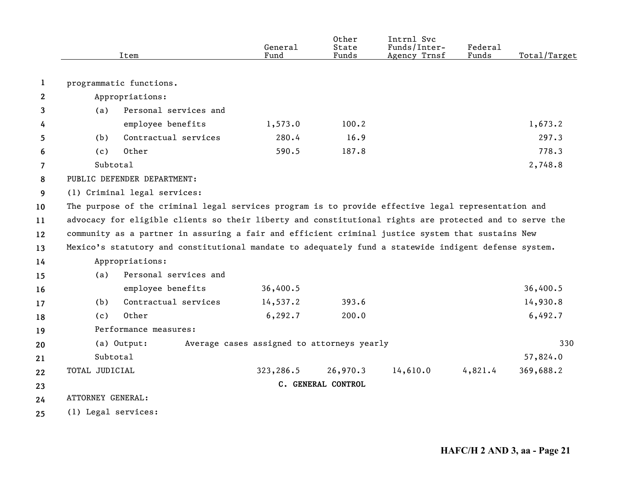|                |                     | Item                                                                                                    | General<br>Fund                            | Other<br>State<br>Funds | Intrnl Svc<br>Funds/Inter-<br>Agency Trnsf | Federal<br>Funds | Total/Target |
|----------------|---------------------|---------------------------------------------------------------------------------------------------------|--------------------------------------------|-------------------------|--------------------------------------------|------------------|--------------|
|                |                     |                                                                                                         |                                            |                         |                                            |                  |              |
| 1              |                     | programmatic functions.                                                                                 |                                            |                         |                                            |                  |              |
| $\mathbf{2}$   |                     | Appropriations:                                                                                         |                                            |                         |                                            |                  |              |
| 3              | (a)                 | Personal services and                                                                                   |                                            |                         |                                            |                  |              |
| 4              |                     | employee benefits                                                                                       | 1,573.0                                    | 100.2                   |                                            |                  | 1,673.2      |
| 5              | (b)                 | Contractual services                                                                                    | 280.4                                      | 16.9                    |                                            |                  | 297.3        |
| 6              | (c)                 | Other                                                                                                   | 590.5                                      | 187.8                   |                                            |                  | 778.3        |
| $\overline{7}$ | Subtotal            |                                                                                                         |                                            |                         |                                            |                  | 2,748.8      |
| 8              |                     | PUBLIC DEFENDER DEPARTMENT:                                                                             |                                            |                         |                                            |                  |              |
| 9              |                     | (1) Criminal legal services:                                                                            |                                            |                         |                                            |                  |              |
| 10             |                     | The purpose of the criminal legal services program is to provide effective legal representation and     |                                            |                         |                                            |                  |              |
| 11             |                     | advocacy for eligible clients so their liberty and constitutional rights are protected and to serve the |                                            |                         |                                            |                  |              |
| 12             |                     | community as a partner in assuring a fair and efficient criminal justice system that sustains New       |                                            |                         |                                            |                  |              |
| 13             |                     | Mexico's statutory and constitutional mandate to adequately fund a statewide indigent defense system.   |                                            |                         |                                            |                  |              |
| 14             |                     | Appropriations:                                                                                         |                                            |                         |                                            |                  |              |
| 15             | (a)                 | Personal services and                                                                                   |                                            |                         |                                            |                  |              |
| 16             |                     | employee benefits                                                                                       | 36,400.5                                   |                         |                                            |                  | 36,400.5     |
| 17             | (b)                 | Contractual services                                                                                    | 14,537.2                                   | 393.6                   |                                            |                  | 14,930.8     |
| 18             | (c)                 | Other                                                                                                   | 6, 292.7                                   | 200.0                   |                                            |                  | 6,492.7      |
| 19             |                     | Performance measures:                                                                                   |                                            |                         |                                            |                  |              |
| 20             |                     | (a) Output:                                                                                             | Average cases assigned to attorneys yearly |                         |                                            |                  | 330          |
| 21             | Subtotal            |                                                                                                         |                                            |                         |                                            |                  | 57,824.0     |
| 22             | TOTAL JUDICIAL      |                                                                                                         | 323,286.5                                  | 26,970.3                | 14,610.0                                   | 4,821.4          | 369,688.2    |
| 23             |                     |                                                                                                         |                                            | C. GENERAL CONTROL      |                                            |                  |              |
| 24             | ATTORNEY GENERAL:   |                                                                                                         |                                            |                         |                                            |                  |              |
| 25             | (1) Legal services: |                                                                                                         |                                            |                         |                                            |                  |              |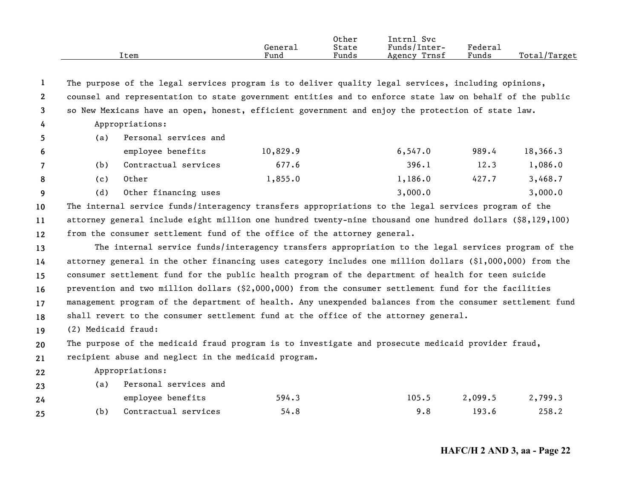|                       |                                                                                                           | Item                                                                                                       | Genera1<br>Fund | Other<br>State<br>Funds | Intrnl Svc<br>Funds/Inter-<br>Agency Trnsf | Federal<br>Funds | Total/Target |  |
|-----------------------|-----------------------------------------------------------------------------------------------------------|------------------------------------------------------------------------------------------------------------|-----------------|-------------------------|--------------------------------------------|------------------|--------------|--|
| -1                    |                                                                                                           | The purpose of the legal services program is to deliver quality legal services, including opinions,        |                 |                         |                                            |                  |              |  |
| $\mathbf{2}^{\prime}$ |                                                                                                           | counsel and representation to state government entities and to enforce state law on behalf of the public   |                 |                         |                                            |                  |              |  |
| 3                     |                                                                                                           | so New Mexicans have an open, honest, efficient government and enjoy the protection of state law.          |                 |                         |                                            |                  |              |  |
| 4                     | Appropriations:                                                                                           |                                                                                                            |                 |                         |                                            |                  |              |  |
| 5                     | (a)                                                                                                       | Personal services and                                                                                      |                 |                         |                                            |                  |              |  |
| 6                     |                                                                                                           | employee benefits                                                                                          | 10,829.9        |                         | 6, 547.0                                   | 989.4            | 18,366.3     |  |
| 7                     | (b)                                                                                                       | Contractual services                                                                                       | 677.6           |                         | 396.1                                      | 12.3             | 1,086.0      |  |
| 8                     | (c)                                                                                                       | Other                                                                                                      | 1,855.0         |                         | 1,186.0                                    | 427.7            | 3,468.7      |  |
| 9                     | (d)                                                                                                       | Other financing uses                                                                                       |                 |                         | 3,000.0                                    |                  | 3,000.0      |  |
| 10                    | The internal service funds/interagency transfers appropriations to the legal services program of the      |                                                                                                            |                 |                         |                                            |                  |              |  |
| 11                    | attorney general include eight million one hundred twenty-nine thousand one hundred dollars (\$8,129,100) |                                                                                                            |                 |                         |                                            |                  |              |  |
| 12                    | from the consumer settlement fund of the office of the attorney general.                                  |                                                                                                            |                 |                         |                                            |                  |              |  |
| 13                    |                                                                                                           | The internal service funds/interagency transfers appropriation to the legal services program of the        |                 |                         |                                            |                  |              |  |
| 14                    |                                                                                                           | attorney general in the other financing uses category includes one million dollars $(§1,000,000)$ from the |                 |                         |                                            |                  |              |  |
| 15                    |                                                                                                           | consumer settlement fund for the public health program of the department of health for teen suicide        |                 |                         |                                            |                  |              |  |
| 16                    |                                                                                                           | prevention and two million dollars (\$2,000,000) from the consumer settlement fund for the facilities      |                 |                         |                                            |                  |              |  |
| 17                    |                                                                                                           | management program of the department of health. Any unexpended balances from the consumer settlement fund  |                 |                         |                                            |                  |              |  |
| 18                    |                                                                                                           | shall revert to the consumer settlement fund at the office of the attorney general.                        |                 |                         |                                            |                  |              |  |
| 19                    | (2) Medicaid fraud:                                                                                       |                                                                                                            |                 |                         |                                            |                  |              |  |
| 20                    |                                                                                                           | The purpose of the medicaid fraud program is to investigate and prosecute medicaid provider fraud,         |                 |                         |                                            |                  |              |  |
| 21                    |                                                                                                           | recipient abuse and neglect in the medicaid program.                                                       |                 |                         |                                            |                  |              |  |
| 22                    |                                                                                                           | Appropriations:                                                                                            |                 |                         |                                            |                  |              |  |
| 23                    | (a)                                                                                                       | Personal services and                                                                                      |                 |                         |                                            |                  |              |  |
| 24                    |                                                                                                           | employee benefits                                                                                          | 594.3           |                         | 105.5                                      | 2,099.5          | 2,799.3      |  |
| 25                    | (b)                                                                                                       | Contractual services                                                                                       | 54.8            |                         | 9.8                                        | 193.6            | 258.2        |  |
|                       |                                                                                                           |                                                                                                            |                 |                         |                                            |                  |              |  |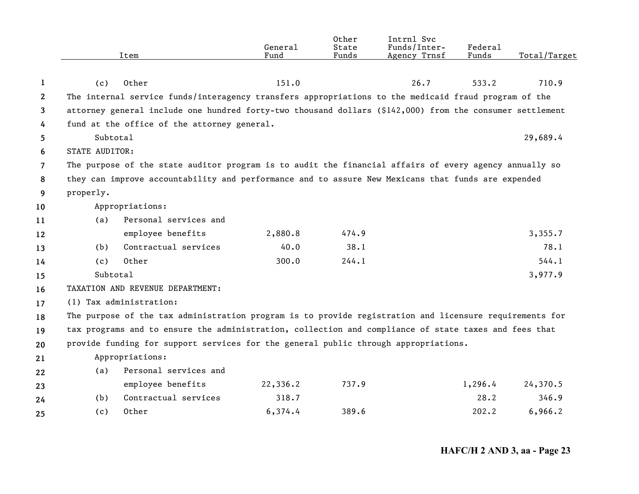|                       |                       | Item                                                                                                     | General<br>Fund | Other<br>State<br>Funds | Intrnl Svc<br>Funds/Inter-<br>Agency Trnsf | Federal<br>Funds | Total/Target |
|-----------------------|-----------------------|----------------------------------------------------------------------------------------------------------|-----------------|-------------------------|--------------------------------------------|------------------|--------------|
| 1                     | (c)                   | Other                                                                                                    | 151.0           |                         | 26.7                                       | 533.2            | 710.9        |
| $\mathbf{2}^{\prime}$ |                       | The internal service funds/interagency transfers appropriations to the medicaid fraud program of the     |                 |                         |                                            |                  |              |
| 3                     |                       | attorney general include one hundred forty-two thousand dollars (\$142,000) from the consumer settlement |                 |                         |                                            |                  |              |
| 4                     |                       | fund at the office of the attorney general.                                                              |                 |                         |                                            |                  |              |
| 5                     | Subtotal              |                                                                                                          |                 |                         |                                            |                  | 29,689.4     |
| 6                     | <b>STATE AUDITOR:</b> |                                                                                                          |                 |                         |                                            |                  |              |
| $\overline{7}$        |                       | The purpose of the state auditor program is to audit the financial affairs of every agency annually so   |                 |                         |                                            |                  |              |
| 8                     |                       | they can improve accountability and performance and to assure New Mexicans that funds are expended       |                 |                         |                                            |                  |              |
| 9                     | properly.             |                                                                                                          |                 |                         |                                            |                  |              |
| 10                    |                       | Appropriations:                                                                                          |                 |                         |                                            |                  |              |
| 11                    | (a)                   | Personal services and                                                                                    |                 |                         |                                            |                  |              |
| 12                    |                       | employee benefits                                                                                        | 2,880.8         | 474.9                   |                                            |                  | 3,355.7      |
| 13                    | (b)                   | Contractual services                                                                                     | 40.0            | 38.1                    |                                            |                  | 78.1         |
| 14                    | (c)                   | Other                                                                                                    | 300.0           | 244.1                   |                                            |                  | 544.1        |
| 15                    | Subtotal              |                                                                                                          |                 |                         |                                            |                  | 3,977.9      |
| 16                    |                       | TAXATION AND REVENUE DEPARTMENT:                                                                         |                 |                         |                                            |                  |              |
| 17                    |                       | (1) Tax administration:                                                                                  |                 |                         |                                            |                  |              |
| 18                    |                       | The purpose of the tax administration program is to provide registration and licensure requirements for  |                 |                         |                                            |                  |              |
| 19                    |                       | tax programs and to ensure the administration, collection and compliance of state taxes and fees that    |                 |                         |                                            |                  |              |
| 20                    |                       | provide funding for support services for the general public through appropriations.                      |                 |                         |                                            |                  |              |
| 21                    |                       | Appropriations:                                                                                          |                 |                         |                                            |                  |              |
| 22                    | (a)                   | Personal services and                                                                                    |                 |                         |                                            |                  |              |
| 23                    |                       | employee benefits                                                                                        | 22,336.2        | 737.9                   |                                            | 1,296.4          | 24,370.5     |
| 24                    | (b)                   | Contractual services                                                                                     | 318.7           |                         |                                            | 28.2             | 346.9        |
| 25                    | (c)                   | Other                                                                                                    | 6,374.4         | 389.6                   |                                            | 202.2            | 6,966.2      |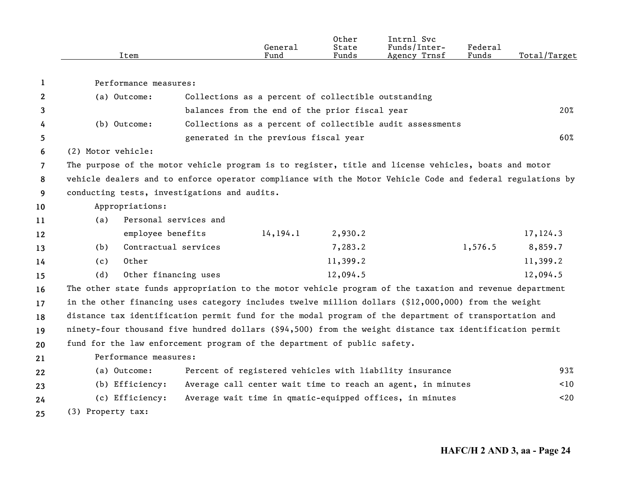|                | Item                                                                                                      |                                                             | General<br>Fund | Other<br>State<br>Funds | Intrnl Svc<br>Funds/Inter-<br>Agency Trnsf | Federal<br>Funds | Total/Target |
|----------------|-----------------------------------------------------------------------------------------------------------|-------------------------------------------------------------|-----------------|-------------------------|--------------------------------------------|------------------|--------------|
| 1              | Performance measures:                                                                                     |                                                             |                 |                         |                                            |                  |              |
| $\mathbf{2}$   | (a) Outcome:                                                                                              | Collections as a percent of collectible outstanding         |                 |                         |                                            |                  |              |
| 3              |                                                                                                           | balances from the end of the prior fiscal year              |                 |                         |                                            |                  | 20%          |
| 4              | (b) Outcome:                                                                                              | Collections as a percent of collectible audit assessments   |                 |                         |                                            |                  |              |
| 5              |                                                                                                           | generated in the previous fiscal year                       |                 |                         |                                            |                  | 60%          |
| 6              | (2) Motor vehicle:                                                                                        |                                                             |                 |                         |                                            |                  |              |
| $\overline{7}$ | The purpose of the motor vehicle program is to register, title and license vehicles, boats and motor      |                                                             |                 |                         |                                            |                  |              |
| 8              | vehicle dealers and to enforce operator compliance with the Motor Vehicle Code and federal regulations by |                                                             |                 |                         |                                            |                  |              |
| 9              | conducting tests, investigations and audits.                                                              |                                                             |                 |                         |                                            |                  |              |
| 10             | Appropriations:                                                                                           |                                                             |                 |                         |                                            |                  |              |
| 11             | (a)                                                                                                       | Personal services and                                       |                 |                         |                                            |                  |              |
| 12             | employee benefits                                                                                         |                                                             | 14, 194.1       | 2,930.2                 |                                            |                  | 17,124.3     |
| 13             | (b)                                                                                                       | Contractual services                                        |                 | 7,283.2                 |                                            | 1,576.5          | 8,859.7      |
| 14             | Other<br>(c)                                                                                              |                                                             |                 | 11,399.2                |                                            |                  | 11,399.2     |
| 15             | (d)                                                                                                       | Other financing uses                                        |                 | 12,094.5                |                                            |                  | 12,094.5     |
| 16             | The other state funds appropriation to the motor vehicle program of the taxation and revenue department   |                                                             |                 |                         |                                            |                  |              |
| 17             | in the other financing uses category includes twelve million dollars (\$12,000,000) from the weight       |                                                             |                 |                         |                                            |                  |              |
| 18             | distance tax identification permit fund for the modal program of the department of transportation and     |                                                             |                 |                         |                                            |                  |              |
| 19             | ninety-four thousand five hundred dollars (\$94,500) from the weight distance tax identification permit   |                                                             |                 |                         |                                            |                  |              |
| 20             | fund for the law enforcement program of the department of public safety.                                  |                                                             |                 |                         |                                            |                  |              |
| 21             | Performance measures:                                                                                     |                                                             |                 |                         |                                            |                  |              |
| 22             | (a) Outcome:                                                                                              | Percent of registered vehicles with liability insurance     |                 |                         |                                            |                  | 93%          |
| 23             | (b) Efficiency:                                                                                           | Average call center wait time to reach an agent, in minutes |                 |                         |                                            |                  | 10<          |
| 24             | (c) Efficiency:                                                                                           | Average wait time in qmatic-equipped offices, in minutes    |                 |                         |                                            |                  | $20$         |
| 25             | (3) Property tax:                                                                                         |                                                             |                 |                         |                                            |                  |              |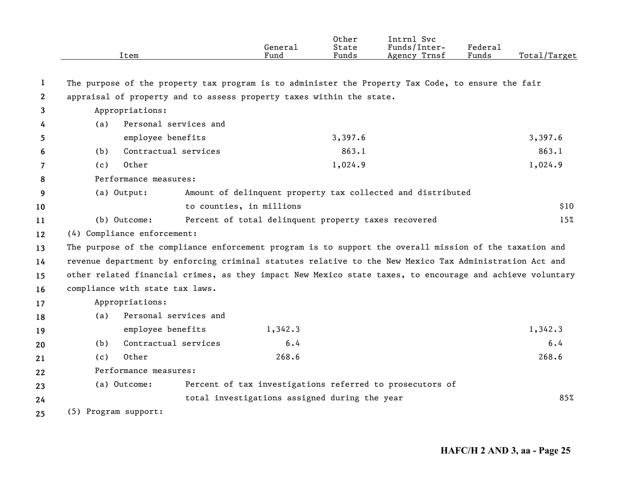|              | Item                                                                                                      |                                                      | General<br>Fund | Other<br>State<br>Funds | Intrnl Svc<br>Funds/Inter-<br>Agency Trnsf                  | Federal<br>Funds | Total/Target |
|--------------|-----------------------------------------------------------------------------------------------------------|------------------------------------------------------|-----------------|-------------------------|-------------------------------------------------------------|------------------|--------------|
| 1            | The purpose of the property tax program is to administer the Property Tax Code, to ensure the fair        |                                                      |                 |                         |                                                             |                  |              |
| $\mathbf{2}$ | appraisal of property and to assess property taxes within the state.                                      |                                                      |                 |                         |                                                             |                  |              |
| 3            | Appropriations:                                                                                           |                                                      |                 |                         |                                                             |                  |              |
| 4            | (a)                                                                                                       | Personal services and                                |                 |                         |                                                             |                  |              |
| 5            | employee benefits                                                                                         |                                                      |                 | 3,397.6                 |                                                             |                  | 3,397.6      |
| 6            | (b)                                                                                                       | Contractual services                                 |                 | 863.1                   |                                                             |                  | 863.1        |
| 7            | Other<br>(c)                                                                                              |                                                      |                 | 1,024.9                 |                                                             |                  | 1,024.9      |
| 8            | Performance measures:                                                                                     |                                                      |                 |                         |                                                             |                  |              |
| 9            | (a) Output:                                                                                               |                                                      |                 |                         | Amount of delinquent property tax collected and distributed |                  |              |
| 10           |                                                                                                           | to counties, in millions                             |                 |                         |                                                             |                  | \$10         |
| 11           | (b) Outcome:                                                                                              | Percent of total delinquent property taxes recovered |                 |                         |                                                             |                  | 15%          |
| 12           | (4) Compliance enforcement:                                                                               |                                                      |                 |                         |                                                             |                  |              |
| 13           | The purpose of the compliance enforcement program is to support the overall mission of the taxation and   |                                                      |                 |                         |                                                             |                  |              |
| 14           | revenue department by enforcing criminal statutes relative to the New Mexico Tax Administration Act and   |                                                      |                 |                         |                                                             |                  |              |
| 15           | other related financial crimes, as they impact New Mexico state taxes, to encourage and achieve voluntary |                                                      |                 |                         |                                                             |                  |              |
| 16           | compliance with state tax laws.                                                                           |                                                      |                 |                         |                                                             |                  |              |
| 17           | Appropriations:                                                                                           |                                                      |                 |                         |                                                             |                  |              |
| 18           | (a)                                                                                                       | Personal services and                                |                 |                         |                                                             |                  |              |
| 19           | employee benefits                                                                                         |                                                      | 1,342.3         |                         |                                                             |                  | 1,342.3      |
| 20           | (b)                                                                                                       | Contractual services                                 | 6.4             |                         |                                                             |                  | 6.4          |
| 21           | Other<br>(c)                                                                                              |                                                      | 268.6           |                         |                                                             |                  | 268.6        |
| 22           | Performance measures:                                                                                     |                                                      |                 |                         |                                                             |                  |              |
| 23           | (a) Outcome:                                                                                              |                                                      |                 |                         | Percent of tax investigations referred to prosecutors of    |                  |              |
| 24           |                                                                                                           | total investigations assigned during the year        |                 |                         |                                                             |                  | 85%          |
| 25           | (5) Program support:                                                                                      |                                                      |                 |                         |                                                             |                  |              |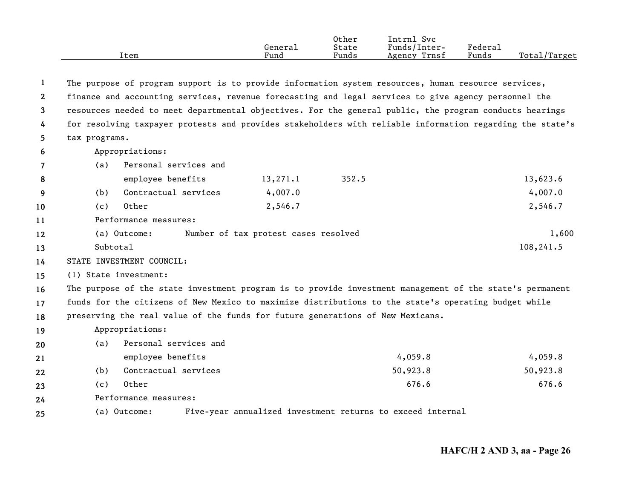|      |         | Other | Svc<br>Intrnl   |         |                    |
|------|---------|-------|-----------------|---------|--------------------|
|      | Generai | State | Funds/Inter-    | Federau |                    |
| Item | Fund    | Funds | Trnsf<br>Agency | Funds   | Total,<br>'/Target |

| $\mathbf{1}$ |                                                                                |                                      | The purpose of program support is to provide information system resources, human resource services,       |           |  |  |
|--------------|--------------------------------------------------------------------------------|--------------------------------------|-----------------------------------------------------------------------------------------------------------|-----------|--|--|
| $\mathbf{2}$ |                                                                                |                                      | finance and accounting services, revenue forecasting and legal services to give agency personnel the      |           |  |  |
| 3            |                                                                                |                                      | resources needed to meet departmental objectives. For the general public, the program conducts hearings   |           |  |  |
| 4            |                                                                                |                                      | for resolving taxpayer protests and provides stakeholders with reliable information regarding the state's |           |  |  |
| 5            | tax programs.                                                                  |                                      |                                                                                                           |           |  |  |
| 6            | Appropriations:                                                                |                                      |                                                                                                           |           |  |  |
| 7            | Personal services and<br>(a)                                                   |                                      |                                                                                                           |           |  |  |
| 8            | employee benefits                                                              | 13, 271.1                            | 352.5                                                                                                     | 13,623.6  |  |  |
| 9            | Contractual services<br>(b)                                                    | 4,007.0                              |                                                                                                           | 4,007.0   |  |  |
| 10           | Other<br>(c)                                                                   | 2,546.7                              |                                                                                                           | 2,546.7   |  |  |
| 11           | Performance measures:                                                          |                                      |                                                                                                           |           |  |  |
| 12           | (a) Outcome:                                                                   | Number of tax protest cases resolved |                                                                                                           | 1,600     |  |  |
| 13           | Subtotal                                                                       |                                      |                                                                                                           | 108,241.5 |  |  |
| 14           | STATE INVESTMENT COUNCIL:                                                      |                                      |                                                                                                           |           |  |  |
| 15           | (1) State investment:                                                          |                                      |                                                                                                           |           |  |  |
| 16           |                                                                                |                                      | The purpose of the state investment program is to provide investment management of the state's permanent  |           |  |  |
| 17           |                                                                                |                                      | funds for the citizens of New Mexico to maximize distributions to the state's operating budget while      |           |  |  |
| 18           | preserving the real value of the funds for future generations of New Mexicans. |                                      |                                                                                                           |           |  |  |
| 19           | Appropriations:                                                                |                                      |                                                                                                           |           |  |  |
| 20           | Personal services and<br>(a)                                                   |                                      |                                                                                                           |           |  |  |
| 21           | employee benefits                                                              |                                      | 4,059.8                                                                                                   | 4,059.8   |  |  |
| 22           | Contractual services<br>(b)                                                    |                                      | 50,923.8                                                                                                  | 50,923.8  |  |  |
| 23           | Other<br>(c)                                                                   |                                      | 676.6                                                                                                     | 676.6     |  |  |
| 24           | Performance measures:                                                          |                                      |                                                                                                           |           |  |  |
| 25           | Five-year annualized investment returns to exceed internal<br>(a) Outcome:     |                                      |                                                                                                           |           |  |  |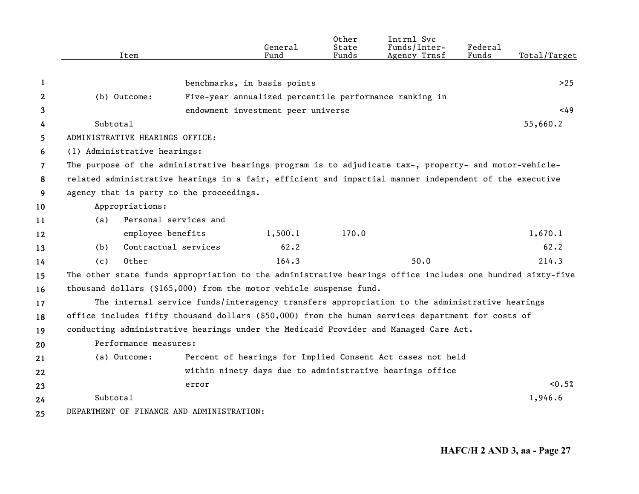|    | Item            |                                                                                                           | General<br>Fund                                        | Other<br>State<br>Funds | Intrnl Svc<br>Funds/Inter-<br>Agency Trnsf                 | Federal<br>Funds | Total/Target |
|----|-----------------|-----------------------------------------------------------------------------------------------------------|--------------------------------------------------------|-------------------------|------------------------------------------------------------|------------------|--------------|
|    |                 |                                                                                                           |                                                        |                         |                                                            |                  |              |
| 1  |                 |                                                                                                           | benchmarks, in basis points                            |                         |                                                            |                  | >25          |
| 2  | (b) Outcome:    |                                                                                                           | Five-year annualized percentile performance ranking in |                         |                                                            |                  |              |
| 3  |                 |                                                                                                           | endowment investment peer universe                     |                         |                                                            |                  | <49          |
| 4  | Subtotal        |                                                                                                           |                                                        |                         |                                                            |                  | 55,660.2     |
| 5. |                 | ADMINISTRATIVE HEARINGS OFFICE:                                                                           |                                                        |                         |                                                            |                  |              |
| 6  |                 | (1) Administrative hearings:                                                                              |                                                        |                         |                                                            |                  |              |
| 7  |                 | The purpose of the administrative hearings program is to adjudicate tax-, property- and motor-vehicle-    |                                                        |                         |                                                            |                  |              |
| 8  |                 | related administrative hearings in a fair, efficient and impartial manner independent of the executive    |                                                        |                         |                                                            |                  |              |
| 9  |                 | agency that is party to the proceedings.                                                                  |                                                        |                         |                                                            |                  |              |
| 10 | Appropriations: |                                                                                                           |                                                        |                         |                                                            |                  |              |
| 11 | (a)             | Personal services and                                                                                     |                                                        |                         |                                                            |                  |              |
| 12 |                 | employee benefits                                                                                         | 1,500.1                                                | 170.0                   |                                                            |                  | 1,670.1      |
| 13 | (b)             | Contractual services                                                                                      | 62.2                                                   |                         |                                                            |                  | 62.2         |
| 14 | (c)             | Other                                                                                                     | 164.3                                                  |                         | 50.0                                                       |                  | 214.3        |
| 15 |                 | The other state funds appropriation to the administrative hearings office includes one hundred sixty-five |                                                        |                         |                                                            |                  |              |
| 16 |                 | thousand dollars $(§165,000)$ from the motor vehicle suspense fund.                                       |                                                        |                         |                                                            |                  |              |
| 17 |                 | The internal service funds/interagency transfers appropriation to the administrative hearings             |                                                        |                         |                                                            |                  |              |
| 18 |                 | office includes fifty thousand dollars (\$50,000) from the human services department for costs of         |                                                        |                         |                                                            |                  |              |
| 19 |                 | conducting administrative hearings under the Medicaid Provider and Managed Care Act.                      |                                                        |                         |                                                            |                  |              |
| 20 |                 | Performance measures:                                                                                     |                                                        |                         |                                                            |                  |              |
| 21 | (a) Outcome:    |                                                                                                           |                                                        |                         | Percent of hearings for Implied Consent Act cases not held |                  |              |
| 22 |                 |                                                                                                           |                                                        |                         | within ninety days due to administrative hearings office   |                  |              |
| 23 |                 | error                                                                                                     |                                                        |                         |                                                            |                  | < 0.5%       |
| 24 | Subtotal        |                                                                                                           |                                                        |                         |                                                            |                  | 1,946.6      |
| 25 |                 | DEPARTMENT OF FINANCE AND ADMINISTRATION:                                                                 |                                                        |                         |                                                            |                  |              |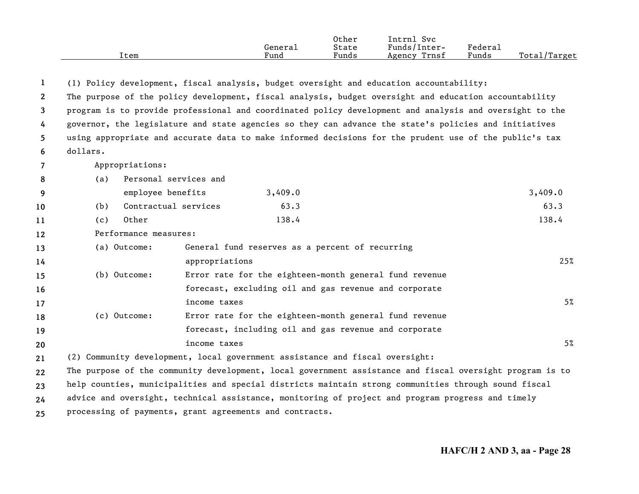| Item | General<br>Fund | Other<br>State<br>Funds | Svc<br>[ntrnl<br>Funds/Inter-<br>Trnsf<br>Agency | Federal<br>Funds | Total/Target |
|------|-----------------|-------------------------|--------------------------------------------------|------------------|--------------|
|      |                 |                         |                                                  |                  |              |

| 1                     |                                                         |                       | (1) Policy development, fiscal analysis, budget oversight and education accountability:                |                                                                                                          |  |  |  |
|-----------------------|---------------------------------------------------------|-----------------------|--------------------------------------------------------------------------------------------------------|----------------------------------------------------------------------------------------------------------|--|--|--|
| $\mathbf{2}^{\prime}$ |                                                         |                       | The purpose of the policy development, fiscal analysis, budget oversight and education accountability  |                                                                                                          |  |  |  |
| 3                     |                                                         |                       |                                                                                                        | program is to provide professional and coordinated policy development and analysis and oversight to the  |  |  |  |
| 4                     |                                                         |                       | governor, the legislature and state agencies so they can advance the state's policies and initiatives  |                                                                                                          |  |  |  |
| 5.                    |                                                         |                       | using appropriate and accurate data to make informed decisions for the prudent use of the public's tax |                                                                                                          |  |  |  |
| 6                     | dollars.                                                |                       |                                                                                                        |                                                                                                          |  |  |  |
| $\overline{7}$        | Appropriations:                                         |                       |                                                                                                        |                                                                                                          |  |  |  |
| 8                     | (a)                                                     | Personal services and |                                                                                                        |                                                                                                          |  |  |  |
| 9                     | employee benefits                                       |                       | 3,409.0                                                                                                | 3,409.0                                                                                                  |  |  |  |
| 10                    | (b)                                                     | Contractual services  | 63.3                                                                                                   | 63.3                                                                                                     |  |  |  |
| 11                    | Other<br>(c)                                            |                       | 138.4                                                                                                  | 138.4                                                                                                    |  |  |  |
| $12 \,$               | Performance measures:                                   |                       |                                                                                                        |                                                                                                          |  |  |  |
| 13                    | (a) Outcome:                                            |                       | General fund reserves as a percent of recurring                                                        |                                                                                                          |  |  |  |
| 14                    |                                                         | appropriations        |                                                                                                        | 25%                                                                                                      |  |  |  |
| 15                    | (b) Outcome:                                            |                       | Error rate for the eighteen-month general fund revenue                                                 |                                                                                                          |  |  |  |
| 16                    |                                                         |                       | forecast, excluding oil and gas revenue and corporate                                                  |                                                                                                          |  |  |  |
| 17                    |                                                         | income taxes          |                                                                                                        | 5%                                                                                                       |  |  |  |
| 18                    | (c) Outcome:                                            |                       | Error rate for the eighteen-month general fund revenue                                                 |                                                                                                          |  |  |  |
| 19                    |                                                         |                       | forecast, including oil and gas revenue and corporate                                                  |                                                                                                          |  |  |  |
| 20                    |                                                         | income taxes          |                                                                                                        | 5%                                                                                                       |  |  |  |
| 21                    |                                                         |                       | (2) Community development, local government assistance and fiscal oversight:                           |                                                                                                          |  |  |  |
| 22                    |                                                         |                       |                                                                                                        | The purpose of the community development, local government assistance and fiscal oversight program is to |  |  |  |
| 23                    |                                                         |                       | help counties, municipalities and special districts maintain strong communities through sound fiscal   |                                                                                                          |  |  |  |
| 24                    |                                                         |                       | advice and oversight, technical assistance, monitoring of project and program progress and timely      |                                                                                                          |  |  |  |
| 25                    | processing of payments, grant agreements and contracts. |                       |                                                                                                        |                                                                                                          |  |  |  |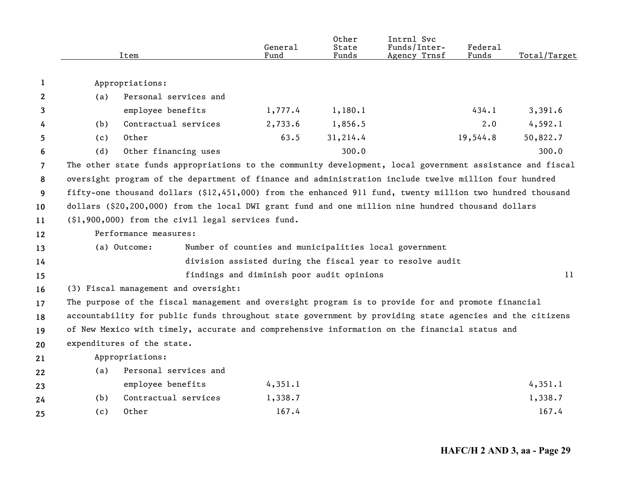|                |                                                                                                    | Item                                                                                                      | General<br>Fund                           | 0ther<br>State<br>Funds | Intrnl Svc<br>Funds/Inter-<br>Agency Trnsf                | Federal<br>Funds | Total/Target |  |
|----------------|----------------------------------------------------------------------------------------------------|-----------------------------------------------------------------------------------------------------------|-------------------------------------------|-------------------------|-----------------------------------------------------------|------------------|--------------|--|
| 1              |                                                                                                    | Appropriations:                                                                                           |                                           |                         |                                                           |                  |              |  |
| $\mathbf{2}$   | (a)                                                                                                | Personal services and                                                                                     |                                           |                         |                                                           |                  |              |  |
| 3              |                                                                                                    | employee benefits                                                                                         | 1,777.4                                   | 1,180.1                 |                                                           | 434.1            | 3,391.6      |  |
| 4              | (b)                                                                                                | Contractual services                                                                                      | 2,733.6                                   | 1,856.5                 |                                                           | $2 \cdot 0$      | 4,592.1      |  |
| 5              | (c)                                                                                                | Other                                                                                                     | 63.5                                      | 31,214.4                |                                                           | 19,544.8         | 50,822.7     |  |
| 6              | (d)                                                                                                | Other financing uses                                                                                      |                                           | 300.0                   |                                                           |                  | 300.0        |  |
| $\overline{7}$ |                                                                                                    | The other state funds appropriations to the community development, local government assistance and fiscal |                                           |                         |                                                           |                  |              |  |
| 8              |                                                                                                    | oversight program of the department of finance and administration include twelve million four hundred     |                                           |                         |                                                           |                  |              |  |
| 9              |                                                                                                    | fifty-one thousand dollars (\$12,451,000) from the enhanced 911 fund, twenty million two hundred thousand |                                           |                         |                                                           |                  |              |  |
| 10             | dollars (\$20,200,000) from the local DWI grant fund and one million nine hundred thousand dollars |                                                                                                           |                                           |                         |                                                           |                  |              |  |
| 11             | (\$1,900,000) from the civil legal services fund.                                                  |                                                                                                           |                                           |                         |                                                           |                  |              |  |
| 12             |                                                                                                    | Performance measures:                                                                                     |                                           |                         |                                                           |                  |              |  |
| 13             |                                                                                                    | (a) Outcome:                                                                                              |                                           |                         | Number of counties and municipalities local government    |                  |              |  |
| 14             |                                                                                                    |                                                                                                           |                                           |                         | division assisted during the fiscal year to resolve audit |                  |              |  |
| 15             |                                                                                                    |                                                                                                           | findings and diminish poor audit opinions |                         |                                                           |                  | 11           |  |
| 16             |                                                                                                    | (3) Fiscal management and oversight:                                                                      |                                           |                         |                                                           |                  |              |  |
| 17             |                                                                                                    | The purpose of the fiscal management and oversight program is to provide for and promote financial        |                                           |                         |                                                           |                  |              |  |
| 18             |                                                                                                    | accountability for public funds throughout state government by providing state agencies and the citizens  |                                           |                         |                                                           |                  |              |  |
| 19             |                                                                                                    | of New Mexico with timely, accurate and comprehensive information on the financial status and             |                                           |                         |                                                           |                  |              |  |
| 20             |                                                                                                    | expenditures of the state.                                                                                |                                           |                         |                                                           |                  |              |  |
| 21             |                                                                                                    | Appropriations:                                                                                           |                                           |                         |                                                           |                  |              |  |
| 22             | (a)                                                                                                | Personal services and                                                                                     |                                           |                         |                                                           |                  |              |  |
| 23             |                                                                                                    | employee benefits                                                                                         | 4,351.1                                   |                         |                                                           |                  | 4,351.1      |  |
| 24             | (b)                                                                                                | Contractual services                                                                                      | 1,338.7                                   |                         |                                                           |                  | 1,338.7      |  |
| 25             | (c)                                                                                                | Other                                                                                                     | 167.4                                     |                         |                                                           |                  | 167.4        |  |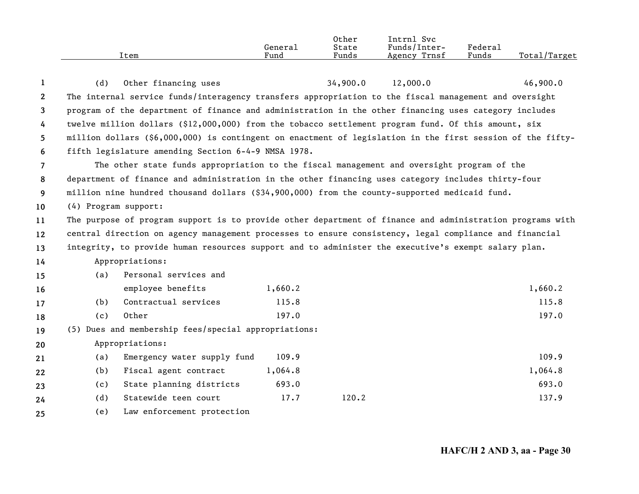|      | General | Other<br>State | Intrnl<br>Svc<br>Funds/Inter- | Federal |              |
|------|---------|----------------|-------------------------------|---------|--------------|
| Item | Fund    | Funds          | Agency Trnsf                  | Funds   | Total/Target |

| $\mathbf{1}$   | (d)                                                                                                       | Other financing uses                                                                                       |         | 34,900.0 | 12,000.0 | 46,900.0 |  |
|----------------|-----------------------------------------------------------------------------------------------------------|------------------------------------------------------------------------------------------------------------|---------|----------|----------|----------|--|
| $\mathbf{2}$   |                                                                                                           | The internal service funds/interagency transfers appropriation to the fiscal management and oversight      |         |          |          |          |  |
| $\mathbf{3}$   |                                                                                                           | program of the department of finance and administration in the other financing uses category includes      |         |          |          |          |  |
| 4              |                                                                                                           | twelve million dollars (\$12,000,000) from the tobacco settlement program fund. Of this amount, six        |         |          |          |          |  |
| 5              |                                                                                                           | million dollars (\$6,000,000) is contingent on enactment of legislation in the first session of the fifty- |         |          |          |          |  |
| 6              |                                                                                                           | fifth legislature amending Section 6-4-9 NMSA 1978.                                                        |         |          |          |          |  |
| $\overline{7}$ | The other state funds appropriation to the fiscal management and oversight program of the                 |                                                                                                            |         |          |          |          |  |
| 8              | department of finance and administration in the other financing uses category includes thirty-four        |                                                                                                            |         |          |          |          |  |
| 9              | million nine hundred thousand dollars (\$34,900,000) from the county-supported medicaid fund.             |                                                                                                            |         |          |          |          |  |
| 10             | (4) Program support:                                                                                      |                                                                                                            |         |          |          |          |  |
| 11             | The purpose of program support is to provide other department of finance and administration programs with |                                                                                                            |         |          |          |          |  |
| 12             | central direction on agency management processes to ensure consistency, legal compliance and financial    |                                                                                                            |         |          |          |          |  |
| 13             | integrity, to provide human resources support and to administer the executive's exempt salary plan.       |                                                                                                            |         |          |          |          |  |
| 14             |                                                                                                           | Appropriations:                                                                                            |         |          |          |          |  |
| 15             | (a)                                                                                                       | Personal services and                                                                                      |         |          |          |          |  |
| 16             |                                                                                                           | employee benefits                                                                                          | 1,660.2 |          |          | 1,660.2  |  |
| 17             | (b)                                                                                                       | Contractual services                                                                                       | 115.8   |          |          | 115.8    |  |
| 18             | (c)                                                                                                       | Other                                                                                                      | 197.0   |          |          | 197.0    |  |
| 19             |                                                                                                           | (5) Dues and membership fees/special appropriations:                                                       |         |          |          |          |  |
| 20             |                                                                                                           | Appropriations:                                                                                            |         |          |          |          |  |
| 21             | (a)                                                                                                       | Emergency water supply fund                                                                                | 109.9   |          |          | 109.9    |  |
| 22             | (b)                                                                                                       | Fiscal agent contract                                                                                      | 1,064.8 |          |          | 1,064.8  |  |
| 23             | (c)                                                                                                       | State planning districts                                                                                   | 693.0   |          |          | 693.0    |  |
| 24             | (d)                                                                                                       | Statewide teen court                                                                                       | 17.7    | 120.2    |          | 137.9    |  |
| 25             | (e)                                                                                                       | Law enforcement protection                                                                                 |         |          |          |          |  |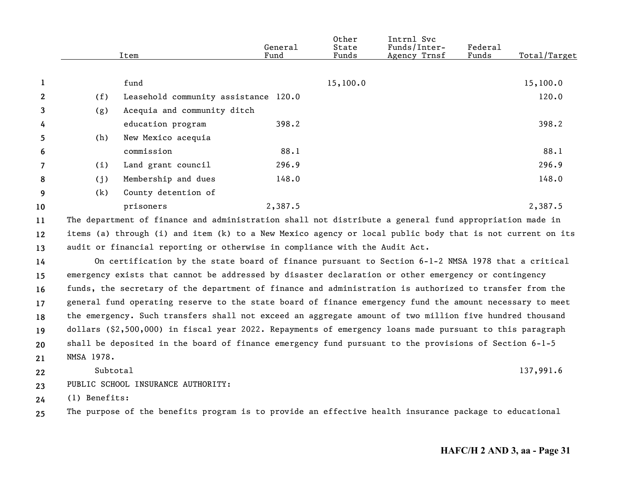|                |            | Item                                                                                                      | General<br>Fund | Other<br>State<br>Funds | Intrnl Svc<br>Funds/Inter-<br>Agency Trnsf | <b>Federal</b><br>Funds | Total/Target |
|----------------|------------|-----------------------------------------------------------------------------------------------------------|-----------------|-------------------------|--------------------------------------------|-------------------------|--------------|
| 1              |            | fund                                                                                                      |                 | 15,100.0                |                                            |                         | 15,100.0     |
| $\overline{2}$ | (f)        | Leasehold community assistance 120.0                                                                      |                 |                         |                                            |                         | 120.0        |
| 3              | (g)        | Acequia and community ditch                                                                               |                 |                         |                                            |                         |              |
| 4              |            | education program                                                                                         | 398.2           |                         |                                            |                         | 398.2        |
| 5              | (h)        | New Mexico acequia                                                                                        |                 |                         |                                            |                         |              |
| 6              |            | commission                                                                                                | 88.1            |                         |                                            |                         | 88.1         |
| $\overline{7}$ | (i)        | Land grant council                                                                                        | 296.9           |                         |                                            |                         | 296.9        |
| 8              | (j)        | Membership and dues                                                                                       | 148.0           |                         |                                            |                         | 148.0        |
| 9              | (k)        | County detention of                                                                                       |                 |                         |                                            |                         |              |
| 10             |            | prisoners                                                                                                 | 2,387.5         |                         |                                            |                         | 2,387.5      |
| 11             |            | The department of finance and administration shall not distribute a general fund appropriation made in    |                 |                         |                                            |                         |              |
| 12             |            | items (a) through (i) and item (k) to a New Mexico agency or local public body that is not current on its |                 |                         |                                            |                         |              |
| 13             |            | audit or financial reporting or otherwise in compliance with the Audit Act.                               |                 |                         |                                            |                         |              |
| 14             |            | On certification by the state board of finance pursuant to Section 6-1-2 NMSA 1978 that a critical        |                 |                         |                                            |                         |              |
| 15             |            | emergency exists that cannot be addressed by disaster declaration or other emergency or contingency       |                 |                         |                                            |                         |              |
| 16             |            | funds, the secretary of the department of finance and administration is authorized to transfer from the   |                 |                         |                                            |                         |              |
| 17             |            | general fund operating reserve to the state board of finance emergency fund the amount necessary to meet  |                 |                         |                                            |                         |              |
| 18             |            | the emergency. Such transfers shall not exceed an aggregate amount of two million five hundred thousand   |                 |                         |                                            |                         |              |
| 19             |            | dollars (\$2,500,000) in fiscal year 2022. Repayments of emergency loans made pursuant to this paragraph  |                 |                         |                                            |                         |              |
| 20             |            | shall be deposited in the board of finance emergency fund pursuant to the provisions of Section 6-1-5     |                 |                         |                                            |                         |              |
| 21             | NMSA 1978. |                                                                                                           |                 |                         |                                            |                         |              |

**22**Subtotal 137,991.6

**23** PUBLIC SCHOOL INSURANCE AUTHORITY:

**24** (1) Benefits:

**25** The purpose of the benefits program is to provide an effective health insurance package to educational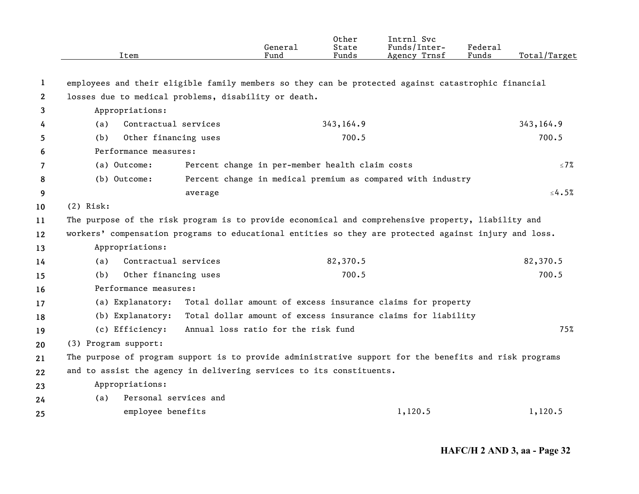|                   | Item                                                                                                   | General<br>Fund                                              | Other<br>State<br>Funds | Intrnl Svc<br>Funds/Inter-<br>Agency Trnsf | Federal<br>Funds | Total/Target |
|-------------------|--------------------------------------------------------------------------------------------------------|--------------------------------------------------------------|-------------------------|--------------------------------------------|------------------|--------------|
| 1                 | employees and their eligible family members so they can be protected against catastrophic financial    |                                                              |                         |                                            |                  |              |
| 2                 | losses due to medical problems, disability or death.                                                   |                                                              |                         |                                            |                  |              |
| 3                 | Appropriations:                                                                                        |                                                              |                         |                                            |                  |              |
| 4                 | Contractual services<br>(a)                                                                            |                                                              | 343,164.9               |                                            |                  | 343,164.9    |
| 5                 | Other financing uses<br>(b)                                                                            |                                                              | 700.5                   |                                            |                  | 700.5        |
| 6                 | Performance measures:                                                                                  |                                                              |                         |                                            |                  |              |
| 7                 | (a) Outcome:                                                                                           | Percent change in per-member health claim costs              |                         |                                            |                  | $\leq 7\%$   |
| 8                 | (b) Outcome:                                                                                           | Percent change in medical premium as compared with industry  |                         |                                            |                  |              |
| 9                 | average                                                                                                |                                                              |                         |                                            |                  | $\leq 4.5\%$ |
| 10                | $(2)$ Risk:                                                                                            |                                                              |                         |                                            |                  |              |
| 11                | The purpose of the risk program is to provide economical and comprehensive property, liability and     |                                                              |                         |                                            |                  |              |
| $12 \overline{ }$ | workers' compensation programs to educational entities so they are protected against injury and loss.  |                                                              |                         |                                            |                  |              |
| 13                | Appropriations:                                                                                        |                                                              |                         |                                            |                  |              |
| 14                | Contractual services<br>(a)                                                                            |                                                              | 82,370.5                |                                            |                  | 82,370.5     |
| 15                | Other financing uses<br>(b)                                                                            |                                                              | 700.5                   |                                            |                  | 700.5        |
| 16                | Performance measures:                                                                                  |                                                              |                         |                                            |                  |              |
| 17                | (a) Explanatory:                                                                                       | Total dollar amount of excess insurance claims for property  |                         |                                            |                  |              |
| 18                | (b) Explanatory:                                                                                       | Total dollar amount of excess insurance claims for liability |                         |                                            |                  |              |
| 19                | (c) Efficiency:                                                                                        | Annual loss ratio for the risk fund                          |                         |                                            |                  | 75%          |
| 20                | (3) Program support:                                                                                   |                                                              |                         |                                            |                  |              |
| 21                | The purpose of program support is to provide administrative support for the benefits and risk programs |                                                              |                         |                                            |                  |              |
| 22                | and to assist the agency in delivering services to its constituents.                                   |                                                              |                         |                                            |                  |              |
| 23                | Appropriations:                                                                                        |                                                              |                         |                                            |                  |              |
| 24                | Personal services and<br>(a)                                                                           |                                                              |                         |                                            |                  |              |
| 25                | employee benefits                                                                                      |                                                              |                         | 1,120.5                                    |                  | 1,120.5      |
|                   |                                                                                                        |                                                              |                         |                                            |                  |              |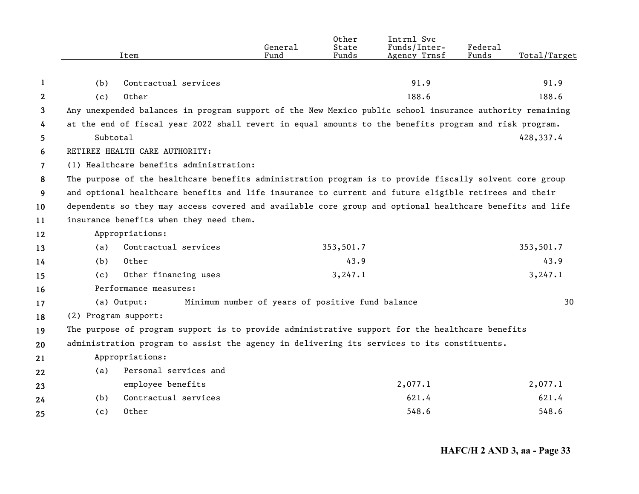|                | Item                                                                                                     | General<br>Fund                                  | Other<br>State<br>Funds | Intrnl Svc<br>Funds/Inter-<br>Agency Trnsf | Federal<br>Funds | Total/Target |
|----------------|----------------------------------------------------------------------------------------------------------|--------------------------------------------------|-------------------------|--------------------------------------------|------------------|--------------|
|                |                                                                                                          |                                                  |                         |                                            |                  |              |
| 1              | (b)<br>Contractual services                                                                              |                                                  |                         | 91.9                                       |                  | 91.9         |
| $\mathbf{2}$   | Other<br>(c)                                                                                             |                                                  |                         | 188.6                                      |                  | 188.6        |
| 3              | Any unexpended balances in program support of the New Mexico public school insurance authority remaining |                                                  |                         |                                            |                  |              |
| 4              | at the end of fiscal year 2022 shall revert in equal amounts to the benefits program and risk program.   |                                                  |                         |                                            |                  |              |
| 5.             | Subtotal                                                                                                 |                                                  |                         |                                            |                  | 428,337.4    |
| 6              | RETIREE HEALTH CARE AUTHORITY:                                                                           |                                                  |                         |                                            |                  |              |
| $\overline{7}$ | (1) Healthcare benefits administration:                                                                  |                                                  |                         |                                            |                  |              |
| 8              | The purpose of the healthcare benefits administration program is to provide fiscally solvent core group  |                                                  |                         |                                            |                  |              |
| 9              | and optional healthcare benefits and life insurance to current and future eligible retirees and their    |                                                  |                         |                                            |                  |              |
| 10             | dependents so they may access covered and available core group and optional healthcare benefits and life |                                                  |                         |                                            |                  |              |
| 11             | insurance benefits when they need them.                                                                  |                                                  |                         |                                            |                  |              |
| 12             | Appropriations:                                                                                          |                                                  |                         |                                            |                  |              |
| 13             | Contractual services<br>(a)                                                                              |                                                  | 353,501.7               |                                            |                  | 353,501.7    |
| 14             | Other<br>(b)                                                                                             |                                                  | 43.9                    |                                            |                  | 43.9         |
| 15             | Other financing uses<br>(c)                                                                              |                                                  | 3, 247.1                |                                            |                  | 3, 247.1     |
| 16             | Performance measures:                                                                                    |                                                  |                         |                                            |                  |              |
| 17             | (a) Output:                                                                                              | Minimum number of years of positive fund balance |                         |                                            |                  | 30           |
| 18             | (2) Program support:                                                                                     |                                                  |                         |                                            |                  |              |
| 19             | The purpose of program support is to provide administrative support for the healthcare benefits          |                                                  |                         |                                            |                  |              |
| 20             | administration program to assist the agency in delivering its services to its constituents.              |                                                  |                         |                                            |                  |              |
| 21             | Appropriations:                                                                                          |                                                  |                         |                                            |                  |              |
| 22             | Personal services and<br>(a)                                                                             |                                                  |                         |                                            |                  |              |
| 23             | employee benefits                                                                                        |                                                  |                         | 2,077.1                                    |                  | 2,077.1      |
| 24             | Contractual services<br>(b)                                                                              |                                                  |                         | 621.4                                      |                  | 621.4        |
| 25             | Other<br>(c)                                                                                             |                                                  |                         | 548.6                                      |                  | 548.6        |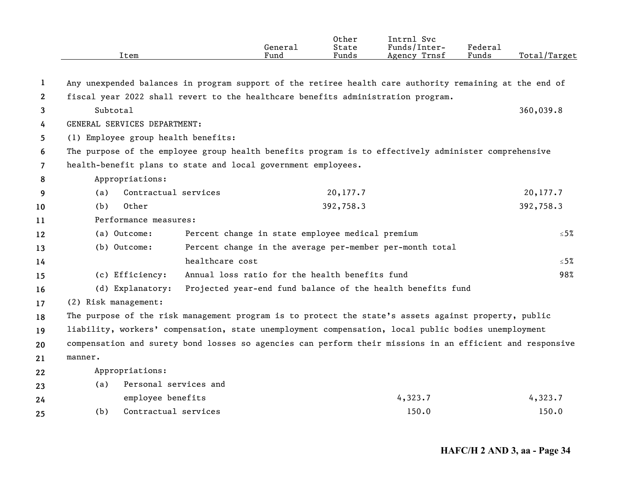|                       | Item                                | General<br>Fund                                                                                           | Other<br>State<br>Funds | Intrnl Svc<br>Funds/Inter-<br>Agency Trnsf | Federal<br>Funds | Total/Target |
|-----------------------|-------------------------------------|-----------------------------------------------------------------------------------------------------------|-------------------------|--------------------------------------------|------------------|--------------|
|                       |                                     |                                                                                                           |                         |                                            |                  |              |
| 1                     |                                     | Any unexpended balances in program support of the retiree health care authority remaining at the end of   |                         |                                            |                  |              |
| $\mathbf{2}^{\prime}$ |                                     | fiscal year 2022 shall revert to the healthcare benefits administration program.                          |                         |                                            |                  |              |
| 3                     | Subtotal                            |                                                                                                           |                         |                                            |                  | 360,039.8    |
| 4                     | GENERAL SERVICES DEPARTMENT:        |                                                                                                           |                         |                                            |                  |              |
| 5                     | (1) Employee group health benefits: |                                                                                                           |                         |                                            |                  |              |
| 6                     |                                     | The purpose of the employee group health benefits program is to effectively administer comprehensive      |                         |                                            |                  |              |
| $\overline{7}$        |                                     | health-benefit plans to state and local government employees.                                             |                         |                                            |                  |              |
| 8                     | Appropriations:                     |                                                                                                           |                         |                                            |                  |              |
| 9                     | Contractual services<br>(a)         |                                                                                                           | 20,177.7                |                                            |                  | 20,177.7     |
| 10                    | Other<br>(b)                        |                                                                                                           | 392,758.3               |                                            |                  | 392,758.3    |
| 11                    | Performance measures:               |                                                                                                           |                         |                                            |                  |              |
| 12                    | (a) Outcome:                        | Percent change in state employee medical premium                                                          |                         |                                            |                  | ≤5%          |
| 13                    | (b) Outcome:                        | Percent change in the average per-member per-month total                                                  |                         |                                            |                  |              |
| 14                    |                                     | healthcare cost                                                                                           |                         |                                            |                  | $≤ 5%$       |
| 15                    | (c) Efficiency:                     | Annual loss ratio for the health benefits fund                                                            |                         |                                            |                  | 98%          |
| 16                    | (d) Explanatory:                    | Projected year-end fund balance of the health benefits fund                                               |                         |                                            |                  |              |
| 17                    | (2) Risk management:                |                                                                                                           |                         |                                            |                  |              |
| 18                    |                                     | The purpose of the risk management program is to protect the state's assets against property, public      |                         |                                            |                  |              |
| 19                    |                                     | liability, workers' compensation, state unemployment compensation, local public bodies unemployment       |                         |                                            |                  |              |
| 20                    |                                     | compensation and surety bond losses so agencies can perform their missions in an efficient and responsive |                         |                                            |                  |              |
| 21                    | manner.                             |                                                                                                           |                         |                                            |                  |              |
| 22                    | Appropriations:                     |                                                                                                           |                         |                                            |                  |              |
| 23                    | Personal services and<br>(a)        |                                                                                                           |                         |                                            |                  |              |
| 24                    | employee benefits                   |                                                                                                           |                         | 4,323.7                                    |                  | 4,323.7      |
| 25                    | Contractual services<br>(b)         |                                                                                                           |                         | 150.0                                      |                  | 150.0        |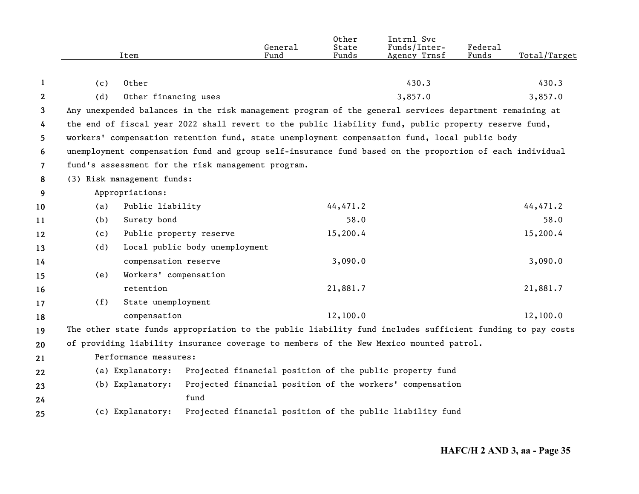| 1<br>$\mathbf{2}$<br>3<br>4<br>5.<br>6<br>7<br>8<br>9<br>10<br>11<br>12<br>13<br>14<br>15<br>16<br>17<br>18<br>19<br>20<br>21 | (c) |                                                    |                                | Fund | Funds    | Funds/Inter-<br>Agency Trnsf                                                                              | Federal<br>Funds | Total/Target |
|-------------------------------------------------------------------------------------------------------------------------------|-----|----------------------------------------------------|--------------------------------|------|----------|-----------------------------------------------------------------------------------------------------------|------------------|--------------|
|                                                                                                                               |     |                                                    |                                |      |          |                                                                                                           |                  |              |
|                                                                                                                               |     | Other                                              |                                |      |          | 430.3                                                                                                     |                  | 430.3        |
|                                                                                                                               | (d) | Other financing uses                               |                                |      |          | 3,857.0                                                                                                   |                  | 3,857.0      |
|                                                                                                                               |     |                                                    |                                |      |          | Any unexpended balances in the risk management program of the general services department remaining at    |                  |              |
|                                                                                                                               |     |                                                    |                                |      |          | the end of fiscal year 2022 shall revert to the public liability fund, public property reserve fund,      |                  |              |
|                                                                                                                               |     |                                                    |                                |      |          | workers' compensation retention fund, state unemployment compensation fund, local public body             |                  |              |
|                                                                                                                               |     |                                                    |                                |      |          | unemployment compensation fund and group self-insurance fund based on the proportion of each individual   |                  |              |
|                                                                                                                               |     | fund's assessment for the risk management program. |                                |      |          |                                                                                                           |                  |              |
|                                                                                                                               |     | (3) Risk management funds:                         |                                |      |          |                                                                                                           |                  |              |
|                                                                                                                               |     | Appropriations:                                    |                                |      |          |                                                                                                           |                  |              |
|                                                                                                                               | (a) | Public liability                                   |                                |      | 44,471.2 |                                                                                                           |                  | 44,471.2     |
|                                                                                                                               | (b) | Surety bond                                        |                                |      | 58.0     |                                                                                                           |                  | 58.0         |
|                                                                                                                               | (c) | Public property reserve                            |                                |      | 15,200.4 |                                                                                                           |                  | 15,200.4     |
|                                                                                                                               | (d) |                                                    | Local public body unemployment |      |          |                                                                                                           |                  |              |
|                                                                                                                               |     | compensation reserve                               |                                |      | 3,090.0  |                                                                                                           |                  | 3,090.0      |
|                                                                                                                               | (e) | Workers' compensation                              |                                |      |          |                                                                                                           |                  |              |
|                                                                                                                               |     | retention                                          |                                |      | 21,881.7 |                                                                                                           |                  | 21,881.7     |
|                                                                                                                               | (f) | State unemployment                                 |                                |      |          |                                                                                                           |                  |              |
|                                                                                                                               |     | compensation                                       |                                |      | 12,100.0 |                                                                                                           |                  | 12,100.0     |
|                                                                                                                               |     |                                                    |                                |      |          | The other state funds appropriation to the public liability fund includes sufficient funding to pay costs |                  |              |
|                                                                                                                               |     |                                                    |                                |      |          | of providing liability insurance coverage to members of the New Mexico mounted patrol.                    |                  |              |
|                                                                                                                               |     | Performance measures:                              |                                |      |          |                                                                                                           |                  |              |
| 22                                                                                                                            |     | (a) Explanatory:                                   |                                |      |          | Projected financial position of the public property fund                                                  |                  |              |
| 23                                                                                                                            |     | (b) Explanatory:                                   |                                |      |          | Projected financial position of the workers' compensation                                                 |                  |              |
| 24                                                                                                                            |     |                                                    | fund                           |      |          |                                                                                                           |                  |              |
| 25                                                                                                                            |     | (c) Explanatory:                                   |                                |      |          | Projected financial position of the public liability fund                                                 |                  |              |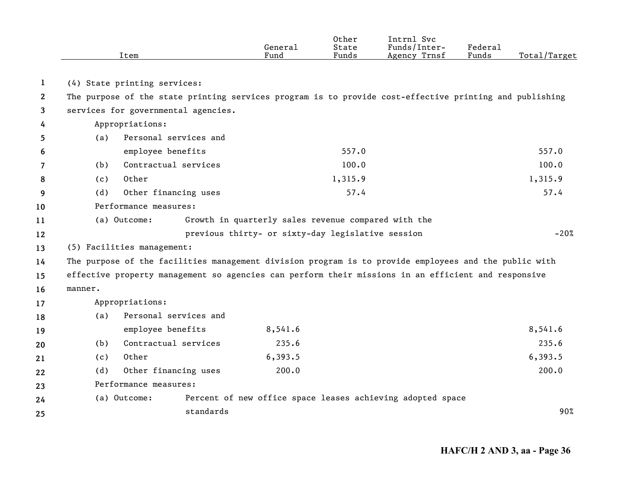|                       |         | Item                                                                                                    | General<br>Fund                                     | 0ther<br>State<br>Funds | Intrnl Svc<br>Funds/Inter-<br>Agency Trnsf                 | Federal<br>Funds | Total/Target |
|-----------------------|---------|---------------------------------------------------------------------------------------------------------|-----------------------------------------------------|-------------------------|------------------------------------------------------------|------------------|--------------|
| 1                     |         | (4) State printing services:                                                                            |                                                     |                         |                                                            |                  |              |
| $\mathbf{2}^{\prime}$ |         | The purpose of the state printing services program is to provide cost-effective printing and publishing |                                                     |                         |                                                            |                  |              |
| 3                     |         | services for governmental agencies.                                                                     |                                                     |                         |                                                            |                  |              |
| 4                     |         | Appropriations:                                                                                         |                                                     |                         |                                                            |                  |              |
| 5.                    | (a)     | Personal services and                                                                                   |                                                     |                         |                                                            |                  |              |
| 6                     |         | employee benefits                                                                                       |                                                     | 557.0                   |                                                            |                  | 557.0        |
| 7                     | (b)     | Contractual services                                                                                    |                                                     | 100.0                   |                                                            |                  | 100.0        |
| 8                     | (c)     | Other                                                                                                   |                                                     | 1,315.9                 |                                                            |                  | 1,315.9      |
| 9                     | (d)     | Other financing uses                                                                                    |                                                     | 57.4                    |                                                            |                  | 57.4         |
| 10                    |         | Performance measures:                                                                                   |                                                     |                         |                                                            |                  |              |
| 11                    |         | (a) Outcome:                                                                                            | Growth in quarterly sales revenue compared with the |                         |                                                            |                  |              |
| 12                    |         |                                                                                                         | previous thirty- or sixty-day legislative session   |                         |                                                            |                  | $-20%$       |
| 13                    |         | (5) Facilities management:                                                                              |                                                     |                         |                                                            |                  |              |
| 14                    |         | The purpose of the facilities management division program is to provide employees and the public with   |                                                     |                         |                                                            |                  |              |
| 15                    |         | effective property management so agencies can perform their missions in an efficient and responsive     |                                                     |                         |                                                            |                  |              |
| 16                    | manner. |                                                                                                         |                                                     |                         |                                                            |                  |              |
| 17                    |         | Appropriations:                                                                                         |                                                     |                         |                                                            |                  |              |
| 18                    | (a)     | Personal services and                                                                                   |                                                     |                         |                                                            |                  |              |
| 19                    |         | employee benefits                                                                                       | 8,541.6                                             |                         |                                                            |                  | 8,541.6      |
| 20                    | (b)     | Contractual services                                                                                    | 235.6                                               |                         |                                                            |                  | 235.6        |
| 21                    | (c)     | Other                                                                                                   | 6,393.5                                             |                         |                                                            |                  | 6,393.5      |
| 22                    | (d)     | Other financing uses                                                                                    | 200.0                                               |                         |                                                            |                  | 200.0        |
| 23                    |         | Performance measures:                                                                                   |                                                     |                         |                                                            |                  |              |
| 24                    |         | (a) Outcome:                                                                                            |                                                     |                         | Percent of new office space leases achieving adopted space |                  |              |
| 25                    |         | standards                                                                                               |                                                     |                         |                                                            |                  | 90%          |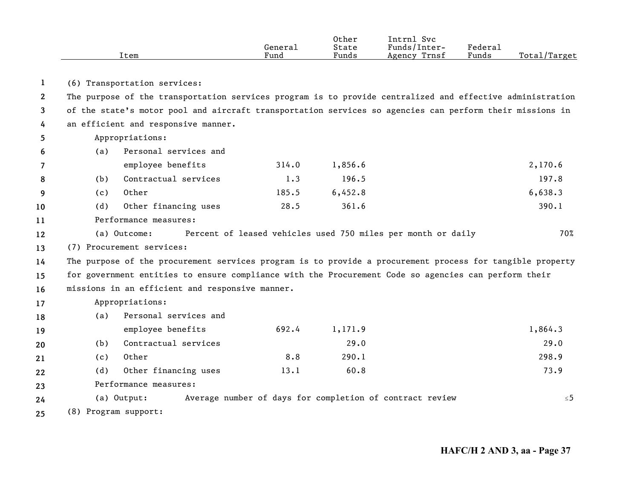|              |     | Item                                                                                                      | General<br>Fund | Other<br>State<br>Funds | Intrnl Svc<br>Funds/Inter-<br>Agency Trnsf                   | Federal<br>Funds | Total/Target |
|--------------|-----|-----------------------------------------------------------------------------------------------------------|-----------------|-------------------------|--------------------------------------------------------------|------------------|--------------|
| 1            |     | (6) Transportation services:                                                                              |                 |                         |                                                              |                  |              |
| $\mathbf{2}$ |     | The purpose of the transportation services program is to provide centralized and effective administration |                 |                         |                                                              |                  |              |
| 3            |     | of the state's motor pool and aircraft transportation services so agencies can perform their missions in  |                 |                         |                                                              |                  |              |
| 4            |     | an efficient and responsive manner.                                                                       |                 |                         |                                                              |                  |              |
| 5            |     | Appropriations:                                                                                           |                 |                         |                                                              |                  |              |
| 6            | (a) | Personal services and                                                                                     |                 |                         |                                                              |                  |              |
| 7            |     | employee benefits                                                                                         | 314.0           | 1,856.6                 |                                                              |                  | 2,170.6      |
| 8            | (b) | Contractual services                                                                                      | 1.3             | 196.5                   |                                                              |                  | 197.8        |
| 9            | (c) | Other                                                                                                     | 185.5           | 6,452.8                 |                                                              |                  | 6,638.3      |
| 10           | (d) | Other financing uses                                                                                      | 28.5            | 361.6                   |                                                              |                  | 390.1        |
| 11           |     | Performance measures:                                                                                     |                 |                         |                                                              |                  |              |
| 12           |     | (a) Outcome:                                                                                              |                 |                         | Percent of leased vehicles used 750 miles per month or daily |                  | 70%          |
| 13           |     | (7) Procurement services:                                                                                 |                 |                         |                                                              |                  |              |
| 14           |     | The purpose of the procurement services program is to provide a procurement process for tangible property |                 |                         |                                                              |                  |              |
| 15           |     | for government entities to ensure compliance with the Procurement Code so agencies can perform their      |                 |                         |                                                              |                  |              |
| 16           |     | missions in an efficient and responsive manner.                                                           |                 |                         |                                                              |                  |              |
| 17           |     | Appropriations:                                                                                           |                 |                         |                                                              |                  |              |
| 18           | (a) | Personal services and                                                                                     |                 |                         |                                                              |                  |              |
| 19           |     | employee benefits                                                                                         | 692.4           | 1,171.9                 |                                                              |                  | 1,864.3      |
| 20           | (b) | Contractual services                                                                                      |                 | 29.0                    |                                                              |                  | 29.0         |
| 21           | (c) | Other                                                                                                     | 8.8             | 290.1                   |                                                              |                  | 298.9        |
| 22           | (d) | Other financing uses                                                                                      | 13.1            | 60.8                    |                                                              |                  | 73.9         |
| 23           |     | Performance measures:                                                                                     |                 |                         |                                                              |                  |              |
| 24           |     | (a) Output:                                                                                               |                 |                         | Average number of days for completion of contract review     |                  | $\leq 5$     |
| 25           |     | (8) Program support:                                                                                      |                 |                         |                                                              |                  |              |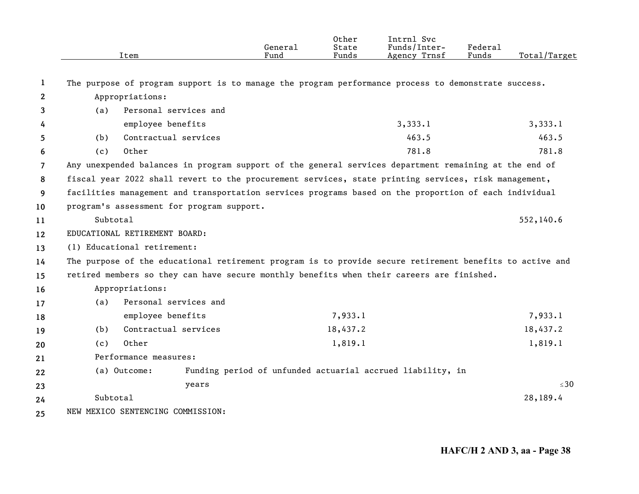| Item                                                                                                  | General<br>Fund                                                             | Other<br>State<br>Funds                                                                                                                                                          | Intrnl Svc<br>Funds/Inter-<br>Agency Trnsf | Federal<br>Funds          | Total/Target                                                                                                                                                                                                                                                                                                                                                                                                                                                                                                                                                                                |  |  |  |
|-------------------------------------------------------------------------------------------------------|-----------------------------------------------------------------------------|----------------------------------------------------------------------------------------------------------------------------------------------------------------------------------|--------------------------------------------|---------------------------|---------------------------------------------------------------------------------------------------------------------------------------------------------------------------------------------------------------------------------------------------------------------------------------------------------------------------------------------------------------------------------------------------------------------------------------------------------------------------------------------------------------------------------------------------------------------------------------------|--|--|--|
|                                                                                                       |                                                                             |                                                                                                                                                                                  |                                            |                           |                                                                                                                                                                                                                                                                                                                                                                                                                                                                                                                                                                                             |  |  |  |
|                                                                                                       |                                                                             |                                                                                                                                                                                  |                                            |                           |                                                                                                                                                                                                                                                                                                                                                                                                                                                                                                                                                                                             |  |  |  |
|                                                                                                       |                                                                             |                                                                                                                                                                                  |                                            |                           |                                                                                                                                                                                                                                                                                                                                                                                                                                                                                                                                                                                             |  |  |  |
|                                                                                                       |                                                                             |                                                                                                                                                                                  |                                            |                           |                                                                                                                                                                                                                                                                                                                                                                                                                                                                                                                                                                                             |  |  |  |
|                                                                                                       |                                                                             |                                                                                                                                                                                  |                                            |                           | 3,333.1                                                                                                                                                                                                                                                                                                                                                                                                                                                                                                                                                                                     |  |  |  |
|                                                                                                       |                                                                             |                                                                                                                                                                                  |                                            |                           | 463.5                                                                                                                                                                                                                                                                                                                                                                                                                                                                                                                                                                                       |  |  |  |
|                                                                                                       |                                                                             |                                                                                                                                                                                  |                                            |                           | 781.8                                                                                                                                                                                                                                                                                                                                                                                                                                                                                                                                                                                       |  |  |  |
| Any unexpended balances in program support of the general services department remaining at the end of |                                                                             |                                                                                                                                                                                  |                                            |                           |                                                                                                                                                                                                                                                                                                                                                                                                                                                                                                                                                                                             |  |  |  |
|                                                                                                       |                                                                             |                                                                                                                                                                                  |                                            |                           |                                                                                                                                                                                                                                                                                                                                                                                                                                                                                                                                                                                             |  |  |  |
|                                                                                                       |                                                                             |                                                                                                                                                                                  |                                            |                           |                                                                                                                                                                                                                                                                                                                                                                                                                                                                                                                                                                                             |  |  |  |
|                                                                                                       |                                                                             |                                                                                                                                                                                  |                                            |                           |                                                                                                                                                                                                                                                                                                                                                                                                                                                                                                                                                                                             |  |  |  |
| Subtotal                                                                                              |                                                                             |                                                                                                                                                                                  |                                            |                           | 552,140.6                                                                                                                                                                                                                                                                                                                                                                                                                                                                                                                                                                                   |  |  |  |
| EDUCATIONAL RETIREMENT BOARD:                                                                         |                                                                             |                                                                                                                                                                                  |                                            |                           |                                                                                                                                                                                                                                                                                                                                                                                                                                                                                                                                                                                             |  |  |  |
| (1) Educational retirement:                                                                           |                                                                             |                                                                                                                                                                                  |                                            |                           |                                                                                                                                                                                                                                                                                                                                                                                                                                                                                                                                                                                             |  |  |  |
|                                                                                                       |                                                                             |                                                                                                                                                                                  |                                            |                           |                                                                                                                                                                                                                                                                                                                                                                                                                                                                                                                                                                                             |  |  |  |
|                                                                                                       |                                                                             |                                                                                                                                                                                  |                                            |                           |                                                                                                                                                                                                                                                                                                                                                                                                                                                                                                                                                                                             |  |  |  |
| Appropriations:                                                                                       |                                                                             |                                                                                                                                                                                  |                                            |                           |                                                                                                                                                                                                                                                                                                                                                                                                                                                                                                                                                                                             |  |  |  |
| (a)                                                                                                   |                                                                             |                                                                                                                                                                                  |                                            |                           |                                                                                                                                                                                                                                                                                                                                                                                                                                                                                                                                                                                             |  |  |  |
| employee benefits                                                                                     |                                                                             | 7,933.1                                                                                                                                                                          |                                            |                           | 7,933.1                                                                                                                                                                                                                                                                                                                                                                                                                                                                                                                                                                                     |  |  |  |
| (b)                                                                                                   |                                                                             | 18,437.2                                                                                                                                                                         |                                            |                           | 18,437.2                                                                                                                                                                                                                                                                                                                                                                                                                                                                                                                                                                                    |  |  |  |
| Other<br>(c)                                                                                          |                                                                             | 1,819.1                                                                                                                                                                          |                                            |                           | 1,819.1                                                                                                                                                                                                                                                                                                                                                                                                                                                                                                                                                                                     |  |  |  |
| Performance measures:                                                                                 |                                                                             |                                                                                                                                                                                  |                                            |                           |                                                                                                                                                                                                                                                                                                                                                                                                                                                                                                                                                                                             |  |  |  |
| (a) Outcome:                                                                                          |                                                                             |                                                                                                                                                                                  |                                            |                           |                                                                                                                                                                                                                                                                                                                                                                                                                                                                                                                                                                                             |  |  |  |
|                                                                                                       |                                                                             |                                                                                                                                                                                  |                                            |                           | $\leq 30$                                                                                                                                                                                                                                                                                                                                                                                                                                                                                                                                                                                   |  |  |  |
| Subtotal                                                                                              |                                                                             |                                                                                                                                                                                  |                                            |                           | 28,189.4                                                                                                                                                                                                                                                                                                                                                                                                                                                                                                                                                                                    |  |  |  |
| 24<br>25                                                                                              |                                                                             |                                                                                                                                                                                  |                                            |                           |                                                                                                                                                                                                                                                                                                                                                                                                                                                                                                                                                                                             |  |  |  |
|                                                                                                       | Appropriations:<br>(a)<br>employee benefits<br>(b)<br>Other<br>(c)<br>years | Personal services and<br>Contractual services<br>program's assessment for program support.<br>Personal services and<br>Contractual services<br>NEW MEXICO SENTENCING COMMISSION: |                                            | 3,333.1<br>463.5<br>781.8 | The purpose of program support is to manage the program performance process to demonstrate success.<br>fiscal year 2022 shall revert to the procurement services, state printing services, risk management,<br>facilities management and transportation services programs based on the proportion of each individual<br>The purpose of the educational retirement program is to provide secure retirement benefits to active and<br>retired members so they can have secure monthly benefits when their careers are finished.<br>Funding period of unfunded actuarial accrued liability, in |  |  |  |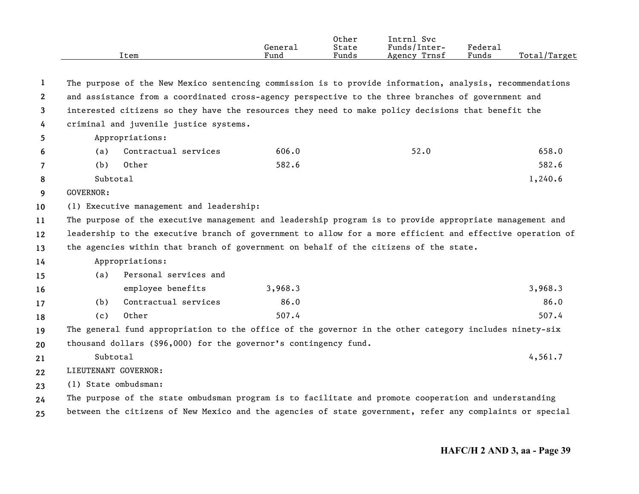|      |         | Other | Intrnl<br>Svc   |                     |                   |
|------|---------|-------|-----------------|---------------------|-------------------|
|      | Genera⊥ | State | Funds/Inter-    | Federa <sub>1</sub> |                   |
| Item | Fund    | Funds | Trnsf<br>Agency | Funds               | Total,<br>/Target |

| 1                     |                                                                                                         |                                                                  |         | The purpose of the New Mexico sentencing commission is to provide information, analysis, recommendations  |         |  |  |
|-----------------------|---------------------------------------------------------------------------------------------------------|------------------------------------------------------------------|---------|-----------------------------------------------------------------------------------------------------------|---------|--|--|
| $\mathbf{2}^{\prime}$ |                                                                                                         |                                                                  |         | and assistance from a coordinated cross-agency perspective to the three branches of government and        |         |  |  |
| 3                     |                                                                                                         |                                                                  |         | interested citizens so they have the resources they need to make policy decisions that benefit the        |         |  |  |
| 4                     |                                                                                                         | criminal and juvenile justice systems.                           |         |                                                                                                           |         |  |  |
| 5.                    |                                                                                                         | Appropriations:                                                  |         |                                                                                                           |         |  |  |
| 6                     | (a)                                                                                                     | Contractual services                                             | 606.0   | 52.0                                                                                                      | 658.0   |  |  |
| $\overline{7}$        | (b)                                                                                                     | Other                                                            | 582.6   |                                                                                                           | 582.6   |  |  |
| 8                     | Subtotal                                                                                                |                                                                  |         |                                                                                                           | 1,240.6 |  |  |
| 9                     | GOVERNOR:                                                                                               |                                                                  |         |                                                                                                           |         |  |  |
| 10                    |                                                                                                         | (1) Executive management and leadership:                         |         |                                                                                                           |         |  |  |
| 11                    | The purpose of the executive management and leadership program is to provide appropriate management and |                                                                  |         |                                                                                                           |         |  |  |
| 12                    |                                                                                                         |                                                                  |         | leadership to the executive branch of government to allow for a more efficient and effective operation of |         |  |  |
| 13                    |                                                                                                         |                                                                  |         | the agencies within that branch of government on behalf of the citizens of the state.                     |         |  |  |
| 14                    |                                                                                                         | Appropriations:                                                  |         |                                                                                                           |         |  |  |
| 15                    | (a)                                                                                                     | Personal services and                                            |         |                                                                                                           |         |  |  |
| 16                    |                                                                                                         | employee benefits                                                | 3,968.3 |                                                                                                           | 3,968.3 |  |  |
| 17                    | (b)                                                                                                     | Contractual services                                             | 86.0    |                                                                                                           | 86.0    |  |  |
| 18                    | (c)                                                                                                     | Other                                                            | 507.4   |                                                                                                           | 507.4   |  |  |
| 19                    |                                                                                                         |                                                                  |         | The general fund appropriation to the office of the governor in the other category includes ninety-six    |         |  |  |
| 20                    |                                                                                                         | thousand dollars (\$96,000) for the governor's contingency fund. |         |                                                                                                           |         |  |  |
| 21                    | Subtotal                                                                                                |                                                                  |         |                                                                                                           | 4,561.7 |  |  |
| 22                    | LIEUTENANT GOVERNOR:                                                                                    |                                                                  |         |                                                                                                           |         |  |  |
| 23                    | (1) State ombudsman:                                                                                    |                                                                  |         |                                                                                                           |         |  |  |
| 24                    |                                                                                                         |                                                                  |         | The purpose of the state ombudsman program is to facilitate and promote cooperation and understanding     |         |  |  |
| 25                    |                                                                                                         |                                                                  |         | between the citizens of New Mexico and the agencies of state government, refer any complaints or special  |         |  |  |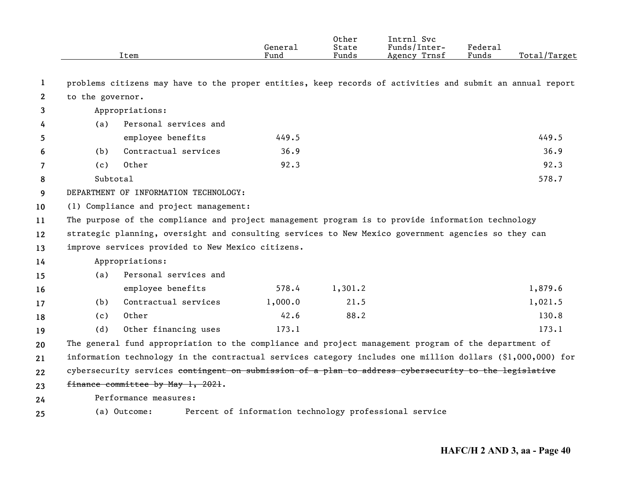|              |                       | Item                                                                                                             | General<br>Fund | Other<br>State<br>Funds | Intrnl Svc<br>Funds/Inter-<br>Agency Trnsf             | Federal<br>Funds | Total/Target |
|--------------|-----------------------|------------------------------------------------------------------------------------------------------------------|-----------------|-------------------------|--------------------------------------------------------|------------------|--------------|
| 1            |                       | problems citizens may have to the proper entities, keep records of activities and submit an annual report        |                 |                         |                                                        |                  |              |
| $\mathbf{2}$ | to the governor.      |                                                                                                                  |                 |                         |                                                        |                  |              |
| 3            |                       | Appropriations:                                                                                                  |                 |                         |                                                        |                  |              |
| 4            | (a)                   | Personal services and                                                                                            |                 |                         |                                                        |                  |              |
| 5            |                       | employee benefits                                                                                                | 449.5           |                         |                                                        |                  | 449.5        |
| 6            | (b)                   | Contractual services                                                                                             | 36.9            |                         |                                                        |                  | 36.9         |
| 7            | (c)                   | Other                                                                                                            | 92.3            |                         |                                                        |                  | 92.3         |
| 8            | Subtotal              |                                                                                                                  |                 |                         |                                                        |                  | 578.7        |
| 9            |                       | DEPARTMENT OF INFORMATION TECHNOLOGY:                                                                            |                 |                         |                                                        |                  |              |
| 10           |                       | (1) Compliance and project management:                                                                           |                 |                         |                                                        |                  |              |
| 11           |                       | The purpose of the compliance and project management program is to provide information technology                |                 |                         |                                                        |                  |              |
| 12           |                       | strategic planning, oversight and consulting services to New Mexico government agencies so they can              |                 |                         |                                                        |                  |              |
| 13           |                       | improve services provided to New Mexico citizens.                                                                |                 |                         |                                                        |                  |              |
| 14           |                       | Appropriations:                                                                                                  |                 |                         |                                                        |                  |              |
| 15           | (a)                   | Personal services and                                                                                            |                 |                         |                                                        |                  |              |
| 16           |                       | employee benefits                                                                                                | 578.4           | 1,301.2                 |                                                        |                  | 1,879.6      |
| 17           | (b)                   | Contractual services                                                                                             | 1,000.0         | 21.5                    |                                                        |                  | 1,021.5      |
| 18           | (c)                   | Other                                                                                                            | 42.6            | 88.2                    |                                                        |                  | 130.8        |
| 19           | (d)                   | Other financing uses                                                                                             | 173.1           |                         |                                                        |                  | 173.1        |
| 20           |                       | The general fund appropriation to the compliance and project management program of the department of             |                 |                         |                                                        |                  |              |
| 21           |                       | information technology in the contractual services category includes one million dollars (\$1,000,000) for       |                 |                         |                                                        |                  |              |
| 22           |                       | cybersecurity services <del>contingent on submission of a plan to address cybersecurity to the legislative</del> |                 |                         |                                                        |                  |              |
| 23           |                       | finance committee by May 1, 2021.                                                                                |                 |                         |                                                        |                  |              |
| 24           | Performance measures: |                                                                                                                  |                 |                         |                                                        |                  |              |
| 25           |                       | (a) Outcome:                                                                                                     |                 |                         | Percent of information technology professional service |                  |              |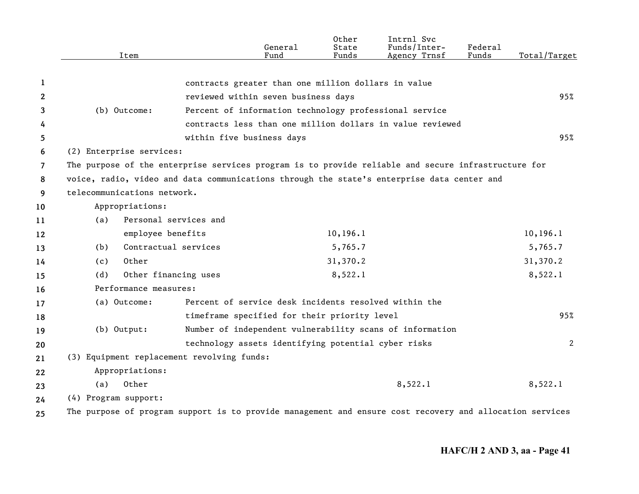|              | Item                                                                                                     |                                                     | General<br>Fund                                        | Other<br>State<br>Funds | Intrnl Svc<br>Funds/Inter-<br>Agency Trnsf                | Federal<br>Funds | Total/Target |
|--------------|----------------------------------------------------------------------------------------------------------|-----------------------------------------------------|--------------------------------------------------------|-------------------------|-----------------------------------------------------------|------------------|--------------|
|              |                                                                                                          |                                                     |                                                        |                         |                                                           |                  |              |
| 1            |                                                                                                          | contracts greater than one million dollars in value |                                                        |                         |                                                           |                  |              |
| $\mathbf{2}$ |                                                                                                          | reviewed within seven business days                 |                                                        |                         |                                                           |                  | 95%          |
| 3            | (b) Outcome:                                                                                             |                                                     | Percent of information technology professional service |                         |                                                           |                  |              |
| 4            |                                                                                                          |                                                     |                                                        |                         | contracts less than one million dollars in value reviewed |                  |              |
| 5            |                                                                                                          | within five business days                           |                                                        |                         |                                                           |                  | 95%          |
| 6            | (2) Enterprise services:                                                                                 |                                                     |                                                        |                         |                                                           |                  |              |
| 7            | The purpose of the enterprise services program is to provide reliable and secure infrastructure for      |                                                     |                                                        |                         |                                                           |                  |              |
| 8            | voice, radio, video and data communications through the state's enterprise data center and               |                                                     |                                                        |                         |                                                           |                  |              |
| 9            | telecommunications network.                                                                              |                                                     |                                                        |                         |                                                           |                  |              |
| 10           | Appropriations:                                                                                          |                                                     |                                                        |                         |                                                           |                  |              |
| 11           | (a)                                                                                                      | Personal services and                               |                                                        |                         |                                                           |                  |              |
| 12           | employee benefits                                                                                        |                                                     |                                                        | 10, 196.1               |                                                           |                  | 10, 196.1    |
| 13           | (b)                                                                                                      | Contractual services                                |                                                        | 5,765.7                 |                                                           |                  | 5,765.7      |
| 14           | Other<br>(c)                                                                                             |                                                     |                                                        | 31,370.2                |                                                           |                  | 31,370.2     |
| 15           | (d)                                                                                                      | Other financing uses                                |                                                        | 8,522.1                 |                                                           |                  | 8,522.1      |
| 16           | Performance measures:                                                                                    |                                                     |                                                        |                         |                                                           |                  |              |
| 17           | (a) Outcome:                                                                                             |                                                     |                                                        |                         | Percent of service desk incidents resolved within the     |                  |              |
| 18           |                                                                                                          | timeframe specified for their priority level        |                                                        |                         |                                                           |                  | 95%          |
| 19           | $(b)$ Output:                                                                                            |                                                     |                                                        |                         | Number of independent vulnerability scans of information  |                  |              |
| 20           |                                                                                                          | technology assets identifying potential cyber risks |                                                        |                         |                                                           |                  | 2            |
| 21           | (3) Equipment replacement revolving funds:                                                               |                                                     |                                                        |                         |                                                           |                  |              |
| 22           | Appropriations:                                                                                          |                                                     |                                                        |                         |                                                           |                  |              |
| 23           | Other<br>(a)                                                                                             |                                                     |                                                        |                         | 8,522.1                                                   |                  | 8,522.1      |
| 24           | (4) Program support:                                                                                     |                                                     |                                                        |                         |                                                           |                  |              |
| 25           | The purpose of program support is to provide management and ensure cost recovery and allocation services |                                                     |                                                        |                         |                                                           |                  |              |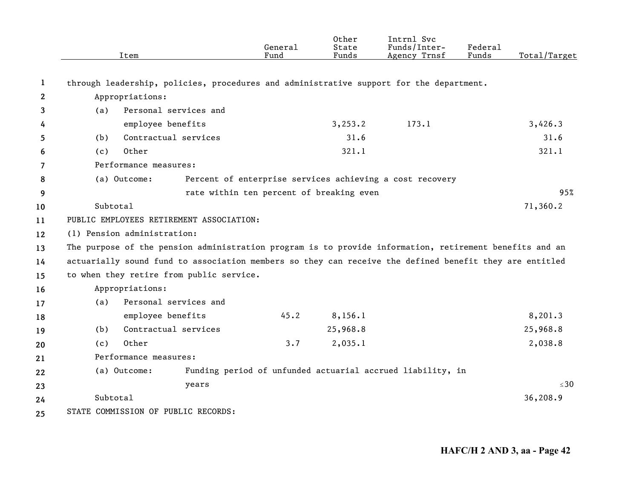|              | Item                                                                                                    | General<br>Fund                                            | Other<br>State<br>Funds | Intrnl Svc<br>Funds/Inter-<br>Agency Trnsf | Federal<br>Funds | Total/Target |  |  |
|--------------|---------------------------------------------------------------------------------------------------------|------------------------------------------------------------|-------------------------|--------------------------------------------|------------------|--------------|--|--|
|              |                                                                                                         |                                                            |                         |                                            |                  |              |  |  |
| 1            | through leadership, policies, procedures and administrative support for the department.                 |                                                            |                         |                                            |                  |              |  |  |
| $\mathbf{2}$ | Appropriations:                                                                                         |                                                            |                         |                                            |                  |              |  |  |
| 3            | Personal services and<br>(a)                                                                            |                                                            |                         |                                            |                  |              |  |  |
| 4            | employee benefits                                                                                       |                                                            | 3, 253.2                | 173.1                                      |                  | 3,426.3      |  |  |
| 5            | Contractual services<br>(b)                                                                             |                                                            | 31.6                    |                                            |                  | 31.6         |  |  |
| 6            | Other<br>(c)                                                                                            |                                                            | 321.1                   |                                            |                  | 321.1        |  |  |
| 7            | Performance measures:                                                                                   |                                                            |                         |                                            |                  |              |  |  |
| 8            | (a) Outcome:                                                                                            | Percent of enterprise services achieving a cost recovery   |                         |                                            |                  |              |  |  |
| 9            |                                                                                                         | rate within ten percent of breaking even                   |                         |                                            |                  | 95%          |  |  |
| 10           | Subtotal                                                                                                |                                                            |                         |                                            |                  | 71,360.2     |  |  |
| 11           | PUBLIC EMPLOYEES RETIREMENT ASSOCIATION:                                                                |                                                            |                         |                                            |                  |              |  |  |
| 12           | (1) Pension administration:                                                                             |                                                            |                         |                                            |                  |              |  |  |
| 13           | The purpose of the pension administration program is to provide information, retirement benefits and an |                                                            |                         |                                            |                  |              |  |  |
| 14           | actuarially sound fund to association members so they can receive the defined benefit they are entitled |                                                            |                         |                                            |                  |              |  |  |
| 15           | to when they retire from public service.                                                                |                                                            |                         |                                            |                  |              |  |  |
| 16           | Appropriations:                                                                                         |                                                            |                         |                                            |                  |              |  |  |
| 17           | Personal services and<br>(a)                                                                            |                                                            |                         |                                            |                  |              |  |  |
| 18           | employee benefits                                                                                       | 45.2                                                       | 8, 156.1                |                                            |                  | 8,201.3      |  |  |
| 19           | Contractual services<br>(b)                                                                             |                                                            | 25,968.8                |                                            |                  | 25,968.8     |  |  |
| 20           | Other<br>(c)                                                                                            | 3.7                                                        | 2,035.1                 |                                            |                  | 2,038.8      |  |  |
| 21           | Performance measures:                                                                                   |                                                            |                         |                                            |                  |              |  |  |
| 22           | (a) Outcome:                                                                                            | Funding period of unfunded actuarial accrued liability, in |                         |                                            |                  |              |  |  |
| 23           | years                                                                                                   |                                                            |                         |                                            |                  | $\leq 30$    |  |  |
| 24           | Subtotal                                                                                                |                                                            |                         |                                            |                  | 36,208.9     |  |  |
| 25           | STATE COMMISSION OF PUBLIC RECORDS:                                                                     |                                                            |                         |                                            |                  |              |  |  |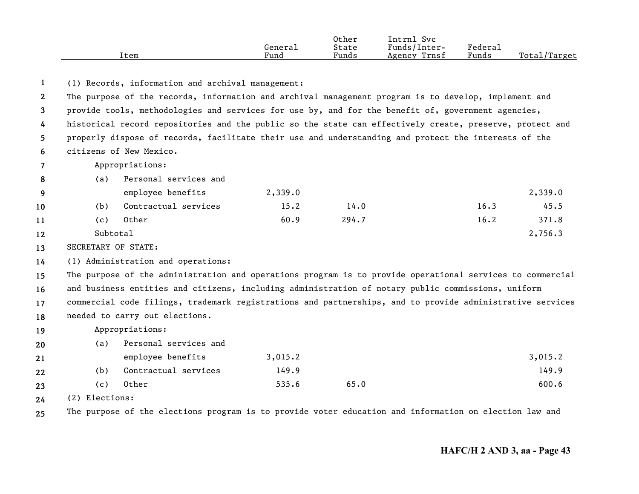|      |         | Other | Svc<br>Intrn]   |         |                           |
|------|---------|-------|-----------------|---------|---------------------------|
|      | Generai | State | Funds/Inter-    | Federai |                           |
| ltem | Fund    | Funds | Trnsf<br>Agency | Funds   | Total/<br><i>l</i> Target |

**1**(1) Records, information and archival management:

**23456**The purpose of the records, information and archival management program is to develop, implement and provide tools, methodologies and services for use by, and for the benefit of, government agencies, historical record repositories and the public so the state can effectively create, preserve, protect and properly dispose of records, facilitate their use and understanding and protect the interests of the citizens of New Mexico.

**7**Appropriations:

| -8 | (a)      | Personal services and |         |       |      |         |
|----|----------|-----------------------|---------|-------|------|---------|
| -9 |          | employee benefits     | 2,339.0 |       |      | 2,339.0 |
| 10 | (b)      | Contractual services  | 15.2    | 14.0  | 16.3 | 45.5    |
| 11 | (c)      | Other                 | 60.9    | 294.7 | 16.2 | 371.8   |
| 12 | Subtotal |                       |         |       |      | 2,756.3 |

**13**SECRETARY OF STATE:

**14**(1) Administration and operations:

**15161718**The purpose of the administration and operations program is to provide operational services to commercial and business entities and citizens, including administration of notary public commissions, uniform commercial code filings, trademark registrations and partnerships, and to provide administrative services needed to carry out elections.

## **19**Appropriations:

| 20 | (a) | Personal services and |         |      |         |
|----|-----|-----------------------|---------|------|---------|
| 21 |     | employee benefits     | 3,015.2 |      | 3,015.2 |
| 22 | (b) | Contractual services  | 149.9   |      | 149.9   |
| 23 | (C) | Other                 | 535.6   | 65.0 | 600.6   |

**24**(2) Elections:

**25**The purpose of the elections program is to provide voter education and information on election law and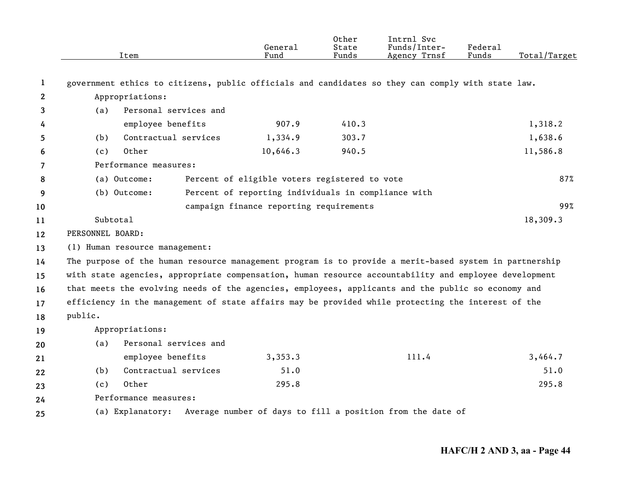|             | Item                                                                                                   |                       | General<br>Fund                                     | Other<br>State<br>Funds | Intrnl Svc<br>Funds/Inter-<br>Agency Trnsf                 | Federal<br>Funds | Total/Target |
|-------------|--------------------------------------------------------------------------------------------------------|-----------------------|-----------------------------------------------------|-------------------------|------------------------------------------------------------|------------------|--------------|
| $\mathbf 1$ | government ethics to citizens, public officials and candidates so they can comply with state law.      |                       |                                                     |                         |                                                            |                  |              |
| 2           | Appropriations:                                                                                        |                       |                                                     |                         |                                                            |                  |              |
| 3           | (a)                                                                                                    | Personal services and |                                                     |                         |                                                            |                  |              |
| 4           |                                                                                                        | employee benefits     | 907.9                                               | 410.3                   |                                                            |                  | 1,318.2      |
| 5           | (b)                                                                                                    | Contractual services  | 1,334.9                                             | 303.7                   |                                                            |                  | 1,638.6      |
| 6           | Other<br>(c)                                                                                           |                       | 10,646.3                                            | 940.5                   |                                                            |                  | 11,586.8     |
| 7           | Performance measures:                                                                                  |                       |                                                     |                         |                                                            |                  |              |
| 8           | (a) Outcome:                                                                                           |                       | Percent of eligible voters registered to vote       |                         |                                                            |                  | 87%          |
| 9           | (b) Outcome:                                                                                           |                       | Percent of reporting individuals in compliance with |                         |                                                            |                  |              |
| 10          | campaign finance reporting requirements                                                                |                       |                                                     |                         |                                                            |                  | 99%          |
| 11          | Subtotal                                                                                               |                       |                                                     |                         |                                                            |                  | 18,309.3     |
| 12          | PERSONNEL BOARD:                                                                                       |                       |                                                     |                         |                                                            |                  |              |
| 13          | (1) Human resource management:                                                                         |                       |                                                     |                         |                                                            |                  |              |
| 14          | The purpose of the human resource management program is to provide a merit-based system in partnership |                       |                                                     |                         |                                                            |                  |              |
| 15          | with state agencies, appropriate compensation, human resource accountability and employee development  |                       |                                                     |                         |                                                            |                  |              |
| 16          | that meets the evolving needs of the agencies, employees, applicants and the public so economy and     |                       |                                                     |                         |                                                            |                  |              |
| 17          | efficiency in the management of state affairs may be provided while protecting the interest of the     |                       |                                                     |                         |                                                            |                  |              |
| 18          | public.                                                                                                |                       |                                                     |                         |                                                            |                  |              |
| 19          | Appropriations:                                                                                        |                       |                                                     |                         |                                                            |                  |              |
| 20          | (a)                                                                                                    | Personal services and |                                                     |                         |                                                            |                  |              |
| 21          |                                                                                                        | employee benefits     | 3,353.3                                             |                         | 111.4                                                      |                  | 3,464.7      |
| 22          | (b)                                                                                                    | Contractual services  | 51.0                                                |                         |                                                            |                  | 51.0         |
| 23          | Other<br>(c)                                                                                           |                       | 295.8                                               |                         |                                                            |                  | 295.8        |
| 24          | Performance measures:                                                                                  |                       |                                                     |                         |                                                            |                  |              |
| 25          | (a) Explanatory:                                                                                       |                       |                                                     |                         | Average number of days to fill a position from the date of |                  |              |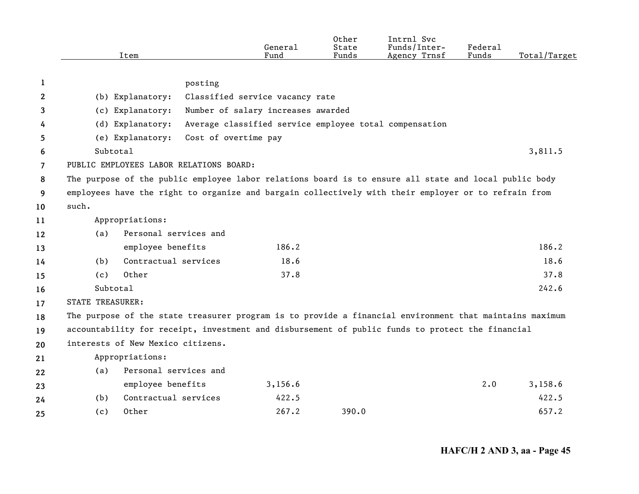|    | Item                                                                                                    |                                                                                                       | General<br>Fund                    | Other<br>State<br>Funds | Intrnl Svc<br>Funds/Inter-<br>Agency Trnsf             | Federal<br>Funds | Total/Target |  |  |
|----|---------------------------------------------------------------------------------------------------------|-------------------------------------------------------------------------------------------------------|------------------------------------|-------------------------|--------------------------------------------------------|------------------|--------------|--|--|
|    |                                                                                                         |                                                                                                       |                                    |                         |                                                        |                  |              |  |  |
| 1  |                                                                                                         | posting                                                                                               |                                    |                         |                                                        |                  |              |  |  |
| 2  | (b) Explanatory:                                                                                        |                                                                                                       | Classified service vacancy rate    |                         |                                                        |                  |              |  |  |
| 3  | (c) Explanatory:                                                                                        |                                                                                                       | Number of salary increases awarded |                         |                                                        |                  |              |  |  |
| 4  | (d) Explanatory:                                                                                        |                                                                                                       |                                    |                         | Average classified service employee total compensation |                  |              |  |  |
| 5  | (e) Explanatory:                                                                                        | Cost of overtime pay                                                                                  |                                    |                         |                                                        |                  |              |  |  |
| 6  | Subtotal                                                                                                |                                                                                                       |                                    |                         |                                                        |                  | 3,811.5      |  |  |
| 7  | PUBLIC EMPLOYEES LABOR RELATIONS BOARD:                                                                 |                                                                                                       |                                    |                         |                                                        |                  |              |  |  |
| 8  |                                                                                                         | The purpose of the public employee labor relations board is to ensure all state and local public body |                                    |                         |                                                        |                  |              |  |  |
| 9  | employees have the right to organize and bargain collectively with their employer or to refrain from    |                                                                                                       |                                    |                         |                                                        |                  |              |  |  |
| 10 | such.                                                                                                   |                                                                                                       |                                    |                         |                                                        |                  |              |  |  |
| 11 | Appropriations:                                                                                         |                                                                                                       |                                    |                         |                                                        |                  |              |  |  |
| 12 | (a)                                                                                                     | Personal services and                                                                                 |                                    |                         |                                                        |                  |              |  |  |
| 13 | employee benefits                                                                                       |                                                                                                       | 186.2                              |                         |                                                        |                  | 186.2        |  |  |
| 14 | (b)                                                                                                     | Contractual services                                                                                  | 18.6                               |                         |                                                        |                  | 18.6         |  |  |
| 15 | Other<br>(c)                                                                                            |                                                                                                       | 37.8                               |                         |                                                        |                  | 37.8         |  |  |
| 16 | Subtotal                                                                                                |                                                                                                       |                                    |                         |                                                        |                  | 242.6        |  |  |
| 17 | <b>STATE TREASURER:</b>                                                                                 |                                                                                                       |                                    |                         |                                                        |                  |              |  |  |
| 18 | The purpose of the state treasurer program is to provide a financial environment that maintains maximum |                                                                                                       |                                    |                         |                                                        |                  |              |  |  |
| 19 | accountability for receipt, investment and disbursement of public funds to protect the financial        |                                                                                                       |                                    |                         |                                                        |                  |              |  |  |
| 20 | interests of New Mexico citizens.                                                                       |                                                                                                       |                                    |                         |                                                        |                  |              |  |  |
| 21 | Appropriations:                                                                                         |                                                                                                       |                                    |                         |                                                        |                  |              |  |  |
| 22 | (a)                                                                                                     | Personal services and                                                                                 |                                    |                         |                                                        |                  |              |  |  |
| 23 | employee benefits                                                                                       |                                                                                                       | 3,156.6                            |                         |                                                        | 2.0              | 3,158.6      |  |  |
| 24 | (b)                                                                                                     | Contractual services                                                                                  | 422.5                              |                         |                                                        |                  | 422.5        |  |  |
| 25 | Other<br>(c)                                                                                            |                                                                                                       | 267.2                              | 390.0                   |                                                        |                  | 657.2        |  |  |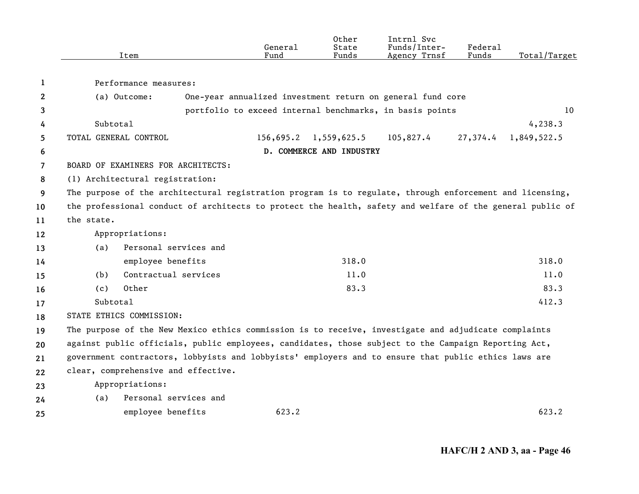|    | Item                                | General<br>Fund                                                                                           | Other<br>State<br>Funds  | Intrnl Svc<br>Funds/Inter-<br>Agency Trnsf | Federal<br>Funds | Total/Target |
|----|-------------------------------------|-----------------------------------------------------------------------------------------------------------|--------------------------|--------------------------------------------|------------------|--------------|
| 1  | Performance measures:               |                                                                                                           |                          |                                            |                  |              |
| 2  | (a) Outcome:                        | One-year annualized investment return on general fund core                                                |                          |                                            |                  |              |
| 3  |                                     | portfolio to exceed internal benchmarks, in basis points                                                  |                          |                                            |                  | 10           |
| 4  | Subtotal                            |                                                                                                           |                          |                                            |                  | 4, 238.3     |
| 5  | TOTAL GENERAL CONTROL               | 156,695.2                                                                                                 | 1,559,625.5              | 105,827.4                                  | 27,374.4         | 1,849,522.5  |
| 6  |                                     |                                                                                                           | D. COMMERCE AND INDUSTRY |                                            |                  |              |
| 7  | BOARD OF EXAMINERS FOR ARCHITECTS:  |                                                                                                           |                          |                                            |                  |              |
| 8  | (1) Architectural registration:     |                                                                                                           |                          |                                            |                  |              |
| 9  |                                     | The purpose of the architectural registration program is to regulate, through enforcement and licensing,  |                          |                                            |                  |              |
| 10 |                                     | the professional conduct of architects to protect the health, safety and welfare of the general public of |                          |                                            |                  |              |
| 11 | the state.                          |                                                                                                           |                          |                                            |                  |              |
| 12 | Appropriations:                     |                                                                                                           |                          |                                            |                  |              |
| 13 | Personal services and<br>(a)        |                                                                                                           |                          |                                            |                  |              |
| 14 | employee benefits                   |                                                                                                           | 318.0                    |                                            |                  | 318.0        |
| 15 | Contractual services<br>(b)         |                                                                                                           | 11.0                     |                                            |                  | 11.0         |
| 16 | Other<br>(c)                        |                                                                                                           | 83.3                     |                                            |                  | 83.3         |
| 17 | Subtotal                            |                                                                                                           |                          |                                            |                  | 412.3        |
| 18 | STATE ETHICS COMMISSION:            |                                                                                                           |                          |                                            |                  |              |
| 19 |                                     | The purpose of the New Mexico ethics commission is to receive, investigate and adjudicate complaints      |                          |                                            |                  |              |
| 20 |                                     | against public officials, public employees, candidates, those subject to the Campaign Reporting Act,      |                          |                                            |                  |              |
| 21 |                                     | government contractors, lobbyists and lobbyists' employers and to ensure that public ethics laws are      |                          |                                            |                  |              |
| 22 | clear, comprehensive and effective. |                                                                                                           |                          |                                            |                  |              |
| 23 | Appropriations:                     |                                                                                                           |                          |                                            |                  |              |
| 24 | Personal services and<br>(a)        |                                                                                                           |                          |                                            |                  |              |
| 25 | employee benefits                   | 623.2                                                                                                     |                          |                                            |                  | 623.2        |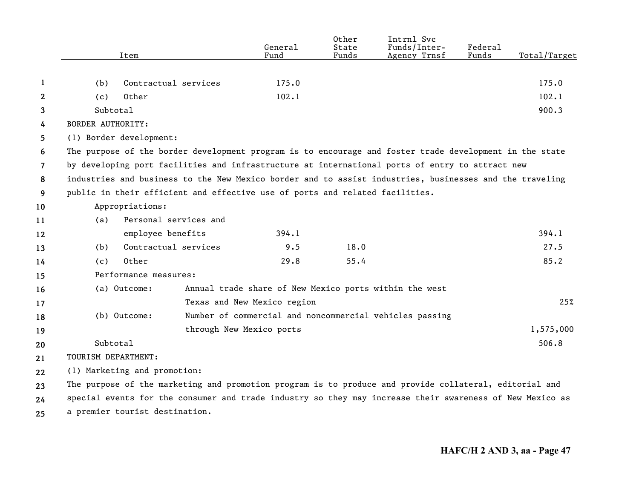|                |                          | Item                                                                                                     | General<br>Fund                                        | Other<br>State<br>Funds | Intrnl Svc<br>Funds/Inter-<br>Agency Trnsf              | Federal<br>Funds | Total/Target |
|----------------|--------------------------|----------------------------------------------------------------------------------------------------------|--------------------------------------------------------|-------------------------|---------------------------------------------------------|------------------|--------------|
|                |                          |                                                                                                          |                                                        |                         |                                                         |                  |              |
| 1              | (b)                      | Contractual services                                                                                     | 175.0                                                  |                         |                                                         |                  | 175.0        |
| 2              | (c)                      | Other                                                                                                    | 102.1                                                  |                         |                                                         |                  | 102.1        |
| 3              | Subtotal                 |                                                                                                          |                                                        |                         |                                                         |                  | 900.3        |
| 4              | <b>BORDER AUTHORITY:</b> |                                                                                                          |                                                        |                         |                                                         |                  |              |
| 5              | (1) Border development:  |                                                                                                          |                                                        |                         |                                                         |                  |              |
| 6              |                          | The purpose of the border development program is to encourage and foster trade development in the state  |                                                        |                         |                                                         |                  |              |
| $\overline{7}$ |                          | by developing port facilities and infrastructure at international ports of entry to attract new          |                                                        |                         |                                                         |                  |              |
| 8              |                          | industries and business to the New Mexico border and to assist industries, businesses and the traveling  |                                                        |                         |                                                         |                  |              |
| 9              |                          | public in their efficient and effective use of ports and related facilities.                             |                                                        |                         |                                                         |                  |              |
| 10             |                          | Appropriations:                                                                                          |                                                        |                         |                                                         |                  |              |
| 11             | (a)                      | Personal services and                                                                                    |                                                        |                         |                                                         |                  |              |
| 12             |                          | employee benefits                                                                                        | 394.1                                                  |                         |                                                         |                  | 394.1        |
| 13             | (b)                      | Contractual services                                                                                     | 9.5                                                    | 18.0                    |                                                         |                  | 27.5         |
| 14             | (c)                      | Other                                                                                                    | 29.8                                                   | 55.4                    |                                                         |                  | 85.2         |
| 15             |                          | Performance measures:                                                                                    |                                                        |                         |                                                         |                  |              |
| 16             |                          | (a) Outcome:                                                                                             | Annual trade share of New Mexico ports within the west |                         |                                                         |                  |              |
| 17             |                          |                                                                                                          | Texas and New Mexico region                            |                         |                                                         |                  | 25%          |
| 18             |                          | (b) Outcome:                                                                                             |                                                        |                         | Number of commercial and noncommercial vehicles passing |                  |              |
| 19             |                          |                                                                                                          | through New Mexico ports                               |                         |                                                         |                  | 1,575,000    |
| 20             | Subtotal                 |                                                                                                          |                                                        |                         |                                                         |                  | 506.8        |
| 21             | TOURISM DEPARTMENT:      |                                                                                                          |                                                        |                         |                                                         |                  |              |
| 22             |                          | (1) Marketing and promotion:                                                                             |                                                        |                         |                                                         |                  |              |
| 23             |                          | The purpose of the marketing and promotion program is to produce and provide collateral, editorial and   |                                                        |                         |                                                         |                  |              |
| 24             |                          | special events for the consumer and trade industry so they may increase their awareness of New Mexico as |                                                        |                         |                                                         |                  |              |
| 25             |                          | a premier tourist destination.                                                                           |                                                        |                         |                                                         |                  |              |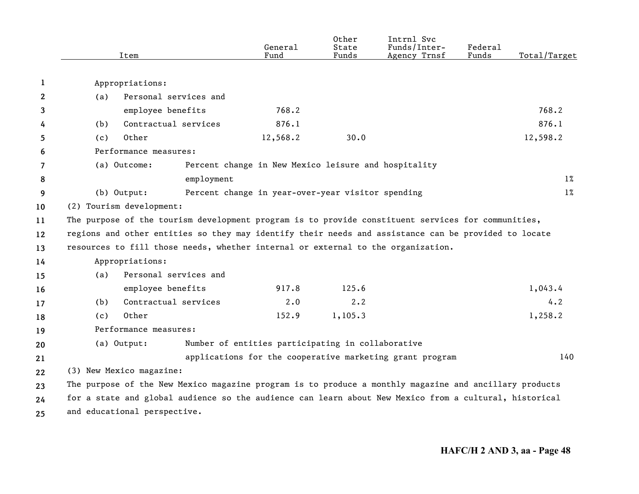|    | Item                                                                                                   |            | General<br>Fund                                      | Other<br>State<br>Funds | Intrnl Svc<br>Funds/Inter-<br>Agency Trnsf               | Federal<br>Funds | Total/Target |
|----|--------------------------------------------------------------------------------------------------------|------------|------------------------------------------------------|-------------------------|----------------------------------------------------------|------------------|--------------|
| 1  | Appropriations:                                                                                        |            |                                                      |                         |                                                          |                  |              |
| 2  | Personal services and<br>(a)                                                                           |            |                                                      |                         |                                                          |                  |              |
| 3  | employee benefits                                                                                      |            | 768.2                                                |                         |                                                          |                  | 768.2        |
| 4  | Contractual services<br>(b)                                                                            |            | 876.1                                                |                         |                                                          |                  | 876.1        |
| 5  | Other<br>(c)                                                                                           |            | 12,568.2                                             | 30.0                    |                                                          |                  | 12,598.2     |
| 6  | Performance measures:                                                                                  |            |                                                      |                         |                                                          |                  |              |
| 7  | (a) Outcome:                                                                                           |            | Percent change in New Mexico leisure and hospitality |                         |                                                          |                  |              |
| 8  |                                                                                                        | employment |                                                      |                         |                                                          |                  | $1\%$        |
|    | (b) Output:                                                                                            |            | Percent change in year-over-year visitor spending    |                         |                                                          |                  | $1\%$        |
| 9  | (2) Tourism development:                                                                               |            |                                                      |                         |                                                          |                  |              |
| 10 |                                                                                                        |            |                                                      |                         |                                                          |                  |              |
| 11 | The purpose of the tourism development program is to provide constituent services for communities,     |            |                                                      |                         |                                                          |                  |              |
| 12 | regions and other entities so they may identify their needs and assistance can be provided to locate   |            |                                                      |                         |                                                          |                  |              |
| 13 | resources to fill those needs, whether internal or external to the organization.                       |            |                                                      |                         |                                                          |                  |              |
| 14 | Appropriations:<br>Personal services and                                                               |            |                                                      |                         |                                                          |                  |              |
| 15 | (a)                                                                                                    |            |                                                      |                         |                                                          |                  |              |
| 16 | employee benefits                                                                                      |            | 917.8                                                | 125.6                   |                                                          |                  | 1,043.4      |
| 17 | Contractual services<br>(b)                                                                            |            | 2.0                                                  | 2.2                     |                                                          |                  | 4.2          |
| 18 | Other<br>(c)                                                                                           |            | 152.9                                                | 1,105.3                 |                                                          |                  | 1,258.2      |
| 19 | Performance measures:                                                                                  |            |                                                      |                         |                                                          |                  |              |
| 20 | (a) Output:                                                                                            |            | Number of entities participating in collaborative    |                         |                                                          |                  |              |
| 21 |                                                                                                        |            |                                                      |                         | applications for the cooperative marketing grant program |                  | 140          |
| 22 | (3) New Mexico magazine:                                                                               |            |                                                      |                         |                                                          |                  |              |
| 23 | The purpose of the New Mexico magazine program is to produce a monthly magazine and ancillary products |            |                                                      |                         |                                                          |                  |              |
| 24 | for a state and global audience so the audience can learn about New Mexico from a cultural, historical |            |                                                      |                         |                                                          |                  |              |
| 25 | and educational perspective.                                                                           |            |                                                      |                         |                                                          |                  |              |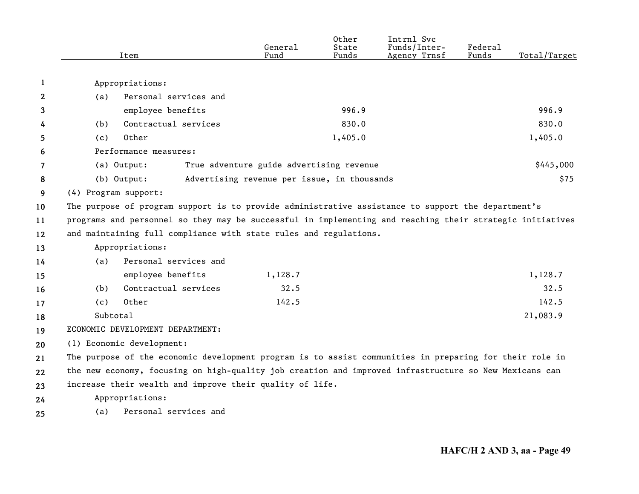|    |          | Item                                                                                                      | General<br>Fund                             | Other<br>State<br>Funds | Intrnl Svc<br>Funds/Inter-<br>Agency Trnsf | Federal<br>Funds | Total/Target |
|----|----------|-----------------------------------------------------------------------------------------------------------|---------------------------------------------|-------------------------|--------------------------------------------|------------------|--------------|
|    |          |                                                                                                           |                                             |                         |                                            |                  |              |
| 1  |          | Appropriations:                                                                                           |                                             |                         |                                            |                  |              |
| 2  | (a)      | Personal services and                                                                                     |                                             |                         |                                            |                  |              |
| 3  |          | employee benefits                                                                                         |                                             | 996.9                   |                                            |                  | 996.9        |
| 4  | (b)      | Contractual services                                                                                      |                                             | 830.0                   |                                            |                  | 830.0        |
| 5  | (c)      | Other                                                                                                     |                                             | 1,405.0                 |                                            |                  | 1,405.0      |
| 6  |          | Performance measures:                                                                                     |                                             |                         |                                            |                  |              |
| 7  |          | (a) Output:                                                                                               | True adventure guide advertising revenue    |                         |                                            |                  | \$445,000    |
| 8  |          | $(b)$ Output:                                                                                             | Advertising revenue per issue, in thousands |                         |                                            |                  | \$75         |
| 9  |          | (4) Program support:                                                                                      |                                             |                         |                                            |                  |              |
| 10 |          | The purpose of program support is to provide administrative assistance to support the department's        |                                             |                         |                                            |                  |              |
| 11 |          | programs and personnel so they may be successful in implementing and reaching their strategic initiatives |                                             |                         |                                            |                  |              |
| 12 |          | and maintaining full compliance with state rules and regulations.                                         |                                             |                         |                                            |                  |              |
| 13 |          | Appropriations:                                                                                           |                                             |                         |                                            |                  |              |
| 14 | (a)      | Personal services and                                                                                     |                                             |                         |                                            |                  |              |
| 15 |          | employee benefits                                                                                         | 1,128.7                                     |                         |                                            |                  | 1,128.7      |
| 16 | (b)      | Contractual services                                                                                      | 32.5                                        |                         |                                            |                  | 32.5         |
| 17 | (c)      | Other                                                                                                     | 142.5                                       |                         |                                            |                  | 142.5        |
| 18 | Subtotal |                                                                                                           |                                             |                         |                                            |                  | 21,083.9     |
| 19 |          | ECONOMIC DEVELOPMENT DEPARTMENT:                                                                          |                                             |                         |                                            |                  |              |
| 20 |          | (1) Economic development:                                                                                 |                                             |                         |                                            |                  |              |
| 21 |          | The purpose of the economic development program is to assist communities in preparing for their role in   |                                             |                         |                                            |                  |              |
| 22 |          | the new economy, focusing on high-quality job creation and improved infrastructure so New Mexicans can    |                                             |                         |                                            |                  |              |
| 23 |          | increase their wealth and improve their quality of life.                                                  |                                             |                         |                                            |                  |              |
| 24 |          | Appropriations:                                                                                           |                                             |                         |                                            |                  |              |
| 25 | (a)      | Personal services and                                                                                     |                                             |                         |                                            |                  |              |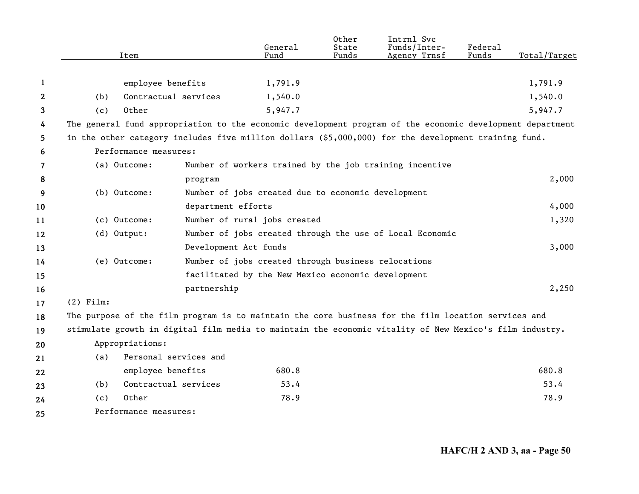|    |             | Item                  |                       | General<br>Fund                                     | Other<br>State<br>Funds | Intrnl Svc<br>Funds/Inter-<br>Agency Trnsf                                                                | Federal<br>Funds | Total/Target |
|----|-------------|-----------------------|-----------------------|-----------------------------------------------------|-------------------------|-----------------------------------------------------------------------------------------------------------|------------------|--------------|
|    |             |                       |                       |                                                     |                         |                                                                                                           |                  |              |
| 1  |             | employee benefits     |                       | 1,791.9                                             |                         |                                                                                                           |                  | 1,791.9      |
| 2  | (b)         | Contractual services  |                       | 1,540.0                                             |                         |                                                                                                           |                  | 1,540.0      |
| 3  | (c)         | Other                 |                       | 5,947.7                                             |                         |                                                                                                           |                  | 5,947.7      |
| 4  |             |                       |                       |                                                     |                         | The general fund appropriation to the economic development program of the economic development department |                  |              |
| 5  |             |                       |                       |                                                     |                         | in the other category includes five million dollars (\$5,000,000) for the development training fund.      |                  |              |
| 6  |             | Performance measures: |                       |                                                     |                         |                                                                                                           |                  |              |
| 7  |             | (a) Outcome:          |                       |                                                     |                         | Number of workers trained by the job training incentive                                                   |                  |              |
| 8  |             |                       | program               |                                                     |                         |                                                                                                           |                  | 2,000        |
| 9  |             | (b) Outcome:          |                       | Number of jobs created due to economic development  |                         |                                                                                                           |                  |              |
| 10 |             |                       | department efforts    |                                                     |                         |                                                                                                           |                  | 4,000        |
| 11 |             | (c) Outcome:          |                       | Number of rural jobs created                        |                         |                                                                                                           |                  | 1,320        |
| 12 |             | (d) Output:           |                       |                                                     |                         | Number of jobs created through the use of Local Economic                                                  |                  |              |
| 13 |             |                       | Development Act funds |                                                     |                         |                                                                                                           |                  | 3,000        |
| 14 |             | (e) Outcome:          |                       | Number of jobs created through business relocations |                         |                                                                                                           |                  |              |
| 15 |             |                       |                       | facilitated by the New Mexico economic development  |                         |                                                                                                           |                  |              |
| 16 |             |                       | partnership           |                                                     |                         |                                                                                                           |                  | 2,250        |
| 17 | $(2)$ Film: |                       |                       |                                                     |                         |                                                                                                           |                  |              |
| 18 |             |                       |                       |                                                     |                         | The purpose of the film program is to maintain the core business for the film location services and       |                  |              |
| 19 |             |                       |                       |                                                     |                         | stimulate growth in digital film media to maintain the economic vitality of New Mexico's film industry.   |                  |              |
| 20 |             | Appropriations:       |                       |                                                     |                         |                                                                                                           |                  |              |
| 21 | (a)         | Personal services and |                       |                                                     |                         |                                                                                                           |                  |              |
| 22 |             | employee benefits     |                       | 680.8                                               |                         |                                                                                                           |                  | 680.8        |
| 23 | (b)         | Contractual services  |                       | 53.4                                                |                         |                                                                                                           |                  | 53.4         |
| 24 | (c)         | Other                 |                       | 78.9                                                |                         |                                                                                                           |                  | 78.9         |
| 25 |             | Performance measures: |                       |                                                     |                         |                                                                                                           |                  |              |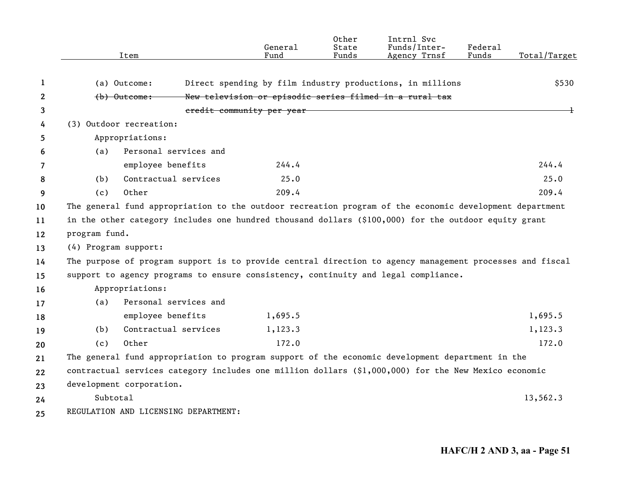|    | Item                     |                                                                                                          | General<br>F <sub>11</sub> nd | Other<br>State<br>Funds | Intrnl Svc<br>Funds/Inter-<br>Agency Trnsf                | Federal<br>Funds | Total/Target |
|----|--------------------------|----------------------------------------------------------------------------------------------------------|-------------------------------|-------------------------|-----------------------------------------------------------|------------------|--------------|
| 1  | (a) Outcome:             |                                                                                                          |                               |                         | Direct spending by film industry productions, in millions |                  | \$530        |
| 2  | (b) Outcome:             |                                                                                                          |                               |                         | New television or episodic series filmed in a rural tax   |                  |              |
| 3  |                          |                                                                                                          | credit community per year     |                         |                                                           |                  |              |
| 4  | (3) Outdoor recreation:  |                                                                                                          |                               |                         |                                                           |                  |              |
| 5  | Appropriations:          |                                                                                                          |                               |                         |                                                           |                  |              |
| 6  | (a)                      | Personal services and                                                                                    |                               |                         |                                                           |                  |              |
| 7  |                          | employee benefits                                                                                        | 244.4                         |                         |                                                           |                  | 244.4        |
| 8  | (b)                      | Contractual services                                                                                     | 25.0                          |                         |                                                           |                  | 25.0         |
| 9  | (c)                      | Other                                                                                                    | 209.4                         |                         |                                                           |                  | 209.4        |
| 10 |                          | The general fund appropriation to the outdoor recreation program of the economic development department  |                               |                         |                                                           |                  |              |
| 11 |                          | in the other category includes one hundred thousand dollars (\$100,000) for the outdoor equity grant     |                               |                         |                                                           |                  |              |
| 12 | program fund.            |                                                                                                          |                               |                         |                                                           |                  |              |
| 13 | (4) Program support:     |                                                                                                          |                               |                         |                                                           |                  |              |
| 14 |                          | The purpose of program support is to provide central direction to agency management processes and fiscal |                               |                         |                                                           |                  |              |
| 15 |                          | support to agency programs to ensure consistency, continuity and legal compliance.                       |                               |                         |                                                           |                  |              |
| 16 | Appropriations:          |                                                                                                          |                               |                         |                                                           |                  |              |
| 17 | (a)                      | Personal services and                                                                                    |                               |                         |                                                           |                  |              |
| 18 |                          | employee benefits                                                                                        | 1,695.5                       |                         |                                                           |                  | 1,695.5      |
| 19 | (b)                      | Contractual services                                                                                     | 1,123.3                       |                         |                                                           |                  | 1,123.3      |
| 20 | (c)                      | Other                                                                                                    | 172.0                         |                         |                                                           |                  | 172.0        |
| 21 |                          | The general fund appropriation to program support of the economic development department in the          |                               |                         |                                                           |                  |              |
| 22 |                          | contractual services category includes one million dollars $(91,000,000)$ for the New Mexico economic    |                               |                         |                                                           |                  |              |
| 23 | development corporation. |                                                                                                          |                               |                         |                                                           |                  |              |
| 24 | Subtotal                 |                                                                                                          |                               |                         |                                                           |                  | 13,562.3     |
| 25 |                          | REGULATION AND LICENSING DEPARTMENT:                                                                     |                               |                         |                                                           |                  |              |
|    |                          |                                                                                                          |                               |                         |                                                           |                  |              |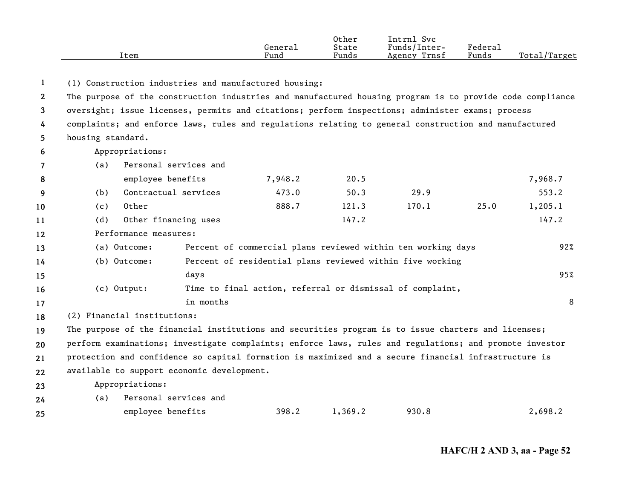|      |         | Other | Intrnl<br><b>Svc</b> |         |                   |
|------|---------|-------|----------------------|---------|-------------------|
|      | Generai | State | Funds/Inter-         | Federau |                   |
| Item | Fund    | Funds | Trnsf<br>Agency      | Funds   | Total/<br>'Target |

**1**(1) Construction industries and manufactured housing:

**24**

**234567891011121314151617181920212223**The purpose of the construction industries and manufactured housing program is to provide code compliance oversight; issue licenses, permits and citations; perform inspections; administer exams; process complaints; and enforce laws, rules and regulations relating to general construction and manufactured housing standard. Appropriations: (a) Personal services and employee benefits  $7,948.2$  20.5 2000 2000 2000 7,968.7 (b) Contractual services 473.0 50.3 29.9 553.2 (c) Other 888.7 121.3 170.1 25.0 1,205.1 (d) Other financing uses 147.2 147.2 Performance measures:(a) Outcome: Percent of commercial plans reviewed within ten working days 92% (b) Outcome: Percent of residential plans reviewed within five working days 95% (c) Output: Time to final action, referral or dismissal of complaint, in monthss and the second second second second second second second second second second second second second second se (2) Financial institutions: The purpose of the financial institutions and securities program is to issue charters and licenses; perform examinations; investigate complaints; enforce laws, rules and regulations; and promote investor protection and confidence so capital formation is maximized and a secure financial infrastructure is available to support economic development. Appropriations: (a) Personal services and

**25**employee benefits 398.2 1,369.2 930.8 2,698.2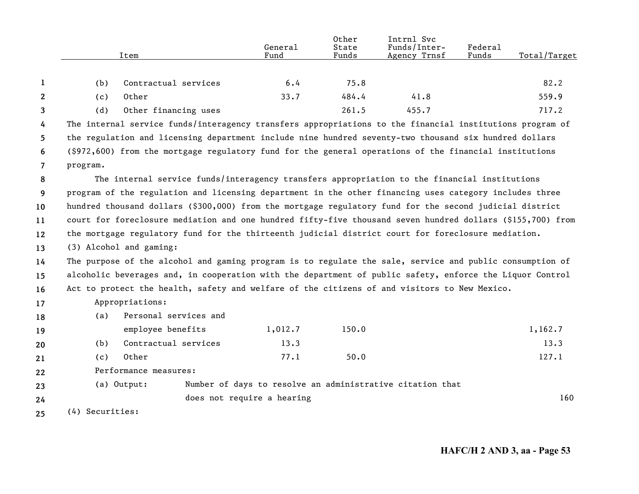|                       |                 | Item                                                                                                       | General<br>Fund            | Other<br>State<br>Funds | Intrnl Svc<br>Funds/Inter-<br>Agency Trnsf                | Federal<br>Funds | Total/Target |
|-----------------------|-----------------|------------------------------------------------------------------------------------------------------------|----------------------------|-------------------------|-----------------------------------------------------------|------------------|--------------|
|                       |                 |                                                                                                            |                            |                         |                                                           |                  |              |
| 1                     | (b)             | Contractual services                                                                                       | 6.4                        | 75.8                    |                                                           |                  | 82.2         |
| $\mathbf{2}^{\prime}$ | (c)             | Other                                                                                                      | 33.7                       | 484.4                   | 41.8                                                      |                  | 559.9        |
| 3                     | (d)             | Other financing uses                                                                                       |                            | 261.5                   | 455.7                                                     |                  | 717.2        |
| 4                     |                 | The internal service funds/interagency transfers appropriations to the financial institutions program of   |                            |                         |                                                           |                  |              |
| 5.                    |                 | the regulation and licensing department include nine hundred seventy-two thousand six hundred dollars      |                            |                         |                                                           |                  |              |
| 6                     |                 | (\$972,600) from the mortgage regulatory fund for the general operations of the financial institutions     |                            |                         |                                                           |                  |              |
| $\overline{7}$        | program.        |                                                                                                            |                            |                         |                                                           |                  |              |
| 8                     |                 | The internal service funds/interagency transfers appropriation to the financial institutions               |                            |                         |                                                           |                  |              |
| 9                     |                 | program of the regulation and licensing department in the other financing uses category includes three     |                            |                         |                                                           |                  |              |
| 10                    |                 | hundred thousand dollars (\$300,000) from the mortgage regulatory fund for the second judicial district    |                            |                         |                                                           |                  |              |
| 11                    |                 | court for foreclosure mediation and one hundred fifty-five thousand seven hundred dollars (\$155,700) from |                            |                         |                                                           |                  |              |
| 12                    |                 | the mortgage regulatory fund for the thirteenth judicial district court for foreclosure mediation.         |                            |                         |                                                           |                  |              |
| 13                    |                 | (3) Alcohol and gaming:                                                                                    |                            |                         |                                                           |                  |              |
| 14                    |                 | The purpose of the alcohol and gaming program is to regulate the sale, service and public consumption of   |                            |                         |                                                           |                  |              |
| 15                    |                 | alcoholic beverages and, in cooperation with the department of public safety, enforce the Liquor Control   |                            |                         |                                                           |                  |              |
| 16                    |                 | Act to protect the health, safety and welfare of the citizens of and visitors to New Mexico.               |                            |                         |                                                           |                  |              |
| 17                    |                 | Appropriations:                                                                                            |                            |                         |                                                           |                  |              |
| 18                    | (a)             | Personal services and                                                                                      |                            |                         |                                                           |                  |              |
| 19                    |                 | employee benefits                                                                                          | 1,012.7                    | 150.0                   |                                                           |                  | 1,162.7      |
| 20                    | (b)             | Contractual services                                                                                       | 13.3                       |                         |                                                           |                  | 13.3         |
| 21                    | (c)             | Other                                                                                                      | 77.1                       | 50.0                    |                                                           |                  | 127.1        |
| 22                    |                 | Performance measures:                                                                                      |                            |                         |                                                           |                  |              |
| 23                    |                 | (a) Output:                                                                                                |                            |                         | Number of days to resolve an administrative citation that |                  |              |
| 24                    |                 |                                                                                                            | does not require a hearing |                         |                                                           |                  | 160          |
| 25                    | (4) Securities: |                                                                                                            |                            |                         |                                                           |                  |              |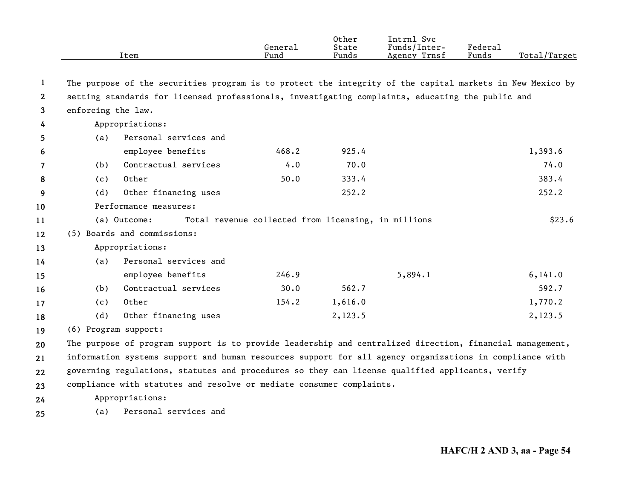|                |                      | Item                                                                                                      | General<br>Fund                                     | Other<br>State<br>Funds | Intrnl Svc<br>Funds/Inter-<br>Agency Trnsf | <b>Federal</b><br>Funds | Total/Target |
|----------------|----------------------|-----------------------------------------------------------------------------------------------------------|-----------------------------------------------------|-------------------------|--------------------------------------------|-------------------------|--------------|
| 1              |                      | The purpose of the securities program is to protect the integrity of the capital markets in New Mexico by |                                                     |                         |                                            |                         |              |
| $\overline{2}$ |                      | setting standards for licensed professionals, investigating complaints, educating the public and          |                                                     |                         |                                            |                         |              |
| 3              | enforcing the law.   |                                                                                                           |                                                     |                         |                                            |                         |              |
| 4              |                      | Appropriations:                                                                                           |                                                     |                         |                                            |                         |              |
| 5              | (a)                  | Personal services and                                                                                     |                                                     |                         |                                            |                         |              |
| 6              |                      | employee benefits                                                                                         | 468.2                                               | 925.4                   |                                            |                         | 1,393.6      |
| 7              | (b)                  | Contractual services                                                                                      | 4.0                                                 | 70.0                    |                                            |                         | 74.0         |
| 8              | (c)                  | Other                                                                                                     | 50.0                                                | 333.4                   |                                            |                         | 383.4        |
| 9              | (d)                  | Other financing uses                                                                                      |                                                     | 252.2                   |                                            |                         | 252.2        |
| 10             |                      | Performance measures:                                                                                     |                                                     |                         |                                            |                         |              |
| 11             |                      | (a) Outcome:                                                                                              | Total revenue collected from licensing, in millions |                         |                                            |                         | \$23.6       |
| 12             |                      | (5) Boards and commissions:                                                                               |                                                     |                         |                                            |                         |              |
| 13             |                      | Appropriations:                                                                                           |                                                     |                         |                                            |                         |              |
| 14             | (a)                  | Personal services and                                                                                     |                                                     |                         |                                            |                         |              |
| 15             |                      | employee benefits                                                                                         | 246.9                                               |                         | 5,894.1                                    |                         | 6, 141.0     |
| 16             | (b)                  | Contractual services                                                                                      | 30.0                                                | 562.7                   |                                            |                         | 592.7        |
| 17             | (c)                  | Other                                                                                                     | 154.2                                               | 1,616.0                 |                                            |                         | 1,770.2      |
| 18             | (d)                  | Other financing uses                                                                                      |                                                     | 2,123.5                 |                                            |                         | 2,123.5      |
| 19             | (6) Program support: |                                                                                                           |                                                     |                         |                                            |                         |              |
| 20             |                      | The purpose of program support is to provide leadership and centralized direction, financial management,  |                                                     |                         |                                            |                         |              |
| 21             |                      | information systems support and human resources support for all agency organizations in compliance with   |                                                     |                         |                                            |                         |              |
| $22 \,$        |                      | governing regulations, statutes and procedures so they can license qualified applicants, verify           |                                                     |                         |                                            |                         |              |
| 23             |                      | compliance with statutes and resolve or mediate consumer complaints.                                      |                                                     |                         |                                            |                         |              |
| 24             |                      | Appropriations:                                                                                           |                                                     |                         |                                            |                         |              |
| 25             | (a)                  | Personal services and                                                                                     |                                                     |                         |                                            |                         |              |
|                |                      |                                                                                                           |                                                     |                         |                                            |                         |              |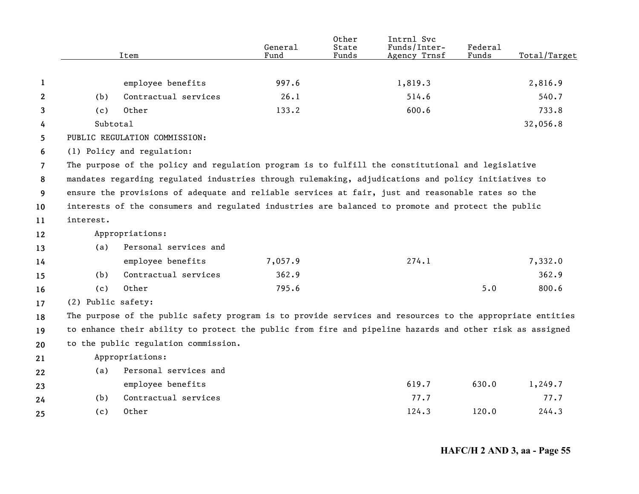|                |                    | Item                                                                                                      | General<br>Fund | Other<br>State<br>Funds | Intrnl Svc<br>Funds/Inter-<br>Agency Trnsf | Federal<br>Funds | Total/Target |
|----------------|--------------------|-----------------------------------------------------------------------------------------------------------|-----------------|-------------------------|--------------------------------------------|------------------|--------------|
|                |                    |                                                                                                           |                 |                         |                                            |                  |              |
| 1              |                    | employee benefits                                                                                         | 997.6           |                         | 1,819.3                                    |                  | 2,816.9      |
| 2              | (b)                | Contractual services                                                                                      | 26.1            |                         | 514.6                                      |                  | 540.7        |
| 3              | (c)                | Other                                                                                                     | 133.2           |                         | 600.6                                      |                  | 733.8        |
| 4              | Subtotal           |                                                                                                           |                 |                         |                                            |                  | 32,056.8     |
| 5              |                    | PUBLIC REGULATION COMMISSION:                                                                             |                 |                         |                                            |                  |              |
| 6              |                    | (1) Policy and regulation:                                                                                |                 |                         |                                            |                  |              |
| $\overline{7}$ |                    | The purpose of the policy and regulation program is to fulfill the constitutional and legislative         |                 |                         |                                            |                  |              |
| 8              |                    | mandates regarding regulated industries through rulemaking, adjudications and policy initiatives to       |                 |                         |                                            |                  |              |
| 9              |                    | ensure the provisions of adequate and reliable services at fair, just and reasonable rates so the         |                 |                         |                                            |                  |              |
| 10             |                    | interests of the consumers and regulated industries are balanced to promote and protect the public        |                 |                         |                                            |                  |              |
| 11             | interest.          |                                                                                                           |                 |                         |                                            |                  |              |
| 12             |                    | Appropriations:                                                                                           |                 |                         |                                            |                  |              |
| 13             | (a)                | Personal services and                                                                                     |                 |                         |                                            |                  |              |
| 14             |                    | employee benefits                                                                                         | 7,057.9         |                         | 274.1                                      |                  | 7,332.0      |
| 15             | (b)                | Contractual services                                                                                      | 362.9           |                         |                                            |                  | 362.9        |
| 16             | (c)                | Other                                                                                                     | 795.6           |                         |                                            | 5.0              | 800.6        |
| 17             | (2) Public safety: |                                                                                                           |                 |                         |                                            |                  |              |
| 18             |                    | The purpose of the public safety program is to provide services and resources to the appropriate entities |                 |                         |                                            |                  |              |
| 19             |                    | to enhance their ability to protect the public from fire and pipeline hazards and other risk as assigned  |                 |                         |                                            |                  |              |
| 20             |                    | to the public regulation commission.                                                                      |                 |                         |                                            |                  |              |
| 21             |                    | Appropriations:                                                                                           |                 |                         |                                            |                  |              |
| 22             | (a)                | Personal services and                                                                                     |                 |                         |                                            |                  |              |
| 23             |                    | employee benefits                                                                                         |                 |                         | 619.7                                      | 630.0            | 1,249.7      |
| 24             | (b)                | Contractual services                                                                                      |                 |                         | 77.7                                       |                  | 77.7         |
| 25             | (c)                | Other                                                                                                     |                 |                         | 124.3                                      | 120.0            | 244.3        |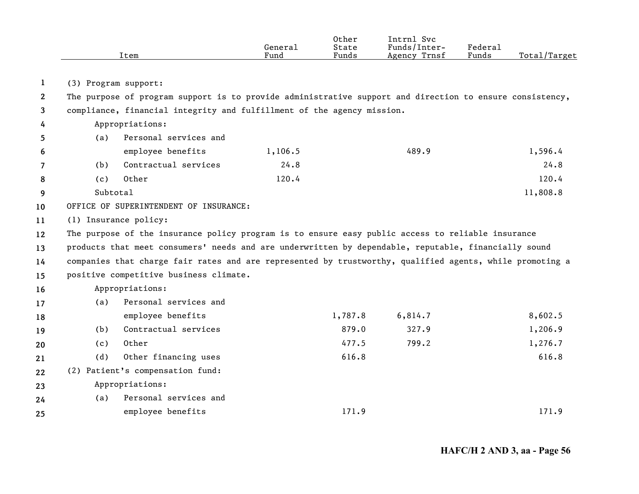|                       |          | Item                                                                                                     | General<br>Fund | Other<br>State<br>Funds | Intrnl Svc<br>Funds/Inter-<br>Agency Trnsf | Federal<br>Funds | Total/Target |
|-----------------------|----------|----------------------------------------------------------------------------------------------------------|-----------------|-------------------------|--------------------------------------------|------------------|--------------|
|                       |          |                                                                                                          |                 |                         |                                            |                  |              |
| 1                     |          | (3) Program support:                                                                                     |                 |                         |                                            |                  |              |
| $\mathbf{2}^{\prime}$ |          | The purpose of program support is to provide administrative support and direction to ensure consistency, |                 |                         |                                            |                  |              |
| 3                     |          | compliance, financial integrity and fulfillment of the agency mission.                                   |                 |                         |                                            |                  |              |
| 4                     |          | Appropriations:                                                                                          |                 |                         |                                            |                  |              |
| 5                     | (a)      | Personal services and                                                                                    |                 |                         |                                            |                  |              |
| 6                     |          | employee benefits                                                                                        | 1,106.5         |                         | 489.9                                      |                  | 1,596.4      |
| 7                     | (b)      | Contractual services                                                                                     | 24.8            |                         |                                            |                  | 24.8         |
| 8                     | (c)      | Other                                                                                                    | 120.4           |                         |                                            |                  | 120.4        |
| 9                     | Subtotal |                                                                                                          |                 |                         |                                            |                  | 11,808.8     |
| 10                    |          | OFFICE OF SUPERINTENDENT OF INSURANCE:                                                                   |                 |                         |                                            |                  |              |
| 11                    |          | (1) Insurance policy:                                                                                    |                 |                         |                                            |                  |              |
| 12                    |          | The purpose of the insurance policy program is to ensure easy public access to reliable insurance        |                 |                         |                                            |                  |              |
| 13                    |          | products that meet consumers' needs and are underwritten by dependable, reputable, financially sound     |                 |                         |                                            |                  |              |
| 14                    |          | companies that charge fair rates and are represented by trustworthy, qualified agents, while promoting a |                 |                         |                                            |                  |              |
| 15                    |          | positive competitive business climate.                                                                   |                 |                         |                                            |                  |              |
| 16                    |          | Appropriations:                                                                                          |                 |                         |                                            |                  |              |
| 17                    | (a)      | Personal services and                                                                                    |                 |                         |                                            |                  |              |
| 18                    |          | employee benefits                                                                                        |                 | 1,787.8                 | 6,814.7                                    |                  | 8,602.5      |
| 19                    | (b)      | Contractual services                                                                                     |                 | 879.0                   | 327.9                                      |                  | 1,206.9      |
| 20                    | (c)      | Other                                                                                                    |                 | 477.5                   | 799.2                                      |                  | 1,276.7      |
| 21                    | (d)      | Other financing uses                                                                                     |                 | 616.8                   |                                            |                  | 616.8        |
| 22                    |          | (2) Patient's compensation fund:                                                                         |                 |                         |                                            |                  |              |
| 23                    |          | Appropriations:                                                                                          |                 |                         |                                            |                  |              |
| 24                    | (a)      | Personal services and                                                                                    |                 |                         |                                            |                  |              |
| 25                    |          | employee benefits                                                                                        |                 | 171.9                   |                                            |                  | 171.9        |
|                       |          |                                                                                                          |                 |                         |                                            |                  |              |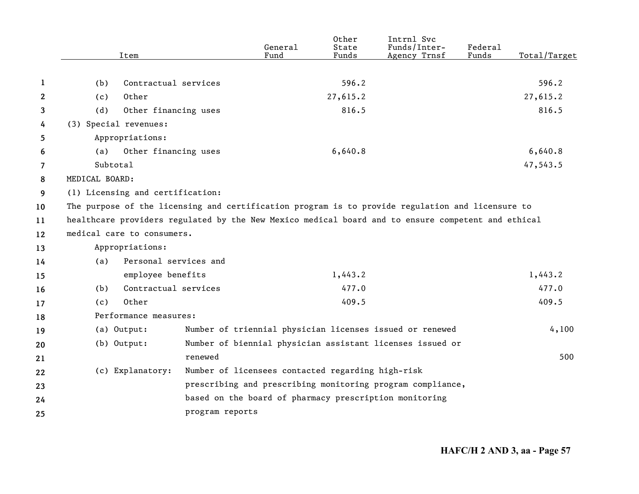|                |                | Item                             |                 | General<br>Fund                                   | Other<br>State<br>Funds | Intrnl Svc<br>Funds/Inter-<br>Agency Trnsf                                                         | Federal<br>Funds | Total/Target |
|----------------|----------------|----------------------------------|-----------------|---------------------------------------------------|-------------------------|----------------------------------------------------------------------------------------------------|------------------|--------------|
|                |                |                                  |                 |                                                   |                         |                                                                                                    |                  |              |
| 1              | (b)            | Contractual services             |                 |                                                   | 596.2                   |                                                                                                    |                  | 596.2        |
| $\mathbf{2}$   | (c)            | Other                            |                 |                                                   | 27,615.2                |                                                                                                    |                  | 27,615.2     |
| 3              | (d)            | Other financing uses             |                 |                                                   | 816.5                   |                                                                                                    |                  | 816.5        |
| 4              |                | (3) Special revenues:            |                 |                                                   |                         |                                                                                                    |                  |              |
| 5              |                | Appropriations:                  |                 |                                                   |                         |                                                                                                    |                  |              |
| 6              | (a)            | Other financing uses             |                 |                                                   | 6,640.8                 |                                                                                                    |                  | 6,640.8      |
| $\overline{7}$ | Subtotal       |                                  |                 |                                                   |                         |                                                                                                    |                  | 47,543.5     |
| 8              | MEDICAL BOARD: |                                  |                 |                                                   |                         |                                                                                                    |                  |              |
| 9              |                | (1) Licensing and certification: |                 |                                                   |                         |                                                                                                    |                  |              |
| 10             |                |                                  |                 |                                                   |                         | The purpose of the licensing and certification program is to provide regulation and licensure to   |                  |              |
| 11             |                |                                  |                 |                                                   |                         | healthcare providers regulated by the New Mexico medical board and to ensure competent and ethical |                  |              |
| 12             |                | medical care to consumers.       |                 |                                                   |                         |                                                                                                    |                  |              |
| 13             |                | Appropriations:                  |                 |                                                   |                         |                                                                                                    |                  |              |
| 14             | (a)            | Personal services and            |                 |                                                   |                         |                                                                                                    |                  |              |
| 15             |                | employee benefits                |                 |                                                   | 1,443.2                 |                                                                                                    |                  | 1,443.2      |
| 16             | (b)            | Contractual services             |                 |                                                   | 477.0                   |                                                                                                    |                  | 477.0        |
| 17             | (c)            | Other                            |                 |                                                   | 409.5                   |                                                                                                    |                  | 409.5        |
| 18             |                | Performance measures:            |                 |                                                   |                         |                                                                                                    |                  |              |
| 19             |                | (a) Output:                      |                 |                                                   |                         | Number of triennial physician licenses issued or renewed                                           |                  | 4,100        |
| 20             |                | $(b)$ Output:                    |                 |                                                   |                         | Number of biennial physician assistant licenses issued or                                          |                  |              |
| 21             |                |                                  | renewed         |                                                   |                         |                                                                                                    |                  | 500          |
| 22             |                | (c) Explanatory:                 |                 | Number of licensees contacted regarding high-risk |                         |                                                                                                    |                  |              |
| 23             |                |                                  |                 |                                                   |                         | prescribing and prescribing monitoring program compliance,                                         |                  |              |
| 24             |                |                                  |                 |                                                   |                         | based on the board of pharmacy prescription monitoring                                             |                  |              |
| 25             |                |                                  | program reports |                                                   |                         |                                                                                                    |                  |              |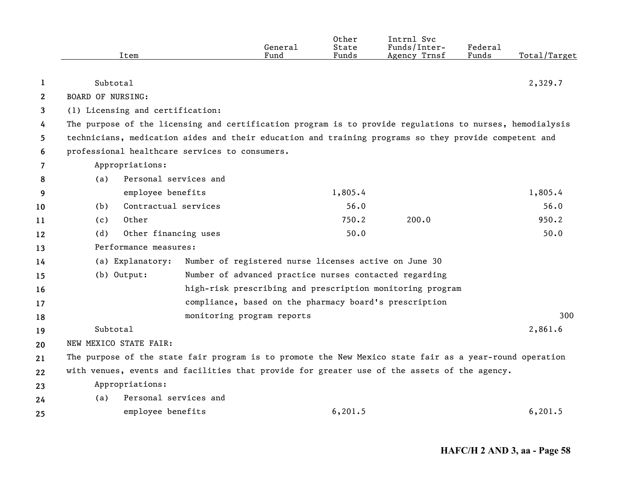|              |                                                                                                          | General                                                | Other<br>State | Intrnl Svc<br>Funds/Inter-                                | Federal |              |
|--------------|----------------------------------------------------------------------------------------------------------|--------------------------------------------------------|----------------|-----------------------------------------------------------|---------|--------------|
|              | Item                                                                                                     | Fund                                                   | Funds          | Agency Trnsf                                              | Funds   | Total/Target |
| 1            | Subtotal                                                                                                 |                                                        |                |                                                           |         | 2,329.7      |
| $\mathbf{2}$ | <b>BOARD OF NURSING:</b>                                                                                 |                                                        |                |                                                           |         |              |
| 3            | (1) Licensing and certification:                                                                         |                                                        |                |                                                           |         |              |
| 4            | The purpose of the licensing and certification program is to provide regulations to nurses, hemodialysis |                                                        |                |                                                           |         |              |
| 5.           | technicians, medication aides and their education and training programs so they provide competent and    |                                                        |                |                                                           |         |              |
| 6            | professional healthcare services to consumers.                                                           |                                                        |                |                                                           |         |              |
| 7            | Appropriations:                                                                                          |                                                        |                |                                                           |         |              |
| 8            | Personal services and<br>(a)                                                                             |                                                        |                |                                                           |         |              |
| 9            | employee benefits                                                                                        |                                                        | 1,805.4        |                                                           |         | 1,805.4      |
| 10           | Contractual services<br>(b)                                                                              |                                                        | 56.0           |                                                           |         | 56.0         |
| 11           | Other<br>(c)                                                                                             |                                                        | 750.2          | 200.0                                                     |         | 950.2        |
| 12           | Other financing uses<br>(d)                                                                              |                                                        | 50.0           |                                                           |         | 50.0         |
| 13           | Performance measures:                                                                                    |                                                        |                |                                                           |         |              |
| 14           | (a) Explanatory:                                                                                         | Number of registered nurse licenses active on June 30  |                |                                                           |         |              |
| 15           | $(b)$ Output:                                                                                            | Number of advanced practice nurses contacted regarding |                |                                                           |         |              |
| 16           |                                                                                                          |                                                        |                | high-risk prescribing and prescription monitoring program |         |              |
| 17           |                                                                                                          | compliance, based on the pharmacy board's prescription |                |                                                           |         |              |
| 18           |                                                                                                          | monitoring program reports                             |                |                                                           |         | 300          |
| 19           | Subtotal                                                                                                 |                                                        |                |                                                           |         | 2,861.6      |
| 20           | NEW MEXICO STATE FAIR:                                                                                   |                                                        |                |                                                           |         |              |
| 21           | The purpose of the state fair program is to promote the New Mexico state fair as a year-round operation  |                                                        |                |                                                           |         |              |
| 22           | with venues, events and facilities that provide for greater use of the assets of the agency.             |                                                        |                |                                                           |         |              |
| 23           | Appropriations:                                                                                          |                                                        |                |                                                           |         |              |
| 24           | Personal services and<br>(a)                                                                             |                                                        |                |                                                           |         |              |
| 25           | employee benefits                                                                                        |                                                        | 6, 201.5       |                                                           |         | 6, 201.5     |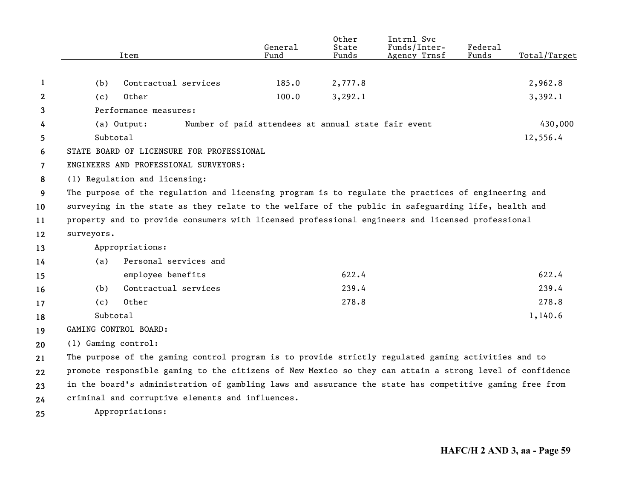|                |                     | Item                                                                                                     | General<br>Fund                                     | Other<br>State<br>Funds | Intrnl Svc<br>Funds/Inter-<br>Agency Trnsf | Federal<br>Funds | Total/Target |
|----------------|---------------------|----------------------------------------------------------------------------------------------------------|-----------------------------------------------------|-------------------------|--------------------------------------------|------------------|--------------|
|                |                     |                                                                                                          |                                                     |                         |                                            |                  |              |
| 1              | (b)                 | Contractual services                                                                                     | 185.0                                               | 2,777.8                 |                                            |                  | 2,962.8      |
| 2              | (c)                 | Other                                                                                                    | 100.0                                               | 3, 292.1                |                                            |                  | 3,392.1      |
| 3              |                     | Performance measures:                                                                                    |                                                     |                         |                                            |                  |              |
| 4              |                     | (a) Output:                                                                                              | Number of paid attendees at annual state fair event |                         |                                            |                  | 430,000      |
| 5              | Subtotal            |                                                                                                          |                                                     |                         |                                            |                  | 12,556.4     |
| 6              |                     | STATE BOARD OF LICENSURE FOR PROFESSIONAL                                                                |                                                     |                         |                                            |                  |              |
| $\overline{7}$ |                     | ENGINEERS AND PROFESSIONAL SURVEYORS:                                                                    |                                                     |                         |                                            |                  |              |
| 8              |                     | (1) Regulation and licensing:                                                                            |                                                     |                         |                                            |                  |              |
| 9              |                     | The purpose of the regulation and licensing program is to regulate the practices of engineering and      |                                                     |                         |                                            |                  |              |
| 10             |                     | surveying in the state as they relate to the welfare of the public in safeguarding life, health and      |                                                     |                         |                                            |                  |              |
| 11             |                     | property and to provide consumers with licensed professional engineers and licensed professional         |                                                     |                         |                                            |                  |              |
| 12             | surveyors.          |                                                                                                          |                                                     |                         |                                            |                  |              |
| 13             |                     | Appropriations:                                                                                          |                                                     |                         |                                            |                  |              |
| 14             | (a)                 | Personal services and                                                                                    |                                                     |                         |                                            |                  |              |
| 15             |                     | employee benefits                                                                                        |                                                     | 622.4                   |                                            |                  | 622.4        |
| 16             | (b)                 | Contractual services                                                                                     |                                                     | 239.4                   |                                            |                  | 239.4        |
| 17             | (c)                 | Other                                                                                                    |                                                     | 278.8                   |                                            |                  | 278.8        |
| 18             | Subtotal            |                                                                                                          |                                                     |                         |                                            |                  | 1,140.6      |
| 19             |                     | GAMING CONTROL BOARD:                                                                                    |                                                     |                         |                                            |                  |              |
| 20             | (1) Gaming control: |                                                                                                          |                                                     |                         |                                            |                  |              |
| 21             |                     | The purpose of the gaming control program is to provide strictly regulated gaming activities and to      |                                                     |                         |                                            |                  |              |
| 22             |                     | promote responsible gaming to the citizens of New Mexico so they can attain a strong level of confidence |                                                     |                         |                                            |                  |              |
| 23             |                     | in the board's administration of gambling laws and assurance the state has competitive gaming free from  |                                                     |                         |                                            |                  |              |
| 24             |                     | criminal and corruptive elements and influences.                                                         |                                                     |                         |                                            |                  |              |
| 25             |                     | Appropriations:                                                                                          |                                                     |                         |                                            |                  |              |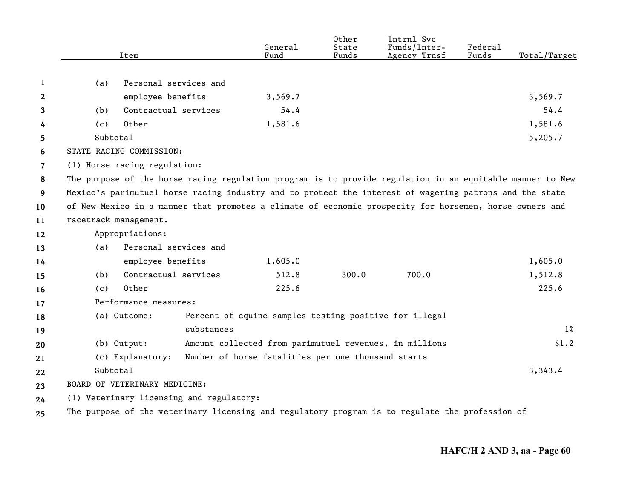|    |          | Item                                     | General<br>Fund                                                                                           | Other<br>State<br>Funds | Intrnl Svc<br>Funds/Inter-<br>Agency Trnsf | Federal<br>Funds | Total/Target |
|----|----------|------------------------------------------|-----------------------------------------------------------------------------------------------------------|-------------------------|--------------------------------------------|------------------|--------------|
|    |          |                                          |                                                                                                           |                         |                                            |                  |              |
| 1  | (a)      | Personal services and                    |                                                                                                           |                         |                                            |                  |              |
| 2  |          | employee benefits                        | 3,569.7                                                                                                   |                         |                                            |                  | 3,569.7      |
| 3  | (b)      | Contractual services                     | 54.4                                                                                                      |                         |                                            |                  | 54.4         |
| 4  | (c)      | Other                                    | 1,581.6                                                                                                   |                         |                                            |                  | 1,581.6      |
| 5  | Subtotal |                                          |                                                                                                           |                         |                                            |                  | 5,205.7      |
| 6  |          | STATE RACING COMMISSION:                 |                                                                                                           |                         |                                            |                  |              |
| 7  |          | (1) Horse racing regulation:             |                                                                                                           |                         |                                            |                  |              |
| 8  |          |                                          | The purpose of the horse racing regulation program is to provide regulation in an equitable manner to New |                         |                                            |                  |              |
| 9  |          |                                          | Mexico's parimutuel horse racing industry and to protect the interest of wagering patrons and the state   |                         |                                            |                  |              |
| 10 |          |                                          | of New Mexico in a manner that promotes a climate of economic prosperity for horsemen, horse owners and   |                         |                                            |                  |              |
| 11 |          | racetrack management.                    |                                                                                                           |                         |                                            |                  |              |
| 12 |          | Appropriations:                          |                                                                                                           |                         |                                            |                  |              |
| 13 | (a)      | Personal services and                    |                                                                                                           |                         |                                            |                  |              |
| 14 |          | employee benefits                        | 1,605.0                                                                                                   |                         |                                            |                  | 1,605.0      |
| 15 | (b)      | Contractual services                     | 512.8                                                                                                     | 300.0                   | 700.0                                      |                  | 1,512.8      |
| 16 | (c)      | Other                                    | 225.6                                                                                                     |                         |                                            |                  | 225.6        |
| 17 |          | Performance measures:                    |                                                                                                           |                         |                                            |                  |              |
| 18 |          | (a) Outcome:                             | Percent of equine samples testing positive for illegal                                                    |                         |                                            |                  |              |
| 19 |          |                                          | substances                                                                                                |                         |                                            |                  | $1\%$        |
| 20 |          | (b) Output:                              | Amount collected from parimutuel revenues, in millions                                                    |                         |                                            |                  | \$1.2        |
| 21 |          | (c) Explanatory:                         | Number of horse fatalities per one thousand starts                                                        |                         |                                            |                  |              |
| 22 | Subtotal |                                          |                                                                                                           |                         |                                            |                  | 3,343.4      |
| 23 |          | BOARD OF VETERINARY MEDICINE:            |                                                                                                           |                         |                                            |                  |              |
| 24 |          | (1) Veterinary licensing and regulatory: |                                                                                                           |                         |                                            |                  |              |
| 25 |          |                                          | The purpose of the veterinary licensing and regulatory program is to regulate the profession of           |                         |                                            |                  |              |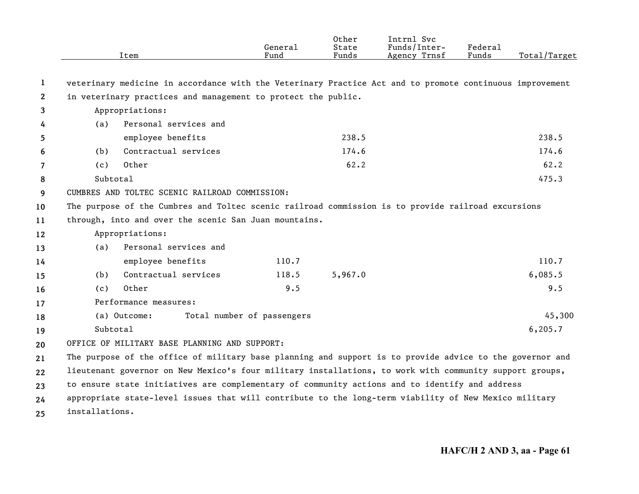|              |                | Item                                                                                                     | General<br>Fund            | Other<br>State<br>Funds | Intrnl Svc<br>Funds/Inter-<br>Agency Trnsf | Federal<br>Funds | Total/Target |
|--------------|----------------|----------------------------------------------------------------------------------------------------------|----------------------------|-------------------------|--------------------------------------------|------------------|--------------|
| 1            |                | veterinary medicine in accordance with the Veterinary Practice Act and to promote continuous improvement |                            |                         |                                            |                  |              |
| $\mathbf{2}$ |                | in veterinary practices and management to protect the public.                                            |                            |                         |                                            |                  |              |
| 3            |                | Appropriations:                                                                                          |                            |                         |                                            |                  |              |
| 4            | (a)            | Personal services and                                                                                    |                            |                         |                                            |                  |              |
| 5            |                | employee benefits                                                                                        |                            | 238.5                   |                                            |                  | 238.5        |
| 6            | (b)            | Contractual services                                                                                     |                            | 174.6                   |                                            |                  | 174.6        |
| 7            | (c)            | Other                                                                                                    |                            | 62.2                    |                                            |                  | 62.2         |
| 8            | Subtotal       |                                                                                                          |                            |                         |                                            |                  | 475.3        |
| 9            |                | CUMBRES AND TOLTEC SCENIC RAILROAD COMMISSION:                                                           |                            |                         |                                            |                  |              |
| 10           |                | The purpose of the Cumbres and Toltec scenic railroad commission is to provide railroad excursions       |                            |                         |                                            |                  |              |
| 11           |                | through, into and over the scenic San Juan mountains.                                                    |                            |                         |                                            |                  |              |
| 12           |                | Appropriations:                                                                                          |                            |                         |                                            |                  |              |
| 13           | (a)            | Personal services and                                                                                    |                            |                         |                                            |                  |              |
| 14           |                | employee benefits                                                                                        | 110.7                      |                         |                                            |                  | 110.7        |
| 15           | (b)            | Contractual services                                                                                     | 118.5                      | 5,967.0                 |                                            |                  | 6,085.5      |
| 16           | (c)            | Other                                                                                                    | 9.5                        |                         |                                            |                  | 9.5          |
| 17           |                | Performance measures:                                                                                    |                            |                         |                                            |                  |              |
| 18           |                | (a) Outcome:                                                                                             | Total number of passengers |                         |                                            |                  | 45,300       |
| 19           | Subtotal       |                                                                                                          |                            |                         |                                            |                  | 6, 205.7     |
| 20           |                | OFFICE OF MILITARY BASE PLANNING AND SUPPORT:                                                            |                            |                         |                                            |                  |              |
| 21           |                | The purpose of the office of military base planning and support is to provide advice to the governor and |                            |                         |                                            |                  |              |
| 22           |                | lieutenant governor on New Mexico's four military installations, to work with community support groups,  |                            |                         |                                            |                  |              |
| 23           |                | to ensure state initiatives are complementary of community actions and to identify and address           |                            |                         |                                            |                  |              |
| 24           |                | appropriate state-level issues that will contribute to the long-term viability of New Mexico military    |                            |                         |                                            |                  |              |
| 25           | installations. |                                                                                                          |                            |                         |                                            |                  |              |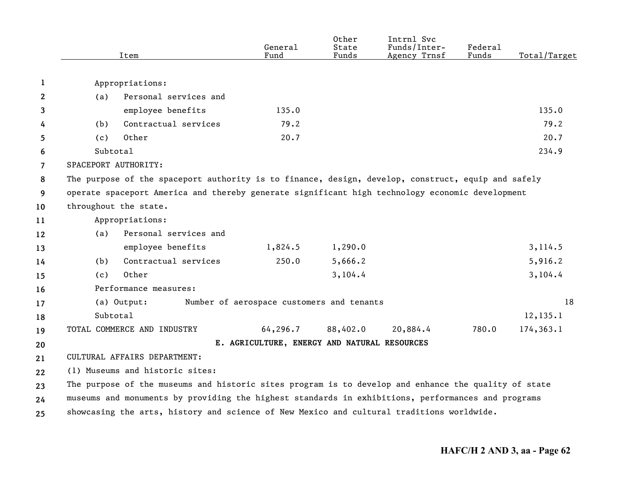|                | Item                                                                                                 | General<br>Fund                              | Other<br>State<br>Funds | Intrnl Svc<br>Funds/Inter-<br>Agency Trnsf | Federal<br>Funds | Total/Target |
|----------------|------------------------------------------------------------------------------------------------------|----------------------------------------------|-------------------------|--------------------------------------------|------------------|--------------|
|                |                                                                                                      |                                              |                         |                                            |                  |              |
| 1              | Appropriations:                                                                                      |                                              |                         |                                            |                  |              |
| $\mathbf{2}$   | Personal services and<br>(a)                                                                         |                                              |                         |                                            |                  |              |
| 3              | employee benefits                                                                                    | 135.0                                        |                         |                                            |                  | 135.0        |
| 4              | Contractual services<br>(b)                                                                          | 79.2                                         |                         |                                            |                  | 79.2         |
| 5              | Other<br>(c)                                                                                         | 20.7                                         |                         |                                            |                  | 20.7         |
| 6              | Subtotal                                                                                             |                                              |                         |                                            |                  | 234.9        |
| $\overline{7}$ | SPACEPORT AUTHORITY:                                                                                 |                                              |                         |                                            |                  |              |
| 8              | The purpose of the spaceport authority is to finance, design, develop, construct, equip and safely   |                                              |                         |                                            |                  |              |
| 9              | operate spaceport America and thereby generate significant high technology economic development      |                                              |                         |                                            |                  |              |
| 10             | throughout the state.                                                                                |                                              |                         |                                            |                  |              |
| 11             | Appropriations:                                                                                      |                                              |                         |                                            |                  |              |
| 12             | Personal services and<br>(a)                                                                         |                                              |                         |                                            |                  |              |
| 13             | employee benefits                                                                                    | 1,824.5                                      | 1,290.0                 |                                            |                  | 3,114.5      |
| 14             | Contractual services<br>(b)                                                                          | 250.0                                        | 5,666.2                 |                                            |                  | 5,916.2      |
| 15             | Other<br>(c)                                                                                         |                                              | 3,104.4                 |                                            |                  | 3,104.4      |
| 16             | Performance measures:                                                                                |                                              |                         |                                            |                  |              |
| 17             | (a) Output:                                                                                          | Number of aerospace customers and tenants    |                         |                                            |                  | 18           |
| 18             | Subtotal                                                                                             |                                              |                         |                                            |                  | 12, 135.1    |
| 19             | TOTAL COMMERCE AND INDUSTRY                                                                          | 64,296.7                                     | 88,402.0                | 20,884.4                                   | 780.0            | 174,363.1    |
| 20             |                                                                                                      | E. AGRICULTURE, ENERGY AND NATURAL RESOURCES |                         |                                            |                  |              |
| 21             | CULTURAL AFFAIRS DEPARTMENT:                                                                         |                                              |                         |                                            |                  |              |
| 22             | (1) Museums and historic sites:                                                                      |                                              |                         |                                            |                  |              |
| 23             | The purpose of the museums and historic sites program is to develop and enhance the quality of state |                                              |                         |                                            |                  |              |
| 24             | museums and monuments by providing the highest standards in exhibitions, performances and programs   |                                              |                         |                                            |                  |              |
| 25             | showcasing the arts, history and science of New Mexico and cultural traditions worldwide.            |                                              |                         |                                            |                  |              |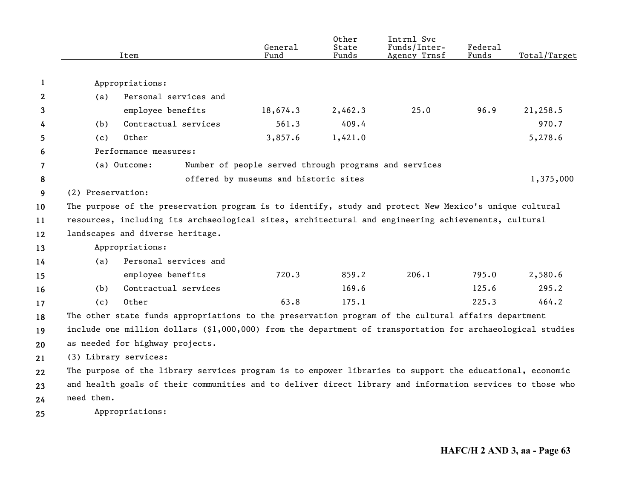|    |                   | Item                                                                                                       | General<br>Fund                                       | Other<br>State<br>Funds | Intrnl Svc<br>Funds/Inter-<br>Agency Trnsf | Federal<br>Funds | Total/Target |
|----|-------------------|------------------------------------------------------------------------------------------------------------|-------------------------------------------------------|-------------------------|--------------------------------------------|------------------|--------------|
|    |                   |                                                                                                            |                                                       |                         |                                            |                  |              |
| 1  |                   | Appropriations:                                                                                            |                                                       |                         |                                            |                  |              |
| 2  | (a)               | Personal services and                                                                                      |                                                       |                         |                                            |                  |              |
| 3  |                   | employee benefits                                                                                          | 18,674.3                                              | 2,462.3                 | 25.0                                       | 96.9             | 21,258.5     |
| 4  | (b)               | Contractual services                                                                                       | 561.3                                                 | 409.4                   |                                            |                  | 970.7        |
| 5  | (c)               | Other                                                                                                      | 3,857.6                                               | 1,421.0                 |                                            |                  | 5,278.6      |
| 6  |                   | Performance measures:                                                                                      |                                                       |                         |                                            |                  |              |
| 7  |                   | (a) Outcome:                                                                                               | Number of people served through programs and services |                         |                                            |                  |              |
| 8  |                   |                                                                                                            | offered by museums and historic sites                 |                         |                                            |                  | 1,375,000    |
| 9  | (2) Preservation: |                                                                                                            |                                                       |                         |                                            |                  |              |
| 10 |                   | The purpose of the preservation program is to identify, study and protect New Mexico's unique cultural     |                                                       |                         |                                            |                  |              |
| 11 |                   | resources, including its archaeological sites, architectural and engineering achievements, cultural        |                                                       |                         |                                            |                  |              |
| 12 |                   | landscapes and diverse heritage.                                                                           |                                                       |                         |                                            |                  |              |
| 13 |                   | Appropriations:                                                                                            |                                                       |                         |                                            |                  |              |
| 14 | (a)               | Personal services and                                                                                      |                                                       |                         |                                            |                  |              |
| 15 |                   | employee benefits                                                                                          | 720.3                                                 | 859.2                   | 206.1                                      | 795.0            | 2,580.6      |
| 16 | (b)               | Contractual services                                                                                       |                                                       | 169.6                   |                                            | 125.6            | 295.2        |
| 17 | (c)               | Other                                                                                                      | 63.8                                                  | 175.1                   |                                            | 225.3            | 464.2        |
| 18 |                   | The other state funds appropriations to the preservation program of the cultural affairs department        |                                                       |                         |                                            |                  |              |
| 19 |                   | include one million dollars (\$1,000,000) from the department of transportation for archaeological studies |                                                       |                         |                                            |                  |              |
| 20 |                   | as needed for highway projects.                                                                            |                                                       |                         |                                            |                  |              |
| 21 |                   | (3) Library services:                                                                                      |                                                       |                         |                                            |                  |              |
| 22 |                   | The purpose of the library services program is to empower libraries to support the educational, economic   |                                                       |                         |                                            |                  |              |
| 23 |                   | and health goals of their communities and to deliver direct library and information services to those who  |                                                       |                         |                                            |                  |              |
| 24 | need them.        |                                                                                                            |                                                       |                         |                                            |                  |              |
| 25 |                   | Appropriations:                                                                                            |                                                       |                         |                                            |                  |              |
|    |                   |                                                                                                            |                                                       |                         |                                            |                  |              |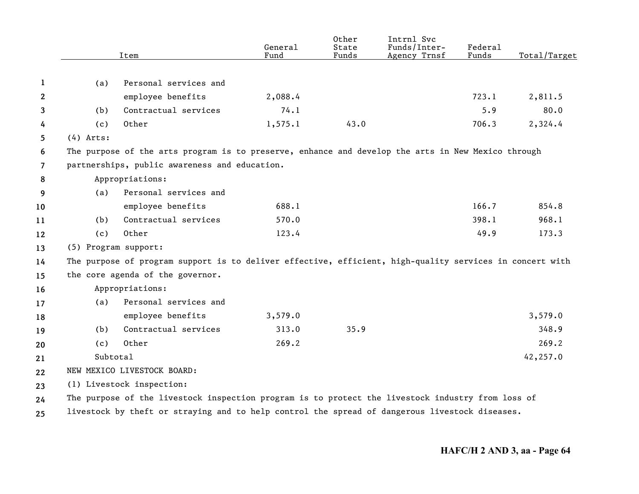|                |                      | Item                                                                                                     | General<br>Fund | Other<br>State<br>Funds | Intrnl Svc<br>Funds/Inter-<br>Agency Trnsf | Federal<br>Funds | Total/Target |
|----------------|----------------------|----------------------------------------------------------------------------------------------------------|-----------------|-------------------------|--------------------------------------------|------------------|--------------|
|                |                      |                                                                                                          |                 |                         |                                            |                  |              |
| 1              | (a)                  | Personal services and                                                                                    |                 |                         |                                            |                  |              |
| $\mathbf{2}$   |                      | employee benefits                                                                                        | 2,088.4         |                         |                                            | 723.1            | 2,811.5      |
| 3              | (b)                  | Contractual services                                                                                     | 74.1            |                         |                                            | 5.9              | 80.0         |
| 4              | (c)                  | Other                                                                                                    | 1,575.1         | 43.0                    |                                            | 706.3            | 2,324.4      |
| 5              | $(4)$ Arts:          |                                                                                                          |                 |                         |                                            |                  |              |
| 6              |                      | The purpose of the arts program is to preserve, enhance and develop the arts in New Mexico through       |                 |                         |                                            |                  |              |
| $\overline{7}$ |                      | partnerships, public awareness and education.                                                            |                 |                         |                                            |                  |              |
| 8              |                      | Appropriations:                                                                                          |                 |                         |                                            |                  |              |
| 9              | (a)                  | Personal services and                                                                                    |                 |                         |                                            |                  |              |
| 10             |                      | employee benefits                                                                                        | 688.1           |                         |                                            | 166.7            | 854.8        |
| 11             | (b)                  | Contractual services                                                                                     | 570.0           |                         |                                            | 398.1            | 968.1        |
| 12             | (c)                  | Other                                                                                                    | 123.4           |                         |                                            | 49.9             | 173.3        |
| 13             | (5) Program support: |                                                                                                          |                 |                         |                                            |                  |              |
| 14             |                      | The purpose of program support is to deliver effective, efficient, high-quality services in concert with |                 |                         |                                            |                  |              |
| 15             |                      | the core agenda of the governor.                                                                         |                 |                         |                                            |                  |              |
| 16             |                      | Appropriations:                                                                                          |                 |                         |                                            |                  |              |
| 17             | (a)                  | Personal services and                                                                                    |                 |                         |                                            |                  |              |
| 18             |                      | employee benefits                                                                                        | 3,579.0         |                         |                                            |                  | 3,579.0      |
| 19             | (b)                  | Contractual services                                                                                     | 313.0           | 35.9                    |                                            |                  | 348.9        |
| 20             | (c)                  | Other                                                                                                    | 269.2           |                         |                                            |                  | 269.2        |
| 21             | Subtotal             |                                                                                                          |                 |                         |                                            |                  | 42,257.0     |
| $22 \,$        |                      | NEW MEXICO LIVESTOCK BOARD:                                                                              |                 |                         |                                            |                  |              |
| 23             |                      | (1) Livestock inspection:                                                                                |                 |                         |                                            |                  |              |
| 24             |                      | The purpose of the livestock inspection program is to protect the livestock industry from loss of        |                 |                         |                                            |                  |              |
| 25             |                      | livestock by theft or straying and to help control the spread of dangerous livestock diseases.           |                 |                         |                                            |                  |              |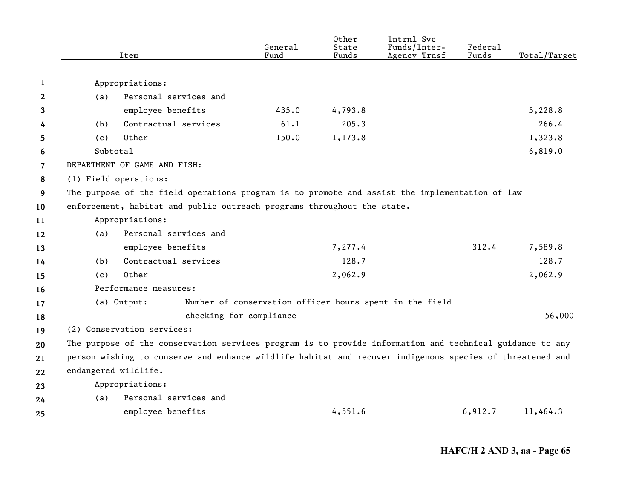|                |                      | Item                                                                                                     | General<br>Fund | Other<br>State<br>Funds | Intrnl Svc<br>Funds/Inter-<br>Agency Trnsf              | Federal<br>Funds | Total/Target |
|----------------|----------------------|----------------------------------------------------------------------------------------------------------|-----------------|-------------------------|---------------------------------------------------------|------------------|--------------|
|                |                      |                                                                                                          |                 |                         |                                                         |                  |              |
| 1              |                      | Appropriations:                                                                                          |                 |                         |                                                         |                  |              |
| 2              | (a)                  | Personal services and                                                                                    |                 |                         |                                                         |                  |              |
| 3              |                      | employee benefits                                                                                        | 435.0           | 4,793.8                 |                                                         |                  | 5,228.8      |
| 4              | (b)                  | Contractual services                                                                                     | 61.1            | 205.3                   |                                                         |                  | 266.4        |
| 5              | (c)                  | Other                                                                                                    | 150.0           | 1,173.8                 |                                                         |                  | 1,323.8      |
| 6              | Subtotal             |                                                                                                          |                 |                         |                                                         |                  | 6,819.0      |
| $\overline{7}$ |                      | DEPARTMENT OF GAME AND FISH:                                                                             |                 |                         |                                                         |                  |              |
| 8              |                      | (1) Field operations:                                                                                    |                 |                         |                                                         |                  |              |
| 9              |                      | The purpose of the field operations program is to promote and assist the implementation of law           |                 |                         |                                                         |                  |              |
| 10             |                      | enforcement, habitat and public outreach programs throughout the state.                                  |                 |                         |                                                         |                  |              |
| 11             |                      | Appropriations:                                                                                          |                 |                         |                                                         |                  |              |
| 12             | (a)                  | Personal services and                                                                                    |                 |                         |                                                         |                  |              |
| 13             |                      | employee benefits                                                                                        |                 | 7,277.4                 |                                                         | 312.4            | 7,589.8      |
| 14             | (b)                  | Contractual services                                                                                     |                 | 128.7                   |                                                         |                  | 128.7        |
| 15             | (c)                  | Other                                                                                                    |                 | 2,062.9                 |                                                         |                  | 2,062.9      |
| 16             |                      | Performance measures:                                                                                    |                 |                         |                                                         |                  |              |
| 17             |                      | (a) Output:                                                                                              |                 |                         | Number of conservation officer hours spent in the field |                  |              |
| 18             |                      | checking for compliance                                                                                  |                 |                         |                                                         |                  | 56,000       |
| 19             |                      | (2) Conservation services:                                                                               |                 |                         |                                                         |                  |              |
| 20             |                      | The purpose of the conservation services program is to provide information and technical guidance to any |                 |                         |                                                         |                  |              |
| 21             |                      | person wishing to conserve and enhance wildlife habitat and recover indigenous species of threatened and |                 |                         |                                                         |                  |              |
| 22             | endangered wildlife. |                                                                                                          |                 |                         |                                                         |                  |              |
| 23             |                      | Appropriations:                                                                                          |                 |                         |                                                         |                  |              |
| 24             | (a)                  | Personal services and                                                                                    |                 |                         |                                                         |                  |              |
| 25             |                      | employee benefits                                                                                        |                 | 4,551.6                 |                                                         | 6,912.7          | 11,464.3     |
|                |                      |                                                                                                          |                 |                         |                                                         |                  |              |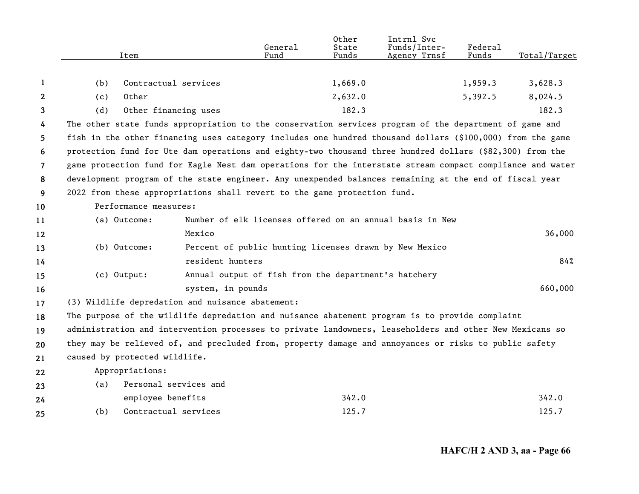|                       | Item                                                                                                      |                       | General<br>Fund                                      | Other<br>State<br>Funds | Intrnl Svc<br>Funds/Inter-<br>Agency Trnsf               | Federal<br>Funds | Total/Target |
|-----------------------|-----------------------------------------------------------------------------------------------------------|-----------------------|------------------------------------------------------|-------------------------|----------------------------------------------------------|------------------|--------------|
| 1                     | (b)                                                                                                       | Contractual services  |                                                      | 1,669.0                 |                                                          | 1,959.3          | 3,628.3      |
| $\mathbf{2}^{\prime}$ | Other<br>(c)                                                                                              |                       |                                                      | 2,632.0                 |                                                          | 5,392.5          | 8,024.5      |
| 3                     | (d)                                                                                                       | Other financing uses  |                                                      | 182.3                   |                                                          |                  | 182.3        |
| 4                     | The other state funds appropriation to the conservation services program of the department of game and    |                       |                                                      |                         |                                                          |                  |              |
| 5                     | fish in the other financing uses category includes one hundred thousand dollars (\$100,000) from the game |                       |                                                      |                         |                                                          |                  |              |
| 6                     | protection fund for Ute dam operations and eighty-two thousand three hundred dollars (\$82,300) from the  |                       |                                                      |                         |                                                          |                  |              |
| $\overline{7}$        | game protection fund for Eagle Nest dam operations for the interstate stream compact compliance and water |                       |                                                      |                         |                                                          |                  |              |
| 8                     | development program of the state engineer. Any unexpended balances remaining at the end of fiscal year    |                       |                                                      |                         |                                                          |                  |              |
| 9                     | 2022 from these appropriations shall revert to the game protection fund.                                  |                       |                                                      |                         |                                                          |                  |              |
| 10                    | Performance measures:                                                                                     |                       |                                                      |                         |                                                          |                  |              |
| 11                    | (a) Outcome:                                                                                              |                       |                                                      |                         | Number of elk licenses offered on an annual basis in New |                  |              |
| 12                    |                                                                                                           | Mexico                |                                                      |                         |                                                          |                  | 36,000       |
| 13                    | (b) Outcome:                                                                                              |                       |                                                      |                         | Percent of public hunting licenses drawn by New Mexico   |                  |              |
| 14                    |                                                                                                           | resident hunters      |                                                      |                         |                                                          |                  | 84%          |
| 15                    | (c) Output:                                                                                               |                       | Annual output of fish from the department's hatchery |                         |                                                          |                  |              |
| 16                    |                                                                                                           | system, in pounds     |                                                      |                         |                                                          |                  | 660,000      |
| 17                    | (3) Wildlife depredation and nuisance abatement:                                                          |                       |                                                      |                         |                                                          |                  |              |
| 18                    | The purpose of the wildlife depredation and nuisance abatement program is to provide complaint            |                       |                                                      |                         |                                                          |                  |              |
| 19                    | administration and intervention processes to private landowners, leaseholders and other New Mexicans so   |                       |                                                      |                         |                                                          |                  |              |
| 20                    | they may be relieved of, and precluded from, property damage and annoyances or risks to public safety     |                       |                                                      |                         |                                                          |                  |              |
| 21                    | caused by protected wildlife.                                                                             |                       |                                                      |                         |                                                          |                  |              |
| 22                    | Appropriations:                                                                                           |                       |                                                      |                         |                                                          |                  |              |
| 23                    | (a)                                                                                                       | Personal services and |                                                      |                         |                                                          |                  |              |
| 24                    |                                                                                                           | employee benefits     |                                                      | 342.0                   |                                                          |                  | 342.0        |
| 25                    | (b)                                                                                                       | Contractual services  |                                                      | 125.7                   |                                                          |                  | 125.7        |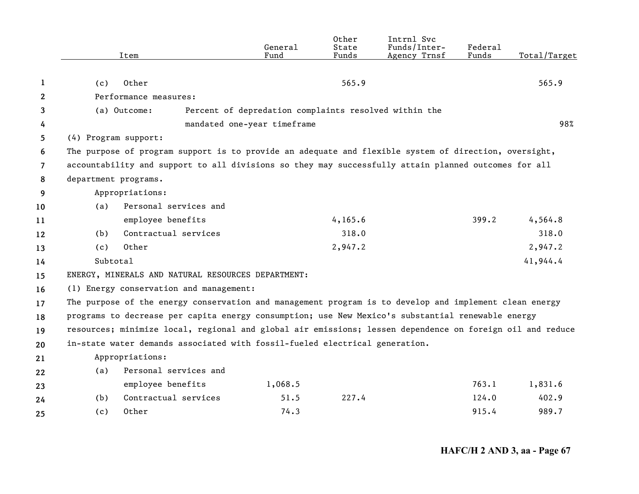|                |                      | Item                                                                                                      | General<br>Fund                                       | Other<br>State<br>Funds | Intrnl Svc<br>Funds/Inter-<br>Agency Trnsf | Federal<br>Funds | Total/Target |
|----------------|----------------------|-----------------------------------------------------------------------------------------------------------|-------------------------------------------------------|-------------------------|--------------------------------------------|------------------|--------------|
|                |                      |                                                                                                           |                                                       |                         |                                            |                  |              |
| 1              | (c)                  | Other                                                                                                     |                                                       | 565.9                   |                                            |                  | 565.9        |
| 2              |                      | Performance measures:                                                                                     |                                                       |                         |                                            |                  |              |
| 3              |                      | (a) Outcome:                                                                                              | Percent of depredation complaints resolved within the |                         |                                            |                  |              |
| 4              |                      |                                                                                                           | mandated one-year timeframe                           |                         |                                            |                  | 98%          |
| 5.             | (4) Program support: |                                                                                                           |                                                       |                         |                                            |                  |              |
| 6              |                      | The purpose of program support is to provide an adequate and flexible system of direction, oversight,     |                                                       |                         |                                            |                  |              |
| $\overline{7}$ |                      | accountability and support to all divisions so they may successfully attain planned outcomes for all      |                                                       |                         |                                            |                  |              |
| 8              | department programs. |                                                                                                           |                                                       |                         |                                            |                  |              |
| 9              |                      | Appropriations:                                                                                           |                                                       |                         |                                            |                  |              |
| 10             | (a)                  | Personal services and                                                                                     |                                                       |                         |                                            |                  |              |
| 11             |                      | employee benefits                                                                                         |                                                       | 4, 165.6                |                                            | 399.2            | 4,564.8      |
| 12             | (b)                  | Contractual services                                                                                      |                                                       | 318.0                   |                                            |                  | 318.0        |
| 13             | (c)                  | Other                                                                                                     |                                                       | 2,947.2                 |                                            |                  | 2,947.2      |
| 14             | Subtotal             |                                                                                                           |                                                       |                         |                                            |                  | 41,944.4     |
| 15             |                      | ENERGY, MINERALS AND NATURAL RESOURCES DEPARTMENT:                                                        |                                                       |                         |                                            |                  |              |
| 16             |                      | (1) Energy conservation and management:                                                                   |                                                       |                         |                                            |                  |              |
| 17             |                      | The purpose of the energy conservation and management program is to develop and implement clean energy    |                                                       |                         |                                            |                  |              |
| 18             |                      | programs to decrease per capita energy consumption; use New Mexico's substantial renewable energy         |                                                       |                         |                                            |                  |              |
| 19             |                      | resources; minimize local, regional and global air emissions; lessen dependence on foreign oil and reduce |                                                       |                         |                                            |                  |              |
| 20             |                      | in-state water demands associated with fossil-fueled electrical generation.                               |                                                       |                         |                                            |                  |              |
| 21             |                      | Appropriations:                                                                                           |                                                       |                         |                                            |                  |              |
| 22             | (a)                  | Personal services and                                                                                     |                                                       |                         |                                            |                  |              |
| 23             |                      | employee benefits                                                                                         | 1,068.5                                               |                         |                                            | 763.1            | 1,831.6      |
| 24             | (b)                  | Contractual services                                                                                      | 51.5                                                  | 227.4                   |                                            | 124.0            | 402.9        |
| 25             | (c)                  | Other                                                                                                     | 74.3                                                  |                         |                                            | 915.4            | 989.7        |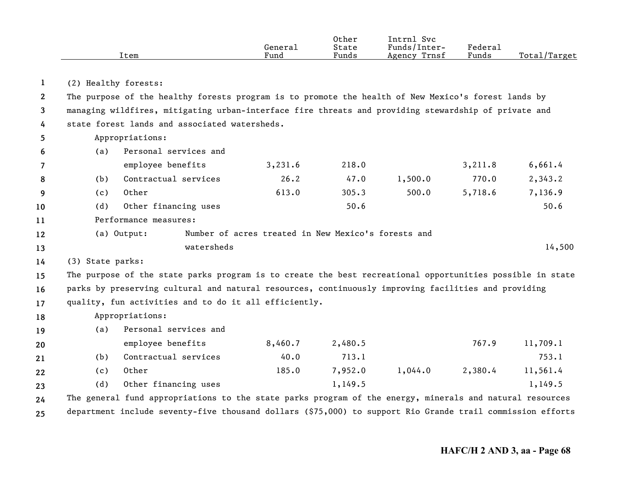|      |         | Other | Intrnl<br>Svc   |         |                               |
|------|---------|-------|-----------------|---------|-------------------------------|
|      | General | State | Funds/Inter-    | Federau |                               |
| Item | Fund    | Funds | Trnsf<br>Agency | Funds   | Total <sub>l</sub><br>'Target |

**1**(2) Healthy forests:

**23 4**The purpose of the healthy forests program is to promote the health of New Mexico's forest lands by managing wildfires, mitigating urban-interface fire threats and providing stewardship of private and state forest lands and associated watersheds.

| 5              |                  | Appropriations:                                                                                            |                                                     |         |         |         |          |
|----------------|------------------|------------------------------------------------------------------------------------------------------------|-----------------------------------------------------|---------|---------|---------|----------|
| 6              | (a)              | Personal services and                                                                                      |                                                     |         |         |         |          |
| $\overline{7}$ |                  | employee benefits                                                                                          | 3,231.6                                             | 218.0   |         | 3,211.8 | 6,661.4  |
| 8              | (b)              | Contractual services                                                                                       | 26.2                                                | 47.0    | 1,500.0 | 770.0   | 2,343.2  |
| 9              | (c)              | Other                                                                                                      | 613.0                                               | 305.3   | 500.0   | 5,718.6 | 7,136.9  |
| 10             | (d)              | Other financing uses                                                                                       |                                                     | 50.6    |         |         | 50.6     |
| 11             |                  | Performance measures:                                                                                      |                                                     |         |         |         |          |
| $12 \,$        |                  | (a) Output:                                                                                                | Number of acres treated in New Mexico's forests and |         |         |         |          |
| 13             |                  | watersheds                                                                                                 |                                                     |         |         |         | 14,500   |
| 14             | (3) State parks: |                                                                                                            |                                                     |         |         |         |          |
| 15             |                  | The purpose of the state parks program is to create the best recreational opportunities possible in state  |                                                     |         |         |         |          |
| 16             |                  | parks by preserving cultural and natural resources, continuously improving facilities and providing        |                                                     |         |         |         |          |
| 17             |                  | quality, fun activities and to do it all efficiently.                                                      |                                                     |         |         |         |          |
| 18             |                  | Appropriations:                                                                                            |                                                     |         |         |         |          |
| 19             | (a)              | Personal services and                                                                                      |                                                     |         |         |         |          |
| 20             |                  | employee benefits                                                                                          | 8,460.7                                             | 2,480.5 |         | 767.9   | 11,709.1 |
| 21             | (b)              | Contractual services                                                                                       | 40.0                                                | 713.1   |         |         | 753.1    |
| 22             | (c)              | Other                                                                                                      | 185.0                                               | 7,952.0 | 1,044.0 | 2,380.4 | 11,561.4 |
| 23             | (d)              | Other financing uses                                                                                       |                                                     | 1,149.5 |         |         | 1,149.5  |
| 24             |                  | The general fund appropriations to the state parks program of the energy, minerals and natural resources   |                                                     |         |         |         |          |
| 25             |                  | department include seventy-five thousand dollars (\$75,000) to support Rio Grande trail commission efforts |                                                     |         |         |         |          |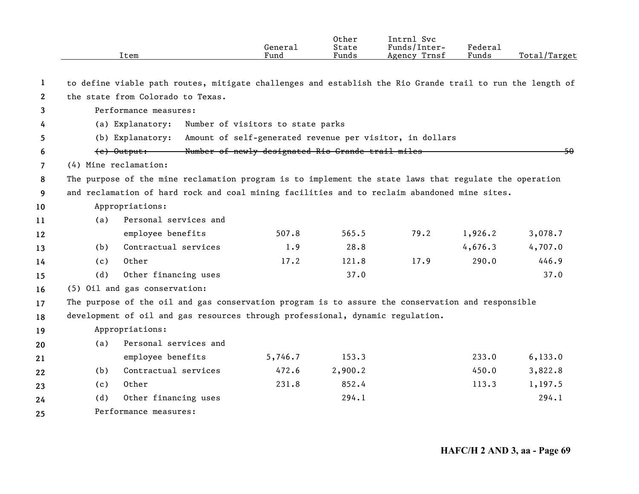|                |                                                                              | Item                                                                                                      | General<br>Fund                                   | Other<br>State<br>Funds | Intrnl Svc<br>Funds/Inter-<br>Agency Trnsf | Federal<br>Funds | Total/Target |  |  |  |
|----------------|------------------------------------------------------------------------------|-----------------------------------------------------------------------------------------------------------|---------------------------------------------------|-------------------------|--------------------------------------------|------------------|--------------|--|--|--|
|                |                                                                              |                                                                                                           |                                                   |                         |                                            |                  |              |  |  |  |
| $\mathbf{1}$   |                                                                              | to define viable path routes, mitigate challenges and establish the Rio Grande trail to run the length of |                                                   |                         |                                            |                  |              |  |  |  |
| $\mathbf{2}$   |                                                                              | the state from Colorado to Texas.                                                                         |                                                   |                         |                                            |                  |              |  |  |  |
| 3              |                                                                              | Performance measures:                                                                                     |                                                   |                         |                                            |                  |              |  |  |  |
| 4              |                                                                              | Number of visitors to state parks<br>(a) Explanatory:                                                     |                                                   |                         |                                            |                  |              |  |  |  |
| 5              | Amount of self-generated revenue per visitor, in dollars<br>(b) Explanatory: |                                                                                                           |                                                   |                         |                                            |                  |              |  |  |  |
| 6              |                                                                              | <del>(c) Output: \</del>                                                                                  | Number of newly designated Rio Grande trail miles |                         |                                            |                  | 50           |  |  |  |
| $\overline{7}$ |                                                                              | (4) Mine reclamation:                                                                                     |                                                   |                         |                                            |                  |              |  |  |  |
| 8              |                                                                              | The purpose of the mine reclamation program is to implement the state laws that regulate the operation    |                                                   |                         |                                            |                  |              |  |  |  |
| 9              |                                                                              | and reclamation of hard rock and coal mining facilities and to reclaim abandoned mine sites.              |                                                   |                         |                                            |                  |              |  |  |  |
| 10             |                                                                              | Appropriations:                                                                                           |                                                   |                         |                                            |                  |              |  |  |  |
| 11             | (a)                                                                          | Personal services and                                                                                     |                                                   |                         |                                            |                  |              |  |  |  |
| 12             |                                                                              | employee benefits                                                                                         | 507.8                                             | 565.5                   | 79.2                                       | 1,926.2          | 3,078.7      |  |  |  |
| 13             | (b)                                                                          | Contractual services                                                                                      | 1.9                                               | 28.8                    |                                            | 4,676.3          | 4,707.0      |  |  |  |
| 14             | (c)                                                                          | Other                                                                                                     | 17.2                                              | 121.8                   | 17.9                                       | 290.0            | 446.9        |  |  |  |
| 15             | (d)                                                                          | Other financing uses                                                                                      |                                                   | 37.0                    |                                            |                  | 37.0         |  |  |  |
| 16             |                                                                              | (5) Oil and gas conservation:                                                                             |                                                   |                         |                                            |                  |              |  |  |  |
| 17             |                                                                              | The purpose of the oil and gas conservation program is to assure the conservation and responsible         |                                                   |                         |                                            |                  |              |  |  |  |
| 18             |                                                                              | development of oil and gas resources through professional, dynamic regulation.                            |                                                   |                         |                                            |                  |              |  |  |  |
| 19             |                                                                              | Appropriations:                                                                                           |                                                   |                         |                                            |                  |              |  |  |  |
| 20             | (a)                                                                          | Personal services and                                                                                     |                                                   |                         |                                            |                  |              |  |  |  |
| 21             |                                                                              | employee benefits                                                                                         | 5,746.7                                           | 153.3                   |                                            | 233.0            | 6, 133.0     |  |  |  |
| 22             | (b)                                                                          | Contractual services                                                                                      | 472.6                                             | 2,900.2                 |                                            | 450.0            | 3,822.8      |  |  |  |
| 23             | (c)                                                                          | Other                                                                                                     | 231.8                                             | 852.4                   |                                            | 113.3            | 1,197.5      |  |  |  |
| 24             | (d)                                                                          | Other financing uses                                                                                      |                                                   | 294.1                   |                                            |                  | 294.1        |  |  |  |
| 25             |                                                                              | Performance measures:                                                                                     |                                                   |                         |                                            |                  |              |  |  |  |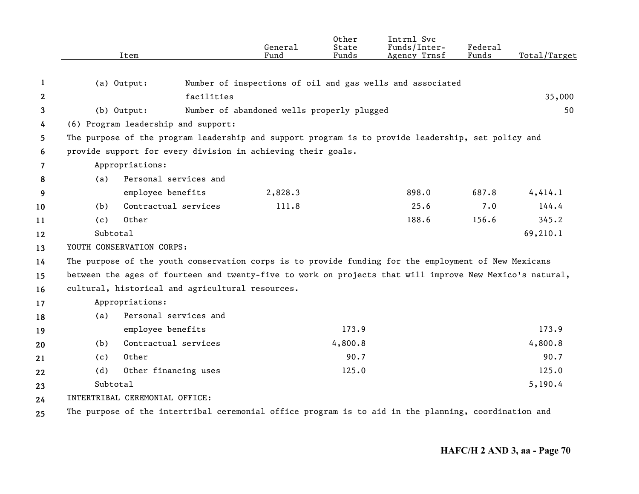|              |                                | Item                                                                                                     | General<br>Fund                            | Other<br>State<br>Funds | Intrnl Svc<br>Funds/Inter-<br>Agency Trnsf                | Federal<br>Funds | Total/Target |
|--------------|--------------------------------|----------------------------------------------------------------------------------------------------------|--------------------------------------------|-------------------------|-----------------------------------------------------------|------------------|--------------|
| 1            | (a) Output:                    |                                                                                                          |                                            |                         | Number of inspections of oil and gas wells and associated |                  |              |
| $\mathbf{2}$ | facilities                     |                                                                                                          |                                            |                         |                                                           |                  | 35,000       |
| 3            |                                | (b) Output:                                                                                              | Number of abandoned wells properly plugged |                         |                                                           |                  | 50           |
| 4            |                                | (6) Program leadership and support:                                                                      |                                            |                         |                                                           |                  |              |
| 5            |                                | The purpose of the program leadership and support program is to provide leadership, set policy and       |                                            |                         |                                                           |                  |              |
| 6            |                                | provide support for every division in achieving their goals.                                             |                                            |                         |                                                           |                  |              |
| 7            |                                | Appropriations:                                                                                          |                                            |                         |                                                           |                  |              |
| 8            | (a)                            | Personal services and                                                                                    |                                            |                         |                                                           |                  |              |
| 9            |                                | employee benefits                                                                                        | 2,828.3                                    |                         | 898.0                                                     | 687.8            | 4,414.1      |
| 10           | (b)                            | Contractual services                                                                                     | 111.8                                      |                         | 25.6                                                      | 7.0              | 144.4        |
| 11           | (c)                            | Other                                                                                                    |                                            |                         | 188.6                                                     | 156.6            | 345.2        |
| 12           | Subtotal                       |                                                                                                          |                                            |                         |                                                           |                  | 69,210.1     |
| 13           | YOUTH CONSERVATION CORPS:      |                                                                                                          |                                            |                         |                                                           |                  |              |
| 14           |                                | The purpose of the youth conservation corps is to provide funding for the employment of New Mexicans     |                                            |                         |                                                           |                  |              |
| 15           |                                | between the ages of fourteen and twenty-five to work on projects that will improve New Mexico's natural, |                                            |                         |                                                           |                  |              |
| 16           |                                | cultural, historical and agricultural resources.                                                         |                                            |                         |                                                           |                  |              |
| 17           |                                | Appropriations:                                                                                          |                                            |                         |                                                           |                  |              |
| 18           | (a)                            | Personal services and                                                                                    |                                            |                         |                                                           |                  |              |
| 19           |                                | employee benefits                                                                                        |                                            | 173.9                   |                                                           |                  | 173.9        |
| 20           | (b)                            | Contractual services                                                                                     |                                            | 4,800.8                 |                                                           |                  | 4,800.8      |
| 21           | (c)                            | Other                                                                                                    |                                            | 90.7                    |                                                           |                  | 90.7         |
| 22           | (d)                            | Other financing uses                                                                                     |                                            | 125.0                   |                                                           |                  | 125.0        |
| 23           | Subtotal                       |                                                                                                          |                                            |                         |                                                           | 5,190.4          |              |
| 24           | INTERTRIBAL CEREMONIAL OFFICE: |                                                                                                          |                                            |                         |                                                           |                  |              |
| 25           |                                | The purpose of the intertribal ceremonial office program is to aid in the planning, coordination and     |                                            |                         |                                                           |                  |              |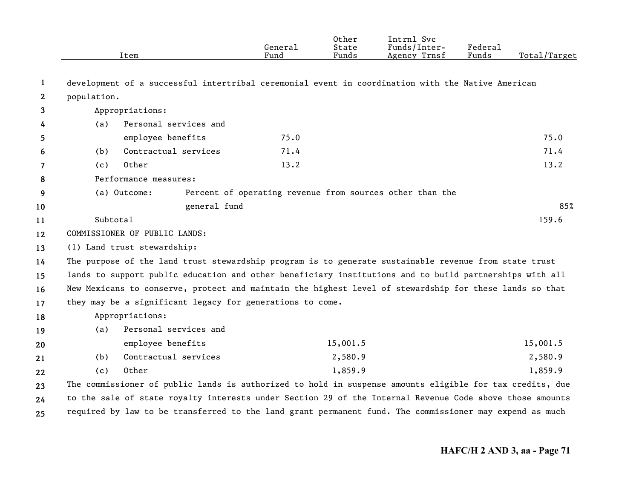|              |                                                                                                          | Item                                                                                                    | General<br>Fund | Other<br>State<br>Funds | Intrnl Svc<br>Funds/Inter-<br>Agency Trnsf               | Federal<br>Funds | Total/Target |
|--------------|----------------------------------------------------------------------------------------------------------|---------------------------------------------------------------------------------------------------------|-----------------|-------------------------|----------------------------------------------------------|------------------|--------------|
| 1            |                                                                                                          | development of a successful intertribal ceremonial event in coordination with the Native American       |                 |                         |                                                          |                  |              |
| $\mathbf{2}$ | population.                                                                                              |                                                                                                         |                 |                         |                                                          |                  |              |
| 3            |                                                                                                          | Appropriations:                                                                                         |                 |                         |                                                          |                  |              |
| 4            | (a)                                                                                                      | Personal services and                                                                                   |                 |                         |                                                          |                  |              |
| 5            |                                                                                                          | employee benefits                                                                                       | 75.0            |                         |                                                          |                  | 75.0         |
| 6            | (b)                                                                                                      | Contractual services                                                                                    | 71.4            |                         |                                                          |                  | 71.4         |
| 7            | (c)                                                                                                      | Other                                                                                                   | 13.2            |                         |                                                          |                  | 13.2         |
| 8            |                                                                                                          | Performance measures:                                                                                   |                 |                         |                                                          |                  |              |
| 9            |                                                                                                          | (a) Outcome:                                                                                            |                 |                         | Percent of operating revenue from sources other than the |                  |              |
| 10           |                                                                                                          | general fund                                                                                            |                 |                         |                                                          |                  | 85%          |
| 11           | Subtotal                                                                                                 |                                                                                                         |                 |                         |                                                          |                  | 159.6        |
| 12           |                                                                                                          | COMMISSIONER OF PUBLIC LANDS:                                                                           |                 |                         |                                                          |                  |              |
| 13           |                                                                                                          | (1) Land trust stewardship:                                                                             |                 |                         |                                                          |                  |              |
| 14           |                                                                                                          | The purpose of the land trust stewardship program is to generate sustainable revenue from state trust   |                 |                         |                                                          |                  |              |
| 15           |                                                                                                          | lands to support public education and other beneficiary institutions and to build partnerships with all |                 |                         |                                                          |                  |              |
| 16           |                                                                                                          | New Mexicans to conserve, protect and maintain the highest level of stewardship for these lands so that |                 |                         |                                                          |                  |              |
| 17           |                                                                                                          | they may be a significant legacy for generations to come.                                               |                 |                         |                                                          |                  |              |
| 18           |                                                                                                          | Appropriations:                                                                                         |                 |                         |                                                          |                  |              |
| 19           | (a)                                                                                                      | Personal services and                                                                                   |                 |                         |                                                          |                  |              |
| 20           |                                                                                                          | employee benefits                                                                                       |                 | 15,001.5                |                                                          |                  | 15,001.5     |
| 21           | (b)                                                                                                      | Contractual services                                                                                    |                 | 2,580.9                 |                                                          |                  | 2,580.9      |
| 22           | (c)                                                                                                      | Other                                                                                                   |                 | 1,859.9                 |                                                          |                  | 1,859.9      |
| 23           | The commissioner of public lands is authorized to hold in suspense amounts eligible for tax credits, due |                                                                                                         |                 |                         |                                                          |                  |              |
| 24           | to the sale of state royalty interests under Section 29 of the Internal Revenue Code above those amounts |                                                                                                         |                 |                         |                                                          |                  |              |
| 25           | required by law to be transferred to the land grant permanent fund. The commissioner may expend as much  |                                                                                                         |                 |                         |                                                          |                  |              |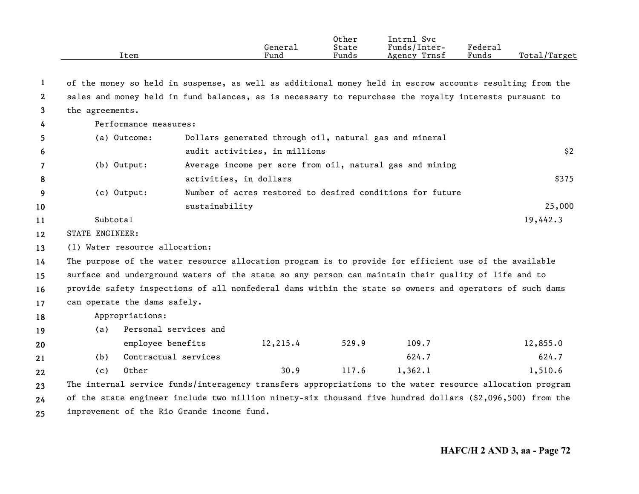|              | Item                                                                                                     |                                                                                                           | General<br>Fund                                        | Other<br>State<br>Funds | Intrnl Svc<br>Funds/Inter-<br>Agency Trnsf                | Federal<br>Funds | Total/Target |  |  |
|--------------|----------------------------------------------------------------------------------------------------------|-----------------------------------------------------------------------------------------------------------|--------------------------------------------------------|-------------------------|-----------------------------------------------------------|------------------|--------------|--|--|
| 1            |                                                                                                          | of the money so held in suspense, as well as additional money held in escrow accounts resulting from the  |                                                        |                         |                                                           |                  |              |  |  |
| $\mathbf{2}$ | sales and money held in fund balances, as is necessary to repurchase the royalty interests pursuant to   |                                                                                                           |                                                        |                         |                                                           |                  |              |  |  |
| 3            | the agreements.                                                                                          |                                                                                                           |                                                        |                         |                                                           |                  |              |  |  |
| 4            | Performance measures:                                                                                    |                                                                                                           |                                                        |                         |                                                           |                  |              |  |  |
| 5            | (a) Outcome:                                                                                             |                                                                                                           | Dollars generated through oil, natural gas and mineral |                         |                                                           |                  |              |  |  |
| 6            |                                                                                                          |                                                                                                           | audit activities, in millions                          |                         |                                                           |                  | \$2          |  |  |
| 7            | (b) Output:                                                                                              |                                                                                                           |                                                        |                         | Average income per acre from oil, natural gas and mining  |                  |              |  |  |
| 8            |                                                                                                          | activities, in dollars                                                                                    |                                                        |                         |                                                           |                  | \$375        |  |  |
| 9            | (c) Output:                                                                                              |                                                                                                           |                                                        |                         | Number of acres restored to desired conditions for future |                  |              |  |  |
| 10           |                                                                                                          | sustainability                                                                                            |                                                        |                         |                                                           |                  | 25,000       |  |  |
| 11           | Subtotal                                                                                                 |                                                                                                           |                                                        |                         |                                                           |                  | 19,442.3     |  |  |
| 12           | STATE ENGINEER:                                                                                          |                                                                                                           |                                                        |                         |                                                           |                  |              |  |  |
| 13           | (1) Water resource allocation:                                                                           |                                                                                                           |                                                        |                         |                                                           |                  |              |  |  |
| 14           |                                                                                                          | The purpose of the water resource allocation program is to provide for efficient use of the available     |                                                        |                         |                                                           |                  |              |  |  |
| 15           |                                                                                                          | surface and underground waters of the state so any person can maintain their quality of life and to       |                                                        |                         |                                                           |                  |              |  |  |
| 16           | provide safety inspections of all nonfederal dams within the state so owners and operators of such dams  |                                                                                                           |                                                        |                         |                                                           |                  |              |  |  |
| 17           | can operate the dams safely.                                                                             |                                                                                                           |                                                        |                         |                                                           |                  |              |  |  |
| 18           | Appropriations:                                                                                          |                                                                                                           |                                                        |                         |                                                           |                  |              |  |  |
| 19           | (a)                                                                                                      | Personal services and                                                                                     |                                                        |                         |                                                           |                  |              |  |  |
| 20           |                                                                                                          | employee benefits                                                                                         | 12,215.4                                               | 529.9                   | 109.7                                                     |                  | 12,855.0     |  |  |
| 21           | (b)                                                                                                      | Contractual services                                                                                      |                                                        |                         | 624.7                                                     |                  | 624.7        |  |  |
| 22           | Other<br>(c)                                                                                             |                                                                                                           | 30.9                                                   | 117.6                   | 1,362.1                                                   |                  | 1,510.6      |  |  |
| 23           | The internal service funds/interagency transfers appropriations to the water resource allocation program |                                                                                                           |                                                        |                         |                                                           |                  |              |  |  |
| 24           |                                                                                                          | of the state engineer include two million ninety-six thousand five hundred dollars (\$2,096,500) from the |                                                        |                         |                                                           |                  |              |  |  |

**25** improvement of the Rio Grande income fund.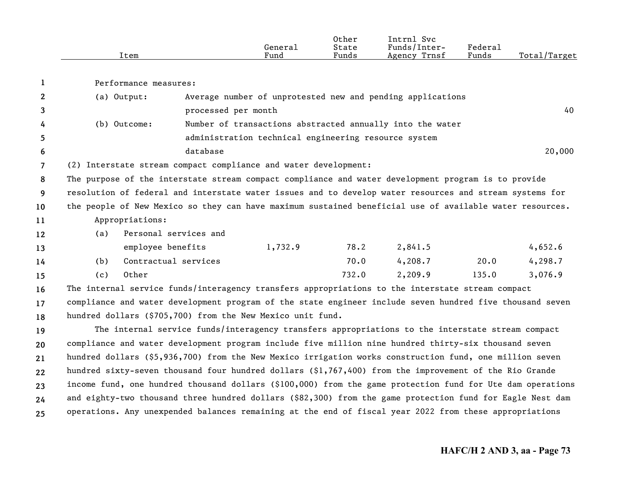|      | General | Other<br>State | Svc<br>Intrnl<br>Funds/Inter- | ${}_{\rm \tiny \text{Federal}}$ |              |
|------|---------|----------------|-------------------------------|---------------------------------|--------------|
| Item | Fund    | Funds          | Agency Trnsf                  | Funds                           | Total/Target |
|      |         |                |                               |                                 |              |

|    | Performance measures: |                                                                                                          |        |
|----|-----------------------|----------------------------------------------------------------------------------------------------------|--------|
|    | (a) Output:           | Average number of unprotested new and pending applications                                               |        |
| 3  |                       | processed per month                                                                                      | 40     |
| 4  | (b) Outcome:          | Number of transactions abstracted annually into the water                                                |        |
| 5  |                       | administration technical engineering resource system                                                     |        |
| 6  |                       | database                                                                                                 | 20,000 |
|    |                       | (2) Interstate stream compact compliance and water development:                                          |        |
| 8  |                       | The purpose of the interstate stream compact compliance and water development program is to provide      |        |
| -9 |                       | resolution of federal and interstate water issues and to develop water resources and stream systems for  |        |
| 10 |                       | the people of New Mexico so they can have maximum sustained beneficial use of available water resources. |        |
| 11 | Appropriations:       |                                                                                                          |        |

| 12 | (a) Personal services and |  |
|----|---------------------------|--|

| 13              |     | employee benefits    | 1,732.9 | 78.2  | 2,841.5 |       | 4,652.6 |
|-----------------|-----|----------------------|---------|-------|---------|-------|---------|
| 14              | (b) | Contractual services |         | 70.0  | 4,208.7 | 20.0  | 4,298.7 |
| 15 <sub>1</sub> | (C) | Other                |         | 732.0 | 2,209.9 | 135.0 | 3,076.9 |

**161718**The internal service funds/interagency transfers appropriations to the interstate stream compact compliance and water development program of the state engineer include seven hundred five thousand seven hundred dollars (\$705,700) from the New Mexico unit fund.

**19202122232425**The internal service funds/interagency transfers appropriations to the interstate stream compact compliance and water development program include five million nine hundred thirty-six thousand seven hundred dollars (\$5,936,700) from the New Mexico irrigation works construction fund, one million seven hundred sixty-seven thousand four hundred dollars (\$1,767,400) from the improvement of the Rio Grande income fund, one hundred thousand dollars (\$100,000) from the game protection fund for Ute dam operations and eighty-two thousand three hundred dollars (\$82,300) from the game protection fund for Eagle Nest dam operations. Any unexpended balances remaining at the end of fiscal year 2022 from these appropriations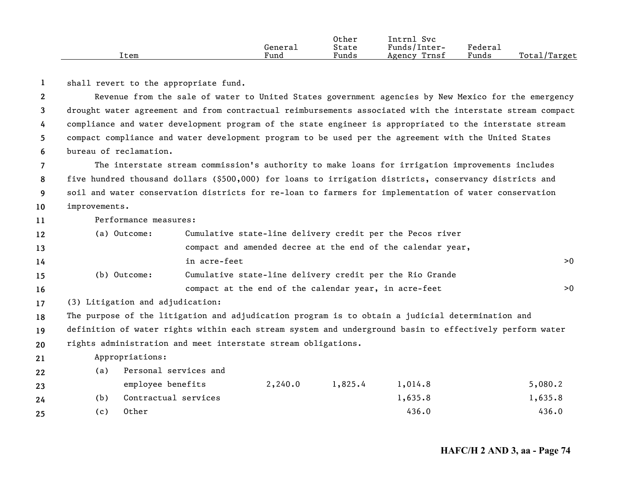|      |         | Other | Svc<br>'ntrnl   |         |                    |
|------|---------|-------|-----------------|---------|--------------------|
|      | General | State | Funds/Inter-    | Federau |                    |
| Item | Fund    | Funds | Trnsf<br>Agency | Funds   | Total/<br>'Target' |

**1**shall revert to the appropriate fund.

**23456**Revenue from the sale of water to United States government agencies by New Mexico for the emergency drought water agreement and from contractual reimbursements associated with the interstate stream compact compliance and water development program of the state engineer is appropriated to the interstate stream compact compliance and water development program to be used per the agreement with the United States bureau of reclamation.

**78910**The interstate stream commission's authority to make loans for irrigation improvements includes five hundred thousand dollars (\$500,000) for loans to irrigation districts, conservancy districts and soil and water conservation districts for re-loan to farmers for implementation of water conservation improvements.

Performance measures:

**11**

| 12  | (a) Outcome: | Cumulative state-line delivery credit per the Pecos river   |     |
|-----|--------------|-------------------------------------------------------------|-----|
| 13  |              | compact and amended decree at the end of the calendar year, |     |
| 14  |              | in acre-feet                                                | >0  |
| 15  | (b) Outcome: | Cumulative state-line delivery credit per the Rio Grande    |     |
| -16 |              | compact at the end of the calendar year, in acre-feet       | > 0 |

**17**(3) Litigation and adjudication:

**18**The purpose of the litigation and adjudication program is to obtain a judicial determination and

**19**definition of water rights within each stream system and underground basin to effectively perform water

**20**rights administration and meet interstate stream obligations.

## **21**Appropriations:

| 22 | (a)   | Personal services and |         |         |         |         |
|----|-------|-----------------------|---------|---------|---------|---------|
| 23 |       | employee benefits     | 2,240.0 | 1,825.4 | 1,014.8 | 5,080.2 |
| 24 | (b)   | Contractual services  |         |         | 1,635.8 | 1,635.8 |
| 25 | ( C ) | Other                 |         |         | 436.0   | 436.0   |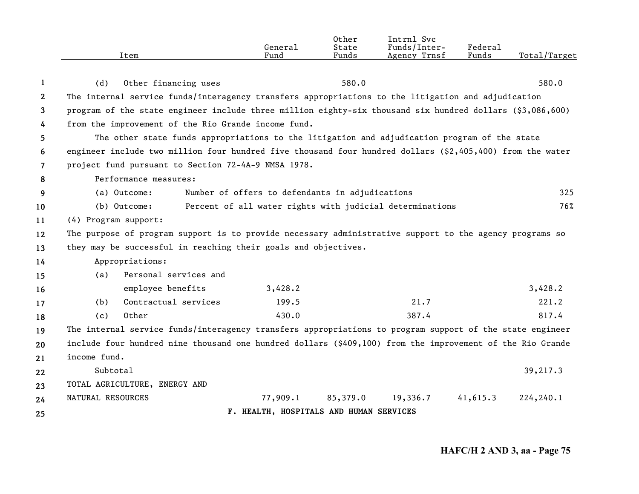|              | Item                                                                                                      | General<br>Fund                                          | Other<br>State<br>Funds | Intrnl Svc<br>Funds/Inter-<br>Agency Trnsf | Federal<br>Funds | Total/Target |
|--------------|-----------------------------------------------------------------------------------------------------------|----------------------------------------------------------|-------------------------|--------------------------------------------|------------------|--------------|
|              |                                                                                                           |                                                          |                         |                                            |                  |              |
| 1            | (d)<br>Other financing uses                                                                               |                                                          | 580.0                   |                                            |                  | 580.0        |
| $\mathbf{2}$ | The internal service funds/interagency transfers appropriations to the litigation and adjudication        |                                                          |                         |                                            |                  |              |
| 3            | program of the state engineer include three million eighty-six thousand six hundred dollars (\$3,086,600) |                                                          |                         |                                            |                  |              |
| 4            | from the improvement of the Rio Grande income fund.                                                       |                                                          |                         |                                            |                  |              |
| 5            | The other state funds appropriations to the litigation and adjudication program of the state              |                                                          |                         |                                            |                  |              |
| 6            | engineer include two million four hundred five thousand four hundred dollars (\$2,405,400) from the water |                                                          |                         |                                            |                  |              |
| 7            | project fund pursuant to Section 72-4A-9 NMSA 1978.                                                       |                                                          |                         |                                            |                  |              |
| 8            | Performance measures:                                                                                     |                                                          |                         |                                            |                  |              |
| 9            | (a) Outcome:                                                                                              | Number of offers to defendants in adjudications          |                         |                                            |                  | 325          |
| 10           | (b) Outcome:                                                                                              | Percent of all water rights with judicial determinations |                         |                                            |                  | 76%          |
| 11           | (4) Program support:                                                                                      |                                                          |                         |                                            |                  |              |
| 12           | The purpose of program support is to provide necessary administrative support to the agency programs so   |                                                          |                         |                                            |                  |              |
| 13           | they may be successful in reaching their goals and objectives.                                            |                                                          |                         |                                            |                  |              |
| 14           | Appropriations:                                                                                           |                                                          |                         |                                            |                  |              |
| 15           | Personal services and<br>(a)                                                                              |                                                          |                         |                                            |                  |              |
| 16           | employee benefits                                                                                         | 3,428.2                                                  |                         |                                            |                  | 3,428.2      |
| 17           | Contractual services<br>(b)                                                                               | 199.5                                                    |                         | 21.7                                       |                  | 221.2        |
| 18           | Other<br>(c)                                                                                              | 430.0                                                    |                         | 387.4                                      |                  | 817.4        |
| 19           | The internal service funds/interagency transfers appropriations to program support of the state engineer  |                                                          |                         |                                            |                  |              |
| 20           | include four hundred nine thousand one hundred dollars (\$409,100) from the improvement of the Rio Grande |                                                          |                         |                                            |                  |              |
| 21           | income fund.                                                                                              |                                                          |                         |                                            |                  |              |
| 22           | Subtotal                                                                                                  |                                                          |                         |                                            |                  | 39,217.3     |
| 23           | TOTAL AGRICULTURE, ENERGY AND                                                                             |                                                          |                         |                                            |                  |              |
| 24           | NATURAL RESOURCES                                                                                         | 77,909.1                                                 | 85,379.0                | 19,336.7                                   | 41,615.3         | 224,240.1    |
| 25           |                                                                                                           | F. HEALTH, HOSPITALS AND HUMAN SERVICES                  |                         |                                            |                  |              |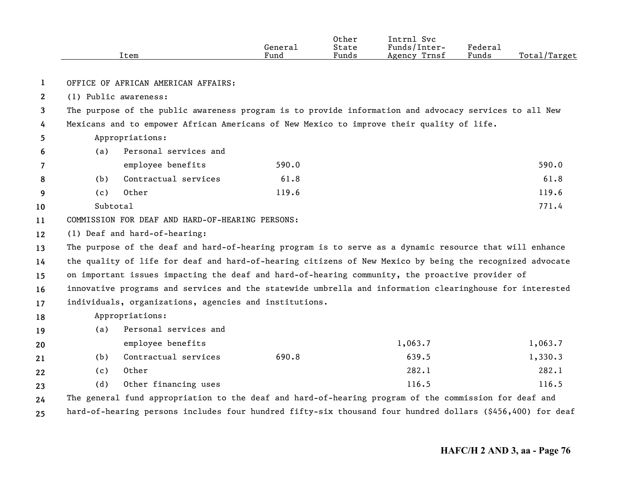|                       |          | Item                                                                                                       | General<br>Fund | Other<br>State<br>Funds | Intrnl Svc<br>Funds/Inter-<br>Agency Trnsf | Federal<br>Funds | Total/Target |
|-----------------------|----------|------------------------------------------------------------------------------------------------------------|-----------------|-------------------------|--------------------------------------------|------------------|--------------|
| 1                     |          | OFFICE OF AFRICAN AMERICAN AFFAIRS:                                                                        |                 |                         |                                            |                  |              |
| $\mathbf{2}^{\prime}$ |          | (1) Public awareness:                                                                                      |                 |                         |                                            |                  |              |
| 3                     |          | The purpose of the public awareness program is to provide information and advocacy services to all New     |                 |                         |                                            |                  |              |
| 4                     |          | Mexicans and to empower African Americans of New Mexico to improve their quality of life.                  |                 |                         |                                            |                  |              |
| 5.                    |          | Appropriations:                                                                                            |                 |                         |                                            |                  |              |
| 6                     | (a)      | Personal services and                                                                                      |                 |                         |                                            |                  |              |
| 7                     |          | employee benefits                                                                                          | 590.0           |                         |                                            |                  | 590.0        |
| 8                     | (b)      | Contractual services                                                                                       | 61.8            |                         |                                            |                  | 61.8         |
| 9                     | (c)      | Other                                                                                                      | 119.6           |                         |                                            |                  | 119.6        |
| 10                    | Subtotal |                                                                                                            |                 |                         |                                            |                  | 771.4        |
| 11                    |          | COMMISSION FOR DEAF AND HARD-OF-HEARING PERSONS:                                                           |                 |                         |                                            |                  |              |
| 12                    |          | (1) Deaf and hard-of-hearing:                                                                              |                 |                         |                                            |                  |              |
| 13                    |          | The purpose of the deaf and hard-of-hearing program is to serve as a dynamic resource that will enhance    |                 |                         |                                            |                  |              |
| 14                    |          | the quality of life for deaf and hard-of-hearing citizens of New Mexico by being the recognized advocate   |                 |                         |                                            |                  |              |
| 15                    |          | on important issues impacting the deaf and hard-of-hearing community, the proactive provider of            |                 |                         |                                            |                  |              |
| 16                    |          | innovative programs and services and the statewide umbrella and information clearinghouse for interested   |                 |                         |                                            |                  |              |
| 17                    |          | individuals, organizations, agencies and institutions.                                                     |                 |                         |                                            |                  |              |
| 18                    |          | Appropriations:                                                                                            |                 |                         |                                            |                  |              |
| 19                    | (a)      | Personal services and                                                                                      |                 |                         |                                            |                  |              |
| 20                    |          | employee benefits                                                                                          |                 |                         | 1,063.7                                    |                  | 1,063.7      |
| 21                    | (b)      | Contractual services                                                                                       | 690.8           |                         | 639.5                                      |                  | 1,330.3      |
| 22                    | (c)      | Other                                                                                                      |                 |                         | 282.1                                      |                  | 282.1        |
| 23                    | (d)      | Other financing uses                                                                                       |                 |                         | 116.5                                      |                  | 116.5        |
| 24                    |          | The general fund appropriation to the deaf and hard-of-hearing program of the commission for deaf and      |                 |                         |                                            |                  |              |
| 25                    |          | hard-of-hearing persons includes four hundred fifty-six thousand four hundred dollars (\$456,400) for deaf |                 |                         |                                            |                  |              |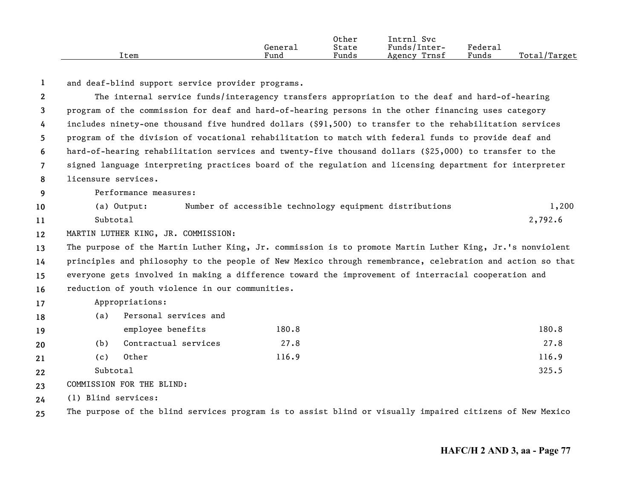|      |         | Other           | Intrnl<br>Svc   |                     |                   |
|------|---------|-----------------|-----------------|---------------------|-------------------|
|      | General | State           | Funds/Inter-    | Federa <sub>1</sub> |                   |
| Item | Fund    | $\sim$<br>Funds | Trnsf<br>Agency | $\sim$<br>Funds     | Total,<br>/Target |

**1**and deaf-blind support service provider programs.

**23456789101112131415161718192021222324**The internal service funds/interagency transfers appropriation to the deaf and hard-of-hearing program of the commission for deaf and hard-of-hearing persons in the other financing uses category includes ninety-one thousand five hundred dollars (\$91,500) to transfer to the rehabilitation services program of the division of vocational rehabilitation to match with federal funds to provide deaf and hard-of-hearing rehabilitation services and twenty-five thousand dollars (\$25,000) to transfer to the signed language interpreting practices board of the regulation and licensing department for interpreter licensure services.Performance measures:(a) Output: Number of accessible technology equipment distributions 1,200 Subtotal $1$  and  $2,792.6$ MARTIN LUTHER KING, JR. COMMISSION: The purpose of the Martin Luther King, Jr. commission is to promote Martin Luther King, Jr.'s nonviolent principles and philosophy to the people of New Mexico through remembrance, celebration and action so that everyone gets involved in making a difference toward the improvement of interracial cooperation and reduction of youth violence in our communities. Appropriations: (a) Personal services and employee benefits 180.8 180.8 180.8 180.8 180.8 180.8 180.8 180.8 180.8 (b) Contractual services 27.8 27.8 (c) Other 116.9 116.9 Subtotal1 and  $325.5$ COMMISSION FOR THE BLIND:(1) Blind services:

**25**The purpose of the blind services program is to assist blind or visually impaired citizens of New Mexico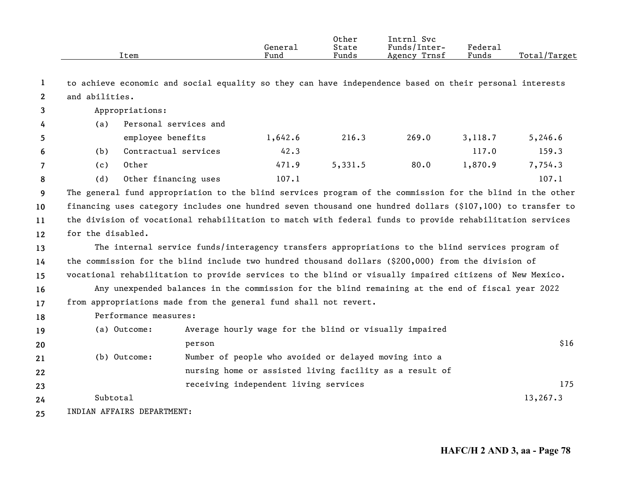|                       |                   | Item                  |                                                                  | General<br>Fund | 0ther<br>State<br>Funds | Intrnl Svc<br>Funds/Inter-<br>Agency Trnsf                                                                 | <b>Federal</b><br>Funds | Total/Target |
|-----------------------|-------------------|-----------------------|------------------------------------------------------------------|-----------------|-------------------------|------------------------------------------------------------------------------------------------------------|-------------------------|--------------|
| 1                     |                   |                       |                                                                  |                 |                         | to achieve economic and social equality so they can have independence based on their personal interests    |                         |              |
| $\mathbf{2}^{\prime}$ | and abilities.    |                       |                                                                  |                 |                         |                                                                                                            |                         |              |
| 3                     |                   | Appropriations:       |                                                                  |                 |                         |                                                                                                            |                         |              |
| 4                     | (a)               | Personal services and |                                                                  |                 |                         |                                                                                                            |                         |              |
| 5                     |                   | employee benefits     |                                                                  | 1,642.6         | 216.3                   | 269.0                                                                                                      | 3,118.7                 | 5,246.6      |
| 6                     | (b)               | Contractual services  |                                                                  | 42.3            |                         |                                                                                                            | 117.0                   | 159.3        |
| $\overline{7}$        | (c)               | Other                 |                                                                  | 471.9           | 5,331.5                 | 80.0                                                                                                       | 1,870.9                 | 7,754.3      |
| 8                     | (d)               | Other financing uses  |                                                                  | 107.1           |                         |                                                                                                            |                         | 107.1        |
| 9                     |                   |                       |                                                                  |                 |                         | The general fund appropriation to the blind services program of the commission for the blind in the other  |                         |              |
| 10                    |                   |                       |                                                                  |                 |                         | financing uses category includes one hundred seven thousand one hundred dollars (\$107,100) to transfer to |                         |              |
| 11                    |                   |                       |                                                                  |                 |                         | the division of vocational rehabilitation to match with federal funds to provide rehabilitation services   |                         |              |
| 12 <sup>2</sup>       | for the disabled. |                       |                                                                  |                 |                         |                                                                                                            |                         |              |
| 13                    |                   |                       |                                                                  |                 |                         | The internal service funds/interagency transfers appropriations to the blind services program of           |                         |              |
| 14                    |                   |                       |                                                                  |                 |                         | the commission for the blind include two hundred thousand dollars $(\$200,000)$ from the division of       |                         |              |
| 15                    |                   |                       |                                                                  |                 |                         | vocational rehabilitation to provide services to the blind or visually impaired citizens of New Mexico.    |                         |              |
| 16                    |                   |                       |                                                                  |                 |                         | Any unexpended balances in the commission for the blind remaining at the end of fiscal year 2022           |                         |              |
| 17                    |                   |                       | from appropriations made from the general fund shall not revert. |                 |                         |                                                                                                            |                         |              |
| 18                    |                   | Performance measures: |                                                                  |                 |                         |                                                                                                            |                         |              |
| 19                    |                   | (a) Outcome:          |                                                                  |                 |                         | Average hourly wage for the blind or visually impaired                                                     |                         |              |
| 20                    |                   |                       | person                                                           |                 |                         |                                                                                                            |                         | \$16         |
| 21                    |                   | (b) Outcome:          | Number of people who avoided or delayed moving into a            |                 |                         |                                                                                                            |                         |              |
| 22                    |                   |                       |                                                                  |                 |                         | nursing home or assisted living facility as a result of                                                    |                         |              |
| 23                    |                   |                       | receiving independent living services                            |                 |                         |                                                                                                            |                         | 175          |
| 24                    | Subtotal          |                       |                                                                  |                 |                         |                                                                                                            |                         | 13,267.3     |
|                       |                   |                       |                                                                  |                 |                         |                                                                                                            |                         |              |

**25** INDIAN AFFAIRS DEPARTMENT: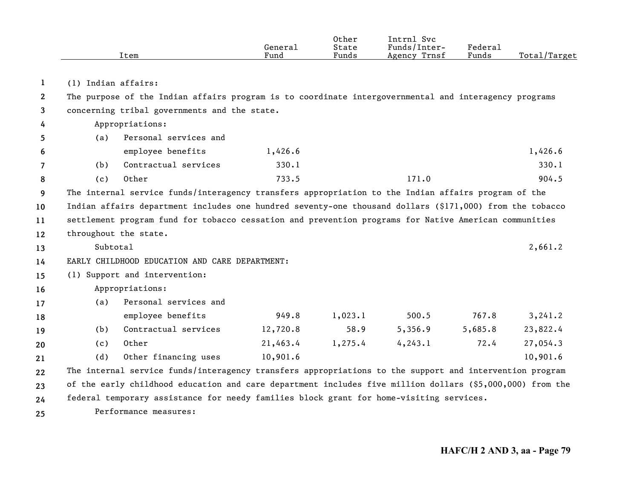|                |                     | Item                                                                                                      | General<br>Fund | Other<br>State<br>Funds | Intrnl Svc<br>Funds/Inter-<br>Agency Trnsf | Federal<br>Funds | Total/Target |
|----------------|---------------------|-----------------------------------------------------------------------------------------------------------|-----------------|-------------------------|--------------------------------------------|------------------|--------------|
| 1              | (1) Indian affairs: |                                                                                                           |                 |                         |                                            |                  |              |
| $\mathbf{2}$   |                     | The purpose of the Indian affairs program is to coordinate intergovernmental and interagency programs     |                 |                         |                                            |                  |              |
| 3              |                     | concerning tribal governments and the state.                                                              |                 |                         |                                            |                  |              |
| 4              |                     | Appropriations:                                                                                           |                 |                         |                                            |                  |              |
| 5              | (a)                 | Personal services and                                                                                     |                 |                         |                                            |                  |              |
| 6              |                     | employee benefits                                                                                         | 1,426.6         |                         |                                            |                  | 1,426.6      |
| $\overline{7}$ | (b)                 | Contractual services                                                                                      | 330.1           |                         |                                            |                  | 330.1        |
| 8              | (c)                 | Other                                                                                                     | 733.5           |                         | 171.0                                      |                  | 904.5        |
| 9              |                     | The internal service funds/interagency transfers appropriation to the Indian affairs program of the       |                 |                         |                                            |                  |              |
| 10             |                     | Indian affairs department includes one hundred seventy-one thousand dollars (\$171,000) from the tobacco  |                 |                         |                                            |                  |              |
| 11             |                     | settlement program fund for tobacco cessation and prevention programs for Native American communities     |                 |                         |                                            |                  |              |
| 12             |                     | throughout the state.                                                                                     |                 |                         |                                            |                  |              |
| 13             | Subtotal            |                                                                                                           |                 |                         |                                            |                  | 2,661.2      |
| 14             |                     | EARLY CHILDHOOD EDUCATION AND CARE DEPARTMENT:                                                            |                 |                         |                                            |                  |              |
| 15             |                     | (1) Support and intervention:                                                                             |                 |                         |                                            |                  |              |
| 16             |                     | Appropriations:                                                                                           |                 |                         |                                            |                  |              |
| 17             | (a)                 | Personal services and                                                                                     |                 |                         |                                            |                  |              |
| 18             |                     | employee benefits                                                                                         | 949.8           | 1,023.1                 | 500.5                                      | 767.8            | 3, 241.2     |
| 19             | (b)                 | Contractual services                                                                                      | 12,720.8        | 58.9                    | 5,356.9                                    | 5,685.8          | 23,822.4     |
| 20             | (c)                 | Other                                                                                                     | 21,463.4        | 1,275.4                 | 4, 243.1                                   | 72.4             | 27,054.3     |
| 21             | (d)                 | Other financing uses                                                                                      | 10,901.6        |                         |                                            |                  | 10,901.6     |
| 22             |                     | The internal service funds/interagency transfers appropriations to the support and intervention program   |                 |                         |                                            |                  |              |
| 23             |                     | of the early childhood education and care department includes five million dollars (\$5,000,000) from the |                 |                         |                                            |                  |              |
| 24             |                     | federal temporary assistance for needy families block grant for home-visiting services.                   |                 |                         |                                            |                  |              |
|                |                     |                                                                                                           |                 |                         |                                            |                  |              |

**25** Performance measures: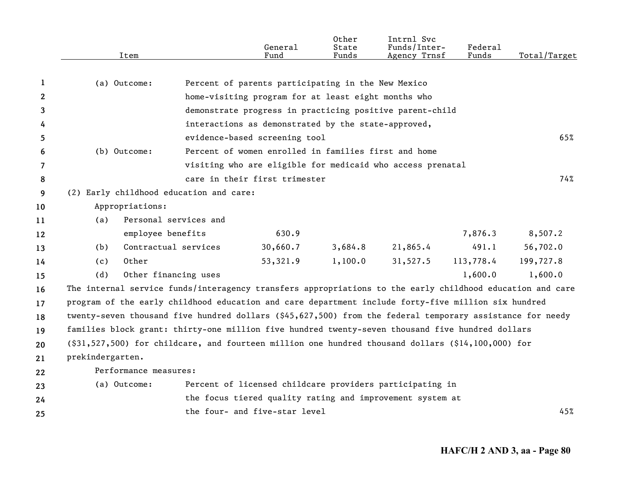|                       | Item                                                                                                      |                       | General<br>Fund                                      | Other<br>State<br>Funds | Intrnl Svc<br>Funds/Inter-<br>Agency Trnsf                 | Federal<br>Funds | Total/Target |
|-----------------------|-----------------------------------------------------------------------------------------------------------|-----------------------|------------------------------------------------------|-------------------------|------------------------------------------------------------|------------------|--------------|
|                       |                                                                                                           |                       |                                                      |                         |                                                            |                  |              |
| 1                     | (a) Outcome:                                                                                              |                       | Percent of parents participating in the New Mexico   |                         |                                                            |                  |              |
| $\mathbf{2}^{\prime}$ |                                                                                                           |                       | home-visiting program for at least eight months who  |                         |                                                            |                  |              |
| 3                     |                                                                                                           |                       |                                                      |                         | demonstrate progress in practicing positive parent-child   |                  |              |
| 4                     |                                                                                                           |                       | interactions as demonstrated by the state-approved,  |                         |                                                            |                  |              |
| 5                     |                                                                                                           |                       | evidence-based screening tool                        |                         |                                                            |                  | 65%          |
| 6                     | (b) Outcome:                                                                                              |                       | Percent of women enrolled in families first and home |                         |                                                            |                  |              |
| 7                     |                                                                                                           |                       |                                                      |                         | visiting who are eligible for medicaid who access prenatal |                  |              |
| 8                     |                                                                                                           |                       | care in their first trimester                        |                         |                                                            |                  | 74%          |
| 9                     | (2) Early childhood education and care:                                                                   |                       |                                                      |                         |                                                            |                  |              |
| 10                    | Appropriations:                                                                                           |                       |                                                      |                         |                                                            |                  |              |
| 11                    | (a)                                                                                                       | Personal services and |                                                      |                         |                                                            |                  |              |
| 12                    |                                                                                                           | employee benefits     | 630.9                                                |                         |                                                            | 7,876.3          | 8,507.2      |
| 13                    | (b)                                                                                                       | Contractual services  | 30,660.7                                             | 3,684.8                 | 21,865.4                                                   | 491.1            | 56,702.0     |
| 14                    | Other<br>(c)                                                                                              |                       | 53,321.9                                             | 1,100.0                 | 31,527.5                                                   | 113,778.4        | 199,727.8    |
| 15                    | (d)                                                                                                       | Other financing uses  |                                                      |                         |                                                            | 1,600.0          | 1,600.0      |
| 16                    | The internal service funds/interagency transfers appropriations to the early childhood education and care |                       |                                                      |                         |                                                            |                  |              |
| 17                    | program of the early childhood education and care department include forty-five million six hundred       |                       |                                                      |                         |                                                            |                  |              |
| 18                    | twenty-seven thousand five hundred dollars (\$45,627,500) from the federal temporary assistance for needy |                       |                                                      |                         |                                                            |                  |              |
| 19                    | families block grant: thirty-one million five hundred twenty-seven thousand five hundred dollars          |                       |                                                      |                         |                                                            |                  |              |
| 20                    | $(\$31,527,500)$ for childcare, and fourteen million one hundred thousand dollars $(\$14,100,000)$ for    |                       |                                                      |                         |                                                            |                  |              |
| 21                    | prekindergarten.                                                                                          |                       |                                                      |                         |                                                            |                  |              |
| 22                    | Performance measures:                                                                                     |                       |                                                      |                         |                                                            |                  |              |
| 23                    | (a) Outcome:                                                                                              |                       |                                                      |                         | Percent of licensed childcare providers participating in   |                  |              |
| 24                    |                                                                                                           |                       |                                                      |                         | the focus tiered quality rating and improvement system at  |                  |              |
| 25                    |                                                                                                           |                       | the four- and five-star level                        |                         |                                                            |                  | 45%          |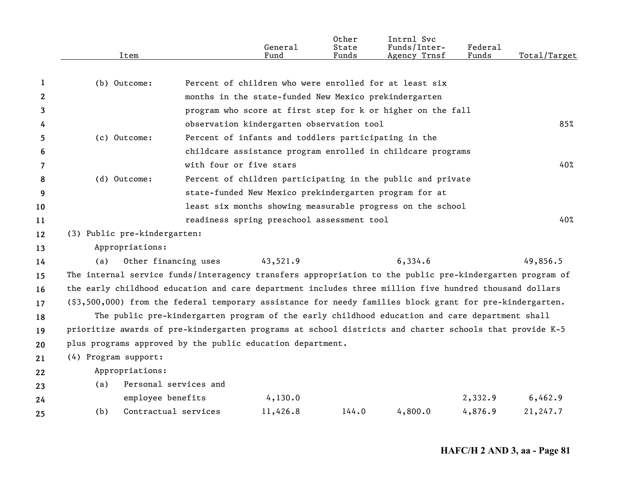|              | Item                                                                                                     |                         | General<br>Fund                                        | Other<br>State<br>Funds | Intrnl Svc<br>Funds/Inter-<br>Agency Trnsf                                                     | Federal<br>Funds | Total/Target |
|--------------|----------------------------------------------------------------------------------------------------------|-------------------------|--------------------------------------------------------|-------------------------|------------------------------------------------------------------------------------------------|------------------|--------------|
|              |                                                                                                          |                         |                                                        |                         |                                                                                                |                  |              |
| 1            | (b) Outcome:                                                                                             |                         | Percent of children who were enrolled for at least six |                         |                                                                                                |                  |              |
| $\mathbf{2}$ |                                                                                                          |                         | months in the state-funded New Mexico prekindergarten  |                         |                                                                                                |                  |              |
| 3            |                                                                                                          |                         |                                                        |                         | program who score at first step for k or higher on the fall                                    |                  |              |
| 4            |                                                                                                          |                         | observation kindergarten observation tool              |                         |                                                                                                |                  | 85%          |
| 5.           | (c) Outcome:                                                                                             |                         | Percent of infants and toddlers participating in the   |                         |                                                                                                |                  |              |
| 6            |                                                                                                          |                         |                                                        |                         | childcare assistance program enrolled in childcare programs                                    |                  |              |
| 7            |                                                                                                          | with four or five stars |                                                        |                         |                                                                                                |                  | 40%          |
| 8            | (d) Outcome:                                                                                             |                         |                                                        |                         | Percent of children participating in the public and private                                    |                  |              |
| 9            |                                                                                                          |                         | state-funded New Mexico prekindergarten program for at |                         |                                                                                                |                  |              |
| 10           |                                                                                                          |                         |                                                        |                         | least six months showing measurable progress on the school                                     |                  |              |
| 11           |                                                                                                          |                         | readiness spring preschool assessment tool             |                         |                                                                                                |                  | 40%          |
| 12           | (3) Public pre-kindergarten:                                                                             |                         |                                                        |                         |                                                                                                |                  |              |
| 13           | Appropriations:                                                                                          |                         |                                                        |                         |                                                                                                |                  |              |
| 14           | (a)                                                                                                      | Other financing uses    | 43,521.9                                               |                         | 6,334.6                                                                                        |                  | 49,856.5     |
| 15           | The internal service funds/interagency transfers appropriation to the public pre-kindergarten program of |                         |                                                        |                         |                                                                                                |                  |              |
| 16           | the early childhood education and care department includes three million five hundred thousand dollars   |                         |                                                        |                         |                                                                                                |                  |              |
| 17           | (\$3,500,000) from the federal temporary assistance for needy families block grant for pre-kindergarten. |                         |                                                        |                         |                                                                                                |                  |              |
| 18           |                                                                                                          |                         |                                                        |                         | The public pre-kindergarten program of the early childhood education and care department shall |                  |              |
| 19           | prioritize awards of pre-kindergarten programs at school districts and charter schools that provide K-5  |                         |                                                        |                         |                                                                                                |                  |              |
| 20           | plus programs approved by the public education department.                                               |                         |                                                        |                         |                                                                                                |                  |              |
| 21           | (4) Program support:                                                                                     |                         |                                                        |                         |                                                                                                |                  |              |
| 22           | Appropriations:                                                                                          |                         |                                                        |                         |                                                                                                |                  |              |
| 23           | (a)                                                                                                      | Personal services and   |                                                        |                         |                                                                                                |                  |              |
| 24           | employee benefits                                                                                        |                         | 4,130.0                                                |                         |                                                                                                | 2,332.9          | 6,462.9      |
| 25           | (b)                                                                                                      | Contractual services    | 11,426.8                                               | 144.0                   | 4,800.0                                                                                        | 4,876.9          | 21,247.7     |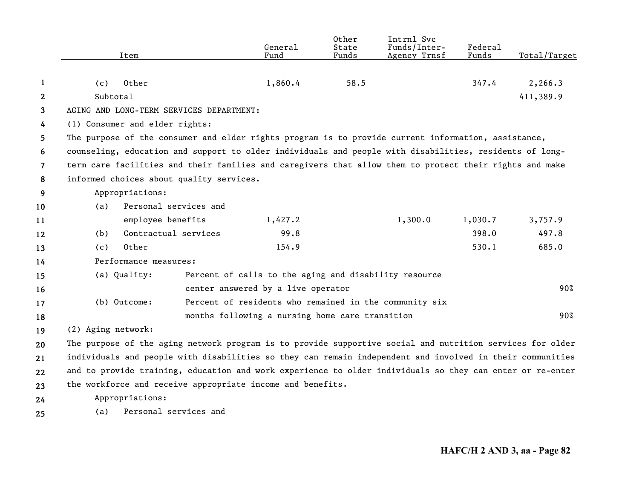|                | Item                                                                                                      | General<br>Fund                                        | Other<br>State<br>Funds | Intrnl Svc<br>Funds/Inter- | <b>Federal</b><br>Funds | Total/Target |
|----------------|-----------------------------------------------------------------------------------------------------------|--------------------------------------------------------|-------------------------|----------------------------|-------------------------|--------------|
|                |                                                                                                           |                                                        |                         | Agency Trnsf               |                         |              |
| 1              | Other<br>(c)                                                                                              | 1,860.4                                                | 58.5                    |                            | 347.4                   | 2,266.3      |
| $\mathbf{2}$   | Subtotal                                                                                                  |                                                        |                         |                            |                         | 411,389.9    |
| 3              | AGING AND LONG-TERM SERVICES DEPARTMENT:                                                                  |                                                        |                         |                            |                         |              |
| 4              | (1) Consumer and elder rights:                                                                            |                                                        |                         |                            |                         |              |
| 5              | The purpose of the consumer and elder rights program is to provide current information, assistance,       |                                                        |                         |                            |                         |              |
| 6              | counseling, education and support to older individuals and people with disabilities, residents of long-   |                                                        |                         |                            |                         |              |
| $\overline{7}$ | term care facilities and their families and caregivers that allow them to protect their rights and make   |                                                        |                         |                            |                         |              |
| 8              | informed choices about quality services.                                                                  |                                                        |                         |                            |                         |              |
| 9              | Appropriations:                                                                                           |                                                        |                         |                            |                         |              |
| 10             | Personal services and<br>(a)                                                                              |                                                        |                         |                            |                         |              |
| 11             | employee benefits                                                                                         | 1,427.2                                                |                         | 1,300.0                    | 1,030.7                 | 3,757.9      |
| 12             | Contractual services<br>(b)                                                                               | 99.8                                                   |                         |                            | 398.0                   | 497.8        |
| 13             | Other<br>(c)                                                                                              | 154.9                                                  |                         |                            | 530.1                   | 685.0        |
| 14             | Performance measures:                                                                                     |                                                        |                         |                            |                         |              |
| 15             | (a) Quality:                                                                                              | Percent of calls to the aging and disability resource  |                         |                            |                         |              |
| 16             |                                                                                                           | center answered by a live operator                     |                         |                            |                         | 90%          |
| 17             | (b) Outcome:                                                                                              | Percent of residents who remained in the community six |                         |                            |                         |              |
| 18             |                                                                                                           | months following a nursing home care transition        |                         |                            |                         | 90%          |
| 19             | (2) Aging network:                                                                                        |                                                        |                         |                            |                         |              |
| 20             | The purpose of the aging network program is to provide supportive social and nutrition services for older |                                                        |                         |                            |                         |              |
| 21             | individuals and people with disabilities so they can remain independent and involved in their communities |                                                        |                         |                            |                         |              |
| 22             | and to provide training, education and work experience to older individuals so they can enter or re-enter |                                                        |                         |                            |                         |              |
| 23             | the workforce and receive appropriate income and benefits.                                                |                                                        |                         |                            |                         |              |
| 24             | Appropriations:                                                                                           |                                                        |                         |                            |                         |              |
| 25             | Personal services and<br>(a)                                                                              |                                                        |                         |                            |                         |              |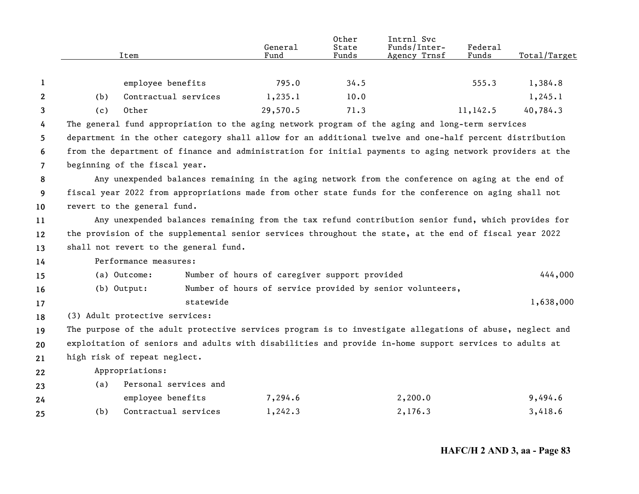|                |                                                                                                                                                                                                             | Item                                                                                                     | General<br>Fund                                           | Other<br>State<br>Funds | Intrnl Svc<br>Funds/Inter-<br>Agency Trnsf | Federal<br>Funds | Total/Target |  |  |
|----------------|-------------------------------------------------------------------------------------------------------------------------------------------------------------------------------------------------------------|----------------------------------------------------------------------------------------------------------|-----------------------------------------------------------|-------------------------|--------------------------------------------|------------------|--------------|--|--|
| 1              |                                                                                                                                                                                                             | employee benefits                                                                                        | 795.0                                                     | 34.5                    |                                            | 555.3            | 1,384.8      |  |  |
| $\mathbf{2}$   | (b)                                                                                                                                                                                                         | Contractual services                                                                                     | 1,235.1                                                   | 10.0                    |                                            |                  | 1, 245.1     |  |  |
| 3              | (c)                                                                                                                                                                                                         | Other                                                                                                    | 29,570.5                                                  | 71.3                    |                                            | 11,142.5         | 40,784.3     |  |  |
| 4              |                                                                                                                                                                                                             | The general fund appropriation to the aging network program of the aging and long-term services          |                                                           |                         |                                            |                  |              |  |  |
| 5.             |                                                                                                                                                                                                             | department in the other category shall allow for an additional twelve and one-half percent distribution  |                                                           |                         |                                            |                  |              |  |  |
| 6              |                                                                                                                                                                                                             | from the department of finance and administration for initial payments to aging network providers at the |                                                           |                         |                                            |                  |              |  |  |
| $\overline{7}$ |                                                                                                                                                                                                             | beginning of the fiscal year.                                                                            |                                                           |                         |                                            |                  |              |  |  |
| 8              |                                                                                                                                                                                                             |                                                                                                          |                                                           |                         |                                            |                  |              |  |  |
| 9              | Any unexpended balances remaining in the aging network from the conference on aging at the end of<br>fiscal year 2022 from appropriations made from other state funds for the conference on aging shall not |                                                                                                          |                                                           |                         |                                            |                  |              |  |  |
| 10             |                                                                                                                                                                                                             | revert to the general fund.                                                                              |                                                           |                         |                                            |                  |              |  |  |
| 11             |                                                                                                                                                                                                             | Any unexpended balances remaining from the tax refund contribution senior fund, which provides for       |                                                           |                         |                                            |                  |              |  |  |
| 12             |                                                                                                                                                                                                             | the provision of the supplemental senior services throughout the state, at the end of fiscal year 2022   |                                                           |                         |                                            |                  |              |  |  |
| 13             |                                                                                                                                                                                                             | shall not revert to the general fund.                                                                    |                                                           |                         |                                            |                  |              |  |  |
| 14             |                                                                                                                                                                                                             | Performance measures:                                                                                    |                                                           |                         |                                            |                  |              |  |  |
| 15             |                                                                                                                                                                                                             | (a) Outcome:                                                                                             | Number of hours of caregiver support provided             |                         |                                            |                  | 444,000      |  |  |
| 16             |                                                                                                                                                                                                             | $(b)$ Output:                                                                                            | Number of hours of service provided by senior volunteers, |                         |                                            |                  |              |  |  |
| 17             |                                                                                                                                                                                                             | statewide                                                                                                |                                                           |                         |                                            |                  | 1,638,000    |  |  |
| 18             |                                                                                                                                                                                                             | (3) Adult protective services:                                                                           |                                                           |                         |                                            |                  |              |  |  |
| 19             |                                                                                                                                                                                                             | The purpose of the adult protective services program is to investigate allegations of abuse, neglect and |                                                           |                         |                                            |                  |              |  |  |
| 20             |                                                                                                                                                                                                             | exploitation of seniors and adults with disabilities and provide in-home support services to adults at   |                                                           |                         |                                            |                  |              |  |  |
| 21             |                                                                                                                                                                                                             | high risk of repeat neglect.                                                                             |                                                           |                         |                                            |                  |              |  |  |
| 22             |                                                                                                                                                                                                             | Appropriations:                                                                                          |                                                           |                         |                                            |                  |              |  |  |
| 23             | (a)                                                                                                                                                                                                         | Personal services and                                                                                    |                                                           |                         |                                            |                  |              |  |  |
| 24             |                                                                                                                                                                                                             | employee benefits                                                                                        | 7,294.6                                                   |                         | 2,200.0                                    |                  | 9,494.6      |  |  |
| 25             | (b)                                                                                                                                                                                                         | Contractual services                                                                                     | 1,242.3                                                   |                         | 2,176.3                                    |                  | 3,418.6      |  |  |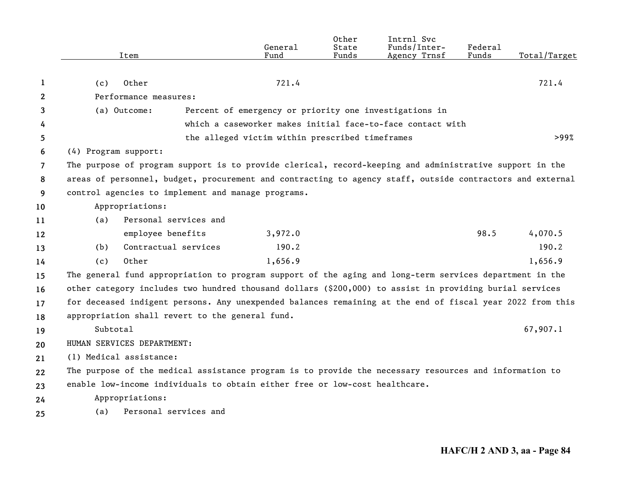|    | Item                                                                                                      |                       | General<br>Fund                                 | Other<br>State<br>Funds | Intrnl Svc<br>Funds/Inter-<br>Agency Trnsf                 | Federal<br>Funds | Total/Target |
|----|-----------------------------------------------------------------------------------------------------------|-----------------------|-------------------------------------------------|-------------------------|------------------------------------------------------------|------------------|--------------|
|    |                                                                                                           |                       |                                                 |                         |                                                            |                  |              |
| 1  | Other<br>(c)                                                                                              |                       | 721.4                                           |                         |                                                            |                  | 721.4        |
| 2  | Performance measures:                                                                                     |                       |                                                 |                         |                                                            |                  |              |
| 3  | (a) Outcome:                                                                                              |                       |                                                 |                         | Percent of emergency or priority one investigations in     |                  |              |
| 4  |                                                                                                           |                       |                                                 |                         | which a caseworker makes initial face-to-face contact with |                  |              |
| 5. |                                                                                                           |                       | the alleged victim within prescribed timeframes |                         |                                                            |                  | >99%         |
| 6  | (4) Program support:                                                                                      |                       |                                                 |                         |                                                            |                  |              |
| 7  | The purpose of program support is to provide clerical, record-keeping and administrative support in the   |                       |                                                 |                         |                                                            |                  |              |
| 8  | areas of personnel, budget, procurement and contracting to agency staff, outside contractors and external |                       |                                                 |                         |                                                            |                  |              |
| 9  | control agencies to implement and manage programs.                                                        |                       |                                                 |                         |                                                            |                  |              |
| 10 | Appropriations:                                                                                           |                       |                                                 |                         |                                                            |                  |              |
| 11 | (a)                                                                                                       | Personal services and |                                                 |                         |                                                            |                  |              |
| 12 |                                                                                                           | employee benefits     | 3,972.0                                         |                         |                                                            | 98.5             | 4,070.5      |
| 13 | (b)                                                                                                       | Contractual services  | 190.2                                           |                         |                                                            |                  | 190.2        |
| 14 | Other<br>(c)                                                                                              |                       | 1,656.9                                         |                         |                                                            |                  | 1,656.9      |
| 15 | The general fund appropriation to program support of the aging and long-term services department in the   |                       |                                                 |                         |                                                            |                  |              |
| 16 | other category includes two hundred thousand dollars (\$200,000) to assist in providing burial services   |                       |                                                 |                         |                                                            |                  |              |
| 17 | for deceased indigent persons. Any unexpended balances remaining at the end of fiscal year 2022 from this |                       |                                                 |                         |                                                            |                  |              |
| 18 | appropriation shall revert to the general fund.                                                           |                       |                                                 |                         |                                                            |                  |              |
| 19 | Subtotal                                                                                                  |                       |                                                 |                         |                                                            |                  | 67,907.1     |
| 20 | HUMAN SERVICES DEPARTMENT:                                                                                |                       |                                                 |                         |                                                            |                  |              |
| 21 | (1) Medical assistance:                                                                                   |                       |                                                 |                         |                                                            |                  |              |
| 22 | The purpose of the medical assistance program is to provide the necessary resources and information to    |                       |                                                 |                         |                                                            |                  |              |
| 23 | enable low-income individuals to obtain either free or low-cost healthcare.                               |                       |                                                 |                         |                                                            |                  |              |
| 24 | Appropriations:                                                                                           |                       |                                                 |                         |                                                            |                  |              |
| 25 | (a)                                                                                                       | Personal services and |                                                 |                         |                                                            |                  |              |
|    |                                                                                                           |                       |                                                 |                         |                                                            |                  |              |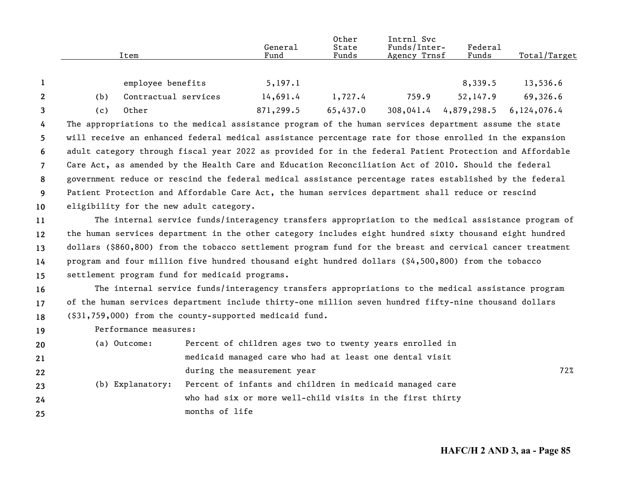|                |                                                                                                         |                       |                                                | General                                                 | Other<br>State | Intrnl Svc<br>Funds/Inter-                                                                                | Federal     |                                                                                                     |
|----------------|---------------------------------------------------------------------------------------------------------|-----------------------|------------------------------------------------|---------------------------------------------------------|----------------|-----------------------------------------------------------------------------------------------------------|-------------|-----------------------------------------------------------------------------------------------------|
|                |                                                                                                         | Item                  |                                                | Fund                                                    | Funds          | Agency Trnsf                                                                                              | Funds       | Total/Target                                                                                        |
|                |                                                                                                         |                       |                                                |                                                         |                |                                                                                                           |             |                                                                                                     |
| $\mathbf 1$    |                                                                                                         | employee benefits     |                                                | 5, 197.1                                                |                |                                                                                                           | 8,339.5     | 13,536.6                                                                                            |
| 2              | (b)                                                                                                     | Contractual services  |                                                | 14,691.4                                                | 1,727.4        | 759.9                                                                                                     | 52,147.9    | 69,326.6                                                                                            |
| 3              | (c)                                                                                                     | Other                 |                                                | 871,299.5                                               | 65,437.0       | 308,041.4                                                                                                 | 4,879,298.5 | 6,124,076.4                                                                                         |
| 4              |                                                                                                         |                       |                                                |                                                         |                | The appropriations to the medical assistance program of the human services department assume the state    |             |                                                                                                     |
| 5              |                                                                                                         |                       |                                                |                                                         |                | will receive an enhanced federal medical assistance percentage rate for those enrolled in the expansion   |             |                                                                                                     |
| 6              |                                                                                                         |                       |                                                |                                                         |                | adult category through fiscal year 2022 as provided for in the federal Patient Protection and Affordable  |             |                                                                                                     |
| $\overline{7}$ | Care Act, as amended by the Health Care and Education Reconciliation Act of 2010. Should the federal    |                       |                                                |                                                         |                |                                                                                                           |             |                                                                                                     |
| 8              | government reduce or rescind the federal medical assistance percentage rates established by the federal |                       |                                                |                                                         |                |                                                                                                           |             |                                                                                                     |
| 9              | Patient Protection and Affordable Care Act, the human services department shall reduce or rescind       |                       |                                                |                                                         |                |                                                                                                           |             |                                                                                                     |
| 10             | eligibility for the new adult category.                                                                 |                       |                                                |                                                         |                |                                                                                                           |             |                                                                                                     |
| 11             |                                                                                                         |                       |                                                |                                                         |                |                                                                                                           |             | The internal service funds/interagency transfers appropriation to the medical assistance program of |
| 12             |                                                                                                         |                       |                                                |                                                         |                | the human services department in the other category includes eight hundred sixty thousand eight hundred   |             |                                                                                                     |
| 13             |                                                                                                         |                       |                                                |                                                         |                | dollars (\$860,800) from the tobacco settlement program fund for the breast and cervical cancer treatment |             |                                                                                                     |
| 14             |                                                                                                         |                       |                                                |                                                         |                | program and four million five hundred thousand eight hundred dollars (\$4,500,800) from the tobacco       |             |                                                                                                     |
| 15             |                                                                                                         |                       | settlement program fund for medicaid programs. |                                                         |                |                                                                                                           |             |                                                                                                     |
| 16             |                                                                                                         |                       |                                                |                                                         |                | The internal service funds/interagency transfers appropriations to the medical assistance program         |             |                                                                                                     |
| 17             |                                                                                                         |                       |                                                |                                                         |                | of the human services department include thirty-one million seven hundred fifty-nine thousand dollars     |             |                                                                                                     |
| 18             |                                                                                                         |                       |                                                | (\$31,759,000) from the county-supported medicaid fund. |                |                                                                                                           |             |                                                                                                     |
| 19             |                                                                                                         | Performance measures: |                                                |                                                         |                |                                                                                                           |             |                                                                                                     |
| 20             |                                                                                                         | (a) Outcome:          |                                                |                                                         |                | Percent of children ages two to twenty years enrolled in                                                  |             |                                                                                                     |
| 21             |                                                                                                         |                       |                                                |                                                         |                | medicaid managed care who had at least one dental visit                                                   |             |                                                                                                     |
| 22             |                                                                                                         |                       |                                                | during the measurement year                             |                |                                                                                                           |             | 72%                                                                                                 |
| 23             |                                                                                                         | (b) Explanatory:      |                                                |                                                         |                | Percent of infants and children in medicaid managed care                                                  |             |                                                                                                     |
| 24             |                                                                                                         |                       |                                                |                                                         |                | who had six or more well-child visits in the first thirty                                                 |             |                                                                                                     |
| 25             |                                                                                                         |                       | months of life                                 |                                                         |                |                                                                                                           |             |                                                                                                     |
|                |                                                                                                         |                       |                                                |                                                         |                |                                                                                                           |             |                                                                                                     |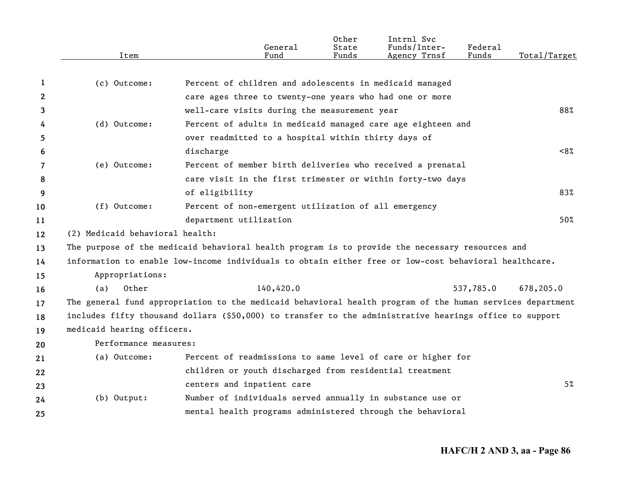|                       | Item                            | General<br>Fund                                                                                           | Other<br>State<br>Funds | Intrnl Svc<br>Funds/Inter-<br>Agency Trnsf | Federal<br>Funds | Total/Target |
|-----------------------|---------------------------------|-----------------------------------------------------------------------------------------------------------|-------------------------|--------------------------------------------|------------------|--------------|
|                       |                                 |                                                                                                           |                         |                                            |                  |              |
| 1                     | (c) Outcome:                    | Percent of children and adolescents in medicaid managed                                                   |                         |                                            |                  |              |
| $\mathbf{2}^{\prime}$ |                                 | care ages three to twenty-one years who had one or more                                                   |                         |                                            |                  |              |
| 3                     |                                 | well-care visits during the measurement year                                                              |                         |                                            |                  | 88%          |
| 4                     | (d) Outcome:                    | Percent of adults in medicaid managed care age eighteen and                                               |                         |                                            |                  |              |
| 5.                    |                                 | over readmitted to a hospital within thirty days of                                                       |                         |                                            |                  |              |
| 6                     |                                 | discharge                                                                                                 |                         |                                            |                  | ~58          |
| 7                     | (e) Outcome:                    | Percent of member birth deliveries who received a prenatal                                                |                         |                                            |                  |              |
| 8                     |                                 | care visit in the first trimester or within forty-two days                                                |                         |                                            |                  |              |
| 9                     |                                 | of eligibility                                                                                            |                         |                                            |                  | 83%          |
| 10                    | (f) Outcome:                    | Percent of non-emergent utilization of all emergency                                                      |                         |                                            |                  |              |
| 11                    |                                 | department utilization                                                                                    |                         |                                            |                  | 50%          |
| 12                    | (2) Medicaid behavioral health: |                                                                                                           |                         |                                            |                  |              |
| 13                    |                                 | The purpose of the medicaid behavioral health program is to provide the necessary resources and           |                         |                                            |                  |              |
| 14                    |                                 | information to enable low-income individuals to obtain either free or low-cost behavioral healthcare.     |                         |                                            |                  |              |
| 15                    | Appropriations:                 |                                                                                                           |                         |                                            |                  |              |
| 16                    | Other<br>(a)                    | 140,420.0                                                                                                 |                         |                                            | 537,785.0        | 678,205.0    |
| 17                    |                                 | The general fund appropriation to the medicaid behavioral health program of the human services department |                         |                                            |                  |              |
| 18                    |                                 | includes fifty thousand dollars (\$50,000) to transfer to the administrative hearings office to support   |                         |                                            |                  |              |
| 19                    | medicaid hearing officers.      |                                                                                                           |                         |                                            |                  |              |
| 20                    | Performance measures:           |                                                                                                           |                         |                                            |                  |              |
| 21                    | (a) Outcome:                    | Percent of readmissions to same level of care or higher for                                               |                         |                                            |                  |              |
| 22                    |                                 | children or youth discharged from residential treatment                                                   |                         |                                            |                  |              |
| 23                    |                                 | centers and inpatient care                                                                                |                         |                                            |                  | 5%           |
| 24                    | $(b)$ Output:                   | Number of individuals served annually in substance use or                                                 |                         |                                            |                  |              |
| 25                    |                                 | mental health programs administered through the behavioral                                                |                         |                                            |                  |              |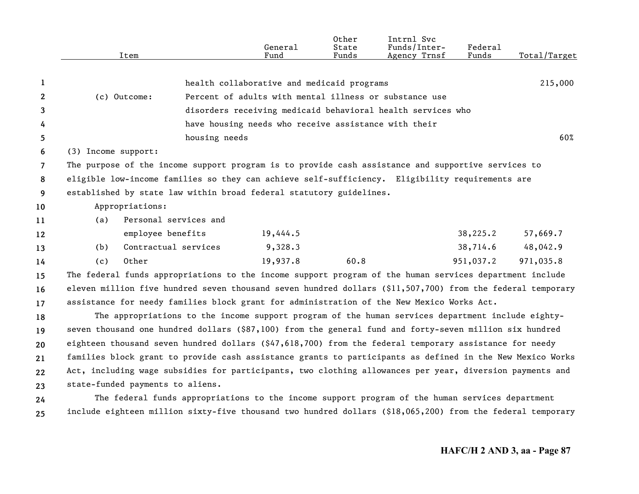|                |                     | Item                                                                                                                                                                                                  | General<br>Fund                                             | Other<br>State<br>Funds | Intrnl Svc<br>Funds/Inter-<br>Agency Trnsf | Federal<br>Funds | Total/Target |
|----------------|---------------------|-------------------------------------------------------------------------------------------------------------------------------------------------------------------------------------------------------|-------------------------------------------------------------|-------------------------|--------------------------------------------|------------------|--------------|
|                |                     |                                                                                                                                                                                                       |                                                             |                         |                                            |                  | 215,000      |
| 1              |                     |                                                                                                                                                                                                       | health collaborative and medicaid programs                  |                         |                                            |                  |              |
| $\mathbf{2}$   |                     | (c) Outcome:                                                                                                                                                                                          | Percent of adults with mental illness or substance use      |                         |                                            |                  |              |
| 3              |                     |                                                                                                                                                                                                       | disorders receiving medicaid behavioral health services who |                         |                                            |                  |              |
| 4              |                     |                                                                                                                                                                                                       | have housing needs who receive assistance with their        |                         |                                            |                  | 60%          |
| 5              |                     | housing needs                                                                                                                                                                                         |                                                             |                         |                                            |                  |              |
| 6              | (3) Income support: |                                                                                                                                                                                                       |                                                             |                         |                                            |                  |              |
| $\overline{7}$ |                     | The purpose of the income support program is to provide cash assistance and supportive services to<br>eligible low-income families so they can achieve self-sufficiency. Eligibility requirements are |                                                             |                         |                                            |                  |              |
| 8              |                     | established by state law within broad federal statutory guidelines.                                                                                                                                   |                                                             |                         |                                            |                  |              |
| 9              |                     |                                                                                                                                                                                                       |                                                             |                         |                                            |                  |              |
| 10             |                     | Appropriations:<br>Personal services and                                                                                                                                                              |                                                             |                         |                                            |                  |              |
| 11             | (a)                 | employee benefits                                                                                                                                                                                     | 19,444.5                                                    |                         |                                            | 38,225.2         | 57,669.7     |
| 12             | (b)                 | Contractual services                                                                                                                                                                                  | 9,328.3                                                     |                         |                                            | 38,714.6         | 48,042.9     |
| 13             |                     | Other                                                                                                                                                                                                 | 19,937.8                                                    | 60.8                    |                                            | 951,037.2        | 971,035.8    |
| 14             | (c)                 |                                                                                                                                                                                                       |                                                             |                         |                                            |                  |              |
| 15             |                     | The federal funds appropriations to the income support program of the human services department include                                                                                               |                                                             |                         |                                            |                  |              |
| 16             |                     | eleven million five hundred seven thousand seven hundred dollars (\$11,507,700) from the federal temporary                                                                                            |                                                             |                         |                                            |                  |              |
| 17             |                     | assistance for needy families block grant for administration of the New Mexico Works Act.<br>The appropriations to the income support program of the human services department include eighty-        |                                                             |                         |                                            |                  |              |
| 18             |                     |                                                                                                                                                                                                       |                                                             |                         |                                            |                  |              |
| 19             |                     | seven thousand one hundred dollars (\$87,100) from the general fund and forty-seven million six hundred                                                                                               |                                                             |                         |                                            |                  |              |
| 20             |                     | eighteen thousand seven hundred dollars (\$47,618,700) from the federal temporary assistance for needy                                                                                                |                                                             |                         |                                            |                  |              |
| 21             |                     | families block grant to provide cash assistance grants to participants as defined in the New Mexico Works                                                                                             |                                                             |                         |                                            |                  |              |
| 22             |                     | Act, including wage subsidies for participants, two clothing allowances per year, diversion payments and                                                                                              |                                                             |                         |                                            |                  |              |
| 23             |                     | state-funded payments to aliens.                                                                                                                                                                      |                                                             |                         |                                            |                  |              |
| 24             |                     | The federal funds appropriations to the income support program of the human services department                                                                                                       |                                                             |                         |                                            |                  |              |
| 25             |                     | include eighteen million sixty-five thousand two hundred dollars (\$18,065,200) from the federal temporary                                                                                            |                                                             |                         |                                            |                  |              |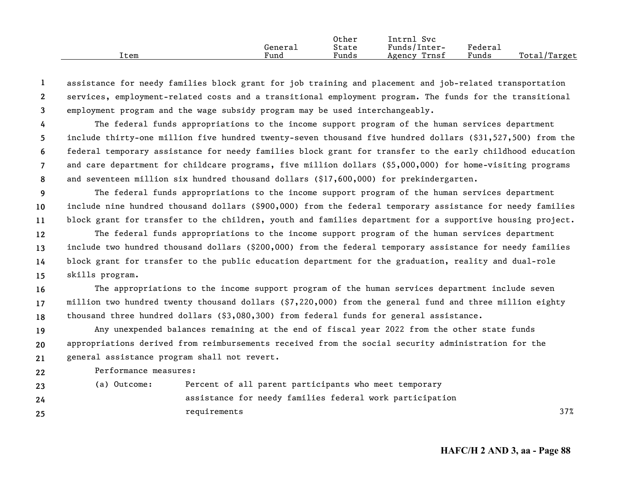|      |         | Other | Intrnl<br><b>Svc</b> |         |                    |
|------|---------|-------|----------------------|---------|--------------------|
|      | Genera⊥ | State | Funds/Inter-         | Federau |                    |
| Item | Fund    | Funds | Trnsf<br>Agency      | Funds   | Total/<br>'Target' |

**123**assistance for needy families block grant for job training and placement and job-related transportation services, employment-related costs and a transitional employment program. The funds for the transitional employment program and the wage subsidy program may be used interchangeably.

**45678**The federal funds appropriations to the income support program of the human services department include thirty-one million five hundred twenty-seven thousand five hundred dollars (\$31,527,500) from the federal temporary assistance for needy families block grant for transfer to the early childhood education and care department for childcare programs, five million dollars (\$5,000,000) for home-visiting programs and seventeen million six hundred thousand dollars (\$17,600,000) for prekindergarten.

**9 1011**The federal funds appropriations to the income support program of the human services department include nine hundred thousand dollars (\$900,000) from the federal temporary assistance for needy families block grant for transfer to the children, youth and families department for a supportive housing project.

**12131415**The federal funds appropriations to the income support program of the human services department include two hundred thousand dollars (\$200,000) from the federal temporary assistance for needy families block grant for transfer to the public education department for the graduation, reality and dual-role skills program.

**161718**The appropriations to the income support program of the human services department include seven million two hundred twenty thousand dollars (\$7,220,000) from the general fund and three million eighty thousand three hundred dollars (\$3,080,300) from federal funds for general assistance.

**192021**Any unexpended balances remaining at the end of fiscal year 2022 from the other state funds appropriations derived from reimbursements received from the social security administration for the general assistance program shall not revert.

**22**Performance measures:

**2324**

**25**

(a) Outcome: Percent of all parent participants who meet temporary assistance for needy families federal work participation requirements 37%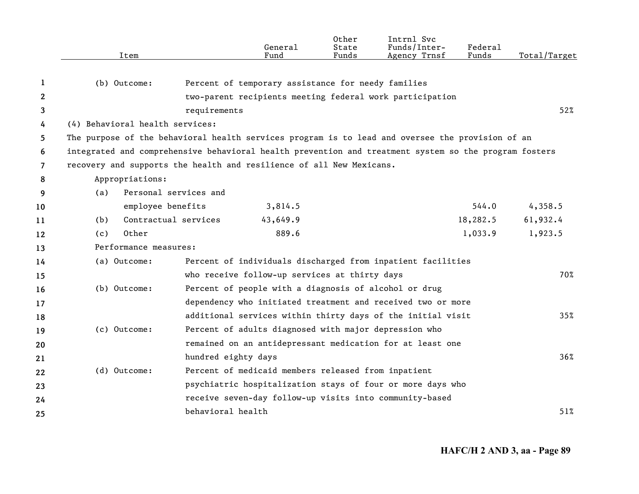|                       | Item                                                                 | General<br>Fund                                                                                       | Other<br>State<br>Funds | Intrnl Svc<br>Funds/Inter-<br>Agency Trnsf | <b>Federal</b><br>Funds | Total/Target |  |
|-----------------------|----------------------------------------------------------------------|-------------------------------------------------------------------------------------------------------|-------------------------|--------------------------------------------|-------------------------|--------------|--|
| 1                     | (b) Outcome:                                                         | Percent of temporary assistance for needy families                                                    |                         |                                            |                         |              |  |
| $\mathbf{2}^{\prime}$ |                                                                      | two-parent recipients meeting federal work participation                                              |                         |                                            |                         |              |  |
| 3                     |                                                                      | requirements                                                                                          |                         |                                            |                         | 52%          |  |
| 4                     | (4) Behavioral health services:                                      |                                                                                                       |                         |                                            |                         |              |  |
| 5                     |                                                                      | The purpose of the behavioral health services program is to lead and oversee the provision of an      |                         |                                            |                         |              |  |
| 6                     |                                                                      | integrated and comprehensive behavioral health prevention and treatment system so the program fosters |                         |                                            |                         |              |  |
| $\overline{7}$        | recovery and supports the health and resilience of all New Mexicans. |                                                                                                       |                         |                                            |                         |              |  |
| 8                     | Appropriations:                                                      |                                                                                                       |                         |                                            |                         |              |  |
| 9                     | (a)                                                                  | Personal services and                                                                                 |                         |                                            |                         |              |  |
| 10                    | employee benefits                                                    | 3,814.5                                                                                               |                         |                                            | 544.0                   | 4,358.5      |  |
| 11                    | (b)                                                                  | Contractual services<br>43,649.9                                                                      |                         |                                            | 18,282.5                | 61,932.4     |  |
| 12                    | Other<br>(c)                                                         | 889.6                                                                                                 |                         |                                            | 1,033.9                 | 1,923.5      |  |
| 13                    | Performance measures:                                                |                                                                                                       |                         |                                            |                         |              |  |
| 14                    | (a) Outcome:                                                         | Percent of individuals discharged from inpatient facilities                                           |                         |                                            |                         |              |  |
| 15                    |                                                                      | who receive follow-up services at thirty days                                                         |                         |                                            |                         | 70%          |  |
| 16                    | (b) Outcome:                                                         | Percent of people with a diagnosis of alcohol or drug                                                 |                         |                                            |                         |              |  |
| 17                    |                                                                      | dependency who initiated treatment and received two or more                                           |                         |                                            |                         |              |  |
| 18                    |                                                                      | additional services within thirty days of the initial visit                                           |                         |                                            |                         | 35%          |  |
| 19                    | (c) Outcome:                                                         | Percent of adults diagnosed with major depression who                                                 |                         |                                            |                         |              |  |
| 20                    |                                                                      | remained on an antidepressant medication for at least one                                             |                         |                                            |                         |              |  |
| 21                    |                                                                      | hundred eighty days                                                                                   |                         |                                            |                         | $36\%$       |  |
| 22                    | (d) Outcome:                                                         | Percent of medicaid members released from inpatient                                                   |                         |                                            |                         |              |  |
| 23                    |                                                                      | psychiatric hospitalization stays of four or more days who                                            |                         |                                            |                         |              |  |
| 24                    |                                                                      | receive seven-day follow-up visits into community-based                                               |                         |                                            |                         |              |  |
| 25                    |                                                                      | behavioral health                                                                                     |                         |                                            |                         | 51%          |  |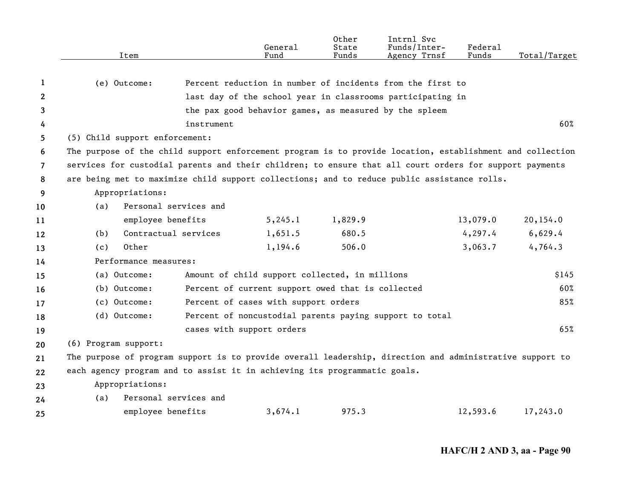|                | Item                                                                                                      |                       | General<br>Fund                                   | Other<br>State<br>Funds | Intrnl Svc<br>Funds/Inter-<br>Agency Trnsf                 | Federal<br>Funds | Total/Target |  |  |
|----------------|-----------------------------------------------------------------------------------------------------------|-----------------------|---------------------------------------------------|-------------------------|------------------------------------------------------------|------------------|--------------|--|--|
| 1              | (e) Outcome:                                                                                              |                       |                                                   |                         | Percent reduction in number of incidents from the first to |                  |              |  |  |
| 2              |                                                                                                           |                       |                                                   |                         | last day of the school year in classrooms participating in |                  |              |  |  |
| 3              |                                                                                                           |                       |                                                   |                         | the pax good behavior games, as measured by the spleem     |                  |              |  |  |
| 4              |                                                                                                           | instrument            |                                                   |                         |                                                            |                  | 60%          |  |  |
| 5              | (5) Child support enforcement:                                                                            |                       |                                                   |                         |                                                            |                  |              |  |  |
| 6              | The purpose of the child support enforcement program is to provide location, establishment and collection |                       |                                                   |                         |                                                            |                  |              |  |  |
| $\overline{7}$ | services for custodial parents and their children; to ensure that all court orders for support payments   |                       |                                                   |                         |                                                            |                  |              |  |  |
| 8              | are being met to maximize child support collections; and to reduce public assistance rolls.               |                       |                                                   |                         |                                                            |                  |              |  |  |
| 9              | Appropriations:                                                                                           |                       |                                                   |                         |                                                            |                  |              |  |  |
| 10             | (a)                                                                                                       | Personal services and |                                                   |                         |                                                            |                  |              |  |  |
| 11             | employee benefits                                                                                         |                       | 5, 245.1                                          | 1,829.9                 |                                                            | 13,079.0         | 20,154.0     |  |  |
| 12             | (b)                                                                                                       | Contractual services  | 1,651.5                                           | 680.5                   |                                                            | 4, 297.4         | 6,629.4      |  |  |
| 13             | Other<br>(c)                                                                                              |                       | 1,194.6                                           | 506.0                   |                                                            | 3,063.7          | 4,764.3      |  |  |
| 14             | Performance measures:                                                                                     |                       |                                                   |                         |                                                            |                  |              |  |  |
| 15             | (a) Outcome:                                                                                              |                       | Amount of child support collected, in millions    |                         |                                                            |                  | \$145        |  |  |
| 16             | (b) Outcome:                                                                                              |                       | Percent of current support owed that is collected |                         |                                                            |                  | 60%          |  |  |
| 17             | (c) Outcome:                                                                                              |                       | Percent of cases with support orders              |                         |                                                            |                  | 85%          |  |  |
| 18             | (d) Outcome:                                                                                              |                       |                                                   |                         | Percent of noncustodial parents paying support to total    |                  |              |  |  |
| 19             |                                                                                                           |                       | cases with support orders                         |                         |                                                            |                  | 65%          |  |  |
| 20             | (6) Program support:                                                                                      |                       |                                                   |                         |                                                            |                  |              |  |  |
| 21             | The purpose of program support is to provide overall leadership, direction and administrative support to  |                       |                                                   |                         |                                                            |                  |              |  |  |
| 22             | each agency program and to assist it in achieving its programmatic goals.                                 |                       |                                                   |                         |                                                            |                  |              |  |  |
| 23             | Appropriations:                                                                                           |                       |                                                   |                         |                                                            |                  |              |  |  |
| 24             | (a)                                                                                                       | Personal services and |                                                   |                         |                                                            |                  |              |  |  |
| 25             | employee benefits                                                                                         |                       | 3,674.1                                           | 975.3                   |                                                            | 12,593.6         | 17,243.0     |  |  |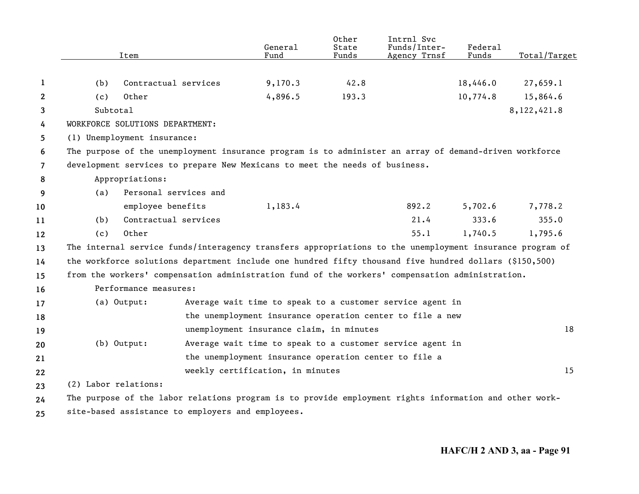|                | Item                                                                                                     |                       | General<br>Fund                                       | Other<br>State<br>Funds | Intrnl Svc<br>Funds/Inter-<br>Agency Trnsf                | Federal<br>Funds | Total/Target |
|----------------|----------------------------------------------------------------------------------------------------------|-----------------------|-------------------------------------------------------|-------------------------|-----------------------------------------------------------|------------------|--------------|
| 1              | (b)                                                                                                      | Contractual services  | 9,170.3                                               | 42.8                    |                                                           | 18,446.0         | 27,659.1     |
| $\overline{2}$ | Other<br>(c)                                                                                             |                       | 4,896.5                                               | 193.3                   |                                                           | 10,774.8         | 15,864.6     |
| 3              | Subtotal                                                                                                 |                       |                                                       |                         |                                                           |                  | 8,122,421.8  |
| 4              | WORKFORCE SOLUTIONS DEPARTMENT:                                                                          |                       |                                                       |                         |                                                           |                  |              |
| 5              | (1) Unemployment insurance:                                                                              |                       |                                                       |                         |                                                           |                  |              |
| 6              | The purpose of the unemployment insurance program is to administer an array of demand-driven workforce   |                       |                                                       |                         |                                                           |                  |              |
| $\overline{7}$ | development services to prepare New Mexicans to meet the needs of business.                              |                       |                                                       |                         |                                                           |                  |              |
| 8              | Appropriations:                                                                                          |                       |                                                       |                         |                                                           |                  |              |
| 9              | (a)                                                                                                      | Personal services and |                                                       |                         |                                                           |                  |              |
| 10             | employee benefits                                                                                        |                       | 1,183.4                                               |                         | 892.2                                                     | 5,702.6          | 7,778.2      |
| 11             | (b)                                                                                                      | Contractual services  |                                                       |                         | 21.4                                                      | 333.6            | 355.0        |
| 12             | Other<br>(c)                                                                                             |                       |                                                       |                         | 55.1                                                      | 1,740.5          | 1,795.6      |
| 13             | The internal service funds/interagency transfers appropriations to the unemployment insurance program of |                       |                                                       |                         |                                                           |                  |              |
| 14             | the workforce solutions department include one hundred fifty thousand five hundred dollars (\$150,500)   |                       |                                                       |                         |                                                           |                  |              |
| 15             | from the workers' compensation administration fund of the workers' compensation administration.          |                       |                                                       |                         |                                                           |                  |              |
| 16             | Performance measures:                                                                                    |                       |                                                       |                         |                                                           |                  |              |
| 17             | (a) Output:                                                                                              |                       |                                                       |                         | Average wait time to speak to a customer service agent in |                  |              |
| 18             |                                                                                                          |                       |                                                       |                         | the unemployment insurance operation center to file a new |                  |              |
| 19             |                                                                                                          |                       | unemployment insurance claim, in minutes              |                         |                                                           |                  | 18           |
| 20             | $(b)$ Output:                                                                                            |                       |                                                       |                         | Average wait time to speak to a customer service agent in |                  |              |
| 21             |                                                                                                          |                       | the unemployment insurance operation center to file a |                         |                                                           |                  |              |
| 22             |                                                                                                          |                       | weekly certification, in minutes                      |                         |                                                           |                  | 15           |
| 23             | (2) Labor relations:                                                                                     |                       |                                                       |                         |                                                           |                  |              |
| 24             | The purpose of the labor relations program is to provide employment rights information and other work-   |                       |                                                       |                         |                                                           |                  |              |
|                |                                                                                                          |                       |                                                       |                         |                                                           |                  |              |

**25** site-based assistance to employers and employees.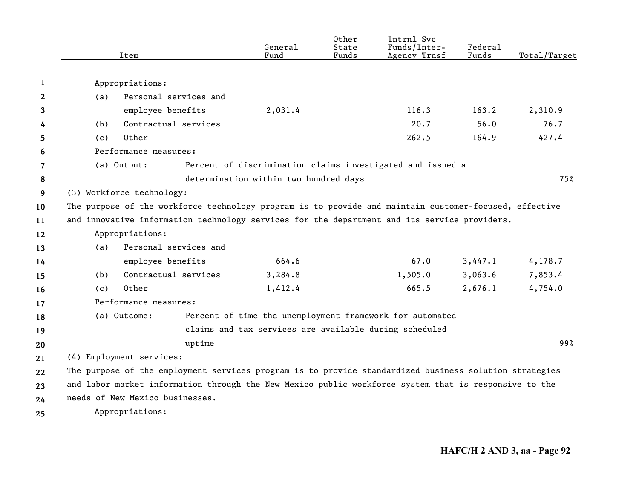|              | Item                      |                                                                                                        | General<br>Fund                       | Other<br>State<br>Funds | Intrnl Svc<br>Funds/Inter-<br>Agency Trnsf                 | Federal<br>Funds | Total/Target |
|--------------|---------------------------|--------------------------------------------------------------------------------------------------------|---------------------------------------|-------------------------|------------------------------------------------------------|------------------|--------------|
|              |                           |                                                                                                        |                                       |                         |                                                            |                  |              |
| 1            | Appropriations:           |                                                                                                        |                                       |                         |                                                            |                  |              |
| $\mathbf{2}$ | (a)                       | Personal services and                                                                                  |                                       |                         |                                                            |                  |              |
| 3            |                           | employee benefits                                                                                      | 2,031.4                               |                         | 116.3                                                      | 163.2            | 2,310.9      |
| 4            | (b)                       | Contractual services                                                                                   |                                       |                         | 20.7                                                       | 56.0             | 76.7         |
| 5            | (c)                       | Other                                                                                                  |                                       |                         | 262.5                                                      | 164.9            | 427.4        |
| 6            |                           | Performance measures:                                                                                  |                                       |                         |                                                            |                  |              |
| 7            | (a) Output:               |                                                                                                        |                                       |                         | Percent of discrimination claims investigated and issued a |                  |              |
| 8            |                           |                                                                                                        | determination within two hundred days |                         |                                                            |                  | 75%          |
| 9            | (3) Workforce technology: |                                                                                                        |                                       |                         |                                                            |                  |              |
| 10           |                           | The purpose of the workforce technology program is to provide and maintain customer-focused, effective |                                       |                         |                                                            |                  |              |
| 11           |                           | and innovative information technology services for the department and its service providers.           |                                       |                         |                                                            |                  |              |
| 12           | Appropriations:           |                                                                                                        |                                       |                         |                                                            |                  |              |
| 13           | (a)                       | Personal services and                                                                                  |                                       |                         |                                                            |                  |              |
| 14           |                           | employee benefits                                                                                      | 664.6                                 |                         | 67.0                                                       | 3,447.1          | 4,178.7      |
| 15           | (b)                       | Contractual services                                                                                   | 3,284.8                               |                         | 1,505.0                                                    | 3,063.6          | 7,853.4      |
| 16           | (c)                       | Other                                                                                                  | 1,412.4                               |                         | 665.5                                                      | 2,676.1          | 4,754.0      |
| 17           |                           | Performance measures:                                                                                  |                                       |                         |                                                            |                  |              |
| 18           | (a) Outcome:              |                                                                                                        |                                       |                         | Percent of time the unemployment framework for automated   |                  |              |
| 19           |                           |                                                                                                        |                                       |                         | claims and tax services are available during scheduled     |                  |              |
| 20           |                           | uptime                                                                                                 |                                       |                         |                                                            |                  | 99%          |
| 21           | (4) Employment services:  |                                                                                                        |                                       |                         |                                                            |                  |              |
| 22           |                           | The purpose of the employment services program is to provide standardized business solution strategies |                                       |                         |                                                            |                  |              |
| 23           |                           | and labor market information through the New Mexico public workforce system that is responsive to the  |                                       |                         |                                                            |                  |              |
| 24           |                           | needs of New Mexico businesses.                                                                        |                                       |                         |                                                            |                  |              |
| 25           | Appropriations:           |                                                                                                        |                                       |                         |                                                            |                  |              |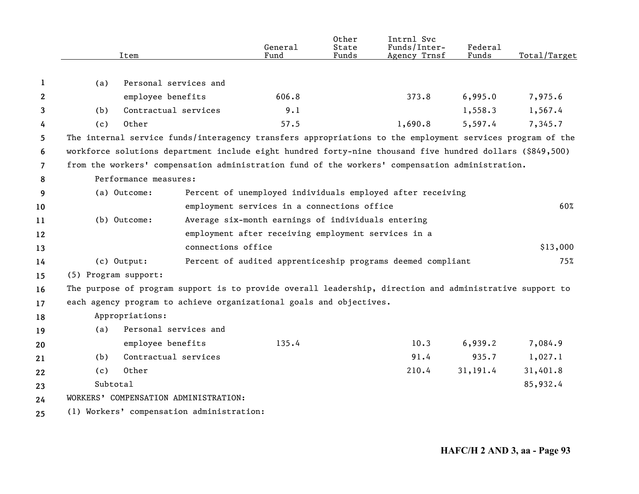|                |                      | Item                  |                                           | General<br>Fund                                                     | Other<br>State<br>Funds | Intrnl Svc<br>Funds/Inter-<br>Agency Trnsf                                                                | <b>Federal</b><br>Funds | Total/Target |
|----------------|----------------------|-----------------------|-------------------------------------------|---------------------------------------------------------------------|-------------------------|-----------------------------------------------------------------------------------------------------------|-------------------------|--------------|
| 1              | (a)                  | Personal services and |                                           |                                                                     |                         |                                                                                                           |                         |              |
| $\mathbf{2}$   |                      | employee benefits     |                                           | 606.8                                                               |                         | 373.8                                                                                                     | 6,995.0                 | 7,975.6      |
| 3              | (b)                  | Contractual services  |                                           | 9.1                                                                 |                         |                                                                                                           | 1,558.3                 | 1,567.4      |
| 4              | (c)                  | Other                 |                                           | 57.5                                                                |                         | 1,690.8                                                                                                   | 5,597.4                 | 7,345.7      |
| 5              |                      |                       |                                           |                                                                     |                         | The internal service funds/interagency transfers appropriations to the employment services program of the |                         |              |
| 6              |                      |                       |                                           |                                                                     |                         | workforce solutions department include eight hundred forty-nine thousand five hundred dollars (\$849,500) |                         |              |
| $\overline{7}$ |                      |                       |                                           |                                                                     |                         | from the workers' compensation administration fund of the workers' compensation administration.           |                         |              |
| 8              |                      | Performance measures: |                                           |                                                                     |                         |                                                                                                           |                         |              |
| 9              |                      | (a) Outcome:          |                                           |                                                                     |                         | Percent of unemployed individuals employed after receiving                                                |                         |              |
| 10             |                      |                       |                                           | employment services in a connections office                         |                         |                                                                                                           |                         | 60%          |
| 11             |                      | (b) Outcome:          |                                           | Average six-month earnings of individuals entering                  |                         |                                                                                                           |                         |              |
| 12             |                      |                       |                                           | employment after receiving employment services in a                 |                         |                                                                                                           |                         |              |
| 13             |                      |                       | connections office                        |                                                                     |                         |                                                                                                           |                         | \$13,000     |
| 14             |                      | (c) Output:           |                                           |                                                                     |                         | Percent of audited apprenticeship programs deemed compliant                                               |                         | 75%          |
| 15             | (5) Program support: |                       |                                           |                                                                     |                         |                                                                                                           |                         |              |
| 16             |                      |                       |                                           |                                                                     |                         | The purpose of program support is to provide overall leadership, direction and administrative support to  |                         |              |
| 17             |                      |                       |                                           | each agency program to achieve organizational goals and objectives. |                         |                                                                                                           |                         |              |
| 18             |                      | Appropriations:       |                                           |                                                                     |                         |                                                                                                           |                         |              |
| 19             | (a)                  | Personal services and |                                           |                                                                     |                         |                                                                                                           |                         |              |
| 20             |                      | employee benefits     |                                           | 135.4                                                               |                         | 10.3                                                                                                      | 6,939.2                 | 7,084.9      |
| 21             | (b)                  | Contractual services  |                                           |                                                                     |                         | 91.4                                                                                                      | 935.7                   | 1,027.1      |
| 22             | (c)                  | Other                 |                                           |                                                                     |                         | 210.4                                                                                                     | 31, 191.4               | 31,401.8     |
| 23             | Subtotal             |                       |                                           |                                                                     |                         |                                                                                                           |                         | 85,932.4     |
| 24             |                      |                       | WORKERS' COMPENSATION ADMINISTRATION:     |                                                                     |                         |                                                                                                           |                         |              |
| 25             |                      |                       | (1) Workers' compensation administration: |                                                                     |                         |                                                                                                           |                         |              |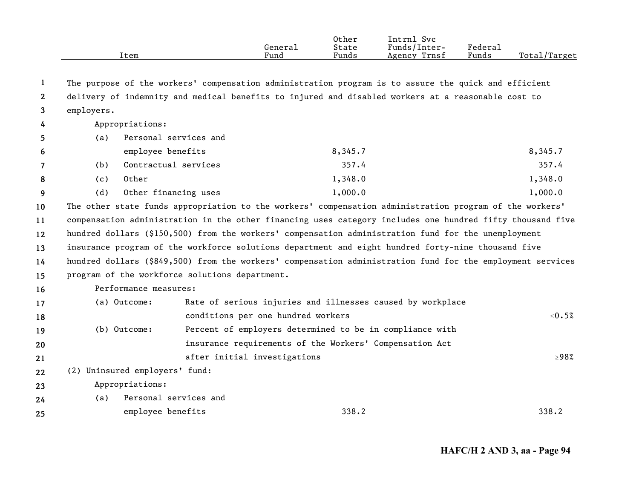|                |            | Item                           |                                                                                                            | General<br>Fund | Other<br>State<br>Funds | Intrnl Svc<br>Funds/Inter-<br>Agency Trnsf                 | Federal<br>Funds | Total/Target |
|----------------|------------|--------------------------------|------------------------------------------------------------------------------------------------------------|-----------------|-------------------------|------------------------------------------------------------|------------------|--------------|
|                |            |                                |                                                                                                            |                 |                         |                                                            |                  |              |
| 1              |            |                                | The purpose of the workers' compensation administration program is to assure the quick and efficient       |                 |                         |                                                            |                  |              |
| $2^{\circ}$    |            |                                | delivery of indemnity and medical benefits to injured and disabled workers at a reasonable cost to         |                 |                         |                                                            |                  |              |
| 3              | employers. |                                |                                                                                                            |                 |                         |                                                            |                  |              |
| 4              |            | Appropriations:                |                                                                                                            |                 |                         |                                                            |                  |              |
| 5              | (a)        | Personal services and          |                                                                                                            |                 |                         |                                                            |                  |              |
| 6              |            | employee benefits              |                                                                                                            |                 | 8,345.7                 |                                                            |                  | 8,345.7      |
| $\overline{7}$ | (b)        | Contractual services           |                                                                                                            |                 | 357.4                   |                                                            |                  | 357.4        |
| 8              | (c)        | Other                          |                                                                                                            |                 | 1,348.0                 |                                                            |                  | 1,348.0      |
| 9              | (d)        | Other financing uses           |                                                                                                            |                 | 1,000.0                 |                                                            |                  | 1,000.0      |
| 10             |            |                                | The other state funds appropriation to the workers' compensation administration program of the workers'    |                 |                         |                                                            |                  |              |
| 11             |            |                                | compensation administration in the other financing uses category includes one hundred fifty thousand five  |                 |                         |                                                            |                  |              |
| $12 \,$        |            |                                | hundred dollars (\$150,500) from the workers' compensation administration fund for the unemployment        |                 |                         |                                                            |                  |              |
| 13             |            |                                | insurance program of the workforce solutions department and eight hundred forty-nine thousand five         |                 |                         |                                                            |                  |              |
| 14             |            |                                | hundred dollars (\$849,500) from the workers' compensation administration fund for the employment services |                 |                         |                                                            |                  |              |
| 15             |            |                                | program of the workforce solutions department.                                                             |                 |                         |                                                            |                  |              |
| 16             |            | Performance measures:          |                                                                                                            |                 |                         |                                                            |                  |              |
| 17             |            | (a) Outcome:                   |                                                                                                            |                 |                         | Rate of serious injuries and illnesses caused by workplace |                  |              |
| 18             |            |                                | conditions per one hundred workers                                                                         |                 |                         |                                                            |                  | $\leq 0.5\%$ |
| 19             |            | (b) Outcome:                   |                                                                                                            |                 |                         | Percent of employers determined to be in compliance with   |                  |              |
| 20             |            |                                |                                                                                                            |                 |                         | insurance requirements of the Workers' Compensation Act    |                  |              |
| 21             |            |                                | after initial investigations                                                                               |                 |                         |                                                            |                  | $\geq 98\%$  |
| 22             |            | (2) Uninsured employers' fund: |                                                                                                            |                 |                         |                                                            |                  |              |
| 23             |            | Appropriations:                |                                                                                                            |                 |                         |                                                            |                  |              |
| 24             | (a)        | Personal services and          |                                                                                                            |                 |                         |                                                            |                  |              |
| 25             |            | employee benefits              |                                                                                                            |                 | 338.2                   |                                                            |                  | 338.2        |
|                |            |                                |                                                                                                            |                 |                         |                                                            |                  |              |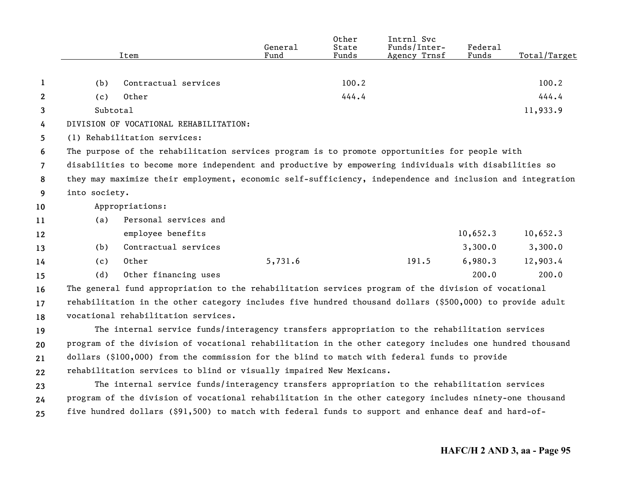|              |               | Item                                                                                                      | General<br>Fund | Other<br>State<br>Funds | Intrnl Svc<br>Funds/Inter-<br>Agency Trnsf | <b>Federal</b><br>Funds | Total/Target |
|--------------|---------------|-----------------------------------------------------------------------------------------------------------|-----------------|-------------------------|--------------------------------------------|-------------------------|--------------|
|              |               |                                                                                                           |                 |                         |                                            |                         |              |
| 1            | (b)           | Contractual services                                                                                      |                 | 100.2                   |                                            |                         | 100.2        |
| $\mathbf{2}$ | (c)           | Other                                                                                                     |                 | 444.4                   |                                            |                         | 444.4        |
| 3            | Subtotal      |                                                                                                           |                 |                         |                                            |                         | 11,933.9     |
| 4            |               | DIVISION OF VOCATIONAL REHABILITATION:                                                                    |                 |                         |                                            |                         |              |
| 5            |               | (1) Rehabilitation services:                                                                              |                 |                         |                                            |                         |              |
| 6            |               | The purpose of the rehabilitation services program is to promote opportunities for people with            |                 |                         |                                            |                         |              |
| 7            |               | disabilities to become more independent and productive by empowering individuals with disabilities so     |                 |                         |                                            |                         |              |
| 8            |               | they may maximize their employment, economic self-sufficiency, independence and inclusion and integration |                 |                         |                                            |                         |              |
| 9            | into society. |                                                                                                           |                 |                         |                                            |                         |              |
| 10           |               | Appropriations:                                                                                           |                 |                         |                                            |                         |              |
| 11           | (a)           | Personal services and                                                                                     |                 |                         |                                            |                         |              |
| 12           |               | employee benefits                                                                                         |                 |                         |                                            | 10,652.3                | 10,652.3     |
| 13           | (b)           | Contractual services                                                                                      |                 |                         |                                            | 3,300.0                 | 3,300.0      |
| 14           | (c)           | Other                                                                                                     | 5,731.6         |                         | 191.5                                      | 6,980.3                 | 12,903.4     |
| 15           | (d)           | Other financing uses                                                                                      |                 |                         |                                            | 200.0                   | 200.0        |
| 16           |               | The general fund appropriation to the rehabilitation services program of the division of vocational       |                 |                         |                                            |                         |              |
| 17           |               | rehabilitation in the other category includes five hundred thousand dollars (\$500,000) to provide adult  |                 |                         |                                            |                         |              |
| 18           |               | vocational rehabilitation services.                                                                       |                 |                         |                                            |                         |              |
| 19           |               | The internal service funds/interagency transfers appropriation to the rehabilitation services             |                 |                         |                                            |                         |              |
| 20           |               | program of the division of vocational rehabilitation in the other category includes one hundred thousand  |                 |                         |                                            |                         |              |
| 21           |               | dollars (\$100,000) from the commission for the blind to match with federal funds to provide              |                 |                         |                                            |                         |              |
| 22           |               | rehabilitation services to blind or visually impaired New Mexicans.                                       |                 |                         |                                            |                         |              |
| 23           |               | The internal service funds/interagency transfers appropriation to the rehabilitation services             |                 |                         |                                            |                         |              |
| 24           |               | program of the division of vocational rehabilitation in the other category includes ninety-one thousand   |                 |                         |                                            |                         |              |
| 25           |               | five hundred dollars (\$91,500) to match with federal funds to support and enhance deaf and hard-of-      |                 |                         |                                            |                         |              |
|              |               |                                                                                                           |                 |                         |                                            |                         |              |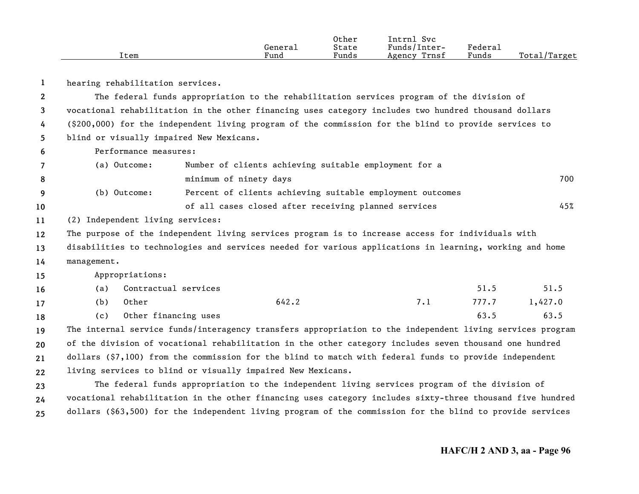|      |         | Other | Intrn]<br>Svc   |         |              |
|------|---------|-------|-----------------|---------|--------------|
|      | General | State | Funds/Inter-    | Federau |              |
| Item | Fund    | Funds | Trnsf<br>Agency | Funds   | Total/Target |

| 1            |             | hearing rehabilitation services. |                                          |                                                                                                           |     |       |         |
|--------------|-------------|----------------------------------|------------------------------------------|-----------------------------------------------------------------------------------------------------------|-----|-------|---------|
| $\mathbf{2}$ |             |                                  |                                          | The federal funds appropriation to the rehabilitation services program of the division of                 |     |       |         |
| 3            |             |                                  |                                          | vocational rehabilitation in the other financing uses category includes two hundred thousand dollars      |     |       |         |
| 4            |             |                                  |                                          | $(\$200,000)$ for the independent living program of the commission for the blind to provide services to   |     |       |         |
| 5.           |             |                                  | blind or visually impaired New Mexicans. |                                                                                                           |     |       |         |
| 6            |             | Performance measures:            |                                          |                                                                                                           |     |       |         |
| 7            |             | (a) Outcome:                     |                                          | Number of clients achieving suitable employment for a                                                     |     |       |         |
| 8            |             |                                  | minimum of ninety days                   |                                                                                                           |     |       | 700     |
| 9            |             | (b) Outcome:                     |                                          | Percent of clients achieving suitable employment outcomes                                                 |     |       |         |
| 10           |             |                                  |                                          | of all cases closed after receiving planned services                                                      |     |       | 45%     |
| 11           |             | (2) Independent living services: |                                          |                                                                                                           |     |       |         |
| 12           |             |                                  |                                          | The purpose of the independent living services program is to increase access for individuals with         |     |       |         |
| 13           |             |                                  |                                          | disabilities to technologies and services needed for various applications in learning, working and home   |     |       |         |
| 14           | management. |                                  |                                          |                                                                                                           |     |       |         |
| 15           |             | Appropriations:                  |                                          |                                                                                                           |     |       |         |
| 16           | (a)         | Contractual services             |                                          |                                                                                                           |     | 51.5  | 51.5    |
| 17           | (b)         | Other                            |                                          | 642.2                                                                                                     | 7.1 | 777.7 | 1,427.0 |
| 18           | (c)         | Other financing uses             |                                          |                                                                                                           |     | 63.5  | 63.5    |
| 19           |             |                                  |                                          | The internal service funds/interagency transfers appropriation to the independent living services program |     |       |         |
| 20           |             |                                  |                                          | of the division of vocational rehabilitation in the other category includes seven thousand one hundred    |     |       |         |
| 21           |             |                                  |                                          | dollars (\$7,100) from the commission for the blind to match with federal funds to provide independent    |     |       |         |
| 22           |             |                                  |                                          | living services to blind or visually impaired New Mexicans.                                               |     |       |         |
| 23           |             |                                  |                                          | The federal funds appropriation to the independent living services program of the division of             |     |       |         |
| 24           |             |                                  |                                          | vocational rehabilitation in the other financing uses category includes sixty-three thousand five hundred |     |       |         |

**25** dollars (\$63,500) for the independent living program of the commission for the blind to provide services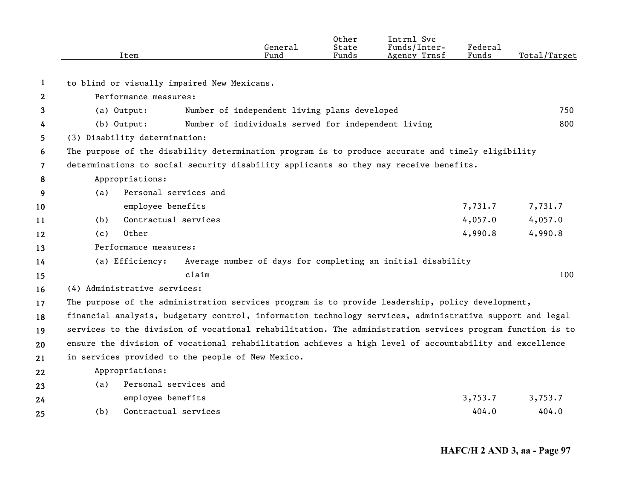|                       |     | Item                          |                                                   | General<br>Fund                                     | Other<br>State<br>Funds | Intrnl Svc<br>Funds/Inter-<br>Agency Trnsf                                                                | Federal<br>Funds | Total/Target |
|-----------------------|-----|-------------------------------|---------------------------------------------------|-----------------------------------------------------|-------------------------|-----------------------------------------------------------------------------------------------------------|------------------|--------------|
| 1                     |     |                               | to blind or visually impaired New Mexicans.       |                                                     |                         |                                                                                                           |                  |              |
| $\mathbf{2}^{\prime}$ |     | Performance measures:         |                                                   |                                                     |                         |                                                                                                           |                  |              |
| 3                     |     | (a) Output:                   |                                                   | Number of independent living plans developed        |                         |                                                                                                           |                  | 750          |
| 4                     |     | (b) Output:                   |                                                   | Number of individuals served for independent living |                         |                                                                                                           |                  | 800          |
| 5.                    |     | (3) Disability determination: |                                                   |                                                     |                         |                                                                                                           |                  |              |
| 6                     |     |                               |                                                   |                                                     |                         | The purpose of the disability determination program is to produce accurate and timely eligibility         |                  |              |
| 7                     |     |                               |                                                   |                                                     |                         | determinations to social security disability applicants so they may receive benefits.                     |                  |              |
| 8                     |     | Appropriations:               |                                                   |                                                     |                         |                                                                                                           |                  |              |
| 9                     | (a) | Personal services and         |                                                   |                                                     |                         |                                                                                                           |                  |              |
| 10                    |     | employee benefits             |                                                   |                                                     |                         |                                                                                                           | 7,731.7          | 7,731.7      |
| 11                    | (b) | Contractual services          |                                                   |                                                     |                         |                                                                                                           | 4,057.0          | 4,057.0      |
| 12                    | (c) | Other                         |                                                   |                                                     |                         |                                                                                                           | 4,990.8          | 4,990.8      |
| 13                    |     | Performance measures:         |                                                   |                                                     |                         |                                                                                                           |                  |              |
| 14                    |     | (a) Efficiency:               |                                                   |                                                     |                         | Average number of days for completing an initial disability                                               |                  |              |
| 15                    |     |                               | claim                                             |                                                     |                         |                                                                                                           |                  | 100          |
| 16                    |     | (4) Administrative services:  |                                                   |                                                     |                         |                                                                                                           |                  |              |
| 17                    |     |                               |                                                   |                                                     |                         | The purpose of the administration services program is to provide leadership, policy development,          |                  |              |
| 18                    |     |                               |                                                   |                                                     |                         | financial analysis, budgetary control, information technology services, administrative support and legal  |                  |              |
| 19                    |     |                               |                                                   |                                                     |                         | services to the division of vocational rehabilitation. The administration services program function is to |                  |              |
| 20                    |     |                               |                                                   |                                                     |                         | ensure the division of vocational rehabilitation achieves a high level of accountability and excellence   |                  |              |
| 21                    |     |                               | in services provided to the people of New Mexico. |                                                     |                         |                                                                                                           |                  |              |
| 22                    |     | Appropriations:               |                                                   |                                                     |                         |                                                                                                           |                  |              |
| 23                    | (a) | Personal services and         |                                                   |                                                     |                         |                                                                                                           |                  |              |
| 24                    |     | employee benefits             |                                                   |                                                     |                         |                                                                                                           | 3,753.7          | 3,753.7      |
| 25                    | (b) | Contractual services          |                                                   |                                                     |                         |                                                                                                           | 404.0            | 404.0        |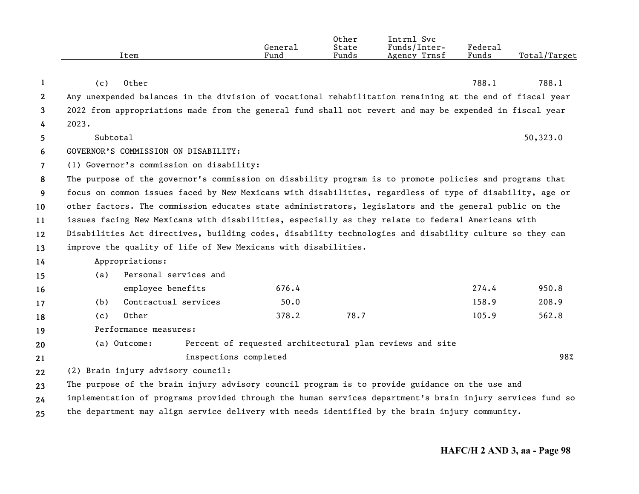|                       |                                                                                                          | Item                                                                                                      | General<br>Fund | Other<br>State<br>Funds | Intrnl Svc<br>Funds/Inter-<br>Agency Trnsf               | Federal<br>Funds | Total/Target |  |  |
|-----------------------|----------------------------------------------------------------------------------------------------------|-----------------------------------------------------------------------------------------------------------|-----------------|-------------------------|----------------------------------------------------------|------------------|--------------|--|--|
| 1                     | (c)                                                                                                      | Other                                                                                                     |                 |                         |                                                          | 788.1            | 788.1        |  |  |
| $\mathbf{2}^{\prime}$ |                                                                                                          | Any unexpended balances in the division of vocational rehabilitation remaining at the end of fiscal year  |                 |                         |                                                          |                  |              |  |  |
| 3                     |                                                                                                          | 2022 from appropriations made from the general fund shall not revert and may be expended in fiscal year   |                 |                         |                                                          |                  |              |  |  |
| 4                     | 2023.                                                                                                    |                                                                                                           |                 |                         |                                                          |                  |              |  |  |
| 5                     | Subtotal                                                                                                 |                                                                                                           |                 |                         |                                                          |                  | 50,323.0     |  |  |
| 6                     |                                                                                                          | GOVERNOR'S COMMISSION ON DISABILITY:                                                                      |                 |                         |                                                          |                  |              |  |  |
| $\overline{7}$        |                                                                                                          | (1) Governor's commission on disability:                                                                  |                 |                         |                                                          |                  |              |  |  |
| 8                     |                                                                                                          | The purpose of the governor's commission on disability program is to promote policies and programs that   |                 |                         |                                                          |                  |              |  |  |
| 9                     | focus on common issues faced by New Mexicans with disabilities, regardless of type of disability, age or |                                                                                                           |                 |                         |                                                          |                  |              |  |  |
| 10                    | other factors. The commission educates state administrators, legislators and the general public on the   |                                                                                                           |                 |                         |                                                          |                  |              |  |  |
| 11                    |                                                                                                          | issues facing New Mexicans with disabilities, especially as they relate to federal Americans with         |                 |                         |                                                          |                  |              |  |  |
| 12                    |                                                                                                          | Disabilities Act directives, building codes, disability technologies and disability culture so they can   |                 |                         |                                                          |                  |              |  |  |
| 13                    |                                                                                                          | improve the quality of life of New Mexicans with disabilities.                                            |                 |                         |                                                          |                  |              |  |  |
| 14                    |                                                                                                          | Appropriations:                                                                                           |                 |                         |                                                          |                  |              |  |  |
| 15                    | (a)                                                                                                      | Personal services and                                                                                     |                 |                         |                                                          |                  |              |  |  |
| 16                    |                                                                                                          | employee benefits                                                                                         | 676.4           |                         |                                                          | 274.4            | 950.8        |  |  |
| 17                    | (b)                                                                                                      | Contractual services                                                                                      | 50.0            |                         |                                                          | 158.9            | 208.9        |  |  |
| 18                    | (c)                                                                                                      | Other                                                                                                     | 378.2           | 78.7                    |                                                          | 105.9            | 562.8        |  |  |
| 19                    |                                                                                                          | Performance measures:                                                                                     |                 |                         |                                                          |                  |              |  |  |
| 20                    |                                                                                                          | (a) Outcome:                                                                                              |                 |                         | Percent of requested architectural plan reviews and site |                  |              |  |  |
| 21                    |                                                                                                          | inspections completed                                                                                     |                 |                         |                                                          |                  | 98%          |  |  |
| 22                    |                                                                                                          | (2) Brain injury advisory council:                                                                        |                 |                         |                                                          |                  |              |  |  |
| 23                    |                                                                                                          | The purpose of the brain injury advisory council program is to provide guidance on the use and            |                 |                         |                                                          |                  |              |  |  |
| 24                    |                                                                                                          | implementation of programs provided through the human services department's brain injury services fund so |                 |                         |                                                          |                  |              |  |  |
| 25                    |                                                                                                          | the department may align service delivery with needs identified by the brain injury community.            |                 |                         |                                                          |                  |              |  |  |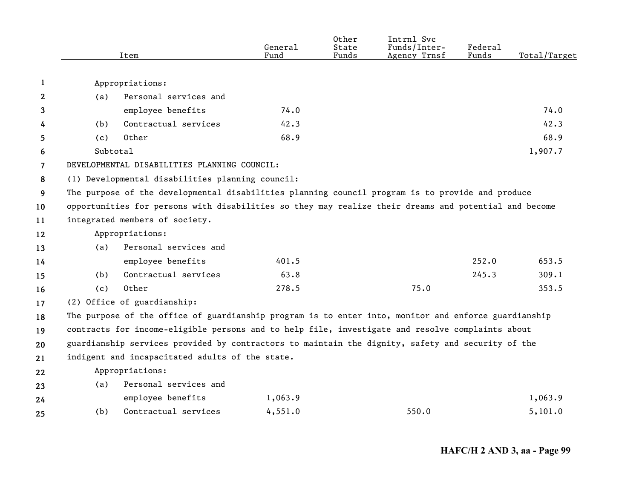|                |          | Item                                                                                                  | General<br>Fund | Other<br>State<br>Funds | Intrnl Svc<br>Funds/Inter-<br>Agency Trnsf | Federal<br>Funds | Total/Target |
|----------------|----------|-------------------------------------------------------------------------------------------------------|-----------------|-------------------------|--------------------------------------------|------------------|--------------|
| 1              |          | Appropriations:                                                                                       |                 |                         |                                            |                  |              |
| $\mathbf{2}$   | (a)      | Personal services and                                                                                 |                 |                         |                                            |                  |              |
| 3              |          | employee benefits                                                                                     | 74.0            |                         |                                            |                  | 74.0         |
| 4              | (b)      | Contractual services                                                                                  | 42.3            |                         |                                            |                  | 42.3         |
| 5              | (c)      | Other                                                                                                 | 68.9            |                         |                                            |                  | 68.9         |
| 6              | Subtotal |                                                                                                       |                 |                         |                                            |                  | 1,907.7      |
| $\overline{7}$ |          | DEVELOPMENTAL DISABILITIES PLANNING COUNCIL:                                                          |                 |                         |                                            |                  |              |
| 8              |          | (1) Developmental disabilities planning council:                                                      |                 |                         |                                            |                  |              |
| 9              |          | The purpose of the developmental disabilities planning council program is to provide and produce      |                 |                         |                                            |                  |              |
| 10             |          | opportunities for persons with disabilities so they may realize their dreams and potential and become |                 |                         |                                            |                  |              |
| 11             |          | integrated members of society.                                                                        |                 |                         |                                            |                  |              |
| 12             |          | Appropriations:                                                                                       |                 |                         |                                            |                  |              |
| 13             | (a)      | Personal services and                                                                                 |                 |                         |                                            |                  |              |
| 14             |          | employee benefits                                                                                     | 401.5           |                         |                                            | 252.0            | 653.5        |
| 15             | (b)      | Contractual services                                                                                  | 63.8            |                         |                                            | 245.3            | 309.1        |
| 16             | (c)      | Other                                                                                                 | 278.5           |                         | 75.0                                       |                  | 353.5        |
| 17             |          | (2) Office of guardianship:                                                                           |                 |                         |                                            |                  |              |
| 18             |          | The purpose of the office of guardianship program is to enter into, monitor and enforce guardianship  |                 |                         |                                            |                  |              |
| 19             |          | contracts for income-eligible persons and to help file, investigate and resolve complaints about      |                 |                         |                                            |                  |              |
| 20             |          | guardianship services provided by contractors to maintain the dignity, safety and security of the     |                 |                         |                                            |                  |              |
| 21             |          | indigent and incapacitated adults of the state.                                                       |                 |                         |                                            |                  |              |
| 22             |          | Appropriations:                                                                                       |                 |                         |                                            |                  |              |
| 23             | (a)      | Personal services and                                                                                 |                 |                         |                                            |                  |              |
| 24             |          | employee benefits                                                                                     | 1,063.9         |                         |                                            |                  | 1,063.9      |
| 25             | (b)      | Contractual services                                                                                  | 4,551.0         |                         | 550.0                                      |                  | 5,101.0      |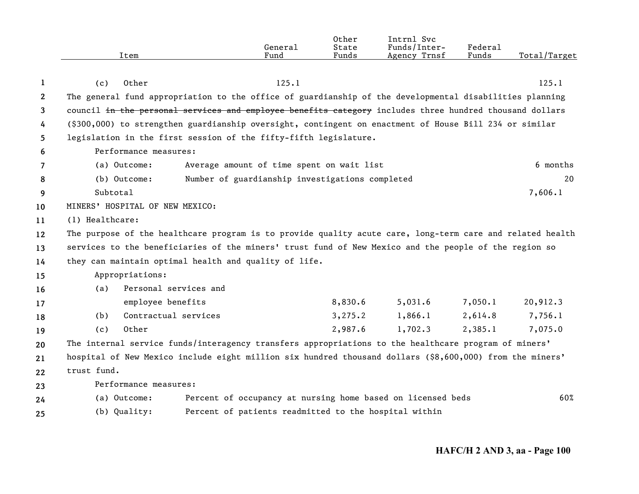|                       |                                                                                                           | General                                                     | Other<br>State | Intrnl Svc<br>Funds/Inter- | Federal |              |
|-----------------------|-----------------------------------------------------------------------------------------------------------|-------------------------------------------------------------|----------------|----------------------------|---------|--------------|
|                       | Item                                                                                                      | Fund                                                        | Funds          | Agency Trnsf               | Funds   | Total/Target |
|                       |                                                                                                           |                                                             |                |                            |         |              |
| 1                     | Other<br>(c)                                                                                              | 125.1                                                       |                |                            |         | 125.1        |
| $\mathbf{2}^{\prime}$ | The general fund appropriation to the office of guardianship of the developmental disabilities planning   |                                                             |                |                            |         |              |
| 3                     | council in the personal services and employee benefits category includes three hundred thousand dollars   |                                                             |                |                            |         |              |
| 4                     | (\$300,000) to strengthen guardianship oversight, contingent on enactment of House Bill 234 or similar    |                                                             |                |                            |         |              |
| 5                     | legislation in the first session of the fifty-fifth legislature.                                          |                                                             |                |                            |         |              |
| 6                     | Performance measures:                                                                                     |                                                             |                |                            |         |              |
| 7                     | (a) Outcome:                                                                                              | Average amount of time spent on wait list                   |                |                            |         | 6 months     |
| 8                     | (b) Outcome:                                                                                              | Number of guardianship investigations completed             |                |                            |         | 20           |
| 9                     | Subtotal                                                                                                  |                                                             |                |                            |         | 7,606.1      |
| 10                    | MINERS' HOSPITAL OF NEW MEXICO:                                                                           |                                                             |                |                            |         |              |
| 11                    | (1) Healthcare:                                                                                           |                                                             |                |                            |         |              |
| 12                    | The purpose of the healthcare program is to provide quality acute care, long-term care and related health |                                                             |                |                            |         |              |
| 13                    | services to the beneficiaries of the miners' trust fund of New Mexico and the people of the region so     |                                                             |                |                            |         |              |
| 14                    | they can maintain optimal health and quality of life.                                                     |                                                             |                |                            |         |              |
| 15                    | Appropriations:                                                                                           |                                                             |                |                            |         |              |
| 16                    | Personal services and<br>(a)                                                                              |                                                             |                |                            |         |              |
| 17                    | employee benefits                                                                                         |                                                             | 8,830.6        | 5,031.6                    | 7,050.1 | 20,912.3     |
| 18                    | Contractual services<br>(b)                                                                               |                                                             | 3, 275.2       | 1,866.1                    | 2,614.8 | 7,756.1      |
| 19                    | Other<br>(c)                                                                                              |                                                             | 2,987.6        | 1,702.3                    | 2,385.1 | 7,075.0      |
| 20                    | The internal service funds/interagency transfers appropriations to the healthcare program of miners'      |                                                             |                |                            |         |              |
| 21                    | hospital of New Mexico include eight million six hundred thousand dollars (\$8,600,000) from the miners'  |                                                             |                |                            |         |              |
| 22                    | trust fund.                                                                                               |                                                             |                |                            |         |              |
| 23                    | Performance measures:                                                                                     |                                                             |                |                            |         |              |
| 24                    | (a) Outcome:                                                                                              | Percent of occupancy at nursing home based on licensed beds |                |                            |         | 60%          |
| 25                    | (b) Quality:                                                                                              | Percent of patients readmitted to the hospital within       |                |                            |         |              |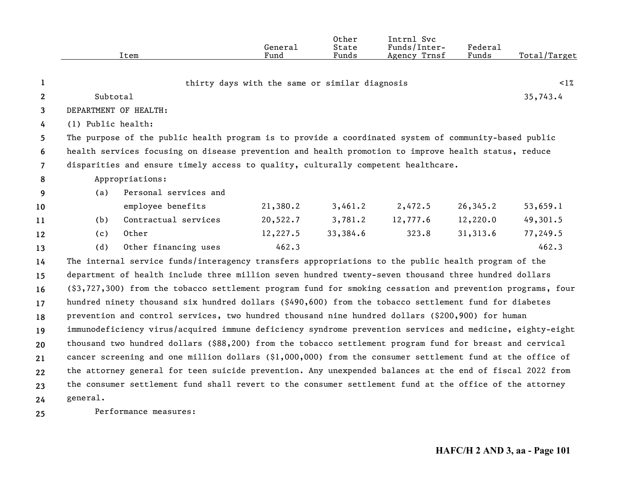|                |                    | Item                                                                                                       | General<br>Fund                                | Other<br>State<br>Funds | Intrnl Svc<br>Funds/Inter-<br>Agency Trnsf | Federal<br>Funds | Total/Target |  |  |
|----------------|--------------------|------------------------------------------------------------------------------------------------------------|------------------------------------------------|-------------------------|--------------------------------------------|------------------|--------------|--|--|
| 1              |                    |                                                                                                            | thirty days with the same or similar diagnosis |                         |                                            |                  | $\leq$ 1%    |  |  |
| $\overline{2}$ | Subtotal           |                                                                                                            |                                                |                         |                                            |                  | 35,743.4     |  |  |
| 3              |                    | DEPARTMENT OF HEALTH:                                                                                      |                                                |                         |                                            |                  |              |  |  |
| 4              | (1) Public health: |                                                                                                            |                                                |                         |                                            |                  |              |  |  |
| 5              |                    | The purpose of the public health program is to provide a coordinated system of community-based public      |                                                |                         |                                            |                  |              |  |  |
| 6              |                    | health services focusing on disease prevention and health promotion to improve health status, reduce       |                                                |                         |                                            |                  |              |  |  |
| $\overline{7}$ |                    | disparities and ensure timely access to quality, culturally competent healthcare.                          |                                                |                         |                                            |                  |              |  |  |
| 8              |                    | Appropriations:                                                                                            |                                                |                         |                                            |                  |              |  |  |
| 9              | (a)                | Personal services and                                                                                      |                                                |                         |                                            |                  |              |  |  |
| 10             |                    | employee benefits                                                                                          | 21,380.2                                       | 3,461.2                 | 2,472.5                                    | 26, 345.2        | 53,659.1     |  |  |
| 11             | (b)                | Contractual services                                                                                       | 20,522.7                                       | 3,781.2                 | 12,777.6                                   | 12,220.0         | 49,301.5     |  |  |
| 12             | (c)                | Other                                                                                                      | 12,227.5                                       | 33,384.6                | 323.8                                      | 31,313.6         | 77,249.5     |  |  |
| 13             | (d)                | Other financing uses                                                                                       | 462.3                                          |                         |                                            |                  | 462.3        |  |  |
| 14             |                    | The internal service funds/interagency transfers appropriations to the public health program of the        |                                                |                         |                                            |                  |              |  |  |
| 15             |                    | department of health include three million seven hundred twenty-seven thousand three hundred dollars       |                                                |                         |                                            |                  |              |  |  |
| 16             |                    | (\$3,727,300) from the tobacco settlement program fund for smoking cessation and prevention programs, four |                                                |                         |                                            |                  |              |  |  |
| 17             |                    | hundred ninety thousand six hundred dollars (\$490,600) from the tobacco settlement fund for diabetes      |                                                |                         |                                            |                  |              |  |  |
| 18             |                    | prevention and control services, two hundred thousand nine hundred dollars (\$200,900) for human           |                                                |                         |                                            |                  |              |  |  |
| 19             |                    | immunodeficiency virus/acquired immune deficiency syndrome prevention services and medicine, eighty-eight  |                                                |                         |                                            |                  |              |  |  |
| 20             |                    | thousand two hundred dollars (\$88,200) from the tobacco settlement program fund for breast and cervical   |                                                |                         |                                            |                  |              |  |  |
| 21             |                    | cancer screening and one million dollars (\$1,000,000) from the consumer settlement fund at the office of  |                                                |                         |                                            |                  |              |  |  |
| $22 \,$        |                    | the attorney general for teen suicide prevention. Any unexpended balances at the end of fiscal 2022 from   |                                                |                         |                                            |                  |              |  |  |
| 23             |                    | the consumer settlement fund shall revert to the consumer settlement fund at the office of the attorney    |                                                |                         |                                            |                  |              |  |  |
| 24             | general.           |                                                                                                            |                                                |                         |                                            |                  |              |  |  |

**25** Performance measures: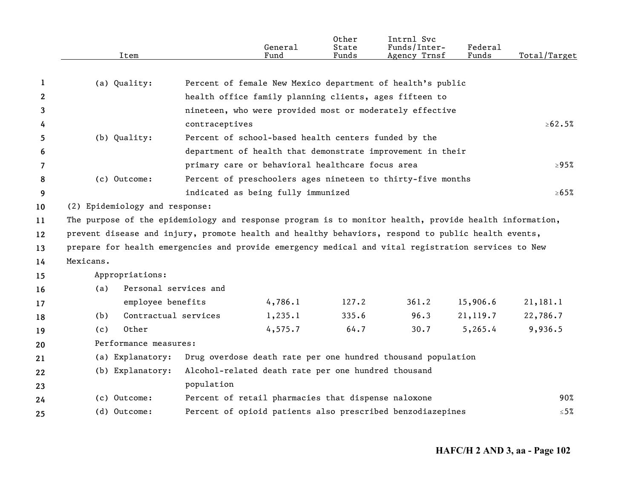|              | Item                                                                                                   |                                                              | General<br>Fund | Other<br>State<br>Funds | Intrnl Svc<br>Funds/Inter-<br>Agency Trnsf                 | Federal<br>Funds | Total/Target  |
|--------------|--------------------------------------------------------------------------------------------------------|--------------------------------------------------------------|-----------------|-------------------------|------------------------------------------------------------|------------------|---------------|
|              |                                                                                                        |                                                              |                 |                         |                                                            |                  |               |
| 1            | (a) Quality:                                                                                           | Percent of female New Mexico department of health's public   |                 |                         |                                                            |                  |               |
| $\mathbf{2}$ |                                                                                                        | health office family planning clients, ages fifteen to       |                 |                         |                                                            |                  |               |
| 3            |                                                                                                        | nineteen, who were provided most or moderately effective     |                 |                         |                                                            |                  |               |
| 4            |                                                                                                        | contraceptives                                               |                 |                         |                                                            |                  | $\geq 62.5\%$ |
| 5.           | (b) Quality:                                                                                           | Percent of school-based health centers funded by the         |                 |                         |                                                            |                  |               |
| 6            |                                                                                                        |                                                              |                 |                         | department of health that demonstrate improvement in their |                  |               |
| 7            |                                                                                                        | primary care or behavioral healthcare focus area             |                 |                         |                                                            |                  | $\geq 95\%$   |
| 8            | (c) Outcome:                                                                                           | Percent of preschoolers ages nineteen to thirty-five months  |                 |                         |                                                            |                  |               |
| 9            |                                                                                                        | indicated as being fully immunized                           |                 |                         |                                                            |                  | $\ge 65\%$    |
| 10           | (2) Epidemiology and response:                                                                         |                                                              |                 |                         |                                                            |                  |               |
| 11           | The purpose of the epidemiology and response program is to monitor health, provide health information, |                                                              |                 |                         |                                                            |                  |               |
| 12           | prevent disease and injury, promote health and healthy behaviors, respond to public health events,     |                                                              |                 |                         |                                                            |                  |               |
| 13           | prepare for health emergencies and provide emergency medical and vital registration services to New    |                                                              |                 |                         |                                                            |                  |               |
| 14           | Mexicans.                                                                                              |                                                              |                 |                         |                                                            |                  |               |
| 15           | Appropriations:                                                                                        |                                                              |                 |                         |                                                            |                  |               |
| 16           | (a)                                                                                                    | Personal services and                                        |                 |                         |                                                            |                  |               |
| 17           | employee benefits                                                                                      |                                                              | 4,786.1         | 127.2                   | 361.2                                                      | 15,906.6         | 21,181.1      |
| 18           | Contractual services<br>(b)                                                                            |                                                              | 1,235.1         | 335.6                   | 96.3                                                       | 21,119.7         | 22,786.7      |
| 19           | Other<br>(c)                                                                                           |                                                              | 4,575.7         | 64.7                    | 30.7                                                       | 5, 265.4         | 9,936.5       |
| 20           | Performance measures:                                                                                  |                                                              |                 |                         |                                                            |                  |               |
| 21           | (a) Explanatory:                                                                                       | Drug overdose death rate per one hundred thousand population |                 |                         |                                                            |                  |               |
| 22           | (b) Explanatory:                                                                                       | Alcohol-related death rate per one hundred thousand          |                 |                         |                                                            |                  |               |
| 23           |                                                                                                        | population                                                   |                 |                         |                                                            |                  |               |
| 24           | (c) Outcome:                                                                                           | Percent of retail pharmacies that dispense naloxone          |                 |                         |                                                            |                  | 90%           |
| 25           | (d) Outcome:                                                                                           |                                                              |                 |                         | Percent of opioid patients also prescribed benzodiazepines |                  | $\leq 5\%$    |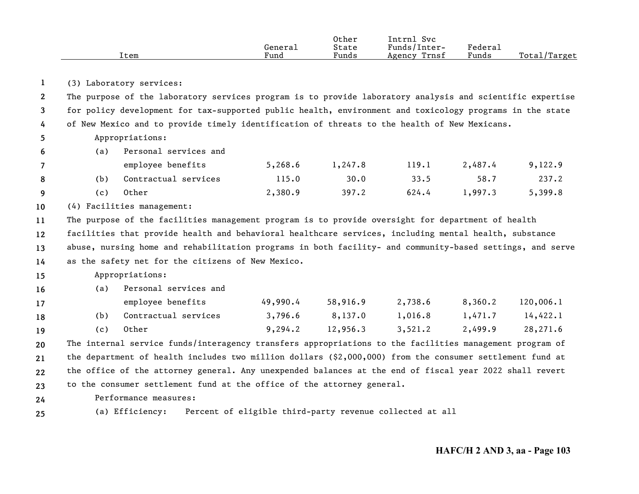|      |         | Other | Intrnl<br><b>Svc</b> |         |                   |
|------|---------|-------|----------------------|---------|-------------------|
|      | Generai | State | Funds/Inter-         | Federal |                   |
| Item | Fund    | Funds | Trnsf<br>Agency      | Funds   | Total/<br>'Target |

**1**(3) Laboratory services:

**234**The purpose of the laboratory services program is to provide laboratory analysis and scientific expertise for policy development for tax-supported public health, environment and toxicology programs in the state of New Mexico and to provide timely identification of threats to the health of New Mexicans.

Appropriations: (a) Personal services and

**56**

|   |       | employee benefits    | 5,268.6 | 1,247.8 | 119.1 | 2,487.4 | 9,122.9 |
|---|-------|----------------------|---------|---------|-------|---------|---------|
| 8 | (b).  | Contractual services | 115.0   | 30.0    | 33.5  | 58.7    | 237.2   |
| Q | ( C ) | Other                | 2,380.9 | 397.2   | 624.4 | 1,997.3 | 5,399.8 |

**10**(4) Facilities management:

**11121314**The purpose of the facilities management program is to provide oversight for department of health facilities that provide health and behavioral healthcare services, including mental health, substance abuse, nursing home and rehabilitation programs in both facility- and community-based settings, and serve as the safety net for the citizens of New Mexico.

## **15**Appropriations:

**16**(a) Personal services and

| 17 |     | employee benefits        | 49,990.4 | 58,916.9 | 2,738.6 | 8,360.2 | 120,006.1 |
|----|-----|--------------------------|----------|----------|---------|---------|-----------|
| 18 |     | (b) Contractual services | 3,796.6  | 8,137.0  | 1,016.8 | 1,471.7 | 14,422.1  |
| 19 | (c) | Other                    | 9,294.2  | 12,956.3 | 3,521.2 | 2,499.9 | 28,271.6  |

**20212223**The internal service funds/interagency transfers appropriations to the facilities management program of the department of health includes two million dollars (\$2,000,000) from the consumer settlement fund at the office of the attorney general. Any unexpended balances at the end of fiscal year 2022 shall revert to the consumer settlement fund at the office of the attorney general.

- **24**Performance measures:
- **25**(a) Efficiency: Percent of eligible third-party revenue collected at all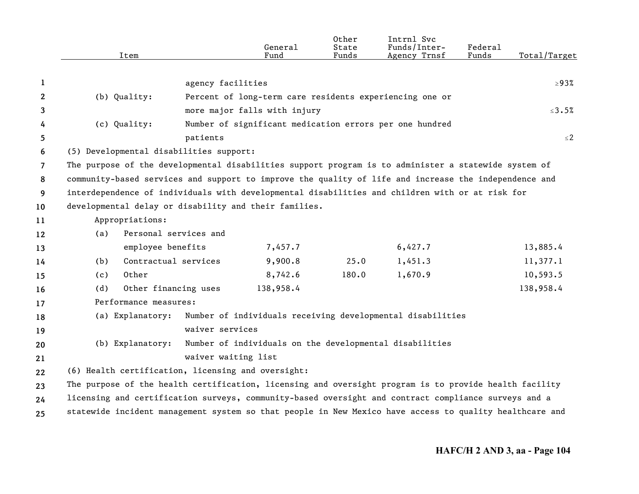|                | Item                                                                                                    |                       | General<br>Fund                                         | Other<br>State<br>Funds | Intrnl Svc<br>Funds/Inter-<br>Agency Trnsf                 | Federal<br>Funds | Total/Target |
|----------------|---------------------------------------------------------------------------------------------------------|-----------------------|---------------------------------------------------------|-------------------------|------------------------------------------------------------|------------------|--------------|
| 1              |                                                                                                         | agency facilities     |                                                         |                         |                                                            |                  | $\geq$ 93%   |
| 2              | (b) Quality:                                                                                            |                       |                                                         |                         | Percent of long-term care residents experiencing one or    |                  |              |
| 3              |                                                                                                         |                       | more major falls with injury                            |                         |                                                            |                  | $\leq$ 3.5%  |
| 4              | (c) Quality:                                                                                            |                       |                                                         |                         | Number of significant medication errors per one hundred    |                  |              |
| 5              |                                                                                                         | patients              |                                                         |                         |                                                            |                  | $\leq$ 2     |
| 6              | (5) Developmental disabilities support:                                                                 |                       |                                                         |                         |                                                            |                  |              |
| $\overline{7}$ | The purpose of the developmental disabilities support program is to administer a statewide system of    |                       |                                                         |                         |                                                            |                  |              |
| 8              | community-based services and support to improve the quality of life and increase the independence and   |                       |                                                         |                         |                                                            |                  |              |
| 9              | interdependence of individuals with developmental disabilities and children with or at risk for         |                       |                                                         |                         |                                                            |                  |              |
| 10             | developmental delay or disability and their families.                                                   |                       |                                                         |                         |                                                            |                  |              |
| 11             | Appropriations:                                                                                         |                       |                                                         |                         |                                                            |                  |              |
| 12             | (a)                                                                                                     | Personal services and |                                                         |                         |                                                            |                  |              |
| 13             | employee benefits                                                                                       |                       | 7,457.7                                                 |                         | 6,427.7                                                    |                  | 13,885.4     |
| 14             | (b)                                                                                                     | Contractual services  | 9,900.8                                                 | 25.0                    | 1,451.3                                                    |                  | 11,377.1     |
| 15             | Other<br>(c)                                                                                            |                       | 8,742.6                                                 | 180.0                   | 1,670.9                                                    |                  | 10,593.5     |
| 16             | (d)                                                                                                     | Other financing uses  | 138,958.4                                               |                         |                                                            |                  | 138,958.4    |
| 17             | Performance measures:                                                                                   |                       |                                                         |                         |                                                            |                  |              |
| 18             | (a) Explanatory:                                                                                        |                       |                                                         |                         | Number of individuals receiving developmental disabilities |                  |              |
| 19             |                                                                                                         | waiver services       |                                                         |                         |                                                            |                  |              |
| 20             | (b) Explanatory:                                                                                        |                       | Number of individuals on the developmental disabilities |                         |                                                            |                  |              |
| 21             |                                                                                                         | waiver waiting list   |                                                         |                         |                                                            |                  |              |
| 22             | (6) Health certification, licensing and oversight:                                                      |                       |                                                         |                         |                                                            |                  |              |
| 23             | The purpose of the health certification, licensing and oversight program is to provide health facility  |                       |                                                         |                         |                                                            |                  |              |
| 24             | licensing and certification surveys, community-based oversight and contract compliance surveys and a    |                       |                                                         |                         |                                                            |                  |              |
| 25             | statewide incident management system so that people in New Mexico have access to quality healthcare and |                       |                                                         |                         |                                                            |                  |              |
|                |                                                                                                         |                       |                                                         |                         |                                                            |                  |              |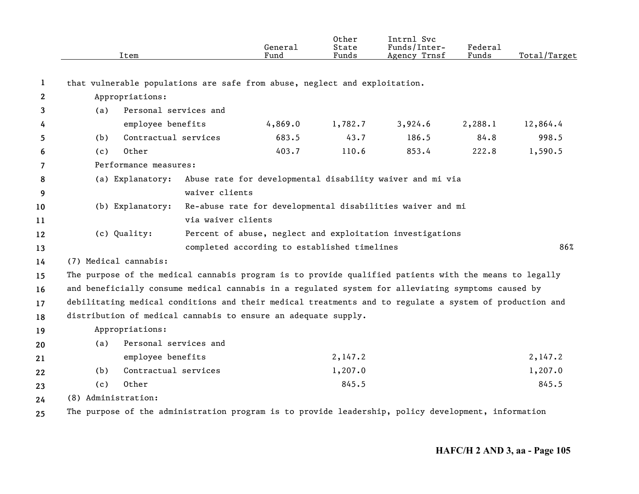|    | Item                                                                                                    |                       | General<br>Fund                              | Other<br>State<br>Funds | Intrnl Svc<br>Funds/Inter-<br>Agency Trnsf                 | Federal<br>Funds | Total/Target |
|----|---------------------------------------------------------------------------------------------------------|-----------------------|----------------------------------------------|-------------------------|------------------------------------------------------------|------------------|--------------|
| 1  | that vulnerable populations are safe from abuse, neglect and exploitation.                              |                       |                                              |                         |                                                            |                  |              |
| 2  | Appropriations:                                                                                         |                       |                                              |                         |                                                            |                  |              |
| 3  | (a)                                                                                                     | Personal services and |                                              |                         |                                                            |                  |              |
| 4  | employee benefits                                                                                       |                       | 4,869.0                                      | 1,782.7                 | 3,924.6                                                    | 2,288.1          | 12,864.4     |
| 5  | (b)                                                                                                     | Contractual services  | 683.5                                        | 43.7                    | 186.5                                                      | 84.8             | 998.5        |
| 6  | Other<br>(c)                                                                                            |                       | 403.7                                        | 110.6                   | 853.4                                                      | 222.8            | 1,590.5      |
| 7  | Performance measures:                                                                                   |                       |                                              |                         |                                                            |                  |              |
| 8  | (a) Explanatory:                                                                                        |                       |                                              |                         | Abuse rate for developmental disability waiver and mi via  |                  |              |
| 9  |                                                                                                         | waiver clients        |                                              |                         |                                                            |                  |              |
| 10 | (b) Explanatory:                                                                                        |                       |                                              |                         | Re-abuse rate for developmental disabilities waiver and mi |                  |              |
| 11 |                                                                                                         | via waiver clients    |                                              |                         |                                                            |                  |              |
| 12 | (c) Quality:                                                                                            |                       |                                              |                         | Percent of abuse, neglect and exploitation investigations  |                  |              |
| 13 |                                                                                                         |                       | completed according to established timelines |                         |                                                            |                  | 86%          |
| 14 | (7) Medical cannabis:                                                                                   |                       |                                              |                         |                                                            |                  |              |
| 15 | The purpose of the medical cannabis program is to provide qualified patients with the means to legally  |                       |                                              |                         |                                                            |                  |              |
| 16 | and beneficially consume medical cannabis in a regulated system for alleviating symptoms caused by      |                       |                                              |                         |                                                            |                  |              |
| 17 | debilitating medical conditions and their medical treatments and to regulate a system of production and |                       |                                              |                         |                                                            |                  |              |
| 18 | distribution of medical cannabis to ensure an adequate supply.                                          |                       |                                              |                         |                                                            |                  |              |
| 19 | Appropriations:                                                                                         |                       |                                              |                         |                                                            |                  |              |
| 20 | (a)                                                                                                     | Personal services and |                                              |                         |                                                            |                  |              |
| 21 | employee benefits                                                                                       |                       |                                              | 2,147.2                 |                                                            |                  | 2,147.2      |
| 22 | (b)                                                                                                     | Contractual services  |                                              | 1,207.0                 |                                                            |                  | 1,207.0      |
| 23 | Other<br>(c)                                                                                            |                       |                                              | 845.5                   |                                                            |                  | 845.5        |
| 24 | (8) Administration:                                                                                     |                       |                                              |                         |                                                            |                  |              |
| 25 | The purpose of the administration program is to provide leadership, policy development, information     |                       |                                              |                         |                                                            |                  |              |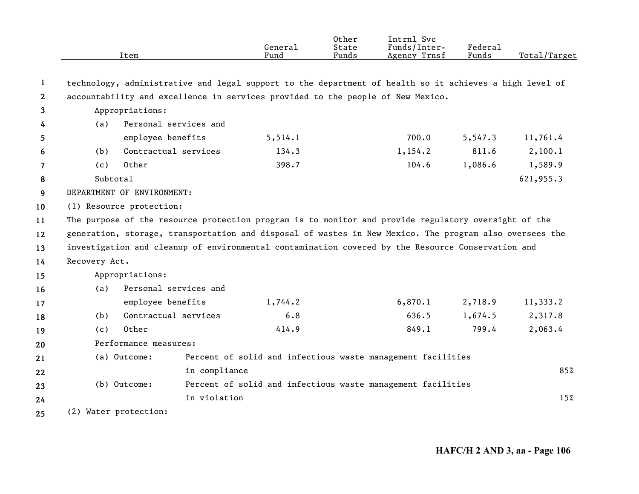|              |               | Item                       | General<br>Fund                                                                                         | Other<br>State<br>Funds | Intrnl Svc<br>Funds/Inter-<br>Agency Trnsf | <b>Federal</b><br>Funds | Total/Target |
|--------------|---------------|----------------------------|---------------------------------------------------------------------------------------------------------|-------------------------|--------------------------------------------|-------------------------|--------------|
|              |               |                            |                                                                                                         |                         |                                            |                         |              |
| 1            |               |                            | technology, administrative and legal support to the department of health so it achieves a high level of |                         |                                            |                         |              |
| $\mathbf{2}$ |               |                            | accountability and excellence in services provided to the people of New Mexico.                         |                         |                                            |                         |              |
| 3            |               | Appropriations:            |                                                                                                         |                         |                                            |                         |              |
| 4            | (a)           | Personal services and      |                                                                                                         |                         |                                            |                         |              |
| 5            |               | employee benefits          | 5, 514.1                                                                                                |                         | 700.0                                      | 5,547.3                 | 11,761.4     |
| 6            | (b)           | Contractual services       | 134.3                                                                                                   |                         | 1,154.2                                    | 811.6                   | 2,100.1      |
| 7            | (c)           | Other                      | 398.7                                                                                                   |                         | 104.6                                      | 1,086.6                 | 1,589.9      |
| 8            | Subtotal      |                            |                                                                                                         |                         |                                            |                         | 621,955.3    |
| 9            |               | DEPARTMENT OF ENVIRONMENT: |                                                                                                         |                         |                                            |                         |              |
| 10           |               | (1) Resource protection:   |                                                                                                         |                         |                                            |                         |              |
| 11           |               |                            | The purpose of the resource protection program is to monitor and provide regulatory oversight of the    |                         |                                            |                         |              |
| 12           |               |                            | generation, storage, transportation and disposal of wastes in New Mexico. The program also oversees the |                         |                                            |                         |              |
| 13           |               |                            | investigation and cleanup of environmental contamination covered by the Resource Conservation and       |                         |                                            |                         |              |
| 14           | Recovery Act. |                            |                                                                                                         |                         |                                            |                         |              |
| 15           |               | Appropriations:            |                                                                                                         |                         |                                            |                         |              |
| 16           | (a)           | Personal services and      |                                                                                                         |                         |                                            |                         |              |
| 17           |               | employee benefits          | 1,744.2                                                                                                 |                         | 6,870.1                                    | 2,718.9                 | 11,333.2     |
| 18           | (b)           | Contractual services       | 6.8                                                                                                     |                         | 636.5                                      | 1,674.5                 | 2,317.8      |
| 19           | (c)           | Other                      | 414.9                                                                                                   |                         | 849.1                                      | 799.4                   | 2,063.4      |
| 20           |               | Performance measures:      |                                                                                                         |                         |                                            |                         |              |
| 21           |               | (a) Outcome:               | Percent of solid and infectious waste management facilities                                             |                         |                                            |                         |              |
| 22           |               |                            | in compliance                                                                                           |                         |                                            |                         | 85%          |
| 23           |               | (b) Outcome:               | Percent of solid and infectious waste management facilities                                             |                         |                                            |                         |              |
| 24           |               |                            | in violation                                                                                            |                         |                                            |                         | 15%          |
| 25           |               | (2) Water protection:      |                                                                                                         |                         |                                            |                         |              |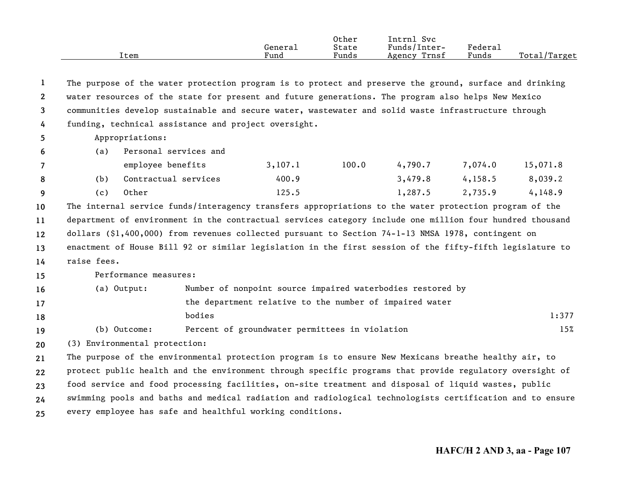|      |         | Other | Svc<br>Intrnl   |         |                               |
|------|---------|-------|-----------------|---------|-------------------------------|
|      | Genera⊥ | State | Funds/Inter-    | Federau |                               |
| Item | Fund    | Funds | Trnsf<br>Agency | Funds   | Total <sub>l</sub><br>'Target |

**12345**The purpose of the water protection program is to protect and preserve the ground, surface and drinking water resources of the state for present and future generations. The program also helps New Mexico communities develop sustainable and secure water, wastewater and solid waste infrastructure through funding, technical assistance and project oversight. Appropriations:

| - 0      | (d)  | reisonal services and |         |       |         |         |          |
|----------|------|-----------------------|---------|-------|---------|---------|----------|
|          |      | employee benefits     | 3,107,1 | 100.0 | 4,790.7 | 7,074.0 | 15,071.8 |
| -8       | (b). | Contractual services  | 400.9   |       | 3,479.8 | 4,158,5 | 8,039.2  |
| <b>q</b> | (C)  | Other                 | 125.5   |       | 1,287.5 | 2,735.9 | 4,148.9  |

**10111213**The internal service funds/interagency transfers appropriations to the water protection program of the department of environment in the contractual services category include one million four hundred thousand dollars (\$1,400,000) from revenues collected pursuant to Section 74-1-13 NMSA 1978, contingent on enactment of House Bill 92 or similar legislation in the first session of the fifty-fifth legislature to

**14**raise fees.

**6**

**15**Performance measures:

(a) Personal services and

| <b>16</b> | (a) Output:  | Number of nonpoint source impaired waterbodies restored by |       |
|-----------|--------------|------------------------------------------------------------|-------|
| 17        |              | the department relative to the number of impaired water    |       |
| 18        |              | bodies                                                     | 1:377 |
| 19        | (b) Outcome: | Percent of groundwater permittees in violation             | 15%   |

**20**(3) Environmental protection:

**2122232425**The purpose of the environmental protection program is to ensure New Mexicans breathe healthy air, to protect public health and the environment through specific programs that provide regulatory oversight of food service and food processing facilities, on-site treatment and disposal of liquid wastes, public swimming pools and baths and medical radiation and radiological technologists certification and to ensure every employee has safe and healthful working conditions.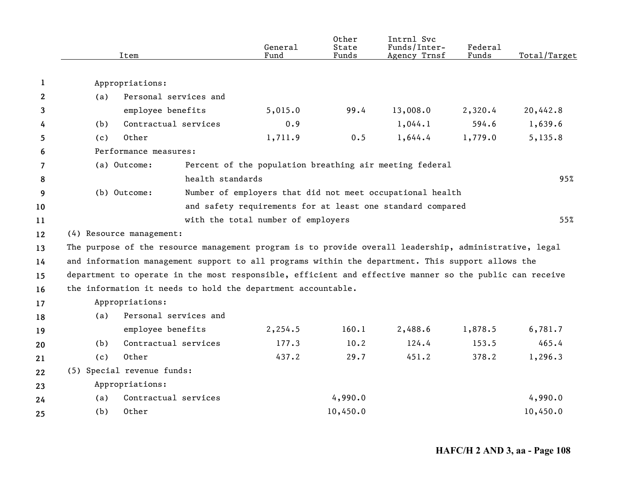|              |     | Item                                                                                                    | General<br>Fund                                            | Other<br>State<br>Funds | Intrnl Svc<br>Funds/Inter-<br>Agency Trnsf | Federal<br>Funds | Total/Target |
|--------------|-----|---------------------------------------------------------------------------------------------------------|------------------------------------------------------------|-------------------------|--------------------------------------------|------------------|--------------|
|              |     |                                                                                                         |                                                            |                         |                                            |                  |              |
| 1            |     | Appropriations:                                                                                         |                                                            |                         |                                            |                  |              |
| $\mathbf{2}$ | (a) | Personal services and                                                                                   |                                                            |                         |                                            |                  |              |
| 3            |     | employee benefits                                                                                       | 5,015.0                                                    | 99.4                    | 13,008.0                                   | 2,320.4          | 20,442.8     |
| 4            | (b) | Contractual services                                                                                    | 0.9                                                        |                         | 1,044.1                                    | 594.6            | 1,639.6      |
| 5            | (c) | Other                                                                                                   | 1,711.9                                                    | 0.5                     | 1,644.4                                    | 1,779.0          | 5,135.8      |
| 6            |     | Performance measures:                                                                                   |                                                            |                         |                                            |                  |              |
| 7            |     | (a) Outcome:                                                                                            | Percent of the population breathing air meeting federal    |                         |                                            |                  |              |
| 8            |     |                                                                                                         | health standards                                           |                         |                                            |                  | 95%          |
| 9            |     | (b) Outcome:                                                                                            | Number of employers that did not meet occupational health  |                         |                                            |                  |              |
| 10           |     |                                                                                                         | and safety requirements for at least one standard compared |                         |                                            |                  |              |
| 11           |     |                                                                                                         | with the total number of employers                         |                         |                                            |                  | 55%          |
| 12           |     | (4) Resource management:                                                                                |                                                            |                         |                                            |                  |              |
| 13           |     | The purpose of the resource management program is to provide overall leadership, administrative, legal  |                                                            |                         |                                            |                  |              |
| 14           |     | and information management support to all programs within the department. This support allows the       |                                                            |                         |                                            |                  |              |
| 15           |     | department to operate in the most responsible, efficient and effective manner so the public can receive |                                                            |                         |                                            |                  |              |
| 16           |     | the information it needs to hold the department accountable.                                            |                                                            |                         |                                            |                  |              |
| 17           |     | Appropriations:                                                                                         |                                                            |                         |                                            |                  |              |
| 18           | (a) | Personal services and                                                                                   |                                                            |                         |                                            |                  |              |
| 19           |     | employee benefits                                                                                       | 2,254.5                                                    | 160.1                   | 2,488.6                                    | 1,878.5          | 6,781.7      |
| 20           | (b) | Contractual services                                                                                    | 177.3                                                      | 10.2                    | 124.4                                      | 153.5            | 465.4        |
| 21           | (c) | Other                                                                                                   | 437.2                                                      | 29.7                    | 451.2                                      | 378.2            | 1,296.3      |
| 22           |     | (5) Special revenue funds:                                                                              |                                                            |                         |                                            |                  |              |
| 23           |     | Appropriations:                                                                                         |                                                            |                         |                                            |                  |              |
| 24           | (a) | Contractual services                                                                                    |                                                            | 4,990.0                 |                                            |                  | 4,990.0      |
| 25           | (b) | Other                                                                                                   |                                                            | 10,450.0                |                                            |                  | 10,450.0     |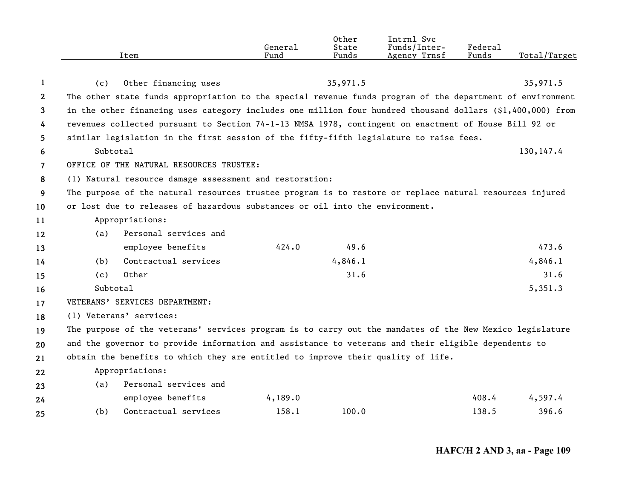|                       | Item                                                                                                       | General<br>Fund | Other<br>State<br>Funds | Intrnl Svc<br>Funds/Inter-<br>Agency Trnsf | Federal<br>Funds | Total/Target |  |  |  |
|-----------------------|------------------------------------------------------------------------------------------------------------|-----------------|-------------------------|--------------------------------------------|------------------|--------------|--|--|--|
| 1                     | Other financing uses<br>(c)                                                                                |                 | 35,971.5                |                                            |                  | 35,971.5     |  |  |  |
| $\mathbf{2}^{\prime}$ | The other state funds appropriation to the special revenue funds program of the department of environment  |                 |                         |                                            |                  |              |  |  |  |
| 3                     | in the other financing uses category includes one million four hundred thousand dollars (\$1,400,000) from |                 |                         |                                            |                  |              |  |  |  |
| 4                     | revenues collected pursuant to Section 74-1-13 NMSA 1978, contingent on enactment of House Bill 92 or      |                 |                         |                                            |                  |              |  |  |  |
| 5                     | similar legislation in the first session of the fifty-fifth legislature to raise fees.                     |                 |                         |                                            |                  |              |  |  |  |
| 6                     | Subtotal<br>130, 147.4                                                                                     |                 |                         |                                            |                  |              |  |  |  |
| 7                     | OFFICE OF THE NATURAL RESOURCES TRUSTEE:                                                                   |                 |                         |                                            |                  |              |  |  |  |
| 8                     | (1) Natural resource damage assessment and restoration:                                                    |                 |                         |                                            |                  |              |  |  |  |
| 9                     | The purpose of the natural resources trustee program is to restore or replace natural resources injured    |                 |                         |                                            |                  |              |  |  |  |
| 10                    | or lost due to releases of hazardous substances or oil into the environment.                               |                 |                         |                                            |                  |              |  |  |  |
| 11                    | Appropriations:                                                                                            |                 |                         |                                            |                  |              |  |  |  |
| 12                    | Personal services and<br>(a)                                                                               |                 |                         |                                            |                  |              |  |  |  |
| 13                    | employee benefits                                                                                          | 424.0           | 49.6                    |                                            |                  | 473.6        |  |  |  |
| 14                    | Contractual services<br>(b)                                                                                |                 | 4,846.1                 |                                            |                  | 4,846.1      |  |  |  |
| 15                    | Other<br>(c)                                                                                               |                 | 31.6                    |                                            |                  | 31.6         |  |  |  |
| 16                    | Subtotal                                                                                                   |                 |                         |                                            |                  | 5,351.3      |  |  |  |
| 17                    | VETERANS' SERVICES DEPARTMENT:                                                                             |                 |                         |                                            |                  |              |  |  |  |
| 18                    | (1) Veterans' services:                                                                                    |                 |                         |                                            |                  |              |  |  |  |
| 19                    | The purpose of the veterans' services program is to carry out the mandates of the New Mexico legislature   |                 |                         |                                            |                  |              |  |  |  |
| 20                    | and the governor to provide information and assistance to veterans and their eligible dependents to        |                 |                         |                                            |                  |              |  |  |  |
| 21                    | obtain the benefits to which they are entitled to improve their quality of life.                           |                 |                         |                                            |                  |              |  |  |  |
| 22                    | Appropriations:                                                                                            |                 |                         |                                            |                  |              |  |  |  |
| 23                    | Personal services and<br>(a)                                                                               |                 |                         |                                            |                  |              |  |  |  |
| 24                    | employee benefits                                                                                          | 4,189.0         |                         |                                            | 408.4            | 4,597.4      |  |  |  |
| 25                    | Contractual services<br>(b)                                                                                | 158.1           | 100.0                   |                                            | 138.5            | 396.6        |  |  |  |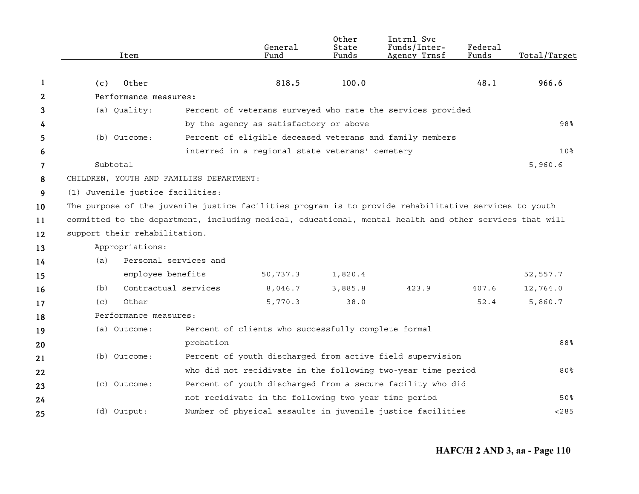|              | Item                                                                                                    |                       | General<br>Fund                                      | Other<br>State<br>Funds | Intrnl Svc<br>Funds/Inter-<br>Agency Trnsf                   | Federal<br>Funds | Total/Target    |
|--------------|---------------------------------------------------------------------------------------------------------|-----------------------|------------------------------------------------------|-------------------------|--------------------------------------------------------------|------------------|-----------------|
| 1            | Other<br>(c)                                                                                            |                       | 818.5                                                | 100.0                   |                                                              | 48.1             | 966.6           |
| $\mathbf{2}$ | Performance measures:                                                                                   |                       |                                                      |                         |                                                              |                  |                 |
| 3            | (a) Quality:                                                                                            |                       |                                                      |                         | Percent of veterans surveyed who rate the services provided  |                  |                 |
| 4            |                                                                                                         |                       | by the agency as satisfactory or above               |                         |                                                              |                  | 98%             |
|              | (b) Outcome:                                                                                            |                       |                                                      |                         | Percent of eligible deceased veterans and family members     |                  |                 |
| 5            |                                                                                                         |                       | interred in a regional state veterans' cemetery      |                         |                                                              |                  | 10 <sup>8</sup> |
| 6            | Subtotal                                                                                                |                       |                                                      |                         |                                                              |                  | 5,960.6         |
| 7            | CHILDREN, YOUTH AND FAMILIES DEPARTMENT:                                                                |                       |                                                      |                         |                                                              |                  |                 |
| 8            | (1) Juvenile justice facilities:                                                                        |                       |                                                      |                         |                                                              |                  |                 |
| 9            |                                                                                                         |                       |                                                      |                         |                                                              |                  |                 |
| 10           | The purpose of the juvenile justice facilities program is to provide rehabilitative services to youth   |                       |                                                      |                         |                                                              |                  |                 |
| 11           | committed to the department, including medical, educational, mental health and other services that will |                       |                                                      |                         |                                                              |                  |                 |
| 12           | support their rehabilitation.                                                                           |                       |                                                      |                         |                                                              |                  |                 |
| 13           | Appropriations:                                                                                         |                       |                                                      |                         |                                                              |                  |                 |
| 14           | (a)                                                                                                     | Personal services and |                                                      |                         |                                                              |                  |                 |
| 15           |                                                                                                         | employee benefits     | 50,737.3                                             | 1,820.4                 |                                                              |                  | 52,557.7        |
| 16           | (b)                                                                                                     | Contractual services  | 8,046.7                                              | 3,885.8                 | 423.9                                                        | 407.6            | 12,764.0        |
| 17           | Other<br>(c)                                                                                            |                       | 5,770.3                                              | 38.0                    |                                                              | 52.4             | 5,860.7         |
| 18           | Performance measures:                                                                                   |                       |                                                      |                         |                                                              |                  |                 |
| 19           | (a) Outcome:                                                                                            |                       | Percent of clients who successfully complete formal  |                         |                                                              |                  |                 |
| 20           |                                                                                                         | probation             |                                                      |                         |                                                              |                  | 88%             |
| 21           | (b) Outcome:                                                                                            |                       |                                                      |                         | Percent of youth discharged from active field supervision    |                  |                 |
| 22           |                                                                                                         |                       |                                                      |                         | who did not recidivate in the following two-year time period |                  | 80%             |
| 23           | (c) Outcome:                                                                                            |                       |                                                      |                         | Percent of youth discharged from a secure facility who did   |                  |                 |
| 24           |                                                                                                         |                       | not recidivate in the following two year time period |                         |                                                              |                  | 50%             |
| 25           | (d) Output:                                                                                             |                       |                                                      |                         | Number of physical assaults in juvenile justice facilities   |                  | < 285           |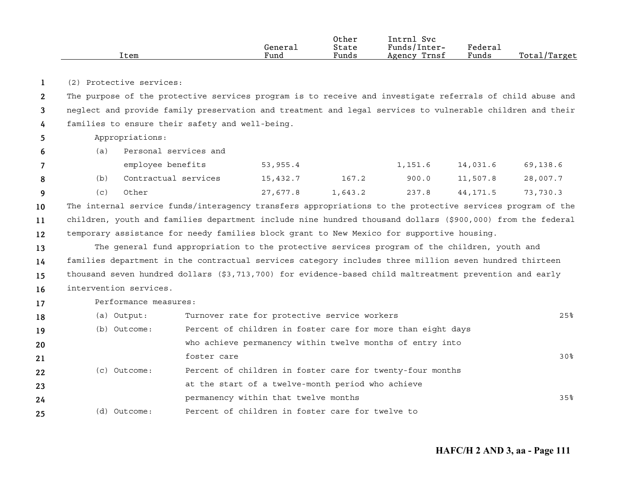| Item | General<br>Fund | Other<br>State<br>Funds | Svc<br>Intrnl<br>Funds/Inter-<br>Trnsf<br>Agency | Federal<br>Funds | Total,<br>./Target |
|------|-----------------|-------------------------|--------------------------------------------------|------------------|--------------------|
|------|-----------------|-------------------------|--------------------------------------------------|------------------|--------------------|

**1**(2) Protective services:

**234**The purpose of the protective services program is to receive and investigate referrals of child abuse and neglect and provide family preservation and treatment and legal services to vulnerable children and their families to ensure their safety and well-being.

Appropriations:

**56**

(a) Personal services and

|     | employee benefits    | 53,955.4 |         | 1,151.6 | 14,031.6 | 69,138.6 |
|-----|----------------------|----------|---------|---------|----------|----------|
|     | Contractual services | 15,432.7 | 167.2   | 900.0   | 11,507.8 | 28,007.7 |
| (C) | Other                | 27,677.8 | 1,643.2 | 237.8   | 44,171.5 | 73,730.3 |

**101112**The internal service funds/interagency transfers appropriations to the protective services program of the children, youth and families department include nine hundred thousand dollars (\$900,000) from the federal temporary assistance for needy families block grant to New Mexico for supportive housing.

**13141516**The general fund appropriation to the protective services program of the children, youth and families department in the contractual services category includes three million seven hundred thirteen thousand seven hundred dollars (\$3,713,700) for evidence-based child maltreatment prevention and early intervention services.

**17**Performance measures:

| 18 | (a) Output:  | Turnover rate for protective service workers                | 25% |
|----|--------------|-------------------------------------------------------------|-----|
| 19 | (b) Outcome: | Percent of children in foster care for more than eight days |     |
| 20 |              | who achieve permanency within twelve months of entry into   |     |
| 21 |              | foster care                                                 | 30% |
| 22 | (c) Outcome: | Percent of children in foster care for twenty-four months   |     |
| 23 |              | at the start of a twelve-month period who achieve           |     |
| 24 |              | permanency within that twelve months                        | 35% |
| 25 | (d) Outcome: | Percent of children in foster care for twelve to            |     |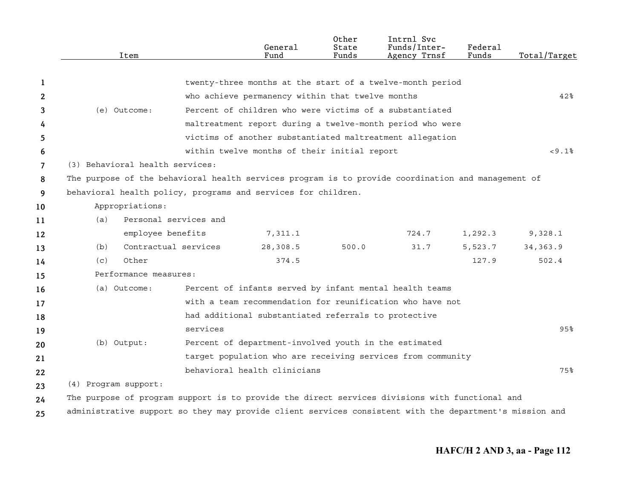|    |                      | Item                            |          | General<br>Fund                                               | Other<br>State<br>Funds | Intrnl Svc<br>Funds/Inter-<br>Agency Trnsf                                                              | Federal<br>Funds | Total/Target |
|----|----------------------|---------------------------------|----------|---------------------------------------------------------------|-------------------------|---------------------------------------------------------------------------------------------------------|------------------|--------------|
| -1 |                      |                                 |          |                                                               |                         | twenty-three months at the start of a twelve-month period                                               |                  |              |
| 2  |                      |                                 |          | who achieve permanency within that twelve months              |                         |                                                                                                         |                  | 42%          |
| 3  |                      | (e) Outcome:                    |          | Percent of children who were victims of a substantiated       |                         |                                                                                                         |                  |              |
| 4  |                      |                                 |          |                                                               |                         | maltreatment report during a twelve-month period who were                                               |                  |              |
| 5  |                      |                                 |          |                                                               |                         | victims of another substantiated maltreatment allegation                                                |                  |              |
| 6  |                      |                                 |          | within twelve months of their initial report                  |                         |                                                                                                         |                  | < 9.1%       |
| 7  |                      | (3) Behavioral health services: |          |                                                               |                         |                                                                                                         |                  |              |
| 8  |                      |                                 |          |                                                               |                         | The purpose of the behavioral health services program is to provide coordination and management of      |                  |              |
| 9  |                      |                                 |          | behavioral health policy, programs and services for children. |                         |                                                                                                         |                  |              |
| 10 |                      | Appropriations:                 |          |                                                               |                         |                                                                                                         |                  |              |
| 11 | (a)                  | Personal services and           |          |                                                               |                         |                                                                                                         |                  |              |
| 12 |                      | employee benefits               |          | 7,311.1                                                       |                         | 724.7                                                                                                   | 1,292.3          | 9,328.1      |
| 13 | (b)                  | Contractual services            |          | 28,308.5                                                      | 500.0                   | 31.7                                                                                                    | 5,523.7          | 34, 363.9    |
| 14 | (c)                  | Other                           |          | 374.5                                                         |                         |                                                                                                         | 127.9            | 502.4        |
| 15 |                      | Performance measures:           |          |                                                               |                         |                                                                                                         |                  |              |
| 16 |                      | (a) Outcome:                    |          |                                                               |                         | Percent of infants served by infant mental health teams                                                 |                  |              |
| 17 |                      |                                 |          |                                                               |                         | with a team recommendation for reunification who have not                                               |                  |              |
| 18 |                      |                                 |          | had additional substantiated referrals to protective          |                         |                                                                                                         |                  |              |
| 19 |                      |                                 | services |                                                               |                         |                                                                                                         |                  | 95%          |
| 20 | (b) Output:          |                                 |          | Percent of department-involved youth in the estimated         |                         |                                                                                                         |                  |              |
| 21 |                      |                                 |          |                                                               |                         | target population who are receiving services from community                                             |                  |              |
| 22 |                      |                                 |          | behavioral health clinicians                                  |                         |                                                                                                         |                  | 75%          |
| 23 | (4) Program support: |                                 |          |                                                               |                         |                                                                                                         |                  |              |
| 24 |                      |                                 |          |                                                               |                         | The purpose of program support is to provide the direct services divisions with functional and          |                  |              |
| 25 |                      |                                 |          |                                                               |                         | administrative support so they may provide client services consistent with the department's mission and |                  |              |
|    |                      |                                 |          |                                                               |                         |                                                                                                         |                  |              |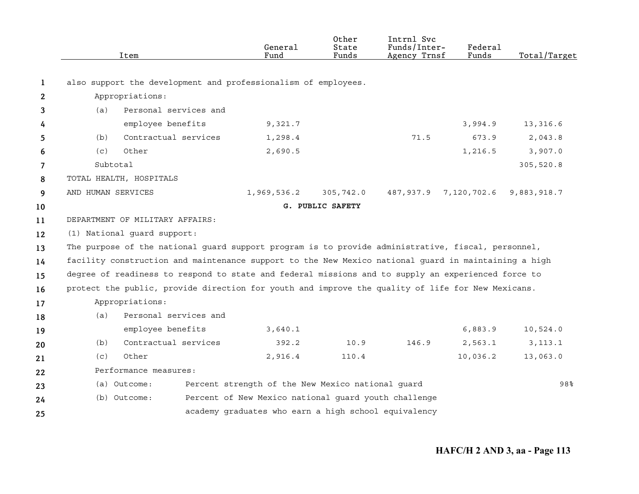|    | Item                                                                                                 |                       | General<br>Fund                                      | Other<br>State<br>Funds | Intrnl Svc<br>Funds/Inter-<br>Agency Trnsf | Federal<br>Funds | Total/Target |
|----|------------------------------------------------------------------------------------------------------|-----------------------|------------------------------------------------------|-------------------------|--------------------------------------------|------------------|--------------|
| 1  | also support the development and professionalism of employees.                                       |                       |                                                      |                         |                                            |                  |              |
| 2  | Appropriations:                                                                                      |                       |                                                      |                         |                                            |                  |              |
| 3  | (a)                                                                                                  | Personal services and |                                                      |                         |                                            |                  |              |
| 4  |                                                                                                      | employee benefits     | 9,321.7                                              |                         |                                            | 3,994.9          | 13,316.6     |
| 5  | (b)                                                                                                  | Contractual services  | 1,298.4                                              |                         | 71.5                                       | 673.9            | 2,043.8      |
| 6  | Other<br>(c)                                                                                         |                       | 2,690.5                                              |                         |                                            | 1,216.5          | 3,907.0      |
| 7  | Subtotal                                                                                             |                       |                                                      |                         |                                            |                  | 305,520.8    |
| 8  | TOTAL HEALTH, HOSPITALS                                                                              |                       |                                                      |                         |                                            |                  |              |
| 9  | AND HUMAN SERVICES                                                                                   |                       | 1,969,536.2                                          | 305,742.0               | 487,937.9                                  | 7,120,702.6      | 9,883,918.7  |
| 10 |                                                                                                      |                       |                                                      | G. PUBLIC SAFETY        |                                            |                  |              |
| 11 | DEPARTMENT OF MILITARY AFFAIRS:                                                                      |                       |                                                      |                         |                                            |                  |              |
| 12 | (1) National guard support:                                                                          |                       |                                                      |                         |                                            |                  |              |
| 13 | The purpose of the national guard support program is to provide administrative, fiscal, personnel,   |                       |                                                      |                         |                                            |                  |              |
| 14 | facility construction and maintenance support to the New Mexico national guard in maintaining a high |                       |                                                      |                         |                                            |                  |              |
| 15 | degree of readiness to respond to state and federal missions and to supply an experienced force to   |                       |                                                      |                         |                                            |                  |              |
| 16 | protect the public, provide direction for youth and improve the quality of life for New Mexicans.    |                       |                                                      |                         |                                            |                  |              |
| 17 | Appropriations:                                                                                      |                       |                                                      |                         |                                            |                  |              |
| 18 | (a)                                                                                                  | Personal services and |                                                      |                         |                                            |                  |              |
| 19 |                                                                                                      | employee benefits     | 3,640.1                                              |                         |                                            | 6,883.9          | 10,524.0     |
| 20 | (b)                                                                                                  | Contractual services  | 392.2                                                | 10.9                    | 146.9                                      | 2,563.1          | 3, 113.1     |
| 21 | Other<br>(c)                                                                                         |                       | 2,916.4                                              | 110.4                   |                                            | 10,036.2         | 13,063.0     |
| 22 | Performance measures:                                                                                |                       |                                                      |                         |                                            |                  |              |
| 23 | (a) Outcome:                                                                                         |                       | Percent strength of the New Mexico national guard    |                         |                                            |                  | 98%          |
| 24 | (b) Outcome:                                                                                         |                       | Percent of New Mexico national quard youth challenge |                         |                                            |                  |              |
| 25 |                                                                                                      |                       | academy graduates who earn a high school equivalency |                         |                                            |                  |              |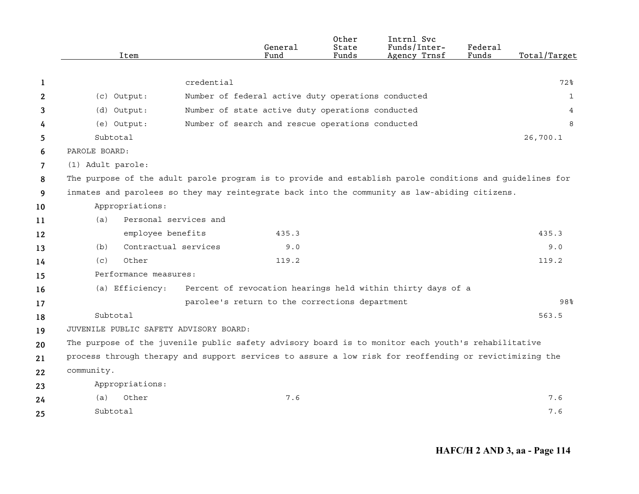|    | Item                                                                                                     |                       | General<br>Fund                                    | Other<br>State<br>Funds | Intrnl Svc<br>Funds/Inter-<br>Agency Trnsf                  | Federal<br>Funds | Total/Target |
|----|----------------------------------------------------------------------------------------------------------|-----------------------|----------------------------------------------------|-------------------------|-------------------------------------------------------------|------------------|--------------|
|    |                                                                                                          |                       |                                                    |                         |                                                             |                  |              |
| 1  |                                                                                                          | credential            |                                                    |                         |                                                             |                  | 72%          |
| 2  | (c) Output:                                                                                              |                       | Number of federal active duty operations conducted |                         |                                                             |                  | $\mathbf{1}$ |
| 3  | (d) Output:                                                                                              |                       | Number of state active duty operations conducted   |                         |                                                             |                  | 4            |
| 4  | (e) Output:                                                                                              |                       | Number of search and rescue operations conducted   |                         |                                                             |                  | 8            |
| 5  | Subtotal                                                                                                 |                       |                                                    |                         |                                                             |                  | 26,700.1     |
| 6  | PAROLE BOARD:                                                                                            |                       |                                                    |                         |                                                             |                  |              |
| 7  | (1) Adult parole:                                                                                        |                       |                                                    |                         |                                                             |                  |              |
| 8  | The purpose of the adult parole program is to provide and establish parole conditions and guidelines for |                       |                                                    |                         |                                                             |                  |              |
| 9  | inmates and parolees so they may reintegrate back into the community as law-abiding citizens.            |                       |                                                    |                         |                                                             |                  |              |
| 10 | Appropriations:                                                                                          |                       |                                                    |                         |                                                             |                  |              |
| 11 | (a)                                                                                                      | Personal services and |                                                    |                         |                                                             |                  |              |
| 12 | employee benefits                                                                                        |                       | 435.3                                              |                         |                                                             |                  | 435.3        |
| 13 | (b)                                                                                                      | Contractual services  | 9.0                                                |                         |                                                             |                  | 9.0          |
| 14 | Other<br>(c)                                                                                             |                       | 119.2                                              |                         |                                                             |                  | 119.2        |
| 15 | Performance measures:                                                                                    |                       |                                                    |                         |                                                             |                  |              |
| 16 | (a) Efficiency:                                                                                          |                       |                                                    |                         | Percent of revocation hearings held within thirty days of a |                  |              |
| 17 |                                                                                                          |                       | parolee's return to the corrections department     |                         |                                                             |                  | 98%          |
| 18 | Subtotal                                                                                                 |                       |                                                    |                         |                                                             |                  | 563.5        |
| 19 | JUVENILE PUBLIC SAFETY ADVISORY BOARD:                                                                   |                       |                                                    |                         |                                                             |                  |              |
| 20 | The purpose of the juvenile public safety advisory board is to monitor each youth's rehabilitative       |                       |                                                    |                         |                                                             |                  |              |
| 21 | process through therapy and support services to assure a low risk for reoffending or revictimizing the   |                       |                                                    |                         |                                                             |                  |              |
| 22 | community.                                                                                               |                       |                                                    |                         |                                                             |                  |              |
| 23 | Appropriations:                                                                                          |                       |                                                    |                         |                                                             |                  |              |
| 24 | Other<br>(a)                                                                                             |                       | 7.6                                                |                         |                                                             |                  | 7.6          |
| 25 | Subtotal                                                                                                 |                       |                                                    |                         |                                                             |                  | 7.6          |

**HAFC/H 2 AND 3, aa - Page 114**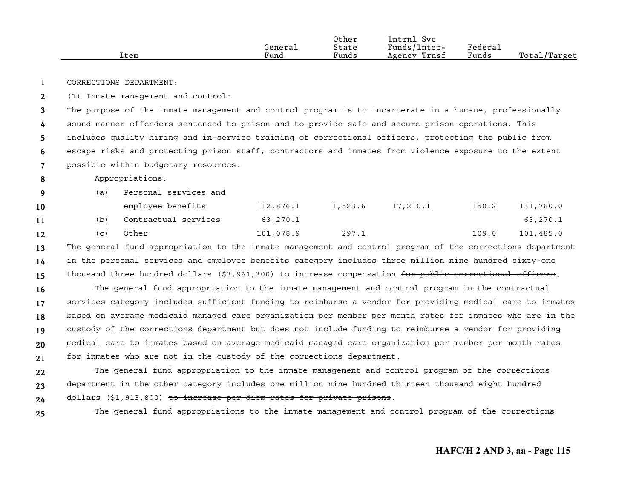| Item | General<br>Fund | Other<br>State<br>Funds | Intrn1<br>Svc<br>Funds/Inter-<br>Trnsf<br>Agency | Federal<br>Funds | Total/Target |
|------|-----------------|-------------------------|--------------------------------------------------|------------------|--------------|
|      |                 |                         |                                                  |                  |              |

**1**CORRECTIONS DEPARTMENT:

**2**(1) Inmate management and control:

**34567**The purpose of the inmate management and control program is to incarcerate in a humane, professionally sound manner offenders sentenced to prison and to provide safe and secure prison operations. This includes quality hiring and in-service training of correctional officers, protecting the public from escape risks and protecting prison staff, contractors and inmates from violence exposure to the extent possible within budgetary resources.

- **8**Appropriations:
- **9**(a) Personal services and

| 10              |     | employee benefits    | 112,876.1 | 1,523.6 | 17,210.1 | 150.2 | 131,760.0 |
|-----------------|-----|----------------------|-----------|---------|----------|-------|-----------|
| 11              | (b) | Contractual services | 63,270.1  |         |          |       | 63,270.1  |
| 12 <sup>2</sup> | (C) | Other                | 101,078.9 | 297.1   |          | 109.0 | 101,485.0 |

**131415**The general fund appropriation to the inmate management and control program of the corrections department in the personal services and employee benefits category includes three million nine hundred sixty-one thousand three hundred dollars (\$3,961,300) to increase compensation for public correctional officers.

**161718192021**The general fund appropriation to the inmate management and control program in the contractual services category includes sufficient funding to reimburse a vendor for providing medical care to inmates based on average medicaid managed care organization per member per month rates for inmates who are in the custody of the corrections department but does not include funding to reimburse a vendor for providing medical care to inmates based on average medicaid managed care organization per member per month rates for inmates who are not in the custody of the corrections department.

**222324**The general fund appropriation to the inmate management and control program of the corrections department in the other category includes one million nine hundred thirteen thousand eight hundred dollars (\$1,913,800) to increase per diem rates for private prisons.

**25**

The general fund appropriations to the inmate management and control program of the corrections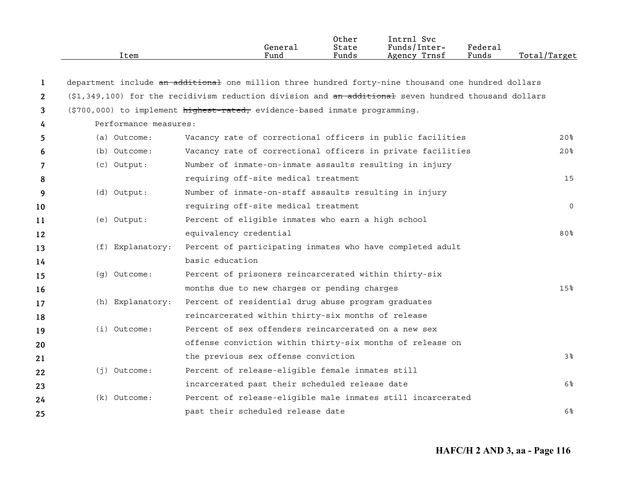|                | Item                  | General<br>Fund                                                                                      | Other<br>State<br>Funds | Intrnl Svc<br>Funds/Inter-<br>Agency Trnsf | Federal<br>Funds | Total/Target    |
|----------------|-----------------------|------------------------------------------------------------------------------------------------------|-------------------------|--------------------------------------------|------------------|-----------------|
| 1              |                       | department include an additional one million three hundred forty-nine thousand one hundred dollars   |                         |                                            |                  |                 |
| $\overline{2}$ |                       | (\$1,349,100) for the recidivism reduction division and an additional seven hundred thousand dollars |                         |                                            |                  |                 |
| 3              |                       | (\$700,000) to implement highest-rated, evidence-based inmate programming.                           |                         |                                            |                  |                 |
| 4              | Performance measures: |                                                                                                      |                         |                                            |                  |                 |
| 5              | (a) Outcome:          | Vacancy rate of correctional officers in public facilities                                           |                         |                                            |                  | 20 <sup>8</sup> |
| 6              | (b) Outcome:          | Vacancy rate of correctional officers in private facilities                                          |                         |                                            |                  | 20%             |
| 7              | $(c)$ Output:         | Number of inmate-on-inmate assaults resulting in injury                                              |                         |                                            |                  |                 |
| 8              |                       | requiring off-site medical treatment                                                                 |                         |                                            |                  | 15              |
| 9              | (d) Output:           | Number of inmate-on-staff assaults resulting in injury                                               |                         |                                            |                  |                 |
| 10             |                       | requiring off-site medical treatment                                                                 |                         |                                            |                  | $\Omega$        |
| 11             | (e) Output:           | Percent of eligible inmates who earn a high school                                                   |                         |                                            |                  |                 |
| 12             |                       | equivalency credential                                                                               |                         |                                            |                  | $80\%$          |
| 13             | (f) Explanatory:      | Percent of participating inmates who have completed adult                                            |                         |                                            |                  |                 |
| 14             |                       | basic education                                                                                      |                         |                                            |                  |                 |
| 15             | (q) Outcome:          | Percent of prisoners reincarcerated within thirty-six                                                |                         |                                            |                  |                 |
| 16             |                       | months due to new charges or pending charges                                                         |                         |                                            |                  | 15%             |
| 17             | (h) Explanatory:      | Percent of residential drug abuse program graduates                                                  |                         |                                            |                  |                 |
| 18             |                       | reincarcerated within thirty-six months of release                                                   |                         |                                            |                  |                 |
| 19             | $(i)$ Outcome:        | Percent of sex offenders reincarcerated on a new sex                                                 |                         |                                            |                  |                 |
| 20             |                       | offense conviction within thirty-six months of release on                                            |                         |                                            |                  |                 |
| 21             |                       | the previous sex offense conviction                                                                  |                         |                                            |                  | 3%              |
| 22             | $(j)$ Outcome:        | Percent of release-eligible female inmates still                                                     |                         |                                            |                  |                 |
| 23             |                       | incarcerated past their scheduled release date                                                       |                         |                                            |                  | 6%              |
| 24             | $(k)$ Outcome:        | Percent of release-eligible male inmates still incarcerated                                          |                         |                                            |                  |                 |
| 25             |                       | past their scheduled release date                                                                    |                         |                                            |                  | $6\%$           |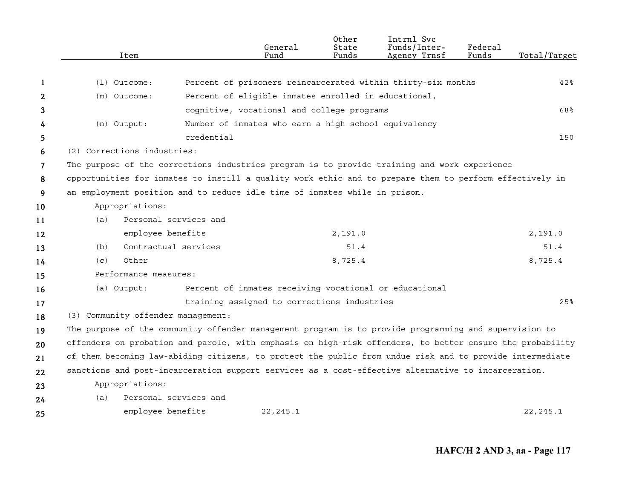|    | Item                                                                                                      |                       | General<br>Fund                                        | 0ther<br>State<br>Funds | Intrnl Svc<br>Funds/Inter-<br>Agency Trnsf                   | Federal<br>Funds | Total/Target |
|----|-----------------------------------------------------------------------------------------------------------|-----------------------|--------------------------------------------------------|-------------------------|--------------------------------------------------------------|------------------|--------------|
| 1  | $(1)$ Outcome:                                                                                            |                       |                                                        |                         | Percent of prisoners reincarcerated within thirty-six months |                  | 42%          |
| 2  | (m) Outcome:                                                                                              |                       | Percent of eligible inmates enrolled in educational,   |                         |                                                              |                  |              |
| 3  |                                                                                                           |                       | cognitive, vocational and college programs             |                         |                                                              |                  | 68%          |
| 4  | (n) Output:                                                                                               |                       | Number of inmates who earn a high school equivalency   |                         |                                                              |                  |              |
| 5  |                                                                                                           | credential            |                                                        |                         |                                                              |                  | 150          |
| 6  | (2) Corrections industries:                                                                               |                       |                                                        |                         |                                                              |                  |              |
| 7  | The purpose of the corrections industries program is to provide training and work experience              |                       |                                                        |                         |                                                              |                  |              |
| 8  | opportunities for inmates to instill a quality work ethic and to prepare them to perform effectively in   |                       |                                                        |                         |                                                              |                  |              |
| 9  | an employment position and to reduce idle time of inmates while in prison.                                |                       |                                                        |                         |                                                              |                  |              |
| 10 | Appropriations:                                                                                           |                       |                                                        |                         |                                                              |                  |              |
| 11 | (a)                                                                                                       | Personal services and |                                                        |                         |                                                              |                  |              |
| 12 | employee benefits                                                                                         |                       |                                                        | 2,191.0                 |                                                              |                  | 2,191.0      |
| 13 | (b)                                                                                                       | Contractual services  |                                                        | 51.4                    |                                                              |                  | 51.4         |
| 14 | Other<br>(c)                                                                                              |                       |                                                        | 8,725.4                 |                                                              |                  | 8,725.4      |
| 15 | Performance measures:                                                                                     |                       |                                                        |                         |                                                              |                  |              |
| 16 | (a) Output:                                                                                               |                       | Percent of inmates receiving vocational or educational |                         |                                                              |                  |              |
| 17 |                                                                                                           |                       | training assigned to corrections industries            |                         |                                                              |                  | 25%          |
| 18 | (3) Community offender management:                                                                        |                       |                                                        |                         |                                                              |                  |              |
| 19 | The purpose of the community offender management program is to provide programming and supervision to     |                       |                                                        |                         |                                                              |                  |              |
| 20 | offenders on probation and parole, with emphasis on high-risk offenders, to better ensure the probability |                       |                                                        |                         |                                                              |                  |              |
| 21 | of them becoming law-abiding citizens, to protect the public from undue risk and to provide intermediate  |                       |                                                        |                         |                                                              |                  |              |
| 22 | sanctions and post-incarceration support services as a cost-effective alternative to incarceration.       |                       |                                                        |                         |                                                              |                  |              |
| 23 | Appropriations:                                                                                           |                       |                                                        |                         |                                                              |                  |              |
| 24 | (a)                                                                                                       | Personal services and |                                                        |                         |                                                              |                  |              |
| 25 | employee benefits                                                                                         |                       | 22, 245.1                                              |                         |                                                              |                  | 22, 245.1    |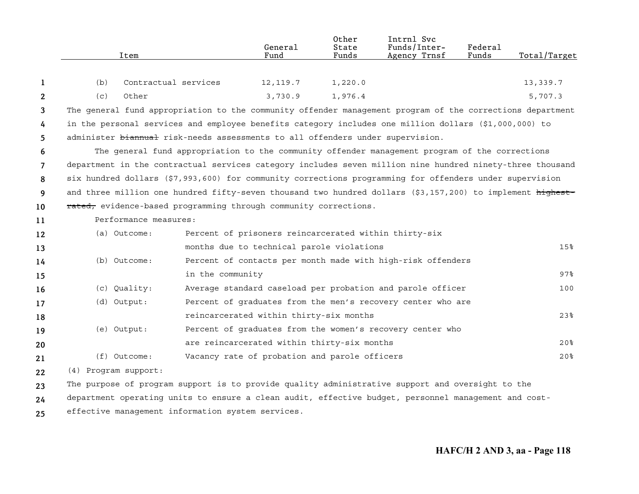|    | Item                                                                                                       |                      | General<br>Fund                                       | Other<br>State<br>Funds | Intrnl Svc<br>Funds/Inter-<br>Agency Trnsf                                                     | Federal<br>Funds | Total/Target    |
|----|------------------------------------------------------------------------------------------------------------|----------------------|-------------------------------------------------------|-------------------------|------------------------------------------------------------------------------------------------|------------------|-----------------|
| 1  | (b)                                                                                                        | Contractual services | 12, 119.7                                             | 1,220.0                 |                                                                                                |                  | 13,339.7        |
| 2  | (c)<br>Other                                                                                               |                      | 3,730.9                                               | 1,976.4                 |                                                                                                |                  | 5,707.3         |
| 3  | The general fund appropriation to the community offender management program of the corrections department  |                      |                                                       |                         |                                                                                                |                  |                 |
| 4  | in the personal services and employee benefits category includes one million dollars (\$1,000,000) to      |                      |                                                       |                         |                                                                                                |                  |                 |
| 5  | administer biannual risk-needs assessments to all offenders under supervision.                             |                      |                                                       |                         |                                                                                                |                  |                 |
| 6  |                                                                                                            |                      |                                                       |                         | The general fund appropriation to the community offender management program of the corrections |                  |                 |
| 7  | department in the contractual services category includes seven million nine hundred ninety-three thousand  |                      |                                                       |                         |                                                                                                |                  |                 |
| 8  | six hundred dollars (\$7,993,600) for community corrections programming for offenders under supervision    |                      |                                                       |                         |                                                                                                |                  |                 |
| 9  | and three million one hundred fifty-seven thousand two hundred dollars (\$3,157,200) to implement highest- |                      |                                                       |                         |                                                                                                |                  |                 |
| 10 | rated, evidence-based programming through community corrections.                                           |                      |                                                       |                         |                                                                                                |                  |                 |
| 11 | Performance measures:                                                                                      |                      |                                                       |                         |                                                                                                |                  |                 |
| 12 | (a) Outcome:                                                                                               |                      | Percent of prisoners reincarcerated within thirty-six |                         |                                                                                                |                  |                 |
| 13 |                                                                                                            |                      | months due to technical parole violations             |                         |                                                                                                |                  | 15 <sup>8</sup> |
| 14 | (b) Outcome:                                                                                               |                      |                                                       |                         | Percent of contacts per month made with high-risk offenders                                    |                  |                 |
| 15 |                                                                                                            | in the community     |                                                       |                         |                                                                                                |                  | $97\%$          |
| 16 | (c) Quality:                                                                                               |                      |                                                       |                         | Average standard caseload per probation and parole officer                                     |                  | 100             |
| 17 | (d) Output:                                                                                                |                      |                                                       |                         | Percent of graduates from the men's recovery center who are                                    |                  |                 |
| 18 |                                                                                                            |                      | reincarcerated within thirty-six months               |                         |                                                                                                |                  | 23 <sup>8</sup> |
| 19 | (e) Output:                                                                                                |                      |                                                       |                         | Percent of graduates from the women's recovery center who                                      |                  |                 |
| 20 |                                                                                                            |                      | are reincarcerated within thirty-six months           |                         |                                                                                                |                  | 20 <sup>8</sup> |
| 21 | $(f)$ Outcome:                                                                                             |                      | Vacancy rate of probation and parole officers         |                         |                                                                                                |                  | 20 <sup>8</sup> |
| 22 | (4) Program support:                                                                                       |                      |                                                       |                         |                                                                                                |                  |                 |
| 23 | The purpose of program support is to provide quality administrative support and oversight to the           |                      |                                                       |                         |                                                                                                |                  |                 |
| 24 | department operating units to ensure a clean audit, effective budget, personnel management and cost-       |                      |                                                       |                         |                                                                                                |                  |                 |
| 25 | effective management information system services.                                                          |                      |                                                       |                         |                                                                                                |                  |                 |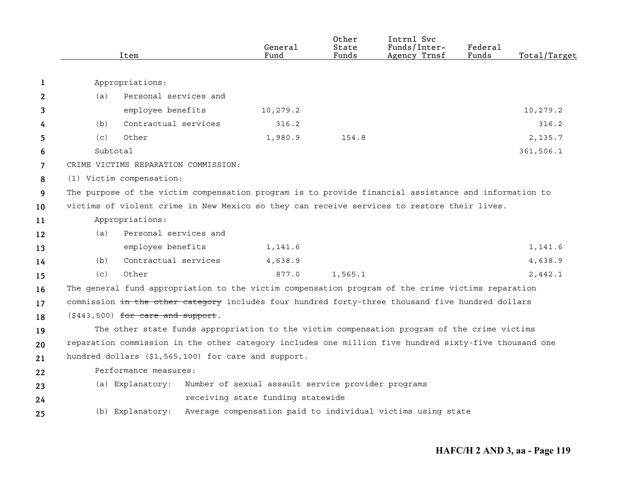|                |          | Item                                |                                      | General<br>Fund                                     | Other<br>State<br>Funds | Intrnl Svc<br>Funds/Inter-<br>Agency Trnsf                                                            | Federal<br>Funds | Total/Target |
|----------------|----------|-------------------------------------|--------------------------------------|-----------------------------------------------------|-------------------------|-------------------------------------------------------------------------------------------------------|------------------|--------------|
|                |          |                                     |                                      |                                                     |                         |                                                                                                       |                  |              |
| 1              |          | Appropriations:                     |                                      |                                                     |                         |                                                                                                       |                  |              |
| 2              | (a)      | Personal services and               |                                      |                                                     |                         |                                                                                                       |                  |              |
| 3              |          | employee benefits                   |                                      | 10,279.2                                            |                         |                                                                                                       |                  | 10,279.2     |
| 4              | (b)      | Contractual services                |                                      | 316.2                                               |                         |                                                                                                       |                  | 316.2        |
| 5              | (c)      | Other                               |                                      | 1,980.9                                             | 154.8                   |                                                                                                       |                  | 2,135.7      |
| 6              | Subtotal |                                     |                                      |                                                     |                         |                                                                                                       |                  | 361,506.1    |
| $\overline{7}$ |          |                                     | CRIME VICTIMS REPARATION COMMISSION: |                                                     |                         |                                                                                                       |                  |              |
| 8              |          | (1) Victim compensation:            |                                      |                                                     |                         |                                                                                                       |                  |              |
| 9              |          |                                     |                                      |                                                     |                         | The purpose of the victim compensation program is to provide financial assistance and information to  |                  |              |
| 10             |          |                                     |                                      |                                                     |                         | victims of violent crime in New Mexico so they can receive services to restore their lives.           |                  |              |
| 11             |          | Appropriations:                     |                                      |                                                     |                         |                                                                                                       |                  |              |
| 12             | (a)      | Personal services and               |                                      |                                                     |                         |                                                                                                       |                  |              |
| 13             |          | employee benefits                   |                                      | 1,141.6                                             |                         |                                                                                                       |                  | 1,141.6      |
| 14             | (b)      | Contractual services                |                                      | 4,638.9                                             |                         |                                                                                                       |                  | 4,638.9      |
| 15             | (c)      | Other                               |                                      | 877.0                                               | 1,565.1                 |                                                                                                       |                  | 2,442.1      |
| 16             |          |                                     |                                      |                                                     |                         | The general fund appropriation to the victim compensation program of the crime victims reparation     |                  |              |
| 17             |          |                                     |                                      |                                                     |                         | commission in the other category includes four hundred forty-three thousand five hundred dollars      |                  |              |
| 18             |          | $(\$443,500)$ for care and support. |                                      |                                                     |                         |                                                                                                       |                  |              |
| 19             |          |                                     |                                      |                                                     |                         | The other state funds appropriation to the victim compensation program of the crime victims           |                  |              |
| 20             |          |                                     |                                      |                                                     |                         | reparation commission in the other category includes one million five hundred sixty-five thousand one |                  |              |
| 21             |          |                                     |                                      | hundred dollars (\$1,565,100) for care and support. |                         |                                                                                                       |                  |              |
| 22             |          | Performance measures:               |                                      |                                                     |                         |                                                                                                       |                  |              |
| 23             |          | (a) Explanatory:                    |                                      | Number of sexual assault service provider programs  |                         |                                                                                                       |                  |              |
| 24             |          |                                     |                                      | receiving state funding statewide                   |                         |                                                                                                       |                  |              |
| 25             |          | (b) Explanatory:                    |                                      |                                                     |                         | Average compensation paid to individual victims using state                                           |                  |              |
|                |          |                                     |                                      |                                                     |                         |                                                                                                       |                  |              |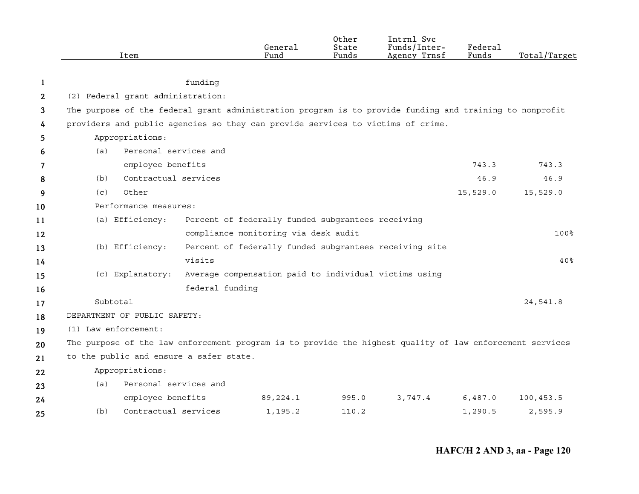|    | Item                                                                                                     |                       | General<br>Fund                                        | Other<br>State<br>Funds | Intrnl Svc<br>Funds/Inter-<br>Agency Trnsf | Federal<br>Funds | Total/Target    |
|----|----------------------------------------------------------------------------------------------------------|-----------------------|--------------------------------------------------------|-------------------------|--------------------------------------------|------------------|-----------------|
|    |                                                                                                          |                       |                                                        |                         |                                            |                  |                 |
| 1  |                                                                                                          | funding               |                                                        |                         |                                            |                  |                 |
| 2  | (2) Federal grant administration:                                                                        |                       |                                                        |                         |                                            |                  |                 |
| 3  | The purpose of the federal grant administration program is to provide funding and training to nonprofit  |                       |                                                        |                         |                                            |                  |                 |
| 4  | providers and public agencies so they can provide services to victims of crime.                          |                       |                                                        |                         |                                            |                  |                 |
| 5  | Appropriations:                                                                                          |                       |                                                        |                         |                                            |                  |                 |
| 6  | (a)                                                                                                      | Personal services and |                                                        |                         |                                            |                  |                 |
| 7  |                                                                                                          | employee benefits     |                                                        |                         |                                            | 743.3            | 743.3           |
| 8  | (b)                                                                                                      | Contractual services  |                                                        |                         |                                            | 46.9             | 46.9            |
| 9  | Other<br>(c)                                                                                             |                       |                                                        |                         |                                            | 15,529.0         | 15,529.0        |
| 10 | Performance measures:                                                                                    |                       |                                                        |                         |                                            |                  |                 |
| 11 | (a) Efficiency:                                                                                          |                       | Percent of federally funded subgrantees receiving      |                         |                                            |                  |                 |
| 12 |                                                                                                          |                       | compliance monitoring via desk audit                   |                         |                                            |                  | 100%            |
| 13 | (b) Efficiency:                                                                                          |                       | Percent of federally funded subgrantees receiving site |                         |                                            |                  |                 |
| 14 |                                                                                                          | visits                |                                                        |                         |                                            |                  | 40 <sub>8</sub> |
| 15 | (c) Explanatory:                                                                                         |                       | Average compensation paid to individual victims using  |                         |                                            |                  |                 |
| 16 |                                                                                                          | federal funding       |                                                        |                         |                                            |                  |                 |
| 17 | Subtotal                                                                                                 |                       |                                                        |                         |                                            |                  | 24,541.8        |
| 18 | DEPARTMENT OF PUBLIC SAFETY:                                                                             |                       |                                                        |                         |                                            |                  |                 |
| 19 | $(1)$ Law enforcement:                                                                                   |                       |                                                        |                         |                                            |                  |                 |
| 20 | The purpose of the law enforcement program is to provide the highest quality of law enforcement services |                       |                                                        |                         |                                            |                  |                 |
| 21 | to the public and ensure a safer state.                                                                  |                       |                                                        |                         |                                            |                  |                 |
| 22 | Appropriations:                                                                                          |                       |                                                        |                         |                                            |                  |                 |
| 23 | (a)                                                                                                      | Personal services and |                                                        |                         |                                            |                  |                 |
| 24 |                                                                                                          | employee benefits     | 89,224.1                                               | 995.0                   | 3,747.4                                    | 6,487.0          | 100,453.5       |
| 25 | (b)                                                                                                      | Contractual services  | 1,195.2                                                | 110.2                   |                                            | 1,290.5          | 2,595.9         |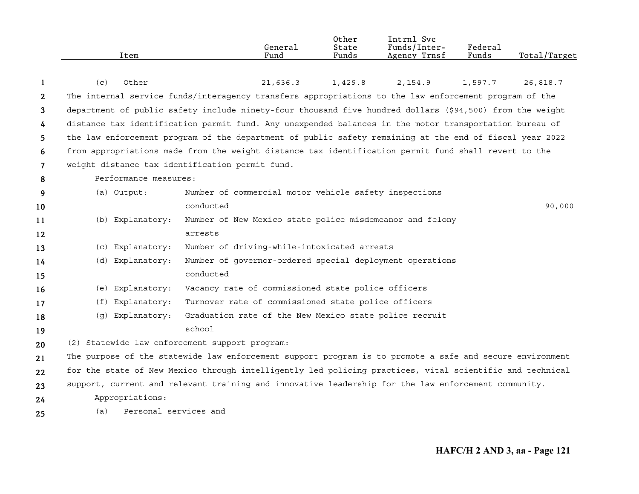|                | Item                         | General<br>Fund                                                                                          | Other<br>State<br>Funds | Intrnl Svc<br>Funds/Inter-<br>Agency Trnsf | Federal<br>Funds | Total/Target |
|----------------|------------------------------|----------------------------------------------------------------------------------------------------------|-------------------------|--------------------------------------------|------------------|--------------|
|                |                              |                                                                                                          |                         |                                            |                  |              |
| 1              | (c)<br>Other                 | 21,636.3                                                                                                 | 1,429.8                 | 2,154.9                                    | 1,597.7          | 26,818.7     |
| $\mathbf{2}$   |                              | The internal service funds/interagency transfers appropriations to the law enforcement program of the    |                         |                                            |                  |              |
| 3              |                              | department of public safety include ninety-four thousand five hundred dollars (\$94,500) from the weight |                         |                                            |                  |              |
| 4              |                              | distance tax identification permit fund. Any unexpended balances in the motor transportation bureau of   |                         |                                            |                  |              |
| 5.             |                              | the law enforcement program of the department of public safety remaining at the end of fiscal year 2022  |                         |                                            |                  |              |
| 6              |                              | from appropriations made from the weight distance tax identification permit fund shall revert to the     |                         |                                            |                  |              |
| $\overline{7}$ |                              | weight distance tax identification permit fund.                                                          |                         |                                            |                  |              |
| 8              | Performance measures:        |                                                                                                          |                         |                                            |                  |              |
| 9              | (a) Output:                  | Number of commercial motor vehicle safety inspections                                                    |                         |                                            |                  |              |
| 10             |                              | conducted                                                                                                |                         |                                            |                  | 90,000       |
| 11             | (b) Explanatory:             | Number of New Mexico state police misdemeanor and felony                                                 |                         |                                            |                  |              |
| 12             |                              | arrests                                                                                                  |                         |                                            |                  |              |
| 13             | (c) Explanatory:             | Number of driving-while-intoxicated arrests                                                              |                         |                                            |                  |              |
| 14             | (d) Explanatory:             | Number of governor-ordered special deployment operations                                                 |                         |                                            |                  |              |
| 15             |                              | conducted                                                                                                |                         |                                            |                  |              |
| 16             | (e) Explanatory:             | Vacancy rate of commissioned state police officers                                                       |                         |                                            |                  |              |
| 17             | (f) Explanatory:             | Turnover rate of commissioned state police officers                                                      |                         |                                            |                  |              |
| 18             | (g) Explanatory:             | Graduation rate of the New Mexico state police recruit                                                   |                         |                                            |                  |              |
| 19             |                              | school                                                                                                   |                         |                                            |                  |              |
| 20             |                              | (2) Statewide law enforcement support program:                                                           |                         |                                            |                  |              |
| 21             |                              | The purpose of the statewide law enforcement support program is to promote a safe and secure environment |                         |                                            |                  |              |
| 22             |                              | for the state of New Mexico through intelligently led policing practices, vital scientific and technical |                         |                                            |                  |              |
| 23             |                              | support, current and relevant training and innovative leadership for the law enforcement community.      |                         |                                            |                  |              |
| 24             | Appropriations:              |                                                                                                          |                         |                                            |                  |              |
| 25             | Personal services and<br>(a) |                                                                                                          |                         |                                            |                  |              |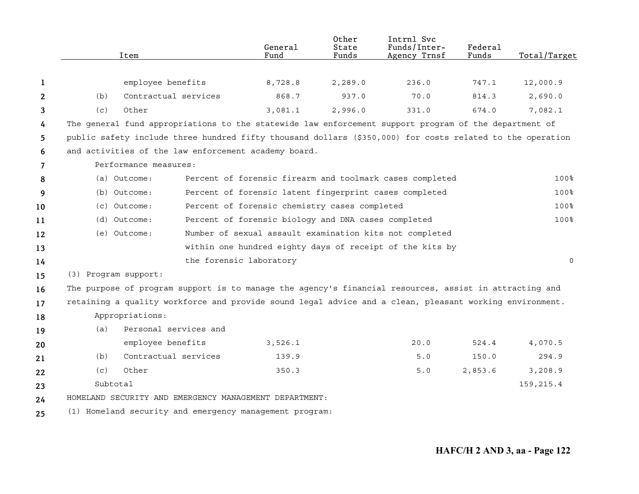|    |                      | Item                  | General<br>Fund                                                                                           | Other<br>State<br>Funds | Intrnl Svc<br>Funds/Inter-<br>Agency Trnsf | Federal<br>Funds | Total/Target |
|----|----------------------|-----------------------|-----------------------------------------------------------------------------------------------------------|-------------------------|--------------------------------------------|------------------|--------------|
|    |                      |                       |                                                                                                           |                         |                                            |                  |              |
| 1  |                      | employee benefits     | 8,728.8                                                                                                   | 2,289.0                 | 236.0                                      | 747.1            | 12,000.9     |
| 2  | (b)                  | Contractual services  | 868.7                                                                                                     | 937.0                   | 70.0                                       | 814.3            | 2,690.0      |
| 3  | (c)                  | Other                 | 3,081.1                                                                                                   | 2,996.0                 | 331.0                                      | 674.0            | 7,082.1      |
| 4  |                      |                       | The general fund appropriations to the statewide law enforcement support program of the department of     |                         |                                            |                  |              |
| 5  |                      |                       | public safety include three hundred fifty thousand dollars (\$350,000) for costs related to the operation |                         |                                            |                  |              |
| 6  |                      |                       | and activities of the law enforcement academy board.                                                      |                         |                                            |                  |              |
| 7  |                      | Performance measures: |                                                                                                           |                         |                                            |                  |              |
| 8  |                      | (a) Outcome:          | Percent of forensic firearm and toolmark cases completed                                                  |                         |                                            |                  | 100%         |
| 9  |                      | (b) Outcome:          | Percent of forensic latent fingerprint cases completed                                                    |                         |                                            |                  | 100%         |
| 10 |                      | $(c)$ Outcome:        | Percent of forensic chemistry cases completed                                                             |                         |                                            |                  | 100%         |
| 11 |                      | (d) Outcome:          | Percent of forensic biology and DNA cases completed                                                       |                         |                                            |                  | 100%         |
| 12 |                      | (e) Outcome:          | Number of sexual assault examination kits not completed                                                   |                         |                                            |                  |              |
| 13 |                      |                       | within one hundred eighty days of receipt of the kits by                                                  |                         |                                            |                  |              |
| 14 |                      |                       | the forensic laboratory                                                                                   |                         |                                            |                  | $\mathbf 0$  |
| 15 | (3) Program support: |                       |                                                                                                           |                         |                                            |                  |              |
| 16 |                      |                       | The purpose of program support is to manage the agency's financial resources, assist in attracting and    |                         |                                            |                  |              |
| 17 |                      |                       | retaining a quality workforce and provide sound legal advice and a clean, pleasant working environment.   |                         |                                            |                  |              |
| 18 |                      | Appropriations:       |                                                                                                           |                         |                                            |                  |              |
| 19 | (a)                  | Personal services and |                                                                                                           |                         |                                            |                  |              |
| 20 |                      | employee benefits     | 3,526.1                                                                                                   |                         | 20.0                                       | 524.4            | 4,070.5      |
| 21 | (b)                  | Contractual services  | 139.9                                                                                                     |                         | 5.0                                        | 150.0            | 294.9        |
| 22 | (c)                  | Other                 | 350.3                                                                                                     |                         | 5.0                                        | 2,853.6          | 3,208.9      |
| 23 | Subtotal             |                       |                                                                                                           |                         |                                            |                  | 159,215.4    |
| 24 |                      |                       | HOMELAND SECURITY AND EMERGENCY MANAGEMENT DEPARTMENT:                                                    |                         |                                            |                  |              |
| 25 |                      |                       | (1) Homeland security and emergency management program:                                                   |                         |                                            |                  |              |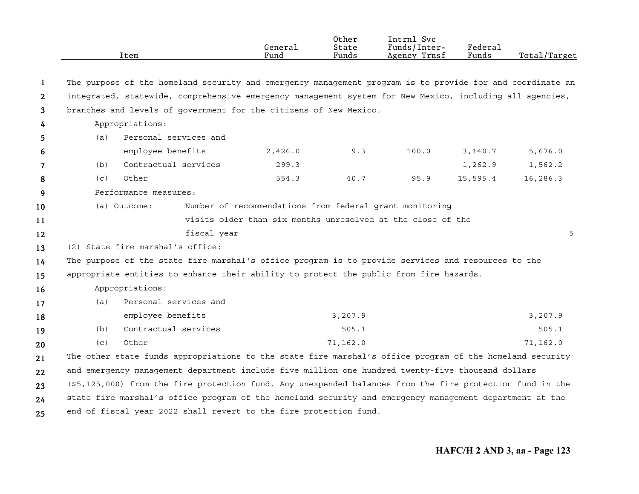|              |     | Item                             | General<br>Fund                                                                                           | Other<br>State<br>Funds | Intrnl Svc<br>Funds/Inter-<br>Agency Trnsf | Federal<br>Funds | Total/Target |
|--------------|-----|----------------------------------|-----------------------------------------------------------------------------------------------------------|-------------------------|--------------------------------------------|------------------|--------------|
| -1           |     |                                  | The purpose of the homeland security and emergency management program is to provide for and coordinate an |                         |                                            |                  |              |
| $\mathbf{2}$ |     |                                  | integrated, statewide, comprehensive emergency management system for New Mexico, including all agencies,  |                         |                                            |                  |              |
| 3            |     |                                  | branches and levels of government for the citizens of New Mexico.                                         |                         |                                            |                  |              |
| 4            |     | Appropriations:                  |                                                                                                           |                         |                                            |                  |              |
| 5            | (a) | Personal services and            |                                                                                                           |                         |                                            |                  |              |
| 6            |     | employee benefits                | 2,426.0                                                                                                   | 9.3                     | 100.0                                      | 3,140.7          | 5,676.0      |
| 7            | (b) | Contractual services             | 299.3                                                                                                     |                         |                                            | 1,262.9          | 1,562.2      |
| 8            | (c) | Other                            | 554.3                                                                                                     | 40.7                    | 95.9                                       | 15,595.4         | 16,286.3     |
| 9            |     | Performance measures:            |                                                                                                           |                         |                                            |                  |              |
| 10           |     | (a) Outcome:                     | Number of recommendations from federal grant monitoring                                                   |                         |                                            |                  |              |
| 11           |     |                                  | visits older than six months unresolved at the close of the                                               |                         |                                            |                  |              |
| 12           |     |                                  | fiscal year                                                                                               |                         |                                            |                  | 5            |
| 13           |     | (2) State fire marshal's office: |                                                                                                           |                         |                                            |                  |              |
| 14           |     |                                  | The purpose of the state fire marshal's office program is to provide services and resources to the        |                         |                                            |                  |              |
| 15           |     |                                  | appropriate entities to enhance their ability to protect the public from fire hazards.                    |                         |                                            |                  |              |
| 16           |     | Appropriations:                  |                                                                                                           |                         |                                            |                  |              |
| 17           | (a) | Personal services and            |                                                                                                           |                         |                                            |                  |              |
| 18           |     | employee benefits                |                                                                                                           | 3,207.9                 |                                            |                  | 3,207.9      |
| 19           | (b) | Contractual services             |                                                                                                           | 505.1                   |                                            |                  | 505.1        |
| 20           | (c) | Other                            |                                                                                                           | 71,162.0                |                                            |                  | 71,162.0     |
| 21           |     |                                  | The other state funds appropriations to the state fire marshal's office program of the homeland security  |                         |                                            |                  |              |
| 22           |     |                                  | and emergency management department include five million one hundred twenty-five thousand dollars         |                         |                                            |                  |              |
| 23           |     |                                  | (\$5,125,000) from the fire protection fund. Any unexpended balances from the fire protection fund in the |                         |                                            |                  |              |
| 24           |     |                                  | state fire marshal's office program of the homeland security and emergency management department at the   |                         |                                            |                  |              |
| 25           |     |                                  | end of fiscal year 2022 shall revert to the fire protection fund.                                         |                         |                                            |                  |              |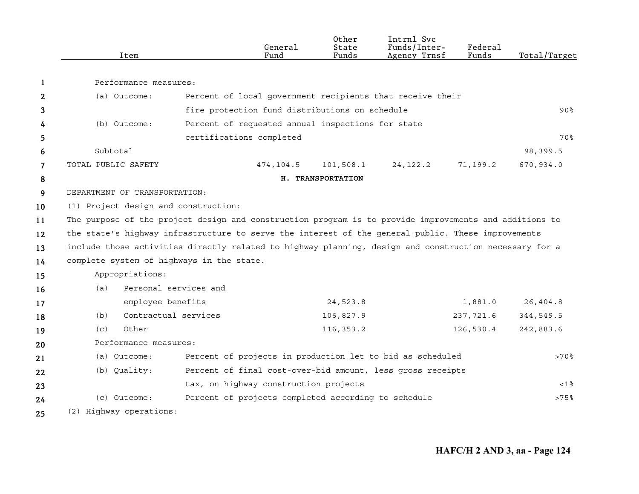|                     | Item                                                                                                   |                          | General<br>Fund                                     | Other<br>State<br>Funds | Intrnl Svc<br>Funds/Inter-<br>Agency Trnsf                 | Federal<br>Funds | Total/Target          |
|---------------------|--------------------------------------------------------------------------------------------------------|--------------------------|-----------------------------------------------------|-------------------------|------------------------------------------------------------|------------------|-----------------------|
|                     | Performance measures:                                                                                  |                          |                                                     |                         |                                                            |                  |                       |
| 1                   |                                                                                                        |                          |                                                     |                         |                                                            |                  |                       |
| 2                   | (a) Outcome:                                                                                           |                          |                                                     |                         | Percent of local government recipients that receive their  |                  |                       |
| 3                   | (b) Outcome:                                                                                           |                          | fire protection fund distributions on schedule      |                         |                                                            |                  | $90\%$                |
| 4                   |                                                                                                        |                          | Percent of requested annual inspections for state   |                         |                                                            |                  | 70%                   |
| 5                   | Subtotal                                                                                               | certifications completed |                                                     |                         |                                                            |                  |                       |
| 6<br>$\overline{7}$ | TOTAL PUBLIC SAFETY                                                                                    |                          | 474,104.5                                           | 101,508.1               | 24, 122.2                                                  | 71,199.2         | 98,399.5<br>670,934.0 |
| 8                   |                                                                                                        |                          |                                                     | H. TRANSPORTATION       |                                                            |                  |                       |
| 9                   | DEPARTMENT OF TRANSPORTATION:                                                                          |                          |                                                     |                         |                                                            |                  |                       |
| 10                  | (1) Project design and construction:                                                                   |                          |                                                     |                         |                                                            |                  |                       |
| 11                  | The purpose of the project design and construction program is to provide improvements and additions to |                          |                                                     |                         |                                                            |                  |                       |
| 12                  | the state's highway infrastructure to serve the interest of the general public. These improvements     |                          |                                                     |                         |                                                            |                  |                       |
| 13                  | include those activities directly related to highway planning, design and construction necessary for a |                          |                                                     |                         |                                                            |                  |                       |
| 14                  | complete system of highways in the state.                                                              |                          |                                                     |                         |                                                            |                  |                       |
| 15                  | Appropriations:                                                                                        |                          |                                                     |                         |                                                            |                  |                       |
| 16                  | (a)                                                                                                    | Personal services and    |                                                     |                         |                                                            |                  |                       |
| 17                  | employee benefits                                                                                      |                          |                                                     | 24,523.8                |                                                            | 1,881.0          | 26,404.8              |
| 18                  | (b)                                                                                                    | Contractual services     |                                                     | 106,827.9               |                                                            | 237,721.6        | 344,549.5             |
| 19                  | Other<br>(c)                                                                                           |                          |                                                     | 116, 353.2              |                                                            | 126,530.4        | 242,883.6             |
| 20                  | Performance measures:                                                                                  |                          |                                                     |                         |                                                            |                  |                       |
| 21                  | (a) Outcome:                                                                                           |                          |                                                     |                         | Percent of projects in production let to bid as scheduled  |                  | $>70$ %               |
| 22                  | (b) Quality:                                                                                           |                          |                                                     |                         | Percent of final cost-over-bid amount, less gross receipts |                  |                       |
| 23                  |                                                                                                        |                          | tax, on highway construction projects               |                         |                                                            |                  | $< 1$ %               |
| 24                  | (c) Outcome:                                                                                           |                          | Percent of projects completed according to schedule |                         |                                                            |                  | >75%                  |
| 25                  | (2) Highway operations:                                                                                |                          |                                                     |                         |                                                            |                  |                       |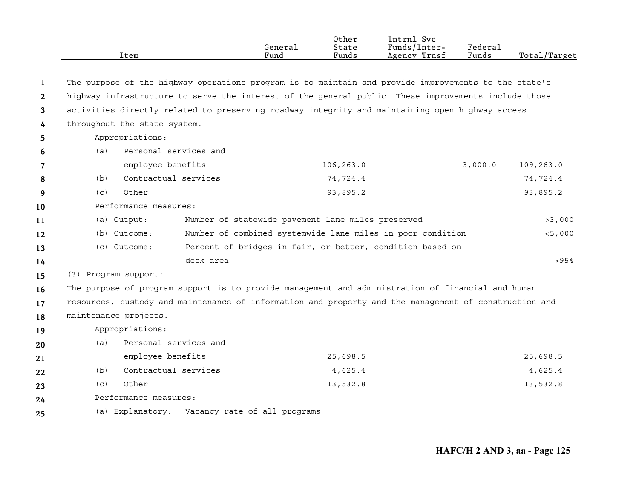|              | Item                                                                                                  |           | General<br>Fund                                   | Other<br>State<br>Funds | Intrnl Svc<br>Funds/Inter-<br>Agency Trnsf                 | Federal<br>Funds | Total/Target |
|--------------|-------------------------------------------------------------------------------------------------------|-----------|---------------------------------------------------|-------------------------|------------------------------------------------------------|------------------|--------------|
|              |                                                                                                       |           |                                                   |                         |                                                            |                  |              |
| 1            | The purpose of the highway operations program is to maintain and provide improvements to the state's  |           |                                                   |                         |                                                            |                  |              |
| $\mathbf{2}$ | highway infrastructure to serve the interest of the general public. These improvements include those  |           |                                                   |                         |                                                            |                  |              |
| 3            | activities directly related to preserving roadway integrity and maintaining open highway access       |           |                                                   |                         |                                                            |                  |              |
| 4            | throughout the state system.                                                                          |           |                                                   |                         |                                                            |                  |              |
| 5            | Appropriations:                                                                                       |           |                                                   |                         |                                                            |                  |              |
| 6            | Personal services and<br>(a)                                                                          |           |                                                   |                         |                                                            |                  |              |
| 7            | employee benefits                                                                                     |           |                                                   | 106, 263.0              |                                                            | 3,000.0          | 109, 263.0   |
| 8            | Contractual services<br>(b)                                                                           |           |                                                   | 74,724.4                |                                                            |                  | 74,724.4     |
| 9            | Other<br>(c)                                                                                          |           |                                                   | 93,895.2                |                                                            |                  | 93,895.2     |
| 10           | Performance measures:                                                                                 |           |                                                   |                         |                                                            |                  |              |
| 11           | (a) Output:                                                                                           |           | Number of statewide pavement lane miles preserved |                         |                                                            |                  | >3,000       |
| 12           | (b) Outcome:                                                                                          |           |                                                   |                         | Number of combined systemwide lane miles in poor condition |                  | < 5,000      |
| 13           | (c) Outcome:                                                                                          |           |                                                   |                         | Percent of bridges in fair, or better, condition based on  |                  |              |
| 14           |                                                                                                       | deck area |                                                   |                         |                                                            |                  | >95%         |
| 15           | (3) Program support:                                                                                  |           |                                                   |                         |                                                            |                  |              |
| 16           | The purpose of program support is to provide management and administration of financial and human     |           |                                                   |                         |                                                            |                  |              |
| 17           | resources, custody and maintenance of information and property and the management of construction and |           |                                                   |                         |                                                            |                  |              |
| 18           | maintenance projects.                                                                                 |           |                                                   |                         |                                                            |                  |              |
| 19           | Appropriations:                                                                                       |           |                                                   |                         |                                                            |                  |              |
| 20           | Personal services and<br>(a)                                                                          |           |                                                   |                         |                                                            |                  |              |
| 21           | employee benefits                                                                                     |           |                                                   | 25,698.5                |                                                            |                  | 25,698.5     |
| 22           | Contractual services<br>(b)                                                                           |           |                                                   | 4,625.4                 |                                                            |                  | 4,625.4      |
| 23           | Other<br>(C)                                                                                          |           |                                                   | 13,532.8                |                                                            |                  | 13,532.8     |
| 24           | Performance measures:                                                                                 |           |                                                   |                         |                                                            |                  |              |
| 25           | (a) Explanatory:                                                                                      |           | Vacancy rate of all programs                      |                         |                                                            |                  |              |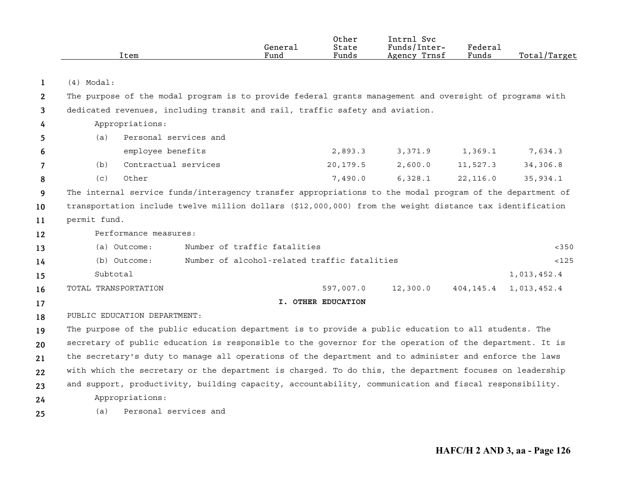|    |                      | Item                         |                                                                                                          | General<br>Fund              | Other<br>State<br>Funds | Intrnl Svc<br>Funds/Inter-<br>Agency Trnsf | Federal<br>Funds | Total/Target |
|----|----------------------|------------------------------|----------------------------------------------------------------------------------------------------------|------------------------------|-------------------------|--------------------------------------------|------------------|--------------|
|    |                      |                              |                                                                                                          |                              |                         |                                            |                  |              |
| 1  | $(4)$ Modal:         |                              |                                                                                                          |                              |                         |                                            |                  |              |
| 2  |                      |                              | The purpose of the modal program is to provide federal grants management and oversight of programs with  |                              |                         |                                            |                  |              |
| 3  |                      |                              | dedicated revenues, including transit and rail, traffic safety and aviation.                             |                              |                         |                                            |                  |              |
| 4  |                      | Appropriations:              |                                                                                                          |                              |                         |                                            |                  |              |
| 5  | (a)                  | Personal services and        |                                                                                                          |                              |                         |                                            |                  |              |
| 6  |                      | employee benefits            |                                                                                                          |                              | 2,893.3                 | 3,371.9                                    | 1,369.1          | 7,634.3      |
| 7  | (b)                  | Contractual services         |                                                                                                          |                              | 20,179.5                | 2,600.0                                    | 11,527.3         | 34,306.8     |
| 8  | (c)                  | Other                        |                                                                                                          |                              | 7,490.0                 | 6,328.1                                    | 22,116.0         | 35,934.1     |
| 9  |                      |                              | The internal service funds/interagency transfer appropriations to the modal program of the department of |                              |                         |                                            |                  |              |
| 10 |                      |                              | transportation include twelve million dollars (\$12,000,000) from the weight distance tax identification |                              |                         |                                            |                  |              |
| 11 | permit fund.         |                              |                                                                                                          |                              |                         |                                            |                  |              |
| 12 |                      | Performance measures:        |                                                                                                          |                              |                         |                                            |                  |              |
| 13 |                      | (a) Outcome:                 |                                                                                                          | Number of traffic fatalities |                         |                                            |                  | < 350        |
| 14 |                      | (b) Outcome:                 | Number of alcohol-related traffic fatalities                                                             |                              |                         |                                            |                  | <125         |
| 15 | Subtotal             |                              |                                                                                                          |                              |                         |                                            |                  | 1,013,452.4  |
| 16 | TOTAL TRANSPORTATION |                              |                                                                                                          |                              | 597,007.0               | 12,300.0                                   | 404,145.4        | 1,013,452.4  |
| 17 |                      |                              |                                                                                                          |                              | I. OTHER EDUCATION      |                                            |                  |              |
| 18 |                      | PUBLIC EDUCATION DEPARTMENT: |                                                                                                          |                              |                         |                                            |                  |              |
| 19 |                      |                              | The purpose of the public education department is to provide a public education to all students. The     |                              |                         |                                            |                  |              |
| 20 |                      |                              | secretary of public education is responsible to the governor for the operation of the department. It is  |                              |                         |                                            |                  |              |
| 21 |                      |                              | the secretary's duty to manage all operations of the department and to administer and enforce the laws   |                              |                         |                                            |                  |              |
| 22 |                      |                              | with which the secretary or the department is charged. To do this, the department focuses on leadership  |                              |                         |                                            |                  |              |
| 23 |                      |                              | and support, productivity, building capacity, accountability, communication and fiscal responsibility.   |                              |                         |                                            |                  |              |
| 24 |                      | Appropriations:              |                                                                                                          |                              |                         |                                            |                  |              |
| 25 | (a)                  | Personal services and        |                                                                                                          |                              |                         |                                            |                  |              |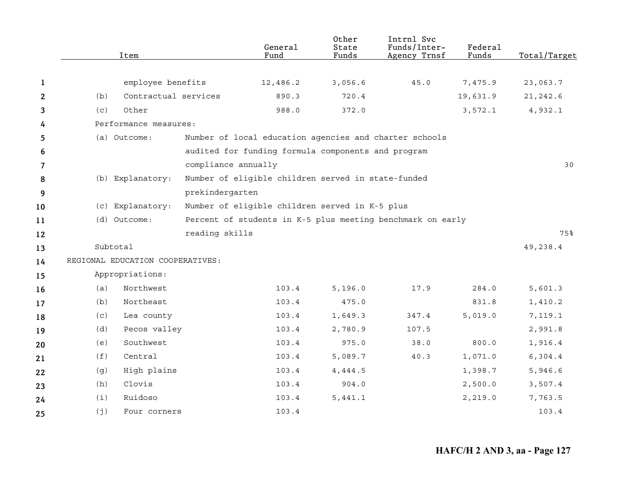|              |     | Item                             |                     | General<br>Fund                                            | Other<br>State<br>Funds | Intrnl Svc<br>Funds/Inter-<br>Agency Trnsf | Federal<br>Funds | Total/Target |
|--------------|-----|----------------------------------|---------------------|------------------------------------------------------------|-------------------------|--------------------------------------------|------------------|--------------|
|              |     |                                  |                     |                                                            |                         |                                            |                  |              |
| 1            |     | employee benefits                |                     | 12,486.2                                                   | 3,056.6                 | 45.0                                       | 7,475.9          | 23,063.7     |
| $\mathbf{2}$ | (b) | Contractual services             |                     | 890.3                                                      | 720.4                   |                                            | 19,631.9         | 21, 242.6    |
| 3            | (c) | Other                            |                     | 988.0                                                      | 372.0                   |                                            | 3,572.1          | 4,932.1      |
| 4            |     | Performance measures:            |                     |                                                            |                         |                                            |                  |              |
| 5            |     | (a) Outcome:                     |                     | Number of local education agencies and charter schools     |                         |                                            |                  |              |
| 6            |     |                                  |                     | audited for funding formula components and program         |                         |                                            |                  |              |
| 7            |     |                                  | compliance annually |                                                            |                         |                                            |                  | 30           |
| 8            |     | (b) Explanatory:                 |                     | Number of eligible children served in state-funded         |                         |                                            |                  |              |
| 9            |     |                                  | prekindergarten     |                                                            |                         |                                            |                  |              |
| 10           |     | (c) Explanatory:                 |                     | Number of eligible children served in K-5 plus             |                         |                                            |                  |              |
| 11           |     | (d) Outcome:                     |                     | Percent of students in K-5 plus meeting benchmark on early |                         |                                            |                  |              |
| 12           |     |                                  | reading skills      |                                                            |                         |                                            |                  | 75%          |
| 13           |     | Subtotal                         |                     |                                                            |                         |                                            |                  | 49,238.4     |
| 14           |     | REGIONAL EDUCATION COOPERATIVES: |                     |                                                            |                         |                                            |                  |              |
| 15           |     | Appropriations:                  |                     |                                                            |                         |                                            |                  |              |
| 16           | (a) | Northwest                        |                     | 103.4                                                      | 5, 196.0                | 17.9                                       | 284.0            | 5,601.3      |
| 17           | (b) | Northeast                        |                     | 103.4                                                      | 475.0                   |                                            | 831.8            | 1,410.2      |
| 18           | (c) | Lea county                       |                     | 103.4                                                      | 1,649.3                 | 347.4                                      | 5,019.0          | 7,119.1      |
| 19           | (d) | Pecos valley                     |                     | 103.4                                                      | 2,780.9                 | 107.5                                      |                  | 2,991.8      |
| 20           | (e) | Southwest                        |                     | 103.4                                                      | 975.0                   | 38.0                                       | 800.0            | 1,916.4      |
| 21           | (f) | Central                          |                     | 103.4                                                      | 5,089.7                 | 40.3                                       | 1,071.0          | 6, 304.4     |
| 22           | (g) | High plains                      |                     | 103.4                                                      | 4,444.5                 |                                            | 1,398.7          | 5,946.6      |
| 23           | (h) | Clovis                           |                     | 103.4                                                      | 904.0                   |                                            | 2,500.0          | 3,507.4      |
| 24           | (i) | Ruidoso                          |                     | 103.4                                                      | 5,441.1                 |                                            | 2,219.0          | 7,763.5      |
| 25           | (j) | Four corners                     |                     | 103.4                                                      |                         |                                            |                  | 103.4        |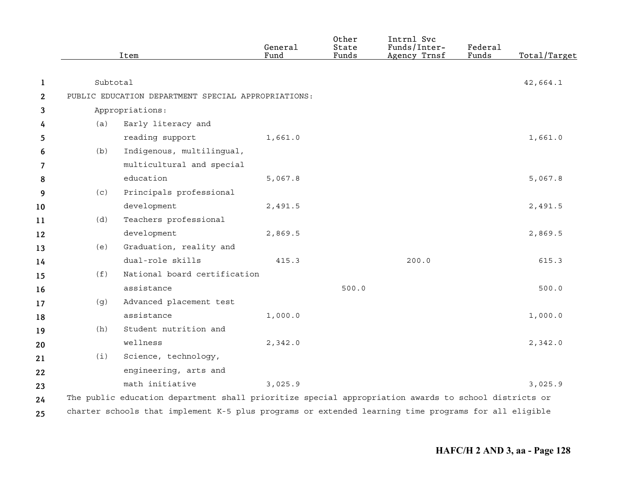|              |          | Item                                                                                                 | General<br>Fund | Other<br>State<br>Funds | Intrnl Svc<br>Funds/Inter-<br>Agency Trnsf | Federal<br>Funds | Total/Target |
|--------------|----------|------------------------------------------------------------------------------------------------------|-----------------|-------------------------|--------------------------------------------|------------------|--------------|
| 1            | Subtotal |                                                                                                      |                 |                         |                                            |                  | 42,664.1     |
| $\mathbf{2}$ |          | PUBLIC EDUCATION DEPARTMENT SPECIAL APPROPRIATIONS:                                                  |                 |                         |                                            |                  |              |
| 3            |          | Appropriations:                                                                                      |                 |                         |                                            |                  |              |
| 4            | (a)      | Early literacy and                                                                                   |                 |                         |                                            |                  |              |
| 5            |          | reading support                                                                                      | 1,661.0         |                         |                                            |                  | 1,661.0      |
| 6            | (b)      | Indigenous, multilingual,                                                                            |                 |                         |                                            |                  |              |
| 7            |          | multicultural and special                                                                            |                 |                         |                                            |                  |              |
| 8            |          | education                                                                                            | 5,067.8         |                         |                                            |                  | 5,067.8      |
| 9            | (c)      | Principals professional                                                                              |                 |                         |                                            |                  |              |
| 10           |          | development                                                                                          | 2,491.5         |                         |                                            |                  | 2,491.5      |
| 11           | (d)      | Teachers professional                                                                                |                 |                         |                                            |                  |              |
| 12           |          | development                                                                                          | 2,869.5         |                         |                                            |                  | 2,869.5      |
| 13           | (e)      | Graduation, reality and                                                                              |                 |                         |                                            |                  |              |
| 14           |          | dual-role skills                                                                                     | 415.3           |                         | 200.0                                      |                  | 615.3        |
| 15           | (f)      | National board certification                                                                         |                 |                         |                                            |                  |              |
| 16           |          | assistance                                                                                           |                 | 500.0                   |                                            |                  | 500.0        |
| 17           | (g)      | Advanced placement test                                                                              |                 |                         |                                            |                  |              |
| 18           |          | assistance                                                                                           | 1,000.0         |                         |                                            |                  | 1,000.0      |
| 19           | (h)      | Student nutrition and                                                                                |                 |                         |                                            |                  |              |
| 20           |          | wellness                                                                                             | 2,342.0         |                         |                                            |                  | 2,342.0      |
| 21           | (i)      | Science, technology,                                                                                 |                 |                         |                                            |                  |              |
| 22           |          | engineering, arts and                                                                                |                 |                         |                                            |                  |              |
| 23           |          | math initiative                                                                                      | 3,025.9         |                         |                                            |                  | 3,025.9      |
| 24           |          | The public education department shall prioritize special appropriation awards to school districts or |                 |                         |                                            |                  |              |
| 25           |          | charter schools that implement K-5 plus programs or extended learning time programs for all eligible |                 |                         |                                            |                  |              |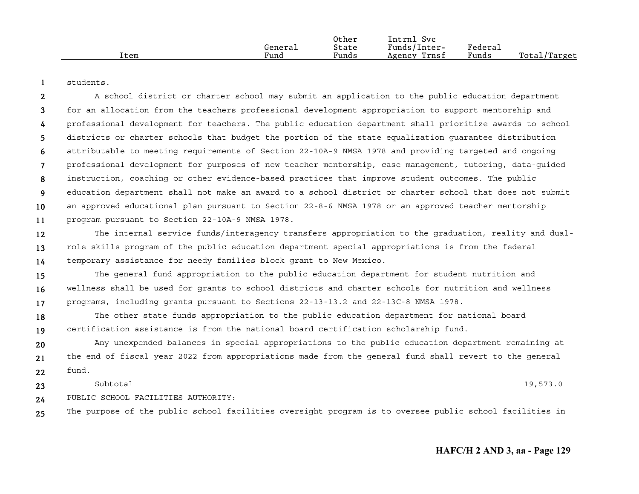|      |         | Other | Intrnl<br>Svc   |         |              |
|------|---------|-------|-----------------|---------|--------------|
|      | General | State | Funds/Inter-    | Federau |              |
| Item | Fund    | Funds | Trnsf<br>Agency | Funds   | Total/Target |

**1**students.

**234567891011**A school district or charter school may submit an application to the public education department for an allocation from the teachers professional development appropriation to support mentorship and professional development for teachers. The public education department shall prioritize awards to school districts or charter schools that budget the portion of the state equalization guarantee distribution attributable to meeting requirements of Section 22-10A-9 NMSA 1978 and providing targeted and ongoing professional development for purposes of new teacher mentorship, case management, tutoring, data-guided instruction, coaching or other evidence-based practices that improve student outcomes. The public education department shall not make an award to a school district or charter school that does not submit an approved educational plan pursuant to Section 22-8-6 NMSA 1978 or an approved teacher mentorship program pursuant to Section 22-10A-9 NMSA 1978.

**121314**The internal service funds/interagency transfers appropriation to the graduation, reality and dualrole skills program of the public education department special appropriations is from the federal temporary assistance for needy families block grant to New Mexico.

**151617**The general fund appropriation to the public education department for student nutrition and wellness shall be used for grants to school districts and charter schools for nutrition and wellness programs, including grants pursuant to Sections 22-13-13.2 and 22-13C-8 NMSA 1978.

**1819**The other state funds appropriation to the public education department for national board certification assistance is from the national board certification scholarship fund.

**202122**Any unexpended balances in special appropriations to the public education department remaining at the end of fiscal year 2022 from appropriations made from the general fund shall revert to the general fund.

**2324**Subtotal $1$  and  $19,573.0$ PUBLIC SCHOOL FACILITIES AUTHORITY:

**25**The purpose of the public school facilities oversight program is to oversee public school facilities in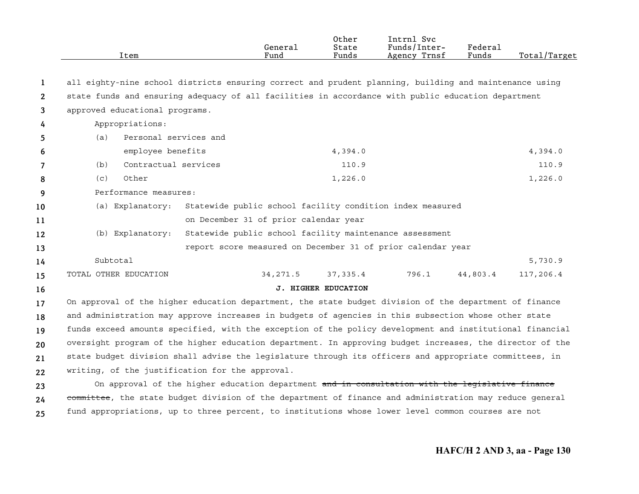|              | Item                                                                                                     | General<br>Fund                                                                                 | Other<br>State<br>Funds    | Intrnl Svc<br>Funds/Inter-<br>Agency Trnsf | Federal<br>Funds | Total/Target |
|--------------|----------------------------------------------------------------------------------------------------------|-------------------------------------------------------------------------------------------------|----------------------------|--------------------------------------------|------------------|--------------|
|              |                                                                                                          |                                                                                                 |                            |                                            |                  |              |
| -1           | all eighty-nine school districts ensuring correct and prudent planning, building and maintenance using   |                                                                                                 |                            |                                            |                  |              |
| $\mathbf{2}$ | state funds and ensuring adequacy of all facilities in accordance with public education department       |                                                                                                 |                            |                                            |                  |              |
| 3            | approved educational programs.                                                                           |                                                                                                 |                            |                                            |                  |              |
| 4            | Appropriations:                                                                                          |                                                                                                 |                            |                                            |                  |              |
| 5            | Personal services and<br>(a)                                                                             |                                                                                                 |                            |                                            |                  |              |
| 6            | employee benefits                                                                                        |                                                                                                 | 4,394.0                    |                                            |                  | 4,394.0      |
| 7            | Contractual services<br>(b)                                                                              |                                                                                                 | 110.9                      |                                            |                  | 110.9        |
| 8            | (c)<br>Other                                                                                             |                                                                                                 | 1,226.0                    |                                            |                  | 1,226.0      |
| 9            | Performance measures:                                                                                    |                                                                                                 |                            |                                            |                  |              |
| 10           | (a) Explanatory:                                                                                         | Statewide public school facility condition index measured                                       |                            |                                            |                  |              |
| 11           |                                                                                                          | on December 31 of prior calendar year                                                           |                            |                                            |                  |              |
| 12           | (b) Explanatory:                                                                                         | Statewide public school facility maintenance assessment                                         |                            |                                            |                  |              |
| 13           |                                                                                                          | report score measured on December 31 of prior calendar year                                     |                            |                                            |                  |              |
| 14           | Subtotal                                                                                                 |                                                                                                 |                            |                                            |                  | 5,730.9      |
| 15           | TOTAL OTHER EDUCATION                                                                                    | 34, 271.5                                                                                       | 37,335.4                   | 796.1                                      | 44,803.4         | 117,206.4    |
| 16           |                                                                                                          |                                                                                                 | <b>J. HIGHER EDUCATION</b> |                                            |                  |              |
| 17           | On approval of the higher education department, the state budget division of the department of finance   |                                                                                                 |                            |                                            |                  |              |
| 18           | and administration may approve increases in budgets of agencies in this subsection whose other state     |                                                                                                 |                            |                                            |                  |              |
| 19           | funds exceed amounts specified, with the exception of the policy development and institutional financial |                                                                                                 |                            |                                            |                  |              |
| 20           | oversight program of the higher education department. In approving budget increases, the director of the |                                                                                                 |                            |                                            |                  |              |
| 21           | state budget division shall advise the legislature through its officers and appropriate committees, in   |                                                                                                 |                            |                                            |                  |              |
| 22           | writing, of the justification for the approval.                                                          |                                                                                                 |                            |                                            |                  |              |
| 23           |                                                                                                          | On approval of the higher education department and in consultation with the legislative finance |                            |                                            |                  |              |
| 24           | committee, the state budget division of the department of finance and administration may reduce general  |                                                                                                 |                            |                                            |                  |              |
| 25           | fund appropriations, up to three percent, to institutions whose lower level common courses are not       |                                                                                                 |                            |                                            |                  |              |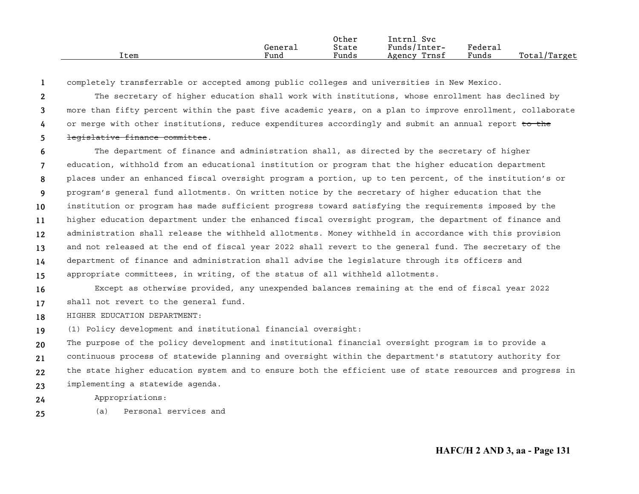|      | Generaı | Other<br>State | Intrnl<br>Svc<br>Funds/Inter- | Federai |              |
|------|---------|----------------|-------------------------------|---------|--------------|
| Item | Fund    | Funds          | Trnsf<br>Agency               | Funds   | Total/Target |

**1**completely transferrable or accepted among public colleges and universities in New Mexico.

**2345**The secretary of higher education shall work with institutions, whose enrollment has declined by more than fifty percent within the past five academic years, on a plan to improve enrollment, collaborate or merge with other institutions, reduce expenditures accordingly and submit an annual report to the legislative finance committee.

**6789101112131415**The department of finance and administration shall, as directed by the secretary of higher education, withhold from an educational institution or program that the higher education department places under an enhanced fiscal oversight program a portion, up to ten percent, of the institution's or program's general fund allotments. On written notice by the secretary of higher education that the institution or program has made sufficient progress toward satisfying the requirements imposed by the higher education department under the enhanced fiscal oversight program, the department of finance and administration shall release the withheld allotments. Money withheld in accordance with this provision and not released at the end of fiscal year 2022 shall revert to the general fund. The secretary of the department of finance and administration shall advise the legislature through its officers and appropriate committees, in writing, of the status of all withheld allotments.

**1617**Except as otherwise provided, any unexpended balances remaining at the end of fiscal year 2022 shall not revert to the general fund.

**18**HIGHER EDUCATION DEPARTMENT:

**19**(1) Policy development and institutional financial oversight:

**20212223**The purpose of the policy development and institutional financial oversight program is to provide a continuous process of statewide planning and oversight within the department's statutory authority for the state higher education system and to ensure both the efficient use of state resources and progress in implementing a statewide agenda.

Appropriations:

**24**

**25**(a) Personal services and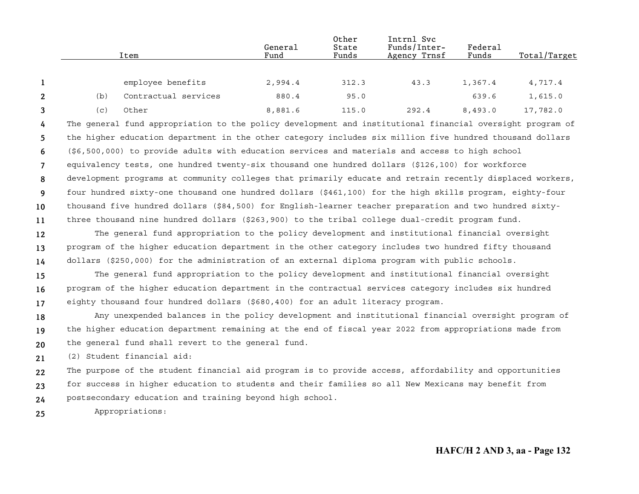|                |     | Item                                                                                                      | General<br>Fund | Other<br>State<br>Funds | Intrnl Svc<br>Funds/Inter-<br>Agency Trnsf | Federal<br>Funds | Total/Target |
|----------------|-----|-----------------------------------------------------------------------------------------------------------|-----------------|-------------------------|--------------------------------------------|------------------|--------------|
|                |     |                                                                                                           |                 |                         |                                            |                  |              |
| 1              |     | employee benefits                                                                                         | 2,994.4         | 312.3                   | 43.3                                       | 1,367.4          | 4,717.4      |
| $\mathbf{2}$   | (b) | Contractual services                                                                                      | 880.4           | 95.0                    |                                            | 639.6            | 1,615.0      |
| 3              | (c) | Other                                                                                                     | 8,881.6         | 115.0                   | 292.4                                      | 8,493.0          | 17,782.0     |
| 4              |     | The general fund appropriation to the policy development and institutional financial oversight program of |                 |                         |                                            |                  |              |
| 5              |     | the higher education department in the other category includes six million five hundred thousand dollars  |                 |                         |                                            |                  |              |
| 6              |     | (\$6,500,000) to provide adults with education services and materials and access to high school           |                 |                         |                                            |                  |              |
| $\overline{7}$ |     | equivalency tests, one hundred twenty-six thousand one hundred dollars (\$126,100) for workforce          |                 |                         |                                            |                  |              |
| 8              |     | development programs at community colleges that primarily educate and retrain recently displaced workers, |                 |                         |                                            |                  |              |
| 9              |     | four hundred sixty-one thousand one hundred dollars (\$461,100) for the high skills program, eighty-four  |                 |                         |                                            |                  |              |
| 10             |     | thousand five hundred dollars (\$84,500) for English-learner teacher preparation and two hundred sixty-   |                 |                         |                                            |                  |              |
| 11             |     | three thousand nine hundred dollars (\$263,900) to the tribal college dual-credit program fund.           |                 |                         |                                            |                  |              |
| 12             |     | The general fund appropriation to the policy development and institutional financial oversight            |                 |                         |                                            |                  |              |
| 13             |     | program of the higher education department in the other category includes two hundred fifty thousand      |                 |                         |                                            |                  |              |
| 14             |     | dollars (\$250,000) for the administration of an external diploma program with public schools.            |                 |                         |                                            |                  |              |
| 15             |     | The general fund appropriation to the policy development and institutional financial oversight            |                 |                         |                                            |                  |              |
| 16             |     | program of the higher education department in the contractual services category includes six hundred      |                 |                         |                                            |                  |              |
| 17             |     | eighty thousand four hundred dollars (\$680,400) for an adult literacy program.                           |                 |                         |                                            |                  |              |
| 18             |     | Any unexpended balances in the policy development and institutional financial oversight program of        |                 |                         |                                            |                  |              |
| 19             |     | the higher education department remaining at the end of fiscal year 2022 from appropriations made from    |                 |                         |                                            |                  |              |
| 20             |     | the general fund shall revert to the general fund.                                                        |                 |                         |                                            |                  |              |
| 21             |     | (2) Student financial aid:                                                                                |                 |                         |                                            |                  |              |
| 22             |     | The purpose of the student financial aid program is to provide access, affordability and opportunities    |                 |                         |                                            |                  |              |
| 23             |     | for success in higher education to students and their families so all New Mexicans may benefit from       |                 |                         |                                            |                  |              |
| 24             |     | postsecondary education and training beyond high school.                                                  |                 |                         |                                            |                  |              |
| 25             |     | Appropriations:                                                                                           |                 |                         |                                            |                  |              |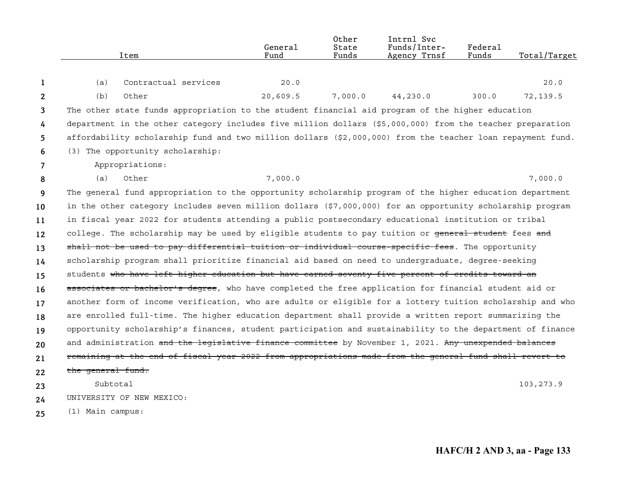|              | Item                                                                                                       | General<br>Fund | 0ther<br>State<br>Funds | Intrnl Svc<br>Funds/Inter-<br>Agency Trnsf | Federal<br>Funds | Total/Target |
|--------------|------------------------------------------------------------------------------------------------------------|-----------------|-------------------------|--------------------------------------------|------------------|--------------|
| 1            | Contractual services<br>(a)                                                                                | 20.0            |                         |                                            |                  | 20.0         |
| $\mathbf{2}$ | (b)<br>Other                                                                                               | 20,609.5        | 7,000.0                 | 44,230.0                                   | 300.0            | 72,139.5     |
| 3            | The other state funds appropriation to the student financial aid program of the higher education           |                 |                         |                                            |                  |              |
| 4            | department in the other category includes five million dollars (\$5,000,000) from the teacher preparation  |                 |                         |                                            |                  |              |
| 5            | affordability scholarship fund and two million dollars (\$2,000,000) from the teacher loan repayment fund. |                 |                         |                                            |                  |              |
| 6            | (3) The opportunity scholarship:                                                                           |                 |                         |                                            |                  |              |
| 7            | Appropriations:                                                                                            |                 |                         |                                            |                  |              |
| 8            | (a)<br>Other                                                                                               | 7,000.0         |                         |                                            |                  | 7,000.0      |
| 9            | The general fund appropriation to the opportunity scholarship program of the higher education department   |                 |                         |                                            |                  |              |
| 10           | in the other category includes seven million dollars (\$7,000,000) for an opportunity scholarship program  |                 |                         |                                            |                  |              |
| 11           | in fiscal year 2022 for students attending a public postsecondary educational institution or tribal        |                 |                         |                                            |                  |              |
| 12           | college. The scholarship may be used by eligible students to pay tuition or general student fees and       |                 |                         |                                            |                  |              |
| 13           | shall not be used to pay differential tuition or individual course-specific fees. The opportunity          |                 |                         |                                            |                  |              |
| 14           | scholarship program shall prioritize financial aid based on need to undergraduate, degree-seeking          |                 |                         |                                            |                  |              |
| 15           | students who have left higher education but have earned seventy-five percent of credits toward an          |                 |                         |                                            |                  |              |
| 16           | associates or bachelor's degree, who have completed the free application for financial student aid or      |                 |                         |                                            |                  |              |
| 17           | another form of income verification, who are adults or eligible for a lottery tuition scholarship and who  |                 |                         |                                            |                  |              |
| 18           | are enrolled full-time. The higher education department shall provide a written report summarizing the     |                 |                         |                                            |                  |              |
| 19           | opportunity scholarship's finances, student participation and sustainability to the department of finance  |                 |                         |                                            |                  |              |
| 20           | and administration and the legislative finance committee by November 1, 2021. Any unexpended balances      |                 |                         |                                            |                  |              |
| 21           | remaining at the end of fiscal year 2022 from appropriations made from the general fund shall revert to    |                 |                         |                                            |                  |              |
| 22           | the general fund.                                                                                          |                 |                         |                                            |                  |              |
| 23           | Subtotal                                                                                                   |                 |                         |                                            |                  | 103, 273.9   |
| 24           | UNIVERSITY OF NEW MEXICO:                                                                                  |                 |                         |                                            |                  |              |
| 25           | (1) Main campus:                                                                                           |                 |                         |                                            |                  |              |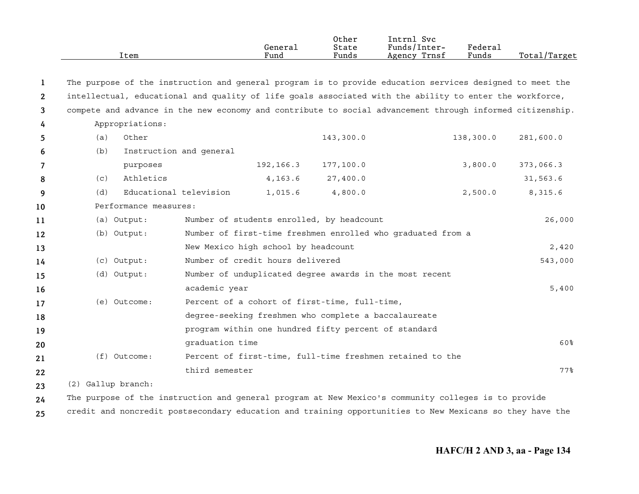|              |                    | Item                    |                 | General<br>Fund                                      | Other<br>State<br>Funds | Intrnl Svc<br>Funds/Inter-<br>Agency Trnsf                                                                | Federal<br>Funds | Total/Target |
|--------------|--------------------|-------------------------|-----------------|------------------------------------------------------|-------------------------|-----------------------------------------------------------------------------------------------------------|------------------|--------------|
| 1            |                    |                         |                 |                                                      |                         | The purpose of the instruction and general program is to provide education services designed to meet the  |                  |              |
| $\mathbf{2}$ |                    |                         |                 |                                                      |                         | intellectual, educational and quality of life goals associated with the ability to enter the workforce,   |                  |              |
| 3            |                    |                         |                 |                                                      |                         | compete and advance in the new economy and contribute to social advancement through informed citizenship. |                  |              |
| 4            |                    | Appropriations:         |                 |                                                      |                         |                                                                                                           |                  |              |
| 5            | (a)                | Other                   |                 |                                                      | 143,300.0               |                                                                                                           | 138,300.0        | 281,600.0    |
| 6            | (b)                | Instruction and general |                 |                                                      |                         |                                                                                                           |                  |              |
| 7            |                    | purposes                |                 | 192, 166.3                                           | 177,100.0               |                                                                                                           | 3,800.0          | 373,066.3    |
| 8            | (C)                | Athletics               |                 | 4,163.6                                              | 27,400.0                |                                                                                                           |                  | 31,563.6     |
| 9            | (d)                | Educational television  |                 | 1,015.6                                              | 4,800.0                 |                                                                                                           | 2,500.0          | 8,315.6      |
| 10           |                    | Performance measures:   |                 |                                                      |                         |                                                                                                           |                  |              |
| 11           |                    | (a) Output:             |                 | Number of students enrolled, by headcount            |                         |                                                                                                           |                  | 26,000       |
| 12           |                    | (b) Output:             |                 |                                                      |                         | Number of first-time freshmen enrolled who graduated from a                                               |                  |              |
| 13           |                    |                         |                 | New Mexico high school by headcount                  |                         |                                                                                                           |                  | 2,420        |
| 14           |                    | (c) Output:             |                 | Number of credit hours delivered                     |                         |                                                                                                           |                  | 543,000      |
| 15           |                    | (d) Output:             |                 |                                                      |                         | Number of unduplicated degree awards in the most recent                                                   |                  |              |
| 16           |                    |                         | academic year   |                                                      |                         |                                                                                                           |                  | 5,400        |
| 17           |                    | (e) Outcome:            |                 | Percent of a cohort of first-time, full-time,        |                         |                                                                                                           |                  |              |
| 18           |                    |                         |                 | degree-seeking freshmen who complete a baccalaureate |                         |                                                                                                           |                  |              |
| 19           |                    |                         |                 | program within one hundred fifty percent of standard |                         |                                                                                                           |                  |              |
| 20           |                    |                         | graduation time |                                                      |                         |                                                                                                           |                  | 60%          |
| 21           |                    | $(f)$ Outcome:          |                 |                                                      |                         | Percent of first-time, full-time freshmen retained to the                                                 |                  |              |
| 22           |                    |                         | third semester  |                                                      |                         |                                                                                                           |                  | $77$ %       |
| 23           | (2) Gallup branch: |                         |                 |                                                      |                         |                                                                                                           |                  |              |
| 24           |                    |                         |                 |                                                      |                         | The purpose of the instruction and general program at New Mexico's community colleges is to provide       |                  |              |

**25** credit and noncredit postsecondary education and training opportunities to New Mexicans so they have the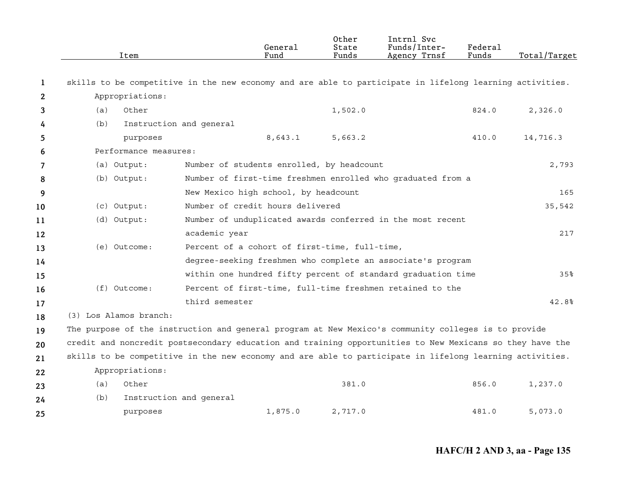|    | Item                                                                                                     |                         | General<br>Fund                               | Other<br>State<br>Funds | Intrnl Svc<br>Funds/Inter-<br>Agency Trnsf                   | Federal<br>Funds | Total/Target |
|----|----------------------------------------------------------------------------------------------------------|-------------------------|-----------------------------------------------|-------------------------|--------------------------------------------------------------|------------------|--------------|
| 1  | skills to be competitive in the new economy and are able to participate in lifelong learning activities. |                         |                                               |                         |                                                              |                  |              |
| 2  | Appropriations:                                                                                          |                         |                                               |                         |                                                              |                  |              |
| 3  | Other<br>(a)                                                                                             |                         |                                               | 1,502.0                 |                                                              | 824.0            | 2,326.0      |
| 4  | (b)                                                                                                      | Instruction and general |                                               |                         |                                                              |                  |              |
| 5  | purposes                                                                                                 |                         | 8,643.1                                       | 5,663.2                 |                                                              | 410.0            | 14,716.3     |
| 6  | Performance measures:                                                                                    |                         |                                               |                         |                                                              |                  |              |
| 7  | (a) Output:                                                                                              |                         | Number of students enrolled, by headcount     |                         |                                                              |                  | 2,793        |
| 8  | (b) Output:                                                                                              |                         |                                               |                         | Number of first-time freshmen enrolled who graduated from a  |                  |              |
| 9  |                                                                                                          |                         | New Mexico high school, by headcount          |                         |                                                              |                  | 165          |
| 10 | (c) Output:                                                                                              |                         | Number of credit hours delivered              |                         |                                                              |                  | 35,542       |
| 11 | (d) Output:                                                                                              |                         |                                               |                         | Number of unduplicated awards conferred in the most recent   |                  |              |
| 12 |                                                                                                          | academic year           |                                               |                         |                                                              |                  | 217          |
| 13 | (e) Outcome:                                                                                             |                         | Percent of a cohort of first-time, full-time, |                         |                                                              |                  |              |
| 14 |                                                                                                          |                         |                                               |                         | degree-seeking freshmen who complete an associate's program  |                  |              |
| 15 |                                                                                                          |                         |                                               |                         | within one hundred fifty percent of standard graduation time |                  | 35%          |
| 16 | $(f)$ Outcome:                                                                                           |                         |                                               |                         | Percent of first-time, full-time freshmen retained to the    |                  |              |
| 17 |                                                                                                          | third semester          |                                               |                         |                                                              |                  | 42.8%        |
| 18 | (3) Los Alamos branch:                                                                                   |                         |                                               |                         |                                                              |                  |              |
| 19 | The purpose of the instruction and general program at New Mexico's community colleges is to provide      |                         |                                               |                         |                                                              |                  |              |
| 20 | credit and noncredit postsecondary education and training opportunities to New Mexicans so they have the |                         |                                               |                         |                                                              |                  |              |
| 21 | skills to be competitive in the new economy and are able to participate in lifelong learning activities. |                         |                                               |                         |                                                              |                  |              |
| 22 | Appropriations:                                                                                          |                         |                                               |                         |                                                              |                  |              |
| 23 | Other<br>(a)                                                                                             |                         |                                               | 381.0                   |                                                              | 856.0            | 1,237.0      |
| 24 | (b)                                                                                                      | Instruction and general |                                               |                         |                                                              |                  |              |
| 25 | purposes                                                                                                 |                         | 1,875.0                                       | 2,717.0                 |                                                              | 481.0            | 5,073.0      |

**HAFC/H 2 AND 3, aa - Page 135**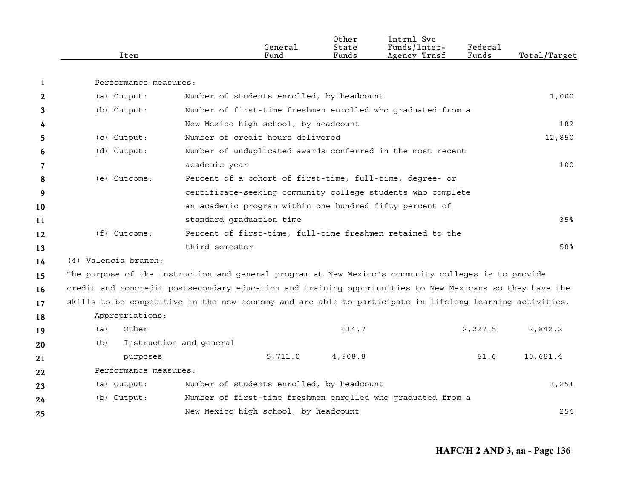|    | Item                  | General<br>Fund                                                                                          | Other<br>State<br>Funds | Intrnl Svc<br>Funds/Inter-<br>Agency Trnsf | Federal<br>Funds | Total/Target |
|----|-----------------------|----------------------------------------------------------------------------------------------------------|-------------------------|--------------------------------------------|------------------|--------------|
| 1  | Performance measures: |                                                                                                          |                         |                                            |                  |              |
| 2  | (a) Output:           | Number of students enrolled, by headcount                                                                |                         |                                            |                  | 1,000        |
| 3  | (b) Output:           | Number of first-time freshmen enrolled who graduated from a                                              |                         |                                            |                  |              |
| 4  |                       | New Mexico high school, by headcount                                                                     |                         |                                            |                  | 182          |
| 5  | (c) Output:           | Number of credit hours delivered                                                                         |                         |                                            |                  | 12,850       |
| 6  | (d) Output:           | Number of unduplicated awards conferred in the most recent                                               |                         |                                            |                  |              |
| 7  |                       | academic year                                                                                            |                         |                                            |                  | 100          |
| 8  | (e) Outcome:          | Percent of a cohort of first-time, full-time, degree- or                                                 |                         |                                            |                  |              |
| 9  |                       | certificate-seeking community college students who complete                                              |                         |                                            |                  |              |
| 10 |                       | an academic program within one hundred fifty percent of                                                  |                         |                                            |                  |              |
| 11 |                       | standard graduation time                                                                                 |                         |                                            |                  | 35%          |
| 12 | $(f)$ Outcome:        | Percent of first-time, full-time freshmen retained to the                                                |                         |                                            |                  |              |
| 13 |                       | third semester                                                                                           |                         |                                            |                  | 58%          |
| 14 | (4) Valencia branch:  |                                                                                                          |                         |                                            |                  |              |
| 15 |                       | The purpose of the instruction and general program at New Mexico's community colleges is to provide      |                         |                                            |                  |              |
| 16 |                       | credit and noncredit postsecondary education and training opportunities to New Mexicans so they have the |                         |                                            |                  |              |
| 17 |                       | skills to be competitive in the new economy and are able to participate in lifelong learning activities. |                         |                                            |                  |              |
| 18 | Appropriations:       |                                                                                                          |                         |                                            |                  |              |
| 19 | (a)<br>Other          |                                                                                                          | 614.7                   |                                            | 2,227.5          | 2,842.2      |
| 20 | (b)                   | Instruction and general                                                                                  |                         |                                            |                  |              |
| 21 | purposes              | 5,711.0                                                                                                  | 4,908.8                 |                                            | 61.6             | 10,681.4     |
| 22 | Performance measures: |                                                                                                          |                         |                                            |                  |              |
| 23 | (a) Output:           | Number of students enrolled, by headcount                                                                |                         |                                            |                  | 3,251        |
| 24 | (b) Output:           | Number of first-time freshmen enrolled who graduated from a                                              |                         |                                            |                  |              |
| 25 |                       | New Mexico high school, by headcount                                                                     |                         |                                            |                  | 254          |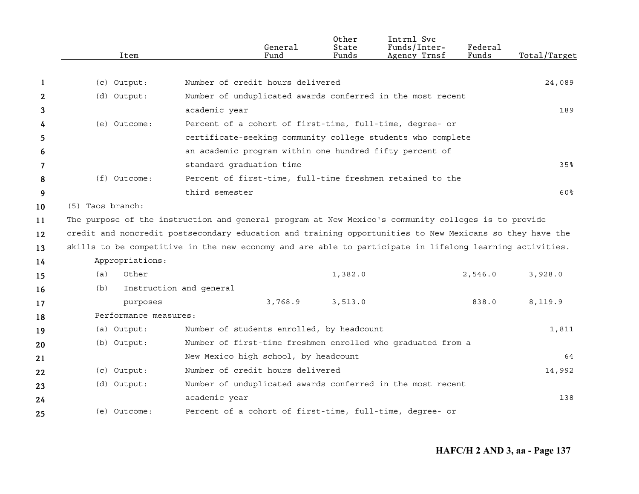|              |                  | Item                  | General<br>Fund                                                                                          | Other<br>State<br>Funds | Intrnl Svc<br>Funds/Inter-<br>Agency Trnsf | Federal<br>Funds | Total/Target |
|--------------|------------------|-----------------------|----------------------------------------------------------------------------------------------------------|-------------------------|--------------------------------------------|------------------|--------------|
|              |                  |                       |                                                                                                          |                         |                                            |                  |              |
| 1            |                  | (c) Output:           | Number of credit hours delivered                                                                         |                         |                                            |                  | 24,089       |
| $\mathbf{2}$ |                  | (d) Output:           | Number of unduplicated awards conferred in the most recent                                               |                         |                                            |                  |              |
| 3            |                  |                       | academic year                                                                                            |                         |                                            |                  | 189          |
| 4            |                  | (e) Outcome:          | Percent of a cohort of first-time, full-time, degree- or                                                 |                         |                                            |                  |              |
| 5.           |                  |                       | certificate-seeking community college students who complete                                              |                         |                                            |                  |              |
| 6            |                  |                       | an academic program within one hundred fifty percent of                                                  |                         |                                            |                  |              |
| 7            |                  |                       | standard graduation time                                                                                 |                         |                                            |                  | 35%          |
| 8            |                  | (f) Outcome:          | Percent of first-time, full-time freshmen retained to the                                                |                         |                                            |                  |              |
| 9            |                  |                       | third semester                                                                                           |                         |                                            |                  | 60%          |
| 10           | (5) Taos branch: |                       |                                                                                                          |                         |                                            |                  |              |
| 11           |                  |                       | The purpose of the instruction and general program at New Mexico's community colleges is to provide      |                         |                                            |                  |              |
| 12           |                  |                       | credit and noncredit postsecondary education and training opportunities to New Mexicans so they have the |                         |                                            |                  |              |
| 13           |                  |                       | skills to be competitive in the new economy and are able to participate in lifelong learning activities. |                         |                                            |                  |              |
| 14           |                  | Appropriations:       |                                                                                                          |                         |                                            |                  |              |
| 15           | (a)              | Other                 |                                                                                                          | 1,382.0                 |                                            | 2,546.0          | 3,928.0      |
| 16           | (b)              |                       | Instruction and general                                                                                  |                         |                                            |                  |              |
| 17           |                  | purposes              | 3,768.9                                                                                                  | 3,513.0                 |                                            | 838.0            | 8,119.9      |
| 18           |                  | Performance measures: |                                                                                                          |                         |                                            |                  |              |
| 19           |                  | (a) Output:           | Number of students enrolled, by headcount                                                                |                         |                                            |                  | 1,811        |
| 20           |                  | (b) Output:           | Number of first-time freshmen enrolled who graduated from a                                              |                         |                                            |                  |              |
| 21           |                  |                       | New Mexico high school, by headcount                                                                     |                         |                                            |                  | 64           |
| 22           |                  | (c) Output:           | Number of credit hours delivered                                                                         |                         |                                            |                  | 14,992       |
| 23           |                  | (d) Output:           | Number of unduplicated awards conferred in the most recent                                               |                         |                                            |                  |              |
| 24           |                  |                       | academic year                                                                                            |                         |                                            |                  | 138          |
| 25           |                  | (e) Outcome:          | Percent of a cohort of first-time, full-time, degree- or                                                 |                         |                                            |                  |              |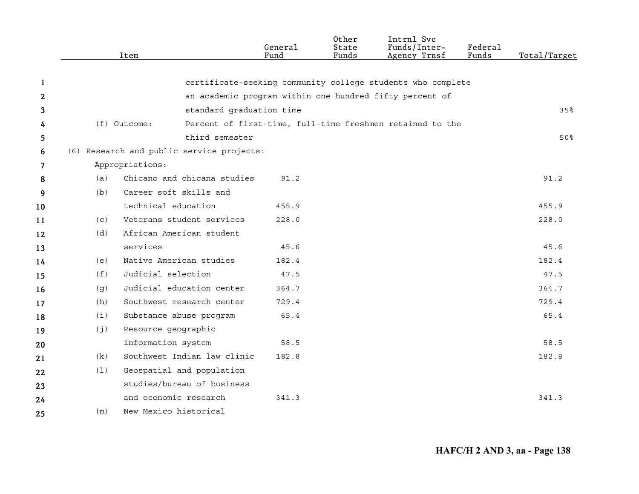|                |     | Item                                      | General<br>Fund | Other<br>State<br>Funds | Intrnl Svc<br>Funds/Inter-<br>Agency Trnsf                  | Federal<br>Funds | Total/Target |
|----------------|-----|-------------------------------------------|-----------------|-------------------------|-------------------------------------------------------------|------------------|--------------|
|                |     |                                           |                 |                         |                                                             |                  |              |
| 1              |     |                                           |                 |                         | certificate-seeking community college students who complete |                  |              |
| 2              |     |                                           |                 |                         | an academic program within one hundred fifty percent of     |                  |              |
| 3              |     | standard graduation time                  |                 |                         |                                                             |                  | 35%          |
| 4              |     | $(f)$ Outcome:                            |                 |                         | Percent of first-time, full-time freshmen retained to the   |                  |              |
| 5              |     | third semester                            |                 |                         |                                                             |                  | 50%          |
| 6              |     | (6) Research and public service projects: |                 |                         |                                                             |                  |              |
| $\overline{7}$ |     | Appropriations:                           |                 |                         |                                                             |                  |              |
| 8              | (a) | Chicano and chicana studies               | 91.2            |                         |                                                             |                  | 91.2         |
| 9              | (b) | Career soft skills and                    |                 |                         |                                                             |                  |              |
| 10             |     | technical education                       | 455.9           |                         |                                                             |                  | 455.9        |
| 11             | (c) | Veterans student services                 | 228.0           |                         |                                                             |                  | 228.0        |
| 12             | (d) | African American student                  |                 |                         |                                                             |                  |              |
| 13             |     | services                                  | 45.6            |                         |                                                             |                  | 45.6         |
| 14             | (e) | Native American studies                   | 182.4           |                         |                                                             |                  | 182.4        |
| 15             | (f) | Judicial selection                        | 47.5            |                         |                                                             |                  | 47.5         |
| 16             | (g) | Judicial education center                 | 364.7           |                         |                                                             |                  | 364.7        |
| 17             | (h) | Southwest research center                 | 729.4           |                         |                                                             |                  | 729.4        |
| 18             | (i) | Substance abuse program                   | 65.4            |                         |                                                             |                  | 65.4         |
| 19             | (j) | Resource geographic                       |                 |                         |                                                             |                  |              |
| 20             |     | information system                        | 58.5            |                         |                                                             |                  | 58.5         |
| 21             | (k) | Southwest Indian law clinic               | 182.8           |                         |                                                             |                  | 182.8        |
| 22             | (1) | Geospatial and population                 |                 |                         |                                                             |                  |              |
| 23             |     | studies/bureau of business                |                 |                         |                                                             |                  |              |
| 24             |     | and economic research                     | 341.3           |                         |                                                             |                  | 341.3        |
| 25             | (m) | New Mexico historical                     |                 |                         |                                                             |                  |              |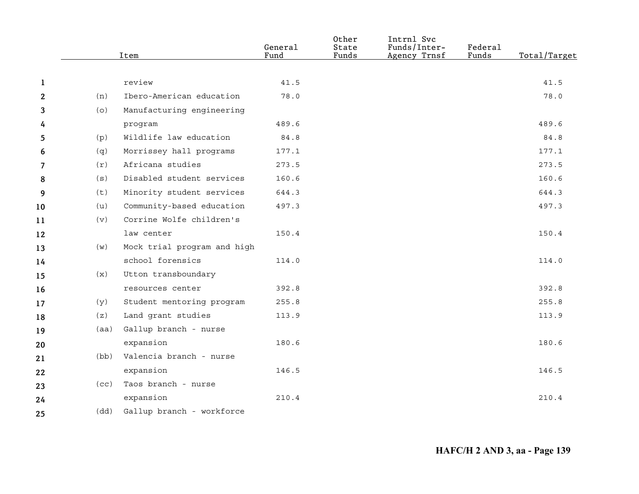|                |      | Item                        | General<br>Fund | Other<br>State<br>Funds | Intrnl Svc<br>Funds/Inter-<br>Agency Trnsf | <b>Federal</b><br>Funds | Total/Target |
|----------------|------|-----------------------------|-----------------|-------------------------|--------------------------------------------|-------------------------|--------------|
|                |      |                             |                 |                         |                                            |                         |              |
| 1              |      | review                      | 41.5            |                         |                                            |                         | 41.5         |
| $\mathbf{2}$   | (n)  | Ibero-American education    | 78.0            |                         |                                            |                         | 78.0         |
| 3              | (0)  | Manufacturing engineering   |                 |                         |                                            |                         |              |
| 4              |      | program                     | 489.6           |                         |                                            |                         | 489.6        |
| 5              | (p)  | Wildlife law education      | 84.8            |                         |                                            |                         | 84.8         |
| 6              | (q)  | Morrissey hall programs     | 177.1           |                         |                                            |                         | 177.1        |
| $\overline{7}$ | (r)  | Africana studies            | 273.5           |                         |                                            |                         | 273.5        |
| 8              | (s)  | Disabled student services   | 160.6           |                         |                                            |                         | 160.6        |
| 9              | (t)  | Minority student services   | 644.3           |                         |                                            |                         | 644.3        |
| 10             | (u)  | Community-based education   | 497.3           |                         |                                            |                         | 497.3        |
| 11             | (v)  | Corrine Wolfe children's    |                 |                         |                                            |                         |              |
| 12             |      | law center                  | 150.4           |                         |                                            |                         | 150.4        |
| 13             | (w)  | Mock trial program and high |                 |                         |                                            |                         |              |
| 14             |      | school forensics            | 114.0           |                         |                                            |                         | 114.0        |
| 15             | (x)  | Utton transboundary         |                 |                         |                                            |                         |              |
| 16             |      | resources center            | 392.8           |                         |                                            |                         | 392.8        |
| 17             | (y)  | Student mentoring program   | 255.8           |                         |                                            |                         | 255.8        |
| 18             | (z)  | Land grant studies          | 113.9           |                         |                                            |                         | 113.9        |
| 19             | (aa) | Gallup branch - nurse       |                 |                         |                                            |                         |              |
| 20             |      | expansion                   | 180.6           |                         |                                            |                         | 180.6        |
| 21             | (bb) | Valencia branch - nurse     |                 |                         |                                            |                         |              |
| 22             |      | expansion                   | 146.5           |                         |                                            |                         | 146.5        |
| 23             | (cc) | Taos branch - nurse         |                 |                         |                                            |                         |              |
| 24             |      | expansion                   | 210.4           |                         |                                            |                         | 210.4        |
| 25             | (dd) | Gallup branch - workforce   |                 |                         |                                            |                         |              |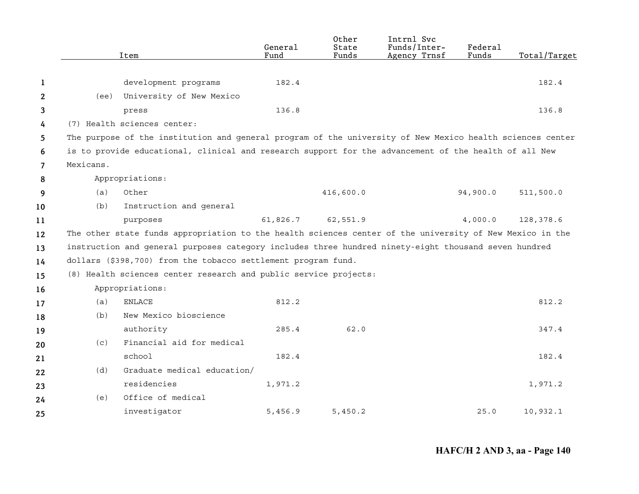|              |           | Item                                                                                                      | General<br>Fund | Other<br>State<br>Funds | Intrnl Svc<br>Funds/Inter-<br>Agency Trnsf | Federal<br>Funds | Total/Target |
|--------------|-----------|-----------------------------------------------------------------------------------------------------------|-----------------|-------------------------|--------------------------------------------|------------------|--------------|
|              |           |                                                                                                           |                 |                         |                                            |                  |              |
| 1            |           | development programs                                                                                      | 182.4           |                         |                                            |                  | 182.4        |
| $\mathbf{2}$ | (ee)      | University of New Mexico                                                                                  |                 |                         |                                            |                  |              |
| 3            |           | press                                                                                                     | 136.8           |                         |                                            |                  | 136.8        |
| 4            |           | (7) Health sciences center:                                                                               |                 |                         |                                            |                  |              |
| 5            |           | The purpose of the institution and general program of the university of New Mexico health sciences center |                 |                         |                                            |                  |              |
| 6            |           | is to provide educational, clinical and research support for the advancement of the health of all New     |                 |                         |                                            |                  |              |
| 7            | Mexicans. |                                                                                                           |                 |                         |                                            |                  |              |
| 8            |           | Appropriations:                                                                                           |                 |                         |                                            |                  |              |
| 9            | (a)       | Other                                                                                                     |                 | 416,600.0               |                                            | 94,900.0         | 511,500.0    |
| 10           | (b)       | Instruction and general                                                                                   |                 |                         |                                            |                  |              |
| 11           |           | purposes                                                                                                  | 61,826.7        | 62,551.9                |                                            | 4,000.0          | 128,378.6    |
| 12           |           | The other state funds appropriation to the health sciences center of the university of New Mexico in the  |                 |                         |                                            |                  |              |
| 13           |           | instruction and general purposes category includes three hundred ninety-eight thousand seven hundred      |                 |                         |                                            |                  |              |
| 14           |           | dollars (\$398,700) from the tobacco settlement program fund.                                             |                 |                         |                                            |                  |              |
| 15           |           | (8) Health sciences center research and public service projects:                                          |                 |                         |                                            |                  |              |
| 16           |           | Appropriations:                                                                                           |                 |                         |                                            |                  |              |
| 17           | (a)       | <b>ENLACE</b>                                                                                             | 812.2           |                         |                                            |                  | 812.2        |
| 18           | (b)       | New Mexico bioscience                                                                                     |                 |                         |                                            |                  |              |
| 19           |           | authority                                                                                                 | 285.4           | 62.0                    |                                            |                  | 347.4        |
| 20           | (c)       | Financial aid for medical                                                                                 |                 |                         |                                            |                  |              |
| 21           |           | school                                                                                                    | 182.4           |                         |                                            |                  | 182.4        |
| 22           | (d)       | Graduate medical education/                                                                               |                 |                         |                                            |                  |              |
| 23           |           | residencies                                                                                               | 1,971.2         |                         |                                            |                  | 1,971.2      |
| 24           | (e)       | Office of medical                                                                                         |                 |                         |                                            |                  |              |
| 25           |           | investigator                                                                                              | 5,456.9         | 5,450.2                 |                                            | 25.0             | 10,932.1     |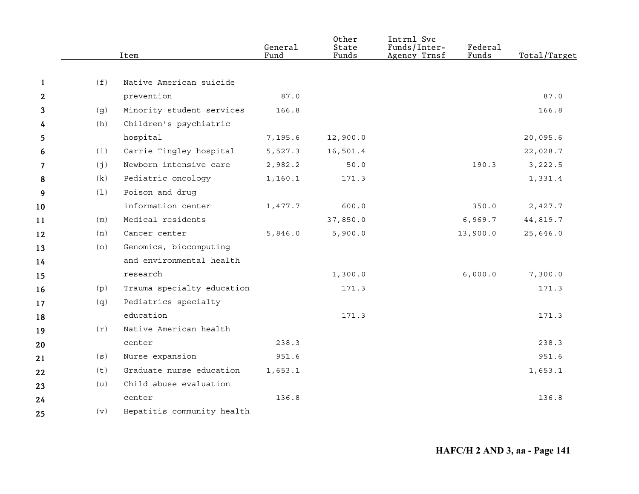|    |     | Item                       | General<br>Fund | Other<br>State<br>Funds | Intrnl Svc<br>Funds/Inter-<br>Agency Trnsf | Federal<br>Funds | Total/Target |
|----|-----|----------------------------|-----------------|-------------------------|--------------------------------------------|------------------|--------------|
|    |     |                            |                 |                         |                                            |                  |              |
| 1  | (f) | Native American suicide    |                 |                         |                                            |                  |              |
| 2  |     | prevention                 | 87.0            |                         |                                            |                  | 87.0         |
| 3  | (g) | Minority student services  | 166.8           |                         |                                            |                  | 166.8        |
| 4  | (h) | Children's psychiatric     |                 |                         |                                            |                  |              |
| 5  |     | hospital                   | 7,195.6         | 12,900.0                |                                            |                  | 20,095.6     |
| 6  | (i) | Carrie Tingley hospital    | 5,527.3         | 16,501.4                |                                            |                  | 22,028.7     |
| 7  | (j) | Newborn intensive care     | 2,982.2         | 50.0                    |                                            | 190.3            | 3,222.5      |
| 8  | (k) | Pediatric oncology         | 1,160.1         | 171.3                   |                                            |                  | 1,331.4      |
| 9  | (1) | Poison and drug            |                 |                         |                                            |                  |              |
| 10 |     | information center         | 1,477.7         | 600.0                   |                                            | 350.0            | 2,427.7      |
| 11 | (m) | Medical residents          |                 | 37,850.0                |                                            | 6,969.7          | 44,819.7     |
| 12 | (n) | Cancer center              | 5,846.0         | 5,900.0                 |                                            | 13,900.0         | 25,646.0     |
| 13 | (O) | Genomics, biocomputing     |                 |                         |                                            |                  |              |
| 14 |     | and environmental health   |                 |                         |                                            |                  |              |
| 15 |     | research                   |                 | 1,300.0                 |                                            | 6,000.0          | 7,300.0      |
| 16 | (p) | Trauma specialty education |                 | 171.3                   |                                            |                  | 171.3        |
| 17 | (q) | Pediatrics specialty       |                 |                         |                                            |                  |              |
| 18 |     | education                  |                 | 171.3                   |                                            |                  | 171.3        |
| 19 | (r) | Native American health     |                 |                         |                                            |                  |              |
| 20 |     | center                     | 238.3           |                         |                                            |                  | 238.3        |
| 21 | (s) | Nurse expansion            | 951.6           |                         |                                            |                  | 951.6        |
| 22 | (t) | Graduate nurse education   | 1,653.1         |                         |                                            |                  | 1,653.1      |
| 23 | (u) | Child abuse evaluation     |                 |                         |                                            |                  |              |
| 24 |     | center                     | 136.8           |                         |                                            |                  | 136.8        |
| 25 | (v) | Hepatitis community health |                 |                         |                                            |                  |              |
|    |     |                            |                 |                         |                                            |                  |              |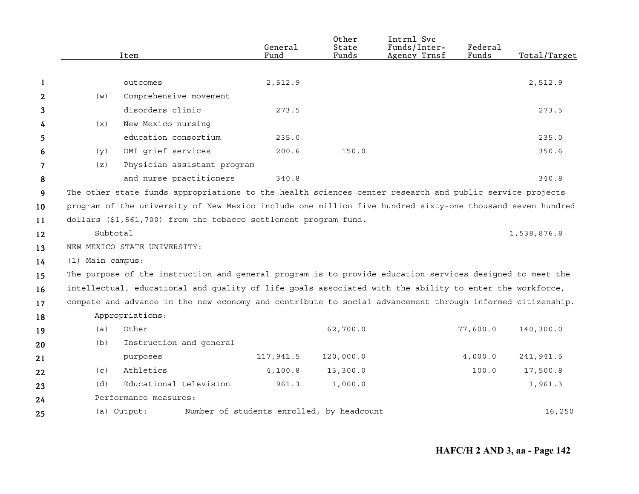|              |                                                                                                         | Item                                                                                                      | General<br>Fund                           | Other<br>State<br>Funds | Intrnl Svc<br>Funds/Inter-<br>Agency Trnsf | Federal<br>Funds | Total/Target |
|--------------|---------------------------------------------------------------------------------------------------------|-----------------------------------------------------------------------------------------------------------|-------------------------------------------|-------------------------|--------------------------------------------|------------------|--------------|
|              |                                                                                                         |                                                                                                           |                                           |                         |                                            |                  |              |
| 1            |                                                                                                         | outcomes                                                                                                  | 2,512.9                                   |                         |                                            |                  | 2,512.9      |
| $\mathbf{2}$ | (w)                                                                                                     | Comprehensive movement                                                                                    |                                           |                         |                                            |                  |              |
| 3            |                                                                                                         | disorders clinic                                                                                          | 273.5                                     |                         |                                            |                  | 273.5        |
| 4            | (x)                                                                                                     | New Mexico nursing                                                                                        |                                           |                         |                                            |                  |              |
| 5            |                                                                                                         | education consortium                                                                                      | 235.0                                     |                         |                                            |                  | 235.0        |
| 6            | (y)                                                                                                     | OMI grief services                                                                                        | 200.6                                     | 150.0                   |                                            |                  | 350.6        |
| 7            | (z)                                                                                                     | Physician assistant program                                                                               |                                           |                         |                                            |                  |              |
| 8            |                                                                                                         | and nurse practitioners                                                                                   | 340.8                                     |                         |                                            |                  | 340.8        |
| 9            | The other state funds appropriations to the health sciences center research and public service projects |                                                                                                           |                                           |                         |                                            |                  |              |
| 10           |                                                                                                         | program of the university of New Mexico include one million five hundred sixty-one thousand seven hundred |                                           |                         |                                            |                  |              |
| 11           |                                                                                                         | dollars (\$1,561,700) from the tobacco settlement program fund.                                           |                                           |                         |                                            |                  |              |
| 12           | Subtotal                                                                                                |                                                                                                           |                                           |                         |                                            |                  | 1,538,876.8  |
| 13           |                                                                                                         | NEW MEXICO STATE UNIVERSITY:                                                                              |                                           |                         |                                            |                  |              |
| 14           | $(1)$ Main campus:                                                                                      |                                                                                                           |                                           |                         |                                            |                  |              |
| 15           |                                                                                                         | The purpose of the instruction and general program is to provide education services designed to meet the  |                                           |                         |                                            |                  |              |
| 16           |                                                                                                         | intellectual, educational and quality of life goals associated with the ability to enter the workforce,   |                                           |                         |                                            |                  |              |
| 17           |                                                                                                         | compete and advance in the new economy and contribute to social advancement through informed citizenship. |                                           |                         |                                            |                  |              |
| 18           |                                                                                                         | Appropriations:                                                                                           |                                           |                         |                                            |                  |              |
| 19           | (a)                                                                                                     | Other                                                                                                     |                                           | 62,700.0                |                                            | 77,600.0         | 140,300.0    |
| 20           | (b)                                                                                                     | Instruction and general                                                                                   |                                           |                         |                                            |                  |              |
| 21           |                                                                                                         | purposes                                                                                                  | 117,941.5                                 | 120,000.0               |                                            | 4,000.0          | 241,941.5    |
| 22           | (c)                                                                                                     | Athletics                                                                                                 | 4,100.8                                   | 13,300.0                |                                            | 100.0            | 17,500.8     |
| 23           | (d)                                                                                                     | Educational television                                                                                    | 961.3                                     | 1,000.0                 |                                            |                  | 1,961.3      |
| 24           | Performance measures:                                                                                   |                                                                                                           |                                           |                         |                                            |                  |              |
| 25           |                                                                                                         | (a) Output:                                                                                               | Number of students enrolled, by headcount |                         |                                            |                  | 16,250       |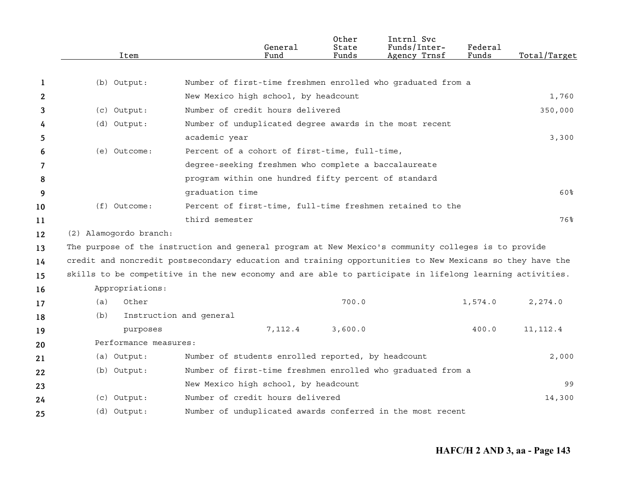|    | Item                                                                                                                                                                                                            | General<br>Fund                                             | Other<br>State<br>Funds | Intrnl Svc<br>Funds/Inter-<br>Agency Trnsf | Federal<br>Funds | Total/Target |
|----|-----------------------------------------------------------------------------------------------------------------------------------------------------------------------------------------------------------------|-------------------------------------------------------------|-------------------------|--------------------------------------------|------------------|--------------|
| 1  | (b) Output:                                                                                                                                                                                                     | Number of first-time freshmen enrolled who graduated from a |                         |                                            |                  |              |
| 2  |                                                                                                                                                                                                                 | New Mexico high school, by headcount                        |                         |                                            |                  |              |
|    |                                                                                                                                                                                                                 | Number of credit hours delivered                            |                         |                                            |                  | 1,760        |
| 3  | (c) Output:                                                                                                                                                                                                     |                                                             |                         |                                            |                  | 350,000      |
| 4  | (d) Output:                                                                                                                                                                                                     | Number of unduplicated degree awards in the most recent     |                         |                                            |                  |              |
| 5  |                                                                                                                                                                                                                 | academic year                                               |                         |                                            |                  | 3,300        |
| 6  | (e) Outcome:                                                                                                                                                                                                    | Percent of a cohort of first-time, full-time,               |                         |                                            |                  |              |
| 7  |                                                                                                                                                                                                                 | degree-seeking freshmen who complete a baccalaureate        |                         |                                            |                  |              |
| 8  |                                                                                                                                                                                                                 | program within one hundred fifty percent of standard        |                         |                                            |                  |              |
| 9  |                                                                                                                                                                                                                 | qraduation time                                             |                         |                                            |                  | 60%          |
| 10 | (f) Outcome:                                                                                                                                                                                                    | Percent of first-time, full-time freshmen retained to the   |                         |                                            |                  |              |
| 11 |                                                                                                                                                                                                                 | third semester                                              |                         |                                            |                  | 76%          |
| 12 | (2) Alamogordo branch:                                                                                                                                                                                          |                                                             |                         |                                            |                  |              |
| 13 | The purpose of the instruction and general program at New Mexico's community colleges is to provide<br>credit and noncredit postsecondary education and training opportunities to New Mexicans so they have the |                                                             |                         |                                            |                  |              |
| 14 |                                                                                                                                                                                                                 |                                                             |                         |                                            |                  |              |
| 15 | skills to be competitive in the new economy and are able to participate in lifelong learning activities.                                                                                                        |                                                             |                         |                                            |                  |              |
| 16 | Appropriations:                                                                                                                                                                                                 |                                                             |                         |                                            |                  |              |
| 17 | Other<br>(a)                                                                                                                                                                                                    |                                                             | 700.0                   |                                            | 1,574.0          | 2,274.0      |
| 18 | (b)                                                                                                                                                                                                             | Instruction and general                                     |                         |                                            |                  |              |
| 19 | purposes                                                                                                                                                                                                        | 7,112.4                                                     | 3,600.0                 |                                            | 400.0            | 11, 112.4    |
| 20 | Performance measures:                                                                                                                                                                                           |                                                             |                         |                                            |                  |              |
| 21 | (a) Output:                                                                                                                                                                                                     | Number of students enrolled reported, by headcount          |                         |                                            |                  | 2,000        |
| 22 | (b) Output:                                                                                                                                                                                                     | Number of first-time freshmen enrolled who graduated from a |                         |                                            |                  |              |
| 23 |                                                                                                                                                                                                                 | New Mexico high school, by headcount                        |                         |                                            |                  | 99           |
| 24 | $(c)$ Output:                                                                                                                                                                                                   | Number of credit hours delivered                            |                         |                                            |                  | 14,300       |
| 25 | (d) Output:                                                                                                                                                                                                     | Number of unduplicated awards conferred in the most recent  |                         |                                            |                  |              |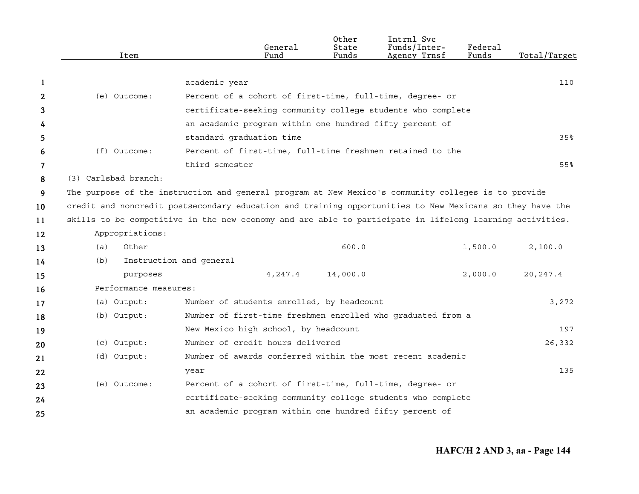|    | Item                  | General<br>Fund                                                                                          | Other<br>State<br>Funds | Intrnl Svc<br>Funds/Inter-<br>Agency Trnsf | Federal<br>Funds | Total/Target |
|----|-----------------------|----------------------------------------------------------------------------------------------------------|-------------------------|--------------------------------------------|------------------|--------------|
|    |                       |                                                                                                          |                         |                                            |                  |              |
| 1  |                       | academic year                                                                                            |                         |                                            |                  | 110          |
| 2  | (e) Outcome:          | Percent of a cohort of first-time, full-time, degree- or                                                 |                         |                                            |                  |              |
| 3  |                       | certificate-seeking community college students who complete                                              |                         |                                            |                  |              |
| 4  |                       | an academic program within one hundred fifty percent of                                                  |                         |                                            |                  |              |
| 5  |                       | standard graduation time                                                                                 |                         |                                            |                  | 35%          |
| 6  | (f) Outcome:          | Percent of first-time, full-time freshmen retained to the                                                |                         |                                            |                  |              |
| 7  |                       | third semester                                                                                           |                         |                                            |                  | 55%          |
| 8  | (3) Carlsbad branch:  |                                                                                                          |                         |                                            |                  |              |
| 9  |                       | The purpose of the instruction and general program at New Mexico's community colleges is to provide      |                         |                                            |                  |              |
| 10 |                       | credit and noncredit postsecondary education and training opportunities to New Mexicans so they have the |                         |                                            |                  |              |
| 11 |                       | skills to be competitive in the new economy and are able to participate in lifelong learning activities. |                         |                                            |                  |              |
| 12 | Appropriations:       |                                                                                                          |                         |                                            |                  |              |
| 13 | Other<br>(a)          |                                                                                                          | 600.0                   |                                            | 1,500.0          | 2,100.0      |
| 14 | (b)                   | Instruction and general                                                                                  |                         |                                            |                  |              |
| 15 | purposes              | 4,247.4                                                                                                  | 14,000.0                |                                            | 2,000.0          | 20, 247.4    |
| 16 | Performance measures: |                                                                                                          |                         |                                            |                  |              |
| 17 | (a) Output:           | Number of students enrolled, by headcount                                                                |                         |                                            |                  | 3,272        |
| 18 | (b) Output:           | Number of first-time freshmen enrolled who graduated from a                                              |                         |                                            |                  |              |
| 19 |                       | New Mexico high school, by headcount                                                                     |                         |                                            |                  | 197          |
| 20 | (c) Output:           | Number of credit hours delivered                                                                         |                         |                                            |                  | 26,332       |
| 21 | (d) Output:           | Number of awards conferred within the most recent academic                                               |                         |                                            |                  |              |
| 22 |                       | year                                                                                                     |                         |                                            |                  | 135          |
| 23 | (e) Outcome:          | Percent of a cohort of first-time, full-time, degree- or                                                 |                         |                                            |                  |              |
| 24 |                       | certificate-seeking community college students who complete                                              |                         |                                            |                  |              |
| 25 |                       | an academic program within one hundred fifty percent of                                                  |                         |                                            |                  |              |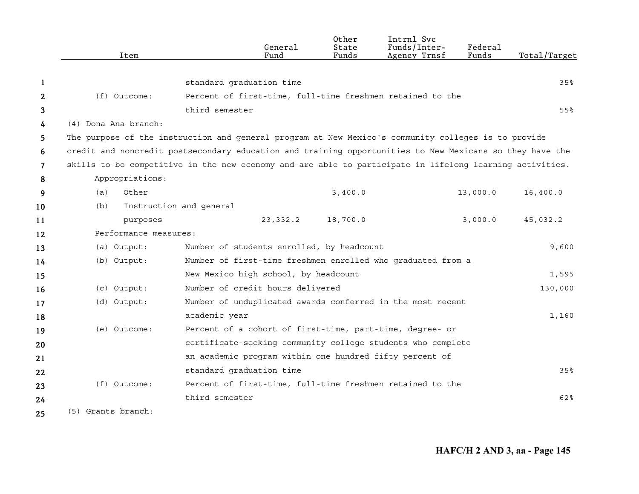|                | Item                  | General<br>Fund                                                                                          | Other<br>State<br>Funds | Intrnl Svc<br>Funds/Inter-<br>Agency Trnsf | Federal<br>Funds | Total/Target |
|----------------|-----------------------|----------------------------------------------------------------------------------------------------------|-------------------------|--------------------------------------------|------------------|--------------|
|                |                       |                                                                                                          |                         |                                            |                  |              |
| 1              |                       | standard graduation time                                                                                 |                         |                                            |                  | 35%          |
| 2              | $(f)$ Outcome:        | Percent of first-time, full-time freshmen retained to the                                                |                         |                                            |                  |              |
| 3              |                       | third semester                                                                                           |                         |                                            |                  | 55%          |
| 4              | (4) Dona Ana branch:  |                                                                                                          |                         |                                            |                  |              |
| 5              |                       | The purpose of the instruction and general program at New Mexico's community colleges is to provide      |                         |                                            |                  |              |
| 6              |                       | credit and noncredit postsecondary education and training opportunities to New Mexicans so they have the |                         |                                            |                  |              |
| $\overline{7}$ |                       | skills to be competitive in the new economy and are able to participate in lifelong learning activities. |                         |                                            |                  |              |
| 8              | Appropriations:       |                                                                                                          |                         |                                            |                  |              |
| 9              | Other<br>(a)          |                                                                                                          | 3,400.0                 |                                            | 13,000.0         | 16,400.0     |
| 10             | (b)                   | Instruction and general                                                                                  |                         |                                            |                  |              |
| 11             | purposes              | 23, 332.2                                                                                                | 18,700.0                |                                            | 3,000.0          | 45,032.2     |
| 12             | Performance measures: |                                                                                                          |                         |                                            |                  |              |
| 13             | (a) Output:           | Number of students enrolled, by headcount                                                                |                         |                                            |                  | 9,600        |
| 14             | (b) Output:           | Number of first-time freshmen enrolled who graduated from a                                              |                         |                                            |                  |              |
| 15             |                       | New Mexico high school, by headcount                                                                     |                         |                                            |                  | 1,595        |
| 16             | (c) Output:           | Number of credit hours delivered                                                                         |                         |                                            |                  | 130,000      |
| 17             | (d) Output:           | Number of unduplicated awards conferred in the most recent                                               |                         |                                            |                  |              |
| 18             |                       | academic year                                                                                            |                         |                                            |                  | 1,160        |
| 19             | (e) Outcome:          | Percent of a cohort of first-time, part-time, degree- or                                                 |                         |                                            |                  |              |
| 20             |                       | certificate-seeking community college students who complete                                              |                         |                                            |                  |              |
| 21             |                       | an academic program within one hundred fifty percent of                                                  |                         |                                            |                  |              |
| 22             |                       | standard graduation time                                                                                 |                         |                                            |                  | 35%          |
| 23             | (f) Outcome:          | Percent of first-time, full-time freshmen retained to the                                                |                         |                                            |                  |              |
| 24             |                       | third semester                                                                                           |                         |                                            |                  | 62%          |
| 25             | (5) Grants branch:    |                                                                                                          |                         |                                            |                  |              |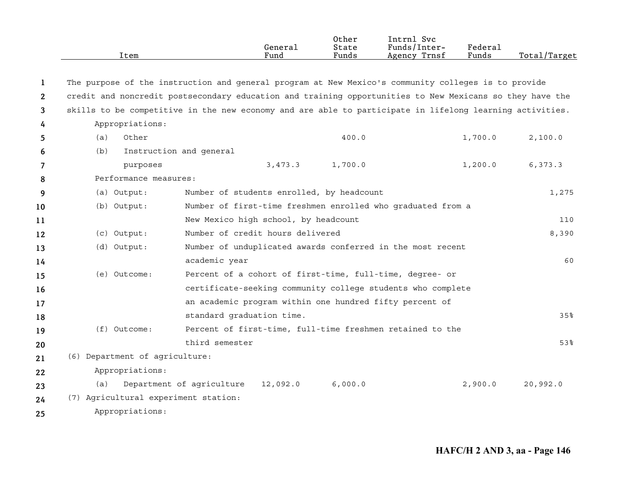|              | Item                                                                                                     |                                           | General<br>Fund | Other<br>State<br>Funds | Intrnl Svc<br>Funds/Inter-<br>Agency Trnsf                  | Federal<br>Funds | Total/Target |
|--------------|----------------------------------------------------------------------------------------------------------|-------------------------------------------|-----------------|-------------------------|-------------------------------------------------------------|------------------|--------------|
| 1            | The purpose of the instruction and general program at New Mexico's community colleges is to provide      |                                           |                 |                         |                                                             |                  |              |
| $\mathbf{2}$ | credit and noncredit postsecondary education and training opportunities to New Mexicans so they have the |                                           |                 |                         |                                                             |                  |              |
| 3            | skills to be competitive in the new economy and are able to participate in lifelong learning activities. |                                           |                 |                         |                                                             |                  |              |
| 4            | Appropriations:                                                                                          |                                           |                 |                         |                                                             |                  |              |
| 5            | Other<br>(a)                                                                                             |                                           |                 | 400.0                   |                                                             | 1,700.0          | 2,100.0      |
| 6            | (b)                                                                                                      | Instruction and general                   |                 |                         |                                                             |                  |              |
| 7            | purposes                                                                                                 |                                           | 3,473.3         | 1,700.0                 |                                                             | 1,200.0          | 6,373.3      |
| 8            | Performance measures:                                                                                    |                                           |                 |                         |                                                             |                  |              |
| 9            | (a) Output:                                                                                              | Number of students enrolled, by headcount |                 |                         |                                                             |                  | 1,275        |
| 10           | (b) Output:                                                                                              |                                           |                 |                         | Number of first-time freshmen enrolled who graduated from a |                  |              |
| 11           |                                                                                                          | New Mexico high school, by headcount      |                 |                         |                                                             |                  | 110          |
| 12           | (c) Output:                                                                                              | Number of credit hours delivered          |                 |                         |                                                             |                  | 8,390        |
| 13           | (d) Output:                                                                                              |                                           |                 |                         | Number of unduplicated awards conferred in the most recent  |                  |              |
| 14           |                                                                                                          | academic year                             |                 |                         |                                                             |                  | 60           |
| 15           | (e) Outcome:                                                                                             |                                           |                 |                         | Percent of a cohort of first-time, full-time, degree- or    |                  |              |
| 16           |                                                                                                          |                                           |                 |                         | certificate-seeking community college students who complete |                  |              |
| 17           |                                                                                                          |                                           |                 |                         | an academic program within one hundred fifty percent of     |                  |              |
| 18           |                                                                                                          | standard graduation time.                 |                 |                         |                                                             |                  | 35%          |
| 19           | (f) Outcome:                                                                                             |                                           |                 |                         | Percent of first-time, full-time freshmen retained to the   |                  |              |
| 20           |                                                                                                          | third semester                            |                 |                         |                                                             |                  | 53%          |
| 21           | (6) Department of agriculture:                                                                           |                                           |                 |                         |                                                             |                  |              |
| 22           | Appropriations:                                                                                          |                                           |                 |                         |                                                             |                  |              |
| 23           | (a)                                                                                                      | Department of agriculture                 | 12,092.0        | 6,000.0                 |                                                             | 2,900.0          | 20,992.0     |
| 24           | (7) Agricultural experiment station:                                                                     |                                           |                 |                         |                                                             |                  |              |
| 25           | Appropriations:                                                                                          |                                           |                 |                         |                                                             |                  |              |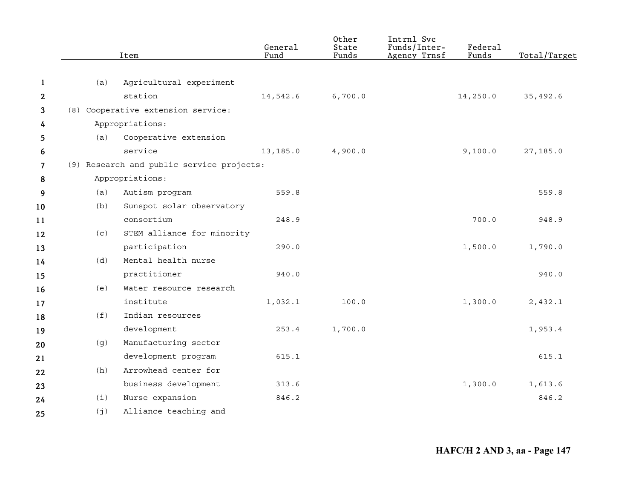|                     |     | Item                                      | General<br>Fund | Other<br>State<br>Funds | Intrnl Svc<br>Funds/Inter-<br>Agency Trnsf | <b>Federal</b><br>Funds | Total/Target |
|---------------------|-----|-------------------------------------------|-----------------|-------------------------|--------------------------------------------|-------------------------|--------------|
| 1                   | (a) | Agricultural experiment                   |                 |                         |                                            |                         |              |
| $\mathbf{2}$        |     | station                                   | 14,542.6        | 6,700.0                 |                                            | 14,250.0                | 35,492.6     |
| 3                   |     | (8) Cooperative extension service:        |                 |                         |                                            |                         |              |
|                     |     | Appropriations:                           |                 |                         |                                            |                         |              |
| 4                   | (a) | Cooperative extension                     |                 |                         |                                            |                         |              |
| 5                   |     | service                                   | 13,185.0        | 4,900.0                 |                                            | 9,100.0                 | 27,185.0     |
| 6<br>$\overline{7}$ |     | (9) Research and public service projects: |                 |                         |                                            |                         |              |
|                     |     | Appropriations:                           |                 |                         |                                            |                         |              |
| 8                   |     |                                           |                 |                         |                                            |                         |              |
| 9                   | (a) | Autism program                            | 559.8           |                         |                                            |                         | 559.8        |
| 10                  | (b) | Sunspot solar observatory                 |                 |                         |                                            |                         |              |
| 11                  |     | consortium                                | 248.9           |                         |                                            | 700.0                   | 948.9        |
| 12                  | (C) | STEM alliance for minority                |                 |                         |                                            |                         |              |
| 13                  |     | participation                             | 290.0           |                         |                                            | 1,500.0                 | 1,790.0      |
| 14                  | (d) | Mental health nurse                       |                 |                         |                                            |                         |              |
| 15                  |     | practitioner                              | 940.0           |                         |                                            |                         | 940.0        |
| 16                  | (e) | Water resource research                   |                 |                         |                                            |                         |              |
| 17                  |     | institute                                 | 1,032.1         | 100.0                   |                                            | 1,300.0                 | 2,432.1      |
| 18                  | (f) | Indian resources                          |                 |                         |                                            |                         |              |
| 19                  |     | development                               | 253.4           | 1,700.0                 |                                            |                         | 1,953.4      |
| 20                  | (g) | Manufacturing sector                      |                 |                         |                                            |                         |              |
| 21                  |     | development program                       | 615.1           |                         |                                            |                         | 615.1        |
| 22                  | (h) | Arrowhead center for                      |                 |                         |                                            |                         |              |
| 23                  |     | business development                      | 313.6           |                         |                                            | 1,300.0                 | 1,613.6      |
| 24                  | (i) | Nurse expansion                           | 846.2           |                         |                                            |                         | 846.2        |
| 25                  | (j) | Alliance teaching and                     |                 |                         |                                            |                         |              |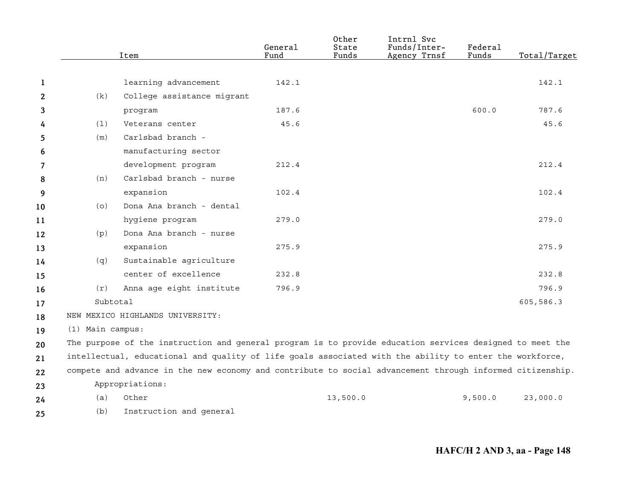|              |                  | Item                                                                                                      | General<br>Fund | Other<br>State<br>Funds | Intrnl Svc<br>Funds/Inter-<br>Agency Trnsf | Federal<br>Funds | Total/Target |
|--------------|------------------|-----------------------------------------------------------------------------------------------------------|-----------------|-------------------------|--------------------------------------------|------------------|--------------|
|              |                  |                                                                                                           |                 |                         |                                            |                  |              |
| 1            |                  | learning advancement                                                                                      | 142.1           |                         |                                            |                  | 142.1        |
| $\mathbf{2}$ | (k)              | College assistance migrant                                                                                |                 |                         |                                            |                  |              |
| 3            |                  | program                                                                                                   | 187.6           |                         |                                            | 600.0            | 787.6        |
| 4            | (1)              | Veterans center                                                                                           | 45.6            |                         |                                            |                  | 45.6         |
| 5            | (m)              | Carlsbad branch -                                                                                         |                 |                         |                                            |                  |              |
| 6            |                  | manufacturing sector                                                                                      |                 |                         |                                            |                  |              |
| 7            |                  | development program                                                                                       | 212.4           |                         |                                            |                  | 212.4        |
| 8            | (n)              | Carlsbad branch - nurse                                                                                   |                 |                         |                                            |                  |              |
| 9            |                  | expansion                                                                                                 | 102.4           |                         |                                            |                  | 102.4        |
| 10           | (0)              | Dona Ana branch - dental                                                                                  |                 |                         |                                            |                  |              |
| 11           |                  | hygiene program                                                                                           | 279.0           |                         |                                            |                  | 279.0        |
| 12           | (p)              | Dona Ana branch - nurse                                                                                   |                 |                         |                                            |                  |              |
| 13           |                  | expansion                                                                                                 | 275.9           |                         |                                            |                  | 275.9        |
| 14           | (q)              | Sustainable agriculture                                                                                   |                 |                         |                                            |                  |              |
| 15           |                  | center of excellence                                                                                      | 232.8           |                         |                                            |                  | 232.8        |
| 16           | (r)              | Anna age eight institute                                                                                  | 796.9           |                         |                                            |                  | 796.9        |
| 17           | Subtotal         |                                                                                                           |                 |                         |                                            |                  | 605,586.3    |
| 18           |                  | NEW MEXICO HIGHLANDS UNIVERSITY:                                                                          |                 |                         |                                            |                  |              |
| 19           | (1) Main campus: |                                                                                                           |                 |                         |                                            |                  |              |
| 20           |                  | The purpose of the instruction and general program is to provide education services designed to meet the  |                 |                         |                                            |                  |              |
| 21           |                  | intellectual, educational and quality of life goals associated with the ability to enter the workforce,   |                 |                         |                                            |                  |              |
| 22           |                  | compete and advance in the new economy and contribute to social advancement through informed citizenship. |                 |                         |                                            |                  |              |
| 23           |                  | Appropriations:                                                                                           |                 |                         |                                            |                  |              |
| 24           | (a)              | Other                                                                                                     |                 | 13,500.0                |                                            | 9,500.0          | 23,000.0     |
| 25           | (b)              | Instruction and general                                                                                   |                 |                         |                                            |                  |              |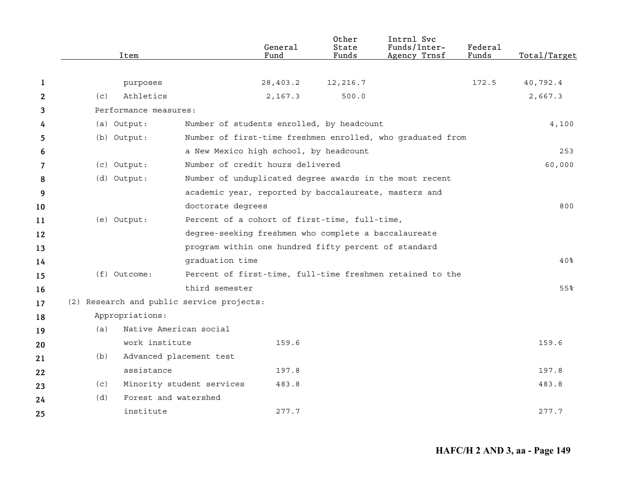|              |     | Item                   |                                                       | General<br>Fund | Other<br>State<br>Funds | Intrnl Svc<br>Funds/Inter-<br>Agency Trnsf                 | Federal<br>Funds | Total/Target    |
|--------------|-----|------------------------|-------------------------------------------------------|-----------------|-------------------------|------------------------------------------------------------|------------------|-----------------|
|              |     |                        |                                                       |                 |                         |                                                            |                  |                 |
| 1            |     | purposes               |                                                       | 28,403.2        | 12,216.7                |                                                            | 172.5            | 40,792.4        |
| $\mathbf{2}$ | (c) | Athletics              |                                                       | 2,167.3         | 500.0                   |                                                            |                  | 2,667.3         |
| 3            |     | Performance measures:  |                                                       |                 |                         |                                                            |                  |                 |
| 4            |     | (a) Output:            | Number of students enrolled, by headcount             |                 |                         |                                                            |                  | 4,100           |
| 5            |     | (b) Output:            |                                                       |                 |                         | Number of first-time freshmen enrolled, who graduated from |                  |                 |
| 6            |     |                        | a New Mexico high school, by headcount                |                 |                         |                                                            |                  | 253             |
| 7            |     | (c) Output:            | Number of credit hours delivered                      |                 |                         |                                                            |                  | 60,000          |
| 8            |     | (d) Output:            |                                                       |                 |                         | Number of unduplicated degree awards in the most recent    |                  |                 |
| 9            |     |                        | academic year, reported by baccalaureate, masters and |                 |                         |                                                            |                  |                 |
| 10           |     |                        | doctorate degrees                                     |                 |                         |                                                            |                  | 800             |
| 11           |     | (e) Output:            | Percent of a cohort of first-time, full-time,         |                 |                         |                                                            |                  |                 |
| 12           |     |                        | degree-seeking freshmen who complete a baccalaureate  |                 |                         |                                                            |                  |                 |
| 13           |     |                        | program within one hundred fifty percent of standard  |                 |                         |                                                            |                  |                 |
| 14           |     |                        | graduation time                                       |                 |                         |                                                            |                  | 40 <sub>8</sub> |
| 15           |     | $(f)$ Outcome:         |                                                       |                 |                         | Percent of first-time, full-time freshmen retained to the  |                  |                 |
| 16           |     |                        | third semester                                        |                 |                         |                                                            |                  | 55%             |
| 17           |     |                        | (2) Research and public service projects:             |                 |                         |                                                            |                  |                 |
| 18           |     | Appropriations:        |                                                       |                 |                         |                                                            |                  |                 |
| 19           | (a) | Native American social |                                                       |                 |                         |                                                            |                  |                 |
| 20           |     | work institute         |                                                       | 159.6           |                         |                                                            |                  | 159.6           |
| 21           | (b) |                        | Advanced placement test                               |                 |                         |                                                            |                  |                 |
| 22           |     | assistance             |                                                       | 197.8           |                         |                                                            |                  | 197.8           |
| 23           | (c) |                        | Minority student services                             | 483.8           |                         |                                                            |                  | 483.8           |
| 24           | (d) | Forest and watershed   |                                                       |                 |                         |                                                            |                  |                 |
| 25           |     | institute              |                                                       | 277.7           |                         |                                                            |                  | 277.7           |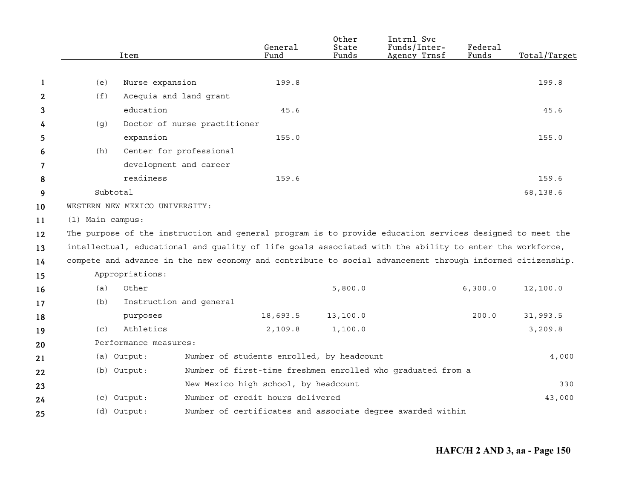|    |                  | Item                           |                              | General<br>Fund                           | Other<br>State<br>Funds | Intrnl Svc<br>Funds/Inter-<br>Agency Trnsf                                                                | Federal<br>Funds | Total/Target |
|----|------------------|--------------------------------|------------------------------|-------------------------------------------|-------------------------|-----------------------------------------------------------------------------------------------------------|------------------|--------------|
|    |                  |                                |                              |                                           |                         |                                                                                                           |                  |              |
| 1  | (e)              | Nurse expansion                |                              | 199.8                                     |                         |                                                                                                           |                  | 199.8        |
| 2  | (f)              |                                | Acequia and land grant       |                                           |                         |                                                                                                           |                  |              |
| 3  |                  | education                      |                              | 45.6                                      |                         |                                                                                                           |                  | 45.6         |
| 4  | (g)              |                                | Doctor of nurse practitioner |                                           |                         |                                                                                                           |                  |              |
| 5  |                  | expansion                      |                              | 155.0                                     |                         |                                                                                                           |                  | 155.0        |
| 6  | (h)              |                                | Center for professional      |                                           |                         |                                                                                                           |                  |              |
| 7  |                  |                                | development and career       |                                           |                         |                                                                                                           |                  |              |
| 8  |                  | readiness                      |                              | 159.6                                     |                         |                                                                                                           |                  | 159.6        |
| 9  | Subtotal         |                                |                              |                                           |                         |                                                                                                           |                  | 68,138.6     |
| 10 |                  | WESTERN NEW MEXICO UNIVERSITY: |                              |                                           |                         |                                                                                                           |                  |              |
| 11 | (1) Main campus: |                                |                              |                                           |                         |                                                                                                           |                  |              |
| 12 |                  |                                |                              |                                           |                         | The purpose of the instruction and general program is to provide education services designed to meet the  |                  |              |
| 13 |                  |                                |                              |                                           |                         | intellectual, educational and quality of life goals associated with the ability to enter the workforce,   |                  |              |
| 14 |                  |                                |                              |                                           |                         | compete and advance in the new economy and contribute to social advancement through informed citizenship. |                  |              |
| 15 |                  | Appropriations:                |                              |                                           |                         |                                                                                                           |                  |              |
| 16 | (a)              | Other                          |                              |                                           | 5,800.0                 |                                                                                                           | 6,300.0          | 12,100.0     |
| 17 | (b)              |                                | Instruction and general      |                                           |                         |                                                                                                           |                  |              |
| 18 |                  | purposes                       |                              | 18,693.5                                  | 13, 100.0               |                                                                                                           | 200.0            | 31,993.5     |
| 19 | (c)              | Athletics                      |                              | 2,109.8                                   | 1,100.0                 |                                                                                                           |                  | 3,209.8      |
| 20 |                  | Performance measures:          |                              |                                           |                         |                                                                                                           |                  |              |
| 21 |                  | (a) Output:                    |                              | Number of students enrolled, by headcount |                         |                                                                                                           |                  | 4,000        |
| 22 |                  | (b) Output:                    |                              |                                           |                         | Number of first-time freshmen enrolled who graduated from a                                               |                  |              |
| 23 |                  |                                |                              | New Mexico high school, by headcount      |                         |                                                                                                           |                  | 330          |
| 24 |                  | (c) Output:                    |                              | Number of credit hours delivered          |                         |                                                                                                           |                  | 43,000       |
| 25 |                  | (d) Output:                    |                              |                                           |                         | Number of certificates and associate degree awarded within                                                |                  |              |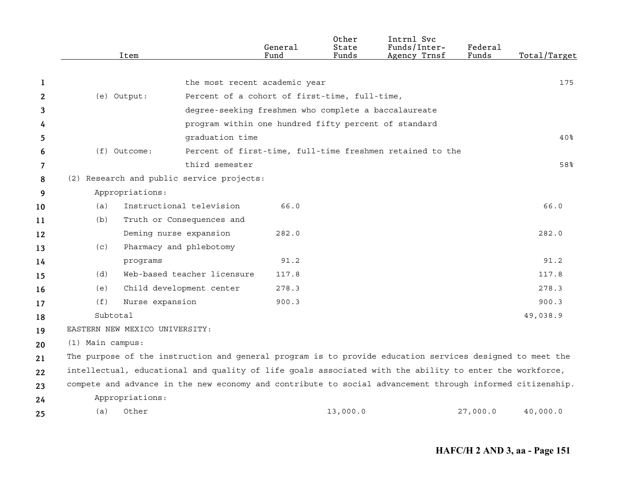|    |                    | Item                           |                                                                                                           | General<br>Fund | Other<br>State<br>Funds | Intrnl Svc<br>Funds/Inter-<br>Agency Trnsf                | Federal<br>Funds | Total/Target    |
|----|--------------------|--------------------------------|-----------------------------------------------------------------------------------------------------------|-----------------|-------------------------|-----------------------------------------------------------|------------------|-----------------|
|    |                    |                                |                                                                                                           |                 |                         |                                                           |                  |                 |
| 1  |                    |                                | the most recent academic year                                                                             |                 |                         |                                                           |                  | 175             |
| 2  |                    | (e) Output:                    | Percent of a cohort of first-time, full-time,                                                             |                 |                         |                                                           |                  |                 |
| 3  |                    |                                | degree-seeking freshmen who complete a baccalaureate                                                      |                 |                         |                                                           |                  |                 |
| 4  |                    |                                | program within one hundred fifty percent of standard                                                      |                 |                         |                                                           |                  |                 |
| 5  |                    |                                | graduation time                                                                                           |                 |                         |                                                           |                  | 40 <sub>8</sub> |
| 6  |                    | $(f)$ Outcome:                 |                                                                                                           |                 |                         | Percent of first-time, full-time freshmen retained to the |                  |                 |
| 7  |                    |                                | third semester                                                                                            |                 |                         |                                                           |                  | 58%             |
| 8  |                    |                                | (2) Research and public service projects:                                                                 |                 |                         |                                                           |                  |                 |
| 9  |                    | Appropriations:                |                                                                                                           |                 |                         |                                                           |                  |                 |
| 10 | (a)                |                                | Instructional television                                                                                  | 66.0            |                         |                                                           |                  | 66.0            |
| 11 | (b)                |                                | Truth or Consequences and                                                                                 |                 |                         |                                                           |                  |                 |
| 12 |                    | Deming nurse expansion         |                                                                                                           | 282.0           |                         |                                                           |                  | 282.0           |
| 13 | (C)                |                                | Pharmacy and phlebotomy                                                                                   |                 |                         |                                                           |                  |                 |
| 14 |                    | programs                       |                                                                                                           | 91.2            |                         |                                                           |                  | 91.2            |
| 15 | (d)                |                                | Web-based teacher licensure                                                                               | 117.8           |                         |                                                           |                  | 117.8           |
| 16 | (e)                |                                | Child development center                                                                                  | 278.3           |                         |                                                           |                  | 278.3           |
| 17 | (f)                | Nurse expansion                |                                                                                                           | 900.3           |                         |                                                           |                  | 900.3           |
| 18 | Subtotal           |                                |                                                                                                           |                 |                         |                                                           |                  | 49,038.9        |
| 19 |                    | EASTERN NEW MEXICO UNIVERSITY: |                                                                                                           |                 |                         |                                                           |                  |                 |
| 20 | $(1)$ Main campus: |                                |                                                                                                           |                 |                         |                                                           |                  |                 |
| 21 |                    |                                | The purpose of the instruction and general program is to provide education services designed to meet the  |                 |                         |                                                           |                  |                 |
| 22 |                    |                                | intellectual, educational and quality of life goals associated with the ability to enter the workforce,   |                 |                         |                                                           |                  |                 |
| 23 |                    |                                | compete and advance in the new economy and contribute to social advancement through informed citizenship. |                 |                         |                                                           |                  |                 |
| 24 |                    | Appropriations:                |                                                                                                           |                 |                         |                                                           |                  |                 |
| 25 | (a)                | Other                          |                                                                                                           |                 | 13,000.0                |                                                           | 27,000.0         | 40,000.0        |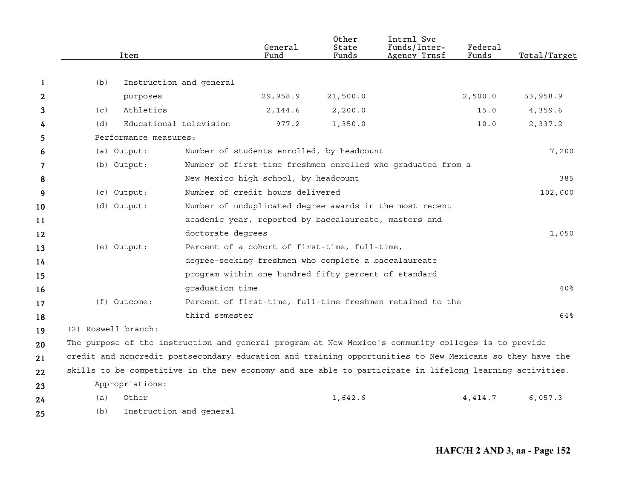|    | Item                |                                                                                                          | General<br>Fund                                       | Other<br>State<br>Funds | Intrnl Svc<br>Funds/Inter-<br>Agency Trnsf                  | Federal<br>Funds | Total/Target |
|----|---------------------|----------------------------------------------------------------------------------------------------------|-------------------------------------------------------|-------------------------|-------------------------------------------------------------|------------------|--------------|
| 1  | (b)                 | Instruction and general                                                                                  |                                                       |                         |                                                             |                  |              |
| 2  |                     | purposes                                                                                                 | 29,958.9                                              | 21,500.0                |                                                             | 2,500.0          | 53,958.9     |
| 3  | (c)                 | Athletics                                                                                                | 2,144.6                                               | 2, 200.0                |                                                             | 15.0             | 4,359.6      |
| 4  | (d)                 | Educational television                                                                                   | 977.2                                                 | 1,350.0                 |                                                             | 10.0             | 2,337.2      |
| 5  |                     | Performance measures:                                                                                    |                                                       |                         |                                                             |                  |              |
| 6  | (a) Output:         |                                                                                                          | Number of students enrolled, by headcount             |                         |                                                             |                  | 7,200        |
| 7  | (b) Output:         |                                                                                                          |                                                       |                         | Number of first-time freshmen enrolled who graduated from a |                  |              |
| 8  |                     |                                                                                                          | New Mexico high school, by headcount                  |                         |                                                             |                  | 385          |
| 9  | (c) Output:         |                                                                                                          | Number of credit hours delivered                      |                         |                                                             |                  | 102,000      |
| 10 | (d) Output:         |                                                                                                          |                                                       |                         | Number of unduplicated degree awards in the most recent     |                  |              |
| 11 |                     |                                                                                                          | academic year, reported by baccalaureate, masters and |                         |                                                             |                  |              |
| 12 |                     | doctorate degrees                                                                                        |                                                       |                         |                                                             |                  | 1,050        |
| 13 | (e) Output:         |                                                                                                          | Percent of a cohort of first-time, full-time,         |                         |                                                             |                  |              |
| 14 |                     |                                                                                                          | degree-seeking freshmen who complete a baccalaureate  |                         |                                                             |                  |              |
| 15 |                     |                                                                                                          | program within one hundred fifty percent of standard  |                         |                                                             |                  |              |
| 16 |                     | graduation time                                                                                          |                                                       |                         |                                                             |                  | 40%          |
| 17 | $(f)$ Outcome:      |                                                                                                          |                                                       |                         | Percent of first-time, full-time freshmen retained to the   |                  |              |
| 18 |                     | third semester                                                                                           |                                                       |                         |                                                             |                  | 64%          |
| 19 | (2) Roswell branch: |                                                                                                          |                                                       |                         |                                                             |                  |              |
| 20 |                     | The purpose of the instruction and general program at New Mexico's community colleges is to provide      |                                                       |                         |                                                             |                  |              |
| 21 |                     | credit and noncredit postsecondary education and training opportunities to New Mexicans so they have the |                                                       |                         |                                                             |                  |              |
| 22 |                     | skills to be competitive in the new economy and are able to participate in lifelong learning activities. |                                                       |                         |                                                             |                  |              |
| 23 | Appropriations:     |                                                                                                          |                                                       |                         |                                                             |                  |              |
| 24 | Other<br>(a)        |                                                                                                          |                                                       | 1,642.6                 |                                                             | 4,414.7          | 6,057.3      |
| 25 | (b)                 | Instruction and general                                                                                  |                                                       |                         |                                                             |                  |              |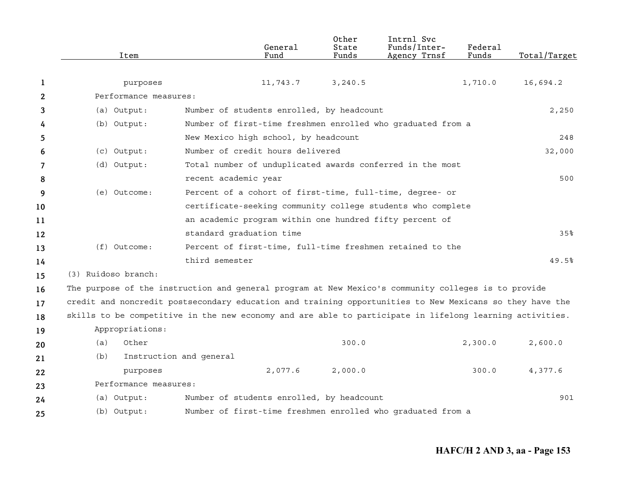|    | Item                  | General<br>Fund                                                                                          | Other<br>State<br>Funds | Intrnl Svc<br>Funds/Inter-<br>Agency Trnsf | Federal<br>Funds | Total/Target |
|----|-----------------------|----------------------------------------------------------------------------------------------------------|-------------------------|--------------------------------------------|------------------|--------------|
|    |                       |                                                                                                          |                         |                                            |                  |              |
| 1  | purposes              | 11,743.7                                                                                                 | 3, 240.5                |                                            | 1,710.0          | 16,694.2     |
| 2  | Performance measures: |                                                                                                          |                         |                                            |                  |              |
| 3  | (a) Output:           | Number of students enrolled, by headcount                                                                |                         |                                            |                  | 2,250        |
| 4  | (b) Output:           | Number of first-time freshmen enrolled who graduated from a                                              |                         |                                            |                  |              |
| 5  |                       | New Mexico high school, by headcount                                                                     |                         |                                            |                  | 248          |
| 6  | (c) Output:           | Number of credit hours delivered                                                                         |                         |                                            |                  | 32,000       |
| 7  | (d) Output:           | Total number of unduplicated awards conferred in the most                                                |                         |                                            |                  |              |
| 8  |                       | recent academic year                                                                                     |                         |                                            |                  | 500          |
| 9  | (e) Outcome:          | Percent of a cohort of first-time, full-time, degree- or                                                 |                         |                                            |                  |              |
| 10 |                       | certificate-seeking community college students who complete                                              |                         |                                            |                  |              |
| 11 |                       | an academic program within one hundred fifty percent of                                                  |                         |                                            |                  |              |
| 12 |                       | standard graduation time                                                                                 |                         |                                            |                  | 35%          |
| 13 | $(f)$ Outcome:        | Percent of first-time, full-time freshmen retained to the                                                |                         |                                            |                  |              |
| 14 |                       | third semester                                                                                           |                         |                                            |                  | 49.5%        |
| 15 | (3) Ruidoso branch:   |                                                                                                          |                         |                                            |                  |              |
| 16 |                       | The purpose of the instruction and general program at New Mexico's community colleges is to provide      |                         |                                            |                  |              |
| 17 |                       | credit and noncredit postsecondary education and training opportunities to New Mexicans so they have the |                         |                                            |                  |              |
| 18 |                       | skills to be competitive in the new economy and are able to participate in lifelong learning activities. |                         |                                            |                  |              |
| 19 | Appropriations:       |                                                                                                          |                         |                                            |                  |              |
| 20 | Other<br>(a)          |                                                                                                          | 300.0                   |                                            | 2,300.0          | 2,600.0      |
| 21 | (b)                   | Instruction and general                                                                                  |                         |                                            |                  |              |
| 22 | purposes              | 2,077.6                                                                                                  | 2,000.0                 |                                            | 300.0            | 4,377.6      |
| 23 | Performance measures: |                                                                                                          |                         |                                            |                  |              |
| 24 | (a) Output:           | Number of students enrolled, by headcount                                                                |                         |                                            |                  | 901          |
| 25 | (b) Output:           | Number of first-time freshmen enrolled who graduated from a                                              |                         |                                            |                  |              |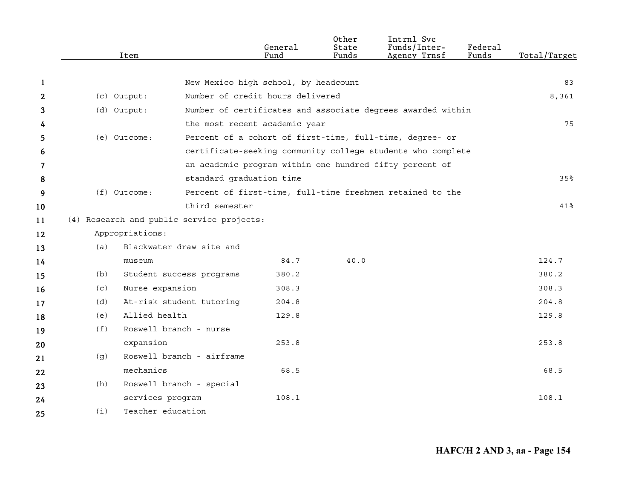|              |     | Item              |                                           | General<br>Fund | Other<br>State<br>Funds | Intrnl Svc<br>Funds/Inter-<br>Agency Trnsf                  | Federal<br>Funds | Total/Target |
|--------------|-----|-------------------|-------------------------------------------|-----------------|-------------------------|-------------------------------------------------------------|------------------|--------------|
|              |     |                   |                                           |                 |                         |                                                             |                  |              |
| 1            |     |                   | New Mexico high school, by headcount      |                 |                         |                                                             |                  | 83           |
| $\mathbf{2}$ |     | (c) Output:       | Number of credit hours delivered          |                 |                         |                                                             |                  | 8,361        |
| 3            |     | (d) Output:       |                                           |                 |                         | Number of certificates and associate degrees awarded within |                  |              |
| 4            |     |                   | the most recent academic year             |                 |                         |                                                             |                  | 75           |
| 5.           |     | (e) Outcome:      |                                           |                 |                         | Percent of a cohort of first-time, full-time, degree- or    |                  |              |
| 6            |     |                   |                                           |                 |                         | certificate-seeking community college students who complete |                  |              |
| 7            |     |                   |                                           |                 |                         | an academic program within one hundred fifty percent of     |                  |              |
| 8            |     |                   | standard graduation time                  |                 |                         |                                                             |                  | 35%          |
| 9            |     | (f) Outcome:      |                                           |                 |                         | Percent of first-time, full-time freshmen retained to the   |                  |              |
| 10           |     |                   | third semester                            |                 |                         |                                                             |                  | $41\%$       |
| 11           |     |                   | (4) Research and public service projects: |                 |                         |                                                             |                  |              |
| 12           |     | Appropriations:   |                                           |                 |                         |                                                             |                  |              |
| 13           | (a) |                   | Blackwater draw site and                  |                 |                         |                                                             |                  |              |
| 14           |     | museum            |                                           | 84.7            | 40.0                    |                                                             |                  | 124.7        |
| 15           | (b) |                   | Student success programs                  | 380.2           |                         |                                                             |                  | 380.2        |
| 16           | (c) | Nurse expansion   |                                           | 308.3           |                         |                                                             |                  | 308.3        |
| 17           | (d) |                   | At-risk student tutoring                  | 204.8           |                         |                                                             |                  | 204.8        |
| 18           | (e) | Allied health     |                                           | 129.8           |                         |                                                             |                  | 129.8        |
| 19           | (f) |                   | Roswell branch - nurse                    |                 |                         |                                                             |                  |              |
| 20           |     | expansion         |                                           | 253.8           |                         |                                                             |                  | 253.8        |
| 21           | (q) |                   | Roswell branch - airframe                 |                 |                         |                                                             |                  |              |
| 22           |     | mechanics         |                                           | 68.5            |                         |                                                             |                  | 68.5         |
| 23           | (h) |                   | Roswell branch - special                  |                 |                         |                                                             |                  |              |
| 24           |     | services program  |                                           | 108.1           |                         |                                                             |                  | 108.1        |
| 25           | (i) | Teacher education |                                           |                 |                         |                                                             |                  |              |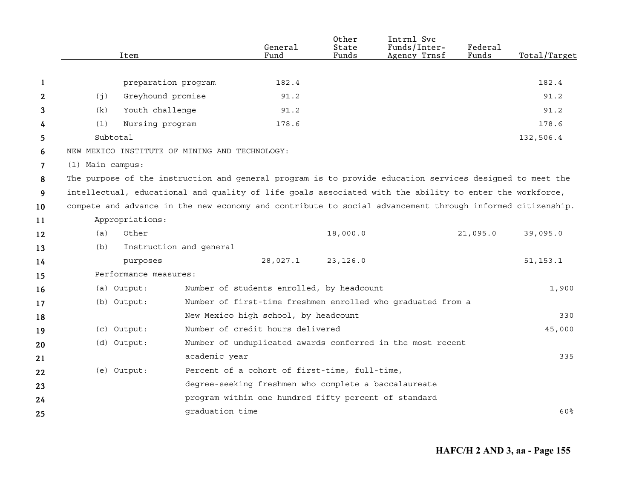|                |                  | Item                  |                                                | General<br>Fund                                      | Other<br>State<br>Funds | Intrnl Svc<br>Funds/Inter-<br>Agency Trnsf                                                                | Federal<br>Funds | Total/Target |
|----------------|------------------|-----------------------|------------------------------------------------|------------------------------------------------------|-------------------------|-----------------------------------------------------------------------------------------------------------|------------------|--------------|
|                |                  |                       |                                                |                                                      |                         |                                                                                                           |                  |              |
| 1              |                  | preparation program   |                                                | 182.4                                                |                         |                                                                                                           |                  | 182.4        |
| 2              | (j)              | Greyhound promise     |                                                | 91.2                                                 |                         |                                                                                                           |                  | 91.2         |
| 3              | (k)              | Youth challenge       |                                                | 91.2                                                 |                         |                                                                                                           |                  | 91.2         |
| 4              | (1)              | Nursing program       |                                                | 178.6                                                |                         |                                                                                                           |                  | 178.6        |
| 5              | Subtotal         |                       |                                                |                                                      |                         |                                                                                                           |                  | 132,506.4    |
| 6              |                  |                       | NEW MEXICO INSTITUTE OF MINING AND TECHNOLOGY: |                                                      |                         |                                                                                                           |                  |              |
| $\overline{7}$ | (1) Main campus: |                       |                                                |                                                      |                         |                                                                                                           |                  |              |
| 8              |                  |                       |                                                |                                                      |                         | The purpose of the instruction and general program is to provide education services designed to meet the  |                  |              |
| 9              |                  |                       |                                                |                                                      |                         | intellectual, educational and quality of life goals associated with the ability to enter the workforce,   |                  |              |
| 10             |                  |                       |                                                |                                                      |                         | compete and advance in the new economy and contribute to social advancement through informed citizenship. |                  |              |
| 11             |                  | Appropriations:       |                                                |                                                      |                         |                                                                                                           |                  |              |
| 12             | (a)              | Other                 |                                                |                                                      | 18,000.0                |                                                                                                           | 21,095.0         | 39,095.0     |
| 13             | (b)              |                       | Instruction and general                        |                                                      |                         |                                                                                                           |                  |              |
| 14             |                  | purposes              |                                                | 28,027.1                                             | 23, 126.0               |                                                                                                           |                  | 51, 153.1    |
| 15             |                  | Performance measures: |                                                |                                                      |                         |                                                                                                           |                  |              |
| 16             |                  | (a) Output:           |                                                | Number of students enrolled, by headcount            |                         |                                                                                                           |                  | 1,900        |
| 17             |                  | (b) Output:           |                                                |                                                      |                         | Number of first-time freshmen enrolled who graduated from a                                               |                  |              |
| 18             |                  |                       |                                                | New Mexico high school, by headcount                 |                         |                                                                                                           |                  | 330          |
| 19             |                  | (c) Output:           |                                                | Number of credit hours delivered                     |                         |                                                                                                           |                  | 45,000       |
| 20             |                  | (d) Output:           |                                                |                                                      |                         | Number of unduplicated awards conferred in the most recent                                                |                  |              |
| 21             |                  |                       | academic year                                  |                                                      |                         |                                                                                                           |                  | 335          |
| 22             |                  | (e) Output:           |                                                | Percent of a cohort of first-time, full-time,        |                         |                                                                                                           |                  |              |
| 23             |                  |                       |                                                | degree-seeking freshmen who complete a baccalaureate |                         |                                                                                                           |                  |              |
| 24             |                  |                       |                                                | program within one hundred fifty percent of standard |                         |                                                                                                           |                  |              |
| 25             |                  |                       | qraduation time                                |                                                      |                         |                                                                                                           |                  | 60%          |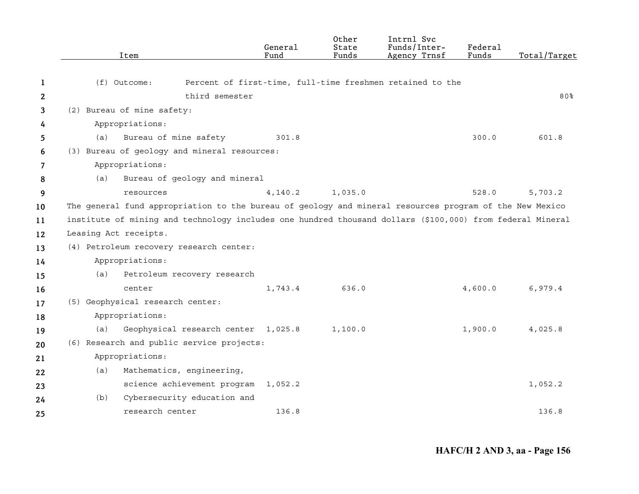|    | Item                                                                                                      |                                     | General<br>Fund | Other<br>State<br>Funds | Intrnl Svc<br>Funds/Inter-<br>Agency Trnsf                | Federal<br>Funds | Total/Target |
|----|-----------------------------------------------------------------------------------------------------------|-------------------------------------|-----------------|-------------------------|-----------------------------------------------------------|------------------|--------------|
| 1  | $(f)$ Outcome:                                                                                            |                                     |                 |                         | Percent of first-time, full-time freshmen retained to the |                  |              |
| 2  |                                                                                                           | third semester                      |                 |                         |                                                           |                  | 80%          |
| 3  | (2) Bureau of mine safety:                                                                                |                                     |                 |                         |                                                           |                  |              |
| 4  | Appropriations:                                                                                           |                                     |                 |                         |                                                           |                  |              |
| 5  | (a)                                                                                                       | Bureau of mine safety               | 301.8           |                         |                                                           | 300.0            | 601.8        |
| 6  | (3) Bureau of geology and mineral resources:                                                              |                                     |                 |                         |                                                           |                  |              |
| 7  | Appropriations:                                                                                           |                                     |                 |                         |                                                           |                  |              |
| 8  | (a)                                                                                                       | Bureau of geology and mineral       |                 |                         |                                                           |                  |              |
| 9  | resources                                                                                                 |                                     | 4,140.2         | 1,035.0                 |                                                           | 528.0            | 5,703.2      |
| 10 | The general fund appropriation to the bureau of geology and mineral resources program of the New Mexico   |                                     |                 |                         |                                                           |                  |              |
| 11 | institute of mining and technology includes one hundred thousand dollars (\$100,000) from federal Mineral |                                     |                 |                         |                                                           |                  |              |
| 12 | Leasing Act receipts.                                                                                     |                                     |                 |                         |                                                           |                  |              |
| 13 | (4) Petroleum recovery research center:                                                                   |                                     |                 |                         |                                                           |                  |              |
| 14 | Appropriations:                                                                                           |                                     |                 |                         |                                                           |                  |              |
| 15 | (a)                                                                                                       | Petroleum recovery research         |                 |                         |                                                           |                  |              |
| 16 | center                                                                                                    |                                     | 1,743.4         | 636.0                   |                                                           | 4,600.0          | 6,979.4      |
| 17 | (5) Geophysical research center:                                                                          |                                     |                 |                         |                                                           |                  |              |
| 18 | Appropriations:                                                                                           |                                     |                 |                         |                                                           |                  |              |
| 19 | (a)                                                                                                       | Geophysical research center 1,025.8 |                 | 1,100.0                 |                                                           | 1,900.0          | 4,025.8      |
| 20 | (6) Research and public service projects:                                                                 |                                     |                 |                         |                                                           |                  |              |
| 21 | Appropriations:                                                                                           |                                     |                 |                         |                                                           |                  |              |
| 22 | (a)                                                                                                       | Mathematics, engineering,           |                 |                         |                                                           |                  |              |
| 23 |                                                                                                           | science achievement program         | 1,052.2         |                         |                                                           |                  | 1,052.2      |
| 24 | (b)                                                                                                       | Cybersecurity education and         |                 |                         |                                                           |                  |              |
| 25 | research center                                                                                           |                                     | 136.8           |                         |                                                           |                  | 136.8        |
|    |                                                                                                           |                                     |                 |                         |                                                           |                  |              |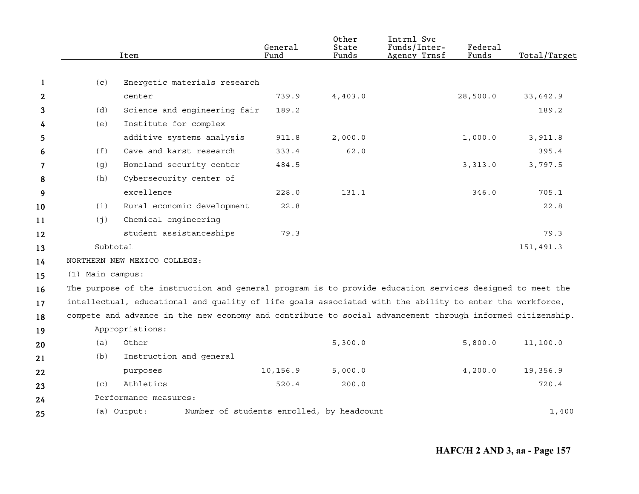|              |                  | Item                                                                                                      | General<br>Fund | Other<br>State<br>Funds | Intrnl Svc<br>Funds/Inter-<br>Agency Trnsf | Federal<br>Funds | Total/Target |
|--------------|------------------|-----------------------------------------------------------------------------------------------------------|-----------------|-------------------------|--------------------------------------------|------------------|--------------|
|              |                  |                                                                                                           |                 |                         |                                            |                  |              |
| 1            | (c)              | Energetic materials research                                                                              |                 |                         |                                            |                  |              |
| $\mathbf{2}$ |                  | center                                                                                                    | 739.9           | 4,403.0                 |                                            | 28,500.0         | 33,642.9     |
| 3            | (d)              | Science and engineering fair                                                                              | 189.2           |                         |                                            |                  | 189.2        |
| 4            | (e)              | Institute for complex                                                                                     |                 |                         |                                            |                  |              |
| 5            |                  | additive systems analysis                                                                                 | 911.8           | 2,000.0                 |                                            | 1,000.0          | 3,911.8      |
| 6            | (f)              | Cave and karst research                                                                                   | 333.4           | 62.0                    |                                            |                  | 395.4        |
| 7            | (g)              | Homeland security center                                                                                  | 484.5           |                         |                                            | 3,313.0          | 3,797.5      |
| 8            | (h)              | Cybersecurity center of                                                                                   |                 |                         |                                            |                  |              |
| 9            |                  | excellence                                                                                                | 228.0           | 131.1                   |                                            | 346.0            | 705.1        |
| 10           | (i)              | Rural economic development                                                                                | 22.8            |                         |                                            |                  | 22.8         |
| 11           | (j)              | Chemical engineering                                                                                      |                 |                         |                                            |                  |              |
| 12           |                  | student assistanceships                                                                                   | 79.3            |                         |                                            |                  | 79.3         |
| 13           | Subtotal         |                                                                                                           |                 |                         |                                            |                  | 151,491.3    |
| 14           |                  | NORTHERN NEW MEXICO COLLEGE:                                                                              |                 |                         |                                            |                  |              |
| 15           | (1) Main campus: |                                                                                                           |                 |                         |                                            |                  |              |
| 16           |                  | The purpose of the instruction and general program is to provide education services designed to meet the  |                 |                         |                                            |                  |              |
| 17           |                  | intellectual, educational and quality of life goals associated with the ability to enter the workforce,   |                 |                         |                                            |                  |              |
| 18           |                  | compete and advance in the new economy and contribute to social advancement through informed citizenship. |                 |                         |                                            |                  |              |
| 19           |                  | Appropriations:                                                                                           |                 |                         |                                            |                  |              |
| 20           | (a)              | Other                                                                                                     |                 | 5,300.0                 |                                            | 5,800.0          | 11,100.0     |
| 21           | (b)              | Instruction and general                                                                                   |                 |                         |                                            |                  |              |
| 22           |                  | purposes                                                                                                  | 10,156.9        | 5,000.0                 |                                            | 4,200.0          | 19,356.9     |
| 23           | (c)              | Athletics                                                                                                 | 520.4           | 200.0                   |                                            |                  | 720.4        |
| 24           |                  | Performance measures:                                                                                     |                 |                         |                                            |                  |              |
| 25           |                  | Number of students enrolled, by headcount<br>(a) Output:                                                  |                 |                         |                                            |                  | 1,400        |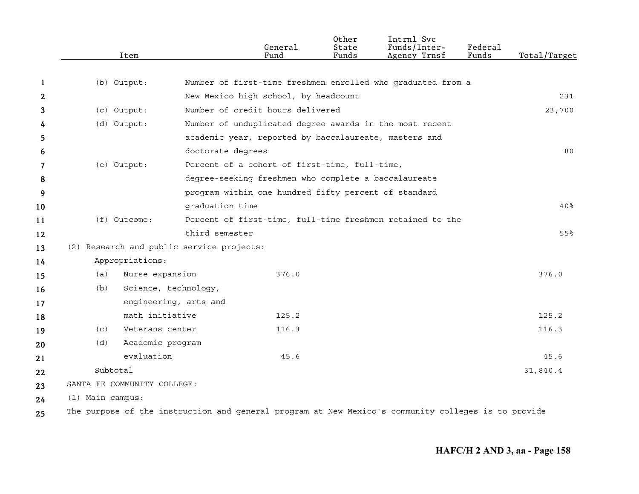|              |                  | Item                        |                                           | General<br>Fund                                       | Other<br>State<br>Funds | Intrnl Svc<br>Funds/Inter-<br>Agency Trnsf                  | Federal<br>Funds | Total/Target |
|--------------|------------------|-----------------------------|-------------------------------------------|-------------------------------------------------------|-------------------------|-------------------------------------------------------------|------------------|--------------|
|              |                  |                             |                                           |                                                       |                         |                                                             |                  |              |
| -1           |                  | (b) Output:                 |                                           |                                                       |                         | Number of first-time freshmen enrolled who graduated from a |                  |              |
| $\mathbf{2}$ |                  |                             |                                           | New Mexico high school, by headcount                  |                         |                                                             |                  | 231          |
| 3            |                  | (c) Output:                 |                                           | Number of credit hours delivered                      |                         |                                                             |                  | 23,700       |
| 4            |                  | (d) Output:                 |                                           |                                                       |                         | Number of unduplicated degree awards in the most recent     |                  |              |
| 5            |                  |                             |                                           | academic year, reported by baccalaureate, masters and |                         |                                                             |                  |              |
| 6            |                  |                             | doctorate degrees                         |                                                       |                         |                                                             |                  | 80           |
| 7            |                  | (e) Output:                 |                                           | Percent of a cohort of first-time, full-time,         |                         |                                                             |                  |              |
| 8            |                  |                             |                                           | degree-seeking freshmen who complete a baccalaureate  |                         |                                                             |                  |              |
| 9            |                  |                             |                                           | program within one hundred fifty percent of standard  |                         |                                                             |                  |              |
| 10           |                  |                             | graduation time                           |                                                       |                         |                                                             |                  | 40%          |
| 11           |                  | $(f)$ Outcome:              |                                           |                                                       |                         | Percent of first-time, full-time freshmen retained to the   |                  |              |
| 12           |                  |                             | third semester                            |                                                       |                         |                                                             |                  | 55%          |
| 13           |                  |                             | (2) Research and public service projects: |                                                       |                         |                                                             |                  |              |
| 14           |                  | Appropriations:             |                                           |                                                       |                         |                                                             |                  |              |
| 15           | (a)              | Nurse expansion             |                                           | 376.0                                                 |                         |                                                             |                  | 376.0        |
| 16           | (b)              | Science, technology,        |                                           |                                                       |                         |                                                             |                  |              |
| 17           |                  | engineering, arts and       |                                           |                                                       |                         |                                                             |                  |              |
| 18           |                  | math initiative             |                                           | 125.2                                                 |                         |                                                             |                  | 125.2        |
| 19           | (C)              | Veterans center             |                                           | 116.3                                                 |                         |                                                             |                  | 116.3        |
| 20           | (d)              | Academic program            |                                           |                                                       |                         |                                                             |                  |              |
| 21           |                  | evaluation                  |                                           | 45.6                                                  |                         |                                                             |                  | 45.6         |
| 22           | Subtotal         |                             |                                           |                                                       |                         |                                                             |                  | 31,840.4     |
| 23           |                  | SANTA FE COMMUNITY COLLEGE: |                                           |                                                       |                         |                                                             |                  |              |
| 24           | (1) Main campus: |                             |                                           |                                                       |                         |                                                             |                  |              |
|              |                  |                             |                                           |                                                       |                         |                                                             |                  |              |

**25** The purpose of the instruction and general program at New Mexico's community colleges is to provide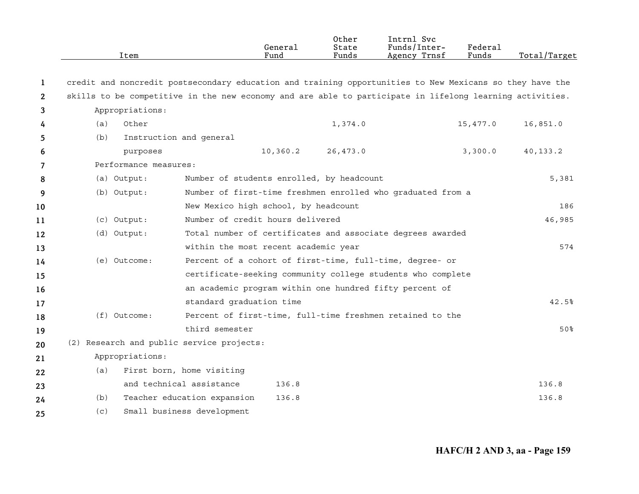|                       | Item                  |                                                                                                          | General<br>Fund                  | 0ther<br>State<br>Funds                   | Intrnl Svc<br>Funds/Inter-<br>Agency Trnsf                  | Federal<br>Funds | Total/Target |
|-----------------------|-----------------------|----------------------------------------------------------------------------------------------------------|----------------------------------|-------------------------------------------|-------------------------------------------------------------|------------------|--------------|
| 1                     |                       | credit and noncredit postsecondary education and training opportunities to New Mexicans so they have the |                                  |                                           |                                                             |                  |              |
| $\mathbf{2}^{\prime}$ |                       | skills to be competitive in the new economy and are able to participate in lifelong learning activities. |                                  |                                           |                                                             |                  |              |
| 3                     | Appropriations:       |                                                                                                          |                                  |                                           |                                                             |                  |              |
| 4                     | (a)<br>Other          |                                                                                                          |                                  | 1,374.0                                   |                                                             | 15,477.0         | 16,851.0     |
| 5                     | (b)                   | Instruction and general                                                                                  |                                  |                                           |                                                             |                  |              |
| 6                     | purposes              |                                                                                                          | 10,360.2                         | 26,473.0                                  |                                                             | 3,300.0          | 40, 133.2    |
| 7                     | Performance measures: |                                                                                                          |                                  |                                           |                                                             |                  |              |
| 8                     | (a) Output:           |                                                                                                          |                                  | Number of students enrolled, by headcount |                                                             |                  | 5,381        |
| 9                     | (b) Output:           |                                                                                                          |                                  |                                           | Number of first-time freshmen enrolled who graduated from a |                  |              |
| 10                    |                       | New Mexico high school, by headcount                                                                     |                                  |                                           |                                                             |                  | 186          |
| 11                    | (c) Output:           |                                                                                                          | Number of credit hours delivered |                                           |                                                             |                  | 46,985       |
| $12 \,$               | (d) Output:           |                                                                                                          |                                  |                                           | Total number of certificates and associate degrees awarded  |                  |              |
| 13                    |                       | within the most recent academic year                                                                     |                                  |                                           |                                                             |                  | 574          |
| 14                    | (e) Outcome:          |                                                                                                          |                                  |                                           | Percent of a cohort of first-time, full-time, degree- or    |                  |              |
| 15                    |                       |                                                                                                          |                                  |                                           | certificate-seeking community college students who complete |                  |              |
| 16                    |                       |                                                                                                          |                                  |                                           | an academic program within one hundred fifty percent of     |                  |              |
| 17                    |                       | standard graduation time                                                                                 |                                  |                                           |                                                             |                  | 42.5%        |
| 18                    | $(f)$ Outcome:        |                                                                                                          |                                  |                                           | Percent of first-time, full-time freshmen retained to the   |                  |              |
| 19                    |                       | third semester                                                                                           |                                  |                                           |                                                             |                  | 50%          |
| 20                    |                       | (2) Research and public service projects:                                                                |                                  |                                           |                                                             |                  |              |
| 21                    | Appropriations:       |                                                                                                          |                                  |                                           |                                                             |                  |              |
| 22                    | (a)                   | First born, home visiting                                                                                |                                  |                                           |                                                             |                  |              |
| 23                    |                       | and technical assistance                                                                                 | 136.8                            |                                           |                                                             |                  | 136.8        |
| 24                    | (b)                   | Teacher education expansion                                                                              | 136.8                            |                                           |                                                             |                  | 136.8        |
| 25                    | (c)                   | Small business development                                                                               |                                  |                                           |                                                             |                  |              |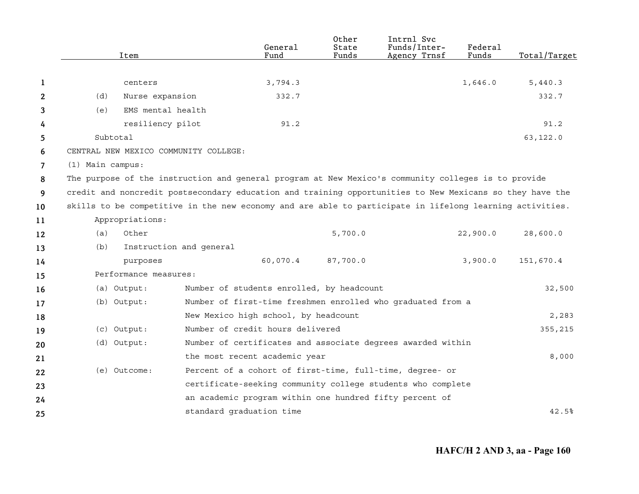|                |                  | Item                  |                                       | General<br>Fund                                                                                          | Other<br>State<br>Funds | Intrnl Svc<br>Funds/Inter-<br>Agency Trnsf | Federal<br>Funds | Total/Target |
|----------------|------------------|-----------------------|---------------------------------------|----------------------------------------------------------------------------------------------------------|-------------------------|--------------------------------------------|------------------|--------------|
|                |                  |                       |                                       |                                                                                                          |                         |                                            |                  |              |
| 1              |                  | centers               |                                       | 3,794.3                                                                                                  |                         |                                            | 1,646.0          | 5,440.3      |
| 2              | (d)              | Nurse expansion       |                                       | 332.7                                                                                                    |                         |                                            |                  | 332.7        |
| 3              | (e)              | EMS mental health     |                                       |                                                                                                          |                         |                                            |                  |              |
| 4              |                  | resiliency pilot      |                                       | 91.2                                                                                                     |                         |                                            |                  | 91.2         |
| 5              | Subtotal         |                       |                                       |                                                                                                          |                         |                                            |                  | 63,122.0     |
| 6              |                  |                       | CENTRAL NEW MEXICO COMMUNITY COLLEGE: |                                                                                                          |                         |                                            |                  |              |
| $\overline{7}$ | (1) Main campus: |                       |                                       |                                                                                                          |                         |                                            |                  |              |
| 8              |                  |                       |                                       | The purpose of the instruction and general program at New Mexico's community colleges is to provide      |                         |                                            |                  |              |
| 9              |                  |                       |                                       | credit and noncredit postsecondary education and training opportunities to New Mexicans so they have the |                         |                                            |                  |              |
| 10             |                  |                       |                                       | skills to be competitive in the new economy and are able to participate in lifelong learning activities. |                         |                                            |                  |              |
| 11             |                  | Appropriations:       |                                       |                                                                                                          |                         |                                            |                  |              |
| 12             | (a)              | Other                 |                                       |                                                                                                          | 5,700.0                 |                                            | 22,900.0         | 28,600.0     |
| 13             | (b)              |                       | Instruction and general               |                                                                                                          |                         |                                            |                  |              |
| 14             |                  | purposes              |                                       | 60,070.4                                                                                                 | 87,700.0                |                                            | 3,900.0          | 151,670.4    |
| 15             |                  | Performance measures: |                                       |                                                                                                          |                         |                                            |                  |              |
| 16             |                  | (a) Output:           |                                       | Number of students enrolled, by headcount                                                                |                         |                                            |                  | 32,500       |
| 17             |                  | (b) Output:           |                                       | Number of first-time freshmen enrolled who graduated from a                                              |                         |                                            |                  |              |
| 18             |                  |                       |                                       | New Mexico high school, by headcount                                                                     |                         |                                            |                  | 2,283        |
| 19             |                  | (c) Output:           |                                       | Number of credit hours delivered                                                                         |                         |                                            |                  | 355,215      |
| 20             |                  | (d) Output:           |                                       | Number of certificates and associate degrees awarded within                                              |                         |                                            |                  |              |
| 21             |                  |                       |                                       | the most recent academic year                                                                            |                         |                                            |                  | 8,000        |
| 22             |                  | (e) Outcome:          |                                       | Percent of a cohort of first-time, full-time, degree- or                                                 |                         |                                            |                  |              |
| 23             |                  |                       |                                       | certificate-seeking community college students who complete                                              |                         |                                            |                  |              |
| 24             |                  |                       |                                       | an academic program within one hundred fifty percent of                                                  |                         |                                            |                  |              |
| 25             |                  |                       |                                       | standard graduation time                                                                                 |                         |                                            |                  | 42.5%        |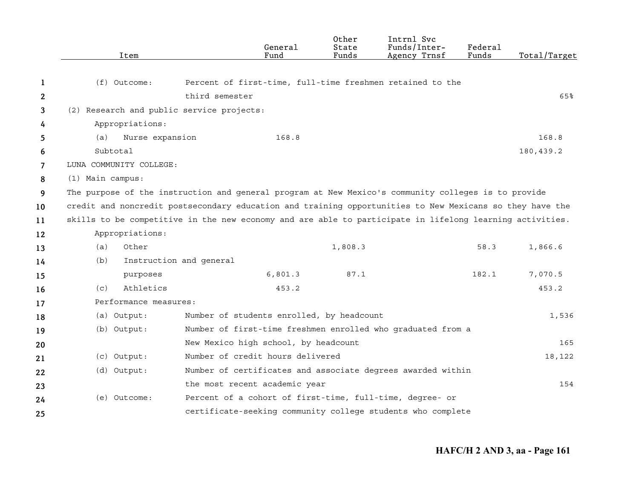|              | Item                                                                                                     |                                           | General<br>Fund | Other<br>State<br>Funds | Intrnl Svc<br>Funds/Inter-<br>Agency Trnsf                  | Federal<br>Funds | Total/Target |
|--------------|----------------------------------------------------------------------------------------------------------|-------------------------------------------|-----------------|-------------------------|-------------------------------------------------------------|------------------|--------------|
| 1            | $(f)$ Outcome:                                                                                           |                                           |                 |                         | Percent of first-time, full-time freshmen retained to the   |                  |              |
| $\mathbf{2}$ |                                                                                                          | third semester                            |                 |                         |                                                             |                  | 65%          |
| 3            | (2) Research and public service projects:                                                                |                                           |                 |                         |                                                             |                  |              |
| 4            | Appropriations:                                                                                          |                                           |                 |                         |                                                             |                  |              |
| 5            | Nurse expansion<br>(a)                                                                                   |                                           | 168.8           |                         |                                                             |                  | 168.8        |
| 6            | Subtotal                                                                                                 |                                           |                 |                         |                                                             |                  | 180,439.2    |
| 7            | LUNA COMMUNITY COLLEGE:                                                                                  |                                           |                 |                         |                                                             |                  |              |
| 8            | (1) Main campus:                                                                                         |                                           |                 |                         |                                                             |                  |              |
| 9            | The purpose of the instruction and general program at New Mexico's community colleges is to provide      |                                           |                 |                         |                                                             |                  |              |
| 10           | credit and noncredit postsecondary education and training opportunities to New Mexicans so they have the |                                           |                 |                         |                                                             |                  |              |
| 11           | skills to be competitive in the new economy and are able to participate in lifelong learning activities. |                                           |                 |                         |                                                             |                  |              |
| 12           | Appropriations:                                                                                          |                                           |                 |                         |                                                             |                  |              |
| 13           | Other<br>(a)                                                                                             |                                           |                 | 1,808.3                 |                                                             | 58.3             | 1,866.6      |
| 14           | (b)                                                                                                      | Instruction and general                   |                 |                         |                                                             |                  |              |
| 15           | purposes                                                                                                 |                                           | 6,801.3         | 87.1                    |                                                             | 182.1            | 7,070.5      |
| 16           | Athletics<br>(c)                                                                                         |                                           | 453.2           |                         |                                                             |                  | 453.2        |
| 17           | Performance measures:                                                                                    |                                           |                 |                         |                                                             |                  |              |
| 18           | (a) Output:                                                                                              | Number of students enrolled, by headcount |                 |                         |                                                             |                  | 1,536        |
| 19           | (b) Output:                                                                                              |                                           |                 |                         | Number of first-time freshmen enrolled who graduated from a |                  |              |
| 20           |                                                                                                          | New Mexico high school, by headcount      |                 |                         |                                                             |                  | 165          |
| 21           | (c) Output:                                                                                              | Number of credit hours delivered          |                 |                         |                                                             |                  | 18,122       |
| 22           | (d) Output:                                                                                              |                                           |                 |                         | Number of certificates and associate degrees awarded within |                  |              |
| 23           |                                                                                                          | the most recent academic year             |                 |                         |                                                             |                  | 154          |
| 24           | (e) Outcome:                                                                                             |                                           |                 |                         | Percent of a cohort of first-time, full-time, degree- or    |                  |              |
| 25           |                                                                                                          |                                           |                 |                         | certificate-seeking community college students who complete |                  |              |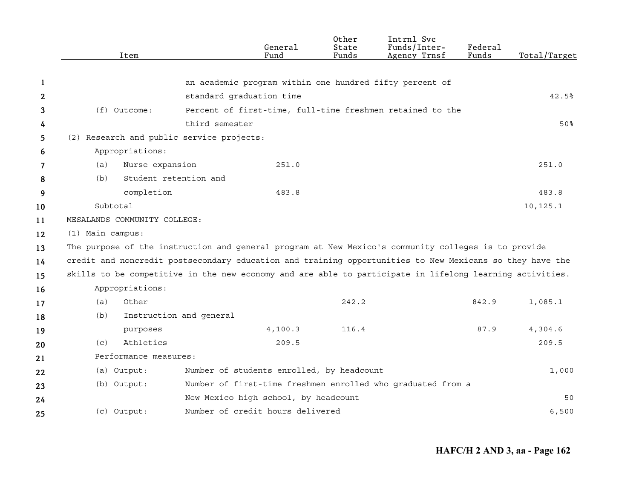|              | Item                         | General<br>Fund                                                                                          | Other<br>State<br>Funds | Intrnl Svc<br>Funds/Inter-<br>Agency Trnsf | Federal<br>Funds | Total/Target |
|--------------|------------------------------|----------------------------------------------------------------------------------------------------------|-------------------------|--------------------------------------------|------------------|--------------|
|              |                              |                                                                                                          |                         |                                            |                  |              |
| 1            |                              | an academic program within one hundred fifty percent of                                                  |                         |                                            |                  |              |
| $\mathbf{2}$ |                              | standard graduation time                                                                                 |                         |                                            |                  | 42.5%        |
| 3            | (f) Outcome:                 | Percent of first-time, full-time freshmen retained to the                                                |                         |                                            |                  |              |
| 4            |                              | third semester                                                                                           |                         |                                            |                  | 50%          |
| 5            |                              | (2) Research and public service projects:                                                                |                         |                                            |                  |              |
| 6            | Appropriations:              |                                                                                                          |                         |                                            |                  |              |
| 7            | Nurse expansion<br>(a)       | 251.0                                                                                                    |                         |                                            |                  | 251.0        |
| 8            | (b)                          | Student retention and                                                                                    |                         |                                            |                  |              |
| 9            | completion                   | 483.8                                                                                                    |                         |                                            |                  | 483.8        |
| 10           | Subtotal                     |                                                                                                          |                         |                                            |                  | 10,125.1     |
| 11           | MESALANDS COMMUNITY COLLEGE: |                                                                                                          |                         |                                            |                  |              |
| 12           | (1) Main campus:             |                                                                                                          |                         |                                            |                  |              |
| 13           |                              | The purpose of the instruction and general program at New Mexico's community colleges is to provide      |                         |                                            |                  |              |
| 14           |                              | credit and noncredit postsecondary education and training opportunities to New Mexicans so they have the |                         |                                            |                  |              |
| 15           |                              | skills to be competitive in the new economy and are able to participate in lifelong learning activities. |                         |                                            |                  |              |
| 16           | Appropriations:              |                                                                                                          |                         |                                            |                  |              |
| 17           | Other<br>(a)                 |                                                                                                          | 242.2                   |                                            | 842.9            | 1,085.1      |
| 18           | (b)                          | Instruction and general                                                                                  |                         |                                            |                  |              |
| 19           | purposes                     | 4, 100.3                                                                                                 | 116.4                   |                                            | 87.9             | 4,304.6      |
| 20           | Athletics<br>(C)             | 209.5                                                                                                    |                         |                                            |                  | 209.5        |
| 21           | Performance measures:        |                                                                                                          |                         |                                            |                  |              |
| 22           | (a) Output:                  | Number of students enrolled, by headcount                                                                |                         |                                            |                  | 1,000        |
| 23           | (b) Output:                  | Number of first-time freshmen enrolled who graduated from a                                              |                         |                                            |                  |              |
| 24           |                              | New Mexico high school, by headcount                                                                     |                         |                                            |                  | 50           |
| 25           | (c) Output:                  | Number of credit hours delivered                                                                         |                         |                                            |                  | 6,500        |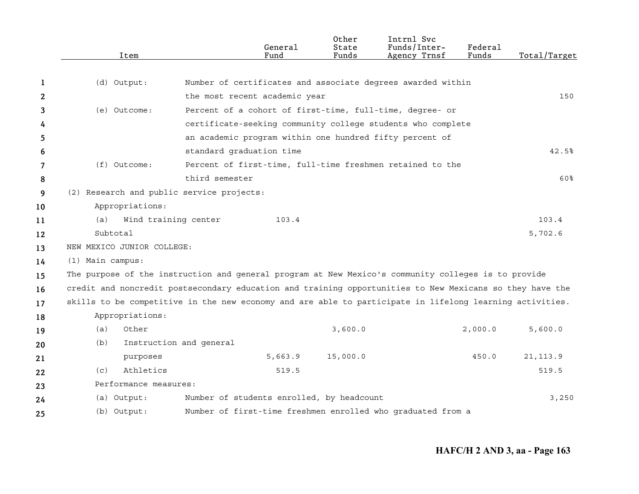|    | Item                                      | General<br>Fund                                                                                          | Other<br>State<br>Funds | Intrnl Svc<br>Funds/Inter-<br>Agency Trnsf | Federal<br>Funds | Total/Target |
|----|-------------------------------------------|----------------------------------------------------------------------------------------------------------|-------------------------|--------------------------------------------|------------------|--------------|
|    |                                           |                                                                                                          |                         |                                            |                  |              |
| 1  | (d) Output:                               | Number of certificates and associate degrees awarded within                                              |                         |                                            |                  |              |
| 2  |                                           | the most recent academic year                                                                            |                         |                                            |                  | 150          |
| 3  | (e) Outcome:                              | Percent of a cohort of first-time, full-time, degree- or                                                 |                         |                                            |                  |              |
| 4  |                                           | certificate-seeking community college students who complete                                              |                         |                                            |                  |              |
| 5  |                                           | an academic program within one hundred fifty percent of                                                  |                         |                                            |                  |              |
| 6  |                                           | standard graduation time                                                                                 |                         |                                            |                  | 42.5%        |
| 7  | $(f)$ Outcome:                            | Percent of first-time, full-time freshmen retained to the                                                |                         |                                            |                  |              |
| 8  |                                           | third semester                                                                                           |                         |                                            |                  | 60%          |
| 9  | (2) Research and public service projects: |                                                                                                          |                         |                                            |                  |              |
| 10 | Appropriations:                           |                                                                                                          |                         |                                            |                  |              |
| 11 | (a)                                       | Wind training center<br>103.4                                                                            |                         |                                            |                  | 103.4        |
| 12 | Subtotal                                  |                                                                                                          |                         |                                            |                  | 5,702.6      |
| 13 | NEW MEXICO JUNIOR COLLEGE:                |                                                                                                          |                         |                                            |                  |              |
| 14 | (1) Main campus:                          |                                                                                                          |                         |                                            |                  |              |
| 15 |                                           | The purpose of the instruction and general program at New Mexico's community colleges is to provide      |                         |                                            |                  |              |
| 16 |                                           | credit and noncredit postsecondary education and training opportunities to New Mexicans so they have the |                         |                                            |                  |              |
| 17 |                                           | skills to be competitive in the new economy and are able to participate in lifelong learning activities. |                         |                                            |                  |              |
| 18 | Appropriations:                           |                                                                                                          |                         |                                            |                  |              |
| 19 | (a)<br>Other                              |                                                                                                          | 3,600.0                 |                                            | 2,000.0          | 5,600.0      |
| 20 | (b)                                       | Instruction and general                                                                                  |                         |                                            |                  |              |
| 21 | purposes                                  | 5,663.9                                                                                                  | 15,000.0                |                                            | 450.0            | 21, 113.9    |
| 22 | Athletics<br>(c)                          | 519.5                                                                                                    |                         |                                            |                  | 519.5        |
| 23 | Performance measures:                     |                                                                                                          |                         |                                            |                  |              |
| 24 | (a) Output:                               | Number of students enrolled, by headcount                                                                |                         |                                            |                  | 3,250        |
| 25 | (b) Output:                               | Number of first-time freshmen enrolled who graduated from a                                              |                         |                                            |                  |              |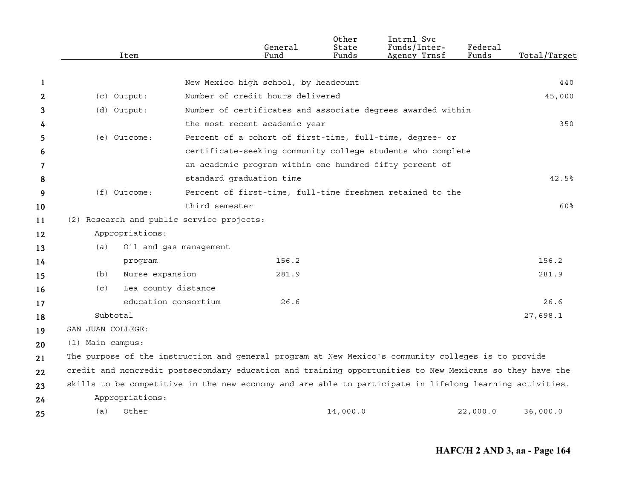|    | Item              |                                                                                                          | General<br>Fund                      | Other<br>State<br>Funds | Intrnl Svc<br>Funds/Inter-<br>Agency Trnsf                  | Federal<br>Funds | Total/Target |
|----|-------------------|----------------------------------------------------------------------------------------------------------|--------------------------------------|-------------------------|-------------------------------------------------------------|------------------|--------------|
|    |                   |                                                                                                          |                                      |                         |                                                             |                  |              |
| 1  |                   |                                                                                                          | New Mexico high school, by headcount |                         |                                                             |                  | 440          |
| 2  | (c) Output:       |                                                                                                          | Number of credit hours delivered     |                         |                                                             |                  | 45,000       |
| 3  | (d) Output:       |                                                                                                          |                                      |                         | Number of certificates and associate degrees awarded within |                  |              |
| 4  |                   |                                                                                                          | the most recent academic year        |                         |                                                             |                  | 350          |
| 5  | (e) Outcome:      |                                                                                                          |                                      |                         | Percent of a cohort of first-time, full-time, degree- or    |                  |              |
| 6  |                   |                                                                                                          |                                      |                         | certificate-seeking community college students who complete |                  |              |
| 7  |                   |                                                                                                          |                                      |                         | an academic program within one hundred fifty percent of     |                  |              |
| 8  |                   |                                                                                                          | standard graduation time             |                         |                                                             |                  | 42.5%        |
| 9  | $(f)$ Outcome:    |                                                                                                          |                                      |                         | Percent of first-time, full-time freshmen retained to the   |                  |              |
| 10 |                   | third semester                                                                                           |                                      |                         |                                                             |                  | 60%          |
| 11 |                   | (2) Research and public service projects:                                                                |                                      |                         |                                                             |                  |              |
| 12 | Appropriations:   |                                                                                                          |                                      |                         |                                                             |                  |              |
| 13 | (a)               | Oil and gas management                                                                                   |                                      |                         |                                                             |                  |              |
| 14 |                   | program                                                                                                  | 156.2                                |                         |                                                             |                  | 156.2        |
| 15 | (b)               | Nurse expansion                                                                                          | 281.9                                |                         |                                                             |                  | 281.9        |
| 16 | (c)               | Lea county distance                                                                                      |                                      |                         |                                                             |                  |              |
| 17 |                   | education consortium                                                                                     | 26.6                                 |                         |                                                             |                  | 26.6         |
| 18 | Subtotal          |                                                                                                          |                                      |                         |                                                             |                  | 27,698.1     |
| 19 | SAN JUAN COLLEGE: |                                                                                                          |                                      |                         |                                                             |                  |              |
| 20 | (1) Main campus:  |                                                                                                          |                                      |                         |                                                             |                  |              |
| 21 |                   | The purpose of the instruction and general program at New Mexico's community colleges is to provide      |                                      |                         |                                                             |                  |              |
| 22 |                   | credit and noncredit postsecondary education and training opportunities to New Mexicans so they have the |                                      |                         |                                                             |                  |              |
| 23 |                   | skills to be competitive in the new economy and are able to participate in lifelong learning activities. |                                      |                         |                                                             |                  |              |
| 24 | Appropriations:   |                                                                                                          |                                      |                         |                                                             |                  |              |
| 25 | (a)<br>Other      |                                                                                                          |                                      | 14,000.0                |                                                             | 22,000.0         | 36,000.0     |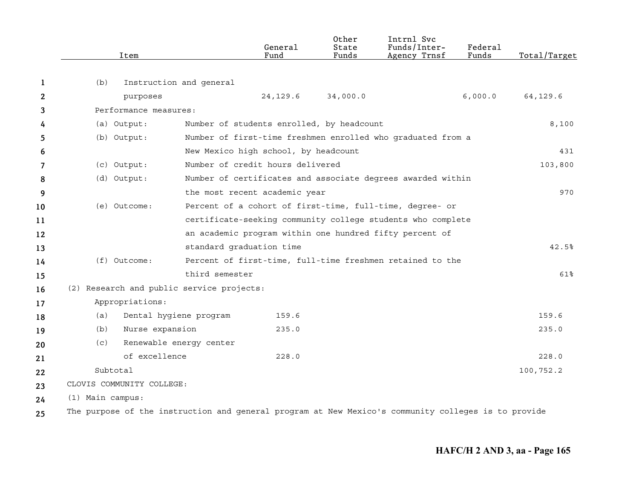|     | Item                      |                                           | General<br>Fund                                                                                     | Other<br>State<br>Funds | Intrnl Svc<br>Funds/Inter-<br>Agency Trnsf | Federal<br>Funds | Total/Target |
|-----|---------------------------|-------------------------------------------|-----------------------------------------------------------------------------------------------------|-------------------------|--------------------------------------------|------------------|--------------|
| 1   | (b)                       | Instruction and general                   |                                                                                                     |                         |                                            |                  |              |
| 2   |                           | purposes                                  | 24, 129.6                                                                                           | 34,000.0                |                                            | 6,000.0          | 64,129.6     |
| 3   |                           | Performance measures:                     |                                                                                                     |                         |                                            |                  |              |
| 4   | (a) Output:               |                                           | Number of students enrolled, by headcount                                                           |                         |                                            |                  | 8,100        |
| 5   | (b) Output:               |                                           | Number of first-time freshmen enrolled who graduated from a                                         |                         |                                            |                  |              |
| 6   |                           |                                           | New Mexico high school, by headcount                                                                |                         |                                            |                  | 431          |
| 7   | (c) Output:               |                                           | Number of credit hours delivered                                                                    |                         |                                            |                  | 103,800      |
| 8   | (d) Output:               |                                           | Number of certificates and associate degrees awarded within                                         |                         |                                            |                  |              |
| 9   |                           |                                           | the most recent academic year                                                                       |                         |                                            |                  | 970          |
| 10  | (e) Outcome:              |                                           | Percent of a cohort of first-time, full-time, degree- or                                            |                         |                                            |                  |              |
| 11  |                           |                                           | certificate-seeking community college students who complete                                         |                         |                                            |                  |              |
| 12  |                           |                                           | an academic program within one hundred fifty percent of                                             |                         |                                            |                  |              |
| 13  |                           |                                           | standard graduation time                                                                            |                         |                                            |                  | 42.5%        |
| 14  | (f) Outcome:              |                                           | Percent of first-time, full-time freshmen retained to the                                           |                         |                                            |                  |              |
| 15  |                           | third semester                            |                                                                                                     |                         |                                            |                  | 61%          |
| 16  |                           | (2) Research and public service projects: |                                                                                                     |                         |                                            |                  |              |
| 17  | Appropriations:           |                                           |                                                                                                     |                         |                                            |                  |              |
| 18  | (a)                       | Dental hygiene program                    | 159.6                                                                                               |                         |                                            |                  | 159.6        |
| 19  | (b)                       | Nurse expansion                           | 235.0                                                                                               |                         |                                            |                  | 235.0        |
| 20  | (c)                       | Renewable energy center                   |                                                                                                     |                         |                                            |                  |              |
| 21  |                           | of excellence                             | 228.0                                                                                               |                         |                                            |                  | 228.0        |
| 22  | Subtotal                  |                                           |                                                                                                     |                         |                                            |                  | 100,752.2    |
| 23  | CLOVIS COMMUNITY COLLEGE: |                                           |                                                                                                     |                         |                                            |                  |              |
| 24  | (1) Main campus:          |                                           |                                                                                                     |                         |                                            |                  |              |
| 2.5 |                           |                                           | The purpose of the instruction and general program at New Mexico's community colleges is to provide |                         |                                            |                  |              |

**25**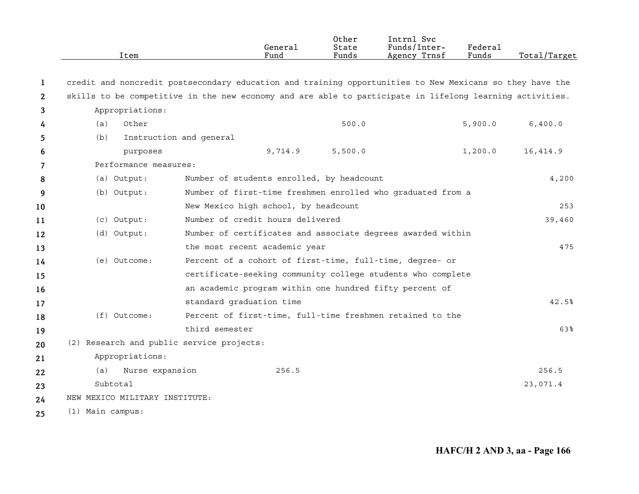|             | Item                                                                                                     |                         | General<br>Fund                           | 0ther<br>State<br>Funds | Intrnl Svc<br>Funds/Inter-<br>Agency Trnsf                  | Federal<br>Funds | Total/Target |
|-------------|----------------------------------------------------------------------------------------------------------|-------------------------|-------------------------------------------|-------------------------|-------------------------------------------------------------|------------------|--------------|
| $\mathbf 1$ | credit and noncredit postsecondary education and training opportunities to New Mexicans so they have the |                         |                                           |                         |                                                             |                  |              |
| 2           | skills to be competitive in the new economy and are able to participate in lifelong learning activities. |                         |                                           |                         |                                                             |                  |              |
| 3           | Appropriations:                                                                                          |                         |                                           |                         |                                                             |                  |              |
| 4           | (a)<br>Other                                                                                             |                         |                                           | 500.0                   |                                                             | 5,900.0          | 6,400.0      |
| 5           | (b)                                                                                                      | Instruction and general |                                           |                         |                                                             |                  |              |
| 6           | purposes                                                                                                 |                         | 9,714.9                                   | 5,500.0                 |                                                             | 1,200.0          | 16,414.9     |
| 7           | Performance measures:                                                                                    |                         |                                           |                         |                                                             |                  |              |
| 8           | (a) Output:                                                                                              |                         | Number of students enrolled, by headcount |                         |                                                             |                  | 4,200        |
| 9           | (b) Output:                                                                                              |                         |                                           |                         | Number of first-time freshmen enrolled who graduated from a |                  |              |
| 10          |                                                                                                          |                         | New Mexico high school, by headcount      |                         |                                                             |                  | 253          |
| 11          | (c) Output:                                                                                              |                         | Number of credit hours delivered          |                         |                                                             |                  | 39,460       |
| 12          | (d) Output:                                                                                              |                         |                                           |                         | Number of certificates and associate degrees awarded within |                  |              |
| 13          |                                                                                                          |                         | the most recent academic year             |                         |                                                             |                  | 475          |
| 14          | (e) Outcome:                                                                                             |                         |                                           |                         | Percent of a cohort of first-time, full-time, degree- or    |                  |              |
| 15          |                                                                                                          |                         |                                           |                         | certificate-seeking community college students who complete |                  |              |
| 16          |                                                                                                          |                         |                                           |                         | an academic program within one hundred fifty percent of     |                  |              |
| 17          |                                                                                                          |                         | standard graduation time                  |                         |                                                             |                  | 42.5%        |
| 18          | $(f)$ Outcome:                                                                                           |                         |                                           |                         | Percent of first-time, full-time freshmen retained to the   |                  |              |
| 19          |                                                                                                          | third semester          |                                           |                         |                                                             |                  | 63%          |
| 20          | (2) Research and public service projects:                                                                |                         |                                           |                         |                                                             |                  |              |
| 21          | Appropriations:                                                                                          |                         |                                           |                         |                                                             |                  |              |
| 22          | (a)<br>Nurse expansion                                                                                   |                         | 256.5                                     |                         |                                                             |                  | 256.5        |
| 23          | Subtotal                                                                                                 |                         |                                           |                         |                                                             |                  | 23,071.4     |
| 24          | NEW MEXICO MILITARY INSTITUTE:                                                                           |                         |                                           |                         |                                                             |                  |              |
| 25          | (1) Main campus:                                                                                         |                         |                                           |                         |                                                             |                  |              |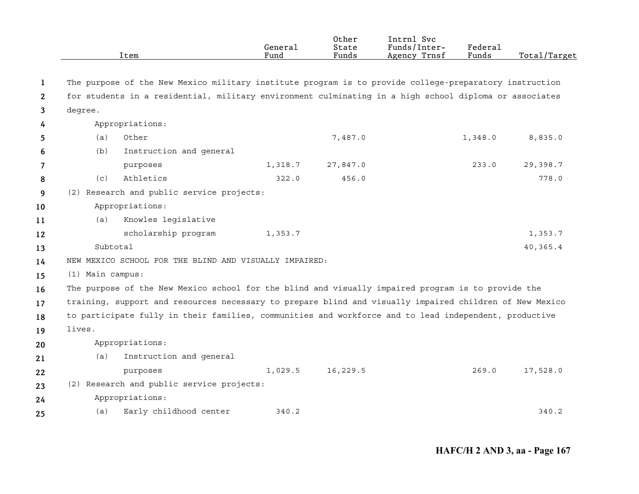|                       |                  | Item                                                                                                    | General<br>Fund | Other<br>State<br>Funds | Intrnl Svc<br>Funds/Inter-<br>Agency Trnsf | Federal<br>Funds | Total/Target |
|-----------------------|------------------|---------------------------------------------------------------------------------------------------------|-----------------|-------------------------|--------------------------------------------|------------------|--------------|
|                       |                  |                                                                                                         |                 |                         |                                            |                  |              |
| 1                     |                  | The purpose of the New Mexico military institute program is to provide college-preparatory instruction  |                 |                         |                                            |                  |              |
| $\mathbf{2}^{\prime}$ |                  | for students in a residential, military environment culminating in a high school diploma or associates  |                 |                         |                                            |                  |              |
| 3                     | degree.          |                                                                                                         |                 |                         |                                            |                  |              |
| 4                     |                  | Appropriations:                                                                                         |                 |                         |                                            |                  |              |
| 5.                    | (a)              | Other                                                                                                   |                 | 7,487.0                 |                                            | 1,348.0          | 8,835.0      |
| 6                     | (b)              | Instruction and general                                                                                 |                 |                         |                                            |                  |              |
| $\overline{7}$        |                  | purposes                                                                                                | 1,318.7         | 27,847.0                |                                            | 233.0            | 29,398.7     |
| 8                     | (c)              | Athletics                                                                                               | 322.0           | 456.0                   |                                            |                  | 778.0        |
| 9                     |                  | (2) Research and public service projects:                                                               |                 |                         |                                            |                  |              |
| 10                    |                  | Appropriations:                                                                                         |                 |                         |                                            |                  |              |
| 11                    | (a)              | Knowles legislative                                                                                     |                 |                         |                                            |                  |              |
| 12                    |                  | scholarship program                                                                                     | 1,353.7         |                         |                                            |                  | 1,353.7      |
| 13                    |                  | Subtotal                                                                                                |                 |                         |                                            |                  | 40,365.4     |
| 14                    |                  | NEW MEXICO SCHOOL FOR THE BLIND AND VISUALLY IMPAIRED:                                                  |                 |                         |                                            |                  |              |
| 15                    | (1) Main campus: |                                                                                                         |                 |                         |                                            |                  |              |
| 16                    |                  | The purpose of the New Mexico school for the blind and visually impaired program is to provide the      |                 |                         |                                            |                  |              |
| 17                    |                  | training, support and resources necessary to prepare blind and visually impaired children of New Mexico |                 |                         |                                            |                  |              |
| 18                    |                  | to participate fully in their families, communities and workforce and to lead independent, productive   |                 |                         |                                            |                  |              |
| 19                    | lives.           |                                                                                                         |                 |                         |                                            |                  |              |
| 20                    |                  | Appropriations:                                                                                         |                 |                         |                                            |                  |              |
| 21                    | (a)              | Instruction and general                                                                                 |                 |                         |                                            |                  |              |
| 22                    |                  | purposes                                                                                                | 1,029.5         | 16,229.5                |                                            | 269.0            | 17,528.0     |
| 23                    |                  | (2) Research and public service projects:                                                               |                 |                         |                                            |                  |              |
| 24                    |                  | Appropriations:                                                                                         |                 |                         |                                            |                  |              |
| 25                    | (a)              | Early childhood center                                                                                  | 340.2           |                         |                                            |                  | 340.2        |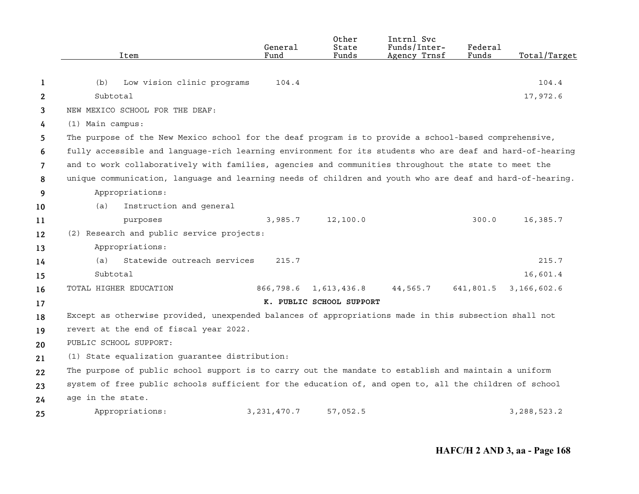|    | Item                                                                                                      | General<br>Fund | Other<br>State<br>Funds  | Intrnl Svc<br>Funds/Inter-<br>Agency Trnsf | Federal<br>Funds | Total/Target  |
|----|-----------------------------------------------------------------------------------------------------------|-----------------|--------------------------|--------------------------------------------|------------------|---------------|
|    |                                                                                                           |                 |                          |                                            |                  |               |
| 1  | (b)<br>Low vision clinic programs                                                                         | 104.4           |                          |                                            |                  | 104.4         |
| 2  | Subtotal                                                                                                  |                 |                          |                                            |                  | 17,972.6      |
| 3  | NEW MEXICO SCHOOL FOR THE DEAF:                                                                           |                 |                          |                                            |                  |               |
| 4  | (1) Main campus:                                                                                          |                 |                          |                                            |                  |               |
| 5  | The purpose of the New Mexico school for the deaf program is to provide a school-based comprehensive,     |                 |                          |                                            |                  |               |
| 6  | fully accessible and language-rich learning environment for its students who are deaf and hard-of-hearing |                 |                          |                                            |                  |               |
| 7  | and to work collaboratively with families, agencies and communities throughout the state to meet the      |                 |                          |                                            |                  |               |
| 8  | unique communication, language and learning needs of children and youth who are deaf and hard-of-hearing. |                 |                          |                                            |                  |               |
| 9  | Appropriations:                                                                                           |                 |                          |                                            |                  |               |
| 10 | Instruction and general<br>(a)                                                                            |                 |                          |                                            |                  |               |
| 11 | purposes                                                                                                  | 3,985.7         | 12,100.0                 |                                            | 300.0            | 16,385.7      |
| 12 | (2) Research and public service projects:                                                                 |                 |                          |                                            |                  |               |
| 13 | Appropriations:                                                                                           |                 |                          |                                            |                  |               |
| 14 | Statewide outreach services<br>(a)                                                                        | 215.7           |                          |                                            |                  | 215.7         |
| 15 | Subtotal                                                                                                  |                 |                          |                                            |                  | 16,601.4      |
| 16 | TOTAL HIGHER EDUCATION                                                                                    | 866,798.6       | 1,613,436.8              | 44,565.7                                   | 641,801.5        | 3,166,602.6   |
| 17 |                                                                                                           |                 | K. PUBLIC SCHOOL SUPPORT |                                            |                  |               |
| 18 | Except as otherwise provided, unexpended balances of appropriations made in this subsection shall not     |                 |                          |                                            |                  |               |
| 19 | revert at the end of fiscal year 2022.                                                                    |                 |                          |                                            |                  |               |
| 20 | PUBLIC SCHOOL SUPPORT:                                                                                    |                 |                          |                                            |                  |               |
| 21 | (1) State equalization quarantee distribution:                                                            |                 |                          |                                            |                  |               |
| 22 | The purpose of public school support is to carry out the mandate to establish and maintain a uniform      |                 |                          |                                            |                  |               |
| 23 | system of free public schools sufficient for the education of, and open to, all the children of school    |                 |                          |                                            |                  |               |
| 24 | age in the state.                                                                                         |                 |                          |                                            |                  |               |
| 25 | Appropriations:                                                                                           | 3, 231, 470.7   | 57,052.5                 |                                            |                  | 3, 288, 523.2 |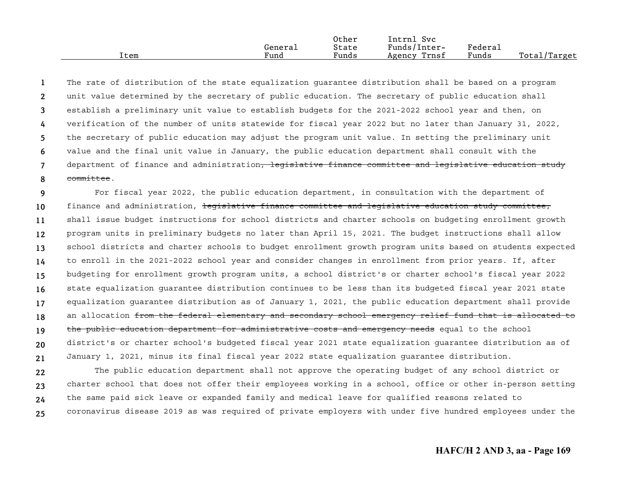|      |         | Other | Intrnl<br>Svc   |         |              |
|------|---------|-------|-----------------|---------|--------------|
|      | Generai | State | Funds/Inter-    | Federai |              |
| Item | Fund    | Funds | Trnsf<br>Agency | Funds   | Total/Target |

**12345678**The rate of distribution of the state equalization guarantee distribution shall be based on a program unit value determined by the secretary of public education. The secretary of public education shall establish a preliminary unit value to establish budgets for the 2021-2022 school year and then, on verification of the number of units statewide for fiscal year 2022 but no later than January 31, 2022, the secretary of public education may adjust the program unit value. In setting the preliminary unit value and the final unit value in January, the public education department shall consult with the department of finance and administration<del>, legislative finance committee and legislative education study</del> committee.

**9101112131415161718192021**For fiscal year 2022, the public education department, in consultation with the department of finance and administration, legislative finance committee and legislative education study committee, shall issue budget instructions for school districts and charter schools on budgeting enrollment growth program units in preliminary budgets no later than April 15, 2021. The budget instructions shall allow school districts and charter schools to budget enrollment growth program units based on students expected to enroll in the 2021-2022 school year and consider changes in enrollment from prior years. If, after budgeting for enrollment growth program units, a school district's or charter school's fiscal year 2022 state equalization guarantee distribution continues to be less than its budgeted fiscal year 2021 state equalization guarantee distribution as of January 1, 2021, the public education department shall provide an allocation from the federal elementary and secondary school emergency relief fund that is allocated to the public education department for administrative costs and emergency needs equal to the school district's or charter school's budgeted fiscal year 2021 state equalization guarantee distribution as of January 1, 2021, minus its final fiscal year 2022 state equalization guarantee distribution.

**22232425**The public education department shall not approve the operating budget of any school district or charter school that does not offer their employees working in a school, office or other in-person setting the same paid sick leave or expanded family and medical leave for qualified reasons related to coronavirus disease 2019 as was required of private employers with under five hundred employees under the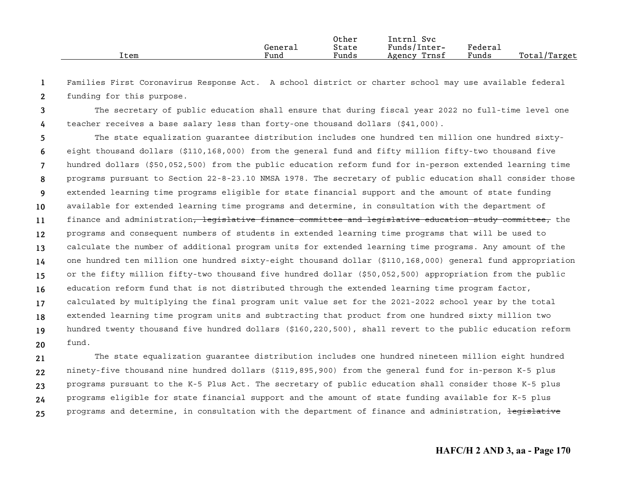|      |                      | Other                         | Intrnl<br>$\sim$<br>Svc        |         |                  |
|------|----------------------|-------------------------------|--------------------------------|---------|------------------|
|      | Generai              | State                         | $\mathbf{r}$ 1<br>Funds/Inter- | Federau |                  |
| Item | $\mathbf{r}$<br>Fund | $\sim$ $\sim$ $\sim$<br>Funds | Trnsf<br>Agency                | Funds   | Total,<br>Target |

**12**Families First Coronavirus Response Act. A school district or charter school may use available federal funding for this purpose.

**34**The secretary of public education shall ensure that during fiscal year 2022 no full-time level one teacher receives a base salary less than forty-one thousand dollars (\$41,000).

**567891011121314151617181920**The state equalization guarantee distribution includes one hundred ten million one hundred sixtyeight thousand dollars (\$110,168,000) from the general fund and fifty million fifty-two thousand five hundred dollars (\$50,052,500) from the public education reform fund for in-person extended learning time programs pursuant to Section 22-8-23.10 NMSA 1978. The secretary of public education shall consider those extended learning time programs eligible for state financial support and the amount of state funding available for extended learning time programs and determine, in consultation with the department of finance and administration<del>, legislative finance committee and legislative education study committee,</del> the programs and consequent numbers of students in extended learning time programs that will be used to calculate the number of additional program units for extended learning time programs. Any amount of the one hundred ten million one hundred sixty-eight thousand dollar (\$110,168,000) general fund appropriation or the fifty million fifty-two thousand five hundred dollar (\$50,052,500) appropriation from the public education reform fund that is not distributed through the extended learning time program factor, calculated by multiplying the final program unit value set for the 2021-2022 school year by the total extended learning time program units and subtracting that product from one hundred sixty million two hundred twenty thousand five hundred dollars (\$160,220,500), shall revert to the public education reform fund.

**2122232425**The state equalization guarantee distribution includes one hundred nineteen million eight hundred ninety-five thousand nine hundred dollars (\$119,895,900) from the general fund for in-person K-5 plus programs pursuant to the K-5 Plus Act. The secretary of public education shall consider those K-5 plus programs eligible for state financial support and the amount of state funding available for K-5 plus programs and determine, in consultation with the department of finance and administration, legislative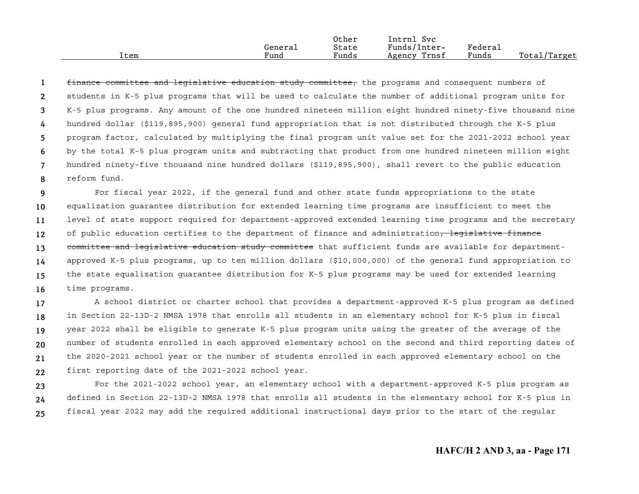|      |         | Other | Intrnl<br>Svc   |                     |                  |
|------|---------|-------|-----------------|---------------------|------------------|
|      | General | State | Funds/Inter-    | Federa <sub>1</sub> |                  |
| Item | Funa    | Funds | Trnsf<br>Agency | Funds               | Total,<br>Target |

**12345678**finance committee and legislative education study committee, the programs and consequent numbers of students in K-5 plus programs that will be used to calculate the number of additional program units for K-5 plus programs. Any amount of the one hundred nineteen million eight hundred ninety-five thousand nine hundred dollar (\$119,895,900) general fund appropriation that is not distributed through the K-5 plus program factor, calculated by multiplying the final program unit value set for the 2021-2022 school year by the total K-5 plus program units and subtracting that product from one hundred nineteen million eight hundred ninety-five thousand nine hundred dollars (\$119,895,900), shall revert to the public education reform fund.

**910111213141516**For fiscal year 2022, if the general fund and other state funds appropriations to the state equalization guarantee distribution for extended learning time programs are insufficient to meet the level of state support required for department-approved extended learning time programs and the secretary of public education certifies to the department of finance and administration<del>, legislative finance</del> committee and legislative education study committee that sufficient funds are available for departmentapproved K-5 plus programs, up to ten million dollars (\$10,000,000) of the general fund appropriation to the state equalization guarantee distribution for K-5 plus programs may be used for extended learning time programs.

**171819202122**A school district or charter school that provides a department-approved K-5 plus program as defined in Section 22-13D-2 NMSA 1978 that enrolls all students in an elementary school for K-5 plus in fiscal year 2022 shall be eligible to generate K-5 plus program units using the greater of the average of the number of students enrolled in each approved elementary school on the second and third reporting dates of the 2020-2021 school year or the number of students enrolled in each approved elementary school on the first reporting date of the 2021-2022 school year.

**232425**For the 2021-2022 school year, an elementary school with a department-approved K-5 plus program as defined in Section 22-13D-2 NMSA 1978 that enrolls all students in the elementary school for K-5 plus in fiscal year 2022 may add the required additional instructional days prior to the start of the regular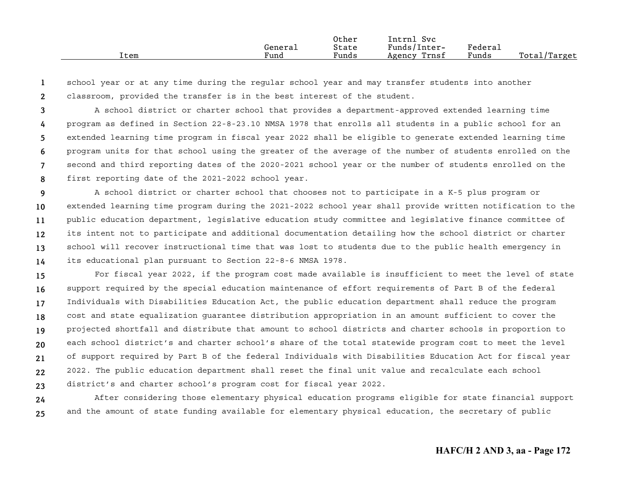|      |         | Other | Intrnl<br>. Svc |         |              |
|------|---------|-------|-----------------|---------|--------------|
|      | Generai | State | Funds/Inter-    | Federal |              |
| Item | Fund    | Funds | Trnsf<br>Agency | Funds   | Total/Target |

**12**school year or at any time during the regular school year and may transfer students into another classroom, provided the transfer is in the best interest of the student.

**345678**A school district or charter school that provides a department-approved extended learning time program as defined in Section 22-8-23.10 NMSA 1978 that enrolls all students in a public school for an extended learning time program in fiscal year 2022 shall be eligible to generate extended learning time program units for that school using the greater of the average of the number of students enrolled on the second and third reporting dates of the 2020-2021 school year or the number of students enrolled on the first reporting date of the 2021-2022 school year.

**91011121314**A school district or charter school that chooses not to participate in a K-5 plus program or extended learning time program during the 2021-2022 school year shall provide written notification to the public education department, legislative education study committee and legislative finance committee of its intent not to participate and additional documentation detailing how the school district or charter school will recover instructional time that was lost to students due to the public health emergency in its educational plan pursuant to Section 22-8-6 NMSA 1978.

**151617181920212223**For fiscal year 2022, if the program cost made available is insufficient to meet the level of state support required by the special education maintenance of effort requirements of Part B of the federal Individuals with Disabilities Education Act, the public education department shall reduce the program cost and state equalization guarantee distribution appropriation in an amount sufficient to cover the projected shortfall and distribute that amount to school districts and charter schools in proportion to each school district's and charter school's share of the total statewide program cost to meet the level of support required by Part B of the federal Individuals with Disabilities Education Act for fiscal year 2022. The public education department shall reset the final unit value and recalculate each school district's and charter school's program cost for fiscal year 2022.

**2425**After considering those elementary physical education programs eligible for state financial support and the amount of state funding available for elementary physical education, the secretary of public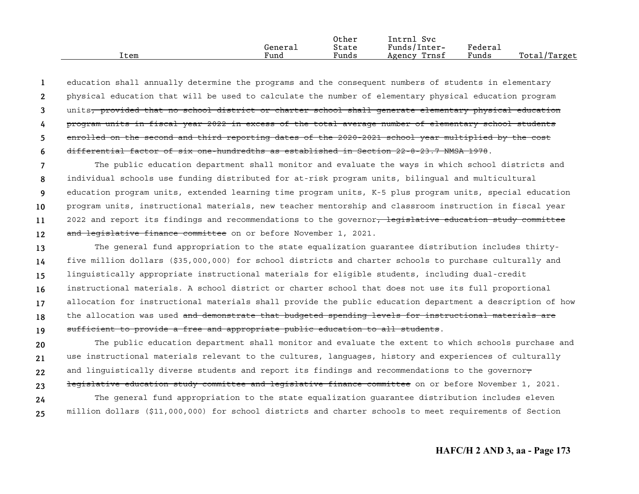|      |         | Other                 | Svc<br>Intrnl   |                       |              |
|------|---------|-----------------------|-----------------|-----------------------|--------------|
|      | Generai | State                 | Funds/Inter-    | $"$ edera $\lrcorner$ |              |
| Item | Fund    | $\mathbf{r}$<br>Funds | Trnsf<br>Agency | Funds                 | Total/Target |

**123456**education shall annually determine the programs and the consequent numbers of students in elementary physical education that will be used to calculate the number of elementary physical education program units<del>, provided that no school district or charter school shall generate elementary physical education</del> program units in fiscal year 2022 in excess of the total average number of elementary school students enrolled on the second and third reporting dates of the 2020-2021 school year multiplied by the cost differential factor of six one-hundredths as established in Section 22-8-23.7 NMSA 1978.

**789101112**The public education department shall monitor and evaluate the ways in which school districts and individual schools use funding distributed for at-risk program units, bilingual and multicultural education program units, extended learning time program units, K-5 plus program units, special education program units, instructional materials, new teacher mentorship and classroom instruction in fiscal year 2022 and report its findings and recommendations to the governor, legislative education study committee and legislative finance committee on or before November 1, 2021.

**13141516171819**The general fund appropriation to the state equalization guarantee distribution includes thirtyfive million dollars (\$35,000,000) for school districts and charter schools to purchase culturally and linguistically appropriate instructional materials for eligible students, including dual-credit instructional materials. A school district or charter school that does not use its full proportional allocation for instructional materials shall provide the public education department a description of how the allocation was used and demonstrate that budgeted spending levels for instructional materials are sufficient to provide a free and appropriate public education to all students.

**202122**The public education department shall monitor and evaluate the extent to which schools purchase and use instructional materials relevant to the cultures, languages, history and experiences of culturally and linguistically diverse students and report its findings and recommendations to the governor $\tau$ 

**232425**legislative education study committee and legislative finance committee on or before November 1, 2021. The general fund appropriation to the state equalization guarantee distribution includes eleven million dollars (\$11,000,000) for school districts and charter schools to meet requirements of Section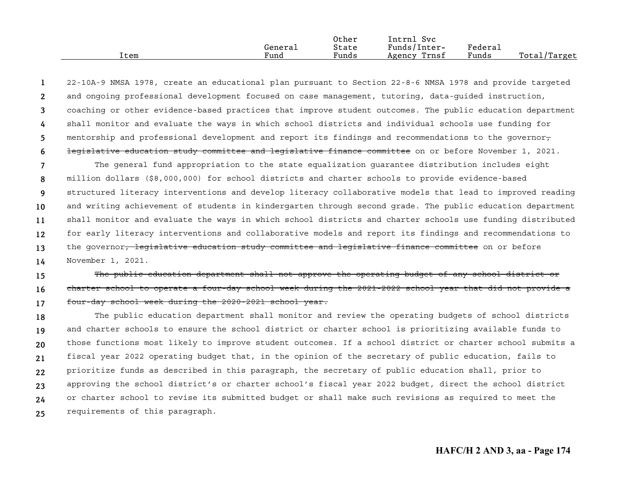|      |         | Other | Intrnl<br><b>Svc</b> |         |                               |
|------|---------|-------|----------------------|---------|-------------------------------|
|      | General | State | Funds/Inter-         | Federau |                               |
| Item | Fund    | Funds | Trnsf<br>Agency      | Funds   | Total <sub>l</sub><br>/Target |

**123456**22-10A-9 NMSA 1978, create an educational plan pursuant to Section 22-8-6 NMSA 1978 and provide targeted and ongoing professional development focused on case management, tutoring, data-guided instruction, coaching or other evidence-based practices that improve student outcomes. The public education department shall monitor and evaluate the ways in which school districts and individual schools use funding for mentorship and professional development and report its findings and recommendations to the governor, legislative education study committee and legislative finance committee on or before November 1, 2021.

**7891011121314**The general fund appropriation to the state equalization guarantee distribution includes eight million dollars (\$8,000,000) for school districts and charter schools to provide evidence-based structured literacy interventions and develop literacy collaborative models that lead to improved reading and writing achievement of students in kindergarten through second grade. The public education department shall monitor and evaluate the ways in which school districts and charter schools use funding distributed for early literacy interventions and collaborative models and report its findings and recommendations to the governor<del>, legislative education study committee and legislative finance committee</del> on or before November 1, 2021.

**151617**The public education department shall not approve the operating budget of any school district or charter school to operate a four-day school week during the 2021-2022 school year that did not provide a four-day school week during the 2020-2021 school year.

**1819202122232425**The public education department shall monitor and review the operating budgets of school districts and charter schools to ensure the school district or charter school is prioritizing available funds to those functions most likely to improve student outcomes. If a school district or charter school submits a fiscal year 2022 operating budget that, in the opinion of the secretary of public education, fails to prioritize funds as described in this paragraph, the secretary of public education shall, prior to approving the school district's or charter school's fiscal year 2022 budget, direct the school district or charter school to revise its submitted budget or shall make such revisions as required to meet the requirements of this paragraph.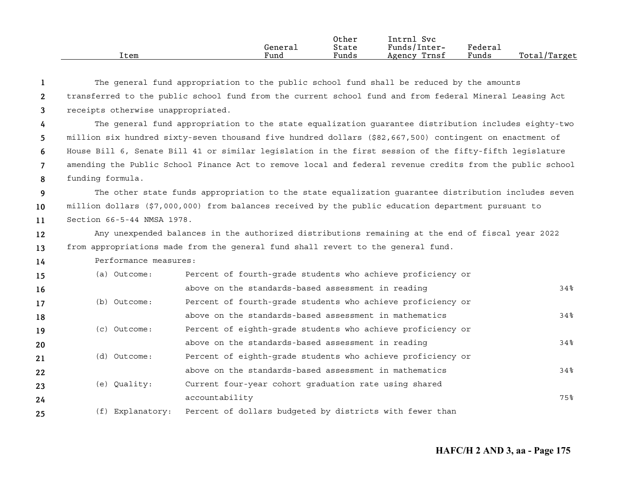| Item | General<br>Fund | Other<br>State<br>Funds | Svc<br>[ntrnl<br>Funds/Inter-<br>Trnsf<br>Agency | Federal<br>Funds | Total,<br>./Target |
|------|-----------------|-------------------------|--------------------------------------------------|------------------|--------------------|
|      |                 |                         |                                                  |                  |                    |

| -1             |                                                                                                         | The general fund appropriation to the public school fund shall be reduced by the amounts                  |     |  |  |  |  |
|----------------|---------------------------------------------------------------------------------------------------------|-----------------------------------------------------------------------------------------------------------|-----|--|--|--|--|
| $\mathbf{2}$   | transferred to the public school fund from the current school fund and from federal Mineral Leasing Act |                                                                                                           |     |  |  |  |  |
| 3              | receipts otherwise unappropriated.                                                                      |                                                                                                           |     |  |  |  |  |
| $\frac{1}{4}$  |                                                                                                         | The general fund appropriation to the state equalization guarantee distribution includes eighty-two       |     |  |  |  |  |
| 5              |                                                                                                         | million six hundred sixty-seven thousand five hundred dollars (\$82,667,500) contingent on enactment of   |     |  |  |  |  |
| 6              |                                                                                                         | House Bill 6, Senate Bill 41 or similar legislation in the first session of the fifty-fifth legislature   |     |  |  |  |  |
| $\overline{7}$ |                                                                                                         | amending the Public School Finance Act to remove local and federal revenue credits from the public school |     |  |  |  |  |
| 8              | funding formula.                                                                                        |                                                                                                           |     |  |  |  |  |
| 9              |                                                                                                         | The other state funds appropriation to the state equalization quarantee distribution includes seven       |     |  |  |  |  |
| 10             |                                                                                                         | million dollars (\$7,000,000) from balances received by the public education department pursuant to       |     |  |  |  |  |
| 11             | Section 66-5-44 NMSA 1978.                                                                              |                                                                                                           |     |  |  |  |  |
| 12             |                                                                                                         | Any unexpended balances in the authorized distributions remaining at the end of fiscal year 2022          |     |  |  |  |  |
| 13             |                                                                                                         | from appropriations made from the general fund shall revert to the general fund.                          |     |  |  |  |  |
| 14             | Performance measures:                                                                                   |                                                                                                           |     |  |  |  |  |
| 15             | (a) Outcome:                                                                                            | Percent of fourth-grade students who achieve proficiency or                                               |     |  |  |  |  |
| 16             |                                                                                                         | above on the standards-based assessment in reading                                                        | 34% |  |  |  |  |
| 17             | (b) Outcome:                                                                                            | Percent of fourth-grade students who achieve proficiency or                                               |     |  |  |  |  |
| 18             |                                                                                                         | above on the standards-based assessment in mathematics                                                    | 34% |  |  |  |  |
| 19             | (c) Outcome:                                                                                            | Percent of eighth-grade students who achieve proficiency or                                               |     |  |  |  |  |
| 20             |                                                                                                         | above on the standards-based assessment in reading                                                        | 34% |  |  |  |  |
| 21             | (d) Outcome:                                                                                            | Percent of eighth-grade students who achieve proficiency or                                               |     |  |  |  |  |
| 22             |                                                                                                         | above on the standards-based assessment in mathematics                                                    | 34% |  |  |  |  |
| 23             | (e) Quality:                                                                                            | Current four-year cohort graduation rate using shared                                                     |     |  |  |  |  |
| 24             |                                                                                                         | accountability                                                                                            | 75% |  |  |  |  |

(f) Explanatory: Percent of dollars budgeted by districts with fewer than

**24 25**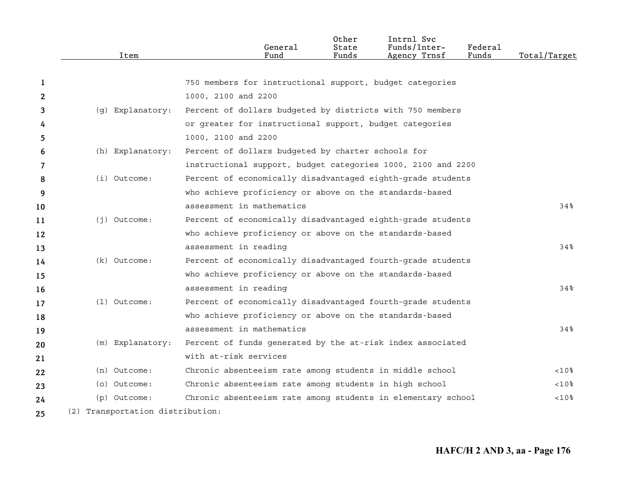|    | Item                             | General<br>Fund                                              | Other<br>State<br>Funds | Intrnl Svc<br>Funds/Inter-<br>Agency Trnsf | Federal<br>Funds | Total/Target |
|----|----------------------------------|--------------------------------------------------------------|-------------------------|--------------------------------------------|------------------|--------------|
|    |                                  |                                                              |                         |                                            |                  |              |
| 1  |                                  | 750 members for instructional support, budget categories     |                         |                                            |                  |              |
| 2  |                                  | 1000, 2100 and 2200                                          |                         |                                            |                  |              |
| 3  | (g) Explanatory:                 | Percent of dollars budgeted by districts with 750 members    |                         |                                            |                  |              |
| 4  |                                  | or greater for instructional support, budget categories      |                         |                                            |                  |              |
| 5. |                                  | 1000, 2100 and 2200                                          |                         |                                            |                  |              |
| 6  | (h) Explanatory:                 | Percent of dollars budgeted by charter schools for           |                         |                                            |                  |              |
| 7  |                                  | instructional support, budget categories 1000, 2100 and 2200 |                         |                                            |                  |              |
| 8  | $(i)$ Outcome:                   | Percent of economically disadvantaged eighth-grade students  |                         |                                            |                  |              |
| 9  |                                  | who achieve proficiency or above on the standards-based      |                         |                                            |                  |              |
| 10 |                                  | assessment in mathematics                                    |                         |                                            |                  | 34%          |
| 11 | $(j)$ Outcome:                   | Percent of economically disadvantaged eighth-grade students  |                         |                                            |                  |              |
| 12 |                                  | who achieve proficiency or above on the standards-based      |                         |                                            |                  |              |
| 13 |                                  | assessment in reading                                        |                         |                                            |                  | 34%          |
| 14 | $(k)$ Outcome:                   | Percent of economically disadvantaged fourth-grade students  |                         |                                            |                  |              |
| 15 |                                  | who achieve proficiency or above on the standards-based      |                         |                                            |                  |              |
| 16 |                                  | assessment in reading                                        |                         |                                            |                  | $34\%$       |
| 17 | $(1)$ Outcome:                   | Percent of economically disadvantaged fourth-grade students  |                         |                                            |                  |              |
| 18 |                                  | who achieve proficiency or above on the standards-based      |                         |                                            |                  |              |
| 19 |                                  | assessment in mathematics                                    |                         |                                            |                  | $34\%$       |
| 20 | (m) Explanatory:                 | Percent of funds generated by the at-risk index associated   |                         |                                            |                  |              |
| 21 |                                  | with at-risk services                                        |                         |                                            |                  |              |
| 22 | (n) Outcome:                     | Chronic absenteeism rate among students in middle school     |                         |                                            |                  | <10%         |
| 23 | (o) Outcome:                     | Chronic absenteeism rate among students in high school       |                         |                                            |                  | $<10$ %      |
| 24 | (p) Outcome:                     | Chronic absenteeism rate among students in elementary school |                         |                                            |                  | $<10$ %      |
| 25 | (2) Transportation distribution: |                                                              |                         |                                            |                  |              |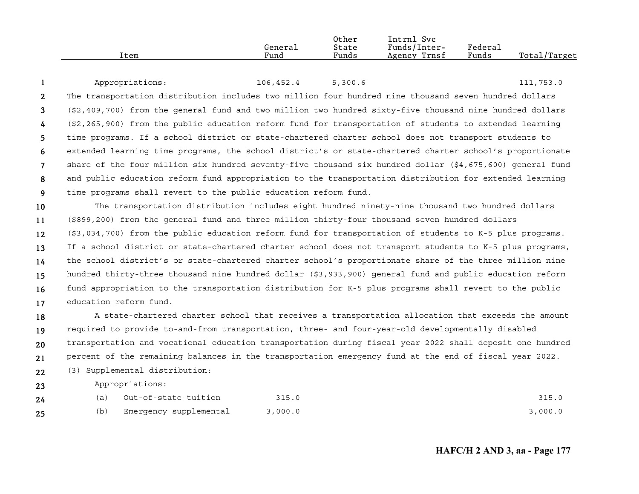| Item | General<br>Fund | Other<br>State<br>Funds | Intrnl<br>Svc<br>Funds/Inter-<br>Agency Trnsf | Federal<br>Funds | Total/Target |
|------|-----------------|-------------------------|-----------------------------------------------|------------------|--------------|
|------|-----------------|-------------------------|-----------------------------------------------|------------------|--------------|

|                | Appropriations:                                                                                                     | 106,452.4 | 5,300.6 | 111,753.0 |
|----------------|---------------------------------------------------------------------------------------------------------------------|-----------|---------|-----------|
| 2              | The transportation distribution includes two million four hundred nine thousand seven hundred dollars               |           |         |           |
| $\mathbf{3}$   | $(\$2,409,700)$ from the general fund and two million two hundred sixty-five thousand nine hundred dollars          |           |         |           |
| $\overline{4}$ | $(\frac{2}{2}, 265, 900)$ from the public education reform fund for transportation of students to extended learning |           |         |           |
| 5              | time programs. If a school district or state-chartered charter school does not transport students to                |           |         |           |
| 6              | extended learning time programs, the school district's or state-chartered charter school's proportionate            |           |         |           |
| $\overline{7}$ | share of the four million six hundred seventy-five thousand six hundred dollar (\$4,675,600) general fund           |           |         |           |
| 8              | and public education reform fund appropriation to the transportation distribution for extended learning             |           |         |           |
| <b>q</b>       | time programs shall revert to the public education reform fund.                                                     |           |         |           |

**1011121314151617**The transportation distribution includes eight hundred ninety-nine thousand two hundred dollars (\$899,200) from the general fund and three million thirty-four thousand seven hundred dollars (\$3,034,700) from the public education reform fund for transportation of students to K-5 plus programs. If a school district or state-chartered charter school does not transport students to K-5 plus programs, the school district's or state-chartered charter school's proportionate share of the three million nine hundred thirty-three thousand nine hundred dollar (\$3,933,900) general fund and public education reform fund appropriation to the transportation distribution for K-5 plus programs shall revert to the public education reform fund.

**18192021**A state-chartered charter school that receives a transportation allocation that exceeds the amount required to provide to-and-from transportation, three- and four-year-old developmentally disabled transportation and vocational education transportation during fiscal year 2022 shall deposit one hundred percent of the remaining balances in the transportation emergency fund at the end of fiscal year 2022.

**22**(3) Supplemental distribution:

Appropriations:

**23**

| 24 | Out-of-state tuition   | 315.0   | 315.0   |
|----|------------------------|---------|---------|
| 25 | Emergency supplemental | 3,000.0 | 3,000.0 |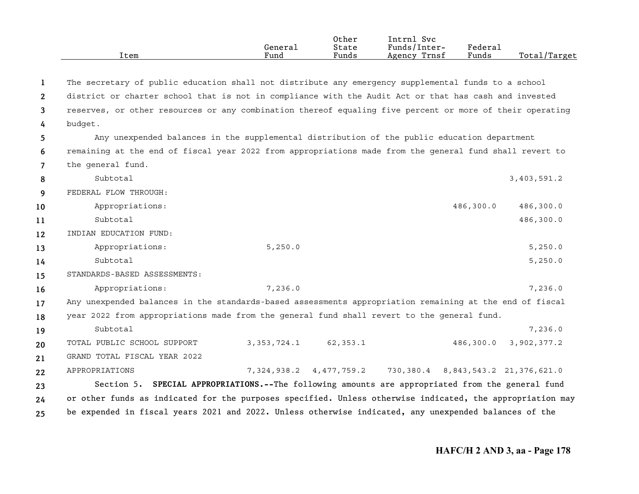|      |         | Other | Intrnl<br>Svc   |                     |                  |
|------|---------|-------|-----------------|---------------------|------------------|
|      | Genera⊥ | State | Funds/Inter-    | Federa <sub>1</sub> |                  |
| Item | Fund    | Funds | Trnsf<br>Agency | Funds               | Total<br>/Target |

| 1              | The secretary of public education shall not distribute any emergency supplemental funds to a school       |               |                                                                     |  |           |             |
|----------------|-----------------------------------------------------------------------------------------------------------|---------------|---------------------------------------------------------------------|--|-----------|-------------|
| $\mathbf{2}$   | district or charter school that is not in compliance with the Audit Act or that has cash and invested     |               |                                                                     |  |           |             |
| 3              | reserves, or other resources or any combination thereof equaling five percent or more of their operating  |               |                                                                     |  |           |             |
| $\frac{1}{4}$  | budget.                                                                                                   |               |                                                                     |  |           |             |
| 5              | Any unexpended balances in the supplemental distribution of the public education department               |               |                                                                     |  |           |             |
| 6              | remaining at the end of fiscal year 2022 from appropriations made from the general fund shall revert to   |               |                                                                     |  |           |             |
| $\overline{7}$ | the general fund.                                                                                         |               |                                                                     |  |           |             |
| 8              | Subtotal                                                                                                  |               |                                                                     |  |           | 3,403,591.2 |
| 9              | FEDERAL FLOW THROUGH:                                                                                     |               |                                                                     |  |           |             |
| 10             | Appropriations:                                                                                           |               |                                                                     |  | 486,300.0 | 486,300.0   |
| 11             | Subtotal                                                                                                  |               |                                                                     |  |           | 486,300.0   |
| 12             | INDIAN EDUCATION FUND:                                                                                    |               |                                                                     |  |           |             |
| 13             | Appropriations:                                                                                           | 5,250.0       |                                                                     |  |           | 5,250.0     |
| 14             | Subtotal                                                                                                  |               |                                                                     |  |           | 5,250.0     |
| 15             | STANDARDS-BASED ASSESSMENTS:                                                                              |               |                                                                     |  |           |             |
| 16             | Appropriations:                                                                                           | 7,236.0       |                                                                     |  |           | 7,236.0     |
| 17             | Any unexpended balances in the standards-based assessments appropriation remaining at the end of fiscal   |               |                                                                     |  |           |             |
| 18             | year 2022 from appropriations made from the general fund shall revert to the general fund.                |               |                                                                     |  |           |             |
| 19             | Subtotal                                                                                                  |               |                                                                     |  |           | 7,236.0     |
| 20             | TOTAL PUBLIC SCHOOL SUPPORT                                                                               | 3, 353, 724.1 | 62,353.1                                                            |  | 486,300.0 | 3,902,377.2 |
| 21             | GRAND TOTAL FISCAL YEAR 2022                                                                              |               |                                                                     |  |           |             |
| 22             | APPROPRIATIONS                                                                                            |               | 7, 324, 938.2 4, 477, 759.2 730, 380.4 8, 843, 543.2 21, 376, 621.0 |  |           |             |
| 23.            | Section 5. SPECIAL APPROPRIATIONS.--The following amounts are appropriated from the general fund          |               |                                                                     |  |           |             |
| 24             | or other funds as indicated for the purposes specified. Unless otherwise indicated, the appropriation may |               |                                                                     |  |           |             |
| 25             | be expended in fiscal years 2021 and 2022. Unless otherwise indicated, any unexpended balances of the     |               |                                                                     |  |           |             |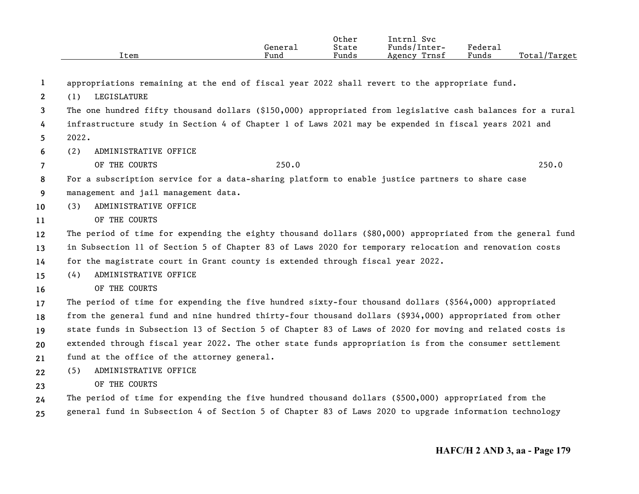|                       | Item                                                                                                       | General<br>Fund | Other<br>State<br>Funds | Intrnl Svc<br>Funds/Inter-<br>Agency Trnsf | Federal<br>Funds | Total/Target |
|-----------------------|------------------------------------------------------------------------------------------------------------|-----------------|-------------------------|--------------------------------------------|------------------|--------------|
| 1                     | appropriations remaining at the end of fiscal year 2022 shall revert to the appropriate fund.              |                 |                         |                                            |                  |              |
| $\mathbf{2}^{\prime}$ | LEGISLATURE<br>(1)                                                                                         |                 |                         |                                            |                  |              |
| 3                     | The one hundred fifty thousand dollars (\$150,000) appropriated from legislative cash balances for a rural |                 |                         |                                            |                  |              |
| 4                     | infrastructure study in Section 4 of Chapter 1 of Laws 2021 may be expended in fiscal years 2021 and       |                 |                         |                                            |                  |              |
| 5                     | 2022.                                                                                                      |                 |                         |                                            |                  |              |
| 6                     | ADMINISTRATIVE OFFICE<br>(2)                                                                               |                 |                         |                                            |                  |              |
| $\overline{7}$        | OF THE COURTS                                                                                              | 250.0           |                         |                                            |                  | 250.0        |
| 8                     | For a subscription service for a data-sharing platform to enable justice partners to share case            |                 |                         |                                            |                  |              |
| 9                     | management and jail management data.                                                                       |                 |                         |                                            |                  |              |
| 10                    | ADMINISTRATIVE OFFICE<br>(3)                                                                               |                 |                         |                                            |                  |              |
| 11                    | OF THE COURTS                                                                                              |                 |                         |                                            |                  |              |
| 12                    | The period of time for expending the eighty thousand dollars (\$80,000) appropriated from the general fund |                 |                         |                                            |                  |              |
| 13                    | in Subsection 11 of Section 5 of Chapter 83 of Laws 2020 for temporary relocation and renovation costs     |                 |                         |                                            |                  |              |
| 14                    | for the magistrate court in Grant county is extended through fiscal year 2022.                             |                 |                         |                                            |                  |              |
| 15                    | ADMINISTRATIVE OFFICE<br>(4)                                                                               |                 |                         |                                            |                  |              |
| 16                    | OF THE COURTS                                                                                              |                 |                         |                                            |                  |              |
| 17                    | The period of time for expending the five hundred sixty-four thousand dollars (\$564,000) appropriated     |                 |                         |                                            |                  |              |
| 18                    | from the general fund and nine hundred thirty-four thousand dollars (\$934,000) appropriated from other    |                 |                         |                                            |                  |              |
| 19                    | state funds in Subsection 13 of Section 5 of Chapter 83 of Laws of 2020 for moving and related costs is    |                 |                         |                                            |                  |              |
| 20                    | extended through fiscal year 2022. The other state funds appropriation is from the consumer settlement     |                 |                         |                                            |                  |              |
| 21                    | fund at the office of the attorney general.                                                                |                 |                         |                                            |                  |              |
| 22                    | ADMINISTRATIVE OFFICE<br>(5)                                                                               |                 |                         |                                            |                  |              |
| 23                    | OF THE COURTS                                                                                              |                 |                         |                                            |                  |              |
| 24                    | The period of time for expending the five hundred thousand dollars (\$500,000) appropriated from the       |                 |                         |                                            |                  |              |
| 25                    | general fund in Subsection 4 of Section 5 of Chapter 83 of Laws 2020 to upgrade information technology     |                 |                         |                                            |                  |              |

**25**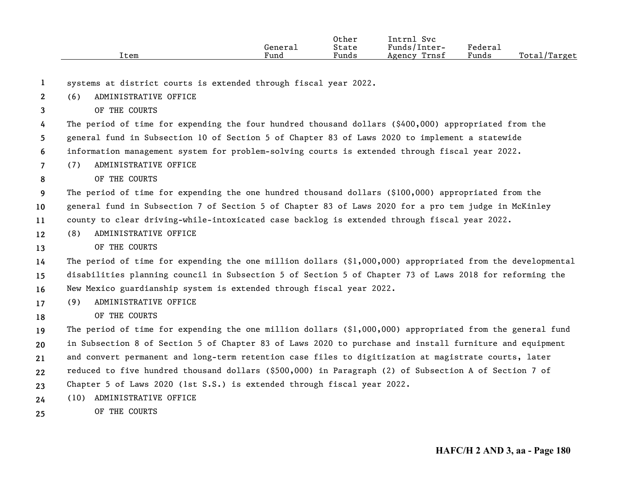|      |         | Other                 | [ntrnl<br>Svc   |        |                   |
|------|---------|-----------------------|-----------------|--------|-------------------|
|      | Genera⊥ | State                 | Funds/Inter-    | Federa |                   |
| Item | Fund    | $\mathbf{r}$<br>Funds | Trnsf<br>Agency | Funds  | Total,<br>'Target |

**1**systems at district courts is extended through fiscal year 2022.

**2**(6) ADMINISTRATIVE OFFICE

**3**OF THE COURTS

**456**The period of time for expending the four hundred thousand dollars (\$400,000) appropriated from the general fund in Subsection 10 of Section 5 of Chapter 83 of Laws 2020 to implement a statewide information management system for problem-solving courts is extended through fiscal year 2022.

**7**(7) ADMINISTRATIVE OFFICE

OF THE COURTS

**8**

**18**

**910**The period of time for expending the one hundred thousand dollars (\$100,000) appropriated from the general fund in Subsection 7 of Section 5 of Chapter 83 of Laws 2020 for a pro tem judge in McKinley

**11**county to clear driving-while-intoxicated case backlog is extended through fiscal year 2022.

**12**(8) ADMINISTRATIVE OFFICE

**13**OF THE COURTS

**141516**The period of time for expending the one million dollars (\$1,000,000) appropriated from the developmental disabilities planning council in Subsection 5 of Section 5 of Chapter 73 of Laws 2018 for reforming the New Mexico guardianship system is extended through fiscal year 2022.

- **17**(9) ADMINISTRATIVE OFFICE
	- OF THE COURTS

**1920212223**The period of time for expending the one million dollars  $(\$1,000,000)$  appropriated from the general fund in Subsection 8 of Section 5 of Chapter 83 of Laws 2020 to purchase and install furniture and equipment and convert permanent and long-term retention case files to digitization at magistrate courts, later reduced to five hundred thousand dollars (\$500,000) in Paragraph (2) of Subsection A of Section 7 of Chapter 5 of Laws 2020 (1st S.S.) is extended through fiscal year 2022.

- **24**(10) ADMINISTRATIVE OFFICE
- **25**OF THE COURTS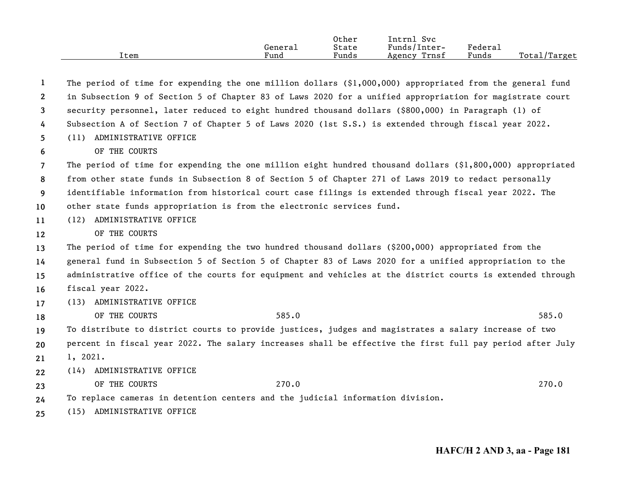| Item | General<br>Fund | Other<br>State<br>Funds | Intrnl Svc<br>Funds/Inter-<br>Trnsf<br>Agency | Federal<br>Funds | Total/Target |
|------|-----------------|-------------------------|-----------------------------------------------|------------------|--------------|
|      |                 |                         |                                               |                  |              |

| 1                     | The period of time for expending the one million dollars $(§1,000,000)$ appropriated from the general fund |
|-----------------------|------------------------------------------------------------------------------------------------------------|
| $\mathbf{2}^{\prime}$ | in Subsection 9 of Section 5 of Chapter 83 of Laws 2020 for a unified appropriation for magistrate court   |
| 3                     | security personnel, later reduced to eight hundred thousand dollars (\$800,000) in Paragraph (1) of        |
| 4                     | Subsection A of Section 7 of Chapter 5 of Laws 2020 (1st S.S.) is extended through fiscal year 2022.       |
| 5                     | (11) ADMINISTRATIVE OFFICE                                                                                 |
| 6                     | OF THE COURTS                                                                                              |
| $\overline{7}$        | The period of time for expending the one million eight hundred thousand dollars (\$1,800,000) appropriated |
| 8                     | from other state funds in Subsection 8 of Section 5 of Chapter 271 of Laws 2019 to redact personally       |
| 9                     | identifiable information from historical court case filings is extended through fiscal year 2022. The      |
| 10                    | other state funds appropriation is from the electronic services fund.                                      |
| 11                    | (12) ADMINISTRATIVE OFFICE                                                                                 |
| $12 \,$               | OF THE COURTS                                                                                              |
| 13                    | The period of time for expending the two hundred thousand dollars (\$200,000) appropriated from the        |
| 14                    | general fund in Subsection 5 of Section 5 of Chapter 83 of Laws 2020 for a unified appropriation to the    |
| 15                    | administrative office of the courts for equipment and vehicles at the district courts is extended through  |
| 16                    | fiscal year 2022.                                                                                          |
| 17                    | (13) ADMINISTRATIVE OFFICE                                                                                 |
| 18                    | OF THE COURTS<br>585.0<br>585.0                                                                            |
| 19                    | To distribute to district courts to provide justices, judges and magistrates a salary increase of two      |
| 20                    | percent in fiscal year 2022. The salary increases shall be effective the first full pay period after July  |
| 21                    | 1, 2021.                                                                                                   |
| 22                    | (14) ADMINISTRATIVE OFFICE                                                                                 |
| 23                    | OF THE COURTS<br>270.0<br>270.0                                                                            |
| 24                    | To replace cameras in detention centers and the judicial information division.                             |
| 25                    | (15) ADMINISTRATIVE OFFICE                                                                                 |
|                       |                                                                                                            |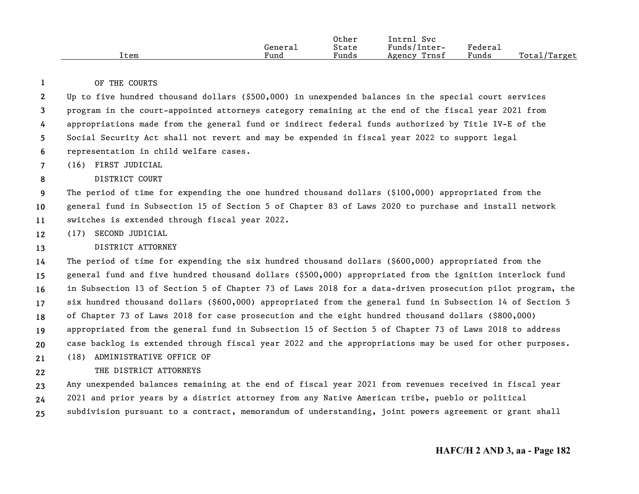|      |         | Other | [ntrn]<br>Svc   |         |              |
|------|---------|-------|-----------------|---------|--------------|
|      | General | State | Funds/Inter-    | Federa⊥ |              |
| Item | Fund    | Funds | Trnsf<br>Agency | Funds   | Total/Target |

OF THE COURTS

**1**

**8**

**22**

**23456**Up to five hundred thousand dollars (\$500,000) in unexpended balances in the special court services program in the court-appointed attorneys category remaining at the end of the fiscal year 2021 from appropriations made from the general fund or indirect federal funds authorized by Title IV-E of the Social Security Act shall not revert and may be expended in fiscal year 2022 to support legal representation in child welfare cases.

**7**(16) FIRST JUDICIAL

### DISTRICT COURT

**91011**The period of time for expending the one hundred thousand dollars (\$100,000) appropriated from the general fund in Subsection 15 of Section 5 of Chapter 83 of Laws 2020 to purchase and install network switches is extended through fiscal year 2022.

**12**(17) SECOND JUDICIAL

#### **13**DISTRICT ATTORNEY

**1415161718192021**The period of time for expending the six hundred thousand dollars (\$600,000) appropriated from the general fund and five hundred thousand dollars (\$500,000) appropriated from the ignition interlock fund in Subsection 13 of Section 5 of Chapter 73 of Laws 2018 for a data-driven prosecution pilot program, the six hundred thousand dollars (\$600,000) appropriated from the general fund in Subsection 14 of Section 5 of Chapter 73 of Laws 2018 for case prosecution and the eight hundred thousand dollars (\$800,000) appropriated from the general fund in Subsection 15 of Section 5 of Chapter 73 of Laws 2018 to address case backlog is extended through fiscal year 2022 and the appropriations may be used for other purposes. (18) ADMINISTRATIVE OFFICE OF

### THE DISTRICT ATTORNEYS

**232425**Any unexpended balances remaining at the end of fiscal year 2021 from revenues received in fiscal year 2021 and prior years by a district attorney from any Native American tribe, pueblo or political subdivision pursuant to a contract, memorandum of understanding, joint powers agreement or grant shall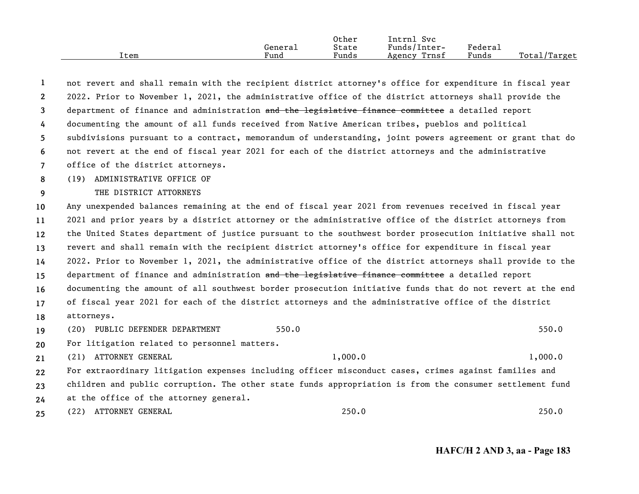|      | Genera⊥ | Other<br>State | Svc<br>Intrnl<br>Funds/Inter- | Federal |              |
|------|---------|----------------|-------------------------------|---------|--------------|
| Item | Fund    | Funds          | Trnsf<br>Agency               | Funds   | Total/Target |

| $\mathbf{1}$   |                                              | not revert and shall remain with the recipient district attorney's office for expenditure in fiscal year  |         |
|----------------|----------------------------------------------|-----------------------------------------------------------------------------------------------------------|---------|
| $\mathbf{2}$   |                                              | 2022. Prior to November 1, 2021, the administrative office of the district attorneys shall provide the    |         |
| 3              |                                              | department of finance and administration and the legislative finance committee a detailed report          |         |
| 4              |                                              | documenting the amount of all funds received from Native American tribes, pueblos and political           |         |
| 5              |                                              | subdivisions pursuant to a contract, memorandum of understanding, joint powers agreement or grant that do |         |
| 6              |                                              | not revert at the end of fiscal year 2021 for each of the district attorneys and the administrative       |         |
| $\overline{7}$ | office of the district attorneys.            |                                                                                                           |         |
| 8              | (19) ADMINISTRATIVE OFFICE OF                |                                                                                                           |         |
| 9              | THE DISTRICT ATTORNEYS                       |                                                                                                           |         |
| 10             |                                              | Any unexpended balances remaining at the end of fiscal year 2021 from revenues received in fiscal year    |         |
| 11             |                                              | 2021 and prior years by a district attorney or the administrative office of the district attorneys from   |         |
| $12 \,$        |                                              | the United States department of justice pursuant to the southwest border prosecution initiative shall not |         |
| 13             |                                              | revert and shall remain with the recipient district attorney's office for expenditure in fiscal year      |         |
| 14             |                                              | 2022. Prior to November 1, 2021, the administrative office of the district attorneys shall provide to the |         |
| 15             |                                              | department of finance and administration and the legislative finance committee a detailed report          |         |
| 16             |                                              | documenting the amount of all southwest border prosecution initiative funds that do not revert at the end |         |
| 17             |                                              | of fiscal year 2021 for each of the district attorneys and the administrative office of the district      |         |
| 18             | attorneys.                                   |                                                                                                           |         |
| 19             | (20) PUBLIC DEFENDER DEPARTMENT              | 550.0                                                                                                     | 550.0   |
| 20             | For litigation related to personnel matters. |                                                                                                           |         |
| 21             | (21) ATTORNEY GENERAL                        | 1,000.0                                                                                                   | 1,000.0 |
| 22             |                                              | For extraordinary litigation expenses including officer misconduct cases, crimes against families and     |         |
| 23             |                                              | children and public corruption. The other state funds appropriation is from the consumer settlement fund  |         |
| 24             | at the office of the attorney general.       |                                                                                                           |         |
| 25             | (22) ATTORNEY GENERAL                        | 250.0                                                                                                     | 250.0   |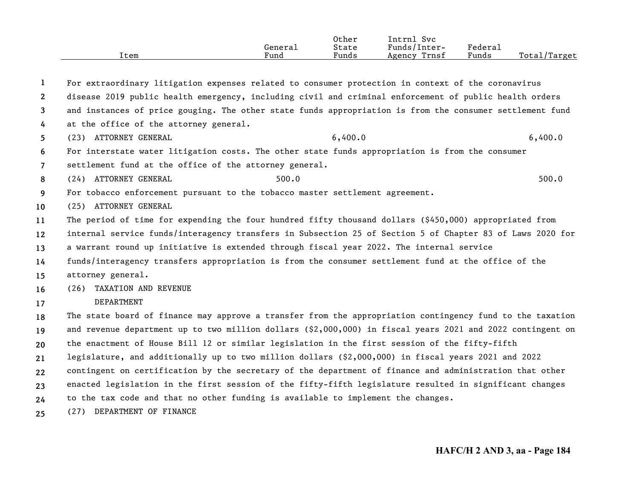|      |         | Other | ___<br>Svc<br>Intrnl |                                    |                     |
|------|---------|-------|----------------------|------------------------------------|---------------------|
|      | Generai | State | Funds/Inter-         | ${}_{\rm \texttt{Federa}_{\perp}}$ |                     |
| Item | Fund    | Funds | Trnsf<br>Agency      | Funds                              | Total,<br>$T$ arget |

**12345678910111213141516171819202122232425**For extraordinary litigation expenses related to consumer protection in context of the coronavirus disease 2019 public health emergency, including civil and criminal enforcement of public health orders and instances of price gouging. The other state funds appropriation is from the consumer settlement fund at the office of the attorney general. (23) ATTORNEY GENERAL 6,400.0 6,400.0 6,400.0 6,400.0 For interstate water litigation costs. The other state funds appropriation is from the consumer settlement fund at the office of the attorney general. (24) ATTORNEY GENERAL 500.0 500.0 500.0 500.0 500.0 500.0 500.0 500.0 500.0 500.0 500.0 500.0 500.0 500.0 500.0 500.0 500.0 500.0 500.0 500.0 500.0 500.0 500.0 500.0 500.0 500.0 500.0 500.0 500.0 500.0 500.0 500.0 500.0 50 For tobacco enforcement pursuant to the tobacco master settlement agreement. (25) ATTORNEY GENERAL The period of time for expending the four hundred fifty thousand dollars (\$450,000) appropriated from internal service funds/interagency transfers in Subsection 25 of Section 5 of Chapter 83 of Laws 2020 for a warrant round up initiative is extended through fiscal year 2022. The internal service funds/interagency transfers appropriation is from the consumer settlement fund at the office of the attorney general. (26) TAXATION AND REVENUE DEPARTMENTThe state board of finance may approve a transfer from the appropriation contingency fund to the taxation and revenue department up to two million dollars (\$2,000,000) in fiscal years 2021 and 2022 contingent on the enactment of House Bill 12 or similar legislation in the first session of the fifty-fifth legislature, and additionally up to two million dollars (\$2,000,000) in fiscal years 2021 and 2022 contingent on certification by the secretary of the department of finance and administration that other enacted legislation in the first session of the fifty-fifth legislature resulted in significant changes to the tax code and that no other funding is available to implement the changes. (27) DEPARTMENT OF FINANCE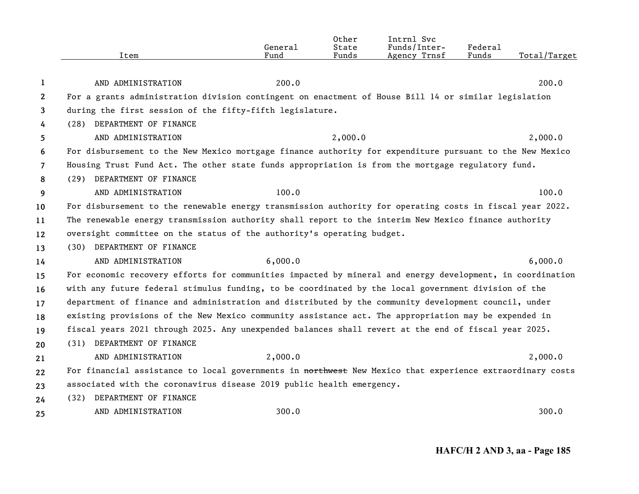|                | Item                                                                                                      | General<br>Fund | Other<br>State<br>Funds | Intrnl Svc<br>Funds/Inter-<br>Agency Trnsf | Federal<br>Funds | Total/Target |
|----------------|-----------------------------------------------------------------------------------------------------------|-----------------|-------------------------|--------------------------------------------|------------------|--------------|
|                |                                                                                                           |                 |                         |                                            |                  |              |
| 1              | AND ADMINISTRATION                                                                                        | 200.0           |                         |                                            |                  | 200.0        |
| 2              | For a grants administration division contingent on enactment of House Bill 14 or similar legislation      |                 |                         |                                            |                  |              |
| 3              | during the first session of the fifty-fifth legislature.                                                  |                 |                         |                                            |                  |              |
| 4              | (28) DEPARTMENT OF FINANCE                                                                                |                 |                         |                                            |                  |              |
| 5.             | AND ADMINISTRATION                                                                                        |                 | 2,000.0                 |                                            |                  | 2,000.0      |
| 6              | For disbursement to the New Mexico mortgage finance authority for expenditure pursuant to the New Mexico  |                 |                         |                                            |                  |              |
| $\overline{7}$ | Housing Trust Fund Act. The other state funds appropriation is from the mortgage regulatory fund.         |                 |                         |                                            |                  |              |
| 8              | (29) DEPARTMENT OF FINANCE                                                                                |                 |                         |                                            |                  |              |
| 9              | AND ADMINISTRATION                                                                                        | 100.0           |                         |                                            |                  | 100.0        |
| 10             | For disbursement to the renewable energy transmission authority for operating costs in fiscal year 2022.  |                 |                         |                                            |                  |              |
| 11             | The renewable energy transmission authority shall report to the interim New Mexico finance authority      |                 |                         |                                            |                  |              |
| 12             | oversight committee on the status of the authority's operating budget.                                    |                 |                         |                                            |                  |              |
| 13             | (30) DEPARTMENT OF FINANCE                                                                                |                 |                         |                                            |                  |              |
| 14             | AND ADMINISTRATION                                                                                        | 6,000.0         |                         |                                            |                  | 6,000.0      |
| 15             | For economic recovery efforts for communities impacted by mineral and energy development, in coordination |                 |                         |                                            |                  |              |
| 16             | with any future federal stimulus funding, to be coordinated by the local government division of the       |                 |                         |                                            |                  |              |
| 17             | department of finance and administration and distributed by the community development council, under      |                 |                         |                                            |                  |              |
| 18             | existing provisions of the New Mexico community assistance act. The appropriation may be expended in      |                 |                         |                                            |                  |              |
| 19             | fiscal years 2021 through 2025. Any unexpended balances shall revert at the end of fiscal year 2025.      |                 |                         |                                            |                  |              |
| 20             | (31) DEPARTMENT OF FINANCE                                                                                |                 |                         |                                            |                  |              |
| 21             | AND ADMINISTRATION                                                                                        | 2,000.0         |                         |                                            |                  | 2,000.0      |
| 22             | For financial assistance to local governments in northwest New Mexico that experience extraordinary costs |                 |                         |                                            |                  |              |
| 23             | associated with the coronavirus disease 2019 public health emergency.                                     |                 |                         |                                            |                  |              |
| 24             | DEPARTMENT OF FINANCE<br>(32)                                                                             |                 |                         |                                            |                  |              |
| 25             | AND ADMINISTRATION                                                                                        | 300.0           |                         |                                            |                  | 300.0        |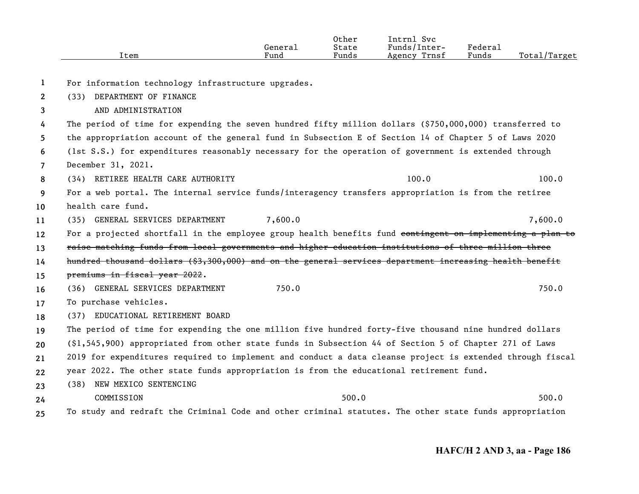|                | Item                                                                                                      | General<br>Fund | Other<br>State<br>Funds | Intrnl Svc<br>Funds/Inter-<br>Agency Trnsf | Federal<br>Funds | Total/Target |
|----------------|-----------------------------------------------------------------------------------------------------------|-----------------|-------------------------|--------------------------------------------|------------------|--------------|
|                |                                                                                                           |                 |                         |                                            |                  |              |
| 1              | For information technology infrastructure upgrades.                                                       |                 |                         |                                            |                  |              |
| $\mathbf{2}$   | (33) DEPARTMENT OF FINANCE                                                                                |                 |                         |                                            |                  |              |
| 3              | AND ADMINISTRATION                                                                                        |                 |                         |                                            |                  |              |
| 4              | The period of time for expending the seven hundred fifty million dollars (\$750,000,000) transferred to   |                 |                         |                                            |                  |              |
| 5.             | the appropriation account of the general fund in Subsection E of Section 14 of Chapter 5 of Laws 2020     |                 |                         |                                            |                  |              |
| 6              | (1st S.S.) for expenditures reasonably necessary for the operation of government is extended through      |                 |                         |                                            |                  |              |
| $\overline{7}$ | December 31, 2021.                                                                                        |                 |                         |                                            |                  |              |
| 8              | (34) RETIREE HEALTH CARE AUTHORITY                                                                        |                 |                         | 100.0                                      |                  | 100.0        |
| 9              | For a web portal. The internal service funds/interagency transfers appropriation is from the retiree      |                 |                         |                                            |                  |              |
| 10             | health care fund.                                                                                         |                 |                         |                                            |                  |              |
| 11             | (35) GENERAL SERVICES DEPARTMENT                                                                          | 7,600.0         |                         |                                            |                  | 7,600.0      |
| 12             | For a projected shortfall in the employee group health benefits fund contingent on implementing a plan to |                 |                         |                                            |                  |              |
| 13             | raise matching funds from local governments and higher education institutions of three million three      |                 |                         |                                            |                  |              |
| 14             | hundred thousand dollars (\$3,300,000) and on the general services department increasing health benefit   |                 |                         |                                            |                  |              |
| 15             | premiums in fiscal year 2022.                                                                             |                 |                         |                                            |                  |              |
| 16             | (36) GENERAL SERVICES DEPARTMENT                                                                          | 750.0           |                         |                                            |                  | 750.0        |
| 17             | To purchase vehicles.                                                                                     |                 |                         |                                            |                  |              |
| 18             | (37) EDUCATIONAL RETIREMENT BOARD                                                                         |                 |                         |                                            |                  |              |
| 19             | The period of time for expending the one million five hundred forty-five thousand nine hundred dollars    |                 |                         |                                            |                  |              |
| 20             | $(\$1,545,900)$ appropriated from other state funds in Subsection 44 of Section 5 of Chapter 271 of Laws  |                 |                         |                                            |                  |              |
| 21             | 2019 for expenditures required to implement and conduct a data cleanse project is extended through fiscal |                 |                         |                                            |                  |              |
| 22             | year 2022. The other state funds appropriation is from the educational retirement fund.                   |                 |                         |                                            |                  |              |
| 23             | NEW MEXICO SENTENCING<br>(38)                                                                             |                 |                         |                                            |                  |              |
| 24             | COMMISSION                                                                                                |                 | 500.0                   |                                            |                  | 500.0        |
| 25             | To study and redraft the Criminal Code and other criminal statutes. The other state funds appropriation   |                 |                         |                                            |                  |              |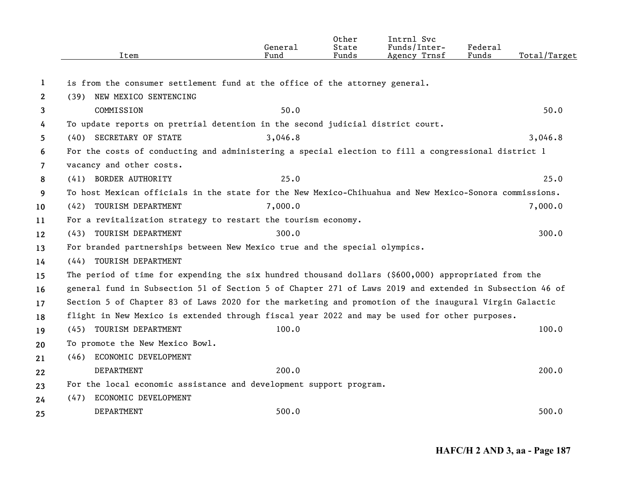|                       | Item                                                                                                    | General<br>Fund | Other<br>State<br>Funds | Intrnl Svc<br>Funds/Inter-<br>Agency Trnsf | Federal<br>Funds | Total/Target |
|-----------------------|---------------------------------------------------------------------------------------------------------|-----------------|-------------------------|--------------------------------------------|------------------|--------------|
|                       |                                                                                                         |                 |                         |                                            |                  |              |
| 1                     | is from the consumer settlement fund at the office of the attorney general.                             |                 |                         |                                            |                  |              |
| $\mathbf{2}^{\prime}$ | (39) NEW MEXICO SENTENCING                                                                              |                 |                         |                                            |                  |              |
| 3                     | COMMISSION                                                                                              | 50.0            |                         |                                            |                  | 50.0         |
| 4                     | To update reports on pretrial detention in the second judicial district court.                          |                 |                         |                                            |                  |              |
| 5                     | (40) SECRETARY OF STATE                                                                                 | 3,046.8         |                         |                                            |                  | 3,046.8      |
| 6                     | For the costs of conducting and administering a special election to fill a congressional district 1     |                 |                         |                                            |                  |              |
| $\overline{7}$        | vacancy and other costs.                                                                                |                 |                         |                                            |                  |              |
| 8                     | (41) BORDER AUTHORITY                                                                                   | 25.0            |                         |                                            |                  | 25.0         |
| 9                     | To host Mexican officials in the state for the New Mexico-Chihuahua and New Mexico-Sonora commissions.  |                 |                         |                                            |                  |              |
| 10                    | (42) TOURISM DEPARTMENT                                                                                 | 7,000.0         |                         |                                            |                  | 7,000.0      |
| 11                    | For a revitalization strategy to restart the tourism economy.                                           |                 |                         |                                            |                  |              |
| 12                    | (43) TOURISM DEPARTMENT                                                                                 | 300.0           |                         |                                            |                  | 300.0        |
| 13                    | For branded partnerships between New Mexico true and the special olympics.                              |                 |                         |                                            |                  |              |
| 14                    | (44) TOURISM DEPARTMENT                                                                                 |                 |                         |                                            |                  |              |
| 15                    | The period of time for expending the six hundred thousand dollars (\$600,000) appropriated from the     |                 |                         |                                            |                  |              |
| 16                    | general fund in Subsection 51 of Section 5 of Chapter 271 of Laws 2019 and extended in Subsection 46 of |                 |                         |                                            |                  |              |
| 17                    | Section 5 of Chapter 83 of Laws 2020 for the marketing and promotion of the inaugural Virgin Galactic   |                 |                         |                                            |                  |              |
| 18                    | flight in New Mexico is extended through fiscal year 2022 and may be used for other purposes.           |                 |                         |                                            |                  |              |
| 19                    | (45) TOURISM DEPARTMENT                                                                                 | 100.0           |                         |                                            |                  | 100.0        |
| 20                    | To promote the New Mexico Bowl.                                                                         |                 |                         |                                            |                  |              |
| 21                    | (46) ECONOMIC DEVELOPMENT                                                                               |                 |                         |                                            |                  |              |
| 22                    | <b>DEPARTMENT</b>                                                                                       | 200.0           |                         |                                            |                  | 200.0        |
| 23                    | For the local economic assistance and development support program.                                      |                 |                         |                                            |                  |              |
| 24                    | ECONOMIC DEVELOPMENT<br>(47)                                                                            |                 |                         |                                            |                  |              |
| 25                    | DEPARTMENT                                                                                              | 500.0           |                         |                                            |                  | 500.0        |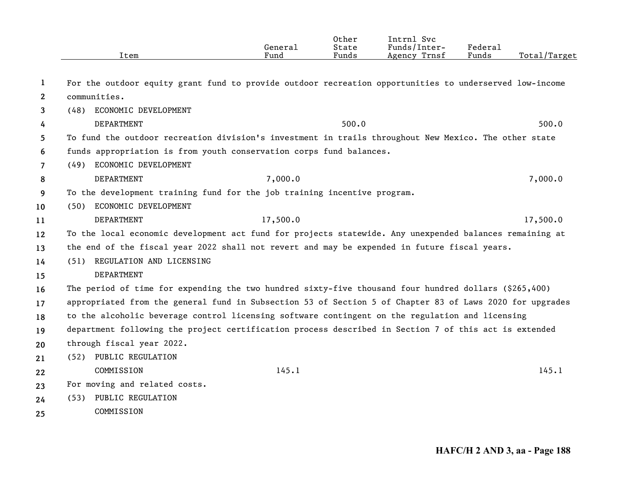|                       | Item                                                                                                     | General<br>Fund | Other<br>State<br>Funds | Intrnl Svc<br>Funds/Inter-<br>Agency Trnsf | Federal<br>Funds | Total/Target |
|-----------------------|----------------------------------------------------------------------------------------------------------|-----------------|-------------------------|--------------------------------------------|------------------|--------------|
| 1                     | For the outdoor equity grant fund to provide outdoor recreation opportunities to underserved low-income  |                 |                         |                                            |                  |              |
| $\mathbf{2}^{\prime}$ | communities.                                                                                             |                 |                         |                                            |                  |              |
| 3                     | ECONOMIC DEVELOPMENT<br>(48)                                                                             |                 |                         |                                            |                  |              |
| 4                     | DEPARTMENT                                                                                               |                 | 500.0                   |                                            |                  | 500.0        |
| 5                     | To fund the outdoor recreation division's investment in trails throughout New Mexico. The other state    |                 |                         |                                            |                  |              |
| 6                     | funds appropriation is from youth conservation corps fund balances.                                      |                 |                         |                                            |                  |              |
| $\overline{7}$        | (49) ECONOMIC DEVELOPMENT                                                                                |                 |                         |                                            |                  |              |
| 8                     | DEPARTMENT                                                                                               | 7,000.0         |                         |                                            |                  | 7,000.0      |
| 9                     | To the development training fund for the job training incentive program.                                 |                 |                         |                                            |                  |              |
| 10                    | (50) ECONOMIC DEVELOPMENT                                                                                |                 |                         |                                            |                  |              |
| 11                    | DEPARTMENT                                                                                               | 17,500.0        |                         |                                            |                  | 17,500.0     |
| 12                    | To the local economic development act fund for projects statewide. Any unexpended balances remaining at  |                 |                         |                                            |                  |              |
| 13                    | the end of the fiscal year 2022 shall not revert and may be expended in future fiscal years.             |                 |                         |                                            |                  |              |
| 14                    | (51) REGULATION AND LICENSING                                                                            |                 |                         |                                            |                  |              |
| 15                    | DEPARTMENT                                                                                               |                 |                         |                                            |                  |              |
| 16                    | The period of time for expending the two hundred sixty-five thousand four hundred dollars (\$265,400)    |                 |                         |                                            |                  |              |
| 17                    | appropriated from the general fund in Subsection 53 of Section 5 of Chapter 83 of Laws 2020 for upgrades |                 |                         |                                            |                  |              |
| 18                    | to the alcoholic beverage control licensing software contingent on the regulation and licensing          |                 |                         |                                            |                  |              |
| 19                    | department following the project certification process described in Section 7 of this act is extended    |                 |                         |                                            |                  |              |
| 20                    | through fiscal year 2022.                                                                                |                 |                         |                                            |                  |              |
| 21                    | (52) PUBLIC REGULATION                                                                                   |                 |                         |                                            |                  |              |
| 22                    | COMMISSION                                                                                               | 145.1           |                         |                                            |                  | 145.1        |
| 23                    | For moving and related costs.                                                                            |                 |                         |                                            |                  |              |
| 24                    | PUBLIC REGULATION<br>(53)                                                                                |                 |                         |                                            |                  |              |
| 25                    | COMMISSION                                                                                               |                 |                         |                                            |                  |              |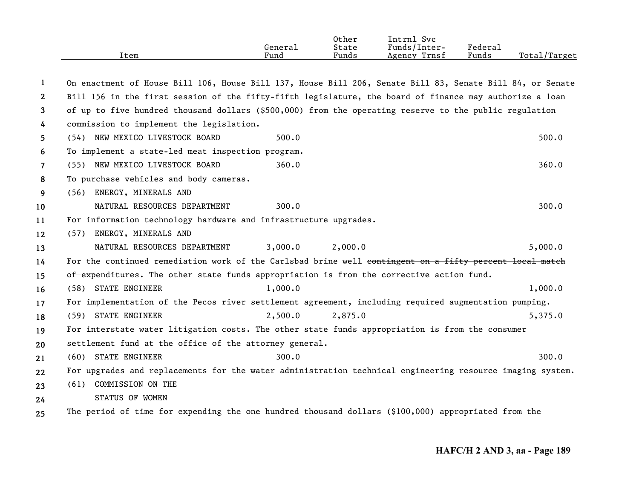|      | General | Other<br>State | Svc<br>[ntrnl<br>Funds/Inter- | Federal |              |
|------|---------|----------------|-------------------------------|---------|--------------|
| Item | Fund    | Funds          | Agency Trnsf                  | Funds   | Total/Target |
|      |         |                |                               |         |              |

| 1              | On enactment of House Bill 106, House Bill 137, House Bill 206, Senate Bill 83, Senate Bill 84, or Senate |         |         |         |
|----------------|-----------------------------------------------------------------------------------------------------------|---------|---------|---------|
| 2              | Bill 156 in the first session of the fifty-fifth legislature, the board of finance may authorize a loan   |         |         |         |
| 3              | of up to five hundred thousand dollars (\$500,000) from the operating reserve to the public regulation    |         |         |         |
| 4              | commission to implement the legislation.                                                                  |         |         |         |
| 5.             | (54) NEW MEXICO LIVESTOCK BOARD                                                                           | 500.0   |         | 500.0   |
| 6              | To implement a state-led meat inspection program.                                                         |         |         |         |
| $\overline{7}$ | (55) NEW MEXICO LIVESTOCK BOARD                                                                           | 360.0   |         | 360.0   |
| 8              | To purchase vehicles and body cameras.                                                                    |         |         |         |
| 9              | ENERGY, MINERALS AND<br>(56)                                                                              |         |         |         |
| 10             | NATURAL RESOURCES DEPARTMENT                                                                              | 300.0   |         | 300.0   |
| 11             | For information technology hardware and infrastructure upgrades.                                          |         |         |         |
| $12 \,$        | ENERGY, MINERALS AND<br>(57)                                                                              |         |         |         |
| 13             | NATURAL RESOURCES DEPARTMENT                                                                              | 3,000.0 | 2,000.0 | 5,000.0 |
| 14             | For the continued remediation work of the Carlsbad brine well contingent on a fifty percent local match   |         |         |         |
| 15             | of expenditures. The other state funds appropriation is from the corrective action fund.                  |         |         |         |
| 16             | (58) STATE ENGINEER                                                                                       | 1,000.0 |         | 1,000.0 |
| 17             | For implementation of the Pecos river settlement agreement, including required augmentation pumping.      |         |         |         |
| 18             | (59) STATE ENGINEER                                                                                       | 2,500.0 | 2,875.0 | 5,375.0 |
| 19             | For interstate water litigation costs. The other state funds appropriation is from the consumer           |         |         |         |
| 20             | settlement fund at the office of the attorney general.                                                    |         |         |         |
| 21             | (60) STATE ENGINEER                                                                                       | 300.0   |         | 300.0   |
| 22             | For upgrades and replacements for the water administration technical engineering resource imaging system. |         |         |         |
| 23             | COMMISSION ON THE<br>(61)                                                                                 |         |         |         |
| 24             | STATUS OF WOMEN                                                                                           |         |         |         |
| 25             | The period of time for expending the one hundred thousand dollars (\$100,000) appropriated from the       |         |         |         |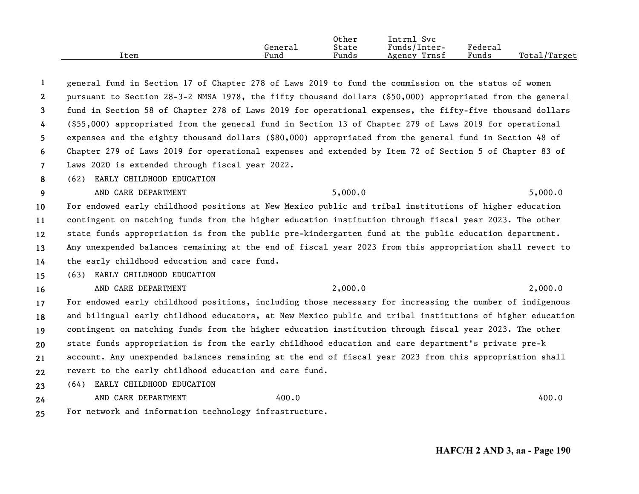|      |         | Other | Intrnl<br><b>Svc</b> |         |                     |
|------|---------|-------|----------------------|---------|---------------------|
|      | General | State | Funds/Inter-         | Federal |                     |
| Item | Fund    | Funds | Trnsf<br>Agency      | Funds   | Total,<br>$T$ arget |

**1234567**general fund in Section 17 of Chapter 278 of Laws 2019 to fund the commission on the status of women pursuant to Section 28-3-2 NMSA 1978, the fifty thousand dollars (\$50,000) appropriated from the general fund in Section 58 of Chapter 278 of Laws 2019 for operational expenses, the fifty-five thousand dollars (\$55,000) appropriated from the general fund in Section 13 of Chapter 279 of Laws 2019 for operational expenses and the eighty thousand dollars (\$80,000) appropriated from the general fund in Section 48 of Chapter 279 of Laws 2019 for operational expenses and extended by Item 72 of Section 5 of Chapter 83 of Laws 2020 is extended through fiscal year 2022.

**8**(62) EARLY CHILDHOOD EDUCATION

**9** AND CARE DEPARTMENT 5,000.0 5,000.0 5,000.0 5,000 5,000 5,000 5,000 5,000 5,000 5,000 5,000 5,000 5,000 5,000 5,000 5,000 5,000 5,000 5,000 5,000 5,000 5,000 5,000 5,000 5,000 5,000 5,000 5,000 5,000 5,000 5,000 5,000 5,00

**1011121314**For endowed early childhood positions at New Mexico public and tribal institutions of higher education contingent on matching funds from the higher education institution through fiscal year 2023. The other state funds appropriation is from the public pre-kindergarten fund at the public education department. Any unexpended balances remaining at the end of fiscal year 2023 from this appropriation shall revert to the early childhood education and care fund.

**15**(63) EARLY CHILDHOOD EDUCATION

**16**AND CARE DEPARTMENT 2,000.0 2,000.0 2,000.0

**171819202122**For endowed early childhood positions, including those necessary for increasing the number of indigenous and bilingual early childhood educators, at New Mexico public and tribal institutions of higher education contingent on matching funds from the higher education institution through fiscal year 2023. The other state funds appropriation is from the early childhood education and care department's private pre-k account. Any unexpended balances remaining at the end of fiscal year 2023 from this appropriation shall revert to the early childhood education and care fund.

**23**(64) EARLY CHILDHOOD EDUCATION

**24**

**25**

For network and information technology infrastructure.

AND CARE DEPARTMENT 400.0 400.0 400.0 400.0 400.0 400.0 400.0 400.0 400.0 400.0 400.0 400.0 400.0 400.0 400.0 400.0 400.0 400.0 400.0 400.0 400.0 400.0 400.0 400.0 400.0 400.0 400.0 400.0 400.0 400.0 400.0 400.0 400.0 400.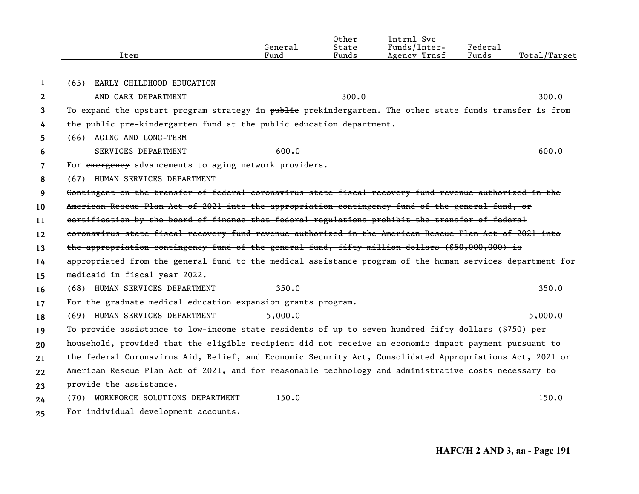|              | Item                                                                                                      | General<br>Fund | Other<br>State<br>Funds | Intrnl Svc<br>Funds/Inter-<br>Agency Trnsf | Federal<br>Funds | Total/Target |
|--------------|-----------------------------------------------------------------------------------------------------------|-----------------|-------------------------|--------------------------------------------|------------------|--------------|
|              |                                                                                                           |                 |                         |                                            |                  |              |
| 1            | EARLY CHILDHOOD EDUCATION<br>(65)                                                                         |                 |                         |                                            |                  |              |
| $\mathbf{2}$ | AND CARE DEPARTMENT                                                                                       |                 | 300.0                   |                                            |                  | 300.0        |
| 3            | To expand the upstart program strategy in public prekindergarten. The other state funds transfer is from  |                 |                         |                                            |                  |              |
| 4            | the public pre-kindergarten fund at the public education department.                                      |                 |                         |                                            |                  |              |
| 5            | (66) AGING AND LONG-TERM                                                                                  |                 |                         |                                            |                  |              |
| 6            | SERVICES DEPARTMENT                                                                                       | 600.0           |                         |                                            |                  | 600.0        |
| 7            | For emergency advancements to aging network providers.                                                    |                 |                         |                                            |                  |              |
| 8            | (67) HUMAN SERVICES DEPARTMENT                                                                            |                 |                         |                                            |                  |              |
| 9            | Contingent on the transfer of federal coronavirus state fiscal recovery fund revenue authorized in the    |                 |                         |                                            |                  |              |
| 10           | American Rescue Plan Act of 2021 into the appropriation contingency fund of the general fund, or          |                 |                         |                                            |                  |              |
| 11           | certification by the board of finance that federal regulations prohibit the transfer of federal           |                 |                         |                                            |                  |              |
| 12           | coronavirus state fiscal recovery fund revenue authorized in the American Rescue Plan Act of 2021 into    |                 |                         |                                            |                  |              |
| 13           | the appropriation contingency fund of the general fund, fifty million dollars $(\$50,000,000)$ is         |                 |                         |                                            |                  |              |
| 14           | appropriated from the general fund to the medical assistance program of the human services department for |                 |                         |                                            |                  |              |
| 15           | medicaid in fiscal year 2022.                                                                             |                 |                         |                                            |                  |              |
| 16           | (68) HUMAN SERVICES DEPARTMENT                                                                            | 350.0           |                         |                                            |                  | 350.0        |
| 17           | For the graduate medical education expansion grants program.                                              |                 |                         |                                            |                  |              |
| 18           | (69) HUMAN SERVICES DEPARTMENT                                                                            | 5,000.0         |                         |                                            |                  | 5,000.0      |
| 19           | To provide assistance to low-income state residents of up to seven hundred fifty dollars (\$750) per      |                 |                         |                                            |                  |              |
| 20           | household, provided that the eligible recipient did not receive an economic impact payment pursuant to    |                 |                         |                                            |                  |              |
| 21           | the federal Coronavirus Aid, Relief, and Economic Security Act, Consolidated Appropriations Act, 2021 or  |                 |                         |                                            |                  |              |
| 22           | American Rescue Plan Act of 2021, and for reasonable technology and administrative costs necessary to     |                 |                         |                                            |                  |              |
| 23           | provide the assistance.                                                                                   |                 |                         |                                            |                  |              |
| 24           | (70) WORKFORCE SOLUTIONS DEPARTMENT                                                                       | 150.0           |                         |                                            |                  | 150.0        |
| 25           | For individual development accounts.                                                                      |                 |                         |                                            |                  |              |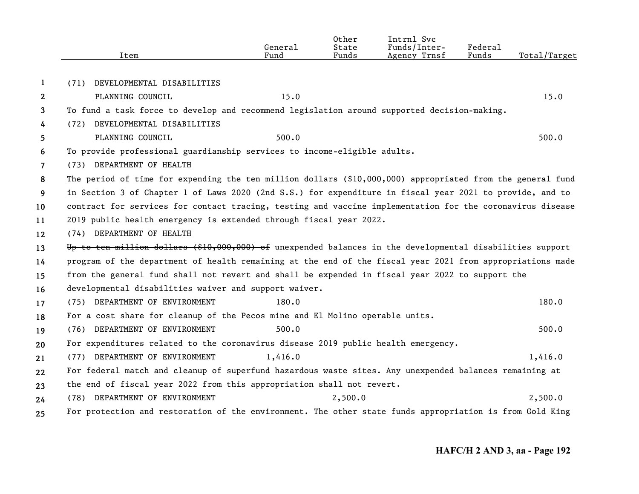|                       | Item                                                                                                        | General<br>Fund | Other<br>State<br>Funds | Intrnl Svc<br>Funds/Inter-<br>Agency Trnsf | Federal<br>Funds | Total/Target |
|-----------------------|-------------------------------------------------------------------------------------------------------------|-----------------|-------------------------|--------------------------------------------|------------------|--------------|
| 1                     | DEVELOPMENTAL DISABILITIES<br>(71)                                                                          |                 |                         |                                            |                  |              |
| $\mathbf{2}^{\prime}$ |                                                                                                             | 15.0            |                         |                                            |                  | 15.0         |
|                       | PLANNING COUNCIL                                                                                            |                 |                         |                                            |                  |              |
| 3                     | To fund a task force to develop and recommend legislation around supported decision-making.                 |                 |                         |                                            |                  |              |
| 4                     | (72) DEVELOPMENTAL DISABILITIES                                                                             | 500.0           |                         |                                            |                  | 500.0        |
| 5.                    | PLANNING COUNCIL                                                                                            |                 |                         |                                            |                  |              |
| 6                     | To provide professional guardianship services to income-eligible adults.<br>(73) DEPARTMENT OF HEALTH       |                 |                         |                                            |                  |              |
| $\overline{7}$        |                                                                                                             |                 |                         |                                            |                  |              |
| 8                     | The period of time for expending the ten million dollars $(§10,000,000)$ appropriated from the general fund |                 |                         |                                            |                  |              |
| 9                     | in Section 3 of Chapter 1 of Laws 2020 (2nd S.S.) for expenditure in fiscal year 2021 to provide, and to    |                 |                         |                                            |                  |              |
| 10                    | contract for services for contact tracing, testing and vaccine implementation for the coronavirus disease   |                 |                         |                                            |                  |              |
| 11                    | 2019 public health emergency is extended through fiscal year 2022.                                          |                 |                         |                                            |                  |              |
| 12                    | (74) DEPARTMENT OF HEALTH                                                                                   |                 |                         |                                            |                  |              |
| 13                    | Up to ten million dollars (\$10,000,000) of unexpended balances in the developmental disabilities support   |                 |                         |                                            |                  |              |
| 14                    | program of the department of health remaining at the end of the fiscal year 2021 from appropriations made   |                 |                         |                                            |                  |              |
| 15                    | from the general fund shall not revert and shall be expended in fiscal year 2022 to support the             |                 |                         |                                            |                  |              |
| 16                    | developmental disabilities waiver and support waiver.                                                       |                 |                         |                                            |                  |              |
| 17                    | (75) DEPARTMENT OF ENVIRONMENT                                                                              | 180.0           |                         |                                            |                  | 180.0        |
| 18                    | For a cost share for cleanup of the Pecos mine and El Molino operable units.                                |                 |                         |                                            |                  |              |
| 19                    | (76) DEPARTMENT OF ENVIRONMENT                                                                              | 500.0           |                         |                                            |                  | 500.0        |
| 20                    | For expenditures related to the coronavirus disease 2019 public health emergency.                           |                 |                         |                                            |                  |              |
| 21                    | (77) DEPARTMENT OF ENVIRONMENT                                                                              | 1,416.0         |                         |                                            |                  | 1,416.0      |
| 22                    | For federal match and cleanup of superfund hazardous waste sites. Any unexpended balances remaining at      |                 |                         |                                            |                  |              |
| 23                    | the end of fiscal year 2022 from this appropriation shall not revert.                                       |                 |                         |                                            |                  |              |
| 24                    | (78) DEPARTMENT OF ENVIRONMENT                                                                              |                 | 2,500.0                 |                                            |                  | 2,500.0      |
| 25                    | For protection and restoration of the environment. The other state funds appropriation is from Gold King    |                 |                         |                                            |                  |              |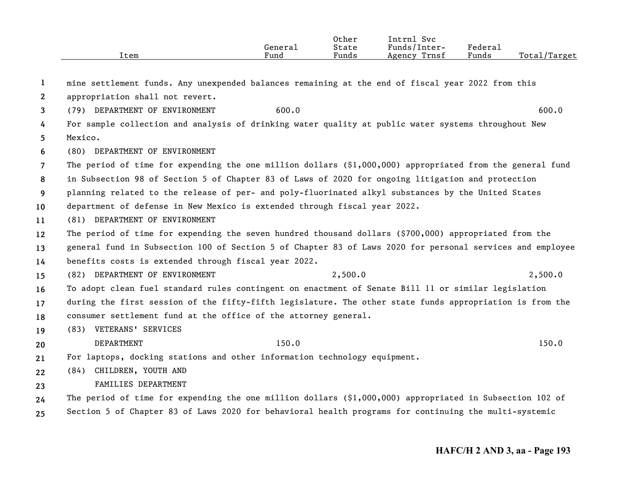|                       | Item                                                                                                       | General<br>Fund | Other<br>State<br>Funds | Intrnl Svc<br>Funds/Inter-<br>Agency Trnsf | <b>Federal</b><br>Funds | Total/Target |
|-----------------------|------------------------------------------------------------------------------------------------------------|-----------------|-------------------------|--------------------------------------------|-------------------------|--------------|
| -1                    | mine settlement funds. Any unexpended balances remaining at the end of fiscal year 2022 from this          |                 |                         |                                            |                         |              |
| $\mathbf{2}^{\prime}$ | appropriation shall not revert.                                                                            |                 |                         |                                            |                         |              |
| 3                     | (79) DEPARTMENT OF ENVIRONMENT                                                                             | 600.0           |                         |                                            |                         | 600.0        |
| 4                     | For sample collection and analysis of drinking water quality at public water systems throughout New        |                 |                         |                                            |                         |              |
| 5                     | Mexico.                                                                                                    |                 |                         |                                            |                         |              |
| 6                     | (80) DEPARTMENT OF ENVIRONMENT                                                                             |                 |                         |                                            |                         |              |
| 7                     | The period of time for expending the one million dollars $(§1,000,000)$ appropriated from the general fund |                 |                         |                                            |                         |              |
| 8                     | in Subsection 98 of Section 5 of Chapter 83 of Laws of 2020 for ongoing litigation and protection          |                 |                         |                                            |                         |              |
| 9                     | planning related to the release of per- and poly-fluorinated alkyl substances by the United States         |                 |                         |                                            |                         |              |
| 10                    | department of defense in New Mexico is extended through fiscal year 2022.                                  |                 |                         |                                            |                         |              |
| 11                    | (81) DEPARTMENT OF ENVIRONMENT                                                                             |                 |                         |                                            |                         |              |
| 12                    | The period of time for expending the seven hundred thousand dollars (\$700,000) appropriated from the      |                 |                         |                                            |                         |              |
| 13                    | general fund in Subsection 100 of Section 5 of Chapter 83 of Laws 2020 for personal services and employee  |                 |                         |                                            |                         |              |
| 14                    | benefits costs is extended through fiscal year 2022.                                                       |                 |                         |                                            |                         |              |
| 15                    | (82) DEPARTMENT OF ENVIRONMENT                                                                             |                 | 2,500.0                 |                                            |                         | 2,500.0      |
| 16                    | To adopt clean fuel standard rules contingent on enactment of Senate Bill 11 or similar legislation        |                 |                         |                                            |                         |              |
| 17                    | during the first session of the fifty-fifth legislature. The other state funds appropriation is from the   |                 |                         |                                            |                         |              |
| 18                    | consumer settlement fund at the office of the attorney general.                                            |                 |                         |                                            |                         |              |
| 19                    | (83) VETERANS' SERVICES                                                                                    |                 |                         |                                            |                         |              |
| 20                    | DEPARTMENT                                                                                                 | 150.0           |                         |                                            |                         | 150.0        |
| 21                    | For laptops, docking stations and other information technology equipment.                                  |                 |                         |                                            |                         |              |
| 22                    | (84) CHILDREN, YOUTH AND                                                                                   |                 |                         |                                            |                         |              |
| 23                    | FAMILIES DEPARTMENT                                                                                        |                 |                         |                                            |                         |              |
| 24                    | The period of time for expending the one million dollars $(91,000,000)$ appropriated in Subsection 102 of  |                 |                         |                                            |                         |              |
| 25                    | Section 5 of Chapter 83 of Laws 2020 for behavioral health programs for continuing the multi-systemic      |                 |                         |                                            |                         |              |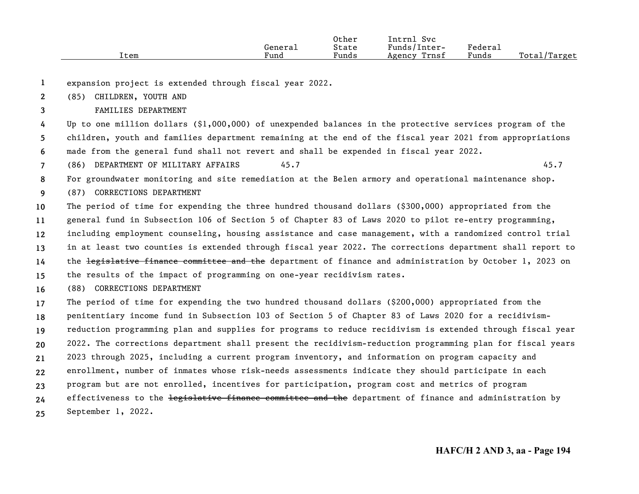|      |         | Other | Intrnl<br>Svc   |                     |              |
|------|---------|-------|-----------------|---------------------|--------------|
|      | General | State | Funds/Inter-    | Federa <sub>1</sub> |              |
| Item | Fund    | Funds | Trnsf<br>Agency | Funds               | Total/Target |

**1**expansion project is extended through fiscal year 2022.

**2**(85) CHILDREN, YOUTH AND

**3**FAMILIES DEPARTMENT

**456**Up to one million dollars (\$1,000,000) of unexpended balances in the protective services program of the children, youth and families department remaining at the end of the fiscal year 2021 from appropriations made from the general fund shall not revert and shall be expended in fiscal year 2022.

**7**(86) DEPARTMENT OF MILITARY AFFAIRS 45.7 45.7

**8**For groundwater monitoring and site remediation at the Belen armory and operational maintenance shop.

**9**(87) CORRECTIONS DEPARTMENT

**101112131415**The period of time for expending the three hundred thousand dollars (\$300,000) appropriated from the general fund in Subsection 106 of Section 5 of Chapter 83 of Laws 2020 to pilot re-entry programming, including employment counseling, housing assistance and case management, with a randomized control trial in at least two counties is extended through fiscal year 2022. The corrections department shall report to the legislative finance committee and the department of finance and administration by October 1, 2023 on the results of the impact of programming on one-year recidivism rates.

**16**(88) CORRECTIONS DEPARTMENT

**171819202122232425**The period of time for expending the two hundred thousand dollars (\$200,000) appropriated from the penitentiary income fund in Subsection 103 of Section 5 of Chapter 83 of Laws 2020 for a recidivismreduction programming plan and supplies for programs to reduce recidivism is extended through fiscal year 2022. The corrections department shall present the recidivism-reduction programming plan for fiscal years 2023 through 2025, including a current program inventory, and information on program capacity and enrollment, number of inmates whose risk-needs assessments indicate they should participate in each program but are not enrolled, incentives for participation, program cost and metrics of program effectiveness to the <del>legislative finance committee and the</del> department of finance and administration by September 1, 2022.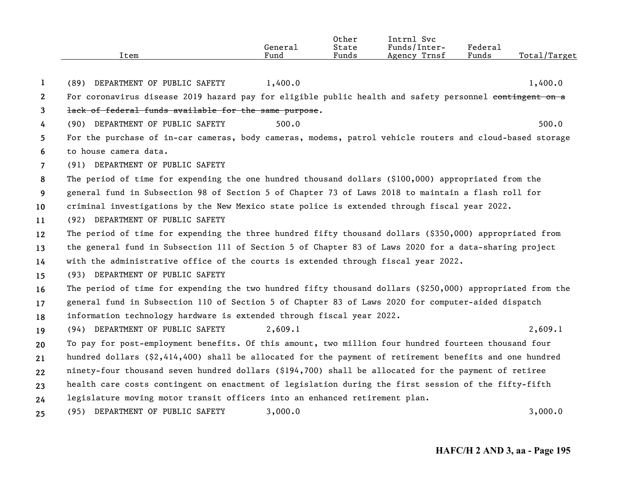|                | Item                                                                                                      | General<br>Fund | Other<br>State<br>Funds | Intrnl Svc<br>Funds/Inter-<br>Agency Trnsf | Federal<br>Funds | Total/Target |
|----------------|-----------------------------------------------------------------------------------------------------------|-----------------|-------------------------|--------------------------------------------|------------------|--------------|
| 1              | (89) DEPARTMENT OF PUBLIC SAFETY                                                                          | 1,400.0         |                         |                                            |                  | 1,400.0      |
| $\mathbf{2}$   | For coronavirus disease 2019 hazard pay for eligible public health and safety personnel contingent on a   |                 |                         |                                            |                  |              |
| 3              | lack of federal funds available for the same purpose.                                                     |                 |                         |                                            |                  |              |
| 4              | (90) DEPARTMENT OF PUBLIC SAFETY                                                                          | 500.0           |                         |                                            |                  | 500.0        |
| 5.             | For the purchase of in-car cameras, body cameras, modems, patrol vehicle routers and cloud-based storage  |                 |                         |                                            |                  |              |
| 6              | to house camera data.                                                                                     |                 |                         |                                            |                  |              |
| $\overline{7}$ | (91) DEPARTMENT OF PUBLIC SAFETY                                                                          |                 |                         |                                            |                  |              |
| 8              | The period of time for expending the one hundred thousand dollars (\$100,000) appropriated from the       |                 |                         |                                            |                  |              |
| 9              | general fund in Subsection 98 of Section 5 of Chapter 73 of Laws 2018 to maintain a flash roll for        |                 |                         |                                            |                  |              |
| 10             | criminal investigations by the New Mexico state police is extended through fiscal year 2022.              |                 |                         |                                            |                  |              |
| 11             | (92) DEPARTMENT OF PUBLIC SAFETY                                                                          |                 |                         |                                            |                  |              |
| 12             | The period of time for expending the three hundred fifty thousand dollars (\$350,000) appropriated from   |                 |                         |                                            |                  |              |
| 13             | the general fund in Subsection 111 of Section 5 of Chapter 83 of Laws 2020 for a data-sharing project     |                 |                         |                                            |                  |              |
| 14             | with the administrative office of the courts is extended through fiscal year 2022.                        |                 |                         |                                            |                  |              |
| 15             | (93) DEPARTMENT OF PUBLIC SAFETY                                                                          |                 |                         |                                            |                  |              |
| 16             | The period of time for expending the two hundred fifty thousand dollars (\$250,000) appropriated from the |                 |                         |                                            |                  |              |
| 17             | general fund in Subsection 110 of Section 5 of Chapter 83 of Laws 2020 for computer-aided dispatch        |                 |                         |                                            |                  |              |
| 18             | information technology hardware is extended through fiscal year 2022.                                     |                 |                         |                                            |                  |              |
| 19             | (94) DEPARTMENT OF PUBLIC SAFETY                                                                          | 2,609.1         |                         |                                            |                  | 2,609.1      |
| 20             | To pay for post-employment benefits. Of this amount, two million four hundred fourteen thousand four      |                 |                         |                                            |                  |              |
| 21             | hundred dollars (\$2,414,400) shall be allocated for the payment of retirement benefits and one hundred   |                 |                         |                                            |                  |              |
| 22             | ninety-four thousand seven hundred dollars (\$194,700) shall be allocated for the payment of retiree      |                 |                         |                                            |                  |              |
| 23             | health care costs contingent on enactment of legislation during the first session of the fifty-fifth      |                 |                         |                                            |                  |              |
| 24             | legislature moving motor transit officers into an enhanced retirement plan.                               |                 |                         |                                            |                  |              |
| 25             | (95) DEPARTMENT OF PUBLIC SAFETY                                                                          | 3,000.0         |                         |                                            |                  | 3,000.0      |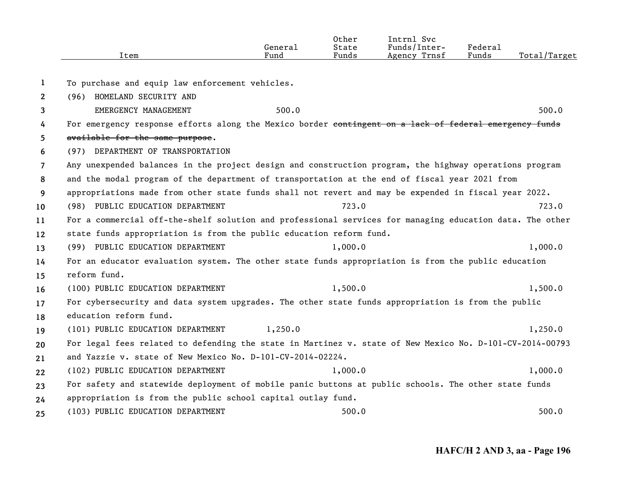|                       | Item                                                                                                                         | General<br>Fund | Other<br>State<br>Funds | Intrnl Svc<br>Funds/Inter-<br>Agency Trnsf | Federal<br>Funds | Total/Target |
|-----------------------|------------------------------------------------------------------------------------------------------------------------------|-----------------|-------------------------|--------------------------------------------|------------------|--------------|
| 1                     | To purchase and equip law enforcement vehicles.                                                                              |                 |                         |                                            |                  |              |
| $\mathbf{2}^{\prime}$ | (96) HOMELAND SECURITY AND                                                                                                   |                 |                         |                                            |                  |              |
| 3                     | EMERGENCY MANAGEMENT                                                                                                         | 500.0           |                         |                                            |                  | 500.0        |
| 4                     | For emergency response efforts along the Mexico border contingent on a lack of federal emergency funds                       |                 |                         |                                            |                  |              |
| 5                     | available for the same purpose.                                                                                              |                 |                         |                                            |                  |              |
| 6                     | (97) DEPARTMENT OF TRANSPORTATION                                                                                            |                 |                         |                                            |                  |              |
| $\overline{7}$        | Any unexpended balances in the project design and construction program, the highway operations program                       |                 |                         |                                            |                  |              |
| 8                     | and the modal program of the department of transportation at the end of fiscal year 2021 from                                |                 |                         |                                            |                  |              |
| 9                     | appropriations made from other state funds shall not revert and may be expended in fiscal year 2022.                         |                 |                         |                                            |                  |              |
| 10                    | (98) PUBLIC EDUCATION DEPARTMENT                                                                                             |                 | 723.0                   |                                            |                  | 723.0        |
| 11                    | For a commercial off-the-shelf solution and professional services for managing education data. The other                     |                 |                         |                                            |                  |              |
| $12 \,$               | state funds appropriation is from the public education reform fund.                                                          |                 |                         |                                            |                  |              |
| 13                    | (99) PUBLIC EDUCATION DEPARTMENT                                                                                             |                 | 1,000.0                 |                                            |                  | 1,000.0      |
|                       | For an educator evaluation system. The other state funds appropriation is from the public education                          |                 |                         |                                            |                  |              |
| 14                    | reform fund.                                                                                                                 |                 |                         |                                            |                  |              |
| 15                    | (100) PUBLIC EDUCATION DEPARTMENT                                                                                            |                 | 1,500.0                 |                                            |                  | 1,500.0      |
| 16                    |                                                                                                                              |                 |                         |                                            |                  |              |
| 17                    | For cybersecurity and data system upgrades. The other state funds appropriation is from the public<br>education reform fund. |                 |                         |                                            |                  |              |
| 18                    |                                                                                                                              |                 |                         |                                            |                  |              |
| 19                    | (101) PUBLIC EDUCATION DEPARTMENT                                                                                            | 1,250.0         |                         |                                            |                  | 1,250.0      |
| 20                    | For legal fees related to defending the state in Martinez v. state of New Mexico No. D-101-CV-2014-00793                     |                 |                         |                                            |                  |              |
| 21                    | and Yazzie v. state of New Mexico No. D-101-CV-2014-02224.                                                                   |                 |                         |                                            |                  |              |
| 22                    | (102) PUBLIC EDUCATION DEPARTMENT                                                                                            |                 | 1,000.0                 |                                            |                  | 1,000.0      |
| 23                    | For safety and statewide deployment of mobile panic buttons at public schools. The other state funds                         |                 |                         |                                            |                  |              |
| 24                    | appropriation is from the public school capital outlay fund.                                                                 |                 |                         |                                            |                  |              |
| 25                    | (103) PUBLIC EDUCATION DEPARTMENT                                                                                            |                 | 500.0                   |                                            |                  | 500.0        |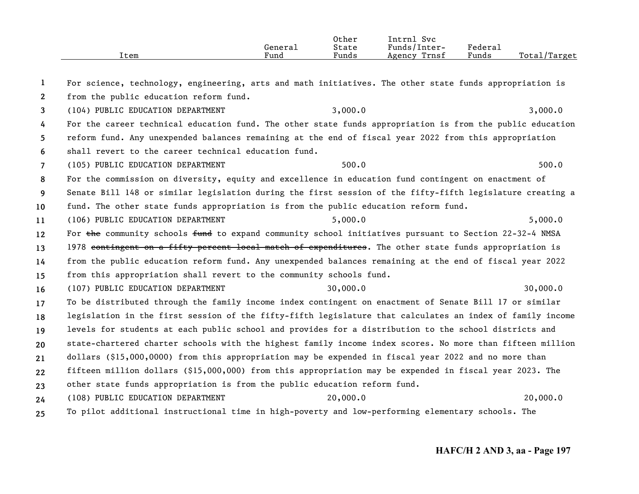|      |         | Other                 | Svc<br>Intrnl   |                       |              |
|------|---------|-----------------------|-----------------|-----------------------|--------------|
|      | Generai | State                 | Funds/Inter-    | $"$ edera $\lrcorner$ |              |
| Item | Fund    | $\mathbf{r}$<br>Funds | Trnsf<br>Agency | Funds                 | Total/Target |

**12345678910111213141516171819202122232425**For science, technology, engineering, arts and math initiatives. The other state funds appropriation is from the public education reform fund. (104) PUBLIC EDUCATION DEPARTMENT 3,000.0 3,000.0 3,000 3,000.0 For the career technical education fund. The other state funds appropriation is from the public education reform fund. Any unexpended balances remaining at the end of fiscal year 2022 from this appropriation shall revert to the career technical education fund.(105) PUBLIC EDUCATION DEPARTMENT 500.0 500.0 500.0 500.0 500.0 500.0 500.0 500.0 500.0 500.0 500.0 500.0 500 For the commission on diversity, equity and excellence in education fund contingent on enactment of Senate Bill 148 or similar legislation during the first session of the fifty-fifth legislature creating a fund. The other state funds appropriation is from the public education reform fund. (106) PUBLIC EDUCATION DEPARTMENT 5,000.0 5,000.0 5,000 5,000.0 For the community schools fund to expand community school initiatives pursuant to Section 22-32-4 NMSA 1978 contingent on a fifty percent local match of expenditures. The other state funds appropriation is from the public education reform fund. Any unexpended balances remaining at the end of fiscal year 2022 from this appropriation shall revert to the community schools fund. (107) PUBLIC EDUCATION DEPARTMENT 30,000.0 30,000.0 To be distributed through the family income index contingent on enactment of Senate Bill 17 or similar legislation in the first session of the fifty-fifth legislature that calculates an index of family income levels for students at each public school and provides for a distribution to the school districts and state-chartered charter schools with the highest family income index scores. No more than fifteen million dollars (\$15,000,0000) from this appropriation may be expended in fiscal year 2022 and no more than fifteen million dollars (\$15,000,000) from this appropriation may be expended in fiscal year 2023. The other state funds appropriation is from the public education reform fund. (108) PUBLIC EDUCATION DEPARTMENT 20,000.0 20,000.0 To pilot additional instructional time in high-poverty and low-performing elementary schools. The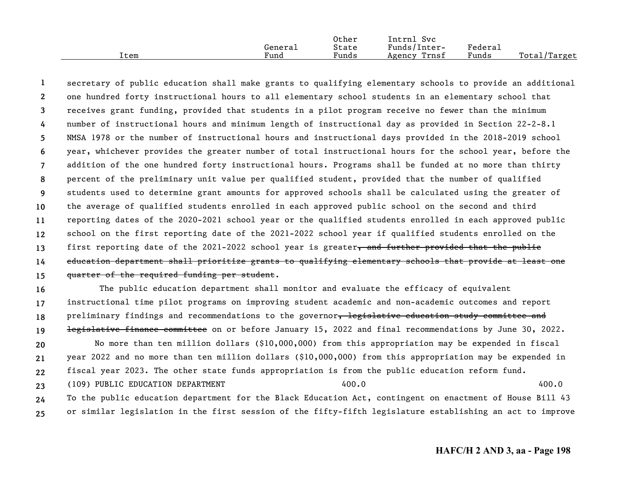|      |                      | Other | Intrnl<br><b>Svc</b> |         |                   |
|------|----------------------|-------|----------------------|---------|-------------------|
|      | Generai              | State | Funds/Inter-         | Federau |                   |
| ⊥tem | $\mathbf{r}$<br>Fund | Funds | Trnsf<br>Agency      | Funds   | Total/<br>/Target |

**123456789 101112131415**secretary of public education shall make grants to qualifying elementary schools to provide an additional one hundred forty instructional hours to all elementary school students in an elementary school that receives grant funding, provided that students in a pilot program receive no fewer than the minimum number of instructional hours and minimum length of instructional day as provided in Section 22-2-8.1 NMSA 1978 or the number of instructional hours and instructional days provided in the 2018-2019 school year, whichever provides the greater number of total instructional hours for the school year, before the addition of the one hundred forty instructional hours. Programs shall be funded at no more than thirty percent of the preliminary unit value per qualified student, provided that the number of qualified students used to determine grant amounts for approved schools shall be calculated using the greater of the average of qualified students enrolled in each approved public school on the second and third reporting dates of the 2020-2021 school year or the qualified students enrolled in each approved public school on the first reporting date of the 2021-2022 school year if qualified students enrolled on the first reporting date of the 2021-2022 school year is greater, and further provided that the public education department shall prioritize grants to qualifying elementary schools that provide at least one quarter of the required funding per student.

**16171819202122232425** The public education department shall monitor and evaluate the efficacy of equivalent instructional time pilot programs on improving student academic and non-academic outcomes and report preliminary findings and recommendations to the governor, legislative education study committee and legislative finance committee on or before January 15, 2022 and final recommendations by June 30, 2022. No more than ten million dollars (\$10,000,000) from this appropriation may be expended in fiscal year 2022 and no more than ten million dollars (\$10,000,000) from this appropriation may be expended in fiscal year 2023. The other state funds appropriation is from the public education reform fund. (109) PUBLIC EDUCATION DEPARTMENT 400.0 400.0 To the public education department for the Black Education Act, contingent on enactment of House Bill 43 or similar legislation in the first session of the fifty-fifth legislature establishing an act to improve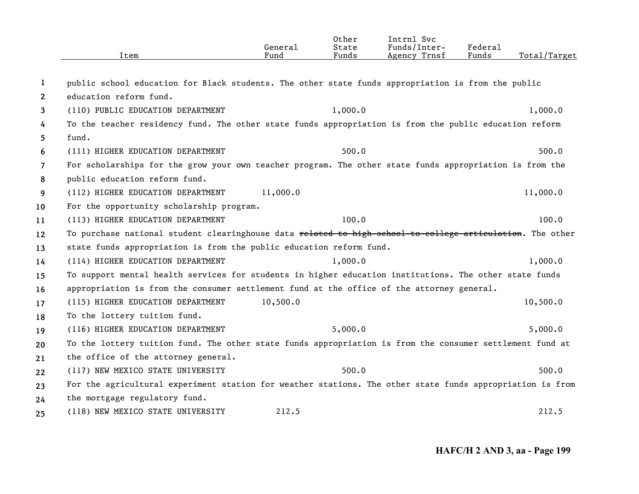|                | Item                                                                                                      | General<br>Fund | Other<br>State<br>Funds | Intrnl Svc<br>Funds/Inter-<br>Agency Trnsf | Federal<br>Funds | Total/Target |
|----------------|-----------------------------------------------------------------------------------------------------------|-----------------|-------------------------|--------------------------------------------|------------------|--------------|
|                |                                                                                                           |                 |                         |                                            |                  |              |
| 1              | public school education for Black students. The other state funds appropriation is from the public        |                 |                         |                                            |                  |              |
| 2              | education reform fund.                                                                                    |                 |                         |                                            |                  |              |
| 3              | (110) PUBLIC EDUCATION DEPARTMENT                                                                         |                 | 1,000.0                 |                                            |                  | 1,000.0      |
| 4              | To the teacher residency fund. The other state funds appropriation is from the public education reform    |                 |                         |                                            |                  |              |
| 5              | fund.                                                                                                     |                 |                         |                                            |                  |              |
| 6              | (111) HIGHER EDUCATION DEPARTMENT                                                                         |                 | 500.0                   |                                            |                  | 500.0        |
| $\overline{7}$ | For scholarships for the grow your own teacher program. The other state funds appropriation is from the   |                 |                         |                                            |                  |              |
| 8              | public education reform fund.                                                                             |                 |                         |                                            |                  |              |
| 9              | (112) HIGHER EDUCATION DEPARTMENT                                                                         | 11,000.0        |                         |                                            |                  | 11,000.0     |
| 10             | For the opportunity scholarship program.                                                                  |                 |                         |                                            |                  |              |
| 11             | (113) HIGHER EDUCATION DEPARTMENT                                                                         |                 | 100.0                   |                                            |                  | 100.0        |
| 12             | To purchase national student clearinghouse data related to high-school-to-college articulation. The other |                 |                         |                                            |                  |              |
| 13             | state funds appropriation is from the public education reform fund.                                       |                 |                         |                                            |                  |              |
| 14             | (114) HIGHER EDUCATION DEPARTMENT                                                                         |                 | 1,000.0                 |                                            |                  | 1,000.0      |
| 15             | To support mental health services for students in higher education institutions. The other state funds    |                 |                         |                                            |                  |              |
| 16             | appropriation is from the consumer settlement fund at the office of the attorney general.                 |                 |                         |                                            |                  |              |
| 17             | (115) HIGHER EDUCATION DEPARTMENT                                                                         | 10,500.0        |                         |                                            |                  | 10,500.0     |
| 18             | To the lottery tuition fund.                                                                              |                 |                         |                                            |                  |              |
| 19             | (116) HIGHER EDUCATION DEPARTMENT                                                                         |                 | 5,000.0                 |                                            |                  | 5,000.0      |
| 20             | To the lottery tuition fund. The other state funds appropriation is from the consumer settlement fund at  |                 |                         |                                            |                  |              |
| 21             | the office of the attorney general.                                                                       |                 |                         |                                            |                  |              |
| 22             | (117) NEW MEXICO STATE UNIVERSITY                                                                         |                 | 500.0                   |                                            |                  | 500.0        |
| 23             | For the agricultural experiment station for weather stations. The other state funds appropriation is from |                 |                         |                                            |                  |              |
| 24             | the mortgage regulatory fund.                                                                             |                 |                         |                                            |                  |              |
| 25             | (118) NEW MEXICO STATE UNIVERSITY                                                                         | 212.5           |                         |                                            |                  | 212.5        |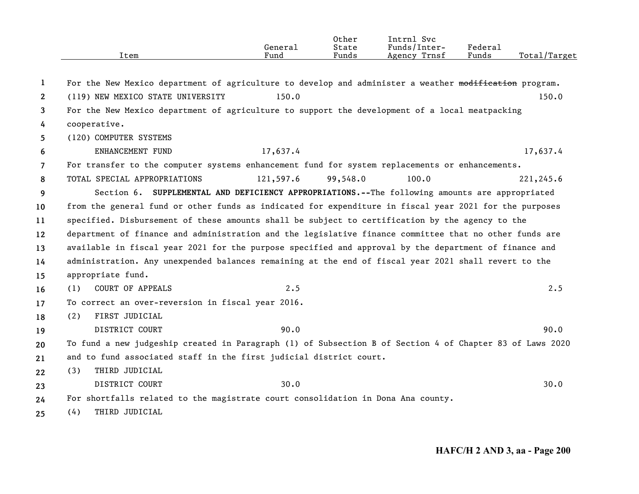|                       | Item                                                                                                     | General<br>Fund | Other<br>State<br>Funds | Intrnl Svc<br>Funds/Inter-<br>Agency Trnsf | Federal<br>Funds | Total/Target |
|-----------------------|----------------------------------------------------------------------------------------------------------|-----------------|-------------------------|--------------------------------------------|------------------|--------------|
| 1                     | For the New Mexico department of agriculture to develop and administer a weather modification program.   |                 |                         |                                            |                  |              |
| $\mathbf{2}^{\prime}$ | (119) NEW MEXICO STATE UNIVERSITY                                                                        | 150.0           |                         |                                            |                  | 150.0        |
| 3                     | For the New Mexico department of agriculture to support the development of a local meatpacking           |                 |                         |                                            |                  |              |
| 4                     | cooperative.                                                                                             |                 |                         |                                            |                  |              |
| 5                     | (120) COMPUTER SYSTEMS                                                                                   |                 |                         |                                            |                  |              |
| 6                     | ENHANCEMENT FUND                                                                                         | 17,637.4        |                         |                                            |                  | 17,637.4     |
| $\overline{7}$        | For transfer to the computer systems enhancement fund for system replacements or enhancements.           |                 |                         |                                            |                  |              |
| 8                     | TOTAL SPECIAL APPROPRIATIONS                                                                             | 121,597.6       | 99,548.0                | 100.0                                      |                  | 221,245.6    |
| 9                     | Section 6. SUPPLEMENTAL AND DEFICIENCY APPROPRIATIONS.--The following amounts are appropriated           |                 |                         |                                            |                  |              |
| 10                    | from the general fund or other funds as indicated for expenditure in fiscal year 2021 for the purposes   |                 |                         |                                            |                  |              |
| 11                    | specified. Disbursement of these amounts shall be subject to certification by the agency to the          |                 |                         |                                            |                  |              |
| $12 \,$               | department of finance and administration and the legislative finance committee that no other funds are   |                 |                         |                                            |                  |              |
| 13                    | available in fiscal year 2021 for the purpose specified and approval by the department of finance and    |                 |                         |                                            |                  |              |
| 14                    | administration. Any unexpended balances remaining at the end of fiscal year 2021 shall revert to the     |                 |                         |                                            |                  |              |
| 15                    | appropriate fund.                                                                                        |                 |                         |                                            |                  |              |
| 16                    | <b>COURT OF APPEALS</b><br>(1)                                                                           | 2.5             |                         |                                            |                  | 2.5          |
| 17                    | To correct an over-reversion in fiscal year 2016.                                                        |                 |                         |                                            |                  |              |
| 18                    | FIRST JUDICIAL<br>(2)                                                                                    |                 |                         |                                            |                  |              |
| 19                    | DISTRICT COURT                                                                                           | 90.0            |                         |                                            |                  | 90.0         |
| 20                    | To fund a new judgeship created in Paragraph (1) of Subsection B of Section 4 of Chapter 83 of Laws 2020 |                 |                         |                                            |                  |              |
| 21                    | and to fund associated staff in the first judicial district court.                                       |                 |                         |                                            |                  |              |
| 22                    | THIRD JUDICIAL<br>(3)                                                                                    |                 |                         |                                            |                  |              |
| 23                    | DISTRICT COURT                                                                                           | 30.0            |                         |                                            |                  | 30.0         |
| 24                    | For shortfalls related to the magistrate court consolidation in Dona Ana county.                         |                 |                         |                                            |                  |              |
| 25                    | THIRD JUDICIAL<br>(4)                                                                                    |                 |                         |                                            |                  |              |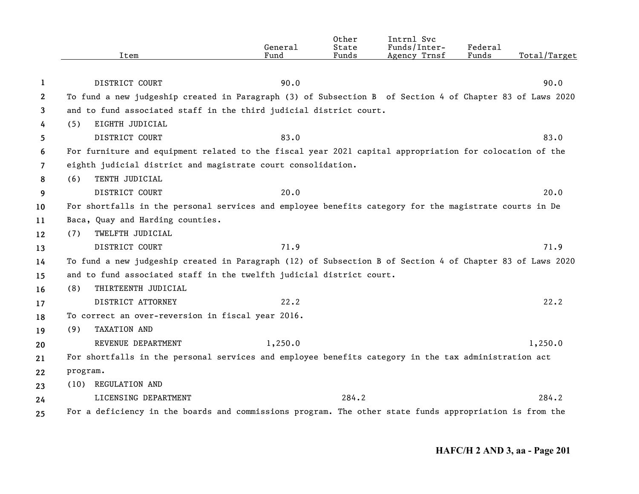|                       | Item                                                                                                      | General<br>Fund | Other<br>State<br>Funds | Intrnl Svc<br>Funds/Inter-<br>Agency Trnsf | Federal<br>Funds | Total/Target |
|-----------------------|-----------------------------------------------------------------------------------------------------------|-----------------|-------------------------|--------------------------------------------|------------------|--------------|
| 1                     | DISTRICT COURT                                                                                            | 90.0            |                         |                                            |                  | 90.0         |
| $\mathbf{2}^{\prime}$ | To fund a new judgeship created in Paragraph (3) of Subsection B of Section 4 of Chapter 83 of Laws 2020  |                 |                         |                                            |                  |              |
| 3                     | and to fund associated staff in the third judicial district court.                                        |                 |                         |                                            |                  |              |
| 4                     | EIGHTH JUDICIAL<br>(5)                                                                                    |                 |                         |                                            |                  |              |
| 5                     | DISTRICT COURT                                                                                            | 83.0            |                         |                                            |                  | 83.0         |
| 6                     | For furniture and equipment related to the fiscal year 2021 capital appropriation for colocation of the   |                 |                         |                                            |                  |              |
| $\overline{7}$        | eighth judicial district and magistrate court consolidation.                                              |                 |                         |                                            |                  |              |
| 8                     | TENTH JUDICIAL<br>(6)                                                                                     |                 |                         |                                            |                  |              |
| 9                     | DISTRICT COURT                                                                                            | 20.0            |                         |                                            |                  | 20.0         |
| 10                    | For shortfalls in the personal services and employee benefits category for the magistrate courts in De    |                 |                         |                                            |                  |              |
| 11                    | Baca, Quay and Harding counties.                                                                          |                 |                         |                                            |                  |              |
| 12                    | TWELFTH JUDICIAL<br>(7)                                                                                   |                 |                         |                                            |                  |              |
| 13                    | DISTRICT COURT                                                                                            | 71.9            |                         |                                            |                  | 71.9         |
| 14                    | To fund a new judgeship created in Paragraph (12) of Subsection B of Section 4 of Chapter 83 of Laws 2020 |                 |                         |                                            |                  |              |
| 15                    | and to fund associated staff in the twelfth judicial district court.                                      |                 |                         |                                            |                  |              |
| 16                    | THIRTEENTH JUDICIAL<br>(8)                                                                                |                 |                         |                                            |                  |              |
| 17                    | DISTRICT ATTORNEY                                                                                         | 22.2            |                         |                                            |                  | 22.2         |
| 18                    | To correct an over-reversion in fiscal year 2016.                                                         |                 |                         |                                            |                  |              |
| 19                    | TAXATION AND<br>(9)                                                                                       |                 |                         |                                            |                  |              |
| 20                    | REVENUE DEPARTMENT                                                                                        | 1,250.0         |                         |                                            |                  | 1,250.0      |
| 21                    | For shortfalls in the personal services and employee benefits category in the tax administration act      |                 |                         |                                            |                  |              |
| 22                    | program.                                                                                                  |                 |                         |                                            |                  |              |
| 23                    | <b>REGULATION AND</b><br>(10)                                                                             |                 |                         |                                            |                  |              |
| 24                    | LICENSING DEPARTMENT                                                                                      |                 | 284.2                   |                                            |                  | 284.2        |
| 25                    | For a deficiency in the boards and commissions program. The other state funds appropriation is from the   |                 |                         |                                            |                  |              |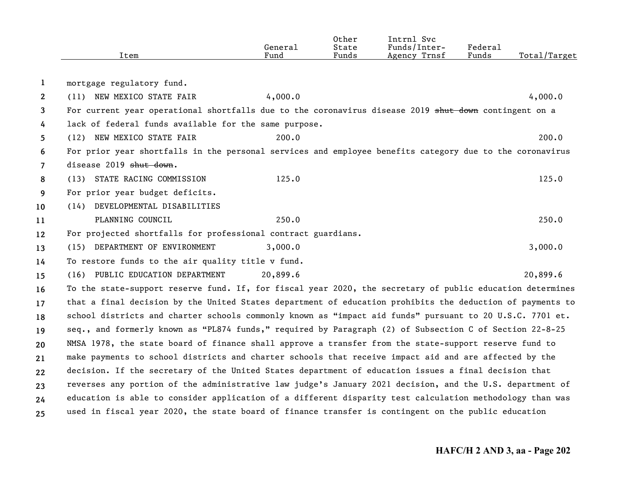|                | Item                                                                                                      | General<br>Fund | Other<br>State<br>Funds | Intrnl Svc<br>Funds/Inter-<br>Agency Trnsf | Federal<br>Funds | Total/Target |
|----------------|-----------------------------------------------------------------------------------------------------------|-----------------|-------------------------|--------------------------------------------|------------------|--------------|
|                |                                                                                                           |                 |                         |                                            |                  |              |
| $\mathbf{1}$   | mortgage regulatory fund.                                                                                 |                 |                         |                                            |                  |              |
| $\mathbf{2}$   | (11) NEW MEXICO STATE FAIR                                                                                | 4,000.0         |                         |                                            |                  | 4,000.0      |
| 3              | For current year operational shortfalls due to the coronavirus disease 2019 shut down contingent on a     |                 |                         |                                            |                  |              |
| 4              | lack of federal funds available for the same purpose.                                                     |                 |                         |                                            |                  |              |
| 5              | (12) NEW MEXICO STATE FAIR                                                                                | 200.0           |                         |                                            |                  | 200.0        |
| 6              | For prior year shortfalls in the personal services and employee benefits category due to the coronavirus  |                 |                         |                                            |                  |              |
| $\overline{7}$ | disease 2019 shut down.                                                                                   |                 |                         |                                            |                  |              |
| 8              | (13) STATE RACING COMMISSION                                                                              | 125.0           |                         |                                            |                  | 125.0        |
| 9              | For prior year budget deficits.                                                                           |                 |                         |                                            |                  |              |
| 10             | (14) DEVELOPMENTAL DISABILITIES                                                                           |                 |                         |                                            |                  |              |
| 11             | PLANNING COUNCIL                                                                                          | 250.0           |                         |                                            |                  | 250.0        |
| 12             | For projected shortfalls for professional contract guardians.                                             |                 |                         |                                            |                  |              |
| 13             | (15) DEPARTMENT OF ENVIRONMENT                                                                            | 3,000.0         |                         |                                            |                  | 3,000.0      |
| 14             | To restore funds to the air quality title v fund.                                                         |                 |                         |                                            |                  |              |
| 15             | (16) PUBLIC EDUCATION DEPARTMENT                                                                          | 20,899.6        |                         |                                            |                  | 20,899.6     |
| 16             | To the state-support reserve fund. If, for fiscal year 2020, the secretary of public education determines |                 |                         |                                            |                  |              |
| 17             | that a final decision by the United States department of education prohibits the deduction of payments to |                 |                         |                                            |                  |              |
| 18             | school districts and charter schools commonly known as "impact aid funds" pursuant to 20 U.S.C. 7701 et.  |                 |                         |                                            |                  |              |
| 19             | seq., and formerly known as "PL874 funds," required by Paragraph (2) of Subsection C of Section 22-8-25   |                 |                         |                                            |                  |              |
| 20             | NMSA 1978, the state board of finance shall approve a transfer from the state-support reserve fund to     |                 |                         |                                            |                  |              |
| 21             | make payments to school districts and charter schools that receive impact aid and are affected by the     |                 |                         |                                            |                  |              |
| 22             | decision. If the secretary of the United States department of education issues a final decision that      |                 |                         |                                            |                  |              |
| 23             | reverses any portion of the administrative law judge's January 2021 decision, and the U.S. department of  |                 |                         |                                            |                  |              |
| 24             | education is able to consider application of a different disparity test calculation methodology than was  |                 |                         |                                            |                  |              |
| 25             | used in fiscal year 2020, the state board of finance transfer is contingent on the public education       |                 |                         |                                            |                  |              |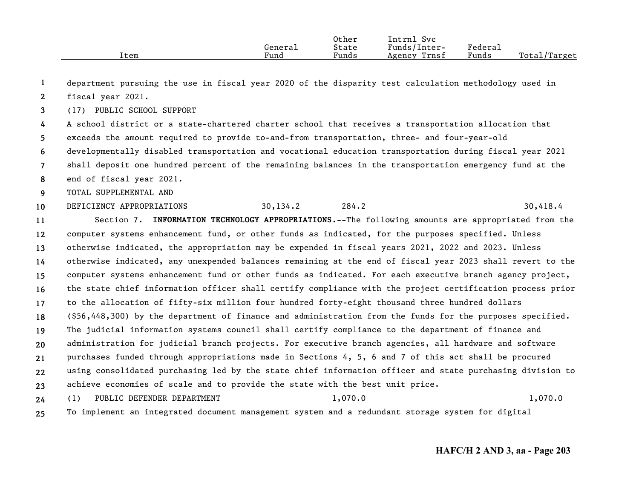|      |         | Other | Intrnl<br>Svc   |         |              |
|------|---------|-------|-----------------|---------|--------------|
|      | Generai | State | Funds/Inter-    | Federai |              |
| Item | Fund    | Funds | Trnsf<br>Agency | Funds   | Total/Target |

**1**department pursuing the use in fiscal year 2020 of the disparity test calculation methodology used in

**2**fiscal year 2021.

**3**(17) PUBLIC SCHOOL SUPPORT

**4567**A school district or a state-chartered charter school that receives a transportation allocation that exceeds the amount required to provide to-and-from transportation, three- and four-year-old developmentally disabled transportation and vocational education transportation during fiscal year 2021 shall deposit one hundred percent of the remaining balances in the transportation emergency fund at the end of fiscal year 2021.

**8**

**9**TOTAL SUPPLEMENTAL AND

**10**DEFICIENCY APPROPRIATIONS 30,134.2 284.2 30,418.4

**11121314151617181920212223**Section 7. **INFORMATION TECHNOLOGY APPROPRIATIONS.--**The following amounts are appropriated from the computer systems enhancement fund, or other funds as indicated, for the purposes specified. Unless otherwise indicated, the appropriation may be expended in fiscal years 2021, 2022 and 2023. Unless otherwise indicated, any unexpended balances remaining at the end of fiscal year 2023 shall revert to the computer systems enhancement fund or other funds as indicated. For each executive branch agency project, the state chief information officer shall certify compliance with the project certification process prior to the allocation of fifty-six million four hundred forty-eight thousand three hundred dollars (\$56,448,300) by the department of finance and administration from the funds for the purposes specified. The judicial information systems council shall certify compliance to the department of finance and administration for judicial branch projects. For executive branch agencies, all hardware and software purchases funded through appropriations made in Sections 4, 5, 6 and 7 of this act shall be procured using consolidated purchasing led by the state chief information officer and state purchasing division to achieve economies of scale and to provide the state with the best unit price.

**24**(1) PUBLIC DEFENDER DEPARTMENT 1,070.0 1,070.0 1,070.0

**25**To implement an integrated document management system and a redundant storage system for digital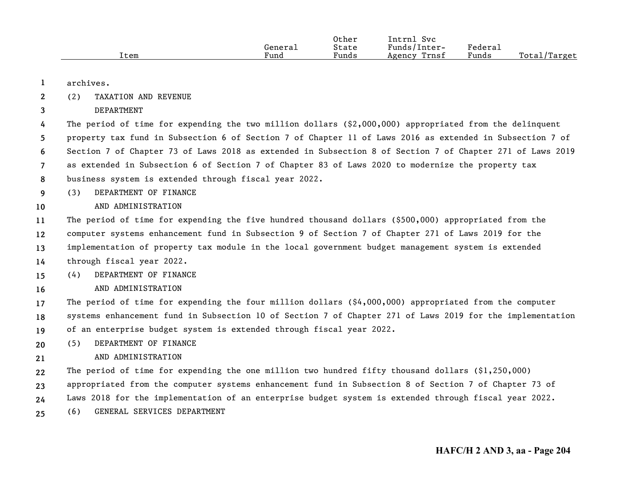|      |         | Other | Intrnl<br>Svc   |         |              |
|------|---------|-------|-----------------|---------|--------------|
|      | General | State | Funds/Inter-    | Federau |              |
| Item | Fund    | Funds | Trnsf<br>Agency | Funds   | Total/Target |

**1**archives.

**10**

**16**

**21**

- **2**(2) TAXATION AND REVENUE
- **3**DEPARTMENT

**4567**The period of time for expending the two million dollars (\$2,000,000) appropriated from the delinquent property tax fund in Subsection 6 of Section 7 of Chapter 11 of Laws 2016 as extended in Subsection 7 of Section 7 of Chapter 73 of Laws 2018 as extended in Subsection 8 of Section 7 of Chapter 271 of Laws 2019 as extended in Subsection 6 of Section 7 of Chapter 83 of Laws 2020 to modernize the property tax

- **8**business system is extended through fiscal year 2022.
- **9**(3) DEPARTMENT OF FINANCE

### AND ADMINISTRATION

**111213**The period of time for expending the five hundred thousand dollars (\$500,000) appropriated from the computer systems enhancement fund in Subsection 9 of Section 7 of Chapter 271 of Laws 2019 for the implementation of property tax module in the local government budget management system is extended

- **14**through fiscal year 2022.
- **15**(4) DEPARTMENT OF FINANCE
	- AND ADMINISTRATION

**171819**The period of time for expending the four million dollars (\$4,000,000) appropriated from the computer systems enhancement fund in Subsection 10 of Section 7 of Chapter 271 of Laws 2019 for the implementation of an enterprise budget system is extended through fiscal year 2022.

- **20**(5) DEPARTMENT OF FINANCE
	- AND ADMINISTRATION
- **22**The period of time for expending the one million two hundred fifty thousand dollars  $(\$1,250,000)$
- **23**appropriated from the computer systems enhancement fund in Subsection 8 of Section 7 of Chapter 73 of
- **24**Laws 2018 for the implementation of an enterprise budget system is extended through fiscal year 2022.
- **25**(6) GENERAL SERVICES DEPARTMENT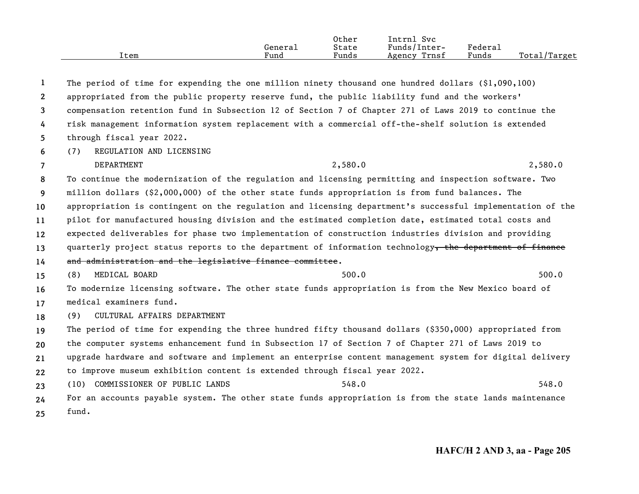|      | General<br>Fund | Other<br>State<br>Funds | Intrnl Svc<br>Funds/Inter-<br>Trnsf | Federal<br>Funds | Total/Target |
|------|-----------------|-------------------------|-------------------------------------|------------------|--------------|
| Item |                 |                         | Agency                              |                  |              |

| 1                     | The period of time for expending the one million ninety thousand one hundred dollars $(91,090,100)$       |
|-----------------------|-----------------------------------------------------------------------------------------------------------|
| $\mathbf{2}^{\prime}$ | appropriated from the public property reserve fund, the public liability fund and the workers'            |
| 3                     | compensation retention fund in Subsection 12 of Section 7 of Chapter 271 of Laws 2019 to continue the     |
| 4                     | risk management information system replacement with a commercial off-the-shelf solution is extended       |
| 5                     | through fiscal year 2022.                                                                                 |
| 6                     | REGULATION AND LICENSING<br>(7)                                                                           |
| $\overline{7}$        | DEPARTMENT<br>2,580.0<br>2,580.0                                                                          |
| 8                     | To continue the modernization of the regulation and licensing permitting and inspection software. Two     |
| 9                     | million dollars (\$2,000,000) of the other state funds appropriation is from fund balances. The           |
| 10                    | appropriation is contingent on the regulation and licensing department's successful implementation of the |
| 11                    | pilot for manufactured housing division and the estimated completion date, estimated total costs and      |
| 12                    | expected deliverables for phase two implementation of construction industries division and providing      |
| 13                    | quarterly project status reports to the department of information technology, the department of finance   |
| 14                    | and administration and the legislative finance committee.                                                 |
| 15                    | 500.0<br>500.0<br>MEDICAL BOARD<br>(8)                                                                    |
| 16                    | To modernize licensing software. The other state funds appropriation is from the New Mexico board of      |
| 17                    | medical examiners fund.                                                                                   |
| 18                    | CULTURAL AFFAIRS DEPARTMENT<br>(9)                                                                        |
| 19                    | The period of time for expending the three hundred fifty thousand dollars (\$350,000) appropriated from   |
| 20                    | the computer systems enhancement fund in Subsection 17 of Section 7 of Chapter 271 of Laws 2019 to        |
| 21                    | upgrade hardware and software and implement an enterprise content management system for digital delivery  |
| 22                    | to improve museum exhibition content is extended through fiscal year 2022.                                |
| 23                    | 548.0<br>(10) COMMISSIONER OF PUBLIC LANDS<br>548.0                                                       |
| 24                    | For an accounts payable system. The other state funds appropriation is from the state lands maintenance   |
| 25                    | fund.                                                                                                     |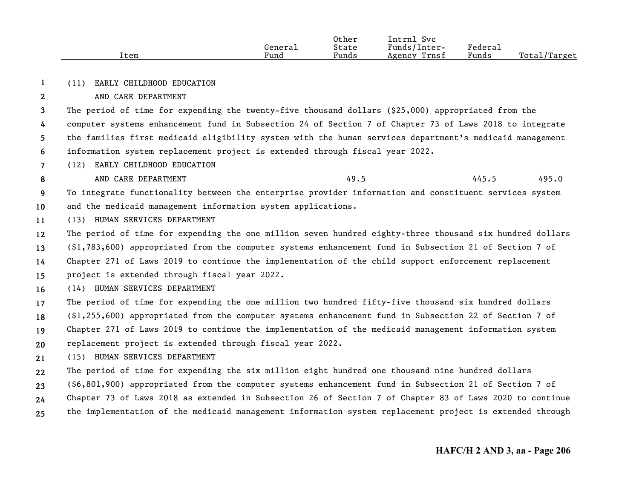|      |                      | Other | Intrnl<br><b>Svc</b> |         |                   |
|------|----------------------|-------|----------------------|---------|-------------------|
|      | Generai              | State | Funds/Inter-         | Federau |                   |
| ⊥tem | $\mathbf{r}$<br>Fund | Funds | Trnsf<br>Agency      | Funds   | Total/<br>/Target |

**1**(11) EARLY CHILDHOOD EDUCATION

## AND CARE DEPARTMENT

**2**

**8**

**3**The period of time for expending the twenty-five thousand dollars (\$25,000) appropriated from the

**456**computer systems enhancement fund in Subsection 24 of Section 7 of Chapter 73 of Laws 2018 to integrate the families first medicaid eligibility system with the human services department's medicaid management information system replacement project is extended through fiscal year 2022.

- **7**(12) EARLY CHILDHOOD EDUCATION
	- AND CARE DEPARTMENT 49.5 445.5 495.0

**910**To integrate functionality between the enterprise provider information and constituent services system and the medicaid management information system applications.

- **11**(13) HUMAN SERVICES DEPARTMENT
- **12**The period of time for expending the one million seven hundred eighty-three thousand six hundred dollars

**13**(\$1,783,600) appropriated from the computer systems enhancement fund in Subsection 21 of Section 7 of

**14**Chapter 271 of Laws 2019 to continue the implementation of the child support enforcement replacement

- **15**project is extended through fiscal year 2022.
- **16**(14) HUMAN SERVICES DEPARTMENT
- **171819**The period of time for expending the one million two hundred fifty-five thousand six hundred dollars (\$1,255,600) appropriated from the computer systems enhancement fund in Subsection 22 of Section 7 of Chapter 271 of Laws 2019 to continue the implementation of the medicaid management information system
- **20**replacement project is extended through fiscal year 2022.
- **21**(15) HUMAN SERVICES DEPARTMENT
- **22**The period of time for expending the six million eight hundred one thousand nine hundred dollars
- **23**(\$6,801,900) appropriated from the computer systems enhancement fund in Subsection 21 of Section 7 of
- **24**Chapter 73 of Laws 2018 as extended in Subsection 26 of Section 7 of Chapter 83 of Laws 2020 to continue
- **25**the implementation of the medicaid management information system replacement project is extended through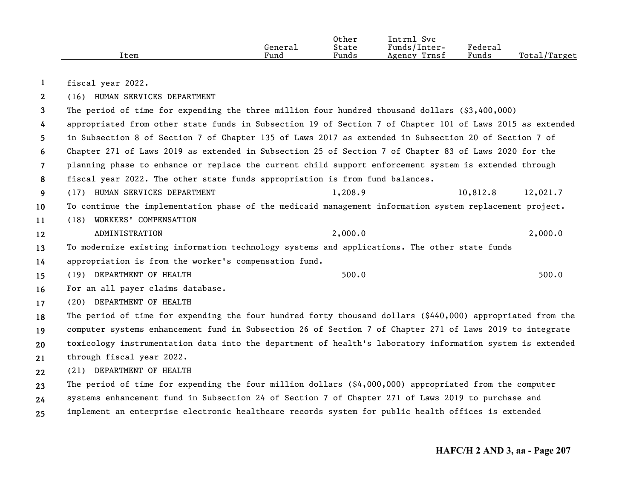|      |         | Other | Intrnl<br><b>Svc</b> |         |                   |
|------|---------|-------|----------------------|---------|-------------------|
|      | General | State | Funds/Inter-         | Federa⊥ |                   |
| Item | Fund    | Funds | Trnsf<br>Agency      | Funds   | Total/<br>/Target |

**1**fiscal year 2022.

**2**(16) HUMAN SERVICES DEPARTMENT

**3**The period of time for expending the three million four hundred thousand dollars (\$3,400,000)

**4**appropriated from other state funds in Subsection 19 of Section 7 of Chapter 101 of Laws 2015 as extended

**5**in Subsection 8 of Section 7 of Chapter 135 of Laws 2017 as extended in Subsection 20 of Section 7 of

**6**Chapter 271 of Laws 2019 as extended in Subsection 25 of Section 7 of Chapter 83 of Laws 2020 for the

**7**planning phase to enhance or replace the current child support enforcement system is extended through

- **8**fiscal year 2022. The other state funds appropriation is from fund balances.
- **9**(17) HUMAN SERVICES DEPARTMENT 1,208.9 10,812.8 12,021.7

**10**To continue the implementation phase of the medicaid management information system replacement project.

**11**(18) WORKERS' COMPENSATION

**12**ADMINISTRATION 2,000.0 2,000.0 2,000.0

**13**To modernize existing information technology systems and applications. The other state funds

**14**appropriation is from the worker's compensation fund.

**15**(19) DEPARTMENT OF HEALTH 500.0 500.0 500.0 500.0 500.0 500.0 500.0 500.0 500.0 500.0 500.0 500.0 500.0 500.0 500.0 500.0 500.0 500.0 500.0 500.0 500.0 500.0 500.0 500.0 500.0 500.0 500.0 500.0 500.0 500.0 500.0 500.0 500.

**16**For an all payer claims database.

**17**(20) DEPARTMENT OF HEALTH

**18192021**The period of time for expending the four hundred forty thousand dollars (\$440,000) appropriated from the computer systems enhancement fund in Subsection 26 of Section 7 of Chapter 271 of Laws 2019 to integrate toxicology instrumentation data into the department of health's laboratory information system is extended through fiscal year 2022.

**22**(21) DEPARTMENT OF HEALTH

**2324**The period of time for expending the four million dollars  $(§4,000,000)$  appropriated from the computer systems enhancement fund in Subsection 24 of Section 7 of Chapter 271 of Laws 2019 to purchase and

**25**implement an enterprise electronic healthcare records system for public health offices is extended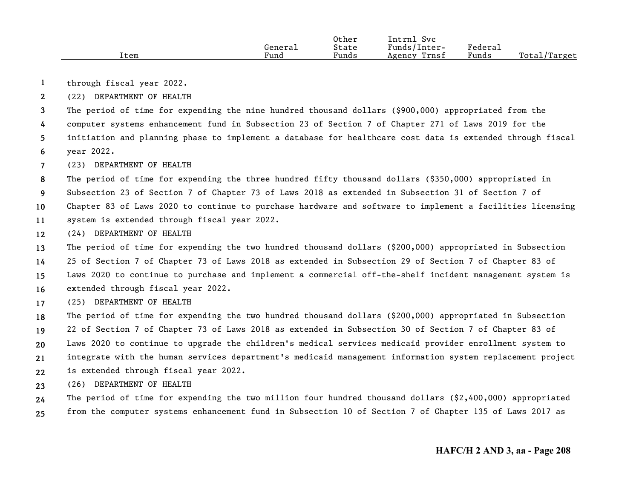|      |         | Other | Intrn.<br><b>Svc</b> |                           |              |
|------|---------|-------|----------------------|---------------------------|--------------|
|      | General | State | Funds/Inter-         | ${}_{\rm Federa_{\perp}}$ |              |
| Item | Fund    | Funds | Trnsf<br>Agency      | Funds                     | Total/Target |

- **1**through fiscal year 2022.
- **2**(22) DEPARTMENT OF HEALTH

**3**The period of time for expending the nine hundred thousand dollars (\$900,000) appropriated from the

**4**computer systems enhancement fund in Subsection 23 of Section 7 of Chapter 271 of Laws 2019 for the

**56**initiation and planning phase to implement a database for healthcare cost data is extended through fiscal year 2022.

**7**(23) DEPARTMENT OF HEALTH

**8**The period of time for expending the three hundred fifty thousand dollars (\$350,000) appropriated in

**9**Subsection 23 of Section 7 of Chapter 73 of Laws 2018 as extended in Subsection 31 of Section 7 of

**10**Chapter 83 of Laws 2020 to continue to purchase hardware and software to implement a facilities licensing

- **11**system is extended through fiscal year 2022.
- **12**(24) DEPARTMENT OF HEALTH

**13**The period of time for expending the two hundred thousand dollars (\$200,000) appropriated in Subsection

**14**25 of Section 7 of Chapter 73 of Laws 2018 as extended in Subsection 29 of Section 7 of Chapter 83 of

**15**Laws 2020 to continue to purchase and implement a commercial off-the-shelf incident management system is

- **16**extended through fiscal year 2022.
- **17**(25) DEPARTMENT OF HEALTH

**18**The period of time for expending the two hundred thousand dollars (\$200,000) appropriated in Subsection

**1920**22 of Section 7 of Chapter 73 of Laws 2018 as extended in Subsection 30 of Section 7 of Chapter 83 of Laws 2020 to continue to upgrade the children's medical services medicaid provider enrollment system to

**21**integrate with the human services department's medicaid management information system replacement project

- **22**is extended through fiscal year 2022.
- **23**(26) DEPARTMENT OF HEALTH

**2425**The period of time for expending the two million four hundred thousand dollars (\$2,400,000) appropriated from the computer systems enhancement fund in Subsection 10 of Section 7 of Chapter 135 of Laws 2017 as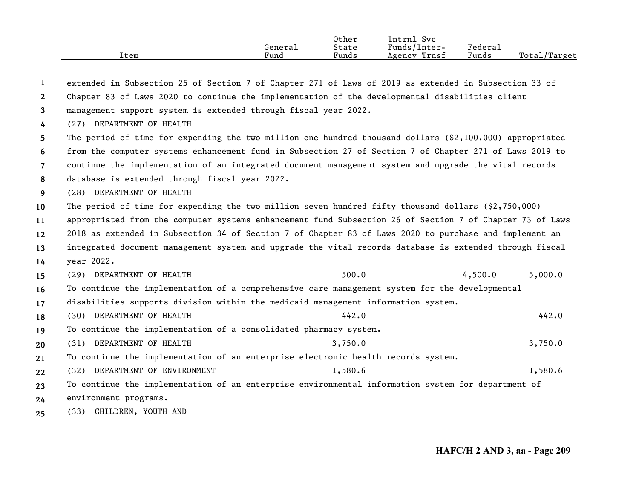|      | General | Other<br>State | Intrnl Svc<br>Funds/Inter- | Federal |              |
|------|---------|----------------|----------------------------|---------|--------------|
|      |         |                |                            |         |              |
| Item | Fund    | Funds          | Trnsf<br>Agency            | Funds   | Total/Target |

| 1              | extended in Subsection 25 of Section 7 of Chapter 271 of Laws of 2019 as extended in Subsection 33 of       |         |
|----------------|-------------------------------------------------------------------------------------------------------------|---------|
| $\mathbf{2}$   | Chapter 83 of Laws 2020 to continue the implementation of the developmental disabilities client             |         |
| 3              | management support system is extended through fiscal year 2022.                                             |         |
| 4              | (27) DEPARTMENT OF HEALTH                                                                                   |         |
| 5              | The period of time for expending the two million one hundred thousand dollars $(§2, 100, 000)$ appropriated |         |
| 6              | from the computer systems enhancement fund in Subsection 27 of Section 7 of Chapter 271 of Laws 2019 to     |         |
| $\overline{7}$ | continue the implementation of an integrated document management system and upgrade the vital records       |         |
| 8              | database is extended through fiscal year 2022.                                                              |         |
| 9              | (28) DEPARTMENT OF HEALTH                                                                                   |         |
| 10             | The period of time for expending the two million seven hundred fifty thousand dollars $(2,750,000)$         |         |
| 11             | appropriated from the computer systems enhancement fund Subsection 26 of Section 7 of Chapter 73 of Laws    |         |
| 12             | 2018 as extended in Subsection 34 of Section 7 of Chapter 83 of Laws 2020 to purchase and implement an      |         |
| 13             | integrated document management system and upgrade the vital records database is extended through fiscal     |         |
| 14             | year 2022.                                                                                                  |         |
| 15             | 500.0<br>4,500.0<br>(29) DEPARTMENT OF HEALTH                                                               | 5,000.0 |
| 16             | To continue the implementation of a comprehensive care management system for the developmental              |         |
| 17             | disabilities supports division within the medicaid management information system.                           |         |
| 18             | (30) DEPARTMENT OF HEALTH<br>442.0                                                                          | 442.0   |
| 19             | To continue the implementation of a consolidated pharmacy system.                                           |         |
| 20             | (31) DEPARTMENT OF HEALTH<br>3,750.0                                                                        | 3,750.0 |
| 21             | To continue the implementation of an enterprise electronic health records system.                           |         |
| 22             | (32) DEPARTMENT OF ENVIRONMENT<br>1,580.6                                                                   | 1,580.6 |
| 23             | To continue the implementation of an enterprise environmental information system for department of          |         |
| 24             | environment programs.                                                                                       |         |
| 25             | (33) CHILDREN, YOUTH AND                                                                                    |         |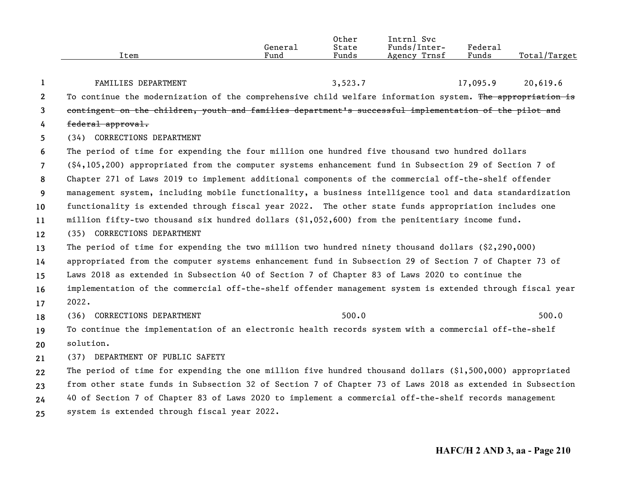|                       |                                                                                                                    | General | Other<br>State | Intrnl Svc<br>Funds/Inter- | Federal  |              |
|-----------------------|--------------------------------------------------------------------------------------------------------------------|---------|----------------|----------------------------|----------|--------------|
|                       | Item                                                                                                               | Fund    | Funds          | Agency Trnsf               | Funds    | Total/Target |
| 1                     | FAMILIES DEPARTMENT                                                                                                |         | 3,523.7        |                            | 17,095.9 | 20,619.6     |
| $\mathbf{2}^{\prime}$ | To continue the modernization of the comprehensive child welfare information system. The appropriation is          |         |                |                            |          |              |
| 3                     | contingent on the children, youth and families department's successful implementation of the pilot and             |         |                |                            |          |              |
| 4                     | federal approval.                                                                                                  |         |                |                            |          |              |
| 5                     | (34) CORRECTIONS DEPARTMENT                                                                                        |         |                |                            |          |              |
| 6                     | The period of time for expending the four million one hundred five thousand two hundred dollars                    |         |                |                            |          |              |
| $\overline{7}$        | $(\frac{6}{4}, 105, 200)$ appropriated from the computer systems enhancement fund in Subsection 29 of Section 7 of |         |                |                            |          |              |
| 8                     | Chapter 271 of Laws 2019 to implement additional components of the commercial off-the-shelf offender               |         |                |                            |          |              |
| 9                     | management system, including mobile functionality, a business intelligence tool and data standardization           |         |                |                            |          |              |
| 10                    | functionality is extended through fiscal year 2022. The other state funds appropriation includes one               |         |                |                            |          |              |
| 11                    | million fifty-two thousand six hundred dollars $(91,052,600)$ from the penitentiary income fund.                   |         |                |                            |          |              |
| 12                    | (35) CORRECTIONS DEPARTMENT                                                                                        |         |                |                            |          |              |
| 13                    | The period of time for expending the two million two hundred ninety thousand dollars $(2,290,000)$                 |         |                |                            |          |              |
| 14                    | appropriated from the computer systems enhancement fund in Subsection 29 of Section 7 of Chapter 73 of             |         |                |                            |          |              |
| 15                    | Laws 2018 as extended in Subsection 40 of Section 7 of Chapter 83 of Laws 2020 to continue the                     |         |                |                            |          |              |
| 16                    | implementation of the commercial off-the-shelf offender management system is extended through fiscal year          |         |                |                            |          |              |
| 17                    | 2022.                                                                                                              |         |                |                            |          |              |
| 18                    | (36) CORRECTIONS DEPARTMENT                                                                                        |         | 500.0          |                            |          | 500.0        |
| 19                    | To continue the implementation of an electronic health records system with a commercial off-the-shelf              |         |                |                            |          |              |
| 20                    | solution.                                                                                                          |         |                |                            |          |              |
| 21                    | (37) DEPARTMENT OF PUBLIC SAFETY                                                                                   |         |                |                            |          |              |
| 22                    | The period of time for expending the one million five hundred thousand dollars $(1,500,000)$ appropriated          |         |                |                            |          |              |
| 23                    | from other state funds in Subsection 32 of Section 7 of Chapter 73 of Laws 2018 as extended in Subsection          |         |                |                            |          |              |
| 24                    | 40 of Section 7 of Chapter 83 of Laws 2020 to implement a commercial off-the-shelf records management              |         |                |                            |          |              |
| 25                    | system is extended through fiscal year 2022.                                                                       |         |                |                            |          |              |
|                       |                                                                                                                    |         |                |                            |          |              |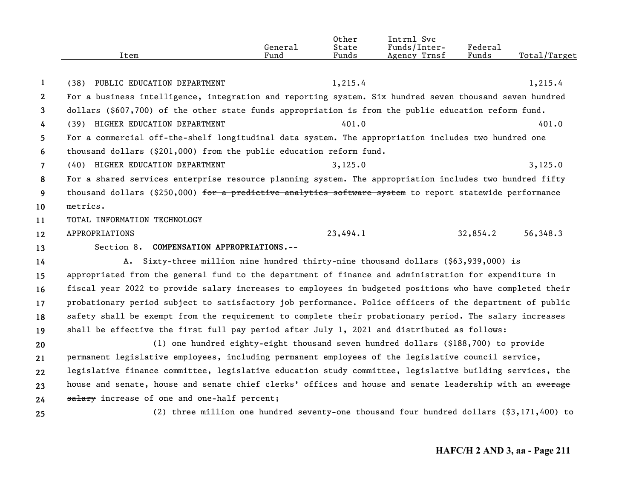|                | Item                                                                                                     | General<br>Fund | Other<br>State<br>Funds | Intrnl Svc<br>Funds/Inter-<br>Agency Trnsf | Federal<br>Funds | Total/Target |
|----------------|----------------------------------------------------------------------------------------------------------|-----------------|-------------------------|--------------------------------------------|------------------|--------------|
|                |                                                                                                          |                 |                         |                                            |                  |              |
| $\mathbf{1}$   | (38) PUBLIC EDUCATION DEPARTMENT                                                                         |                 | 1,215.4                 |                                            |                  | 1,215.4      |
| $\mathbf{2}$   | For a business intelligence, integration and reporting system. Six hundred seven thousand seven hundred  |                 |                         |                                            |                  |              |
| 3              | dollars (\$607,700) of the other state funds appropriation is from the public education reform fund.     |                 |                         |                                            |                  |              |
| 4              | (39) HIGHER EDUCATION DEPARTMENT                                                                         |                 | 401.0                   |                                            |                  | 401.0        |
| 5              | For a commercial off-the-shelf longitudinal data system. The appropriation includes two hundred one      |                 |                         |                                            |                  |              |
| 6              | thousand dollars (\$201,000) from the public education reform fund.                                      |                 |                         |                                            |                  |              |
| $\overline{7}$ | (40) HIGHER EDUCATION DEPARTMENT                                                                         |                 | 3,125.0                 |                                            |                  | 3,125.0      |
| 8              | For a shared services enterprise resource planning system. The appropriation includes two hundred fifty  |                 |                         |                                            |                  |              |
| 9              | thousand dollars (\$250,000) for a predictive analytics software system to report statewide performance  |                 |                         |                                            |                  |              |
| 10             | metrics.                                                                                                 |                 |                         |                                            |                  |              |
| 11             | TOTAL INFORMATION TECHNOLOGY                                                                             |                 |                         |                                            |                  |              |
| 12             | APPROPRIATIONS                                                                                           |                 | 23,494.1                |                                            | 32,854.2         | 56,348.3     |
| 13             | Section 8. COMPENSATION APPROPRIATIONS.--                                                                |                 |                         |                                            |                  |              |
| 14             | A. Sixty-three million nine hundred thirty-nine thousand dollars (\$63,939,000) is                       |                 |                         |                                            |                  |              |
| 15             | appropriated from the general fund to the department of finance and administration for expenditure in    |                 |                         |                                            |                  |              |
| 16             | fiscal year 2022 to provide salary increases to employees in budgeted positions who have completed their |                 |                         |                                            |                  |              |
| 17             | probationary period subject to satisfactory job performance. Police officers of the department of public |                 |                         |                                            |                  |              |
| 18             | safety shall be exempt from the requirement to complete their probationary period. The salary increases  |                 |                         |                                            |                  |              |
| 19             | shall be effective the first full pay period after July 1, 2021 and distributed as follows:              |                 |                         |                                            |                  |              |
| 20             | (1) one hundred eighty-eight thousand seven hundred dollars (\$188,700) to provide                       |                 |                         |                                            |                  |              |
| 21             | permanent legislative employees, including permanent employees of the legislative council service,       |                 |                         |                                            |                  |              |
| 22             | legislative finance committee, legislative education study committee, legislative building services, the |                 |                         |                                            |                  |              |
| 23             | house and senate, house and senate chief clerks' offices and house and senate leadership with an average |                 |                         |                                            |                  |              |
| 24             | salary increase of one and one-half percent;                                                             |                 |                         |                                            |                  |              |
| 25             | (2) three million one hundred seventy-one thousand four hundred dollars $(93,171,400)$ to                |                 |                         |                                            |                  |              |
|                |                                                                                                          |                 |                         |                                            |                  |              |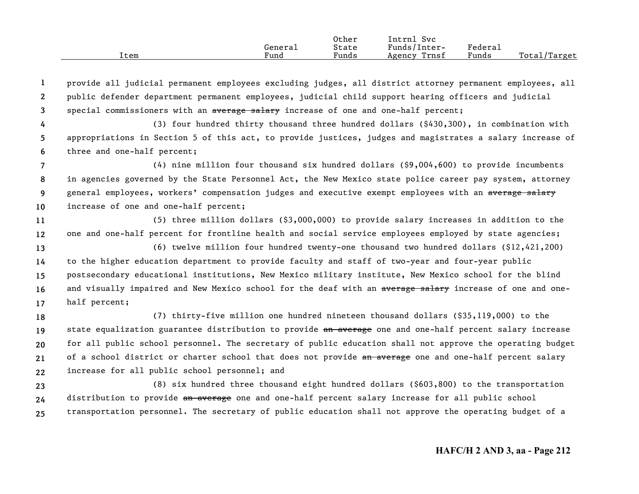|      |         | Other | Intrnl<br>Svc   |                        |                  |
|------|---------|-------|-----------------|------------------------|------------------|
|      | General | State | Funds/Inter-    | Federau                |                  |
| Item | Fund    | Funds | Trnsf<br>Agency | $\sim$ $\sim$<br>Funds | Total<br>'Target |

**123**provide all judicial permanent employees excluding judges, all district attorney permanent employees, all public defender department permanent employees, judicial child support hearing officers and judicial special commissioners with an average salary increase of one and one-half percent;

**456**(3) four hundred thirty thousand three hundred dollars (\$430,300), in combination with appropriations in Section 5 of this act, to provide justices, judges and magistrates a salary increase of three and one-half percent;

**789 10**(4) nine million four thousand six hundred dollars (\$9,004,600) to provide incumbents in agencies governed by the State Personnel Act, the New Mexico state police career pay system, attorney general employees, workers' compensation judges and executive exempt employees with an average salary increase of one and one-half percent;

**1112**(5) three million dollars (\$3,000,000) to provide salary increases in addition to the one and one-half percent for frontline health and social service employees employed by state agencies;

**1314151617**(6) twelve million four hundred twenty-one thousand two hundred dollars (\$12,421,200) to the higher education department to provide faculty and staff of two-year and four-year public postsecondary educational institutions, New Mexico military institute, New Mexico school for the blind and visually impaired and New Mexico school for the deaf with an average salary increase of one and onehalf percent;

**1819202122**(7) thirty-five million one hundred nineteen thousand dollars (\$35,119,000) to the state equalization guarantee distribution to provide an average one and one-half percent salary increase for all public school personnel. The secretary of public education shall not approve the operating budget of a school district or charter school that does not provide an average one and one-half percent salary increase for all public school personnel; and

**232425**(8) six hundred three thousand eight hundred dollars (\$603,800) to the transportation distribution to provide an average one and one-half percent salary increase for all public school transportation personnel. The secretary of public education shall not approve the operating budget of a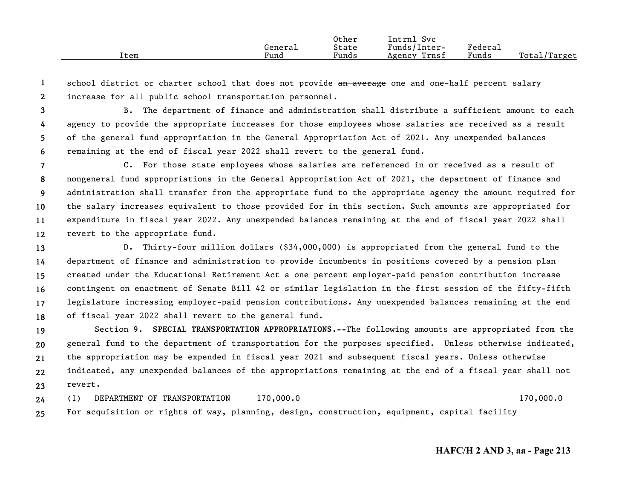|      |         | Other | Intrnl<br>Svc   |         |              |
|------|---------|-------|-----------------|---------|--------------|
|      | Genera⊥ | State | Funds/Inter-    | Federai |              |
| Item | Fund    | Funds | Trnsf<br>Agency | Funds   | Total/Target |

**12**school district or charter school that does not provide an average one and one-half percent salary increase for all public school transportation personnel.

- **3456**B. The department of finance and administration shall distribute a sufficient amount to each agency to provide the appropriate increases for those employees whose salaries are received as a result of the general fund appropriation in the General Appropriation Act of 2021. Any unexpended balances remaining at the end of fiscal year 2022 shall revert to the general fund.
- **789 101112**C. For those state employees whose salaries are referenced in or received as a result of nongeneral fund appropriations in the General Appropriation Act of 2021, the department of finance and administration shall transfer from the appropriate fund to the appropriate agency the amount required for the salary increases equivalent to those provided for in this section. Such amounts are appropriated for expenditure in fiscal year 2022. Any unexpended balances remaining at the end of fiscal year 2022 shall revert to the appropriate fund.
- **131415161718**D. Thirty-four million dollars (\$34,000,000) is appropriated from the general fund to the department of finance and administration to provide incumbents in positions covered by a pension plan created under the Educational Retirement Act a one percent employer-paid pension contribution increase contingent on enactment of Senate Bill 42 or similar legislation in the first session of the fifty-fifth legislature increasing employer-paid pension contributions. Any unexpended balances remaining at the end of fiscal year 2022 shall revert to the general fund.

**1920212223**Section 9. **SPECIAL TRANSPORTATION APPROPRIATIONS.--**The following amounts are appropriated from the general fund to the department of transportation for the purposes specified. Unless otherwise indicated, the appropriation may be expended in fiscal year 2021 and subsequent fiscal years. Unless otherwise indicated, any unexpended balances of the appropriations remaining at the end of a fiscal year shall not revert.

**2425**(1) DEPARTMENT OF TRANSPORTATION 170,000.0 170,000.0 For acquisition or rights of way, planning, design, construction, equipment, capital facility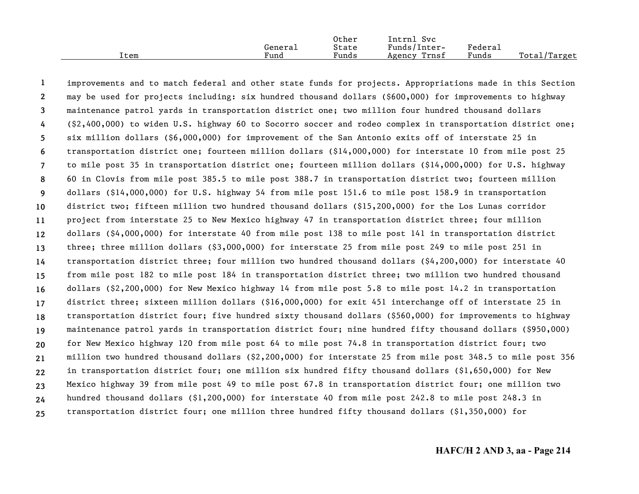|      |         | Other | Intrnl<br>Svc   |         |              |
|------|---------|-------|-----------------|---------|--------------|
|      | General | State | Funds/Inter-    | Federa⊥ |              |
| Item | Fund    | Funds | Trnsf<br>Agency | Funds   | Total/Target |

**123456789 10111213141516171819202122232425**improvements and to match federal and other state funds for projects. Appropriations made in this Section may be used for projects including: six hundred thousand dollars (\$600,000) for improvements to highway maintenance patrol yards in transportation district one; two million four hundred thousand dollars (\$2,400,000) to widen U.S. highway 60 to Socorro soccer and rodeo complex in transportation district one; six million dollars (\$6,000,000) for improvement of the San Antonio exits off of interstate 25 in transportation district one; fourteen million dollars (\$14,000,000) for interstate 10 from mile post 25 to mile post 35 in transportation district one; fourteen million dollars (\$14,000,000) for U.S. highway 60 in Clovis from mile post 385.5 to mile post 388.7 in transportation district two; fourteen million dollars (\$14,000,000) for U.S. highway 54 from mile post 151.6 to mile post 158.9 in transportation district two; fifteen million two hundred thousand dollars (\$15,200,000) for the Los Lunas corridor project from interstate 25 to New Mexico highway 47 in transportation district three; four million dollars (\$4,000,000) for interstate 40 from mile post 138 to mile post 141 in transportation district three; three million dollars (\$3,000,000) for interstate 25 from mile post 249 to mile post 251 in transportation district three; four million two hundred thousand dollars (\$4,200,000) for interstate 40 from mile post 182 to mile post 184 in transportation district three; two million two hundred thousand dollars (\$2,200,000) for New Mexico highway 14 from mile post 5.8 to mile post 14.2 in transportation district three; sixteen million dollars (\$16,000,000) for exit 451 interchange off of interstate 25 in transportation district four; five hundred sixty thousand dollars (\$560,000) for improvements to highway maintenance patrol yards in transportation district four; nine hundred fifty thousand dollars (\$950,000) for New Mexico highway 120 from mile post 64 to mile post 74.8 in transportation district four; two million two hundred thousand dollars (\$2,200,000) for interstate 25 from mile post 348.5 to mile post 356 in transportation district four; one million six hundred fifty thousand dollars (\$1,650,000) for New Mexico highway 39 from mile post 49 to mile post 67.8 in transportation district four; one million two hundred thousand dollars (\$1,200,000) for interstate 40 from mile post 242.8 to mile post 248.3 in transportation district four; one million three hundred fifty thousand dollars (\$1,350,000) for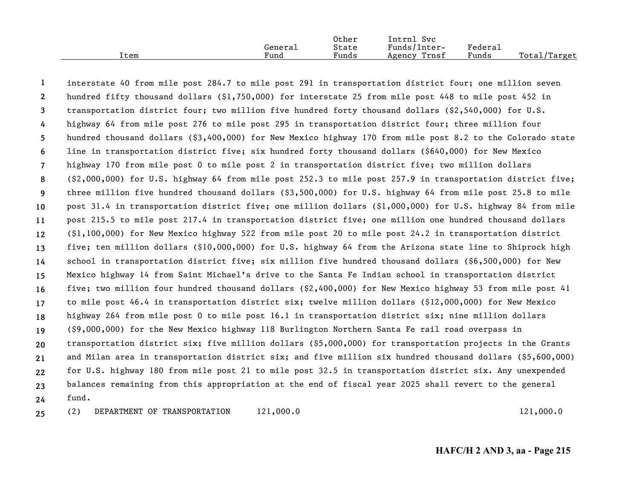|      |         | Other | Intrnl<br>Svc   |         |              |
|------|---------|-------|-----------------|---------|--------------|
|      | Generai | State | Funds/Inter-    | Federau |              |
| Item | Fund    | Funds | Trnsf<br>Agency | Funds   | Total/Target |

**123456789 101112131415161718192021222324**interstate 40 from mile post 284.7 to mile post 291 in transportation district four; one million seven hundred fifty thousand dollars (\$1,750,000) for interstate 25 from mile post 448 to mile post 452 in transportation district four; two million five hundred forty thousand dollars (\$2,540,000) for U.S. highway 64 from mile post 276 to mile post 295 in transportation district four; three million four hundred thousand dollars (\$3,400,000) for New Mexico highway 170 from mile post 8.2 to the Colorado state line in transportation district five; six hundred forty thousand dollars (\$640,000) for New Mexico highway 170 from mile post 0 to mile post 2 in transportation district five; two million dollars (\$2,000,000) for U.S. highway 64 from mile post 252.3 to mile post 257.9 in transportation district five; three million five hundred thousand dollars (\$3,500,000) for U.S. highway 64 from mile post 25.8 to mile post 31.4 in transportation district five; one million dollars (\$1,000,000) for U.S. highway 84 from mile post 215.5 to mile post 217.4 in transportation district five; one million one hundred thousand dollars (\$1,100,000) for New Mexico highway 522 from mile post 20 to mile post 24.2 in transportation district five; ten million dollars (\$10,000,000) for U.S. highway 64 from the Arizona state line to Shiprock high school in transportation district five; six million five hundred thousand dollars (\$6,500,000) for New Mexico highway 14 from Saint Michael's drive to the Santa Fe Indian school in transportation district five; two million four hundred thousand dollars (\$2,400,000) for New Mexico highway 53 from mile post 41 to mile post 46.4 in transportation district six; twelve million dollars (\$12,000,000) for New Mexico highway 264 from mile post 0 to mile post 16.1 in transportation district six; nine million dollars (\$9,000,000) for the New Mexico highway 118 Burlington Northern Santa Fe rail road overpass in transportation district six; five million dollars (\$5,000,000) for transportation projects in the Grants and Milan area in transportation district six; and five million six hundred thousand dollars (\$5,600,000) for U.S. highway 180 from mile post 21 to mile post 32.5 in transportation district six. Any unexpended balances remaining from this appropriation at the end of fiscal year 2025 shall revert to the general fund. (2) DEPARTMENT OF TRANSPORTATION 121,000.0 121,000 121,000.0

**25**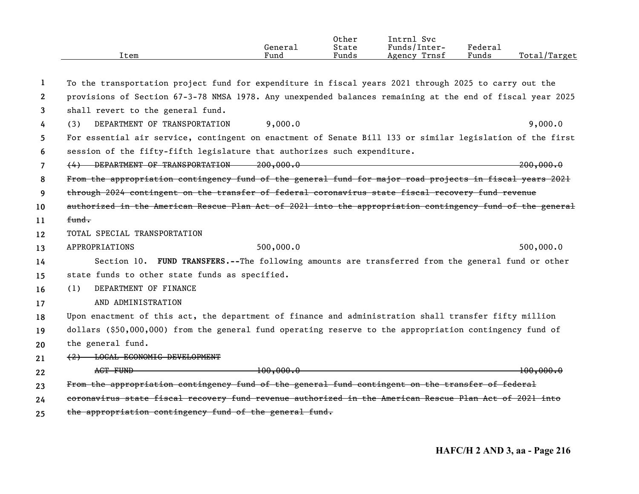|                       | Item                                                                                                      | General<br>Fund | 0ther<br>State<br>Funds | Intrnl Svc<br>Funds/Inter-<br>Agency Trnsf | Federal<br>Funds | Total/Target                  |
|-----------------------|-----------------------------------------------------------------------------------------------------------|-----------------|-------------------------|--------------------------------------------|------------------|-------------------------------|
| 1                     | To the transportation project fund for expenditure in fiscal years 2021 through 2025 to carry out the     |                 |                         |                                            |                  |                               |
| $\mathbf{2}^{\prime}$ | provisions of Section 67-3-78 NMSA 1978. Any unexpended balances remaining at the end of fiscal year 2025 |                 |                         |                                            |                  |                               |
| 3                     | shall revert to the general fund.                                                                         |                 |                         |                                            |                  |                               |
| 4                     | DEPARTMENT OF TRANSPORTATION<br>(3)                                                                       | 9,000.0         |                         |                                            |                  | 9,000.0                       |
| 5                     | For essential air service, contingent on enactment of Senate Bill 133 or similar legislation of the first |                 |                         |                                            |                  |                               |
| 6                     | session of the fifty-fifth legislature that authorizes such expenditure.                                  |                 |                         |                                            |                  |                               |
| $\overline{7}$        | (4) DEPARTMENT OF TRANSPORTATION 200,000.0                                                                |                 |                         | 200,000.0                                  |                  |                               |
| 8                     | From the appropriation contingency fund of the general fund for major road projects in fiscal years 2021  |                 |                         |                                            |                  |                               |
| 9                     | through 2024 contingent on the transfer of federal coronavirus state fiscal recovery fund revenue         |                 |                         |                                            |                  |                               |
| 10                    | authorized in the American Rescue Plan Act of 2021 into the appropriation contingency fund of the general |                 |                         |                                            |                  |                               |
| 11                    | <del>fund.</del>                                                                                          |                 |                         |                                            |                  |                               |
| 12                    | TOTAL SPECIAL TRANSPORTATION                                                                              |                 |                         |                                            |                  |                               |
| 13                    | APPROPRIATIONS                                                                                            | 500,000.0       |                         |                                            |                  | 500,000.0                     |
| 14                    | Section 10. FUND TRANSFERS.--The following amounts are transferred from the general fund or other         |                 |                         |                                            |                  |                               |
| 15                    | state funds to other state funds as specified.                                                            |                 |                         |                                            |                  |                               |
| 16                    | DEPARTMENT OF FINANCE<br>(1)                                                                              |                 |                         |                                            |                  |                               |
| 17                    | AND ADMINISTRATION                                                                                        |                 |                         |                                            |                  |                               |
| 18                    | Upon enactment of this act, the department of finance and administration shall transfer fifty million     |                 |                         |                                            |                  |                               |
| 19                    | dollars (\$50,000,000) from the general fund operating reserve to the appropriation contingency fund of   |                 |                         |                                            |                  |                               |
| 20                    | the general fund.                                                                                         |                 |                         |                                            |                  |                               |
| 21                    | (2) LOCAL ECONOMIC DEVELOPMENT                                                                            |                 |                         |                                            |                  |                               |
| 22                    | ACT FUND                                                                                                  |                 |                         | 100,000.0                                  |                  | $\frac{100,000.0}{100,000.0}$ |
| 23                    | From the appropriation contingency fund of the general fund contingent on the transfer of federal         |                 |                         |                                            |                  |                               |
| 24                    | coronavirus state fiscal recovery fund revenue authorized in the American Rescue Plan Act of 2021 into    |                 |                         |                                            |                  |                               |
| 25                    | the appropriation contingency fund of the general fund.                                                   |                 |                         |                                            |                  |                               |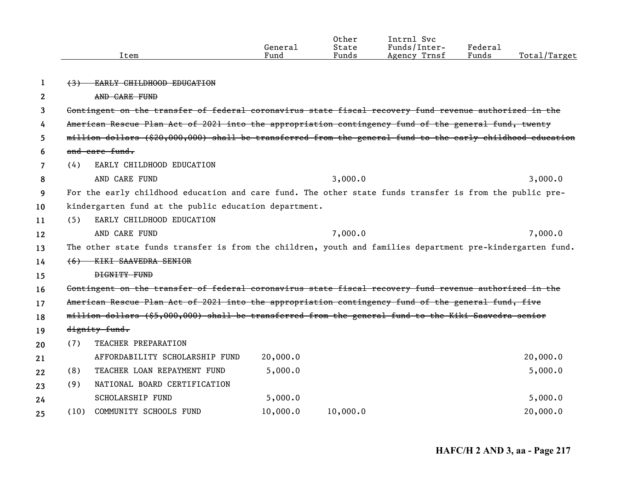|              |                | Item                                                                                                       | General<br>Fund | Other<br>State<br>Funds | Intrnl Svc<br>Funds/Inter-<br>Agency Trnsf | Federal<br>Funds | Total/Target |
|--------------|----------------|------------------------------------------------------------------------------------------------------------|-----------------|-------------------------|--------------------------------------------|------------------|--------------|
| 1            | <del>(3)</del> | EARLY CHILDHOOD EDUCATION                                                                                  |                 |                         |                                            |                  |              |
| $\mathbf{2}$ |                | AND CARE FUND                                                                                              |                 |                         |                                            |                  |              |
| 3            |                | Contingent on the transfer of federal coronavirus state fiscal recovery fund revenue authorized in the     |                 |                         |                                            |                  |              |
| 4            |                | American Rescue Plan Act of 2021 into the appropriation contingency fund of the general fund, twenty       |                 |                         |                                            |                  |              |
| 5            |                | million dollars (\$20,000,000) shall be transferred from the general fund to the early childhood education |                 |                         |                                            |                  |              |
| 6            |                | and care fund.                                                                                             |                 |                         |                                            |                  |              |
| 7            | (4)            | EARLY CHILDHOOD EDUCATION                                                                                  |                 |                         |                                            |                  |              |
| 8            |                | AND CARE FUND                                                                                              |                 | 3,000.0                 |                                            |                  | 3,000.0      |
| 9            |                | For the early childhood education and care fund. The other state funds transfer is from the public pre-    |                 |                         |                                            |                  |              |
| 10           |                | kindergarten fund at the public education department.                                                      |                 |                         |                                            |                  |              |
| 11           | (5)            | EARLY CHILDHOOD EDUCATION                                                                                  |                 |                         |                                            |                  |              |
| 12           |                | AND CARE FUND                                                                                              |                 | 7,000.0                 |                                            |                  | 7,000.0      |
| 13           |                | The other state funds transfer is from the children, youth and families department pre-kindergarten fund.  |                 |                         |                                            |                  |              |
| 14           | <del>(6)</del> | <b>KIKI SAAVEDRA SENIOR</b>                                                                                |                 |                         |                                            |                  |              |
| 15           |                | <b>DIGNITY FUND</b>                                                                                        |                 |                         |                                            |                  |              |
| 16           |                | Contingent on the transfer of federal coronavirus state fiscal recovery fund revenue authorized in the     |                 |                         |                                            |                  |              |
| 17           |                | American Rescue Plan Act of 2021 into the appropriation contingency fund of the general fund, five         |                 |                         |                                            |                  |              |
| 18           |                | million dollars (\$5,000,000) shall be transferred from the general fund to the Kiki Saavedra senior       |                 |                         |                                            |                  |              |
| 19           |                | dignity fund.                                                                                              |                 |                         |                                            |                  |              |
| 20           | (7)            | TEACHER PREPARATION                                                                                        |                 |                         |                                            |                  |              |
| 21           |                | AFFORDABILITY SCHOLARSHIP FUND                                                                             | 20,000.0        |                         |                                            |                  | 20,000.0     |
| 22           | (8)            | TEACHER LOAN REPAYMENT FUND                                                                                | 5,000.0         |                         |                                            |                  | 5,000.0      |
| 23           | (9)            | NATIONAL BOARD CERTIFICATION                                                                               |                 |                         |                                            |                  |              |
| 24           |                | <b>SCHOLARSHIP FUND</b>                                                                                    | 5,000.0         |                         |                                            |                  | 5,000.0      |
| 25           | (10)           | COMMUNITY SCHOOLS FUND                                                                                     | 10,000.0        | 10,000.0                |                                            |                  | 20,000.0     |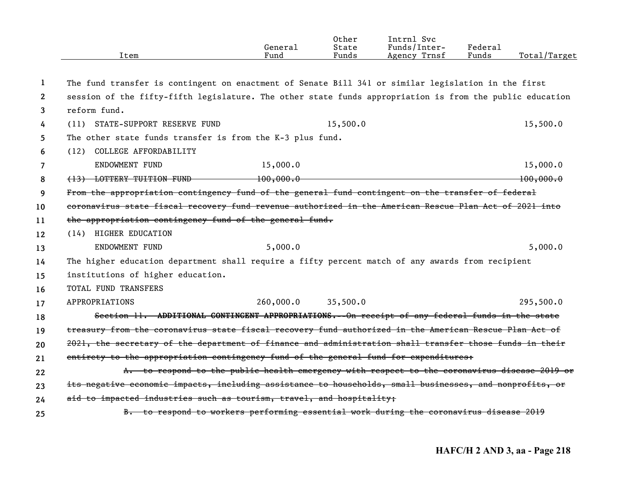|                | Item                                                                                                     | General<br>Fund | Other<br>State<br>Funds | Intrnl Svc<br>Funds/Inter-<br>Agency Trnsf | Federal<br>Funds | Total/Target |
|----------------|----------------------------------------------------------------------------------------------------------|-----------------|-------------------------|--------------------------------------------|------------------|--------------|
| -1             | The fund transfer is contingent on enactment of Senate Bill 341 or similar legislation in the first      |                 |                         |                                            |                  |              |
| $\mathbf{2}$   | session of the fifty-fifth legislature. The other state funds appropriation is from the public education |                 |                         |                                            |                  |              |
| 3              | reform fund.                                                                                             |                 |                         |                                            |                  |              |
| 4              | (11) STATE-SUPPORT RESERVE FUND                                                                          |                 | 15,500.0                |                                            |                  | 15,500.0     |
| 5              | The other state funds transfer is from the K-3 plus fund.                                                |                 |                         |                                            |                  |              |
| 6              | COLLEGE AFFORDABILITY<br>(12)                                                                            |                 |                         |                                            |                  |              |
| $\overline{7}$ | ENDOWMENT FUND                                                                                           | 15,000.0        |                         |                                            |                  | 15,000.0     |
| 8              | (13) LOTTERY TUITION FUND 100,000.0                                                                      |                 |                         |                                            |                  | 100,000.0    |
| 9              | From the appropriation contingency fund of the general fund contingent on the transfer of federal        |                 |                         |                                            |                  |              |
| 10             | coronavirus state fiscal recovery fund revenue authorized in the American Rescue Plan Act of 2021 into   |                 |                         |                                            |                  |              |
| 11             | the appropriation contingency fund of the general fund.                                                  |                 |                         |                                            |                  |              |
| 12             | (14) HIGHER EDUCATION                                                                                    |                 |                         |                                            |                  |              |
| 13             | ENDOWMENT FUND                                                                                           | 5,000.0         |                         |                                            |                  | 5,000.0      |
| 14             | The higher education department shall require a fifty percent match of any awards from recipient         |                 |                         |                                            |                  |              |
| 15             | institutions of higher education.                                                                        |                 |                         |                                            |                  |              |
| 16             | TOTAL FUND TRANSFERS                                                                                     |                 |                         |                                            |                  |              |
| 17             | APPROPRIATIONS                                                                                           | 260,000.0       | 35,500.0                |                                            |                  | 295,500.0    |
| 18             | Section 11. ADDITIONAL CONTINGENT APPROPRIATIONS.--On receipt of any federal funds in the state          |                 |                         |                                            |                  |              |
| 19             | treasury from the coronavirus state fiscal recovery fund authorized in the American Rescue Plan Act of   |                 |                         |                                            |                  |              |
| 20             | 2021, the secretary of the department of finance and administration shall transfer those funds in their  |                 |                         |                                            |                  |              |
| 21             | entirety to the appropriation contingency fund of the general fund for expenditures:                     |                 |                         |                                            |                  |              |
| 22             | A. to respond to the public health emergency with respect to the coronavirus disease 2019 or             |                 |                         |                                            |                  |              |
| 23             | its negative economic impacts, including assistance to households, small businesses, and nonprofits, or  |                 |                         |                                            |                  |              |
| 24             | aid to impacted industries such as tourism, travel, and hospitality;                                     |                 |                         |                                            |                  |              |
| 25             | B. to respond to workers performing essential work during the coronavirus disease 2019                   |                 |                         |                                            |                  |              |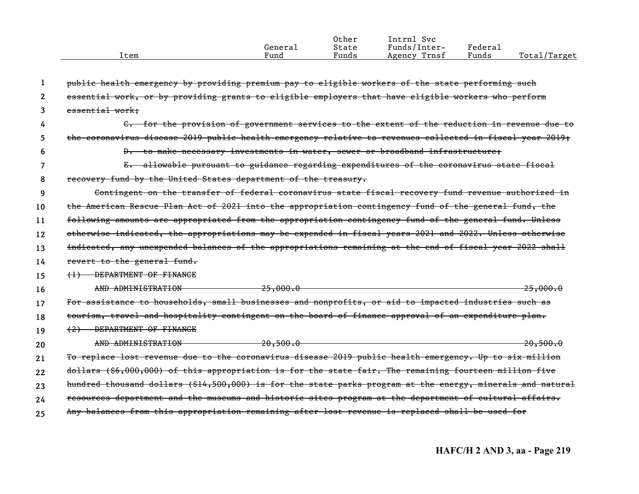| Item | General<br>Fund | Other<br>State<br>Funds | Intrnl Svc<br>Funds/Inter-<br>Trnsf<br>Agency | Federal<br>Funds | Total/Target |
|------|-----------------|-------------------------|-----------------------------------------------|------------------|--------------|
|      |                 |                         |                                               |                  |              |

|    | public health emergency by providing premium pay to eligible workers of the state performing such          |
|----|------------------------------------------------------------------------------------------------------------|
| 2  | essential work, or by providing grants to eligible employers that have eligible workers who perform        |
| 3  | essential work:                                                                                            |
| 4  | C. for the provision of government services to the extent of the reduction in revenue due to               |
| 5. | the coronavirus disease 2019 public health emergency relative to revenues collected in fiscal year 2019;   |
| 6  | D. to make necessary investments in water, sewer or broadband infrastructure;                              |
|    | E. allowable pursuant to guidance regarding expenditures of the coronavirus state fiscal                   |
| 8  | recovery fund by the United States department of the treasury.                                             |
| 9  | Contingent on the transfer of federal coronavirus state fiscal recovery fund revenue authorized in         |
| 10 | the American Rescue Plan Act of 2021 into the appropriation contingency fund of the general fund, the      |
| 11 | following amounts are appropriated from the appropriation contingency fund of the general fund. Unless     |
| 12 | otherwise indicated, the appropriations may be expended in fiscal years 2021 and 2022. Unless otherwise    |
| 13 | indicated, any unexpended balances of the appropriations remaining at the end of fiscal year 2022 shall    |
| 14 | revert to the general fund.                                                                                |
| 15 | DEPARTMENT OF FINANCE<br>$\leftrightarrow$                                                                 |
| 16 | AND ADMINISTRATION<br>$\frac{25,000.0}{25}$<br>25,000.0                                                    |
| 17 | For assistance to households, small businesses and nonprofits, or aid to impacted industries such as       |
| 18 | tourism, travel and hospitality contingent on the board of finance approval of an expenditure plan.        |
| 19 | (2) DEPARTMENT OF FINANCE                                                                                  |
| 20 | AND ADMINISTRATION<br>20.500.0                                                                             |
| 21 | To replace lost revenue due to the coronavirus disease 2019 public health emergency. Up to six million     |
| 22 | dollars (\$6,000,000) of this appropriation is for the state fair. The remaining fourteen million five     |
| 23 | hundred thousand dollars (\$14,500,000) is for the state parks program at the energy, minerals and natural |
| 24 | resources department and the museums and historic sites program at the department of cultural affairs.     |
| 25 | Any balances from this appropriation remaining after lost revenue is replaced shall be used for            |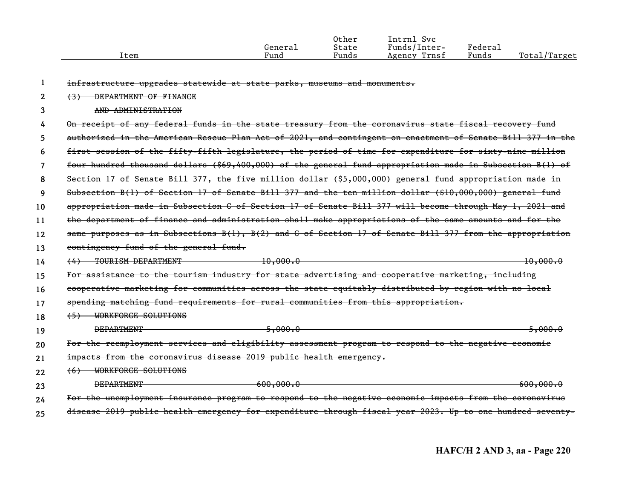|      |         | Other | Intrnl<br>Svc   |         |              |
|------|---------|-------|-----------------|---------|--------------|
|      | General | State | Funds/Inter-    | Federal |              |
| Ítem | Fund    | Funds | Trnsf<br>Agency | Funds   | Total/Target |
|      |         |       |                 |         |              |

|    | infrastructure upgrades statewide at state parks, museums and monuments.                                  |
|----|-----------------------------------------------------------------------------------------------------------|
| 2  | DEPARTMENT OF FINANCE<br>$\left(3\right)$                                                                 |
| 3  | AND ADMINISTRATION                                                                                        |
| 4  | On receipt of any federal funds in the state treasury from the coronavirus state fiscal recovery fund     |
| 5  | authorized in the American Rescue Plan Act of 2021, and contingent on enactment of Senate Bill 377 in the |
| 6  | first session of the fifty-fifth legislature, the period of time for expenditure for sixty-nine million   |
| 7  | four hundred thousand dollars (\$69,400,000) of the general fund appropriation made in Subsection B(l) of |
| 8  | Section 17 of Senate Bill 377, the five million dollar (\$5,000,000) general fund appropriation made in   |
| 9  | Subsection B(1) of Section 17 of Senate Bill 377 and the ten million dollar $(\$10,000,000)$ general fund |
| 10 | appropriation made in Subsection C of Section 17 of Senate Bill 377 will become through May 1, 2021 and   |
| 11 | the department of finance and administration shall make appropriations of the same amounts and for the    |
| 12 | same purposes as in Subsections B(1), B(2) and C of Section 17 of Senate Bill 377 from the appropriation  |
| 13 | contingency fund of the general fund.                                                                     |
| 14 | 10,000.0<br>TOURISM DEPARTMENT<br>$-10,000.0$<br>(4)                                                      |
| 15 | For assistance to the tourism industry for state advertising and cooperative marketing, including         |
| 16 | cooperative marketing for communities across the state equitably distributed by region with no local      |
| 17 | spending matching fund requirements for rural communities from this appropriation.                        |
| 18 | WORKFORCE SOLUTIONS<br>$\left(5\right)$                                                                   |
| 19 | <b>DEPARTMENT</b><br>$-5,000.0$<br>5,000.0                                                                |
| 20 | For the reemployment services and eligibility assessment program to respond to the negative economic      |
| 21 | impacts from the coronavirus disease 2019 public health emergency.                                        |
| 22 | WORKFORCE SOLUTIONS<br>(6)                                                                                |
| 23 | 600,000.0<br>600,000,0<br><b>DEPARTMENT</b>                                                               |
| 24 | For the unemployment insurance program to respond to the negative economic impacts from the coronavirus   |
| 25 | disease 2019 public health emergency for expenditure through fiscal year 2023. Up to one hundred seventy- |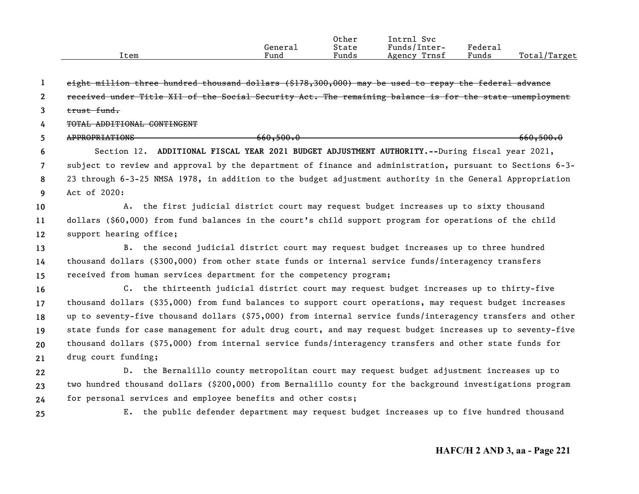|      |         | Other | Svc<br>Intrnl   |                     |                   |
|------|---------|-------|-----------------|---------------------|-------------------|
|      | Generai | State | Funds/Inter-    | Federa <sub>1</sub> |                   |
| Item | Fund    | Funds | Trnsf<br>Agency | Funds               | Total,<br>'Target |

**12345678910111213141516171819202122232425**eight million three hundred thousand dollars (\$178,300,000) may be used to repay the federal advance received under Title XII of the Social Security Act. The remaining balance is for the state unemployment trust fund.TOTAL ADDITIONAL CONTINGENTAPPROPRIATIONS 660,500.0 Section 12. **ADDITIONAL FISCAL YEAR 2021 BUDGET ADJUSTMENT AUTHORITY.--**During fiscal year 2021, subject to review and approval by the department of finance and administration, pursuant to Sections 6-3- 23 through 6-3-25 NMSA 1978, in addition to the budget adjustment authority in the General Appropriation Act of 2020:A. the first judicial district court may request budget increases up to sixty thousand dollars (\$60,000) from fund balances in the court's child support program for operations of the child support hearing office; B. the second judicial district court may request budget increases up to three hundred thousand dollars (\$300,000) from other state funds or internal service funds/interagency transfers received from human services department for the competency program; C. the thirteenth judicial district court may request budget increases up to thirty-five thousand dollars (\$35,000) from fund balances to support court operations, may request budget increases up to seventy-five thousand dollars (\$75,000) from internal service funds/interagency transfers and other state funds for case management for adult drug court, and may request budget increases up to seventy-five thousand dollars (\$75,000) from internal service funds/interagency transfers and other state funds for drug court funding; D. the Bernalillo county metropolitan court may request budget adjustment increases up to two hundred thousand dollars (\$200,000) from Bernalillo county for the background investigations program for personal services and employee benefits and other costs; E. the public defender department may request budget increases up to five hundred thousand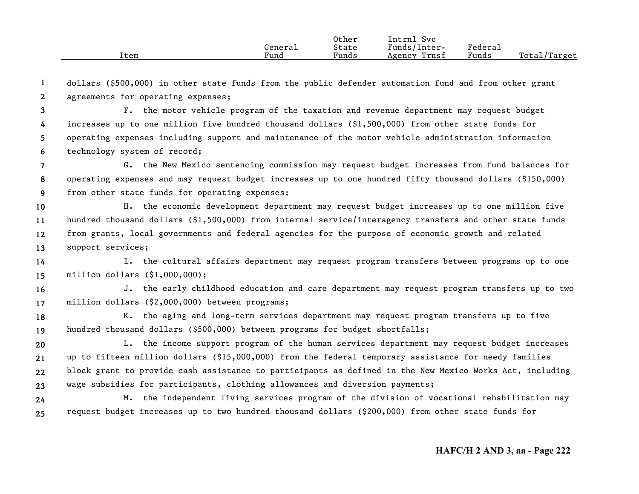|      |         | Other | Intrnl<br>Svc   |                     |                    |
|------|---------|-------|-----------------|---------------------|--------------------|
|      | General | State | Funds/Inter-    | Federa <sub>1</sub> |                    |
| Item | Fund    | Funds | Trnsf<br>Agency | Funds               | Total/<br>'/Target |

**12**dollars (\$500,000) in other state funds from the public defender automation fund and from other grant agreements for operating expenses;

**3456**F. the motor vehicle program of the taxation and revenue department may request budget increases up to one million five hundred thousand dollars (\$1,500,000) from other state funds for operating expenses including support and maintenance of the motor vehicle administration information technology system of record;

**789**G. the New Mexico sentencing commission may request budget increases from fund balances for operating expenses and may request budget increases up to one hundred fifty thousand dollars (\$150,000) from other state funds for operating expenses;

**10111213**H. the economic development department may request budget increases up to one million five hundred thousand dollars (\$1,500,000) from internal service/interagency transfers and other state funds from grants, local governments and federal agencies for the purpose of economic growth and related support services;

**1415**I. the cultural affairs department may request program transfers between programs up to one million dollars (\$1,000,000);

**1617**J. the early childhood education and care department may request program transfers up to two million dollars (\$2,000,000) between programs;

**1819**K. the aging and long-term services department may request program transfers up to five hundred thousand dollars (\$500,000) between programs for budget shortfalls;

**20212223**L. the income support program of the human services department may request budget increases up to fifteen million dollars (\$15,000,000) from the federal temporary assistance for needy families block grant to provide cash assistance to participants as defined in the New Mexico Works Act, including wage subsidies for participants, clothing allowances and diversion payments;

**2425**M. the independent living services program of the division of vocational rehabilitation may request budget increases up to two hundred thousand dollars (\$200,000) from other state funds for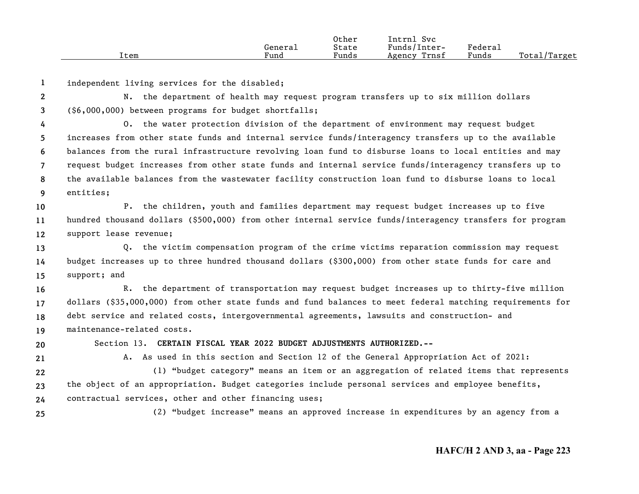|      |         | Other | Intrnl<br><b>Svc</b> |         |                  |
|------|---------|-------|----------------------|---------|------------------|
|      | General | State | Funds/Inter-         | Federai |                  |
| Item | Fund    | Funds | Trnsf<br>Agency      | Funds   | Total<br>'Target |

**1**independent living services for the disabled;

**23**N. the department of health may request program transfers up to six million dollars (\$6,000,000) between programs for budget shortfalls;

**456789**O. the water protection division of the department of environment may request budget increases from other state funds and internal service funds/interagency transfers up to the available balances from the rural infrastructure revolving loan fund to disburse loans to local entities and may request budget increases from other state funds and internal service funds/interagency transfers up to the available balances from the wastewater facility construction loan fund to disburse loans to local entities;

**101112**P. the children, youth and families department may request budget increases up to five hundred thousand dollars (\$500,000) from other internal service funds/interagency transfers for program support lease revenue;

**131415**Q. the victim compensation program of the crime victims reparation commission may request budget increases up to three hundred thousand dollars (\$300,000) from other state funds for care and support; and

**16171819**R. the department of transportation may request budget increases up to thirty-five million dollars (\$35,000,000) from other state funds and fund balances to meet federal matching requirements for debt service and related costs, intergovernmental agreements, lawsuits and construction- and maintenance-related costs.

**20**

Section 13. **CERTAIN FISCAL YEAR 2022 BUDGET ADJUSTMENTS AUTHORIZED.--**

**21**

A. As used in this section and Section 12 of the General Appropriation Act of 2021:

**222324**(1) "budget category" means an item or an aggregation of related items that represents the object of an appropriation. Budget categories include personal services and employee benefits, contractual services, other and other financing uses;

**25**

(2) "budget increase" means an approved increase in expenditures by an agency from a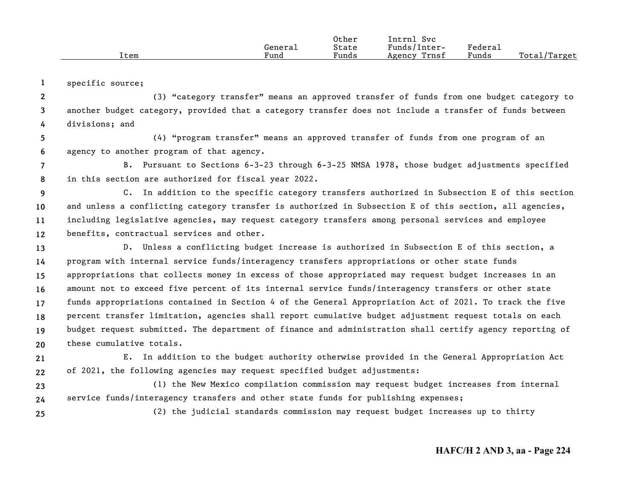|      |         | Other | Intrnl<br>Svc   |         |              |
|------|---------|-------|-----------------|---------|--------------|
|      | General | State | Funds/Inter-    | Federai |              |
| Item | Fund    | Funds | Trnsf<br>Agency | Funds   | Total/Target |

**1**specific source;

**234**(3) "category transfer" means an approved transfer of funds from one budget category to another budget category, provided that a category transfer does not include a transfer of funds between divisions; and

**56**(4) "program transfer" means an approved transfer of funds from one program of an agency to another program of that agency.

**78**B. Pursuant to Sections 6-3-23 through 6-3-25 NMSA 1978, those budget adjustments specified in this section are authorized for fiscal year 2022.

**9 101112**C. In addition to the specific category transfers authorized in Subsection E of this section and unless a conflicting category transfer is authorized in Subsection E of this section, all agencies, including legislative agencies, may request category transfers among personal services and employee benefits, contractual services and other.

**1314151617181920**D. Unless a conflicting budget increase is authorized in Subsection E of this section, a program with internal service funds/interagency transfers appropriations or other state funds appropriations that collects money in excess of those appropriated may request budget increases in an amount not to exceed five percent of its internal service funds/interagency transfers or other state funds appropriations contained in Section 4 of the General Appropriation Act of 2021. To track the five percent transfer limitation, agencies shall report cumulative budget adjustment request totals on each budget request submitted. The department of finance and administration shall certify agency reporting of these cumulative totals.

**2122**E. In addition to the budget authority otherwise provided in the General Appropriation Act of 2021, the following agencies may request specified budget adjustments:

**2324**(1) the New Mexico compilation commission may request budget increases from internal service funds/interagency transfers and other state funds for publishing expenses;

**25**

(2) the judicial standards commission may request budget increases up to thirty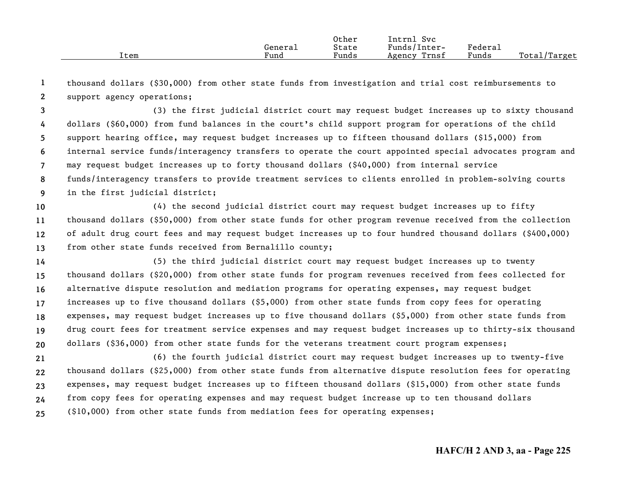|      |         | Other | Intrnl<br>Svc   |         |              |
|------|---------|-------|-----------------|---------|--------------|
|      | General | State | Funds/Inter-    | Federa⊥ |              |
| Item | Fund    | Funds | Trnsf<br>Agency | Funds   | Total/Target |

**12**thousand dollars (\$30,000) from other state funds from investigation and trial cost reimbursements to support agency operations;

**3456789**(3) the first judicial district court may request budget increases up to sixty thousand dollars (\$60,000) from fund balances in the court's child support program for operations of the child support hearing office, may request budget increases up to fifteen thousand dollars (\$15,000) from internal service funds/interagency transfers to operate the court appointed special advocates program and may request budget increases up to forty thousand dollars (\$40,000) from internal service funds/interagency transfers to provide treatment services to clients enrolled in problem-solving courts in the first judicial district;

**10111213**(4) the second judicial district court may request budget increases up to fifty thousand dollars (\$50,000) from other state funds for other program revenue received from the collection of adult drug court fees and may request budget increases up to four hundred thousand dollars (\$400,000) from other state funds received from Bernalillo county;

**14151617181920**(5) the third judicial district court may request budget increases up to twenty thousand dollars (\$20,000) from other state funds for program revenues received from fees collected for alternative dispute resolution and mediation programs for operating expenses, may request budget increases up to five thousand dollars (\$5,000) from other state funds from copy fees for operating expenses, may request budget increases up to five thousand dollars (\$5,000) from other state funds from drug court fees for treatment service expenses and may request budget increases up to thirty-six thousand dollars (\$36,000) from other state funds for the veterans treatment court program expenses;

**2122232425**(6) the fourth judicial district court may request budget increases up to twenty-five thousand dollars (\$25,000) from other state funds from alternative dispute resolution fees for operating expenses, may request budget increases up to fifteen thousand dollars (\$15,000) from other state funds from copy fees for operating expenses and may request budget increase up to ten thousand dollars (\$10,000) from other state funds from mediation fees for operating expenses;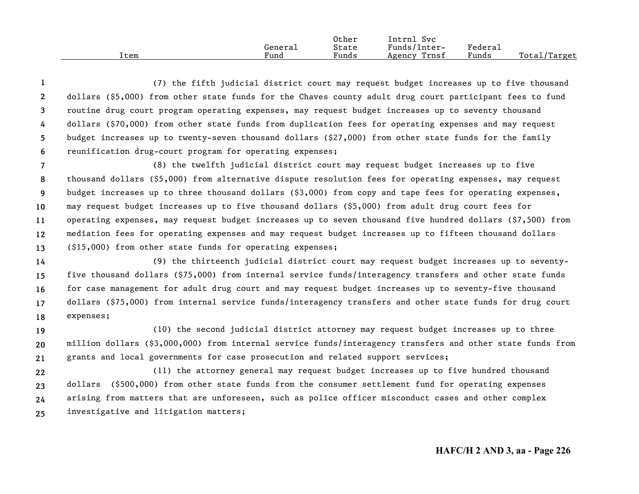|      |         | Other | Intrnl<br>Svc   |                             |                  |
|------|---------|-------|-----------------|-----------------------------|------------------|
|      | Generai | State | Funds/Inter-    | ${}_{\rm \texttt{Federau}}$ |                  |
| Item | Fund    | Funds | Trnsf<br>Agency | Funds                       | Total/<br>Target |

**123456**(7) the fifth judicial district court may request budget increases up to five thousand dollars (\$5,000) from other state funds for the Chaves county adult drug court participant fees to fund routine drug court program operating expenses, may request budget increases up to seventy thousand dollars (\$70,000) from other state funds from duplication fees for operating expenses and may request budget increases up to twenty-seven thousand dollars (\$27,000) from other state funds for the family reunification drug-court program for operating expenses;

**789 10111213**(8) the twelfth judicial district court may request budget increases up to five thousand dollars (\$5,000) from alternative dispute resolution fees for operating expenses, may request budget increases up to three thousand dollars (\$3,000) from copy and tape fees for operating expenses, may request budget increases up to five thousand dollars (\$5,000) from adult drug court fees for operating expenses, may request budget increases up to seven thousand five hundred dollars (\$7,500) from mediation fees for operating expenses and may request budget increases up to fifteen thousand dollars (\$15,000) from other state funds for operating expenses;

**1415161718**(9) the thirteenth judicial district court may request budget increases up to seventyfive thousand dollars (\$75,000) from internal service funds/interagency transfers and other state funds for case management for adult drug court and may request budget increases up to seventy-five thousand dollars (\$75,000) from internal service funds/interagency transfers and other state funds for drug court expenses;

**192021**(10) the second judicial district attorney may request budget increases up to three million dollars (\$3,000,000) from internal service funds/interagency transfers and other state funds from grants and local governments for case prosecution and related support services;

**22232425**(11) the attorney general may request budget increases up to five hundred thousand dollars (\$500,000) from other state funds from the consumer settlement fund for operating expenses arising from matters that are unforeseen, such as police officer misconduct cases and other complex investigative and litigation matters;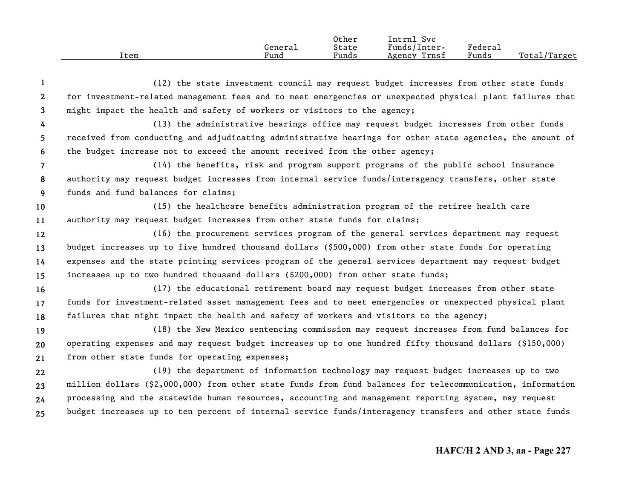|      |         | Other | Intrnl<br>Svc   |                     |                  |
|------|---------|-------|-----------------|---------------------|------------------|
|      | Generai | State | Funds/Inter-    | Federa <sub>1</sub> |                  |
| Item | Fund    | Funds | Trnsf<br>Agency | Funds               | Total<br>'Target |

**12345678910111213141516171819202122232425**(12) the state investment council may request budget increases from other state funds for investment-related management fees and to meet emergencies or unexpected physical plant failures that might impact the health and safety of workers or visitors to the agency; (13) the administrative hearings office may request budget increases from other funds received from conducting and adjudicating administrative hearings for other state agencies, the amount of the budget increase not to exceed the amount received from the other agency; (14) the benefits, risk and program support programs of the public school insurance authority may request budget increases from internal service funds/interagency transfers, other state funds and fund balances for claims; (15) the healthcare benefits administration program of the retiree health care authority may request budget increases from other state funds for claims; (16) the procurement services program of the general services department may request budget increases up to five hundred thousand dollars (\$500,000) from other state funds for operating expenses and the state printing services program of the general services department may request budget increases up to two hundred thousand dollars (\$200,000) from other state funds; (17) the educational retirement board may request budget increases from other state funds for investment-related asset management fees and to meet emergencies or unexpected physical plant failures that might impact the health and safety of workers and visitors to the agency; (18) the New Mexico sentencing commission may request increases from fund balances for operating expenses and may request budget increases up to one hundred fifty thousand dollars (\$150,000) from other state funds for operating expenses; (19) the department of information technology may request budget increases up to two million dollars (\$2,000,000) from other state funds from fund balances for telecommunication, information processing and the statewide human resources, accounting and management reporting system, may request budget increases up to ten percent of internal service funds/interagency transfers and other state funds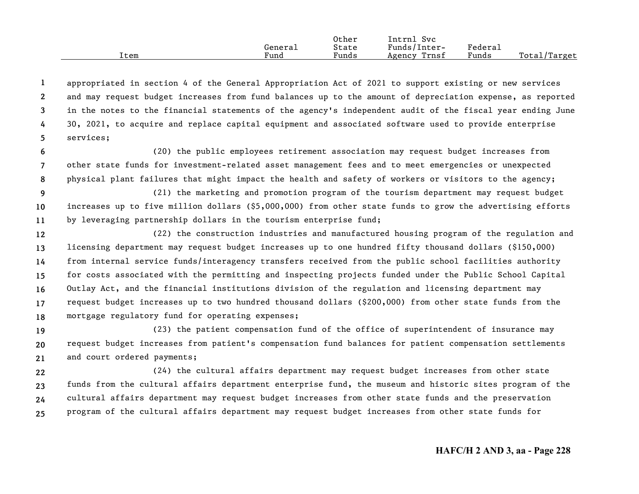|      |         | Other | Intrnl<br>Svc   |         |              |
|------|---------|-------|-----------------|---------|--------------|
|      | Generai | State | Funds/Inter-    | Federal |              |
| Item | Fund    | Funds | Trnsf<br>Agency | Funds   | Total/Target |

**12345**appropriated in section 4 of the General Appropriation Act of 2021 to support existing or new services and may request budget increases from fund balances up to the amount of depreciation expense, as reported in the notes to the financial statements of the agency's independent audit of the fiscal year ending June 30, 2021, to acquire and replace capital equipment and associated software used to provide enterprise services;

**678**(20) the public employees retirement association may request budget increases from other state funds for investment-related asset management fees and to meet emergencies or unexpected physical plant failures that might impact the health and safety of workers or visitors to the agency;

- **9 1011**(21) the marketing and promotion program of the tourism department may request budget increases up to five million dollars (\$5,000,000) from other state funds to grow the advertising efforts by leveraging partnership dollars in the tourism enterprise fund;
- **12131415161718**(22) the construction industries and manufactured housing program of the regulation and licensing department may request budget increases up to one hundred fifty thousand dollars (\$150,000) from internal service funds/interagency transfers received from the public school facilities authority for costs associated with the permitting and inspecting projects funded under the Public School Capital Outlay Act, and the financial institutions division of the regulation and licensing department may request budget increases up to two hundred thousand dollars (\$200,000) from other state funds from the mortgage regulatory fund for operating expenses;

**192021**(23) the patient compensation fund of the office of superintendent of insurance may request budget increases from patient's compensation fund balances for patient compensation settlements and court ordered payments;

**22232425**(24) the cultural affairs department may request budget increases from other state funds from the cultural affairs department enterprise fund, the museum and historic sites program of the cultural affairs department may request budget increases from other state funds and the preservation program of the cultural affairs department may request budget increases from other state funds for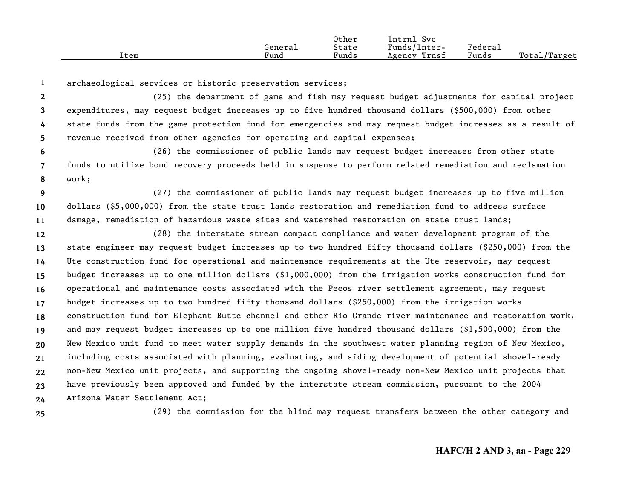|      |         | Other | Intrnl<br>Svc   |         |              |
|------|---------|-------|-----------------|---------|--------------|
|      | Generai | State | Funds/Inter-    | Federal |              |
| Item | Fund    | Funds | Trnsf<br>Agency | Funds   | Total/Target |

**1**archaeological services or historic preservation services;

**2345**(25) the department of game and fish may request budget adjustments for capital project expenditures, may request budget increases up to five hundred thousand dollars (\$500,000) from other state funds from the game protection fund for emergencies and may request budget increases as a result of revenue received from other agencies for operating and capital expenses;

**678**(26) the commissioner of public lands may request budget increases from other state funds to utilize bond recovery proceeds held in suspense to perform related remediation and reclamation work;

**9 1011**(27) the commissioner of public lands may request budget increases up to five million dollars (\$5,000,000) from the state trust lands restoration and remediation fund to address surface damage, remediation of hazardous waste sites and watershed restoration on state trust lands;

**12131415161718192021222324**(28) the interstate stream compact compliance and water development program of the state engineer may request budget increases up to two hundred fifty thousand dollars (\$250,000) from the Ute construction fund for operational and maintenance requirements at the Ute reservoir, may request budget increases up to one million dollars (\$1,000,000) from the irrigation works construction fund for operational and maintenance costs associated with the Pecos river settlement agreement, may request budget increases up to two hundred fifty thousand dollars (\$250,000) from the irrigation works construction fund for Elephant Butte channel and other Rio Grande river maintenance and restoration work, and may request budget increases up to one million five hundred thousand dollars (\$1,500,000) from the New Mexico unit fund to meet water supply demands in the southwest water planning region of New Mexico, including costs associated with planning, evaluating, and aiding development of potential shovel-ready non-New Mexico unit projects, and supporting the ongoing shovel-ready non-New Mexico unit projects that have previously been approved and funded by the interstate stream commission, pursuant to the 2004 Arizona Water Settlement Act;

**25**

(29) the commission for the blind may request transfers between the other category and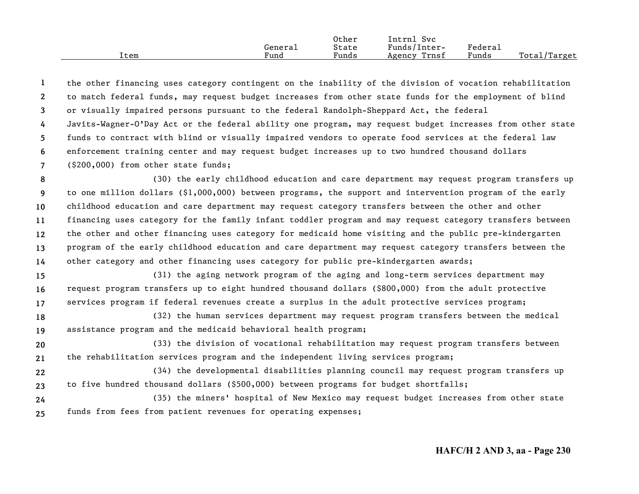|      |                      | Other | Intrnl<br><b>Svc</b> |         |                   |
|------|----------------------|-------|----------------------|---------|-------------------|
|      | Generai              | State | Funds/Inter-         | Federau |                   |
| ⊥tem | $\mathbf{r}$<br>Fund | Funds | Trnsf<br>Agency      | Funds   | Total/<br>/Target |

**1234567**the other financing uses category contingent on the inability of the division of vocation rehabilitation to match federal funds, may request budget increases from other state funds for the employment of blind or visually impaired persons pursuant to the federal Randolph-Sheppard Act, the federal Javits-Wagner-O'Day Act or the federal ability one program, may request budget increases from other state funds to contract with blind or visually impaired vendors to operate food services at the federal law enforcement training center and may request budget increases up to two hundred thousand dollars (\$200,000) from other state funds;

**89 1011121314**(30) the early childhood education and care department may request program transfers up to one million dollars (\$1,000,000) between programs, the support and intervention program of the early childhood education and care department may request category transfers between the other and other financing uses category for the family infant toddler program and may request category transfers between the other and other financing uses category for medicaid home visiting and the public pre-kindergarten program of the early childhood education and care department may request category transfers between the other category and other financing uses category for public pre-kindergarten awards;

**151617**(31) the aging network program of the aging and long-term services department may request program transfers up to eight hundred thousand dollars (\$800,000) from the adult protective services program if federal revenues create a surplus in the adult protective services program;

**1819**(32) the human services department may request program transfers between the medical assistance program and the medicaid behavioral health program;

**2021**(33) the division of vocational rehabilitation may request program transfers between the rehabilitation services program and the independent living services program;

- **2223**(34) the developmental disabilities planning council may request program transfers up to five hundred thousand dollars (\$500,000) between programs for budget shortfalls;
- **2425**(35) the miners' hospital of New Mexico may request budget increases from other state funds from fees from patient revenues for operating expenses;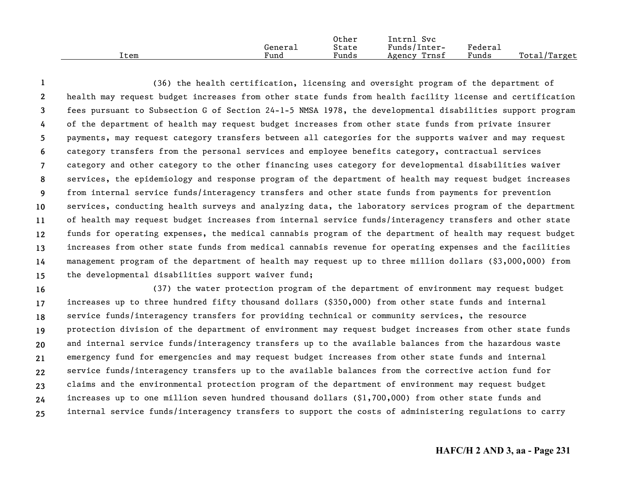|      |         | Other | Svc<br>Intrnl   |         |                   |
|------|---------|-------|-----------------|---------|-------------------|
|      | General | State | Funds/Inter-    | Federau |                   |
| ⊥tem | Fund    | Funds | Trnsf<br>Agency | Funds   | Total/<br>/Target |

**123456789 101112131415**(36) the health certification, licensing and oversight program of the department of health may request budget increases from other state funds from health facility license and certification fees pursuant to Subsection G of Section 24-1-5 NMSA 1978, the developmental disabilities support program of the department of health may request budget increases from other state funds from private insurer payments, may request category transfers between all categories for the supports waiver and may request category transfers from the personal services and employee benefits category, contractual services category and other category to the other financing uses category for developmental disabilities waiver services, the epidemiology and response program of the department of health may request budget increases from internal service funds/interagency transfers and other state funds from payments for prevention services, conducting health surveys and analyzing data, the laboratory services program of the department of health may request budget increases from internal service funds/interagency transfers and other state funds for operating expenses, the medical cannabis program of the department of health may request budget increases from other state funds from medical cannabis revenue for operating expenses and the facilities management program of the department of health may request up to three million dollars (\$3,000,000) from the developmental disabilities support waiver fund;

**16171819202122232425**(37) the water protection program of the department of environment may request budget increases up to three hundred fifty thousand dollars (\$350,000) from other state funds and internal service funds/interagency transfers for providing technical or community services, the resource protection division of the department of environment may request budget increases from other state funds and internal service funds/interagency transfers up to the available balances from the hazardous waste emergency fund for emergencies and may request budget increases from other state funds and internal service funds/interagency transfers up to the available balances from the corrective action fund for claims and the environmental protection program of the department of environment may request budget increases up to one million seven hundred thousand dollars (\$1,700,000) from other state funds and internal service funds/interagency transfers to support the costs of administering regulations to carry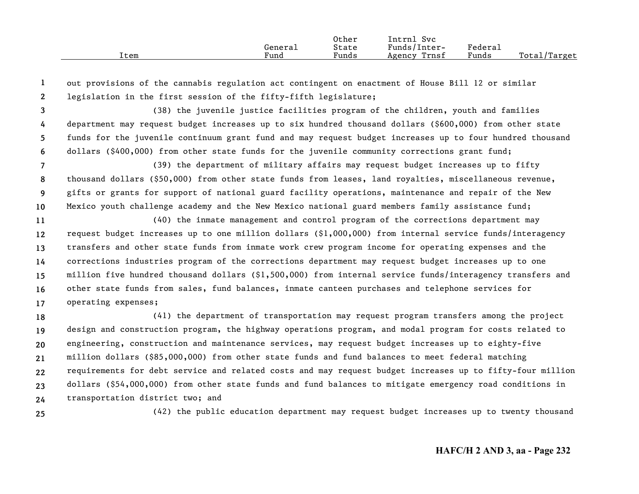|      |         | Other | Intrnl<br><b>Svc</b> |                     |                                |
|------|---------|-------|----------------------|---------------------|--------------------------------|
|      | General | State | Funds/Inter-         | Federa <sub>1</sub> |                                |
| Item | Fund    | Funds | Trnsf<br>Agency      | Funds               | Total <sub>l</sub><br>./Target |

**12**out provisions of the cannabis regulation act contingent on enactment of House Bill 12 or similar legislation in the first session of the fifty-fifth legislature;

**3456**(38) the juvenile justice facilities program of the children, youth and families department may request budget increases up to six hundred thousand dollars (\$600,000) from other state funds for the juvenile continuum grant fund and may request budget increases up to four hundred thousand dollars (\$400,000) from other state funds for the juvenile community corrections grant fund;

**789 10**(39) the department of military affairs may request budget increases up to fifty thousand dollars (\$50,000) from other state funds from leases, land royalties, miscellaneous revenue, gifts or grants for support of national guard facility operations, maintenance and repair of the New Mexico youth challenge academy and the New Mexico national guard members family assistance fund;

**11121314151617**(40) the inmate management and control program of the corrections department may request budget increases up to one million dollars (\$1,000,000) from internal service funds/interagency transfers and other state funds from inmate work crew program income for operating expenses and the corrections industries program of the corrections department may request budget increases up to one million five hundred thousand dollars (\$1,500,000) from internal service funds/interagency transfers and other state funds from sales, fund balances, inmate canteen purchases and telephone services for operating expenses;

**18192021222324**(41) the department of transportation may request program transfers among the project design and construction program, the highway operations program, and modal program for costs related to engineering, construction and maintenance services, may request budget increases up to eighty-five million dollars (\$85,000,000) from other state funds and fund balances to meet federal matching requirements for debt service and related costs and may request budget increases up to fifty-four million dollars (\$54,000,000) from other state funds and fund balances to mitigate emergency road conditions in transportation district two; and

**25**

(42) the public education department may request budget increases up to twenty thousand